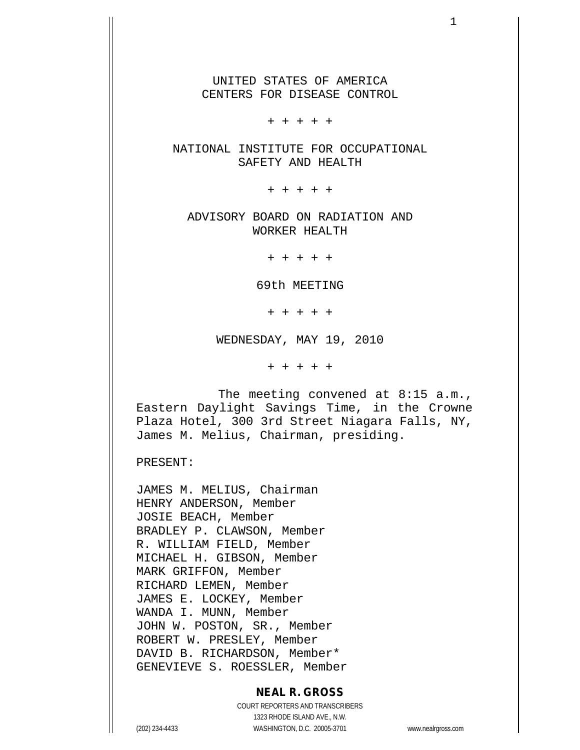UNITED STATES OF AMERICA CENTERS FOR DISEASE CONTROL

+ + + + +

NATIONAL INSTITUTE FOR OCCUPATIONAL SAFETY AND HEALTH

+ + + + +

ADVISORY BOARD ON RADIATION AND WORKER HEALTH

+ + + + +

69th MEETING

+ + + + +

WEDNESDAY, MAY 19, 2010

+ + + + +

The meeting convened at 8:15 a.m., Eastern Daylight Savings Time, in the Crowne Plaza Hotel, 300 3rd Street Niagara Falls, NY, James M. Melius, Chairman, presiding.

PRESENT:

JAMES M. MELIUS, Chairman HENRY ANDERSON, Member JOSIE BEACH, Member BRADLEY P. CLAWSON, Member R. WILLIAM FIELD, Member MICHAEL H. GIBSON, Member MARK GRIFFON, Member RICHARD LEMEN, Member JAMES E. LOCKEY, Member WANDA I. MUNN, Member JOHN W. POSTON, SR., Member ROBERT W. PRESLEY, Member DAVID B. RICHARDSON, Member\* GENEVIEVE S. ROESSLER, Member

## **NEAL R. GROSS**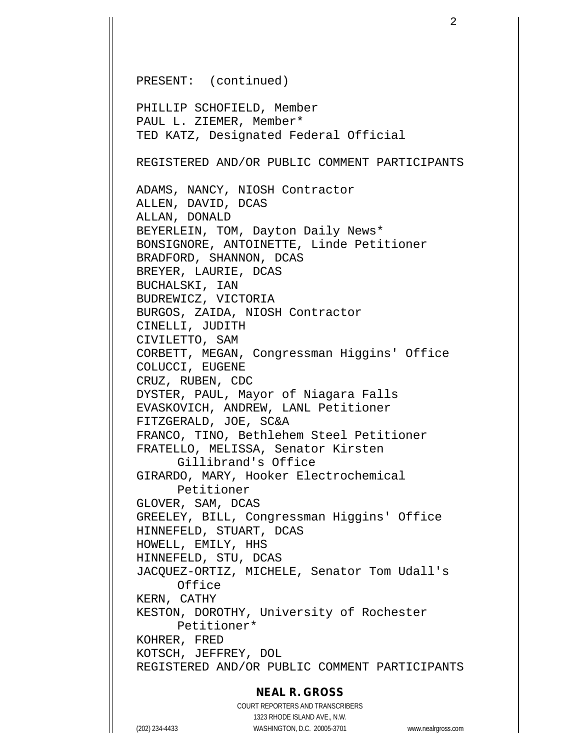PRESENT: (continued) PHILLIP SCHOFIELD, Member PAUL L. ZIEMER, Member\* TED KATZ, Designated Federal Official REGISTERED AND/OR PUBLIC COMMENT PARTICIPANTS ADAMS, NANCY, NIOSH Contractor ALLEN, DAVID, DCAS ALLAN, DONALD BEYERLEIN, TOM, Dayton Daily News\* BONSIGNORE, ANTOINETTE, Linde Petitioner BRADFORD, SHANNON, DCAS BREYER, LAURIE, DCAS BUCHALSKI, IAN BUDREWICZ, VICTORIA BURGOS, ZAIDA, NIOSH Contractor CINELLI, JUDITH CIVILETTO, SAM CORBETT, MEGAN, Congressman Higgins' Office COLUCCI, EUGENE CRUZ, RUBEN, CDC DYSTER, PAUL, Mayor of Niagara Falls EVASKOVICH, ANDREW, LANL Petitioner FITZGERALD, JOE, SC&A FRANCO, TINO, Bethlehem Steel Petitioner FRATELLO, MELISSA, Senator Kirsten Gillibrand's Office GIRARDO, MARY, Hooker Electrochemical Petitioner GLOVER, SAM, DCAS GREELEY, BILL, Congressman Higgins' Office HINNEFELD, STUART, DCAS HOWELL, EMILY, HHS HINNEFELD, STU, DCAS JACQUEZ-ORTIZ, MICHELE, Senator Tom Udall's Office KERN, CATHY KESTON, DOROTHY, University of Rochester Petitioner\* KOHRER, FRED KOTSCH, JEFFREY, DOL REGISTERED AND/OR PUBLIC COMMENT PARTICIPANTS

#### **NEAL R. GROSS**

COURT REPORTERS AND TRANSCRIBERS 1323 RHODE ISLAND AVE., N.W. (202) 234-4433 WASHINGTON, D.C. 20005-3701 www.nealrgross.com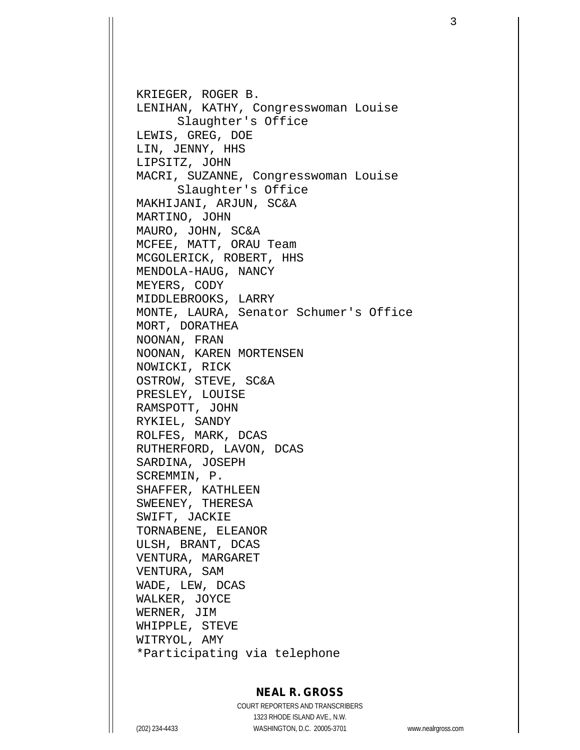KRIEGER, ROGER B. LENIHAN, KATHY, Congresswoman Louise Slaughter's Office LEWIS, GREG, DOE LIN, JENNY, HHS LIPSITZ, JOHN MACRI, SUZANNE, Congresswoman Louise Slaughter's Office MAKHIJANI, ARJUN, SC&A MARTINO, JOHN MAURO, JOHN, SC&A MCFEE, MATT, ORAU Team MCGOLERICK, ROBERT, HHS MENDOLA-HAUG, NANCY MEYERS, CODY MIDDLEBROOKS, LARRY MONTE, LAURA, Senator Schumer's Office MORT, DORATHEA NOONAN, FRAN NOONAN, KAREN MORTENSEN NOWICKI, RICK OSTROW, STEVE, SC&A PRESLEY, LOUISE RAMSPOTT, JOHN RYKIEL, SANDY ROLFES, MARK, DCAS RUTHERFORD, LAVON, DCAS SARDINA, JOSEPH SCREMMIN, P. SHAFFER, KATHLEEN SWEENEY, THERESA SWIFT, JACKIE TORNABENE, ELEANOR ULSH, BRANT, DCAS VENTURA, MARGARET VENTURA, SAM WADE, LEW, DCAS WALKER, JOYCE WERNER, JIM WHIPPLE, STEVE WITRYOL, AMY \*Participating via telephone

## **NEAL R. GROSS**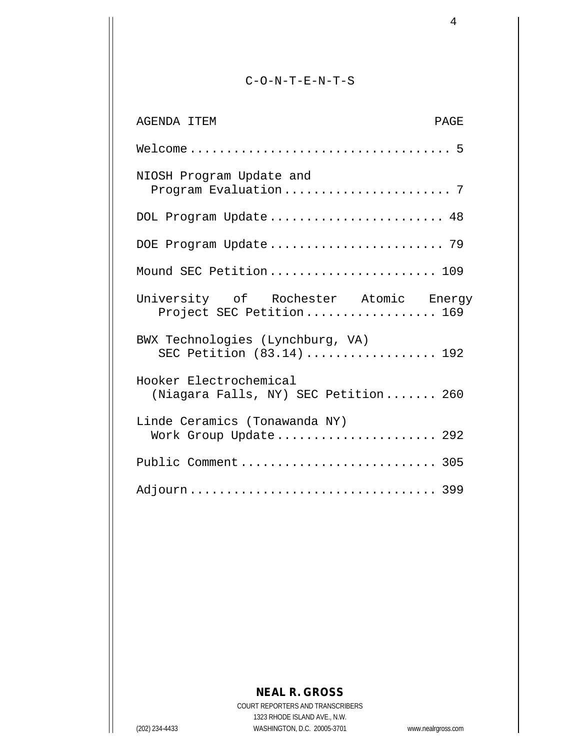#### C-O-N-T-E-N-T-S

| <b>AGENDA ITEM</b><br><b>PAGE</b>                                 |
|-------------------------------------------------------------------|
|                                                                   |
| NIOSH Program Update and                                          |
| DOL Program Update 48                                             |
| DOE Program Update 79                                             |
| Mound SEC Petition 109                                            |
| University of Rochester Atomic Energy<br>Project SEC Petition 169 |
| BWX Technologies (Lynchburg, VA)<br>SEC Petition (83.14)  192     |
| Hooker Electrochemical<br>(Niagara Falls, NY) SEC Petition 260    |
| Linde Ceramics (Tonawanda NY)<br>Work Group Update 292            |
| Public Comment 305                                                |
|                                                                   |

# **NEAL R. GROSS**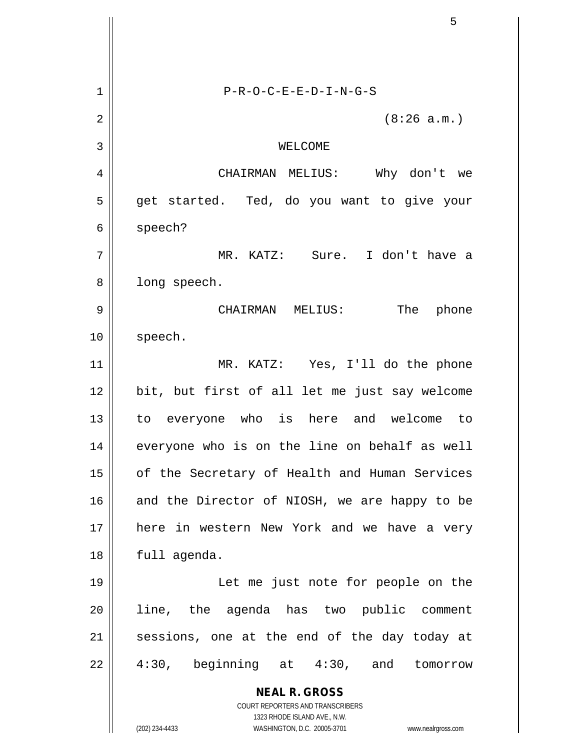|    | 5                                                                   |
|----|---------------------------------------------------------------------|
|    |                                                                     |
| 1  | $P-R-O-C-E-E-D-I-N-G-S$                                             |
| 2  | (8:26 a.m.)                                                         |
| 3  | WELCOME                                                             |
| 4  | CHAIRMAN MELIUS: Why don't we                                       |
| 5  | get started. Ted, do you want to give your                          |
| 6  | speech?                                                             |
| 7  | MR. KATZ: Sure. I don't have a                                      |
| 8  | long speech.                                                        |
| 9  | CHAIRMAN MELIUS: The phone                                          |
| 10 | speech.                                                             |
| 11 | MR. KATZ: Yes, I'll do the phone                                    |
| 12 | bit, but first of all let me just say welcome                       |
| 13 | to everyone who is here and welcome to                              |
| 14 | everyone who is on the line on behalf as well                       |
| 15 | of the Secretary of Health and Human Services                       |
| 16 | and the Director of NIOSH, we are happy to be                       |
| 17 | here in western New York and we have a very                         |
| 18 | full agenda.                                                        |
| 19 | Let me just note for people on the                                  |
| 20 | line, the agenda has two public comment                             |
| 21 | sessions, one at the end of the day today at                        |
| 22 | 4:30, beginning at 4:30, and tomorrow                               |
|    | <b>NEAL R. GROSS</b><br>COURT REPORTERS AND TRANSCRIBERS            |
|    | 1323 RHODE ISLAND AVE., N.W.                                        |
|    | (202) 234-4433<br>WASHINGTON, D.C. 20005-3701<br>www.nealrgross.com |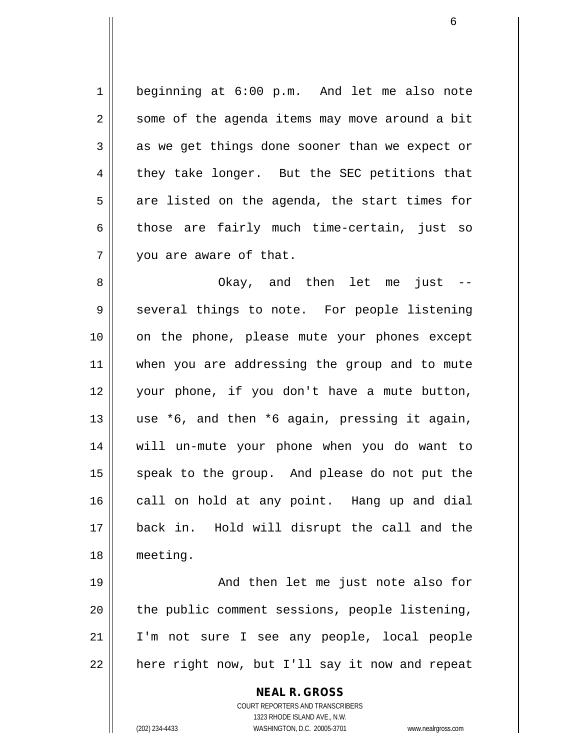1 beginning at 6:00 p.m. And let me also note  $2 \parallel$  some of the agenda items may move around a bit  $3 \parallel$  as we get things done sooner than we expect or 4 they take longer. But the SEC petitions that  $5 \parallel$  are listed on the agenda, the start times for 6 those are fairly much time-certain, just so 7 | vou are aware of that.

 Okay, and then let me just -- 9 Several things to note. For people listening on the phone, please mute your phones except 11 || when you are addressing the group and to mute your phone, if you don't have a mute button,  $\parallel$  use \*6, and then \*6 again, pressing it again, will un-mute your phone when you do want to 15 || speak to the group. And please do not put the 16 call on hold at any point. Hang up and dial back in. Hold will disrupt the call and the meeting.

19 || And then let me just note also for | the public comment sessions, people listening, I'm not sure I see any people, local people | here right now, but I'll say it now and repeat

> **NEAL R. GROSS** COURT REPORTERS AND TRANSCRIBERS 1323 RHODE ISLAND AVE., N.W. (202) 234-4433 WASHINGTON, D.C. 20005-3701 www.nealrgross.com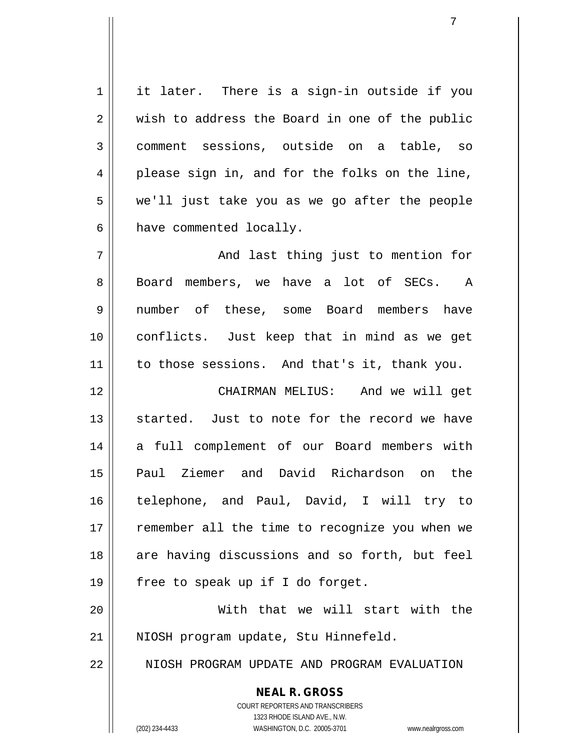$1 \parallel$  it later. There is a sign-in outside if you  $2 \parallel$  wish to address the Board in one of the public 3 comment sessions, outside on a table, so 4 || please sign in, and for the folks on the line,  $5 \parallel$  we'll just take you as we go after the people  $6 \parallel$  have commented locally.

7 And last thing just to mention for 8 || Board members, we have a lot of SECs. A 9 || number of these, some Board members have 10 conflicts. Just keep that in mind as we get 11 || to those sessions. And that's it, thank you.

12 CHAIRMAN MELIUS: And we will get 13 || started. Just to note for the record we have 14 a full complement of our Board members with 15 Paul Ziemer and David Richardson on the 16 telephone, and Paul, David, I will try to 17 || remember all the time to recognize you when we 18 || are having discussions and so forth, but feel 19  $\parallel$  free to speak up if I do forget.

20 With that we will start with the 21 || NIOSH program update, Stu Hinnefeld.

22 N NIOSH PROGRAM UPDATE AND PROGRAM EVALUATION

**NEAL R. GROSS**

COURT REPORTERS AND TRANSCRIBERS 1323 RHODE ISLAND AVE., N.W. (202) 234-4433 WASHINGTON, D.C. 20005-3701 www.nealrgross.com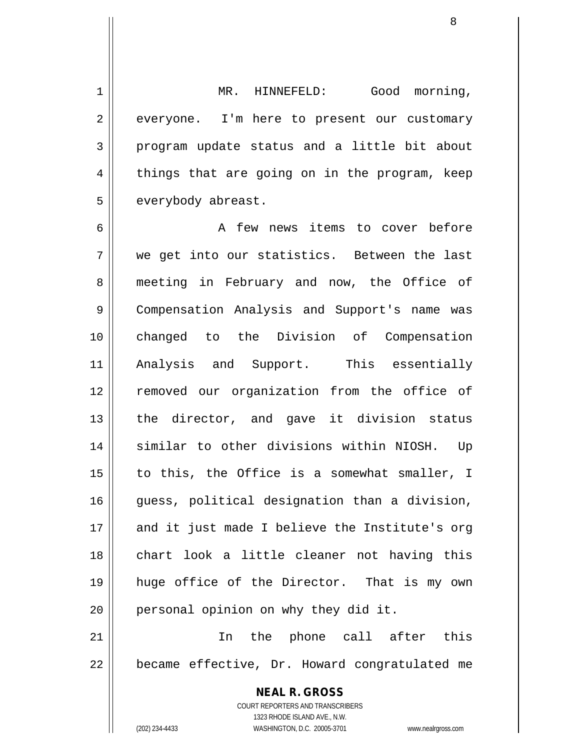1 | MR. HINNEFELD: Good morning, 2 everyone. I'm here to present our customary  $3 \parallel$  program update status and a little bit about  $4 \parallel$  things that are going on in the program, keep 5 | everybody abreast.

6 || A few news items to cover before 7 we get into our statistics. Between the last 8 meeting in February and now, the Office of 9 | Compensation Analysis and Support's name was 10 changed to the Division of Compensation 11 Analysis and Support. This essentially 12 removed our organization from the office of 13 the director, and gave it division status 14 || similar to other divisions within NIOSH. Up  $15$  || to this, the Office is a somewhat smaller, I 16 || guess, political designation than a division, 17 || and it just made I believe the Institute's org 18 chart look a little cleaner not having this 19 huge office of the Director. That is my own  $20$  | personal opinion on why they did it. 21 In the phone call after this

 $22$  | became effective, Dr. Howard congratulated me

**NEAL R. GROSS** COURT REPORTERS AND TRANSCRIBERS 1323 RHODE ISLAND AVE., N.W. (202) 234-4433 WASHINGTON, D.C. 20005-3701 www.nealrgross.com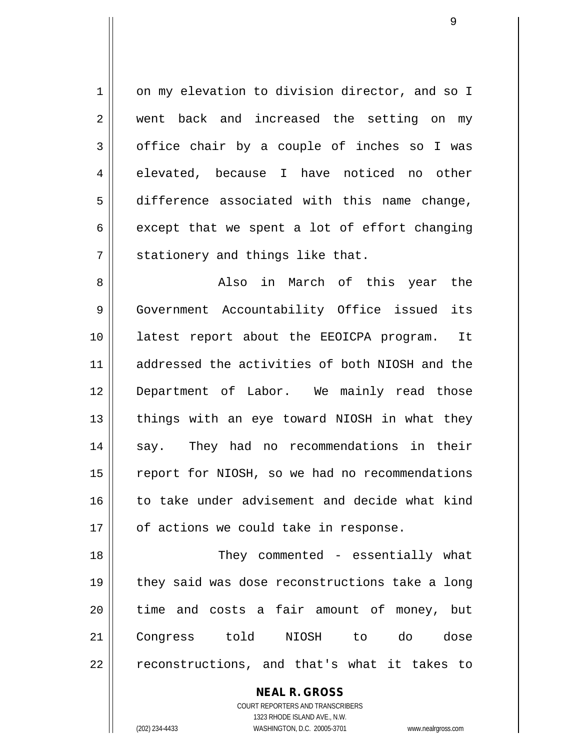1 on my elevation to division director, and so I 2 went back and increased the setting on my  $3 \parallel$  office chair by a couple of inches so I was  $4 \parallel$  elevated, because I have noticed no other 5 difference associated with this name change, 6 except that we spent a lot of effort changing  $7$  | stationery and things like that.

8 Also in March of this year the 9 Government Accountability Office issued its 10 latest report about the EEOICPA program. It 11 addressed the activities of both NIOSH and the 12 Department of Labor. We mainly read those  $13$  || things with an eye toward NIOSH in what they 14 || say. They had no recommendations in their 15 | report for NIOSH, so we had no recommendations 16 || to take under advisement and decide what kind  $17$  | of actions we could take in response.

18 || They commented - essentially what 19 || they said was dose reconstructions take a long 20 || time and costs a fair amount of money, but 21 Congress told NIOSH to do dose 22 || reconstructions, and that's what it takes to

> **NEAL R. GROSS** COURT REPORTERS AND TRANSCRIBERS 1323 RHODE ISLAND AVE., N.W. (202) 234-4433 WASHINGTON, D.C. 20005-3701 www.nealrgross.com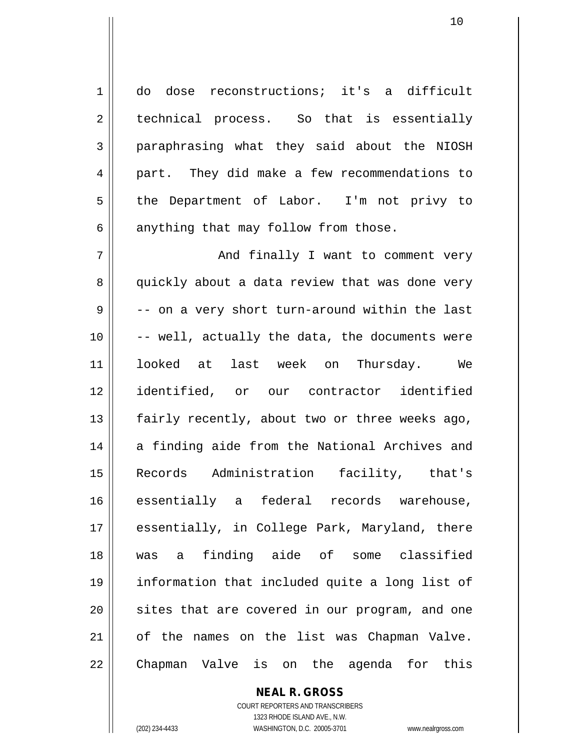1 do dose reconstructions; it's a difficult  $2 \parallel$  technical process. So that is essentially 3 paraphrasing what they said about the NIOSH 4 || part. They did make a few recommendations to 5 || the Department of Labor. I'm not privy to  $6 \parallel$  anything that may follow from those.

7 || And finally I want to comment very 8 quickly about a data review that was done very  $9 \parallel$  -- on a very short turn-around within the last  $10$   $\vert$  -- well, actually the data, the documents were 11 looked at last week on Thursday. We 12 identified, or our contractor identified 13  $\parallel$  fairly recently, about two or three weeks ago, 14 a finding aide from the National Archives and 15 Records Administration facility, that's 16 essentially a federal records warehouse, 17 || essentially, in College Park, Maryland, there 18 was a finding aide of some classified 19 information that included quite a long list of 20 || sites that are covered in our program, and one 21 of the names on the list was Chapman Valve. 22 || Chapman Valve is on the agenda for this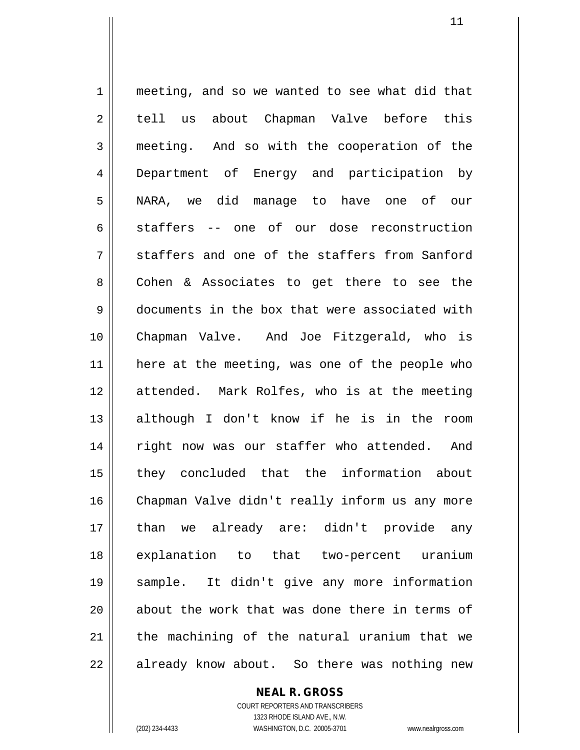1 meeting, and so we wanted to see what did that 2 || tell us about Chapman Valve before this 3 meeting. And so with the cooperation of the 4 Department of Energy and participation by 5 NARA, we did manage to have one of our  $6 \parallel$  staffers -- one of our dose reconstruction  $7$   $\parallel$  staffers and one of the staffers from Sanford 8 || Cohen & Associates to get there to see the 9 documents in the box that were associated with 10 Chapman Valve. And Joe Fitzgerald, who is 11 here at the meeting, was one of the people who 12 attended. Mark Rolfes, who is at the meeting 13 although I don't know if he is in the room 14 || right now was our staffer who attended. And 15 they concluded that the information about 16 Chapman Valve didn't really inform us any more 17 than we already are: didn't provide any 18 explanation to that two-percent uranium 19 sample. It didn't give any more information 20 || about the work that was done there in terms of 21 || the machining of the natural uranium that we 22 || already know about. So there was nothing new

## **NEAL R. GROSS**

COURT REPORTERS AND TRANSCRIBERS 1323 RHODE ISLAND AVE., N.W. (202) 234-4433 WASHINGTON, D.C. 20005-3701 www.nealrgross.com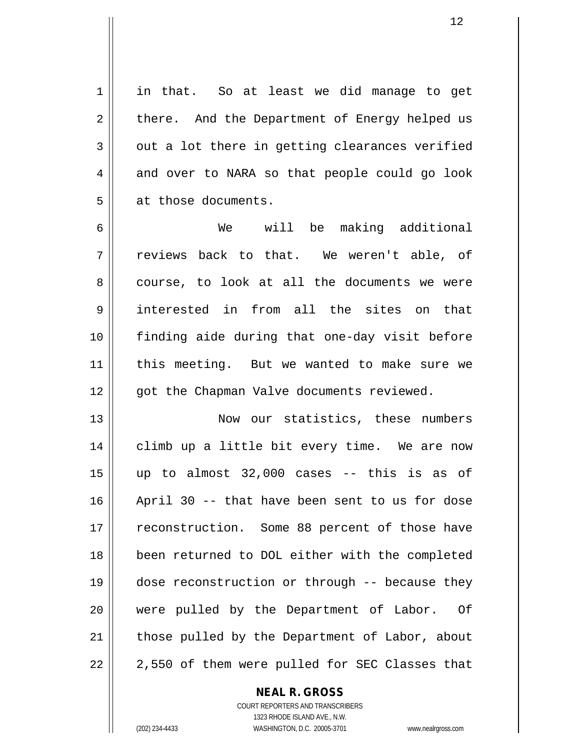1 || in that. So at least we did manage to get  $2 \parallel$  there. And the Department of Energy helped us  $3 \parallel$  out a lot there in getting clearances verified 4 and over to NARA so that people could go look  $5 \parallel$  at those documents.

6 We will be making additional  $7 \parallel$  reviews back to that. We weren't able, of 8 course, to look at all the documents we were 9 interested in from all the sites on that 10 finding aide during that one-day visit before 11 || this meeting. But we wanted to make sure we  $12$  | qot the Chapman Valve documents reviewed.

13 || Now our statistics, these numbers 14 || climb up a little bit every time. We are now  $15$  || up to almost 32,000 cases -- this is as of 16 April 30 -- that have been sent to us for dose 17 || reconstruction. Some 88 percent of those have 18 been returned to DOL either with the completed 19 dose reconstruction or through -- because they 20 || were pulled by the Department of Labor. Of 21 || those pulled by the Department of Labor, about  $22 \parallel 2,550$  of them were pulled for SEC Classes that

**NEAL R. GROSS**

COURT REPORTERS AND TRANSCRIBERS 1323 RHODE ISLAND AVE., N.W. (202) 234-4433 WASHINGTON, D.C. 20005-3701 www.nealrgross.com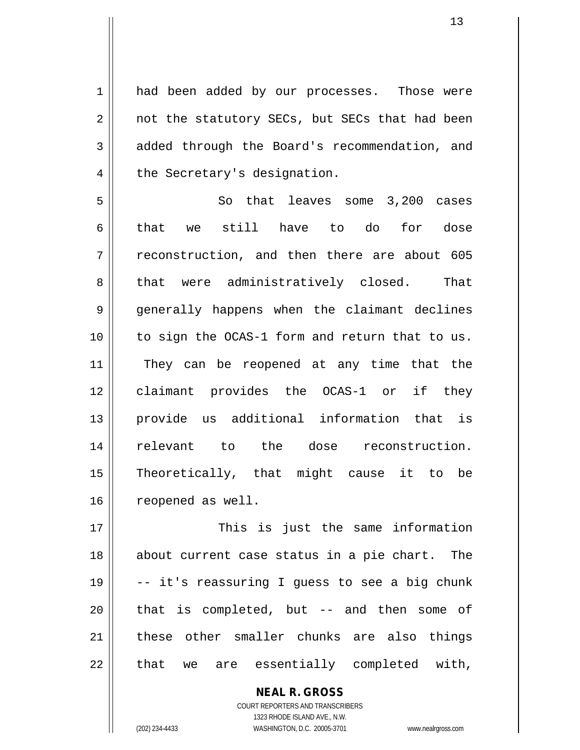1 || had been added by our processes. Those were 2 || not the statutory SECs, but SECs that had been 3 added through the Board's recommendation, and 4 | the Secretary's designation.

5 || So that leaves some 3,200 cases 6 $\parallel$  that we still have to do for dose 7 T reconstruction, and then there are about 605 8 || that were administratively closed. That 9 generally happens when the claimant declines 10 to sign the OCAS-1 form and return that to us. 11 || They can be reopened at any time that the 12 || claimant provides the OCAS-1 or if they 13 provide us additional information that is 14 relevant to the dose reconstruction. 15 Theoretically, that might cause it to be 16 | reopened as well.

 This is just the same information 18 || about current case status in a pie chart. The  $\parallel$  -- it's reassuring I guess to see a big chunk || that is completed, but  $-$  and then some of 21 || these other smaller chunks are also things || that we are essentially completed with,

> COURT REPORTERS AND TRANSCRIBERS 1323 RHODE ISLAND AVE., N.W. (202) 234-4433 WASHINGTON, D.C. 20005-3701 www.nealrgross.com

**NEAL R. GROSS**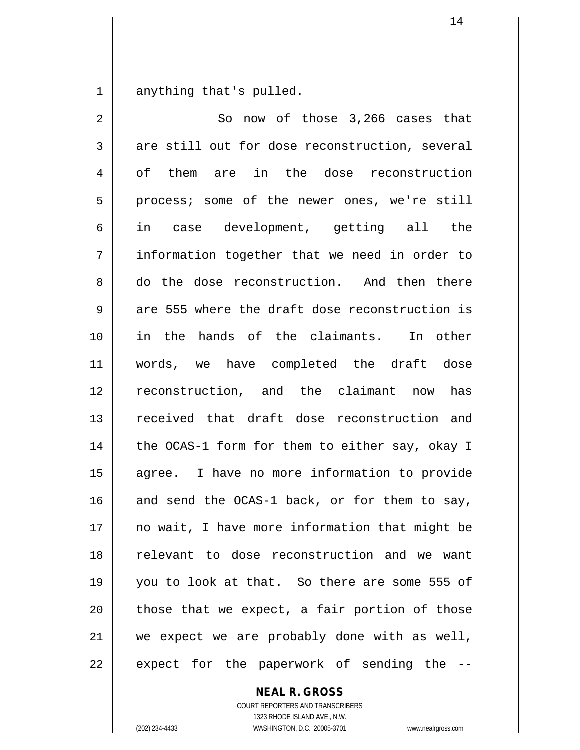$1 \parallel$  anything that's pulled.

| $\overline{2}$ | So now of those 3,266 cases that               |
|----------------|------------------------------------------------|
| 3              | are still out for dose reconstruction, several |
| 4              | of them are in the dose reconstruction         |
| 5              | process; some of the newer ones, we're still   |
| 6              | in case development, getting all the           |
| 7              | information together that we need in order to  |
| 8              | do the dose reconstruction. And then there     |
| 9              | are 555 where the draft dose reconstruction is |
| 10             | in the hands of the claimants. In other        |
| 11             | words, we have completed the draft dose        |
| 12             | reconstruction, and the claimant now<br>has    |
| 13             | received that draft dose reconstruction and    |
| 14             | the OCAS-1 form for them to either say, okay I |
| 15             | agree. I have no more information to provide   |
| 16             | and send the OCAS-1 back, or for them to say,  |
| 17             | no wait, I have more information that might be |
| 18             | relevant to dose reconstruction and we want    |
| 19             | you to look at that. So there are some 555 of  |
| 20             | those that we expect, a fair portion of those  |
| 21             | we expect we are probably done with as well,   |
| 22             | expect for the paperwork of sending the        |

**NEAL R. GROSS**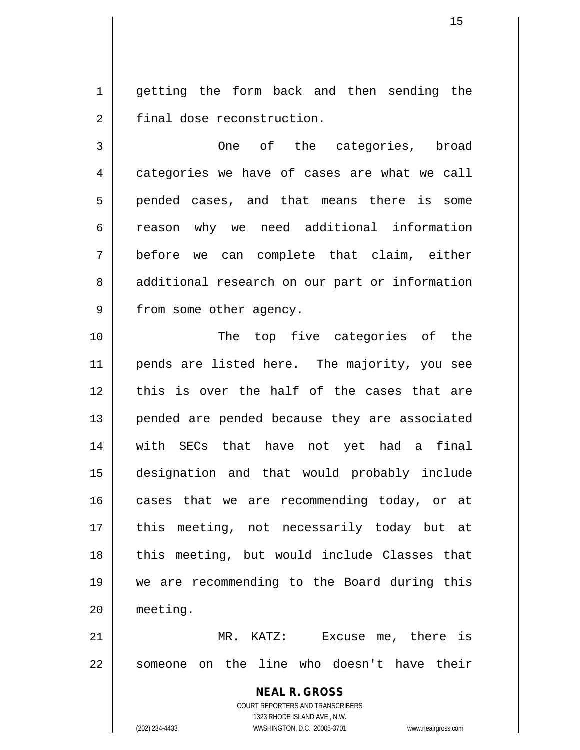1 || getting the form back and then sending the 2 | final dose reconstruction.

3 One of the categories, broad 4 categories we have of cases are what we call 5 pended cases, and that means there is some 6 || reason why we need additional information 7 before we can complete that claim, either 8 || additional research on our part or information 9 | from some other agency.

10 || The top five categories of the 11 || pends are listed here. The majority, you see  $12$   $\parallel$  this is over the half of the cases that are 13 || pended are pended because they are associated 14 with SECs that have not yet had a final 15 designation and that would probably include 16 cases that we are recommending today, or at 17 || this meeting, not necessarily today but at 18 || this meeting, but would include Classes that 19 we are recommending to the Board during this 20 meeting.

21 MR. KATZ: Excuse me, there is 22 Someone on the line who doesn't have their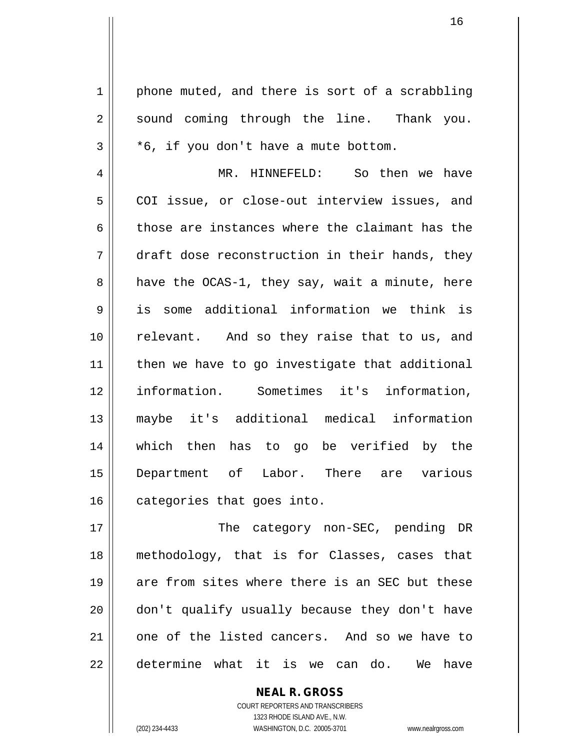$1 \parallel$  phone muted, and there is sort of a scrabbling 2 || sound coming through the line. Thank you.  $3 \parallel$  \*6, if you don't have a mute bottom.

 MR. HINNEFELD: So then we have 5 | COI issue, or close-out interview issues, and 6 those are instances where the claimant has the  $7 \parallel$  draft dose reconstruction in their hands, they  $8 \parallel$  have the OCAS-1, they say, wait a minute, here is some additional information we think is relevant. And so they raise that to us, and | then we have to go investigate that additional information. Sometimes it's information, maybe it's additional medical information which then has to go be verified by the Department of Labor. There are various 16 categories that goes into.

17 || The category non-SEC, pending DR 18 methodology, that is for Classes, cases that 19 || are from sites where there is an SEC but these 20 don't qualify usually because they don't have 21 || one of the listed cancers. And so we have to 22 determine what it is we can do. We have

> COURT REPORTERS AND TRANSCRIBERS 1323 RHODE ISLAND AVE., N.W. (202) 234-4433 WASHINGTON, D.C. 20005-3701 www.nealrgross.com

**NEAL R. GROSS**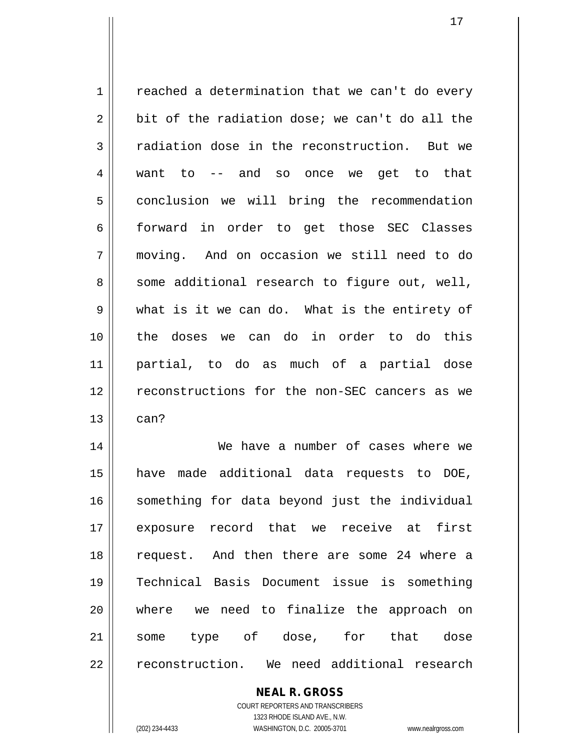$1 \parallel$  reached a determination that we can't do every  $2 \parallel$  bit of the radiation dose; we can't do all the  $3 \parallel$  radiation dose in the reconstruction. But we 4 want to -- and so once we get to that 5 | conclusion we will bring the recommendation 6 forward in order to get those SEC Classes 7 moving. And on occasion we still need to do 8 || some additional research to figure out, well,  $9 \parallel$  what is it we can do. What is the entirety of 10 the doses we can do in order to do this 11 partial, to do as much of a partial dose 12 || reconstructions for the non-SEC cancers as we  $13$   $\parallel$  can? 14 We have a number of cases where we 15 have made additional data requests to DOE, 16 || something for data beyond just the individual 17 exposure record that we receive at first 18 request. And then there are some 24 where a 19 Technical Basis Document issue is something 20 where we need to finalize the approach on

#### COURT REPORTERS AND TRANSCRIBERS 1323 RHODE ISLAND AVE., N.W. (202) 234-4433 WASHINGTON, D.C. 20005-3701 www.nealrgross.com

**NEAL R. GROSS**

21 some type of dose, for that dose

22 || reconstruction. We need additional research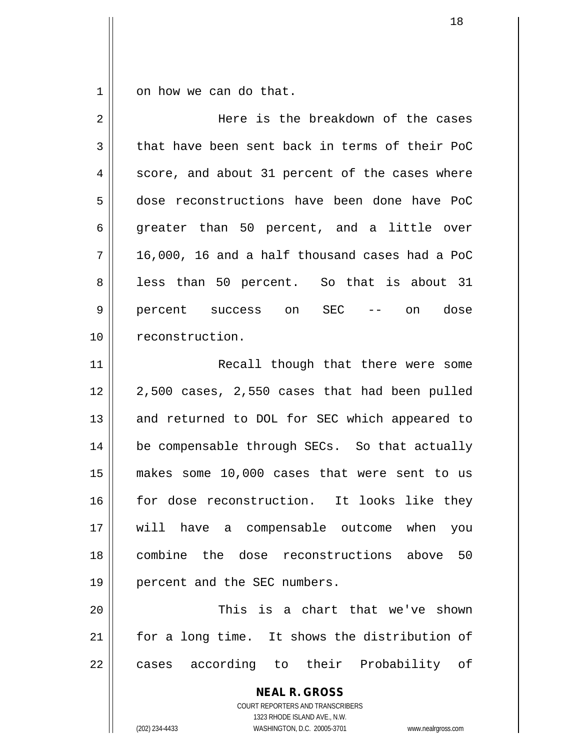$1 \parallel$  on how we can do that.

| $\overline{2}$ | Here is the breakdown of the cases                                                                                                                              |
|----------------|-----------------------------------------------------------------------------------------------------------------------------------------------------------------|
| 3              | that have been sent back in terms of their PoC                                                                                                                  |
| 4              | score, and about 31 percent of the cases where                                                                                                                  |
| 5              | dose reconstructions have been done have PoC                                                                                                                    |
| 6              | greater than 50 percent, and a little over                                                                                                                      |
| 7              | 16,000, 16 and a half thousand cases had a PoC                                                                                                                  |
| 8              | less than 50 percent. So that is about 31                                                                                                                       |
| 9              | percent success on SEC --<br>on dose                                                                                                                            |
| 10             | reconstruction.                                                                                                                                                 |
| 11             | Recall though that there were some                                                                                                                              |
| 12             | 2,500 cases, 2,550 cases that had been pulled                                                                                                                   |
| 13             | and returned to DOL for SEC which appeared to                                                                                                                   |
| 14             | be compensable through SECs. So that actually                                                                                                                   |
| 15             | makes some 10,000 cases that were sent to us                                                                                                                    |
| 16             | for dose reconstruction. It looks like they                                                                                                                     |
| 17             | will have a compensable outcome when you                                                                                                                        |
| 18             | combine the dose reconstructions above 50                                                                                                                       |
| 19             | percent and the SEC numbers.                                                                                                                                    |
| 20             | This is a chart that we've shown                                                                                                                                |
| 21             | for a long time. It shows the distribution of                                                                                                                   |
| 22             | cases according to their Probability of                                                                                                                         |
|                | <b>NEAL R. GROSS</b><br>COURT REPORTERS AND TRANSCRIBERS<br>1323 RHODE ISLAND AVE., N.W.<br>WASHINGTON, D.C. 20005-3701<br>(202) 234-4433<br>www.nealrgross.com |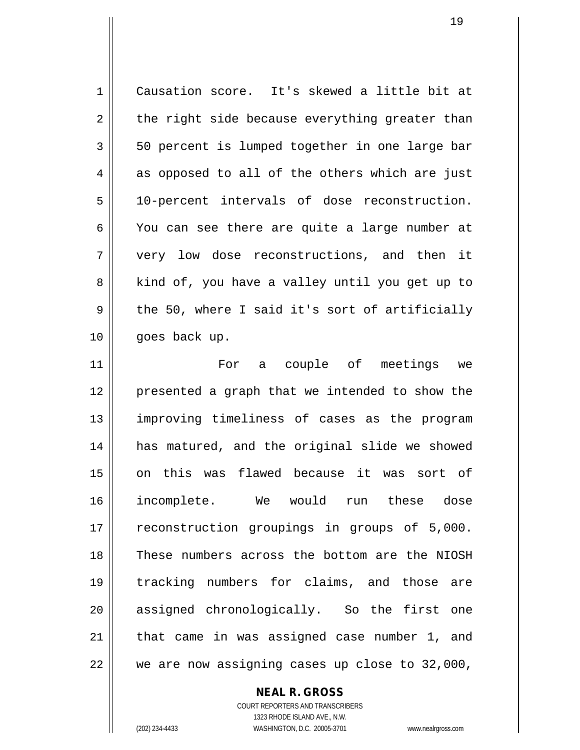| 1  | Causation score. It's skewed a little bit at   |
|----|------------------------------------------------|
| 2  | the right side because everything greater than |
| 3  | 50 percent is lumped together in one large bar |
| 4  | as opposed to all of the others which are just |
| 5  | 10-percent intervals of dose reconstruction.   |
| 6  | You can see there are quite a large number at  |
| 7  | very low dose reconstructions, and then it     |
| 8  | kind of, you have a valley until you get up to |
| 9  | the 50, where I said it's sort of artificially |
| 10 | goes back up.                                  |
| 11 | For a couple of meetings we                    |
| 12 | presented a graph that we intended to show the |
| 13 | improving timeliness of cases as the program   |
| 14 | has matured, and the original slide we showed  |
| 15 | on this was flawed because it was sort of      |
| 16 | incomplete. We would run these dose            |
| 17 | reconstruction groupings in groups of 5,000.   |
| 18 | These numbers across the bottom are the NIOSH  |
| 19 | tracking numbers for claims, and those are     |
| 20 | assigned chronologically. So the first one     |
| 21 | that came in was assigned case number 1, and   |
| 22 | we are now assigning cases up close to 32,000, |

**NEAL R. GROSS**

COURT REPORTERS AND TRANSCRIBERS 1323 RHODE ISLAND AVE., N.W. (202) 234-4433 WASHINGTON, D.C. 20005-3701 www.nealrgross.com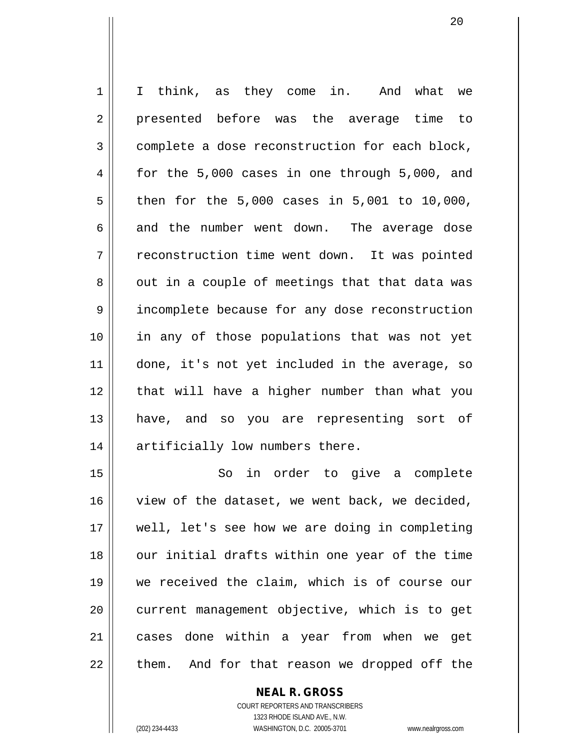1 || I think, as they come in. And what we 2 presented before was the average time to 3 complete a dose reconstruction for each block,  $4 \parallel$  for the 5,000 cases in one through 5,000, and  $5 \parallel$  then for the 5,000 cases in 5,001 to 10,000, 6 and the number went down. The average dose 7 | reconstruction time went down. It was pointed  $8 \parallel$  out in a couple of meetings that that data was 9 | incomplete because for any dose reconstruction 10 in any of those populations that was not yet 11 || done, it's not yet included in the average, so 12 || that will have a higher number than what you 13 || have, and so you are representing sort of 14 || artificially low numbers there.

15 || So in order to give a complete 16 view of the dataset, we went back, we decided, 17 well, let's see how we are doing in completing 18 || our initial drafts within one year of the time 19 we received the claim, which is of course our 20 || current management objective, which is to get 21 cases done within a year from when we get  $22$  || them. And for that reason we dropped off the

#### **NEAL R. GROSS**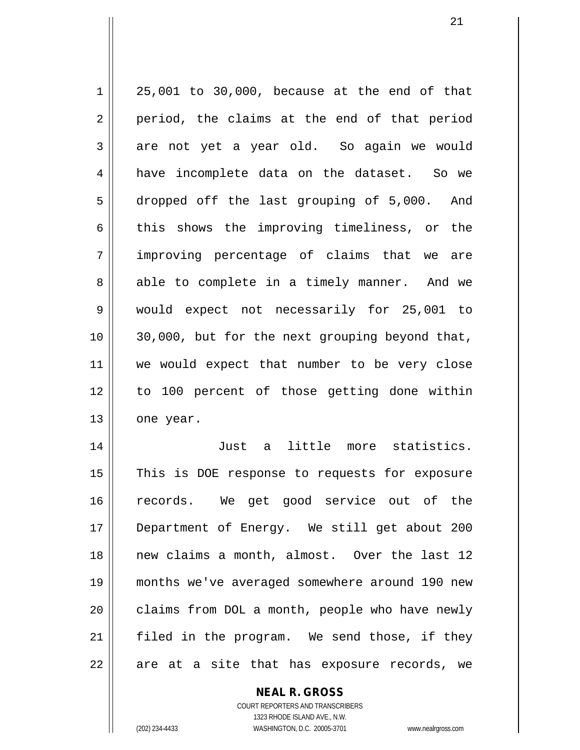$1 \parallel 25,001$  to 30,000, because at the end of that  $2 \parallel$  period, the claims at the end of that period  $3 \parallel$  are not yet a year old. So again we would 4 || have incomplete data on the dataset. So we 5 dropped off the last grouping of 5,000. And  $6 \parallel$  this shows the improving timeliness, or the 7 improving percentage of claims that we are 8 able to complete in a timely manner. And we 9 would expect not necessarily for 25,001 to 10 30,000, but for the next grouping beyond that, 11 we would expect that number to be very close 12 to 100 percent of those getting done within 13 one year. 14 Just a little more statistics.

15 || This is DOE response to requests for exposure 16 || records. We get good service out of the 17 Department of Energy. We still get about 200 18 || new claims a month, almost. Over the last 12 19 months we've averaged somewhere around 190 new  $20$  | claims from DOL a month, people who have newly 21 filed in the program. We send those, if they  $22 \parallel$  are at a site that has exposure records, we

> **NEAL R. GROSS** COURT REPORTERS AND TRANSCRIBERS

> > 1323 RHODE ISLAND AVE., N.W.

(202) 234-4433 WASHINGTON, D.C. 20005-3701 www.nealrgross.com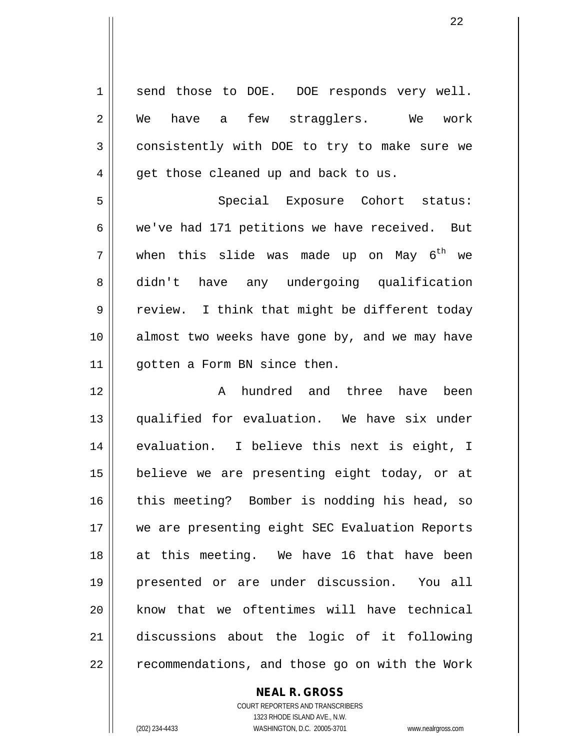1 send those to DOE. DOE responds very well. 2 We have a few stragglers. We work 3 consistently with DOE to try to make sure we  $4 \parallel$  get those cleaned up and back to us. 5 || Special Exposure Cohort status: 6 we've had 171 petitions we have received. But  $7 \parallel$  when this slide was made up on May  $6^{\text{th}}$  we 8 didn't have any undergoing qualification  $9 \parallel$  review. I think that might be different today 10 || almost two weeks have gone by, and we may have 11 | qotten a Form BN since then. 12 A hundred and three have been 13 qualified for evaluation. We have six under 14 || evaluation. I believe this next is eight, I 15 believe we are presenting eight today, or at 16 || this meeting? Bomber is nodding his head, so 17 || we are presenting eight SEC Evaluation Reports 18 at this meeting. We have 16 that have been 19 presented or are under discussion. You all  $20$  know that we oftentimes will have technical 21 discussions about the logic of it following  $22$  |  $\sqrt{22}$  recommendations, and those go on with the Work

**NEAL R. GROSS**

COURT REPORTERS AND TRANSCRIBERS 1323 RHODE ISLAND AVE., N.W. (202) 234-4433 WASHINGTON, D.C. 20005-3701 www.nealrgross.com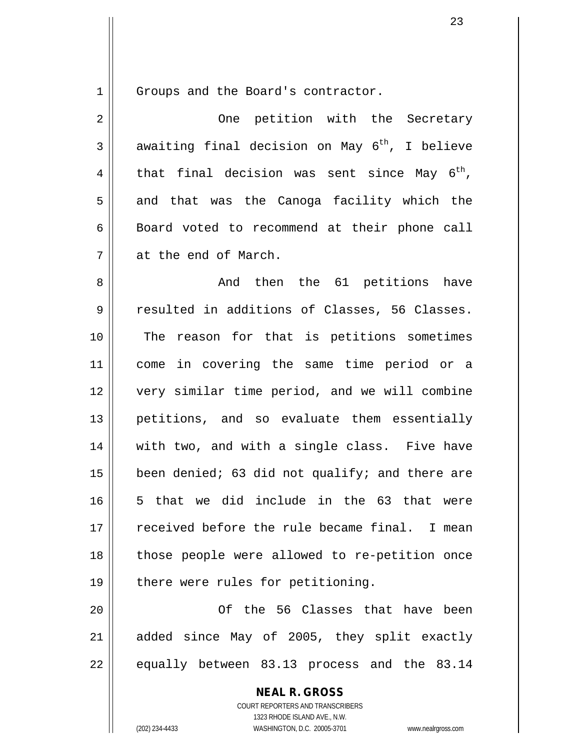1 Groups and the Board's contractor.

2 One petition with the Secretary 3 awaiting final decision on May  $6^{th}$ , I believe 4 || that final decision was sent since May  $6^{th}$ ,  $5 \parallel$  and that was the Canoga facility which the 6 | Board voted to recommend at their phone call 7 at the end of March.

8 And then the 61 petitions have 9 Tesulted in additions of Classes, 56 Classes. 10 || The reason for that is petitions sometimes 11 come in covering the same time period or a 12 very similar time period, and we will combine 13 || petitions, and so evaluate them essentially 14 || with two, and with a single class. Five have 15  $\parallel$  been denied; 63 did not qualify; and there are 16 5 that we did include in the 63 that were 17 || received before the rule became final. I mean 18 those people were allowed to re-petition once  $19$  || there were rules for petitioning.

20 Of the 56 Classes that have been  $21$  added since May of 2005, they split exactly  $22 \parallel$  equally between 83.13 process and the 83.14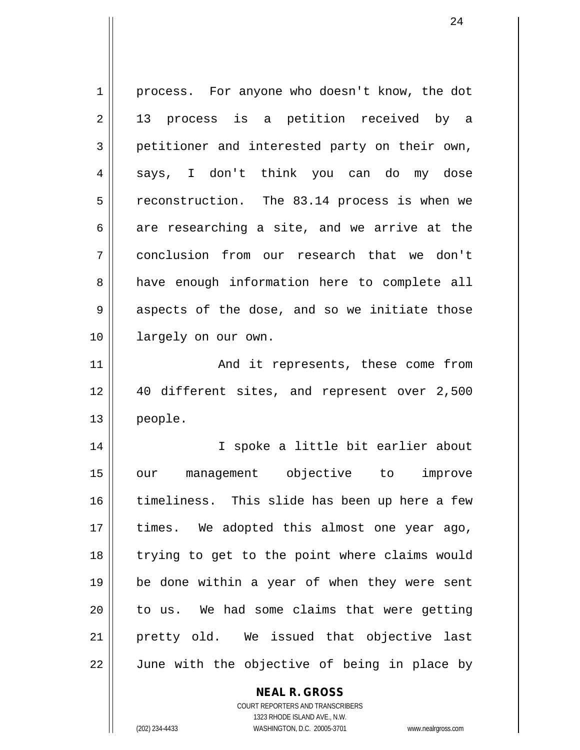1 | process. For anyone who doesn't know, the dot 2 || 13 process is a petition received by a 3 petitioner and interested party on their own, 4 says, I don't think you can do my dose  $5 \parallel$  reconstruction. The 83.14 process is when we  $6 \parallel$  are researching a site, and we arrive at the 7 conclusion from our research that we don't 8 have enough information here to complete all  $9 \parallel$  aspects of the dose, and so we initiate those 10 || largely on our own. 11 || The Rand it represents, these come from 12 40 different sites, and represent over 2,500 13 people. 14 || I spoke a little bit earlier about 15 our management objective to improve 16 timeliness. This slide has been up here a few 17 || times. We adopted this almost one year ago, 18 trying to get to the point where claims would 19 be done within a year of when they were sent  $20$  | to us. We had some claims that were getting 21 pretty old. We issued that objective last  $22$   $\parallel$  June with the objective of being in place by

#### **NEAL R. GROSS**

COURT REPORTERS AND TRANSCRIBERS 1323 RHODE ISLAND AVE., N.W. (202) 234-4433 WASHINGTON, D.C. 20005-3701 www.nealrgross.com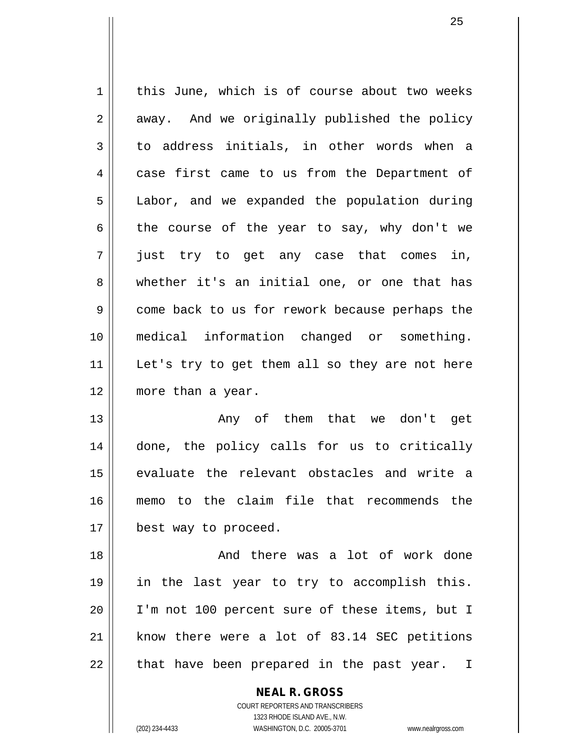1 | this June, which is of course about two weeks  $2 \parallel$  away. And we originally published the policy  $3 \parallel$  to address initials, in other words when a 4 case first came to us from the Department of 5 | Labor, and we expanded the population during 6 the course of the year to say, why don't we  $7 \parallel$  just try to get any case that comes in, 8 whether it's an initial one, or one that has 9 come back to us for rework because perhaps the 10 medical information changed or something. 11 || Let's try to get them all so they are not here 12 more than a year. 13 Any of them that we don't get 14 done, the policy calls for us to critically 15 || evaluate the relevant obstacles and write a

16 memo to the claim file that recommends the 17 || best way to proceed.

 And there was a lot of work done in the last year to try to accomplish this. I'm not 100 percent sure of these items, but I  $\parallel$  know there were a lot of 83.14 SEC petitions || that have been prepared in the past year. I

> **NEAL R. GROSS** COURT REPORTERS AND TRANSCRIBERS 1323 RHODE ISLAND AVE., N.W. (202) 234-4433 WASHINGTON, D.C. 20005-3701 www.nealrgross.com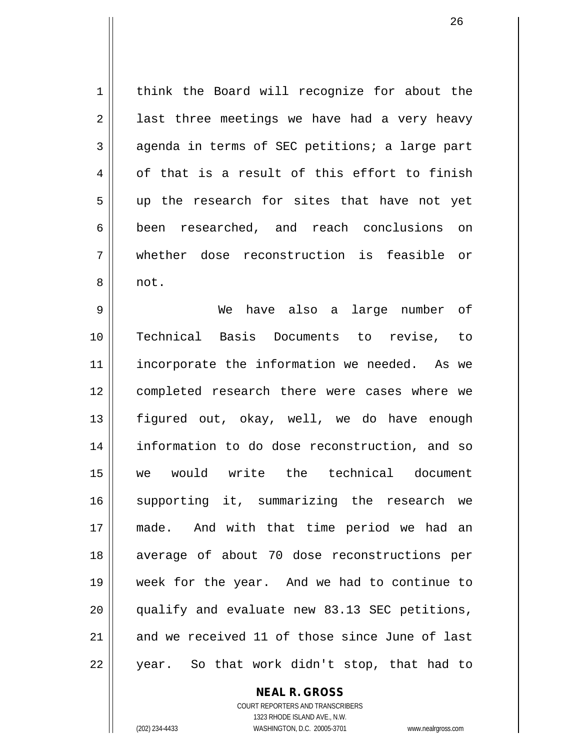1 | think the Board will recognize for about the  $2 \parallel$  last three meetings we have had a very heavy  $3 \parallel$  agenda in terms of SEC petitions; a large part  $4 \parallel$  of that is a result of this effort to finish 5 || up the research for sites that have not yet 6 been researched, and reach conclusions on 7 whether dose reconstruction is feasible or 8 || not.

9 We have also a large number of 10 Technical Basis Documents to revise, to 11 || incorporate the information we needed. As we 12 completed research there were cases where we 13 || figured out, okay, well, we do have enough 14 information to do dose reconstruction, and so 15 we would write the technical document 16 || supporting it, summarizing the research we 17 made. And with that time period we had an 18 average of about 70 dose reconstructions per 19 week for the year. And we had to continue to 20 || qualify and evaluate new 83.13 SEC petitions, 21 and we received 11 of those since June of last  $22 \parallel$  year. So that work didn't stop, that had to

#### **NEAL R. GROSS**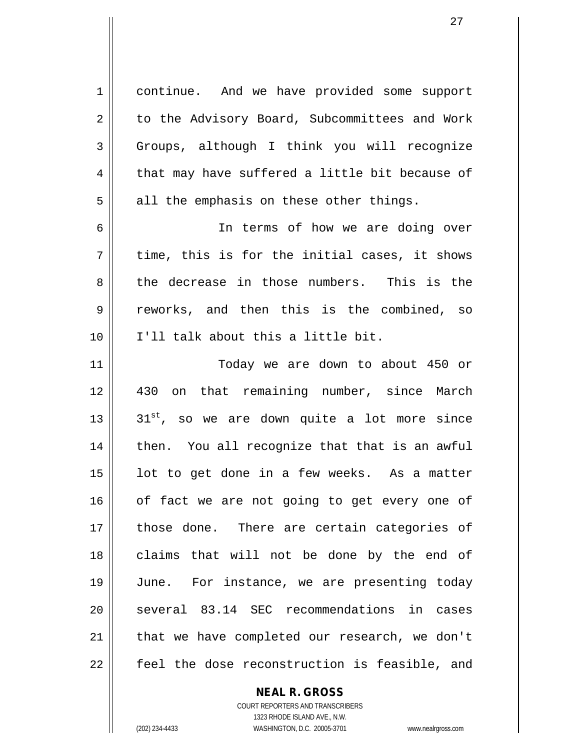1 continue. And we have provided some support 2 | to the Advisory Board, Subcommittees and Work  $3 \parallel$  Groups, although I think you will recognize  $4 \parallel$  that may have suffered a little bit because of  $5 \parallel$  all the emphasis on these other things. 6 || In terms of how we are doing over  $7 \parallel$  time, this is for the initial cases, it shows 8 the decrease in those numbers. This is the 9 reworks, and then this is the combined, so 10 I'll talk about this a little bit. 11 Today we are down to about 450 or 12 430 on that remaining number, since March  $13$  ||  $31^{st}$ , so we are down quite a lot more since  $14$  | then. You all recognize that that is an awful  $15$  | lot to get done in a few weeks. As a matter  $16$  of fact we are not going to get every one of 17 || those done. There are certain categories of 18 || claims that will not be done by the end of 19 June. For instance, we are presenting today 20 || several 83.14 SEC recommendations in cases  $21$  | that we have completed our research, we don't 22 || feel the dose reconstruction is feasible, and

> **NEAL R. GROSS** COURT REPORTERS AND TRANSCRIBERS

1323 RHODE ISLAND AVE., N.W. (202) 234-4433 WASHINGTON, D.C. 20005-3701 www.nealrgross.com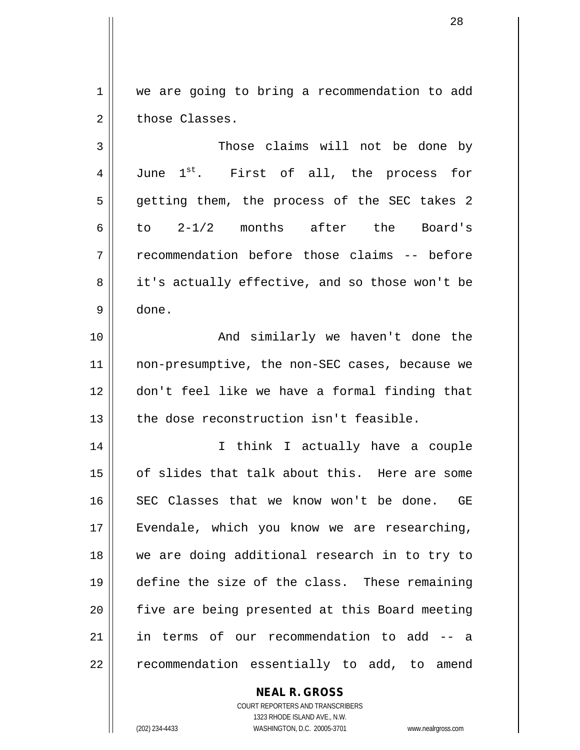1 | we are going to bring a recommendation to add  $2 \parallel$  those Classes.

3 || Those claims will not be done by 4 June 1<sup>st</sup>. First of all, the process for 5 || getting them, the process of the SEC takes 2 6 $\parallel$  to 2-1/2 months after the Board's 7 || recommendation before those claims -- before 8 it's actually effective, and so those won't be 9 done.

10 || The Contract And similarly we haven't done the 11 || non-presumptive, the non-SEC cases, because we 12 don't feel like we have a formal finding that 13 || the dose reconstruction isn't feasible.

 I think I actually have a couple of slides that talk about this. Here are some SEC Classes that we know won't be done. GE 17 || Evendale, which you know we are researching, we are doing additional research in to try to define the size of the class. These remaining 20 || five are being presented at this Board meeting in terms of our recommendation to add -- a || recommendation essentially to add, to amend

# **NEAL R. GROSS**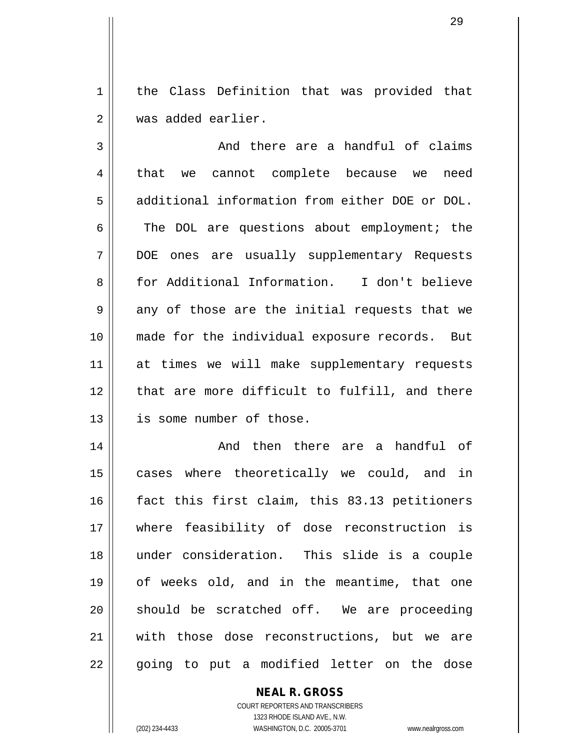1 || the Class Definition that was provided that 2 Was added earlier.

 $3 \parallel$  and there are a handful of claims 4 || that we cannot complete because we need 5 | additional information from either DOE or DOL.  $6 \parallel$  The DOL are questions about employment; the 7 DOE ones are usually supplementary Requests 8 for Additional Information. I don't believe  $9 \parallel$  any of those are the initial requests that we 10 made for the individual exposure records. But 11 || at times we will make supplementary requests 12 || that are more difficult to fulfill, and there 13 is some number of those.

 And then there are a handful of 15 || cases where theoretically we could, and in 16 fact this first claim, this 83.13 petitioners where feasibility of dose reconstruction is under consideration. This slide is a couple of weeks old, and in the meantime, that one should be scratched off. We are proceeding with those dose reconstructions, but we are || going to put a modified letter on the dose

# **NEAL R. GROSS**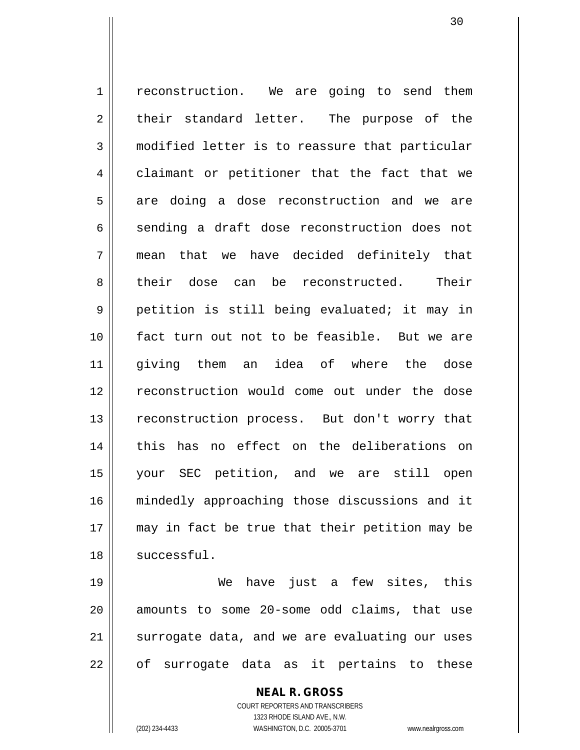1 | reconstruction. We are going to send them  $2 \parallel$  their standard letter. The purpose of the 3 modified letter is to reassure that particular 4 claimant or petitioner that the fact that we 5 are doing a dose reconstruction and we are 6 sending a draft dose reconstruction does not 7 mean that we have decided definitely that 8 their dose can be reconstructed. Their 9 || petition is still being evaluated; it may in 10 || fact turn out not to be feasible. But we are 11 giving them an idea of where the dose 12 reconstruction would come out under the dose 13 || reconstruction process. But don't worry that 14 this has no effect on the deliberations on 15 your SEC petition, and we are still open 16 mindedly approaching those discussions and it 17 may in fact be true that their petition may be  $18$   $\parallel$  successful.

19 We have just a few sites, this  $20$  amounts to some  $20$ -some odd claims, that use 21 || surrogate data, and we are evaluating our uses 22 || of surrogate data as it pertains to these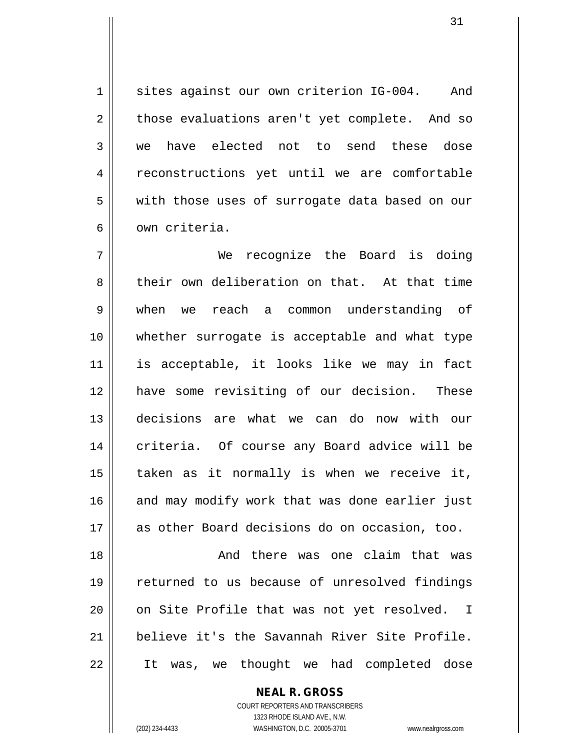1 || sites against our own criterion IG-004. And  $2 \parallel$  those evaluations aren't yet complete. And so 3 we have elected not to send these dose 4 | reconstructions yet until we are comfortable 5 | with those uses of surrogate data based on our 6 l own criteria.

 We recognize the Board is doing 8 their own deliberation on that. At that time when we reach a common understanding of whether surrogate is acceptable and what type is acceptable, it looks like we may in fact have some revisiting of our decision. These decisions are what we can do now with our 14 || criteria. Of course any Board advice will be | taken as it normally is when we receive it, 16 || and may modify work that was done earlier just as other Board decisions do on occasion, too.

18 || The Mand there was one claim that was 19 || returned to us because of unresolved findings 20 || on Site Profile that was not yet resolved. I 21 believe it's the Savannah River Site Profile. 22 It was, we thought we had completed dose

**NEAL R. GROSS**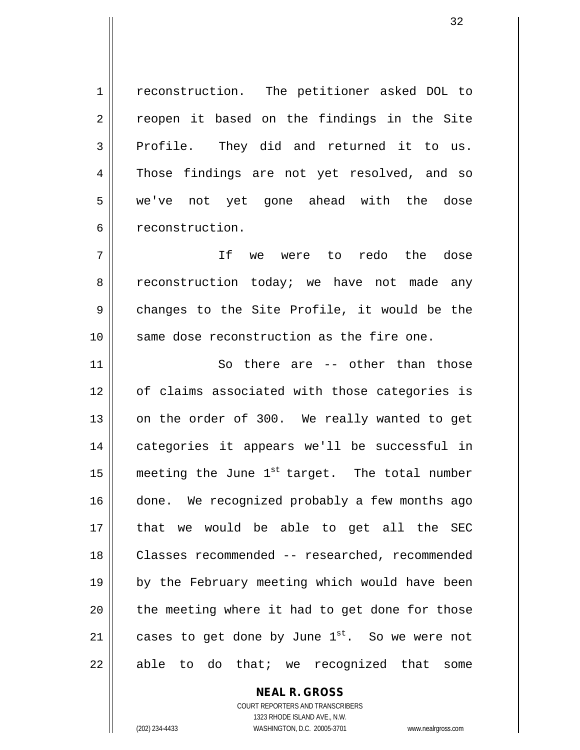1 | reconstruction. The petitioner asked DOL to 2 || reopen it based on the findings in the Site  $3$  Profile. They did and returned it to us. 4 Those findings are not yet resolved, and so 5 || we've not yet gone ahead with the dose 6 | reconstruction.

7 || If we were to redo the dose 8 ceconstruction today; we have not made any  $9 \parallel$  changes to the Site Profile, it would be the 10 Same dose reconstruction as the fire one.

11 || So there are -- other than those 12 || of claims associated with those categories is 13 || on the order of 300. We really wanted to get 14 categories it appears we'll be successful in 15  $\parallel$  meeting the June 1<sup>st</sup> target. The total number 16 || done. We recognized probably a few months ago 17 that we would be able to get all the SEC 18 Classes recommended -- researched, recommended 19 || by the February meeting which would have been  $20$  || the meeting where it had to get done for those 21  $\parallel$  cases to get done by June 1<sup>st</sup>. So we were not  $22 \parallel$  able to do that; we recognized that some

> COURT REPORTERS AND TRANSCRIBERS 1323 RHODE ISLAND AVE., N.W. (202) 234-4433 WASHINGTON, D.C. 20005-3701 www.nealrgross.com

**NEAL R. GROSS**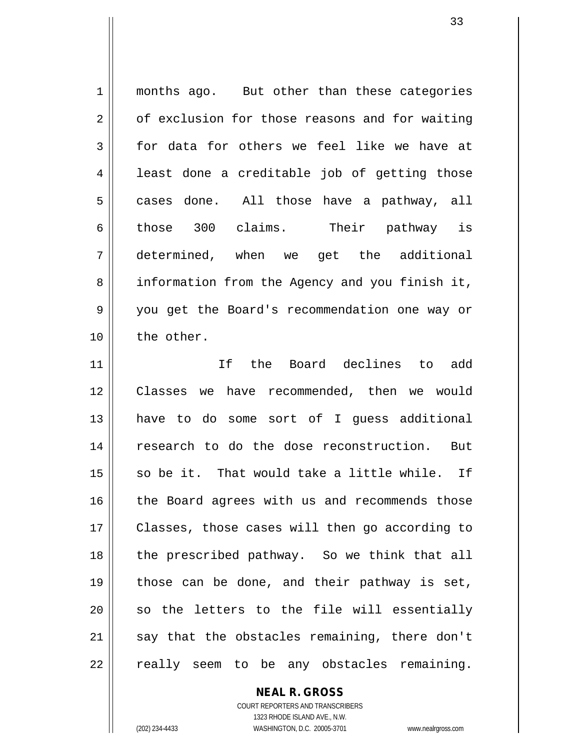1 || months ago. But other than these categories 2 of exclusion for those reasons and for waiting  $3 \parallel$  for data for others we feel like we have at  $4 \parallel$  least done a creditable job of getting those  $5$  cases done. All those have a pathway, all 6 those 300 claims. Their pathway is 7 determined, when we get the additional 8 || information from the Agency and you finish it, 9 you get the Board's recommendation one way or 10 || the other. 11 If the Board declines to add 12 Classes we have recommended, then we would 13 have to do some sort of I guess additional 14 research to do the dose reconstruction. But  $15$  so be it. That would take a little while. If  $16$  | the Board agrees with us and recommends those

 Classes, those cases will then go according to 18 || the prescribed pathway. So we think that all  $\parallel$  those can be done, and their pathway is set, so the letters to the file will essentially say that the obstacles remaining, there don't || really seem to be any obstacles remaining.

> COURT REPORTERS AND TRANSCRIBERS 1323 RHODE ISLAND AVE., N.W. (202) 234-4433 WASHINGTON, D.C. 20005-3701 www.nealrgross.com

**NEAL R. GROSS**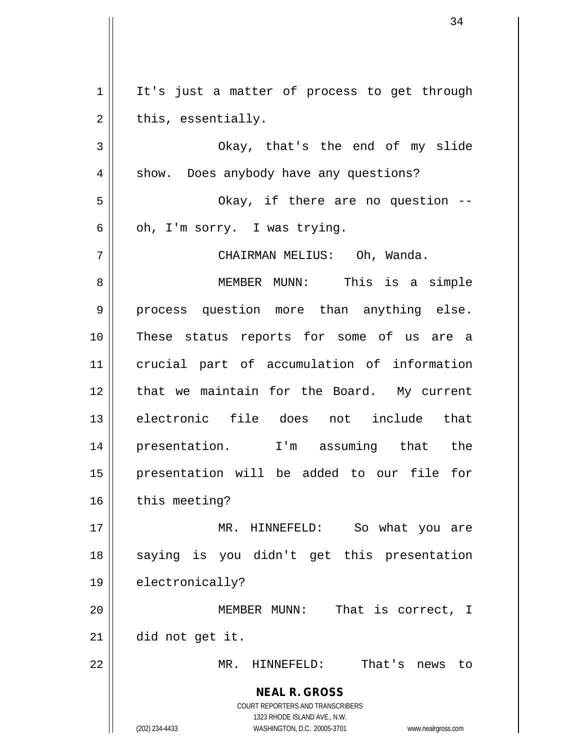**NEAL R. GROSS** COURT REPORTERS AND TRANSCRIBERS 1323 RHODE ISLAND AVE., N.W. (202) 234-4433 WASHINGTON, D.C. 20005-3701 www.nealrgross.com  $1 \parallel$  It's just a matter of process to get through  $2 \parallel$  this, essentially. 3 Okay, that's the end of my slide 4 | show. Does anybody have any questions? 5 Okay, if there are no question --  $6 \parallel$  oh, I'm sorry. I was trying. 7 CHAIRMAN MELIUS: Oh, Wanda. 8 MEMBER MUNN: This is a simple 9 || process question more than anything else. 10 These status reports for some of us are a 11 crucial part of accumulation of information 12 || that we maintain for the Board. My current 13 electronic file does not include that 14 presentation. I'm assuming that the 15 presentation will be added to our file for  $16$   $\parallel$  this meeting? 17 MR. HINNEFELD: So what you are 18 || saying is you didn't get this presentation 19 | electronically? 20 MEMBER MUNN: That is correct, I 21 did not get it. 22 MR. HINNEFELD: That's news to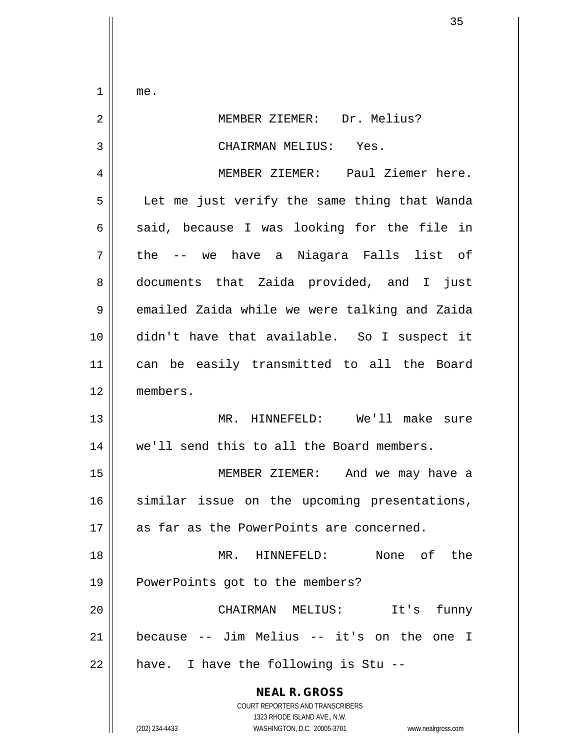$1 \parallel me.$ 

| 2  | MEMBER ZIEMER: Dr. Melius?                                                                                                                                      |
|----|-----------------------------------------------------------------------------------------------------------------------------------------------------------------|
| 3  | CHAIRMAN MELIUS: Yes.                                                                                                                                           |
| 4  | MEMBER ZIEMER: Paul Ziemer here.                                                                                                                                |
| 5  | Let me just verify the same thing that Wanda                                                                                                                    |
| 6  | said, because I was looking for the file in                                                                                                                     |
| 7  | the -- we have a Niagara Falls list of                                                                                                                          |
| 8  | documents that Zaida provided, and I just                                                                                                                       |
| 9  | emailed Zaida while we were talking and Zaida                                                                                                                   |
| 10 | didn't have that available. So I suspect it                                                                                                                     |
| 11 | can be easily transmitted to all the Board                                                                                                                      |
| 12 | members.                                                                                                                                                        |
| 13 | MR. HINNEFELD: We'll make sure                                                                                                                                  |
| 14 | we'll send this to all the Board members.                                                                                                                       |
| 15 | MEMBER ZIEMER: And we may have a                                                                                                                                |
| 16 | similar issue on the upcoming presentations,                                                                                                                    |
| 17 | as far as the PowerPoints are concerned.                                                                                                                        |
| 18 | None of the<br>$MR$ .<br>HINNEFELD:                                                                                                                             |
| 19 | PowerPoints got to the members?                                                                                                                                 |
| 20 | CHAIRMAN MELIUS:<br>It's<br>funny                                                                                                                               |
| 21 | because -- Jim Melius -- it's on the one<br>I                                                                                                                   |
| 22 | have. I have the following is Stu --                                                                                                                            |
|    | <b>NEAL R. GROSS</b><br>COURT REPORTERS AND TRANSCRIBERS<br>1323 RHODE ISLAND AVE., N.W.<br>(202) 234-4433<br>WASHINGTON, D.C. 20005-3701<br>www.nealrgross.com |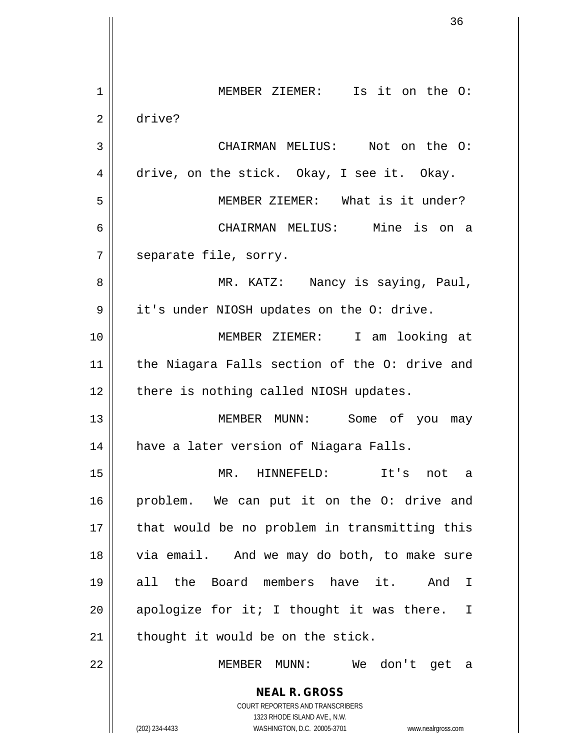**NEAL R. GROSS** COURT REPORTERS AND TRANSCRIBERS 1323 RHODE ISLAND AVE., N.W. (202) 234-4433 WASHINGTON, D.C. 20005-3701 www.nealrgross.com 1 || MEMBER ZIEMER: Is it on the O: 2 drive? 3 CHAIRMAN MELIUS: Not on the O: 4 drive, on the stick. Okay, I see it. Okay. 5 MEMBER ZIEMER: What is it under? 6 CHAIRMAN MELIUS: Mine is on a 7 || separate file, sorry. 8 MR. KATZ: Nancy is saying, Paul, 9 | it's under NIOSH updates on the O: drive. 10 MEMBER ZIEMER: I am looking at 11 || the Niagara Falls section of the O: drive and  $12$  | there is nothing called NIOSH updates. 13 MEMBER MUNN: Some of you may 14 have a later version of Niagara Falls. 15 MR. HINNEFELD: It's not a 16 || problem. We can put it on the O: drive and  $17$  || that would be no problem in transmitting this 18 || via email. And we may do both, to make sure 19 all the Board members have it. And I 20  $\parallel$  apologize for it; I thought it was there. I  $21$  | thought it would be on the stick. 22 MEMBER MUNN: We don't get a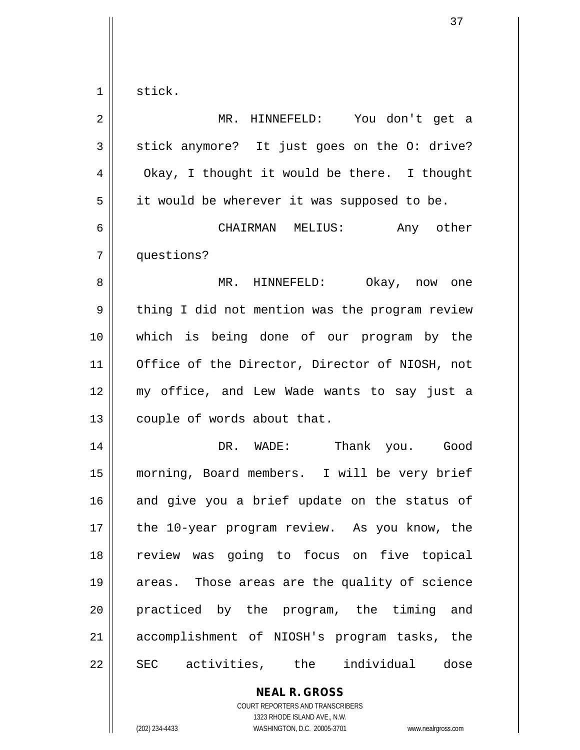| $\mathbf 1$ | stick.                                         |
|-------------|------------------------------------------------|
| 2           | MR. HINNEFELD: You don't get a                 |
| 3           | stick anymore? It just goes on the O: drive?   |
| 4           | Okay, I thought it would be there. I thought   |
| 5           | it would be wherever it was supposed to be.    |
| 6           | CHAIRMAN MELIUS: Any other                     |
| 7           | questions?                                     |
| 8           | MR. HINNEFELD: Okay, now one                   |
| 9           | thing I did not mention was the program review |
| 10          | which is being done of our program by the      |
| 11          | Office of the Director, Director of NIOSH, not |
| 12          | my office, and Lew Wade wants to say just a    |
| 13          | couple of words about that.                    |
| 14          | DR. WADE:<br>Thank you. Good                   |
| 15          | morning, Board members. I will be very brief   |
| 16          | and give you a brief update on the status of   |
| 17          | the 10-year program review. As you know, the   |
| 18          | review was going to focus on five topical      |
| 19          | areas. Those areas are the quality of science  |
| 20          | practiced by the program, the timing and       |
| 21          | accomplishment of NIOSH's program tasks, the   |
| 22          | SEC activities, the individual dose            |
|             | <b>NEAL R. GROSS</b>                           |

COURT REPORTERS AND TRANSCRIBERS 1323 RHODE ISLAND AVE., N.W.

 $\mathsf{II}$ 

(202) 234-4433 WASHINGTON, D.C. 20005-3701 www.nealrgross.com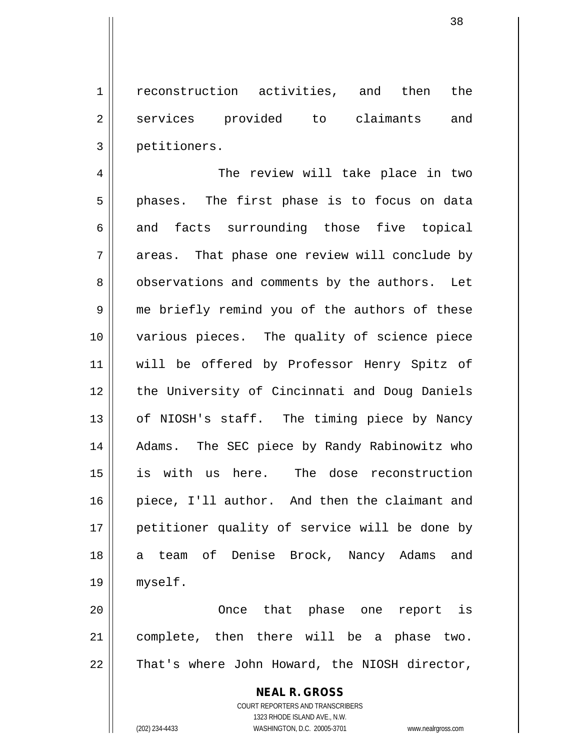1 || reconstruction activities, and then the 2 services provided to claimants and 3 petitioners.

4 || The review will take place in two  $5 \parallel$  phases. The first phase is to focus on data 6 and facts surrounding those five topical  $7 \parallel$  areas. That phase one review will conclude by 8 observations and comments by the authors. Let 9 || me briefly remind you of the authors of these 10 various pieces. The quality of science piece 11 will be offered by Professor Henry Spitz of 12 || the University of Cincinnati and Doug Daniels 13 || of NIOSH's staff. The timing piece by Nancy 14 || Adams. The SEC piece by Randy Rabinowitz who 15 is with us here. The dose reconstruction 16 piece, I'll author. And then the claimant and 17 || petitioner quality of service will be done by 18 a team of Denise Brock, Nancy Adams and 19 myself.

20 Once that phase one report is 21 complete, then there will be a phase two.  $22$  | That's where John Howard, the NIOSH director,

> **NEAL R. GROSS** COURT REPORTERS AND TRANSCRIBERS 1323 RHODE ISLAND AVE., N.W. (202) 234-4433 WASHINGTON, D.C. 20005-3701 www.nealrgross.com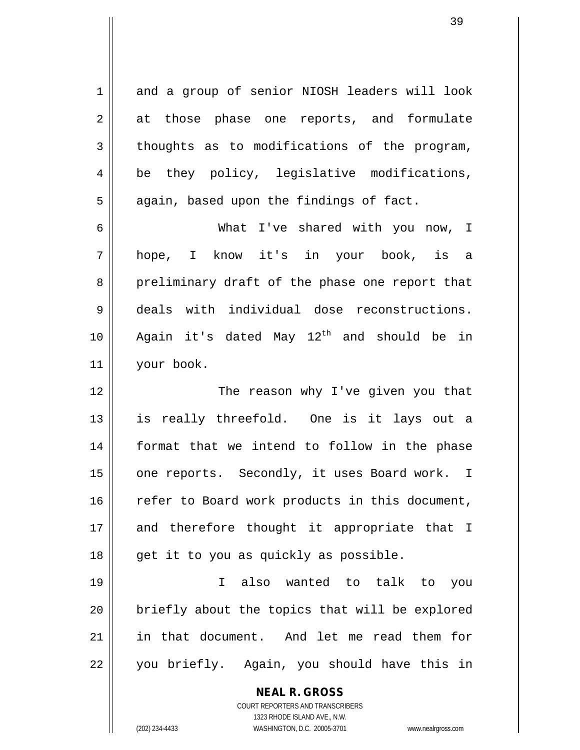1 and a group of senior NIOSH leaders will look 2 || at those phase one reports, and formulate  $3 \parallel$  thoughts as to modifications of the program, 4 || be they policy, legislative modifications,  $5 \parallel$  again, based upon the findings of fact. 6 What I've shared with you now, I

 hope, I know it's in your book, is a 8 preliminary draft of the phase one report that deals with individual dose reconstructions.  $\parallel$  Again it's dated May 12<sup>th</sup> and should be in your book.

12 || The reason why I've given you that 13 is really threefold. One is it lays out a 14 format that we intend to follow in the phase 15 || one reports. Secondly, it uses Board work. I 16 || refer to Board work products in this document, 17 || and therefore thought it appropriate that I 18 || get it to you as quickly as possible.

 I also wanted to talk to you || briefly about the topics that will be explored in that document. And let me read them for 22 || you briefly. Again, you should have this in

> **NEAL R. GROSS** COURT REPORTERS AND TRANSCRIBERS 1323 RHODE ISLAND AVE., N.W. (202) 234-4433 WASHINGTON, D.C. 20005-3701 www.nealrgross.com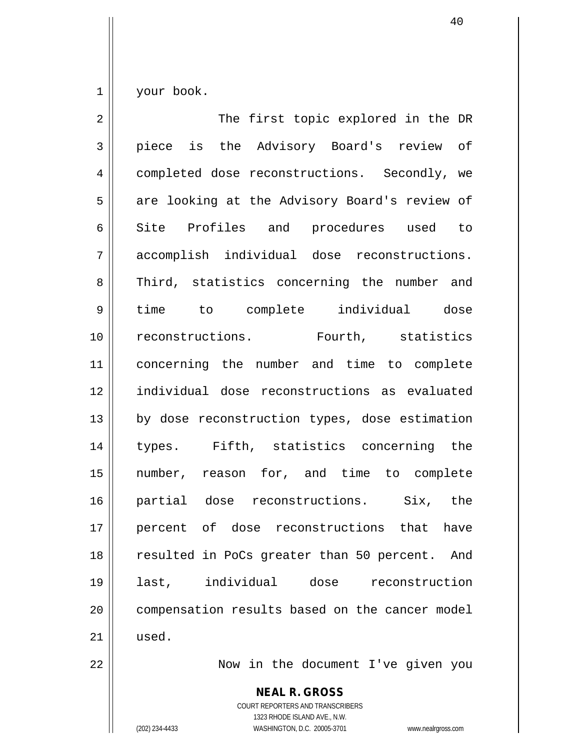$1 \parallel$  your book.

| $\overline{a}$ | The first topic explored in the DR                       |
|----------------|----------------------------------------------------------|
| 3              | piece is the Advisory Board's review of                  |
| $\overline{4}$ | completed dose reconstructions. Secondly, we             |
| 5              | are looking at the Advisory Board's review of            |
| 6              | Site Profiles and procedures used to                     |
| 7              | accomplish individual dose reconstructions.              |
| 8              | Third, statistics concerning the number and              |
| $\mathsf 9$    | time to complete individual dose                         |
| 10             | reconstructions. Fourth, statistics                      |
| 11             | concerning the number and time to complete               |
| 12             | individual dose reconstructions as evaluated             |
| 13             | by dose reconstruction types, dose estimation            |
| 14             | types. Fifth, statistics concerning the                  |
| 15             | number, reason for, and time to complete                 |
| 16             | partial dose reconstructions. Six, the                   |
| 17             | percent of dose reconstructions that have                |
| 18             | resulted in PoCs greater than 50 percent. And            |
| 19             | last, individual dose reconstruction                     |
| 20             | compensation results based on the cancer model           |
| 21             | used.                                                    |
| 22             | Now in the document I've given you                       |
|                | <b>NEAL R. GROSS</b><br>COURT REPORTERS AND TRANSCRIBERS |

1323 RHODE ISLAND AVE., N.W.

 $\mathop{\text{||}}$ 

(202) 234-4433 WASHINGTON, D.C. 20005-3701 www.nealrgross.com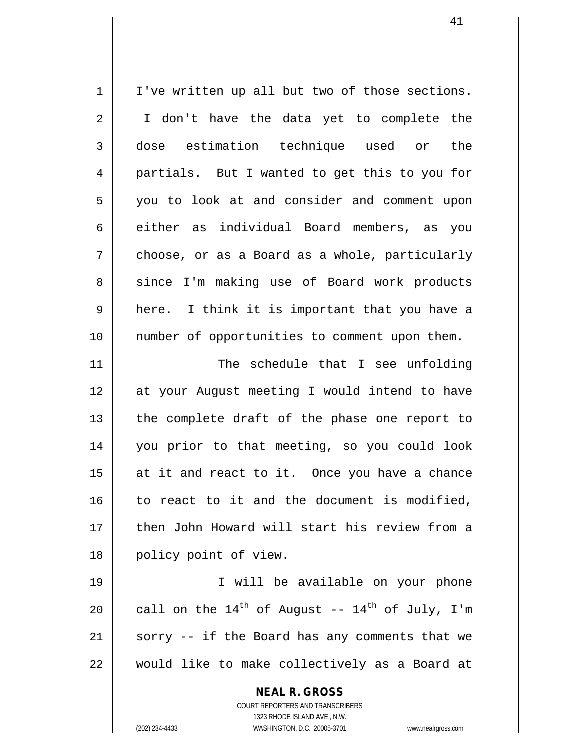| 1  | I've written up all but two of those sections.            |
|----|-----------------------------------------------------------|
| 2  | I don't have the data yet to complete the                 |
| 3  | estimation technique used or<br>dose<br>the               |
| 4  | partials. But I wanted to get this to you for             |
| 5  | you to look at and consider and comment upon              |
| 6  | either as individual Board members, as you                |
| 7  | choose, or as a Board as a whole, particularly            |
| 8  | since I'm making use of Board work products               |
| 9  | here. I think it is important that you have a             |
| 10 | number of opportunities to comment upon them.             |
| 11 | The schedule that I see unfolding                         |
| 12 | at your August meeting I would intend to have             |
| 13 | the complete draft of the phase one report to             |
| 14 | you prior to that meeting, so you could look              |
| 15 | at it and react to it. Once you have a chance             |
| 16 | to react to it and the document is modified,              |
| 17 | then John Howard will start his review from a             |
| 18 | policy point of view.                                     |
| 19 | I will be available on your phone                         |
| 20 | call on the $14^{th}$ of August -- $14^{th}$ of July, I'm |
| 21 | sorry -- if the Board has any comments that we            |
| 22 | would like to make collectively as a Board at             |
|    | <b>NEAL R. GROSS</b><br>COURT REPORTERS AND TRANSCRIBERS  |

1323 RHODE ISLAND AVE., N.W.

 $\begin{array}{c} \hline \end{array}$ 

(202) 234-4433 WASHINGTON, D.C. 20005-3701 www.nealrgross.com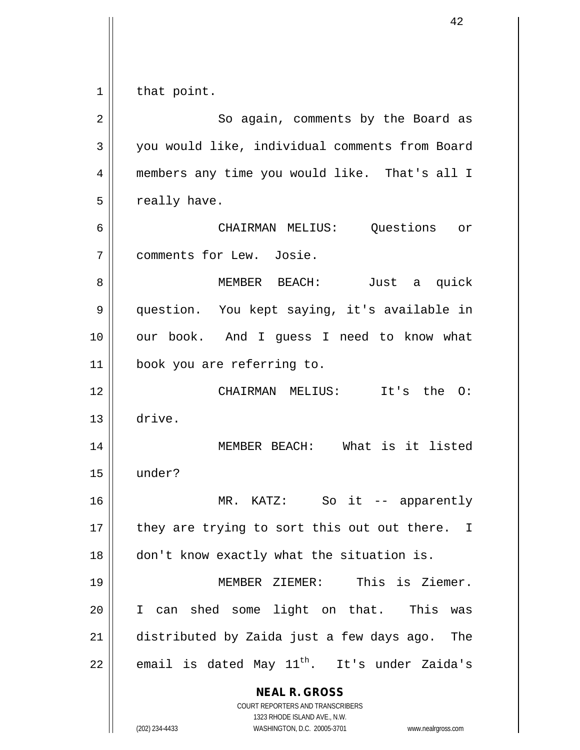$1 \parallel$  that point.

| $\mathbf 2$ | So again, comments by the Board as                                                                                                                              |
|-------------|-----------------------------------------------------------------------------------------------------------------------------------------------------------------|
| 3           | you would like, individual comments from Board                                                                                                                  |
| 4           | members any time you would like. That's all I                                                                                                                   |
| 5           | really have.                                                                                                                                                    |
| 6           | CHAIRMAN MELIUS: Questions or                                                                                                                                   |
| 7           | comments for Lew. Josie.                                                                                                                                        |
| 8           | MEMBER BEACH:<br>Just a quick                                                                                                                                   |
| 9           | question. You kept saying, it's available in                                                                                                                    |
| 10          | our book. And I guess I need to know what                                                                                                                       |
| 11          | book you are referring to.                                                                                                                                      |
| 12          | CHAIRMAN MELIUS: It's the O:                                                                                                                                    |
| 13          | drive.                                                                                                                                                          |
| 14          | MEMBER BEACH: What is it listed                                                                                                                                 |
| 15          | under?                                                                                                                                                          |
| 16          | So it -- apparently<br>MR. KATZ:                                                                                                                                |
| $17\,$      | they are trying to sort this out out there. I                                                                                                                   |
| 18          | don't know exactly what the situation is.                                                                                                                       |
| 19          | MEMBER ZIEMER: This is Ziemer.                                                                                                                                  |
| 20          | can shed some light on that. This was<br>I.                                                                                                                     |
| 21          | distributed by Zaida just a few days ago. The                                                                                                                   |
| 22          | email is dated May 11 <sup>th</sup> . It's under Zaida's                                                                                                        |
|             | <b>NEAL R. GROSS</b><br>COURT REPORTERS AND TRANSCRIBERS<br>1323 RHODE ISLAND AVE., N.W.<br>(202) 234-4433<br>WASHINGTON, D.C. 20005-3701<br>www.nealrgross.com |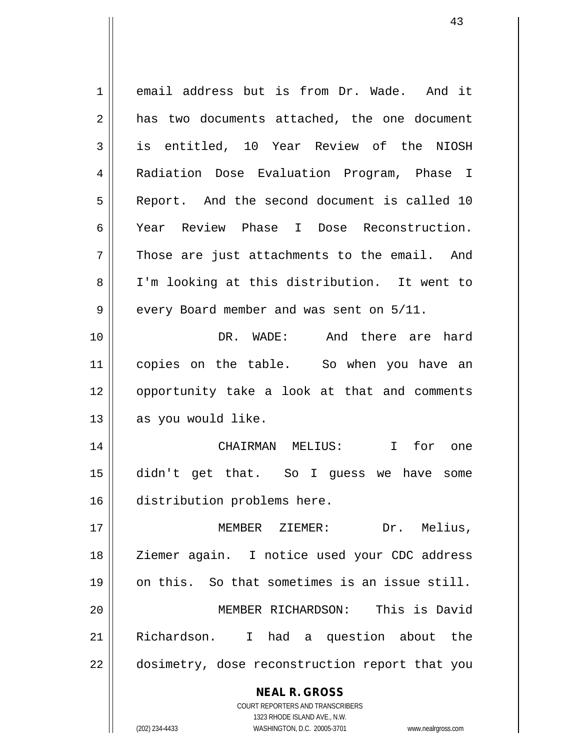**NEAL R. GROSS** COURT REPORTERS AND TRANSCRIBERS 1323 RHODE ISLAND AVE., N.W. 1 email address but is from Dr. Wade. And it 2 has two documents attached, the one document 3 || is entitled, 10 Year Review of the NIOSH 4 | Radiation Dose Evaluation Program, Phase I 5 Report. And the second document is called 10 6 Year Review Phase I Dose Reconstruction.  $7 \parallel$  Those are just attachments to the email. And 8 I'm looking at this distribution. It went to  $9 \parallel$  every Board member and was sent on  $5/11$ . 10 DR. WADE: And there are hard 11 || copies on the table. So when you have an 12 || opportunity take a look at that and comments  $13$  | as you would like. 14 CHAIRMAN MELIUS: I for one 15 didn't get that. So I guess we have some 16 distribution problems here. 17 MEMBER ZIEMER: Dr. Melius, 18 || Ziemer again. I notice used your CDC address 19 || on this. So that sometimes is an issue still. 20 MEMBER RICHARDSON: This is David 21 Richardson. I had a question about the 22 || dosimetry, dose reconstruction report that you

(202) 234-4433 WASHINGTON, D.C. 20005-3701 www.nealrgross.com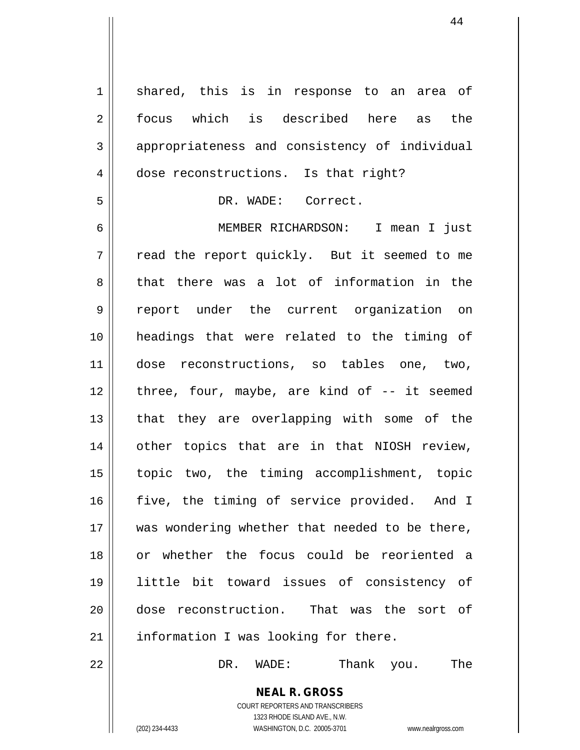**NEAL R. GROSS** COURT REPORTERS AND TRANSCRIBERS 1323 RHODE ISLAND AVE., N.W. 1 || shared, this is in response to an area of 2 focus which is described here as the 3 appropriateness and consistency of individual 4 dose reconstructions. Is that right? 5 | DR. WADE: Correct. 6 MEMBER RICHARDSON: I mean I just  $7 \parallel$  read the report quickly. But it seemed to me 8 that there was a lot of information in the 9 report under the current organization on 10 headings that were related to the timing of 11 dose reconstructions, so tables one, two, 12 || three, four, maybe, are kind of -- it seemed 13 || that they are overlapping with some of the 14 || other topics that are in that NIOSH review, 15 topic two, the timing accomplishment, topic 16 || five, the timing of service provided. And I 17 || was wondering whether that needed to be there, 18 or whether the focus could be reoriented a 19 little bit toward issues of consistency of 20 dose reconstruction. That was the sort of 21 || information I was looking for there. 22 DR. WADE: Thank you. The

(202) 234-4433 WASHINGTON, D.C. 20005-3701 www.nealrgross.com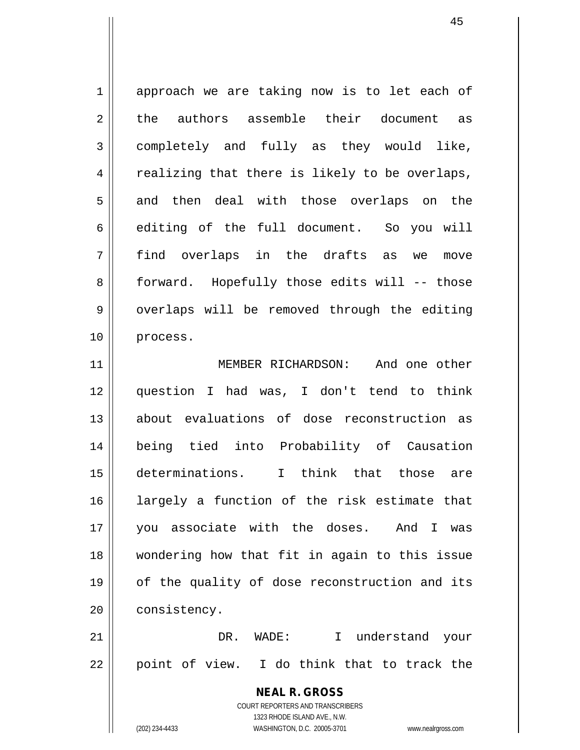1 approach we are taking now is to let each of 2 the authors assemble their document as 3 completely and fully as they would like,  $4 \parallel$  realizing that there is likely to be overlaps, 5 and then deal with those overlaps on the 6 | editing of the full document. So you will 7 find overlaps in the drafts as we move 8 || forward. Hopefully those edits will -- those 9 || overlaps will be removed through the editing 10 process.

11 || MEMBER RICHARDSON: And one other question I had was, I don't tend to think about evaluations of dose reconstruction as being tied into Probability of Causation determinations. I think that those are largely a function of the risk estimate that you associate with the doses. And I was wondering how that fit in again to this issue 19 || of the quality of dose reconstruction and its 20 | consistency.

21 DR. WADE: I understand your  $22 \parallel$  point of view. I do think that to track the

> **NEAL R. GROSS** COURT REPORTERS AND TRANSCRIBERS 1323 RHODE ISLAND AVE., N.W. (202) 234-4433 WASHINGTON, D.C. 20005-3701 www.nealrgross.com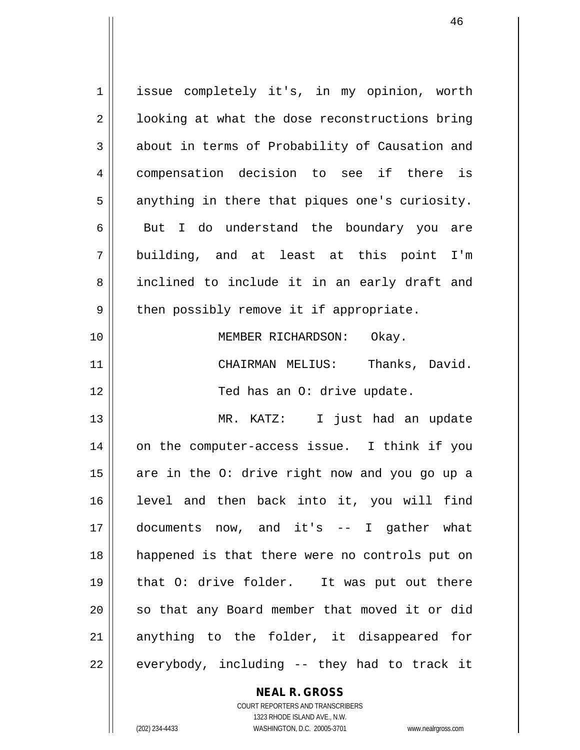1 || issue completely it's, in my opinion, worth  $2 \parallel$  looking at what the dose reconstructions bring 3 about in terms of Probability of Causation and 4 || compensation decision to see if there is  $5$  anything in there that piques one's curiosity.  $6 \parallel$  But I do understand the boundary you are 7 building, and at least at this point I'm 8 || inclined to include it in an early draft and  $9 \parallel$  then possibly remove it if appropriate. 10 || MEMBER RICHARDSON: Okay. 11 CHAIRMAN MELIUS: Thanks, David. 12 || Ted has an O: drive update. 13 MR. KATZ: I just had an update 14 || on the computer-access issue. I think if you 15  $\parallel$  are in the O: drive right now and you go up a 16 level and then back into it, you will find 17 documents now, and it's -- I gather what 18 happened is that there were no controls put on 19 that O: drive folder. It was put out there 20 || so that any Board member that moved it or did 21 || anything to the folder, it disappeared for  $22$  || everybody, including -- they had to track it

> **NEAL R. GROSS** COURT REPORTERS AND TRANSCRIBERS

1323 RHODE ISLAND AVE., N.W. (202) 234-4433 WASHINGTON, D.C. 20005-3701 www.nealrgross.com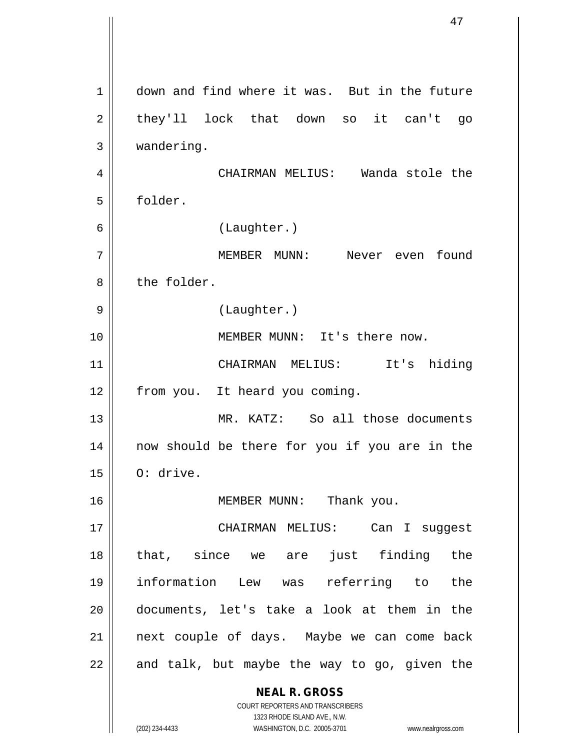**NEAL R. GROSS** COURT REPORTERS AND TRANSCRIBERS 1323 RHODE ISLAND AVE., N.W. (202) 234-4433 WASHINGTON, D.C. 20005-3701 www.nealrgross.com 1 down and find where it was. But in the future  $2 \parallel$  they'll lock that down so it can't go 3 wandering. 4 CHAIRMAN MELIUS: Wanda stole the 5 folder. 6 (Laughter.) 7 MEMBER MUNN: Never even found 8 l the folder. 9 || (Laughter.) 10 MEMBER MUNN: It's there now. 11 CHAIRMAN MELIUS: It's hiding 12 | from you. It heard you coming. 13 MR. KATZ: So all those documents 14 now should be there for you if you are in the  $15 \parallel$  O: drive. 16 || MEMBER MUNN: Thank you. 17 CHAIRMAN MELIUS: Can I suggest 18 that, since we are just finding the 19 information Lew was referring to the 20 documents, let's take a look at them in the 21 next couple of days. Maybe we can come back  $22$  || and talk, but maybe the way to go, given the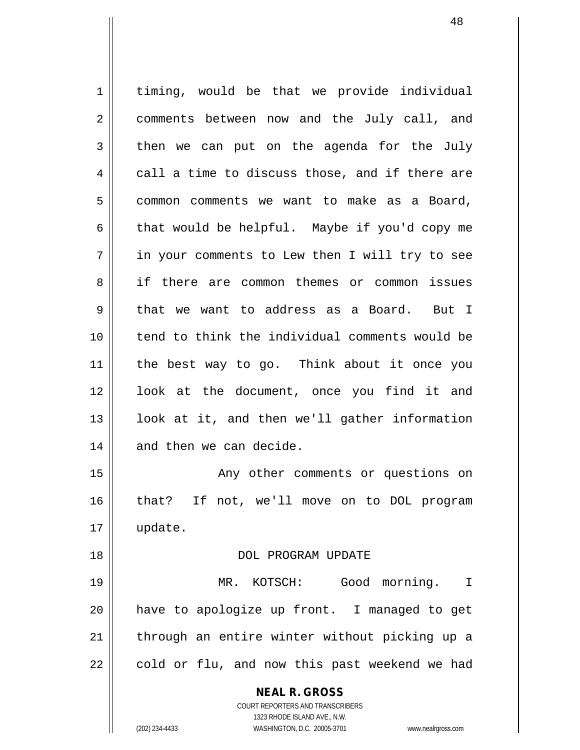**NEAL R. GROSS** COURT REPORTERS AND TRANSCRIBERS 1 | timing, would be that we provide individual 2 || comments between now and the July call, and  $3 \parallel$  then we can put on the agenda for the July  $4 \parallel$  call a time to discuss those, and if there are 5 || common comments we want to make as a Board, 6 | that would be helpful. Maybe if you'd copy me 7 in your comments to Lew then I will try to see 8 if there are common themes or common issues 9 that we want to address as a Board. But I 10 tend to think the individual comments would be 11 the best way to go. Think about it once you 12 || look at the document, once you find it and  $13$  || look at it, and then we'll gather information  $14$  || and then we can decide. 15 || The Comments or questions on 16 that? If not, we'll move on to DOL program 17 update. 18 DOL PROGRAM UPDATE 19 MR. KOTSCH: Good morning. I 20 have to apologize up front. I managed to get  $21$  | through an entire winter without picking up a  $22$  | cold or flu, and now this past weekend we had

1323 RHODE ISLAND AVE., N.W.

(202) 234-4433 WASHINGTON, D.C. 20005-3701 www.nealrgross.com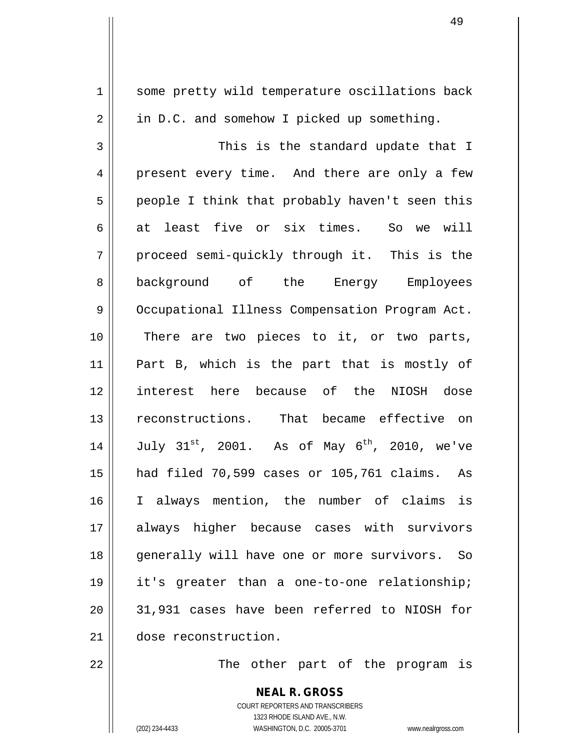1 || some pretty wild temperature oscillations back  $2 \parallel$  in D.C. and somehow I picked up something. 3 This is the standard update that I 4 present every time. And there are only a few  $5 \parallel$  people I think that probably haven't seen this 6 at least five or six times. So we will 7 || proceed semi-quickly through it. This is the 8 background of the Energy Employees 9 || Occupational Illness Compensation Program Act. 10 || There are two pieces to it, or two parts, 11 Part B, which is the part that is mostly of 12 interest here because of the NIOSH dose 13 reconstructions. That became effective on 14  $\parallel$  July 31<sup>st</sup>, 2001. As of May 6<sup>th</sup>, 2010, we've 15 had filed 70,599 cases or 105,761 claims. As 16 I always mention, the number of claims is 17 always higher because cases with survivors 18 || generally will have one or more survivors. So 19 || it's greater than a one-to-one relationship; 20 31,931 cases have been referred to NIOSH for 21 dose reconstruction.

22 The other part of the program is

**NEAL R. GROSS** COURT REPORTERS AND TRANSCRIBERS 1323 RHODE ISLAND AVE., N.W. (202) 234-4433 WASHINGTON, D.C. 20005-3701 www.nealrgross.com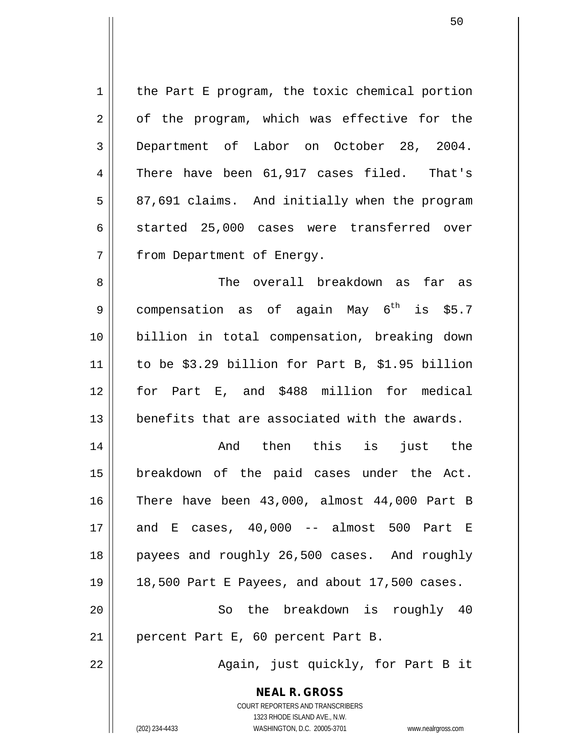$1 \parallel$  the Part E program, the toxic chemical portion  $2 \parallel$  of the program, which was effective for the 3 || Department of Labor on October 28, 2004. 4 There have been 61,917 cases filed. That's  $5 \parallel 87,691$  claims. And initially when the program  $6 \parallel$  started 25,000 cases were transferred over 7 | from Department of Energy.

8 Samuel Electric overall breakdown as far as 9 || compensation as of again May  $6^{\text{th}}$  is \$5.7 billion in total compensation, breaking down to be \$3.29 billion for Part B, \$1.95 billion for Part E, and \$488 million for medical **benefits that are associated with the awards.** 

 And then this is just the breakdown of the paid cases under the Act. There have been 43,000, almost 44,000 Part B and E cases, 40,000 -- almost 500 Part E 18 || payees and roughly 26,500 cases. And roughly 18,500 Part E Payees, and about 17,500 cases. 20 || So the breakdown is roughly 40 21 || percent Part E, 60 percent Part B.

22 || Again, just quickly, for Part B it

**NEAL R. GROSS** COURT REPORTERS AND TRANSCRIBERS

1323 RHODE ISLAND AVE., N.W.

(202) 234-4433 WASHINGTON, D.C. 20005-3701 www.nealrgross.com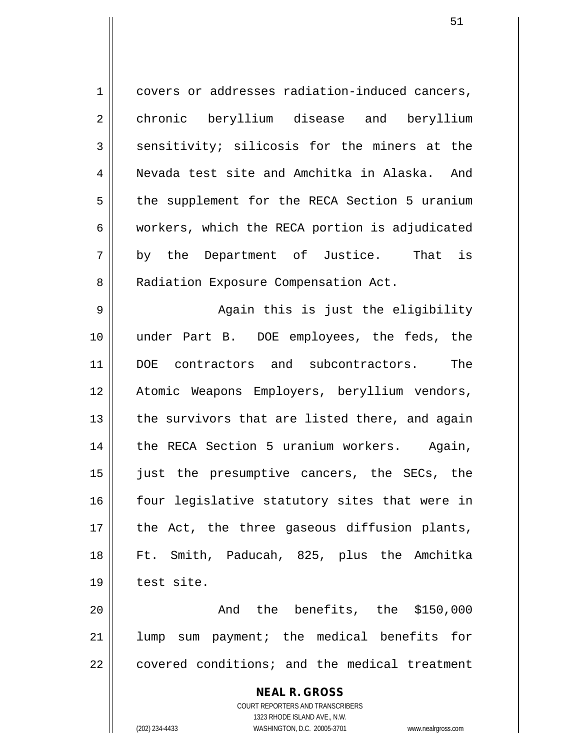1 covers or addresses radiation-induced cancers, 2 chronic beryllium disease and beryllium  $3 \parallel$  sensitivity; silicosis for the miners at the 4 Nevada test site and Amchitka in Alaska. And 5 | the supplement for the RECA Section 5 uranium  $6 \parallel$  workers, which the RECA portion is adjudicated 7 by the Department of Justice. That is 8 | Radiation Exposure Compensation Act. 9 Again this is just the eligibility 10 under Part B. DOE employees, the feds, the 11 DOE contractors and subcontractors. The 12 Atomic Weapons Employers, beryllium vendors,  $13$  || the survivors that are listed there, and again 14 || the RECA Section 5 uranium workers. Again, 15 just the presumptive cancers, the SECs, the

 four legislative statutory sites that were in | the Act, the three gaseous diffusion plants, Ft. Smith, Paducah, 825, plus the Amchitka | test site.

20 || The benefits, the \$150,000 21 lump sum payment; the medical benefits for 22 covered conditions; and the medical treatment

> **NEAL R. GROSS** COURT REPORTERS AND TRANSCRIBERS 1323 RHODE ISLAND AVE., N.W. (202) 234-4433 WASHINGTON, D.C. 20005-3701 www.nealrgross.com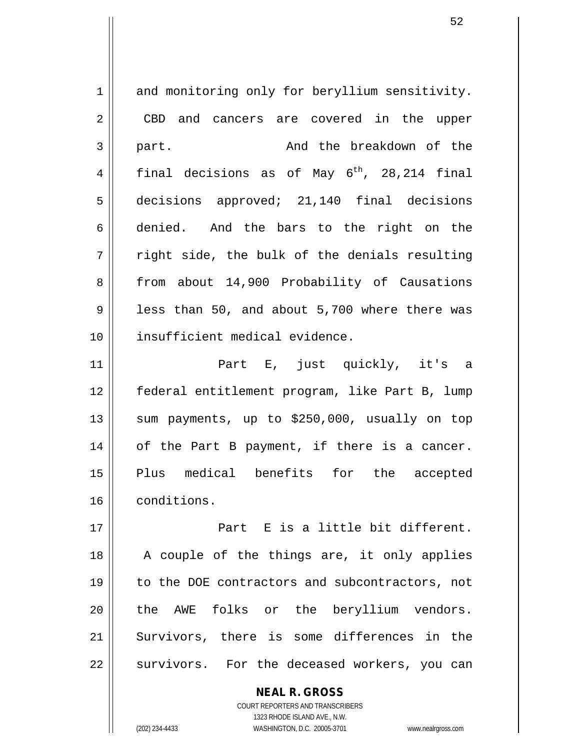1 and monitoring only for beryllium sensitivity. 2 CBD and cancers are covered in the upper 3 part. And the breakdown of the 4 final decisions as of May  $6^{th}$ , 28,214 final 5 decisions approved; 21,140 final decisions 6 denied. And the bars to the right on the  $7 \parallel$  right side, the bulk of the denials resulting 8 || from about 14,900 Probability of Causations  $9 \parallel$  less than 50, and about 5,700 where there was 10 insufficient medical evidence.

11 || Part E, just quickly, it's a federal entitlement program, like Part B, lump  $\parallel$  sum payments, up to \$250,000, usually on top 14 || of the Part B payment, if there is a cancer. Plus medical benefits for the accepted conditions.

17 || Part E is a little bit different. 18 || A couple of the things are, it only applies 19 || to the DOE contractors and subcontractors, not 20 the AWE folks or the beryllium vendors. 21 Survivors, there is some differences in the 22 || survivors. For the deceased workers, you can

> COURT REPORTERS AND TRANSCRIBERS 1323 RHODE ISLAND AVE., N.W. (202) 234-4433 WASHINGTON, D.C. 20005-3701 www.nealrgross.com

**NEAL R. GROSS**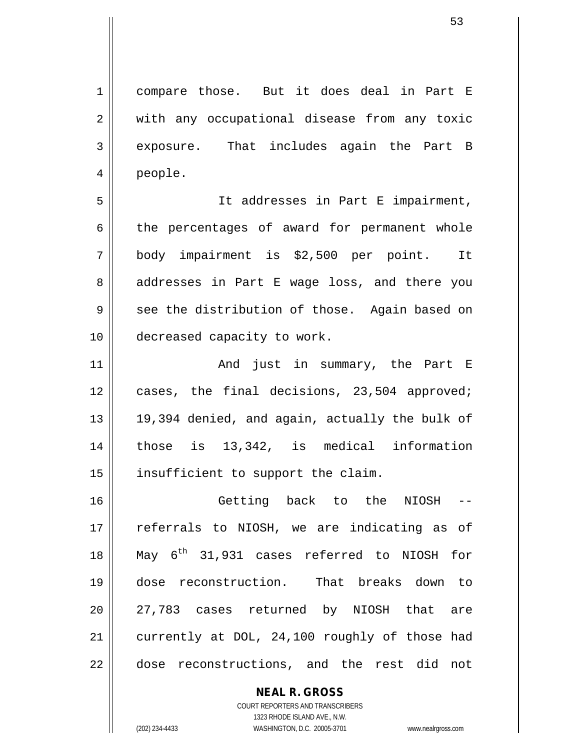1 compare those. But it does deal in Part E 2 || with any occupational disease from any toxic 3 exposure. That includes again the Part B 4 people.

5 || It addresses in Part E impairment,  $6 \parallel$  the percentages of award for permanent whole 7 body impairment is \$2,500 per point. It 8 addresses in Part E wage loss, and there you  $9 \parallel$  see the distribution of those. Again based on 10 || decreased capacity to work.

11 || The Part Conditional Summary, the Part E 12 cases, the final decisions, 23,504 approved;  $13 \parallel 19,394$  denied, and again, actually the bulk of 14 those is 13,342, is medical information 15 || insufficient to support the claim.

16 || Getting back to the NIOSH 17 || referrals to NIOSH, we are indicating as of 18  $\parallel$  May 6<sup>th</sup> 31,931 cases referred to NIOSH for 19 dose reconstruction. That breaks down to 20 || 27,783 cases returned by NIOSH that are 21 currently at DOL, 24,100 roughly of those had 22 dose reconstructions, and the rest did not

> **NEAL R. GROSS** COURT REPORTERS AND TRANSCRIBERS 1323 RHODE ISLAND AVE., N.W. (202) 234-4433 WASHINGTON, D.C. 20005-3701 www.nealrgross.com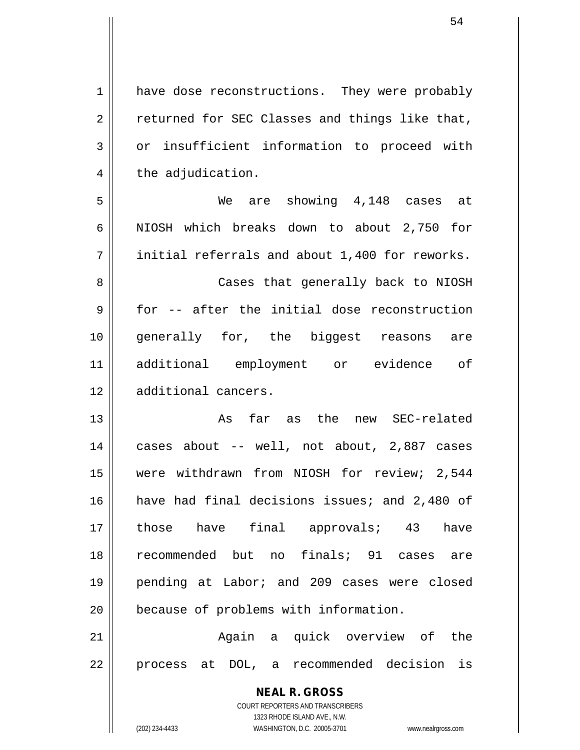| $\mathbf 1$    | have dose reconstructions. They were probably                       |
|----------------|---------------------------------------------------------------------|
| $\overline{2}$ | returned for SEC Classes and things like that,                      |
| 3              | or insufficient information to proceed with                         |
| 4              | the adjudication.                                                   |
| 5              | We are showing 4,148 cases at                                       |
| 6              | NIOSH which breaks down to about 2,750 for                          |
| 7              | initial referrals and about 1,400 for reworks.                      |
| 8              | Cases that generally back to NIOSH                                  |
| 9              | for -- after the initial dose reconstruction                        |
| 10             | generally for, the biggest reasons<br>are                           |
| 11             | additional employment or evidence of                                |
| 12             | additional cancers.                                                 |
| 13             | As far as the new SEC-related                                       |
| 14             | cases about -- well, not about, 2,887 cases                         |
| 15             | were withdrawn from NIOSH for review; 2,544                         |
| 16             | have had final decisions issues; and 2,480 of                       |
| 17             | have final approvals; 43<br>those<br>have                           |
| 18             | recommended but no finals; 91 cases<br>are                          |
| 19             | pending at Labor; and 209 cases were closed                         |
| 20             | because of problems with information.                               |
| 21             | Again a quick overview of<br>the                                    |
| 22             | DOL, a recommended decision is<br>process at                        |
|                | <b>NEAL R. GROSS</b>                                                |
|                | <b>COURT REPORTERS AND TRANSCRIBERS</b>                             |
|                | 1323 RHODE ISLAND AVE., N.W.                                        |
|                | (202) 234-4433<br>WASHINGTON, D.C. 20005-3701<br>www.nealrgross.com |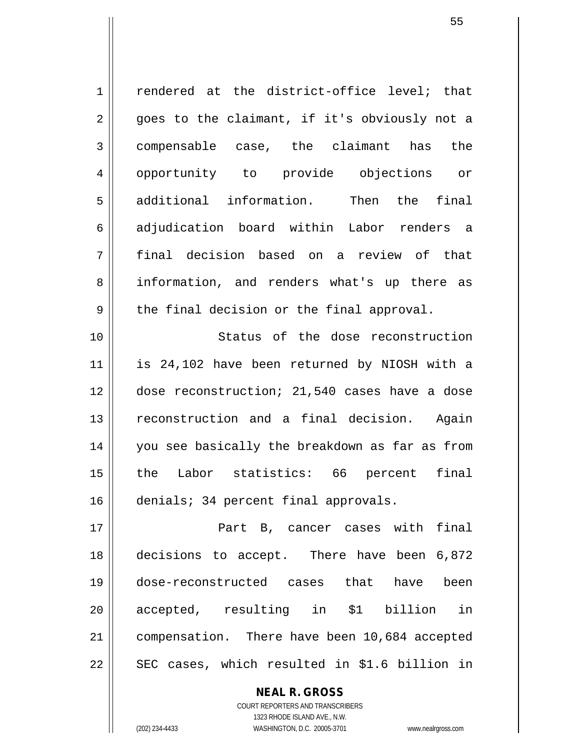| $\mathbf 1$ | rendered at the district-office level; that    |
|-------------|------------------------------------------------|
| 2           | goes to the claimant, if it's obviously not a  |
| 3           | compensable case, the claimant has<br>the      |
| 4           | opportunity to provide objections<br>or        |
| 5           | additional information. Then the final         |
| 6           | adjudication board within Labor renders a      |
| 7           | final decision based on a review of that       |
| 8           | information, and renders what's up there as    |
| 9           | the final decision or the final approval.      |
| 10          | Status of the dose reconstruction              |
| 11          | is 24,102 have been returned by NIOSH with a   |
| 12          | dose reconstruction; 21,540 cases have a dose  |
| 13          | reconstruction and a final decision. Again     |
| 14          | you see basically the breakdown as far as from |
| 15          | Labor statistics: 66 percent<br>final<br>the   |
| 16          | denials; 34 percent final approvals.           |
| 17          | Part B, cancer cases with final                |
| 18          | decisions to accept. There have been 6,872     |
| 19          | dose-reconstructed cases that have<br>been     |
| 20          | accepted, resulting in \$1 billion<br>in       |
| 21          | compensation. There have been 10,684 accepted  |
| 22          | SEC cases, which resulted in \$1.6 billion in  |
|             |                                                |

**NEAL R. GROSS** COURT REPORTERS AND TRANSCRIBERS

1323 RHODE ISLAND AVE., N.W.

 $\mathsf{II}$ 

(202) 234-4433 WASHINGTON, D.C. 20005-3701 www.nealrgross.com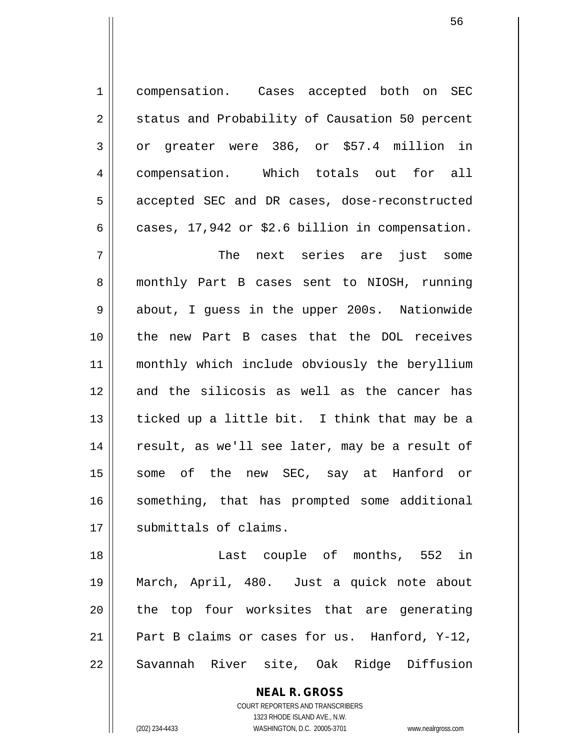1 compensation. Cases accepted both on SEC 2 | status and Probability of Causation 50 percent 3 || or greater were 386, or \$57.4 million in 4 | compensation. Which totals out for all 5 | accepted SEC and DR cases, dose-reconstructed 6 cases, 17,942 or \$2.6 billion in compensation.

7 The next series are just some 8 || monthly Part B cases sent to NIOSH, running 9 about, I guess in the upper 200s. Nationwide 10 the new Part B cases that the DOL receives 11 monthly which include obviously the beryllium 12 and the silicosis as well as the cancer has 13  $\parallel$  ticked up a little bit. I think that may be a 14 || result, as we'll see later, may be a result of 15 some of the new SEC, say at Hanford or 16 || something, that has prompted some additional 17 || submittals of claims.

18 || Last couple of months, 552 in 19 March, April, 480. Just a quick note about  $20$  || the top four worksites that are generating 21 || Part B claims or cases for us. Hanford, Y-12, 22 || Savannah River site, Oak Ridge Diffusion

> **NEAL R. GROSS** COURT REPORTERS AND TRANSCRIBERS 1323 RHODE ISLAND AVE., N.W. (202) 234-4433 WASHINGTON, D.C. 20005-3701 www.nealrgross.com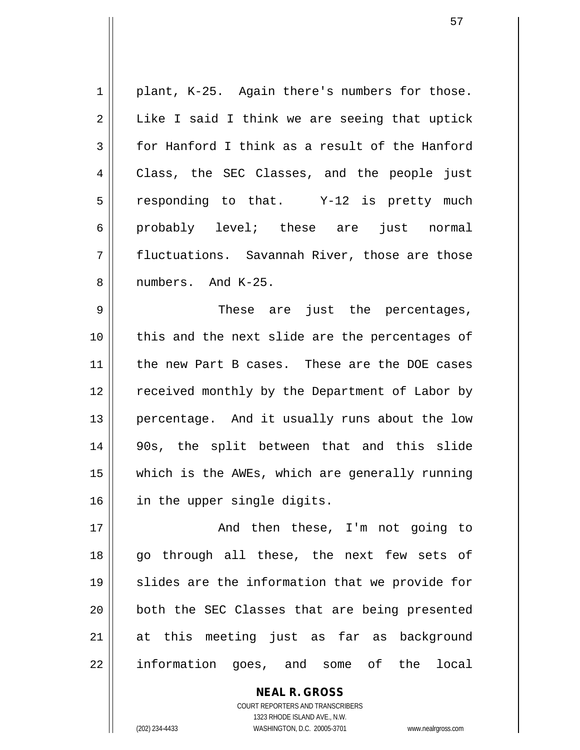$1 \parallel$  plant, K-25. Again there's numbers for those.  $2 \parallel$  Like I said I think we are seeing that uptick  $3 \parallel$  for Hanford I think as a result of the Hanford 4 Class, the SEC Classes, and the people just  $5 \parallel$  responding to that. Y-12 is pretty much 6 probably level; these are just normal 7 || fluctuations. Savannah River, those are those 8 *l* numbers. And K-25.

9 These are just the percentages, 10 || this and the next slide are the percentages of 11 the new Part B cases. These are the DOE cases 12 || received monthly by the Department of Labor by 13 || percentage. And it usually runs about the low 14 90s, the split between that and this slide 15 which is the AWEs, which are generally running 16 || in the upper single digits.

17 || The Rand then these, I'm not going to 18 || go through all these, the next few sets of 19 || slides are the information that we provide for 20 || both the SEC Classes that are being presented 21 at this meeting just as far as background 22 || information goes, and some of the local

> COURT REPORTERS AND TRANSCRIBERS 1323 RHODE ISLAND AVE., N.W. (202) 234-4433 WASHINGTON, D.C. 20005-3701 www.nealrgross.com

**NEAL R. GROSS**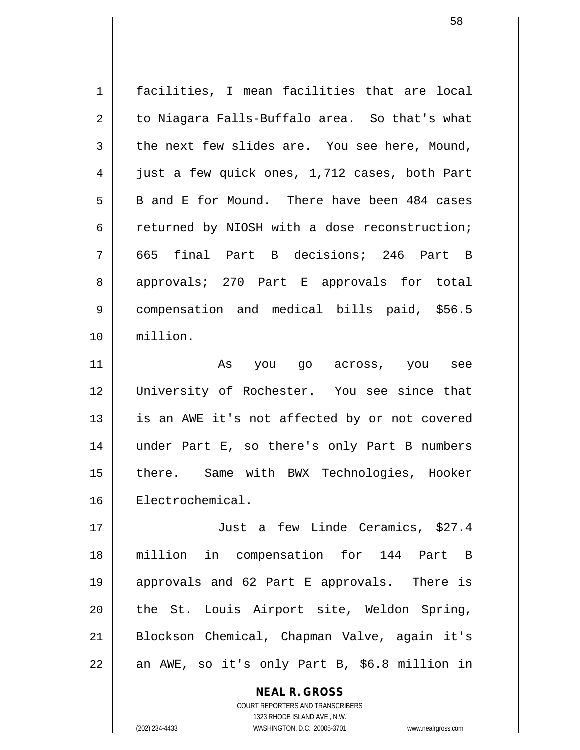1 facilities, I mean facilities that are local  $2 \parallel$  to Niagara Falls-Buffalo area. So that's what  $3 \parallel$  the next few slides are. You see here, Mound, 4 | just a few quick ones, 1,712 cases, both Part  $5 \parallel$  B and E for Mound. There have been 484 cases  $6 \parallel$  returned by NIOSH with a dose reconstruction; 7 665 final Part B decisions; 246 Part B 8 approvals; 270 Part E approvals for total 9 || compensation and medical bills paid, \$56.5 10 million. 11 As you go across, you see 12 || University of Rochester. You see since that 13 || is an AWE it's not affected by or not covered 14 under Part E, so there's only Part B numbers 15 || there. Same with BWX Technologies, Hooker 16 Electrochemical.

 Just a few Linde Ceramics, \$27.4 million in compensation for 144 Part B approvals and 62 Part E approvals. There is 20 the St. Louis Airport site, Weldon Spring, Blockson Chemical, Chapman Valve, again it's  $22 \parallel$  an AWE, so it's only Part B, \$6.8 million in

> COURT REPORTERS AND TRANSCRIBERS 1323 RHODE ISLAND AVE., N.W. (202) 234-4433 WASHINGTON, D.C. 20005-3701 www.nealrgross.com

**NEAL R. GROSS**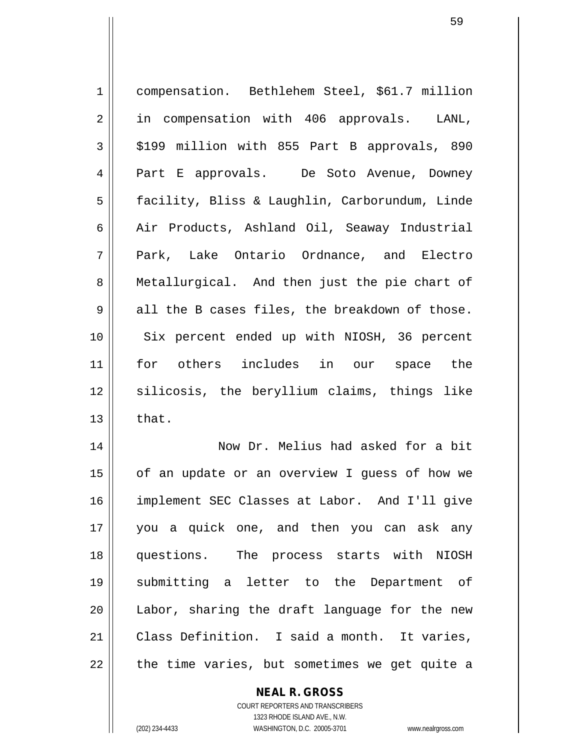| compensation. Bethlehem Steel, \$61.7 million  |
|------------------------------------------------|
| in compensation with 406 approvals. LANL,      |
| \$199 million with 855 Part B approvals, 890   |
| Part E approvals. De Soto Avenue, Downey       |
| facility, Bliss & Laughlin, Carborundum, Linde |
| Air Products, Ashland Oil, Seaway Industrial   |
| Park, Lake Ontario Ordnance, and Electro       |
| Metallurgical. And then just the pie chart of  |
| all the B cases files, the breakdown of those. |
| Six percent ended up with NIOSH, 36 percent    |
| for others includes in our space the           |
| silicosis, the beryllium claims, things like   |
| that.                                          |
| Now Dr. Melius had asked for a bit             |
| of an update or an overview I guess of how we  |
| implement SEC Classes at Labor. And I'll give  |
| you a quick one, and then you can ask any      |
| questions. The process starts with NIOSH       |
| submitting a letter to the Department of       |
| Labor, sharing the draft language for the new  |
| Class Definition. I said a month. It varies,   |
| the time varies, but sometimes we get quite a  |
|                                                |

**NEAL R. GROSS** COURT REPORTERS AND TRANSCRIBERS

1323 RHODE ISLAND AVE., N.W.

(202) 234-4433 WASHINGTON, D.C. 20005-3701 www.nealrgross.com

 $\mathsf{II}$ 

 $\mathbf{I}$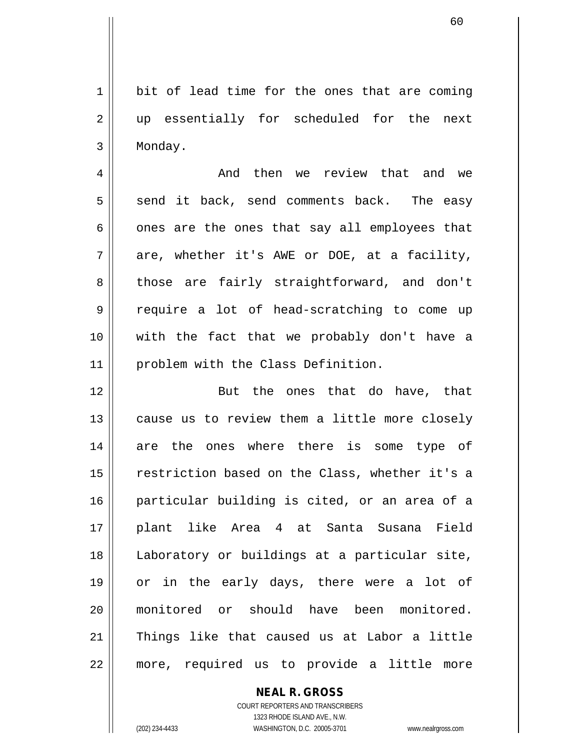$1 \parallel$  bit of lead time for the ones that are coming 2 || up essentially for scheduled for the next 3 Monday.

4 And then we review that and we  $5 \parallel$  send it back, send comments back. The easy  $6 \parallel$  ones are the ones that say all employees that  $7 \parallel$  are, whether it's AWE or DOE, at a facility, 8 || those are fairly straightforward, and don't 9 || require a lot of head-scratching to come up 10 with the fact that we probably don't have a 11 | problem with the Class Definition.

12 || But the ones that do have, that 13 || cause us to review them a little more closely 14 are the ones where there is some type of restriction based on the Class, whether it's a particular building is cited, or an area of a plant like Area 4 at Santa Susana Field Laboratory or buildings at a particular site, or in the early days, there were a lot of monitored or should have been monitored. Things like that caused us at Labor a little more, required us to provide a little more

### **NEAL R. GROSS** COURT REPORTERS AND TRANSCRIBERS 1323 RHODE ISLAND AVE., N.W. (202) 234-4433 WASHINGTON, D.C. 20005-3701 www.nealrgross.com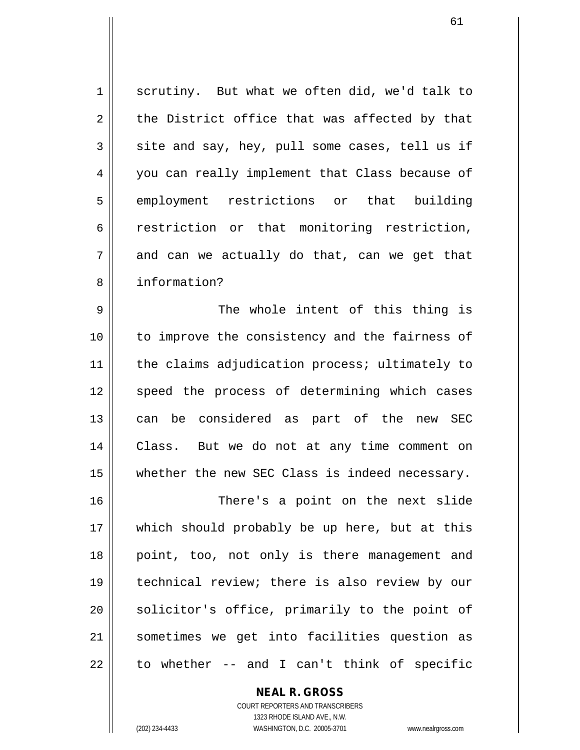$1 \parallel$  scrutiny. But what we often did, we'd talk to  $2 \parallel$  the District office that was affected by that  $3 \parallel$  site and say, hey, pull some cases, tell us if 4 you can really implement that Class because of 5 employment restrictions or that building 6 | restriction or that monitoring restriction,  $7 \parallel$  and can we actually do that, can we get that 8 information?

9 The whole intent of this thing is 10 to improve the consistency and the fairness of 11 || the claims adjudication process; ultimately to 12 || speed the process of determining which cases 13 || can be considered as part of the new SEC 14 Class. But we do not at any time comment on 15 || whether the new SEC Class is indeed necessary.

16 There's a point on the next slide 17 || which should probably be up here, but at this 18 || point, too, not only is there management and 19 technical review; there is also review by our  $20$  solicitor's office, primarily to the point of 21 sometimes we get into facilities question as  $22 \parallel$  to whether -- and I can't think of specific

**NEAL R. GROSS**

COURT REPORTERS AND TRANSCRIBERS 1323 RHODE ISLAND AVE., N.W. (202) 234-4433 WASHINGTON, D.C. 20005-3701 www.nealrgross.com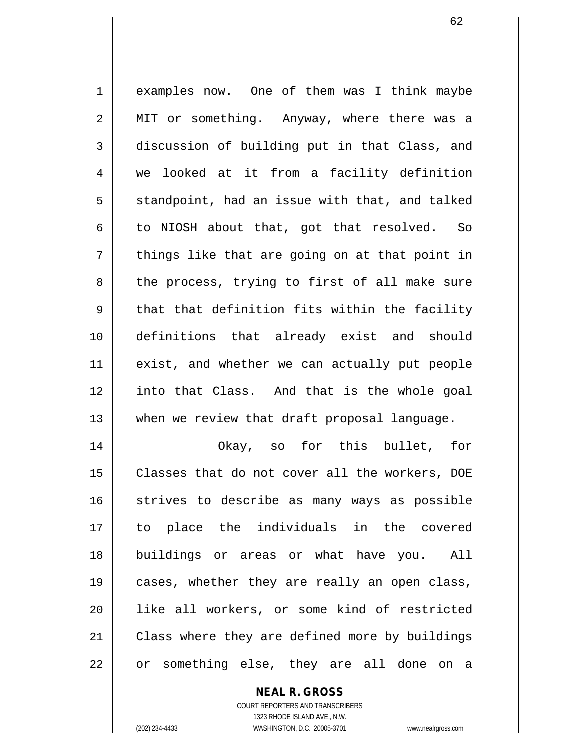1 examples now. One of them was I think maybe 2 || MIT or something. Anyway, where there was a 3 discussion of building put in that Class, and 4 | we looked at it from a facility definition  $5 \parallel$  standpoint, had an issue with that, and talked  $6 \parallel$  to NIOSH about that, got that resolved. So  $7 \parallel$  things like that are going on at that point in  $8 \parallel$  the process, trying to first of all make sure  $9$   $\parallel$  that that definition fits within the facility 10 definitions that already exist and should 11 || exist, and whether we can actually put people 12 into that Class. And that is the whole goal  $13$  || when we review that draft proposal language. 14 Okay, so for this bullet, for 15 || Classes that do not cover all the workers, DOE 16 || strives to describe as many ways as possible

17 to place the individuals in the covered 18 buildings or areas or what have you. All 19 || cases, whether they are really an open class, 20 like all workers, or some kind of restricted 21 | Class where they are defined more by buildings 22 || or something else, they are all done on a

#### **NEAL R. GROSS**

COURT REPORTERS AND TRANSCRIBERS 1323 RHODE ISLAND AVE., N.W. (202) 234-4433 WASHINGTON, D.C. 20005-3701 www.nealrgross.com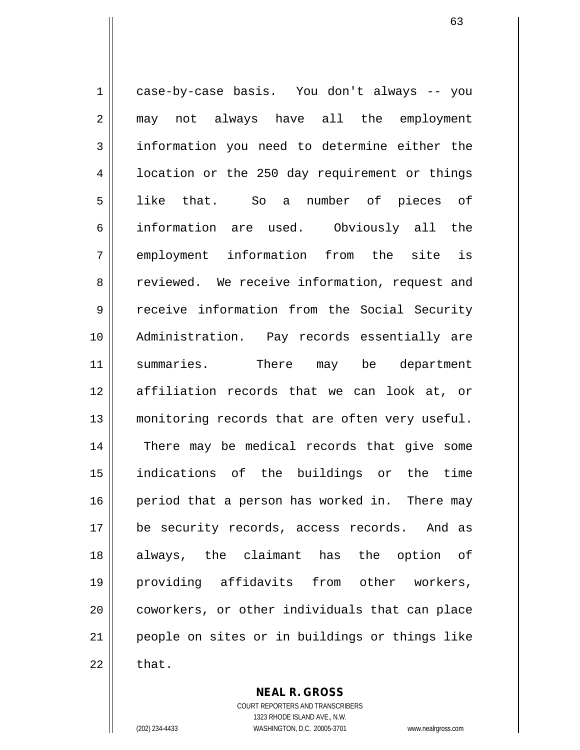1 | case-by-case basis. You don't always -- you 2 || may not always have all the employment 3 information you need to determine either the 4 | location or the 250 day requirement or things 5 like that. So a number of pieces of 6 information are used. Obviously all the 7 employment information from the site is 8 Teviewed. We receive information, request and 9 receive information from the Social Security 10 Administration. Pay records essentially are 11 || summaries. There may be department 12 affiliation records that we can look at, or 13 || monitoring records that are often very useful. 14 || There may be medical records that give some 15 indications of the buildings or the time 16 || period that a person has worked in. There may 17 || be security records, access records. And as 18 always, the claimant has the option of 19 providing affidavits from other workers, 20 || coworkers, or other individuals that can place 21 people on sites or in buildings or things like  $22 \parallel$  that.

> **NEAL R. GROSS** COURT REPORTERS AND TRANSCRIBERS

1323 RHODE ISLAND AVE., N.W. (202) 234-4433 WASHINGTON, D.C. 20005-3701 www.nealrgross.com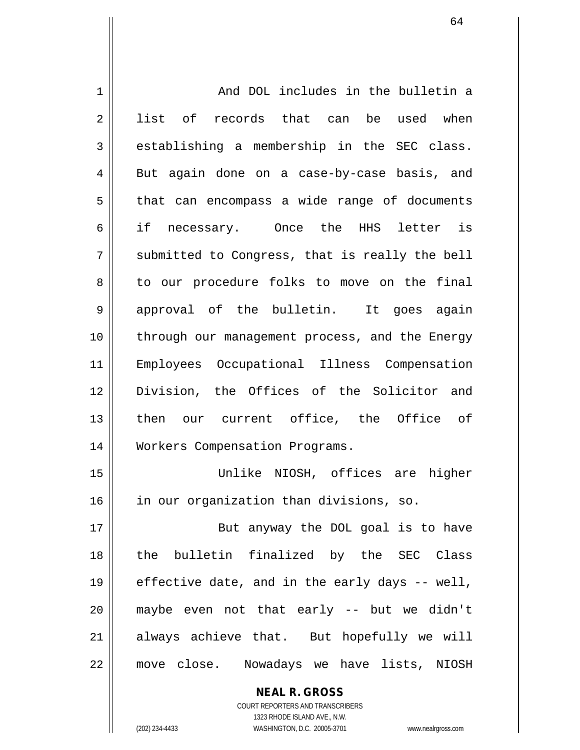| 1              | And DOL includes in the bulletin a             |
|----------------|------------------------------------------------|
| 2              | list of records that can be used when          |
| 3              | establishing a membership in the SEC class.    |
| $\overline{4}$ | But again done on a case-by-case basis, and    |
| 5              | that can encompass a wide range of documents   |
| 6              | if necessary. Once the HHS letter is           |
| 7              | submitted to Congress, that is really the bell |
| 8              | to our procedure folks to move on the final    |
| 9              | approval of the bulletin. It goes again        |
| 10             | through our management process, and the Energy |
| 11             | Employees Occupational Illness Compensation    |
| 12             | Division, the Offices of the Solicitor and     |
| 13             | then our current office, the Office of         |
| 14             | Workers Compensation Programs.                 |
| 15             | Unlike NIOSH, offices are higher               |
| 16             | in our organization than divisions, so.        |
| 17             | But anyway the DOL goal is to have             |
| 18             | the bulletin finalized by the SEC Class        |
| 19             | effective date, and in the early days -- well, |
| 20             | maybe even not that early -- but we didn't     |
| 21             | always achieve that. But hopefully we will     |
| 22             | move close. Nowadays we have lists, NIOSH      |
|                | <b>NEAL R. GROSS</b>                           |

COURT REPORTERS AND TRANSCRIBERS 1323 RHODE ISLAND AVE., N.W.

 $\mathsf{II}$ 

(202) 234-4433 WASHINGTON, D.C. 20005-3701 www.nealrgross.com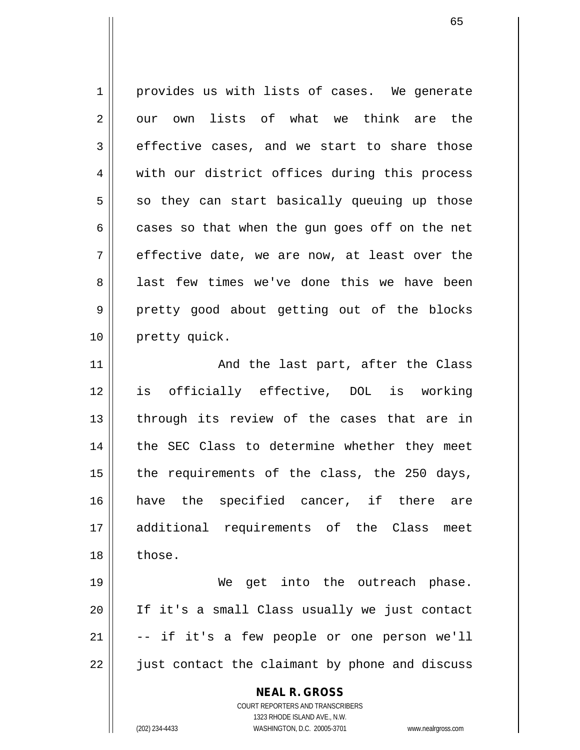1 provides us with lists of cases. We generate  $2 \parallel$  our own lists of what we think are the  $3 \parallel$  effective cases, and we start to share those 4 || with our district offices during this process  $5 \parallel$  so they can start basically queuing up those  $6 \parallel$  cases so that when the gun goes off on the net  $7 \parallel$  effective date, we are now, at least over the 8 || last few times we've done this we have been 9 pretty good about getting out of the blocks 10 | pretty quick. 11 || And the last part, after the Class 12 is officially effective, DOL is working  $13$  || through its review of the cases that are in 14 || the SEC Class to determine whether they meet 15  $\parallel$  the requirements of the class, the 250 days,

16 || have the specified cancer, if there are 17 additional requirements of the Class meet 18 l those.

19 || We get into the outreach phase. 20 If it's a small Class usually we just contact  $21$   $\vert$  -- if it's a few people or one person we'll 22 || just contact the claimant by phone and discuss

**NEAL R. GROSS**

COURT REPORTERS AND TRANSCRIBERS 1323 RHODE ISLAND AVE., N.W. (202) 234-4433 WASHINGTON, D.C. 20005-3701 www.nealrgross.com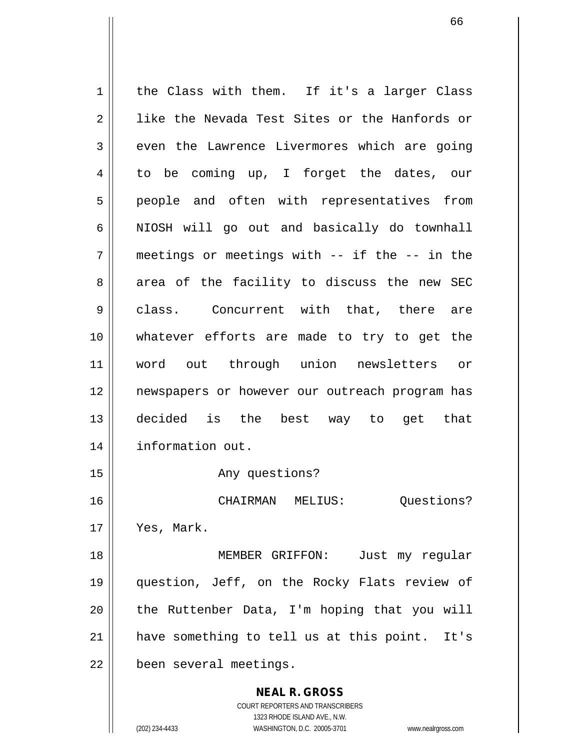**NEAL R. GROSS** COURT REPORTERS AND TRANSCRIBERS 1323 RHODE ISLAND AVE., N.W.  $1 \parallel$  the Class with them. If it's a larger Class 2 || like the Nevada Test Sites or the Hanfords or  $3 \parallel$  even the Lawrence Livermores which are going 4 to be coming up, I forget the dates, our 5 || people and often with representatives from  $6 \parallel$  NIOSH will go out and basically do townhall  $7 \parallel$  meetings or meetings with -- if the -- in the 8 area of the facility to discuss the new SEC 9 || class. Concurrent with that, there are 10 whatever efforts are made to try to get the 11 word out through union newsletters or 12 newspapers or however our outreach program has 13 decided is the best way to get that 14 information out. 15 || The Contract Any questions? 16 CHAIRMAN MELIUS: Questions? 17 Yes, Mark. 18 MEMBER GRIFFON: Just my regular 19 question, Jeff, on the Rocky Flats review of  $20$  || the Ruttenber Data, I'm hoping that you will 21 || have something to tell us at this point. It's 22 | been several meetings.

(202) 234-4433 WASHINGTON, D.C. 20005-3701 www.nealrgross.com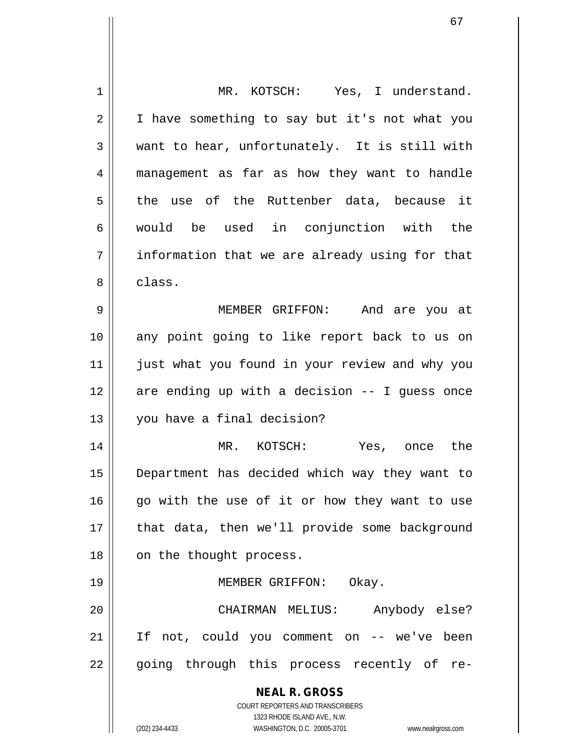| $\mathbf 1$    | MR. KOTSCH: Yes, I understand.                                                                      |
|----------------|-----------------------------------------------------------------------------------------------------|
| 2              | I have something to say but it's not what you                                                       |
| 3              | want to hear, unfortunately. It is still with                                                       |
| $\overline{4}$ | management as far as how they want to handle                                                        |
| 5              | the use of the Ruttenber data, because it                                                           |
| 6              | would be used in conjunction with the                                                               |
| 7              | information that we are already using for that                                                      |
| 8              | class.                                                                                              |
| 9              | MEMBER GRIFFON: And are you at                                                                      |
| 10             | any point going to like report back to us on                                                        |
| 11             | just what you found in your review and why you                                                      |
| 12             | are ending up with a decision -- I guess once                                                       |
| 13             | you have a final decision?                                                                          |
| 14             | MR. KOTSCH: Yes, once the                                                                           |
| 15             | Department has decided which way they want to                                                       |
| 16             | go with the use of it or how they want to use                                                       |
| 17             | that data, then we'll provide some background                                                       |
| 18             | on the thought process.                                                                             |
| 19             | MEMBER GRIFFON: Okay.                                                                               |
| 20             | Anybody else?<br>CHAIRMAN MELIUS:                                                                   |
| 21             | If not, could you comment on -- we've been                                                          |
| 22             | going through this process recently of re-                                                          |
|                | <b>NEAL R. GROSS</b>                                                                                |
|                | COURT REPORTERS AND TRANSCRIBERS                                                                    |
|                | 1323 RHODE ISLAND AVE., N.W.<br>(202) 234-4433<br>WASHINGTON, D.C. 20005-3701<br>www.nealrgross.com |
|                |                                                                                                     |

 $\mathsf{I}$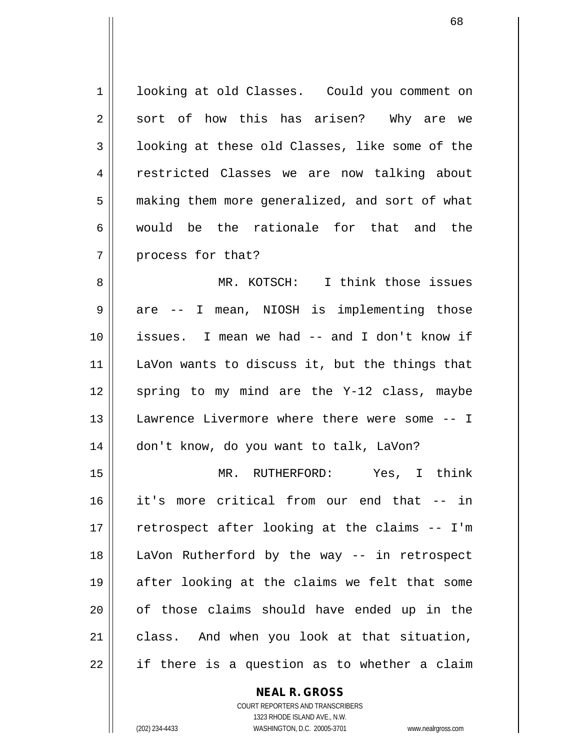1 | looking at old Classes. Could you comment on  $2 \parallel$  sort of how this has arisen? Why are we 3 || looking at these old Classes, like some of the 4 | restricted Classes we are now talking about 5 | making them more generalized, and sort of what 6 would be the rationale for that and the 7 || process for that?

8 MR. KOTSCH: I think those issues 9 || are -- I mean, NIOSH is implementing those 10 issues. I mean we had -- and I don't know if 11 || LaVon wants to discuss it, but the things that  $12$  spring to my mind are the Y-12 class, maybe 13 || Lawrence Livermore where there were some -- I 14 don't know, do you want to talk, LaVon?

15 MR. RUTHERFORD: Yes, I think 16 it's more critical from our end that -- in 17 || retrospect after looking at the claims -- I'm 18 LaVon Rutherford by the way -- in retrospect  $19$  || after looking at the claims we felt that some 20 || of those claims should have ended up in the 21 || class. And when you look at that situation,  $22 \parallel$  if there is a question as to whether a claim

### **NEAL R. GROSS**

COURT REPORTERS AND TRANSCRIBERS 1323 RHODE ISLAND AVE., N.W. (202) 234-4433 WASHINGTON, D.C. 20005-3701 www.nealrgross.com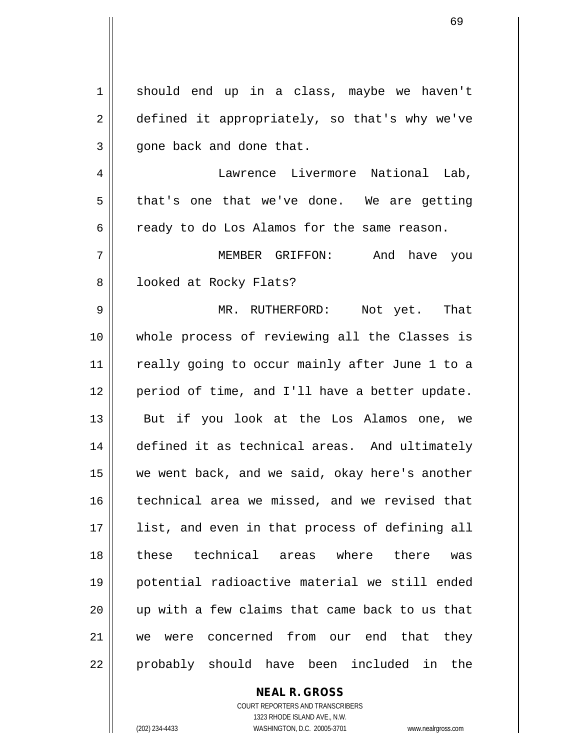1 should end up in a class, maybe we haven't 2 defined it appropriately, so that's why we've  $3 \parallel$  gone back and done that. 4 Lawrence Livermore National Lab,  $5 \parallel$  that's one that we've done. We are getting  $6 \parallel$  ready to do Los Alamos for the same reason. 7 MEMBER GRIFFON: And have you 8 || looked at Rocky Flats? 9 MR. RUTHERFORD: Not yet. That 10 whole process of reviewing all the Classes is 11 || really going to occur mainly after June 1 to a 12 period of time, and I'll have a better update. 13 || But if you look at the Los Alamos one, we 14 defined it as technical areas. And ultimately 15 we went back, and we said, okay here's another 16 technical area we missed, and we revised that 17 || list, and even in that process of defining all 18 these technical areas where there was 19 potential radioactive material we still ended 20 up with a few claims that came back to us that 21 we were concerned from our end that they 22 || probably should have been included in the

# **NEAL R. GROSS**

COURT REPORTERS AND TRANSCRIBERS 1323 RHODE ISLAND AVE., N.W. (202) 234-4433 WASHINGTON, D.C. 20005-3701 www.nealrgross.com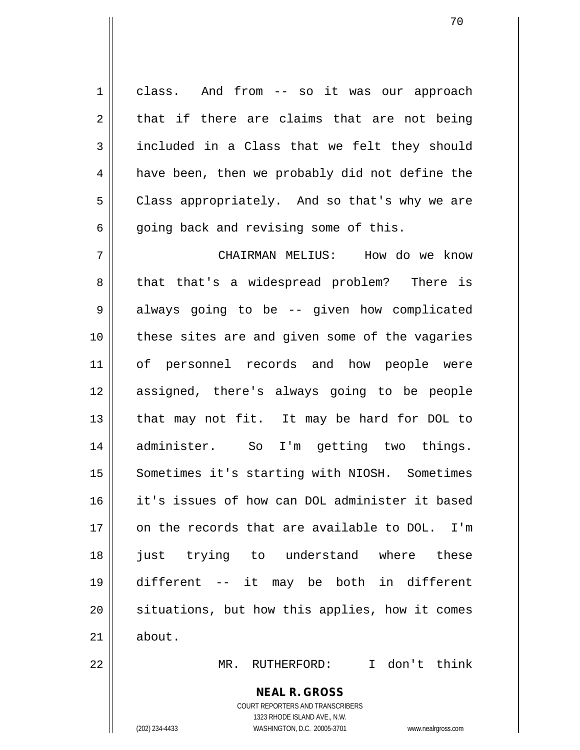1 class. And from -- so it was our approach  $2 \parallel$  that if there are claims that are not being  $3 \parallel$  included in a Class that we felt they should 4 | have been, then we probably did not define the 5 | Class appropriately. And so that's why we are  $6 \parallel$  going back and revising some of this.

 CHAIRMAN MELIUS: How do we know 8 that that's a widespread problem? There is 9 | always going to be -- given how complicated these sites are and given some of the vagaries of personnel records and how people were assigned, there's always going to be people | that may not fit. It may be hard for DOL to administer. So I'm getting two things. 15 || Sometimes it's starting with NIOSH. Sometimes it's issues of how can DOL administer it based on the records that are available to DOL. I'm just trying to understand where these different -- it may be both in different 20 || situations, but how this applies, how it comes  $21 \parallel$  about.

22 MR. RUTHERFORD: I don't think

# **NEAL R. GROSS**

COURT REPORTERS AND TRANSCRIBERS 1323 RHODE ISLAND AVE., N.W. (202) 234-4433 WASHINGTON, D.C. 20005-3701 www.nealrgross.com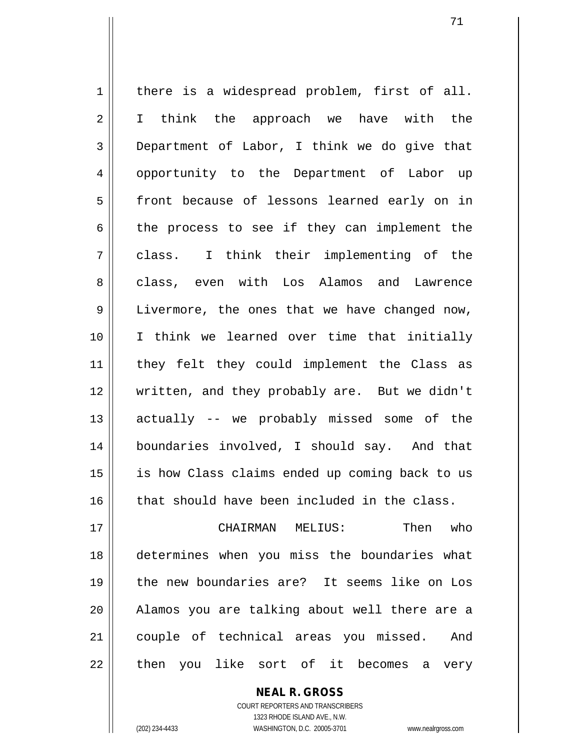$1$  there is a widespread problem, first of all. 2 || I think the approach we have with the  $3 \parallel$  Department of Labor, I think we do give that 4 || opportunity to the Department of Labor up 5 || front because of lessons learned early on in  $6 \parallel$  the process to see if they can implement the 7 class. I think their implementing of the 8 class, even with Los Alamos and Lawrence 9 || Livermore, the ones that we have changed now, 10 I think we learned over time that initially 11 they felt they could implement the Class as 12 written, and they probably are. But we didn't 13 actually -- we probably missed some of the 14 boundaries involved, I should say. And that 15 || is how Class claims ended up coming back to us  $16$  that should have been included in the class. 17 CHAIRMAN MELIUS: Then who 18 determines when you miss the boundaries what 19 the new boundaries are? It seems like on Los

21 couple of technical areas you missed. And 22 || then you like sort of it becomes a very

20 Alamos you are talking about well there are a

COURT REPORTERS AND TRANSCRIBERS 1323 RHODE ISLAND AVE., N.W. (202) 234-4433 WASHINGTON, D.C. 20005-3701 www.nealrgross.com

**NEAL R. GROSS**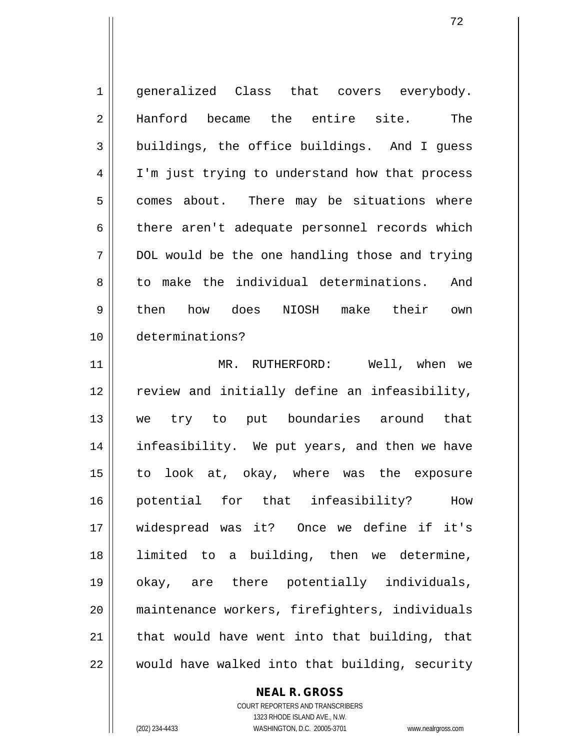1 || generalized Class that covers everybody. 2 Hanford became the entire site. The 3 buildings, the office buildings. And I quess 4 || I'm just trying to understand how that process  $5 \parallel$  comes about. There may be situations where  $6 \parallel$  there aren't adequate personnel records which  $7 \parallel$  DOL would be the one handling those and trying 8 to make the individual determinations. And 9|| then how does NIOSH make their own 10 determinations? 11 MR. RUTHERFORD: Well, when we 12 || review and initially define an infeasibility, 13 || we try to put boundaries around that 14 infeasibility. We put years, and then we have 15 to look at, okay, where was the exposure 16 potential for that infeasibility? How 17 widespread was it? Once we define if it's 18 limited to a building, then we determine, 19 okay, are there potentially individuals, 20 maintenance workers, firefighters, individuals 21  $\parallel$  that would have went into that building, that

 $22$   $\parallel$  would have walked into that building, security

#### **NEAL R. GROSS**

COURT REPORTERS AND TRANSCRIBERS 1323 RHODE ISLAND AVE., N.W. (202) 234-4433 WASHINGTON, D.C. 20005-3701 www.nealrgross.com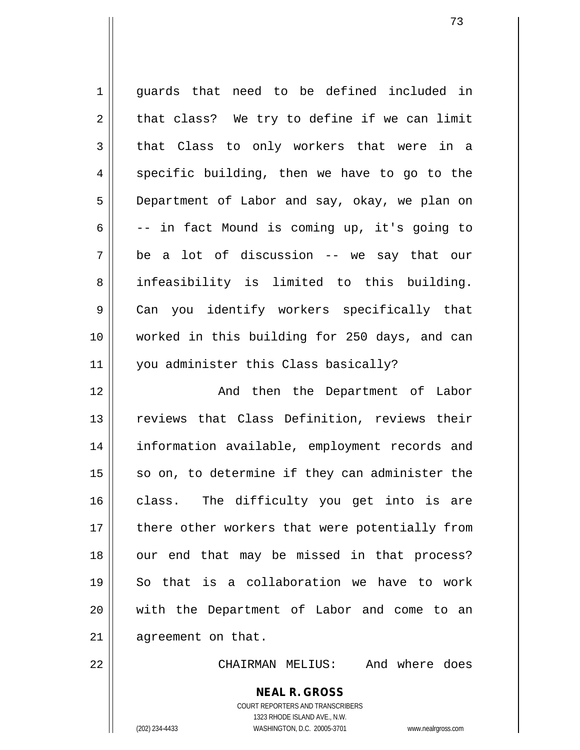1 || quards that need to be defined included in  $2 \parallel$  that class? We try to define if we can limit  $3 \parallel$  that Class to only workers that were in a  $4 \parallel$  specific building, then we have to go to the 5 Department of Labor and say, okay, we plan on  $6 \parallel$  -- in fact Mound is coming up, it's going to  $7 \parallel$  be a lot of discussion -- we say that our 8 || infeasibility is limited to this building. 9 Can you identify workers specifically that 10 worked in this building for 250 days, and can 11 || you administer this Class basically? 12 And then the Department of Labor 13 || reviews that Class Definition, reviews their 14 information available, employment records and  $15$  so on, to determine if they can administer the

16 || class. The difficulty you get into is are 17 || there other workers that were potentially from 18 || our end that may be missed in that process? 19 So that is a collaboration we have to work 20 with the Department of Labor and come to an 21 | agreement on that.

22 CHAIRMAN MELIUS: And where does

**NEAL R. GROSS** COURT REPORTERS AND TRANSCRIBERS 1323 RHODE ISLAND AVE., N.W.

(202) 234-4433 WASHINGTON, D.C. 20005-3701 www.nealrgross.com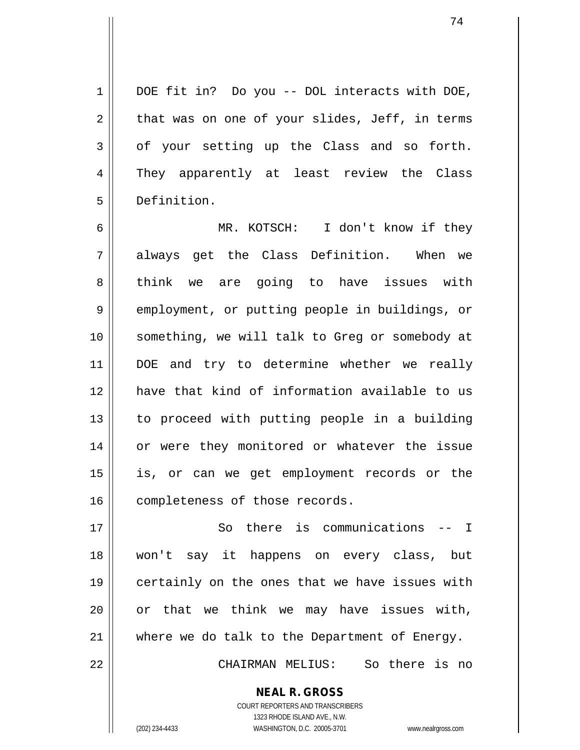1 || DOE fit in? Do you -- DOL interacts with DOE,  $2 \parallel$  that was on one of your slides, Jeff, in terms  $3 \parallel$  of your setting up the Class and so forth. 4 They apparently at least review the Class 5 Definition.

6 MR. KOTSCH: I don't know if they 7 always get the Class Definition. When we 8 think we are going to have issues with 9 || employment, or putting people in buildings, or 10 || something, we will talk to Greg or somebody at 11 || DOE and try to determine whether we really 12 have that kind of information available to us 13 to proceed with putting people in a building 14 || or were they monitored or whatever the issue 15 is, or can we get employment records or the 16 completeness of those records.

 So there is communications -- I won't say it happens on every class, but 19 || certainly on the ones that we have issues with or that we think we may have issues with, where we do talk to the Department of Energy. CHAIRMAN MELIUS: So there is no

> COURT REPORTERS AND TRANSCRIBERS 1323 RHODE ISLAND AVE., N.W. (202) 234-4433 WASHINGTON, D.C. 20005-3701 www.nealrgross.com

**NEAL R. GROSS**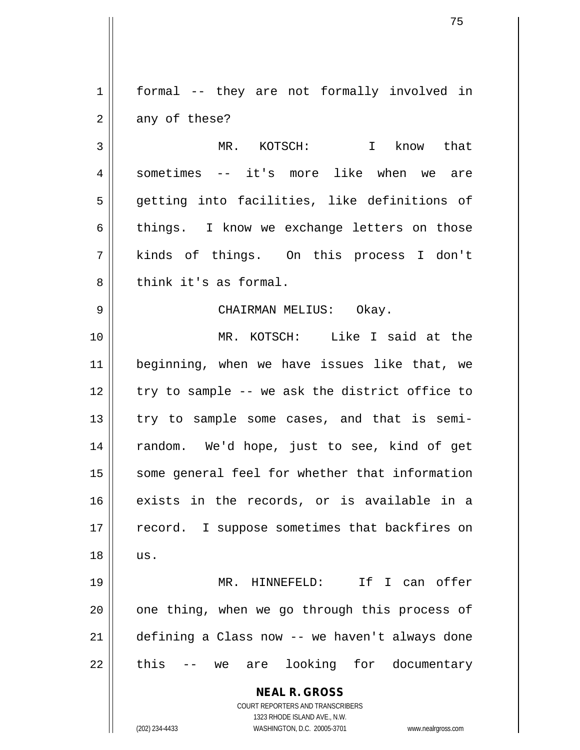1 || formal -- they are not formally involved in  $2 \parallel$  any of these?

3 MR. KOTSCH: I know that 4 sometimes -- it's more like when we are 5 getting into facilities, like definitions of  $6 \parallel$  things. I know we exchange letters on those 7 kinds of things. On this process I don't 8 b think it's as formal.

## 9 CHAIRMAN MELIUS: Okay.

10 MR. KOTSCH: Like I said at the 11 beginning, when we have issues like that, we  $12$   $\parallel$  try to sample -- we ask the district office to  $13$  | try to sample some cases, and that is semi-14 || random. We'd hope, just to see, kind of get 15 || some general feel for whether that information 16 exists in the records, or is available in a 17 || record. I suppose sometimes that backfires on  $18 \parallel$  us.

 MR. HINNEFELD: If I can offer | one thing, when we go through this process of defining a Class now -- we haven't always done 22 || this -- we are looking for documentary

> **NEAL R. GROSS** COURT REPORTERS AND TRANSCRIBERS

> > 1323 RHODE ISLAND AVE., N.W.

(202) 234-4433 WASHINGTON, D.C. 20005-3701 www.nealrgross.com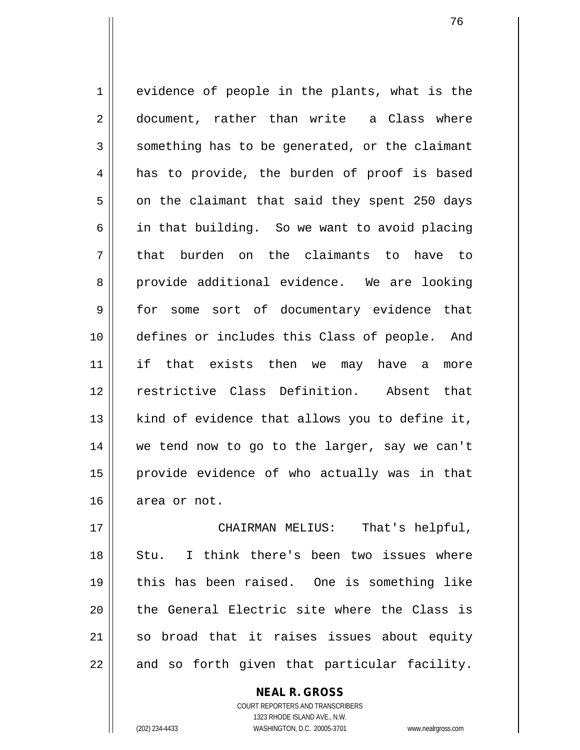1 || evidence of people in the plants, what is the 2 document, rather than write a Class where  $3 \parallel$  something has to be generated, or the claimant 4 || has to provide, the burden of proof is based  $5 \parallel$  on the claimant that said they spent 250 days  $6 \parallel$  in that building. So we want to avoid placing 7 that burden on the claimants to have to 8 provide additional evidence. We are looking 9 for some sort of documentary evidence that 10 defines or includes this Class of people. And 11 if that exists then we may have a more 12 restrictive Class Definition. Absent that  $13$  | kind of evidence that allows you to define it, 14 we tend now to go to the larger, say we can't 15 provide evidence of who actually was in that 16 area or not.

 CHAIRMAN MELIUS: That's helpful, 18 Stu. I think there's been two issues where this has been raised. One is something like 20 || the General Electric site where the Class is so broad that it raises issues about equity || and so forth given that particular facility.

> COURT REPORTERS AND TRANSCRIBERS 1323 RHODE ISLAND AVE., N.W. (202) 234-4433 WASHINGTON, D.C. 20005-3701 www.nealrgross.com

**NEAL R. GROSS**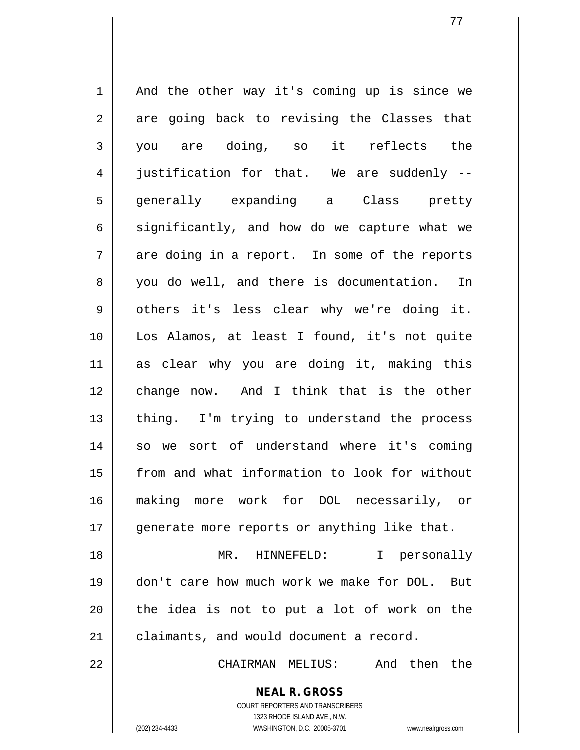$1 \parallel$  And the other way it's coming up is since we  $2 \parallel$  are going back to revising the Classes that 3 you are doing, so it reflects the 4 iustification for that. We are suddenly --5 || generally expanding a Class pretty  $6 \parallel$  significantly, and how do we capture what we  $7 \parallel$  are doing in a report. In some of the reports 8 you do well, and there is documentation. In  $9 \parallel$  others it's less clear why we're doing it. 10 || Los Alamos, at least I found, it's not quite 11 as clear why you are doing it, making this 12 change now. And I think that is the other 13 || thing. I'm trying to understand the process 14 || so we sort of understand where it's coming 15 from and what information to look for without 16 making more work for DOL necessarily, or 17 || generate more reports or anything like that. 18 MR. HINNEFELD: I personally 19 don't care how much work we make for DOL. But  $20$  || the idea is not to put a lot of work on the

21 | claimants, and would document a record.

22 CHAIRMAN MELIUS: And then the

**NEAL R. GROSS** COURT REPORTERS AND TRANSCRIBERS

1323 RHODE ISLAND AVE., N.W.

(202) 234-4433 WASHINGTON, D.C. 20005-3701 www.nealrgross.com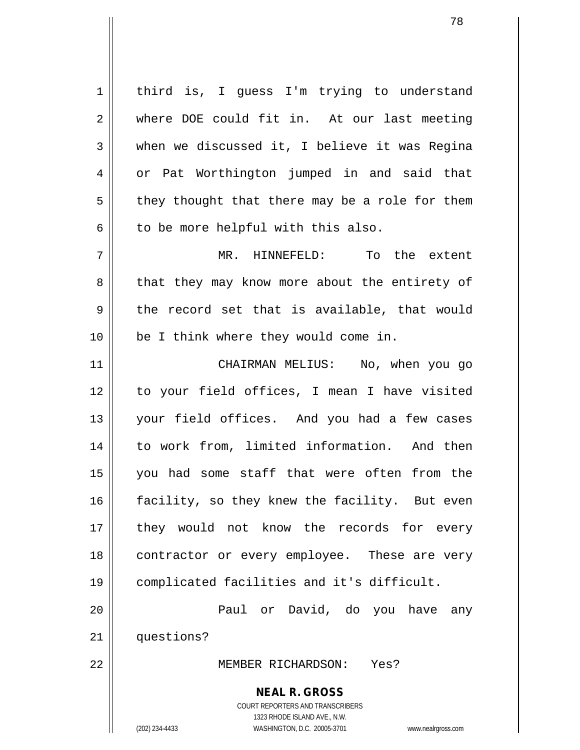**NEAL R. GROSS** 1 | third is, I guess I'm trying to understand 2 where DOE could fit in. At our last meeting  $3 \parallel$  when we discussed it, I believe it was Regina 4 or Pat Worthington jumped in and said that  $5 \parallel$  they thought that there may be a role for them  $6 \parallel$  to be more helpful with this also. 7 MR. HINNEFELD: To the extent 8 || that they may know more about the entirety of  $9 \parallel$  the record set that is available, that would 10 || be I think where they would come in. 11 CHAIRMAN MELIUS: No, when you go 12 to your field offices, I mean I have visited 13 your field offices. And you had a few cases 14 to work from, limited information. And then 15 you had some staff that were often from the 16 || facility, so they knew the facility. But even 17 || they would not know the records for every 18 || contractor or every employee. These are very 19 complicated facilities and it's difficult. 20 Paul or David, do you have any 21 | questions? 22 MEMBER RICHARDSON: Yes?

> COURT REPORTERS AND TRANSCRIBERS 1323 RHODE ISLAND AVE., N.W. (202) 234-4433 WASHINGTON, D.C. 20005-3701 www.nealrgross.com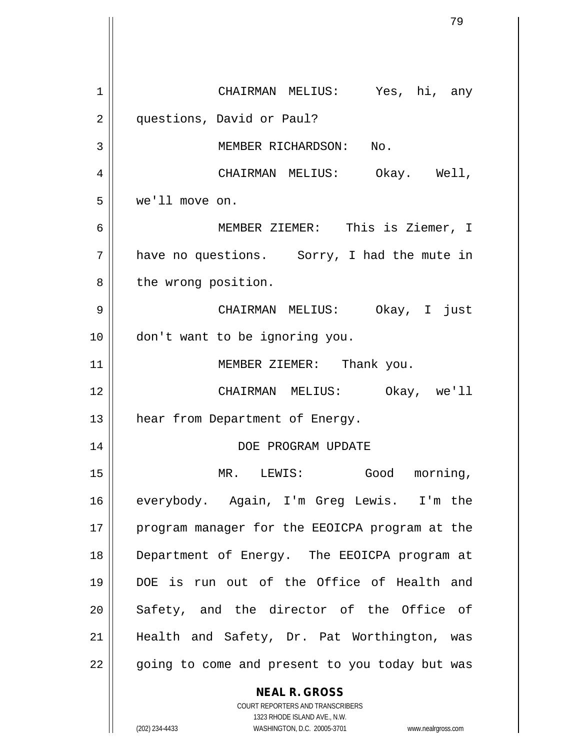**NEAL R. GROSS** 1 CHAIRMAN MELIUS: Yes, hi, any 2 | questions, David or Paul? 3 || MEMBER RICHARDSON: No. 4 CHAIRMAN MELIUS: Okay. Well, 5 we'll move on. 6 MEMBER ZIEMER: This is Ziemer, I  $7 \parallel$  have no questions. Sorry, I had the mute in 8 | the wrong position. 9 CHAIRMAN MELIUS: Okay, I just 10 don't want to be ignoring you. 11 || MEMBER ZIEMER: Thank you. 12 CHAIRMAN MELIUS: Okay, we'll 13 | hear from Department of Energy. 14 DOE PROGRAM UPDATE 15 MR. LEWIS: Good morning, 16 everybody. Again, I'm Greg Lewis. I'm the 17 || program manager for the EEOICPA program at the 18 Department of Energy. The EEOICPA program at 19 DOE is run out of the Office of Health and 20 Safety, and the director of the Office of 21 || Health and Safety, Dr. Pat Worthington, was 22 || going to come and present to you today but was

> COURT REPORTERS AND TRANSCRIBERS 1323 RHODE ISLAND AVE., N.W.

(202) 234-4433 WASHINGTON, D.C. 20005-3701 www.nealrgross.com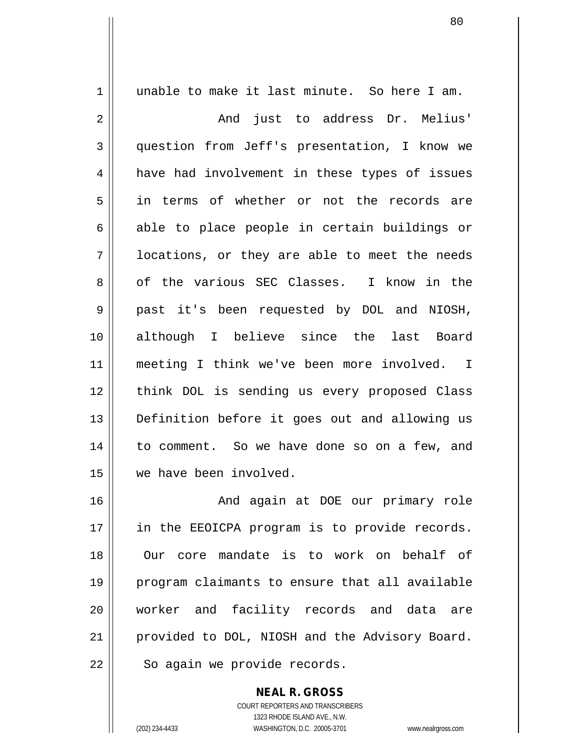1 unable to make it last minute. So here I am. 2 And just to address Dr. Melius' 3 question from Jeff's presentation, I know we 4 || have had involvement in these types of issues 5 in terms of whether or not the records are  $6 \parallel$  able to place people in certain buildings or  $7 \parallel$  locations, or they are able to meet the needs 8 of the various SEC Classes. I know in the 9 past it's been requested by DOL and NIOSH, 10 although I believe since the last Board 11 meeting I think we've been more involved. I 12 think DOL is sending us every proposed Class 13 || Definition before it goes out and allowing us 14 to comment. So we have done so on a few, and 15 we have been involved. 16 And again at DOE our primary role 17 || in the EEOICPA program is to provide records. 18 Our core mandate is to work on behalf of 19 program claimants to ensure that all available 20 || worker and facility records and data are 21 | provided to DOL, NIOSH and the Advisory Board.

 $22$  | So again we provide records.

**NEAL R. GROSS**

COURT REPORTERS AND TRANSCRIBERS 1323 RHODE ISLAND AVE., N.W. (202) 234-4433 WASHINGTON, D.C. 20005-3701 www.nealrgross.com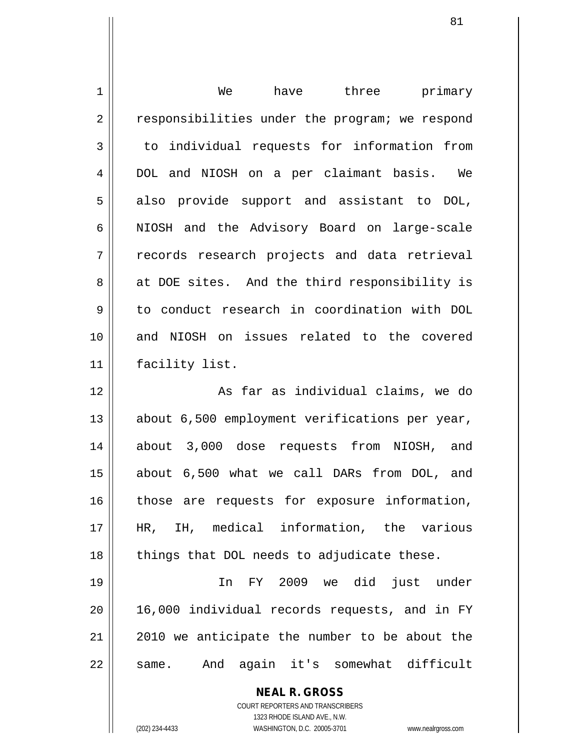| 1  | have three primary<br>We                                 |
|----|----------------------------------------------------------|
| 2  | responsibilities under the program; we respond           |
| 3  | to individual requests for information from              |
| 4  | DOL and NIOSH on a per claimant basis. We                |
| 5  | provide support and assistant to DOL,<br>also            |
| 6  | NIOSH and the Advisory Board on large-scale              |
| 7  | records research projects and data retrieval             |
| 8  | at DOE sites. And the third responsibility is            |
| 9  | to conduct research in coordination with DOL             |
| 10 | and NIOSH on issues related to the covered               |
| 11 | facility list.                                           |
| 12 | As far as individual claims, we do                       |
| 13 | about 6,500 employment verifications per year,           |
| 14 | about 3,000 dose requests from<br>NIOSH, and             |
| 15 | about 6,500 what we call DARs from DOL, and              |
| 16 | those are requests for exposure information,             |
| 17 | HR, IH, medical information, the various                 |
| 18 | things that DOL needs to adjudicate these.               |
| 19 | In FY 2009 we did just under                             |
| 20 | 16,000 individual records requests, and in FY            |
| 21 | 2010 we anticipate the number to be about the            |
| 22 | same. And again it's somewhat difficult                  |
|    | <b>NEAL R. GROSS</b><br>COURT REPORTERS AND TRANSCRIBERS |

1323 RHODE ISLAND AVE., N.W.

 $\mathsf{I}$  $\prod_{i=1}^{n}$ 

(202) 234-4433 WASHINGTON, D.C. 20005-3701 www.nealrgross.com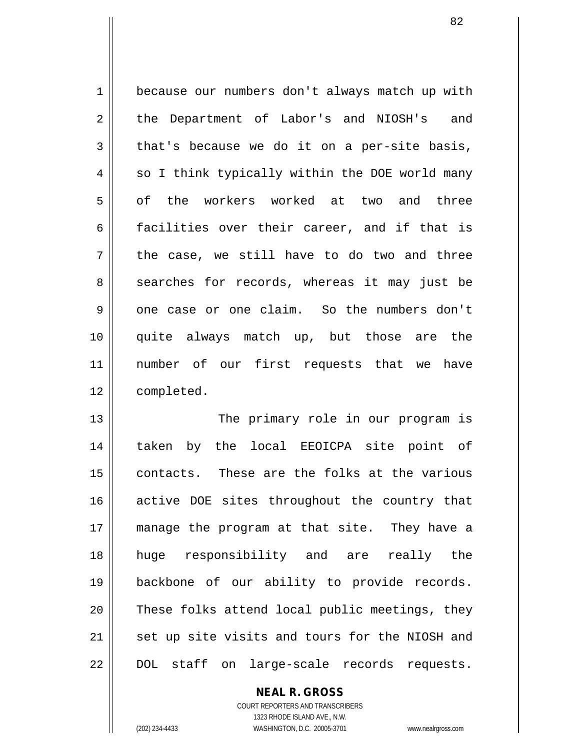1 because our numbers don't always match up with 2 the Department of Labor's and NIOSH's and  $3 \parallel$  that's because we do it on a per-site basis,  $4 \parallel$  so I think typically within the DOE world many 5 || of the workers worked at two and three  $6 \parallel$  facilities over their career, and if that is  $7 \parallel$  the case, we still have to do two and three 8 || searches for records, whereas it may just be 9 || one case or one claim. So the numbers don't 10 quite always match up, but those are the 11 number of our first requests that we have 12 | completed.

13 || The primary role in our program is 14 || taken by the local EEOICPA site point of 15 || contacts. These are the folks at the various 16 active DOE sites throughout the country that 17 manage the program at that site. They have a 18 huge responsibility and are really the 19 backbone of our ability to provide records. 20 These folks attend local public meetings, they 21 || set up site visits and tours for the NIOSH and 22 || DOL staff on large-scale records requests.

**NEAL R. GROSS**

COURT REPORTERS AND TRANSCRIBERS 1323 RHODE ISLAND AVE., N.W. (202) 234-4433 WASHINGTON, D.C. 20005-3701 www.nealrgross.com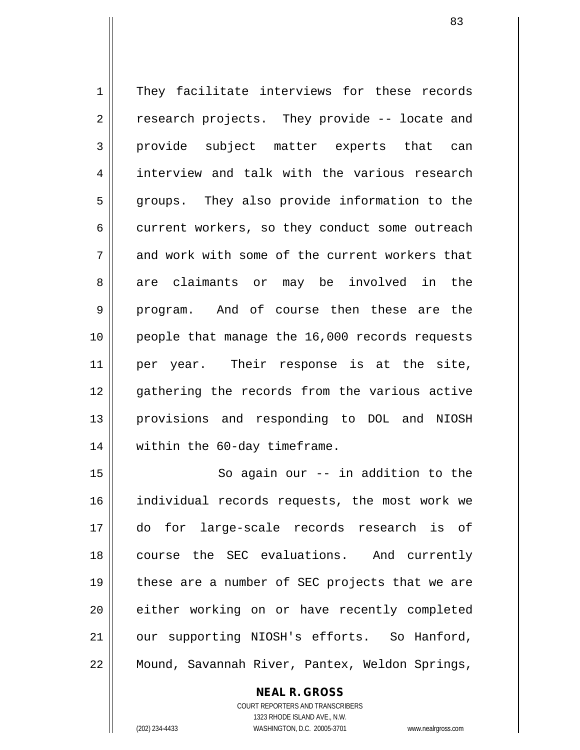1 | They facilitate interviews for these records  $2 \parallel$  research projects. They provide -- locate and 3 provide subject matter experts that can 4 interview and talk with the various research 5 groups. They also provide information to the 6 current workers, so they conduct some outreach 7 and work with some of the current workers that 8 are claimants or may be involved in the 9 || program. And of course then these are the 10 || people that manage the 16,000 records requests 11 || per year. Their response is at the site, 12 gathering the records from the various active 13 provisions and responding to DOL and NIOSH 14 || within the 60-day timeframe.

15 || So again our -- in addition to the 16 individual records requests, the most work we 17 do for large-scale records research is of 18 course the SEC evaluations. And currently 19 || these are a number of SEC projects that we are 20 either working on or have recently completed 21 | our supporting NIOSH's efforts. So Hanford, 22 | Mound, Savannah River, Pantex, Weldon Springs,

**NEAL R. GROSS**

COURT REPORTERS AND TRANSCRIBERS 1323 RHODE ISLAND AVE., N.W. (202) 234-4433 WASHINGTON, D.C. 20005-3701 www.nealrgross.com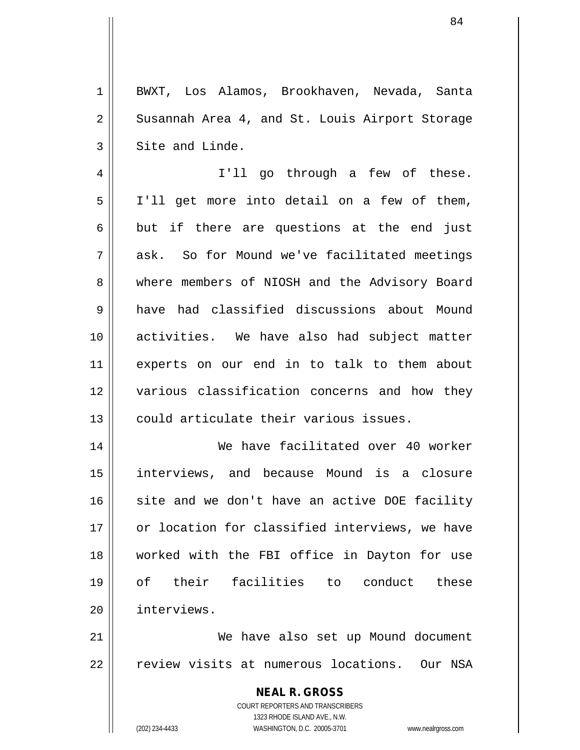1 BWXT, Los Alamos, Brookhaven, Nevada, Santa 2 || Susannah Area 4, and St. Louis Airport Storage  $3 \parallel$  Site and Linde. 4 || I'll go through a few of these. 5 | I'll get more into detail on a few of them,  $6 \parallel$  but if there are questions at the end just 7 ask. So for Mound we've facilitated meetings 8 Where members of NIOSH and the Advisory Board 9 have had classified discussions about Mound 10 activities. We have also had subject matter 11 experts on our end in to talk to them about 12 various classification concerns and how they 13 || could articulate their various issues. 14 We have facilitated over 40 worker 15 interviews, and because Mound is a closure  $16$  site and we don't have an active DOE facility 17 || or location for classified interviews, we have 18 worked with the FBI office in Dayton for use 19 of their facilities to conduct these 20 interviews. 21 We have also set up Mound document 22 || review visits at numerous locations. Our NSA

> **NEAL R. GROSS** COURT REPORTERS AND TRANSCRIBERS 1323 RHODE ISLAND AVE., N.W.

(202) 234-4433 WASHINGTON, D.C. 20005-3701 www.nealrgross.com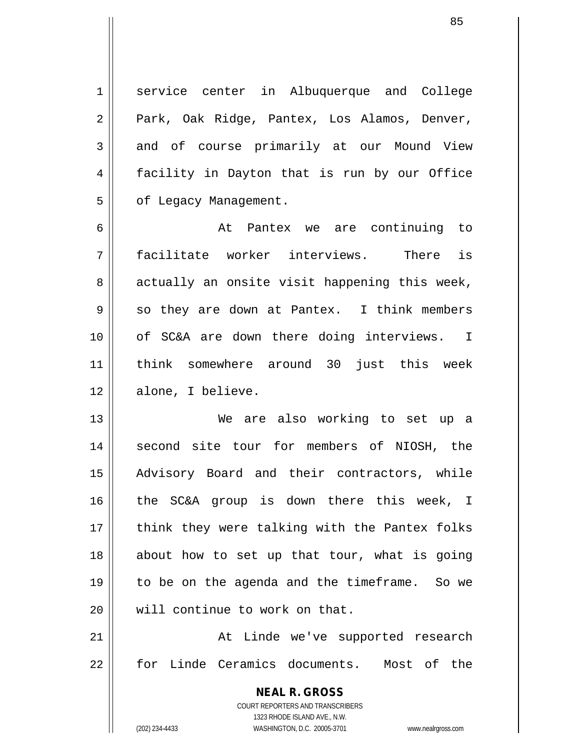1 || service center in Albuquerque and College 2 || Park, Oak Ridge, Pantex, Los Alamos, Denver, 3 and of course primarily at our Mound View 4 facility in Dayton that is run by our Office 5 | of Legacy Management.

85

6 At Pantex we are continuing to 7 facilitate worker interviews. There is  $8 \parallel$  actually an onsite visit happening this week,  $9 \parallel$  so they are down at Pantex. I think members 10 || of SC&A are down there doing interviews. I 11 think somewhere around 30 just this week 12 dell alone, I believe.

13 We are also working to set up a 14 || second site tour for members of NIOSH, the 15 Advisory Board and their contractors, while 16 the SC&A group is down there this week, I 17 || think they were talking with the Pantex folks 18 || about how to set up that tour, what is going 19 to be on the agenda and the timeframe. So we 20 We will continue to work on that.

21 || At Linde we've supported research 22 for Linde Ceramics documents. Most of the

> **NEAL R. GROSS** COURT REPORTERS AND TRANSCRIBERS 1323 RHODE ISLAND AVE., N.W. (202) 234-4433 WASHINGTON, D.C. 20005-3701 www.nealrgross.com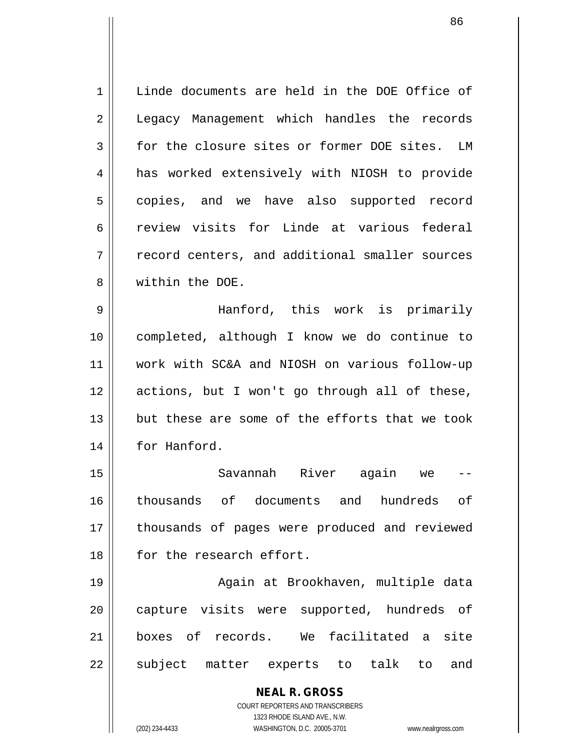1 | Linde documents are held in the DOE Office of 2 | Legacy Management which handles the records 3 for the closure sites or former DOE sites. LM 4 || has worked extensively with NIOSH to provide 5 || copies, and we have also supported record 6 review visits for Linde at various federal 7 | record centers, and additional smaller sources 8 Within the DOE.

 Hanford, this work is primarily completed, although I know we do continue to work with SC&A and NIOSH on various follow-up actions, but I won't go through all of these, 13 but these are some of the efforts that we took 14 | for Hanford.

 Savannah River again we -- thousands of documents and hundreds of 17 || thousands of pages were produced and reviewed **for the research effort.** 

19 || Again at Brookhaven, multiple data 20 || capture visits were supported, hundreds of 21 boxes of records. We facilitated a site 22 || subject matter experts to talk to and

> **NEAL R. GROSS** COURT REPORTERS AND TRANSCRIBERS

1323 RHODE ISLAND AVE., N.W. (202) 234-4433 WASHINGTON, D.C. 20005-3701 www.nealrgross.com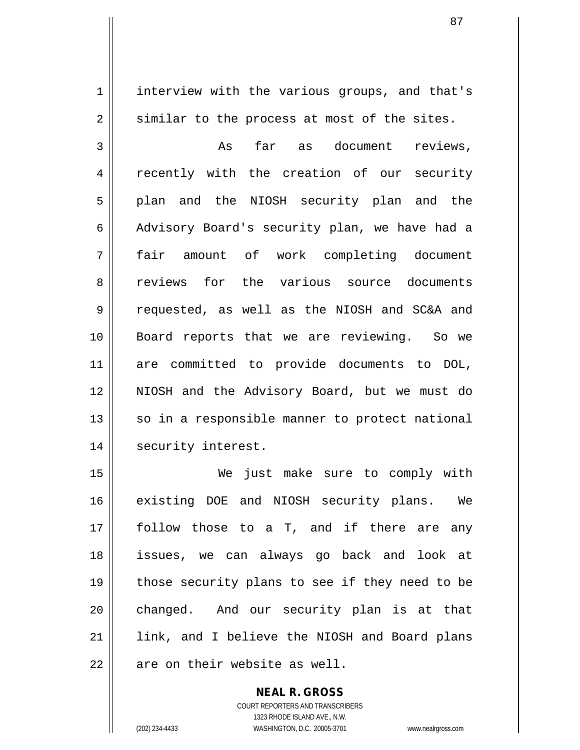1 | interview with the various groups, and that's 2 || similar to the process at most of the sites.

3 As far as document reviews, 4 || recently with the creation of our security 5 || plan and the NIOSH security plan and the 6 Advisory Board's security plan, we have had a 7 fair amount of work completing document 8 || reviews for the various source documents 9 requested, as well as the NIOSH and SC&A and 10 Board reports that we are reviewing. So we 11 are committed to provide documents to DOL, 12 NIOSH and the Advisory Board, but we must do  $13$  so in a responsible manner to protect national 14 || security interest.

 We just make sure to comply with existing DOE and NIOSH security plans. We follow those to a T, and if there are any issues, we can always go back and look at 19 || those security plans to see if they need to be 20 changed. And our security plan is at that 21 || link, and I believe the NIOSH and Board plans  $\parallel$  are on their website as well.

> COURT REPORTERS AND TRANSCRIBERS 1323 RHODE ISLAND AVE., N.W. (202) 234-4433 WASHINGTON, D.C. 20005-3701 www.nealrgross.com

**NEAL R. GROSS**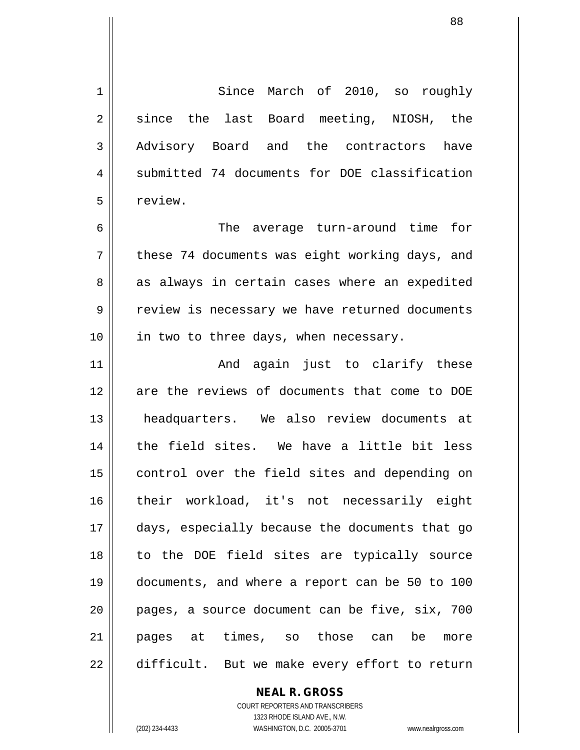1 Since March of 2010, so roughly  $2 \parallel$  since the last Board meeting, NIOSH, the 3 Advisory Board and the contractors have 4 Submitted 74 documents for DOE classification 5 | review.

6 The average turn-around time for  $7 \parallel$  these 74 documents was eight working days, and 8 as always in certain cases where an expedited 9 || review is necessary we have returned documents  $10$  | in two to three days, when necessary.

11 || The Rand again just to clarify these 12 || are the reviews of documents that come to DOE 13 headquarters. We also review documents at 14 || the field sites. We have a little bit less 15 || control over the field sites and depending on 16 their workload, it's not necessarily eight 17 days, especially because the documents that go 18 to the DOE field sites are typically source 19 documents, and where a report can be 50 to 100  $20$  || pages, a source document can be five, six, 700 21 pages at times, so those can be more 22 difficult. But we make every effort to return

**NEAL R. GROSS**

COURT REPORTERS AND TRANSCRIBERS 1323 RHODE ISLAND AVE., N.W. (202) 234-4433 WASHINGTON, D.C. 20005-3701 www.nealrgross.com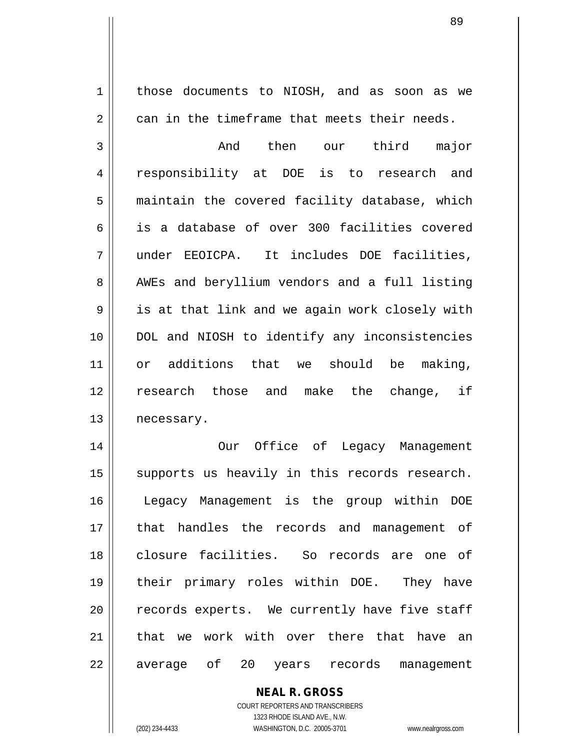1 | those documents to NIOSH, and as soon as we  $2 \parallel$  can in the timeframe that meets their needs.

3 And then our third major 4 || responsibility at DOE is to research and 5 | maintain the covered facility database, which 6 is a database of over 300 facilities covered 7 under EEOICPA. It includes DOE facilities, 8 AWEs and beryllium vendors and a full listing 9 | is at that link and we again work closely with 10 || DOL and NIOSH to identify any inconsistencies 11 or additions that we should be making, 12 || research those and make the change, if 13 | necessary.

14 || Our Office of Legacy Management 15 || supports us heavily in this records research. 16 Legacy Management is the group within DOE 17 that handles the records and management of 18 closure facilities. So records are one of 19 their primary roles within DOE. They have  $20$  | records experts. We currently have five staff 21 that we work with over there that have an 22 || average of 20 years records management

> **NEAL R. GROSS** COURT REPORTERS AND TRANSCRIBERS 1323 RHODE ISLAND AVE., N.W. (202) 234-4433 WASHINGTON, D.C. 20005-3701 www.nealrgross.com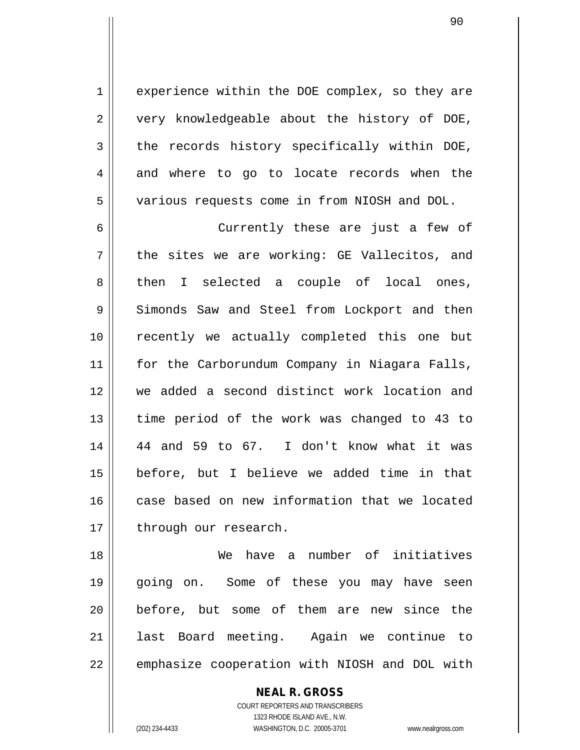1 | experience within the DOE complex, so they are  $2 \parallel$  very knowledgeable about the history of DOE,  $3$  the records history specifically within DOE, 4 and where to go to locate records when the 5 various requests come in from NIOSH and DOL.

6 Currently these are just a few of  $7 \parallel$  the sites we are working: GE Vallecitos, and 8 then I selected a couple of local ones, 9 Simonds Saw and Steel from Lockport and then 10 || recently we actually completed this one but 11 || for the Carborundum Company in Niagara Falls, 12 we added a second distinct work location and 13 || time period of the work was changed to 43 to 14 44 and 59 to 67. I don't know what it was 15 before, but I believe we added time in that 16 case based on new information that we located 17 | through our research.

 We have a number of initiatives going on. Some of these you may have seen before, but some of them are new since the last Board meeting. Again we continue to  $\parallel$  emphasize cooperation with NIOSH and DOL with

> **NEAL R. GROSS** COURT REPORTERS AND TRANSCRIBERS 1323 RHODE ISLAND AVE., N.W. (202) 234-4433 WASHINGTON, D.C. 20005-3701 www.nealrgross.com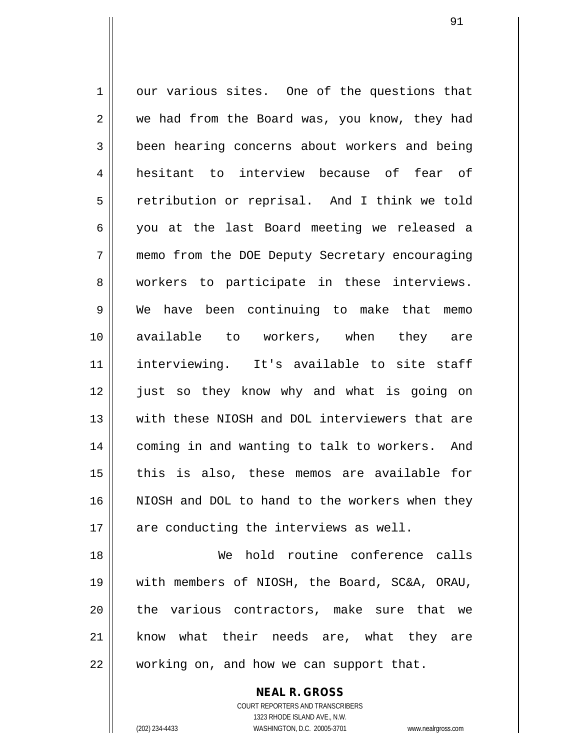1 our various sites. One of the questions that 2 we had from the Board was, you know, they had **been hearing concerns about workers and being**  hesitant to interview because of fear of 5 || retribution or reprisal. And I think we told you at the last Board meeting we released a memo from the DOE Deputy Secretary encouraging 8 || workers to participate in these interviews. We have been continuing to make that memo available to workers, when they are interviewing. It's available to site staff just so they know why and what is going on with these NIOSH and DOL interviewers that are 14 || coming in and wanting to talk to workers. And || this is also, these memos are available for NIOSH and DOL to hand to the workers when they 17 || are conducting the interviews as well. We hold routine conference calls

19 with members of NIOSH, the Board, SC&A, ORAU, 20 || the various contractors, make sure that we 21 || know what their needs are, what they are 22 | working on, and how we can support that.

> COURT REPORTERS AND TRANSCRIBERS 1323 RHODE ISLAND AVE., N.W. (202) 234-4433 WASHINGTON, D.C. 20005-3701 www.nealrgross.com

**NEAL R. GROSS**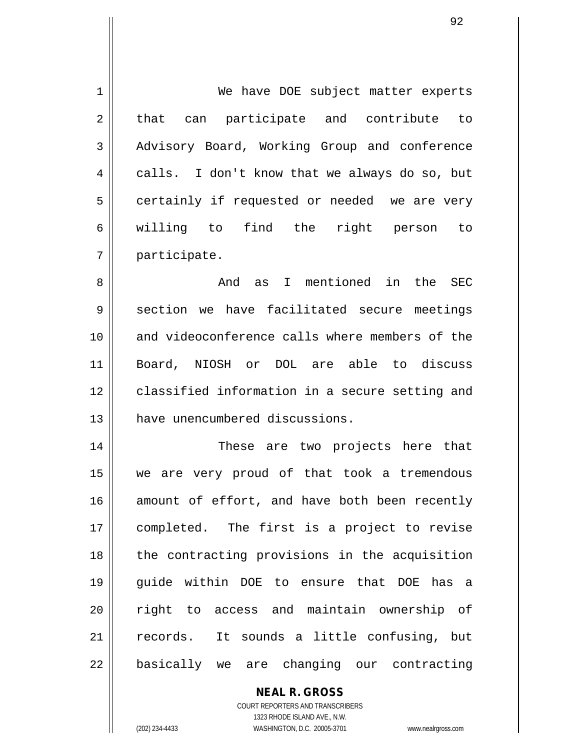1 || We have DOE subject matter experts 2 || that can participate and contribute to 3 Advisory Board, Working Group and conference 4 calls. I don't know that we always do so, but  $5 \parallel$  certainly if requested or needed we are very 6 willing to find the right person to 7 participate. 8 And as I mentioned in the SEC 9 || section we have facilitated secure meetings 10 and videoconference calls where members of the

11 Board, NIOSH or DOL are able to discuss 12 classified information in a secure setting and 13 || have unencumbered discussions.

14 These are two projects here that 15 we are very proud of that took a tremendous 16 amount of effort, and have both been recently 17 completed. The first is a project to revise 18 || the contracting provisions in the acquisition 19 guide within DOE to ensure that DOE has a 20 || right to access and maintain ownership of 21 || records. It sounds a little confusing, but 22 || basically we are changing our contracting

**NEAL R. GROSS**

COURT REPORTERS AND TRANSCRIBERS 1323 RHODE ISLAND AVE., N.W. (202) 234-4433 WASHINGTON, D.C. 20005-3701 www.nealrgross.com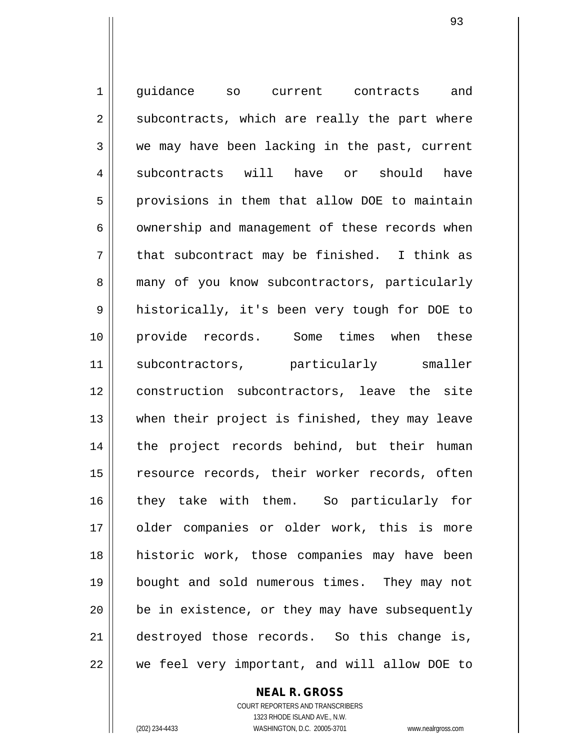1 quidance so current contracts and  $2 \parallel$  subcontracts, which are really the part where 3 we may have been lacking in the past, current 4 subcontracts will have or should have 5 provisions in them that allow DOE to maintain  $6 \parallel$  ownership and management of these records when  $7 \parallel$  that subcontract may be finished. I think as 8 many of you know subcontractors, particularly 9 || historically, it's been very tough for DOE to 10 provide records. Some times when these 11 || subcontractors, particularly smaller 12 construction subcontractors, leave the site 13 || when their project is finished, they may leave 14 || the project records behind, but their human 15 || resource records, their worker records, often 16 they take with them. So particularly for 17 || older companies or older work, this is more 18 historic work, those companies may have been 19 bought and sold numerous times. They may not  $20$  | be in existence, or they may have subsequently 21 destroyed those records. So this change is,  $22$   $\parallel$  we feel very important, and will allow DOE to

> **NEAL R. GROSS** COURT REPORTERS AND TRANSCRIBERS 1323 RHODE ISLAND AVE., N.W.

(202) 234-4433 WASHINGTON, D.C. 20005-3701 www.nealrgross.com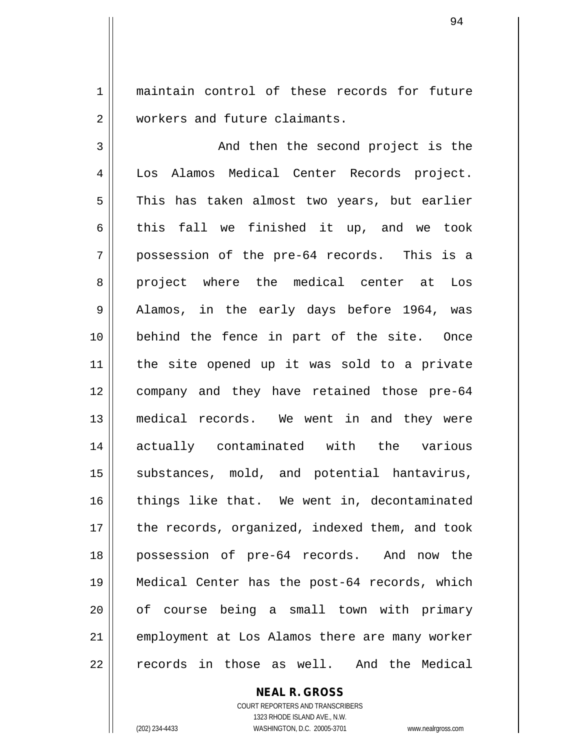1 || maintain control of these records for future 2 Workers and future claimants.

3 And then the second project is the 4 Los Alamos Medical Center Records project.  $5 \parallel$  This has taken almost two years, but earlier 6 this fall we finished it up, and we took 7 possession of the pre-64 records. This is a 8 project where the medical center at Los 9 || Alamos, in the early days before 1964, was 10 behind the fence in part of the site. Once 11 the site opened up it was sold to a private 12 company and they have retained those pre-64 13 medical records. We went in and they were 14 actually contaminated with the various 15 || substances, mold, and potential hantavirus, 16 || things like that. We went in, decontaminated 17 || the records, organized, indexed them, and took 18 possession of pre-64 records. And now the 19 Medical Center has the post-64 records, which 20 || of course being a small town with primary 21 employment at Los Alamos there are many worker 22 || records in those as well. And the Medical

**NEAL R. GROSS**

COURT REPORTERS AND TRANSCRIBERS 1323 RHODE ISLAND AVE., N.W. (202) 234-4433 WASHINGTON, D.C. 20005-3701 www.nealrgross.com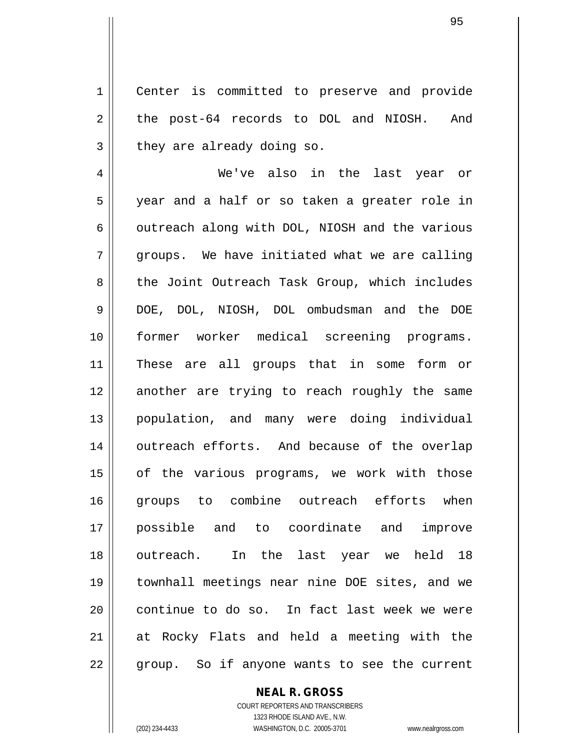1 || Center is committed to preserve and provide 2 || the post-64 records to DOL and NIOSH. And  $3 \parallel$  they are already doing so.

 We've also in the last year or year and a half or so taken a greater role in  $\parallel$  outreach along with DOL, NIOSH and the various  $7 \parallel$  groups. We have initiated what we are calling 8 the Joint Outreach Task Group, which includes DOE, DOL, NIOSH, DOL ombudsman and the DOE former worker medical screening programs. These are all groups that in some form or 12 || another are trying to reach roughly the same population, and many were doing individual 14 || outreach efforts. And because of the overlap 15 || of the various programs, we work with those 16 || groups to combine outreach efforts when possible and to coordinate and improve outreach. In the last year we held 18 townhall meetings near nine DOE sites, and we continue to do so. In fact last week we were at Rocky Flats and held a meeting with the 22 || group. So if anyone wants to see the current

## **NEAL R. GROSS**

COURT REPORTERS AND TRANSCRIBERS 1323 RHODE ISLAND AVE., N.W. (202) 234-4433 WASHINGTON, D.C. 20005-3701 www.nealrgross.com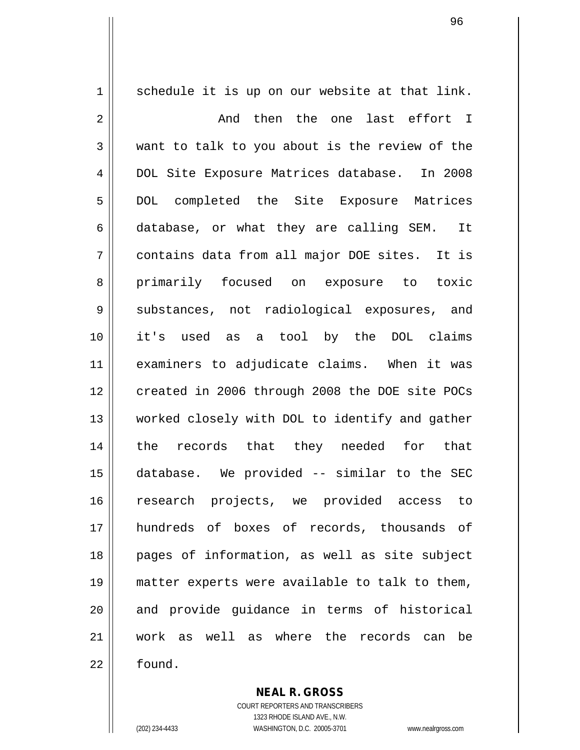$1 \parallel$  schedule it is up on our website at that link. 2 And then the one last effort I  $3 \parallel$  want to talk to you about is the review of the 4 DOL Site Exposure Matrices database. In 2008 5 || DOL completed the Site Exposure Matrices 6 database, or what they are calling SEM. It 7 contains data from all major DOE sites. It is 8 primarily focused on exposure to toxic 9 Substances, not radiological exposures, and 10 it's used as a tool by the DOL claims 11 examiners to adjudicate claims. When it was 12 | created in 2006 through 2008 the DOE site POCs 13 || worked closely with DOL to identify and gather 14 the records that they needed for that 15 database. We provided -- similar to the SEC 16 research projects, we provided access to 17 hundreds of boxes of records, thousands of 18 pages of information, as well as site subject 19 matter experts were available to talk to them, 20 || and provide quidance in terms of historical 21 work as well as where the records can be 22 l found.

> **NEAL R. GROSS** COURT REPORTERS AND TRANSCRIBERS 1323 RHODE ISLAND AVE., N.W.

<sup>(202) 234-4433</sup> WASHINGTON, D.C. 20005-3701 www.nealrgross.com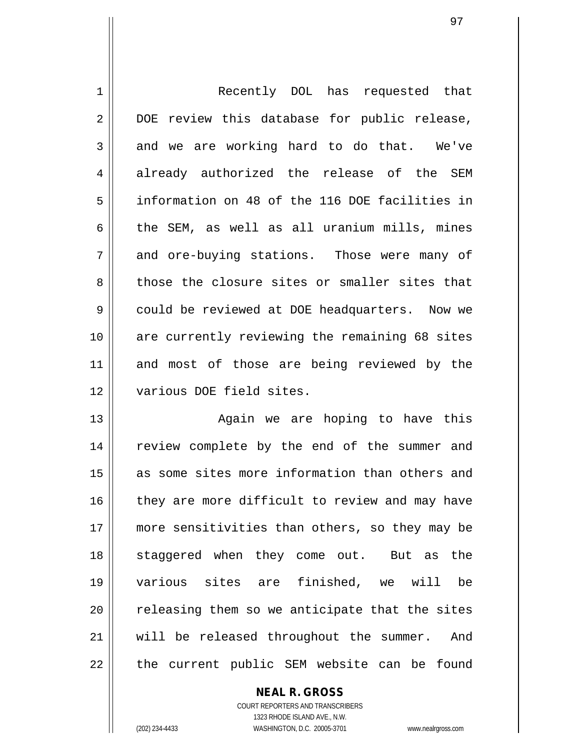1 || Recently DOL has requested that 2 || DOE review this database for public release,  $3 \parallel$  and we are working hard to do that. We've 4 || already authorized the release of the SEM 5 information on 48 of the 116 DOE facilities in 6  $\parallel$  the SEM, as well as all uranium mills, mines 7 and ore-buying stations. Those were many of 8 those the closure sites or smaller sites that 9 | could be reviewed at DOE headquarters. Now we 10 || are currently reviewing the remaining 68 sites 11 and most of those are being reviewed by the 12 || various DOE field sites.

13 || Again we are hoping to have this 14 || review complete by the end of the summer and 15 || as some sites more information than others and 16 || they are more difficult to review and may have 17 more sensitivities than others, so they may be 18 || staggered when they come out. But as the 19 various sites are finished, we will be  $20$   $\parallel$  releasing them so we anticipate that the sites 21 || will be released throughout the summer. And  $22$  || the current public SEM website can be found

> **NEAL R. GROSS** COURT REPORTERS AND TRANSCRIBERS 1323 RHODE ISLAND AVE., N.W. (202) 234-4433 WASHINGTON, D.C. 20005-3701 www.nealrgross.com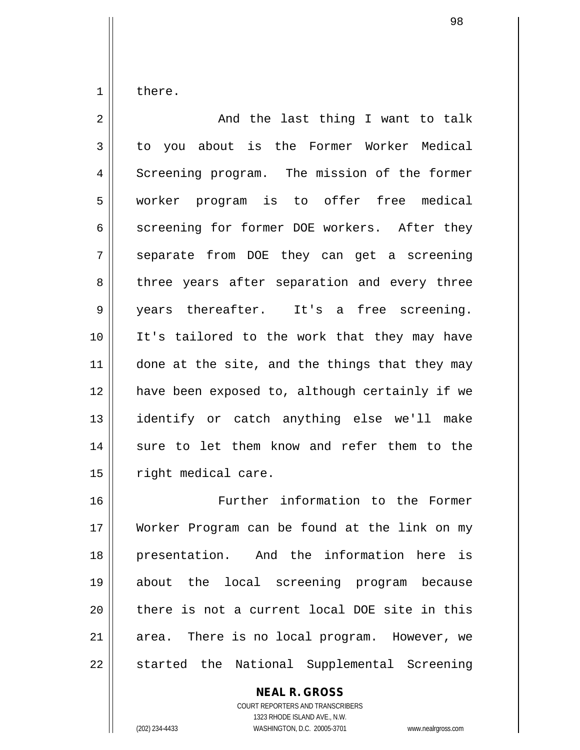1 | there.

| $\overline{2}$  | And the last thing I want to talk              |
|-----------------|------------------------------------------------|
| 3               | to you about is the Former Worker Medical      |
| $\overline{4}$  | Screening program. The mission of the former   |
| 5               | worker program is to offer free medical        |
| 6               | screening for former DOE workers. After they   |
| 7               | separate from DOE they can get a screening     |
| 8               | three years after separation and every three   |
| 9               | years thereafter. It's a free screening.       |
| 10 <sup>°</sup> | It's tailored to the work that they may have   |
| 11              | done at the site, and the things that they may |
| 12              | have been exposed to, although certainly if we |
| 13              | identify or catch anything else we'll make     |
| 14              | sure to let them know and refer them to the    |
| 15              | right medical care.                            |
| 16              | Further information to the Former              |

16 || Further information to the Former 17 Worker Program can be found at the link on my 18 || presentation. And the information here is about the local screening program because || there is not a current local DOE site in this area. There is no local program. However, we 22 || started the National Supplemental Screening

> **NEAL R. GROSS** COURT REPORTERS AND TRANSCRIBERS 1323 RHODE ISLAND AVE., N.W. (202) 234-4433 WASHINGTON, D.C. 20005-3701 www.nealrgross.com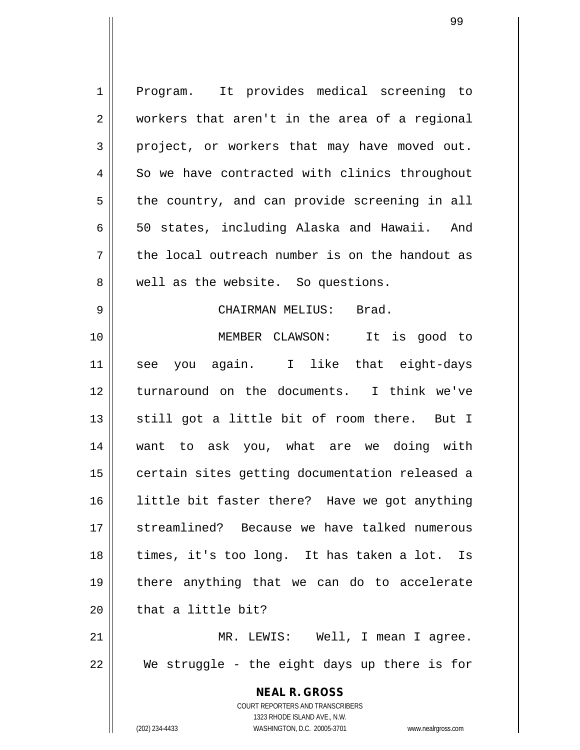**NEAL R. GROSS** COURT REPORTERS AND TRANSCRIBERS 1323 RHODE ISLAND AVE., N.W. (202) 234-4433 WASHINGTON, D.C. 20005-3701 www.nealrgross.com 1 Program. It provides medical screening to 2 || workers that aren't in the area of a regional  $3 \parallel$  project, or workers that may have moved out.  $4 \parallel$  So we have contracted with clinics throughout  $5 \parallel$  the country, and can provide screening in all 6  $\parallel$  50 states, including Alaska and Hawaii. And  $7 \parallel$  the local outreach number is on the handout as 8 || well as the website. So questions. 9 CHAIRMAN MELIUS: Brad. 10 MEMBER CLAWSON: It is good to 11 see you again. I like that eight-days 12 turnaround on the documents. I think we've 13  $\parallel$  still got a little bit of room there. But I 14 want to ask you, what are we doing with 15 | certain sites getting documentation released a 16 little bit faster there? Have we got anything 17 streamlined? Because we have talked numerous 18 times, it's too long. It has taken a lot. Is 19 there anything that we can do to accelerate  $20$   $\parallel$  that a little bit? 21 MR. LEWIS: Well, I mean I agree.  $22$   $\parallel$  We struggle - the eight days up there is for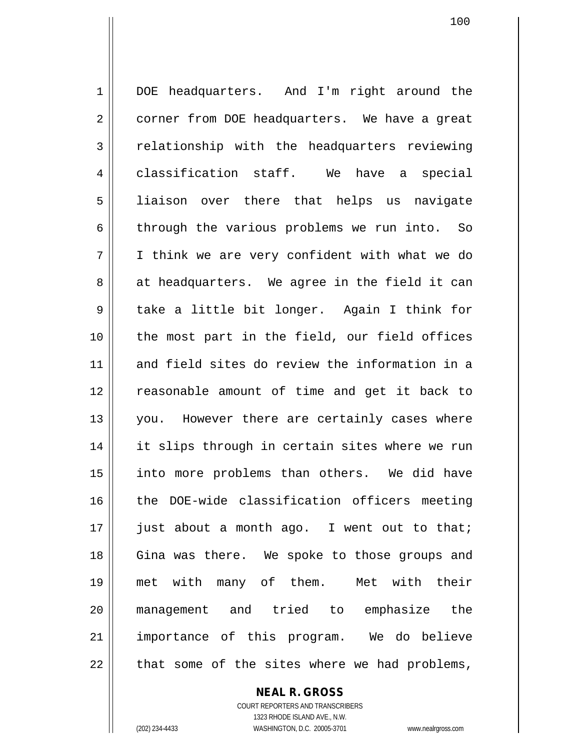1 | DOE headquarters. And I'm right around the 2 | corner from DOE headquarters. We have a great 3 | relationship with the headquarters reviewing 4 || classification staff. We have a special 5 || liaison over there that helps us navigate 6 through the various problems we run into. So 7 I think we are very confident with what we do  $8 \parallel$  at headquarters. We agree in the field it can 9 take a little bit longer. Again I think for 10 || the most part in the field, our field offices 11 and field sites do review the information in a 12 || reasonable amount of time and get it back to 13 || you. However there are certainly cases where 14 || it slips through in certain sites where we run 15 || into more problems than others. We did have 16 the DOE-wide classification officers meeting 17 || just about a month ago. I went out to that; 18 || Gina was there. We spoke to those groups and 19 met with many of them. Met with their 20 management and tried to emphasize the 21 importance of this program. We do believe  $22$  || that some of the sites where we had problems,

> COURT REPORTERS AND TRANSCRIBERS 1323 RHODE ISLAND AVE., N.W. (202) 234-4433 WASHINGTON, D.C. 20005-3701 www.nealrgross.com

**NEAL R. GROSS**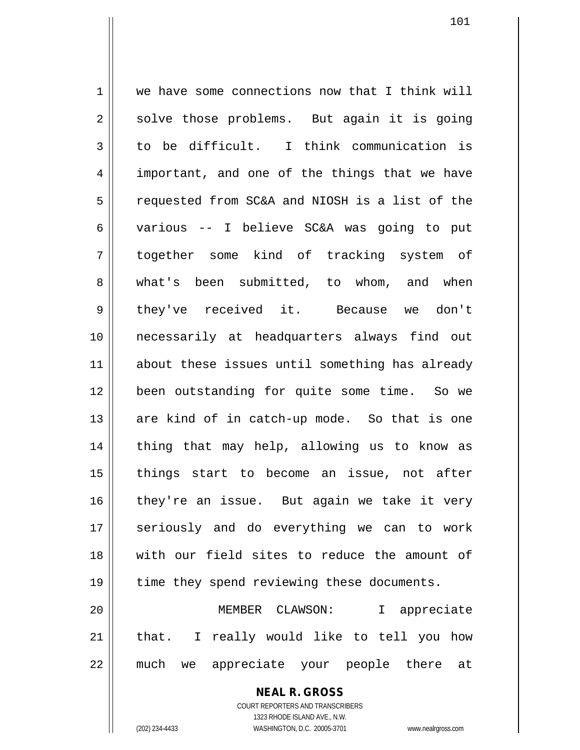1 | we have some connections now that I think will  $2 \parallel$  solve those problems. But again it is going  $3 \parallel$  to be difficult. I think communication is 4 || important, and one of the things that we have 5 | requested from SC&A and NIOSH is a list of the 6 various -- I believe SC&A was going to put 7 together some kind of tracking system of 8 what's been submitted, to whom, and when 9 they've received it. Because we don't 10 necessarily at headquarters always find out 11 || about these issues until something has already 12 been outstanding for quite some time. So we 13 || are kind of in catch-up mode. So that is one 14 || thing that may help, allowing us to know as 15 || things start to become an issue, not after 16 they're an issue. But again we take it very 17 || seriously and do everything we can to work 18 with our field sites to reduce the amount of 19 || time they spend reviewing these documents. 20 MEMBER CLAWSON: I appreciate 21 || that. I really would like to tell you how 22 || much we appreciate your people there at

> **NEAL R. GROSS** COURT REPORTERS AND TRANSCRIBERS

> > 1323 RHODE ISLAND AVE., N.W.

(202) 234-4433 WASHINGTON, D.C. 20005-3701 www.nealrgross.com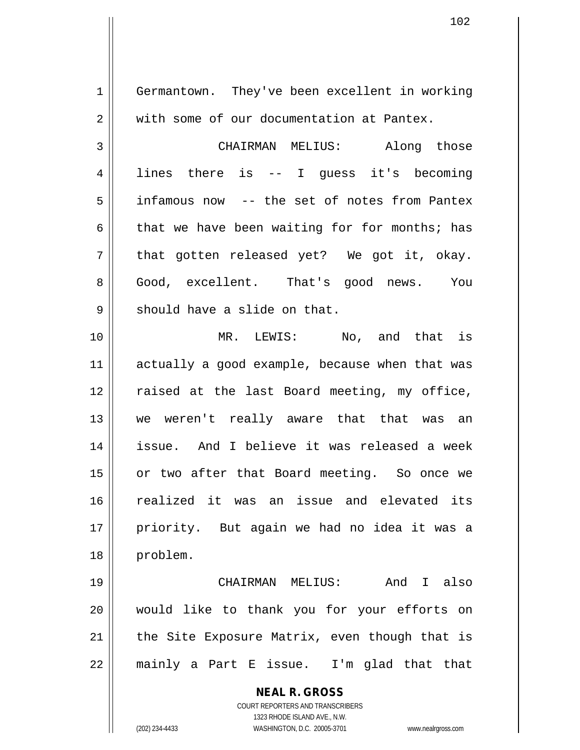**NEAL R. GROSS** COURT REPORTERS AND TRANSCRIBERS 1323 RHODE ISLAND AVE., N.W. (202) 234-4433 WASHINGTON, D.C. 20005-3701 www.nealrgross.com 1 Germantown. They've been excellent in working 2 || with some of our documentation at Pantex. 3 CHAIRMAN MELIUS: Along those 4 || lines there is -- I quess it's becoming 5 infamous now -- the set of notes from Pantex 6 that we have been waiting for for months; has  $7 \parallel$  that gotten released yet? We got it, okay. 8 Good, excellent. That's good news. You  $9 \parallel$  should have a slide on that. 10 || MR. LEWIS: No, and that is 11 || actually a good example, because when that was 12 || raised at the last Board meeting, my office, 13 we weren't really aware that that was an 14 issue. And I believe it was released a week 15 || or two after that Board meeting. So once we 16 realized it was an issue and elevated its 17 || priority. But again we had no idea it was a 18 problem. 19 CHAIRMAN MELIUS: And I also 20 would like to thank you for your efforts on 21  $\parallel$  the Site Exposure Matrix, even though that is  $22$  || mainly a Part E issue. I'm glad that that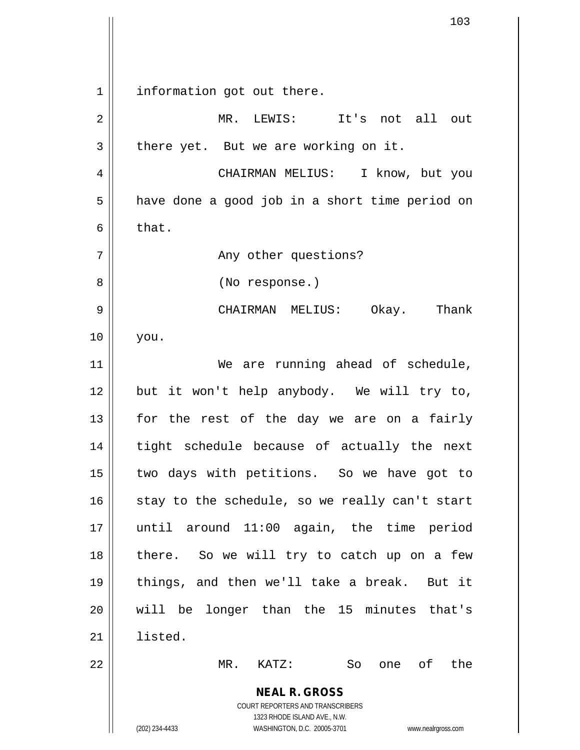**NEAL R. GROSS** COURT REPORTERS AND TRANSCRIBERS 1323 RHODE ISLAND AVE., N.W. (202) 234-4433 WASHINGTON, D.C. 20005-3701 www.nealrgross.com 1 || information got out there. 2 MR. LEWIS: It's not all out  $3 \parallel$  there yet. But we are working on it. 4 | CHAIRMAN MELIUS: I know, but you  $5 \parallel$  have done a good job in a short time period on  $6 \parallel$  that. 7 Any other questions? 8 || (No response.) 9 CHAIRMAN MELIUS: Okay. Thank 10 you. 11 || We are running ahead of schedule, 12 but it won't help anybody. We will try to,  $13$  for the rest of the day we are on a fairly 14 || tight schedule because of actually the next 15 two days with petitions. So we have got to 16  $\parallel$  stay to the schedule, so we really can't start 17 until around 11:00 again, the time period 18 || there. So we will try to catch up on a few 19 things, and then we'll take a break. But it 20 will be longer than the 15 minutes that's 21 listed. 22 MR. KATZ: So one of the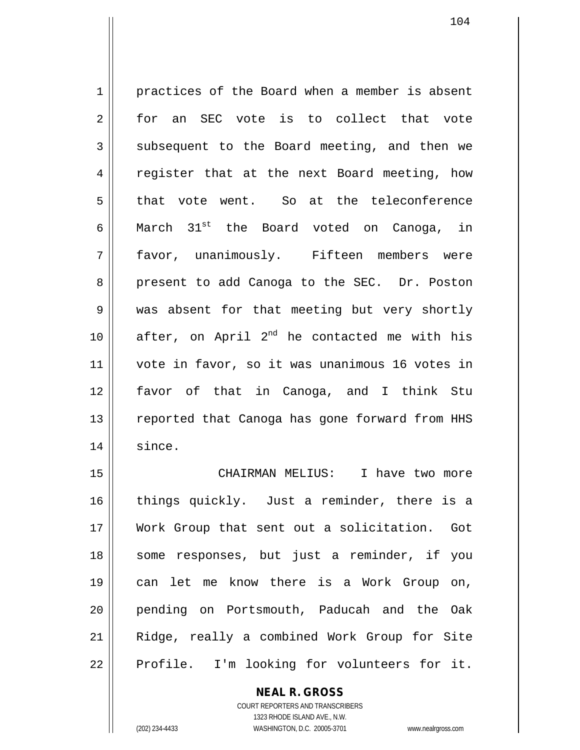1 practices of the Board when a member is absent 2 for an SEC vote is to collect that vote 3 Subsequent to the Board meeting, and then we 4 || register that at the next Board meeting, how 5 that vote went. So at the teleconference 6 March  $31^{st}$  the Board voted on Canoga, in 7 favor, unanimously. Fifteen members were 8 present to add Canoga to the SEC. Dr. Poston 9 We was absent for that meeting but very shortly 10  $\parallel$  after, on April 2<sup>nd</sup> he contacted me with his 11 vote in favor, so it was unanimous 16 votes in 12 favor of that in Canoga, and I think Stu 13 || reported that Canoga has gone forward from HHS 14 since.

 CHAIRMAN MELIUS: I have two more things quickly. Just a reminder, there is a Work Group that sent out a solicitation. Got 18 || some responses, but just a reminder, if you can let me know there is a Work Group on, pending on Portsmouth, Paducah and the Oak Ridge, really a combined Work Group for Site  $22 \parallel$  Profile. I'm looking for volunteers for it.

## **NEAL R. GROSS**

COURT REPORTERS AND TRANSCRIBERS 1323 RHODE ISLAND AVE., N.W. (202) 234-4433 WASHINGTON, D.C. 20005-3701 www.nealrgross.com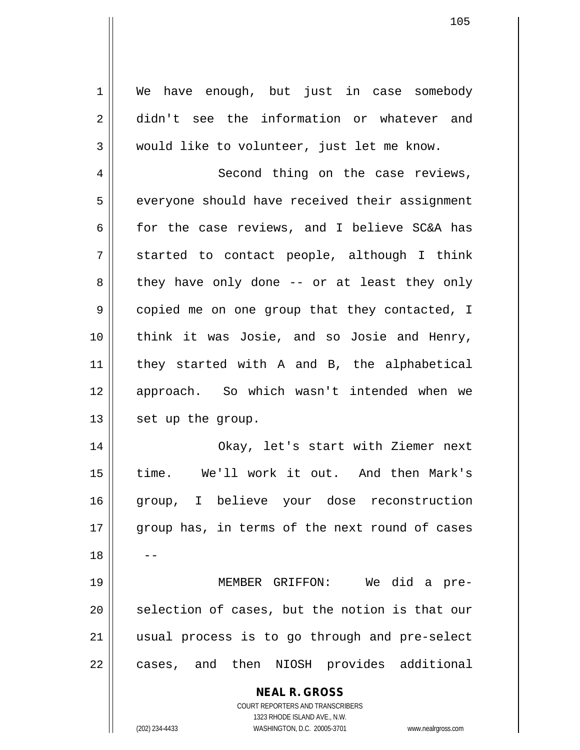1 We have enough, but just in case somebody 2 didn't see the information or whatever and 3 would like to volunteer, just let me know.

4 || Second thing on the case reviews,  $5 \parallel$  everyone should have received their assignment 6  $\parallel$  for the case reviews, and I believe SC&A has  $7 \parallel$  started to contact people, although I think  $8 \parallel$  they have only done -- or at least they only 9 || copied me on one group that they contacted, I 10 || think it was Josie, and so Josie and Henry, 11 they started with A and B, the alphabetical 12 || approach. So which wasn't intended when we 13 | set up the group.

14 Okay, let's start with Ziemer next 15 time. We'll work it out. And then Mark's 16 group, I believe your dose reconstruction 17 || group has, in terms of the next round of cases  $18$ 

 MEMBER GRIFFON: We did a pre- selection of cases, but the notion is that our usual process is to go through and pre-select 22 || cases, and then NIOSH provides additional

> **NEAL R. GROSS** COURT REPORTERS AND TRANSCRIBERS

> > 1323 RHODE ISLAND AVE., N.W.

(202) 234-4433 WASHINGTON, D.C. 20005-3701 www.nealrgross.com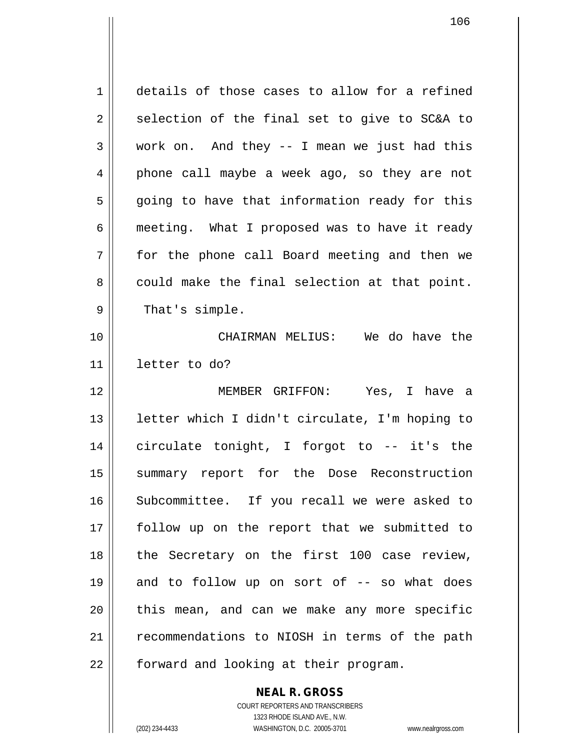1 details of those cases to allow for a refined  $2 \parallel$  selection of the final set to give to SC&A to  $3 \parallel$  work on. And they -- I mean we just had this 4 || phone call maybe a week ago, so they are not  $5 \parallel$  going to have that information ready for this 6 meeting. What I proposed was to have it ready 7 for the phone call Board meeting and then we  $8 \parallel$  could make the final selection at that point. 9 || That's simple. 10 CHAIRMAN MELIUS: We do have the 11 letter to do? 12 MEMBER GRIFFON: Yes, I have a 13 letter which I didn't circulate, I'm hoping to 14 circulate tonight, I forgot to -- it's the 15 || summary report for the Dose Reconstruction 16 Subcommittee. If you recall we were asked to 17 || follow up on the report that we submitted to 18 || the Secretary on the first 100 case review,  $19$  and to follow up on sort of  $-$  so what does  $20$  || this mean, and can we make any more specific 21 | recommendations to NIOSH in terms of the path 22 | forward and looking at their program.

> **NEAL R. GROSS** COURT REPORTERS AND TRANSCRIBERS

1323 RHODE ISLAND AVE., N.W. (202) 234-4433 WASHINGTON, D.C. 20005-3701 www.nealrgross.com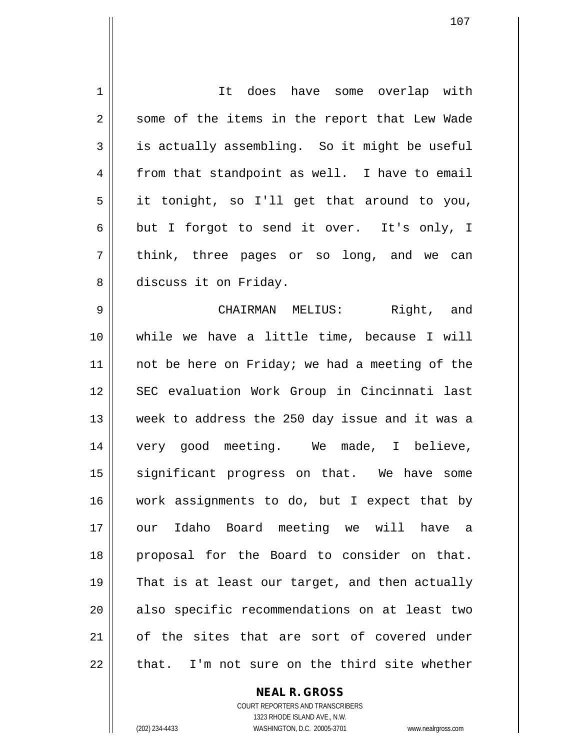| 1  | It does have some overlap with                 |
|----|------------------------------------------------|
| 2  | some of the items in the report that Lew Wade  |
| 3  | is actually assembling. So it might be useful  |
| 4  | from that standpoint as well. I have to email  |
| 5  | it tonight, so I'll get that around to you,    |
| 6  | but I forgot to send it over. It's only, I     |
| 7  | think, three pages or so long, and we can      |
| 8  | discuss it on Friday.                          |
| 9  | CHAIRMAN MELIUS: Right, and                    |
| 10 | while we have a little time, because I will    |
| 11 | not be here on Friday; we had a meeting of the |
| 12 | SEC evaluation Work Group in Cincinnati last   |
| 13 | week to address the 250 day issue and it was a |
| 14 | very good meeting. We made, I believe,         |
| 15 | significant progress on that. We have some     |
| 16 | work assignments to do, but I expect that by   |
| 17 | our Idaho Board meeting we will have a         |
| 18 | proposal for the Board to consider on that.    |
| 19 | That is at least our target, and then actually |
| 20 | also specific recommendations on at least two  |
| 21 | of the sites that are sort of covered under    |
| 22 | that. I'm not sure on the third site whether   |

**NEAL R. GROSS**

COURT REPORTERS AND TRANSCRIBERS 1323 RHODE ISLAND AVE., N.W. (202) 234-4433 WASHINGTON, D.C. 20005-3701 www.nealrgross.com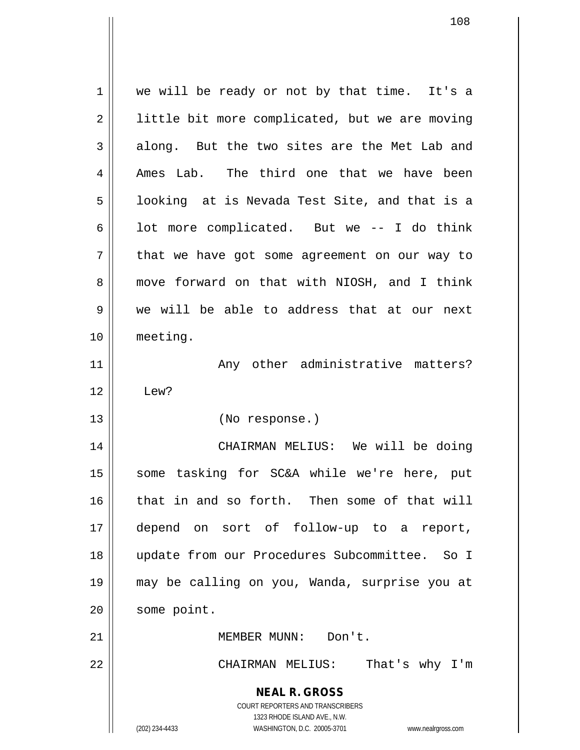**NEAL R. GROSS** COURT REPORTERS AND TRANSCRIBERS 1323 RHODE ISLAND AVE., N.W. (202) 234-4433 WASHINGTON, D.C. 20005-3701 www.nealrgross.com 1 || we will be ready or not by that time. It's a 2 | little bit more complicated, but we are moving  $3 \parallel$  along. But the two sites are the Met Lab and  $4 \parallel$  Ames Lab. The third one that we have been  $5 \parallel$  looking at is Nevada Test Site, and that is a  $6 \parallel$  lot more complicated. But we -- I do think  $7$  || that we have got some agreement on our way to 8 move forward on that with NIOSH, and I think 9 we will be able to address that at our next 10 meeting. 11 || Any other administrative matters?  $12 \parallel$  Lew? 13 (No response.) 14 CHAIRMAN MELIUS: We will be doing 15 || some tasking for SC&A while we're here, put 16 that in and so forth. Then some of that will 17 depend on sort of follow-up to a report, 18 update from our Procedures Subcommittee. So I 19 may be calling on you, Wanda, surprise you at 20 | some point. 21 | **MEMBER MUNN:** Don't. 22 CHAIRMAN MELIUS: That's why I'm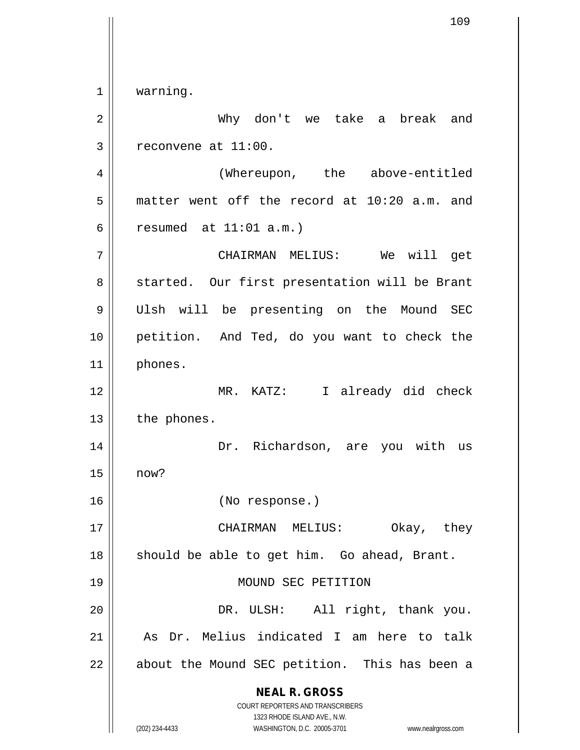**NEAL R. GROSS** COURT REPORTERS AND TRANSCRIBERS 1323 RHODE ISLAND AVE., N.W. (202) 234-4433 WASHINGTON, D.C. 20005-3701 www.nealrgross.com 1 | warning. Why don't we take a break and  $3 \parallel$  reconvene at 11:00. (Whereupon, the above-entitled  $5 \parallel$  matter went off the record at 10:20 a.m. and resumed at  $11:01$  a.m.) CHAIRMAN MELIUS: We will get 8 || started. Our first presentation will be Brant Ulsh will be presenting on the Mound SEC petition. And Ted, do you want to check the phones. MR. KATZ: I already did check || the phones. Dr. Richardson, are you with us now? (No response.) CHAIRMAN MELIUS: Okay, they should be able to get him. Go ahead, Brant. 19 || MOUND SEC PETITION DR. ULSH: All right, thank you. | As Dr. Melius indicated I am here to talk || about the Mound SEC petition. This has been a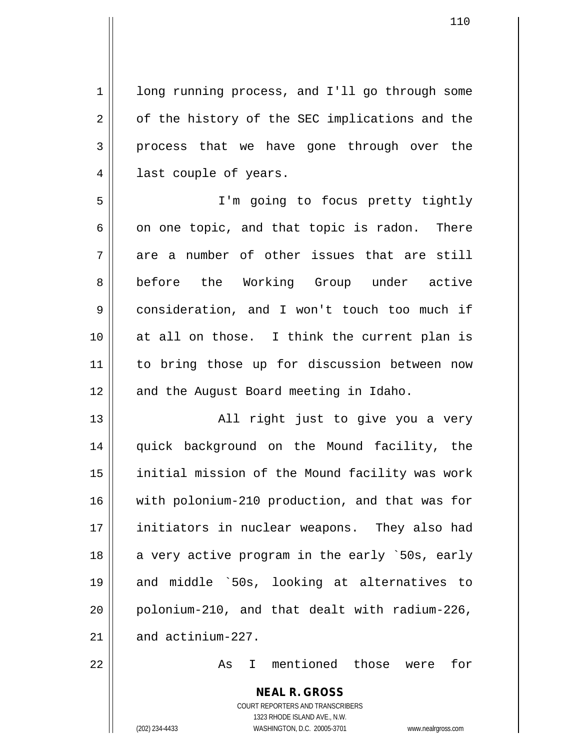1 | long running process, and I'll go through some  $2 \parallel$  of the history of the SEC implications and the 3 process that we have gone through over the 4 || last couple of years.

 I'm going to focus pretty tightly  $6 \parallel$  on one topic, and that topic is radon. There are a number of other issues that are still 8 before the Working Group under active consideration, and I won't touch too much if at all on those. I think the current plan is to bring those up for discussion between now 12 || and the August Board meeting in Idaho.

13 || All right just to give you a very quick background on the Mound facility, the 15 || initial mission of the Mound facility was work with polonium-210 production, and that was for initiators in nuclear weapons. They also had 18 || a very active program in the early `50s, early and middle `50s, looking at alternatives to polonium-210, and that dealt with radium-226,  $\parallel$  and actinium-227.

22 As I mentioned those were for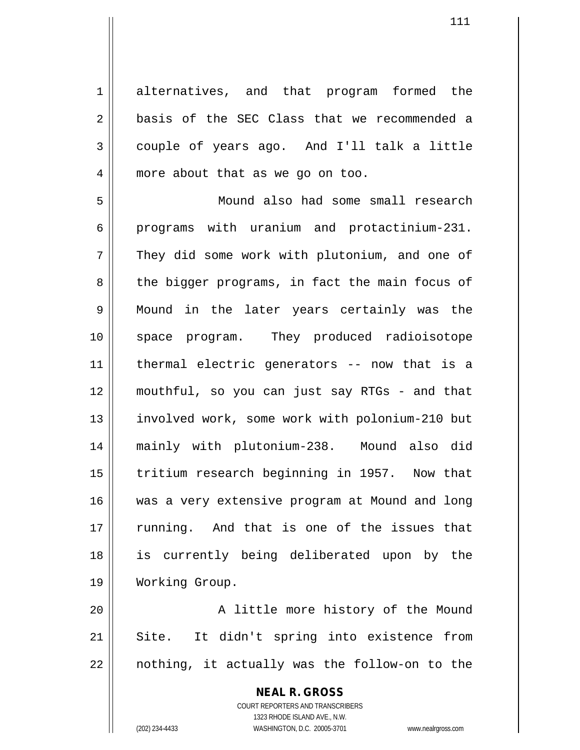1 alternatives, and that program formed the 2 **basis of the SEC Class that we recommended a**  $3 \parallel$  couple of years ago. And I'll talk a little 4 || more about that as we go on too.

 Mound also had some small research programs with uranium and protactinium-231. 7 They did some work with plutonium, and one of  $8 \parallel$  the bigger programs, in fact the main focus of Mound in the later years certainly was the space program. They produced radioisotope thermal electric generators -- now that is a mouthful, so you can just say RTGs - and that involved work, some work with polonium-210 but mainly with plutonium-238. Mound also did 15 || tritium research beginning in 1957. Now that was a very extensive program at Mound and long 17 || running. And that is one of the issues that is currently being deliberated upon by the Working Group.

20 || A little more history of the Mound 21 || Site. It didn't spring into existence from  $22$  || nothing, it actually was the follow-on to the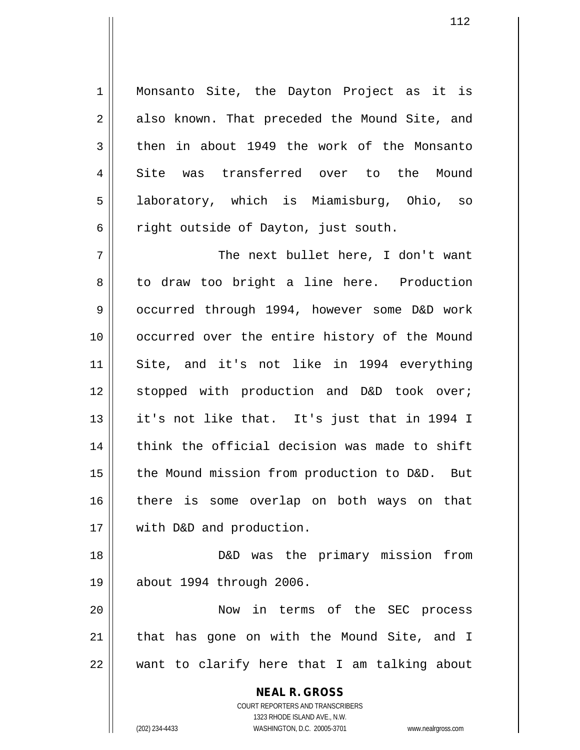1 || Monsanto Site, the Dayton Project as it is 2 || also known. That preceded the Mound Site, and  $3 \parallel$  then in about 1949 the work of the Monsanto 4 Site was transferred over to the Mound 5 laboratory, which is Miamisburg, Ohio, so  $6 \parallel$  right outside of Dayton, just south.

7 The next bullet here, I don't want 8 || to draw too bright a line here. Production 9 occurred through 1994, however some D&D work 10 occurred over the entire history of the Mound 11 Site, and it's not like in 1994 everything 12 || stopped with production and D&D took over; 13 it's not like that. It's just that in 1994 I  $14$   $\parallel$  think the official decision was made to shift 15 || the Mound mission from production to D&D. But 16 || there is some overlap on both ways on that 17 || with D&D and production.

18 D&D was the primary mission from 19 about 1994 through 2006.

20 Now in terms of the SEC process  $21$  | that has gone on with the Mound Site, and I 22 want to clarify here that I am talking about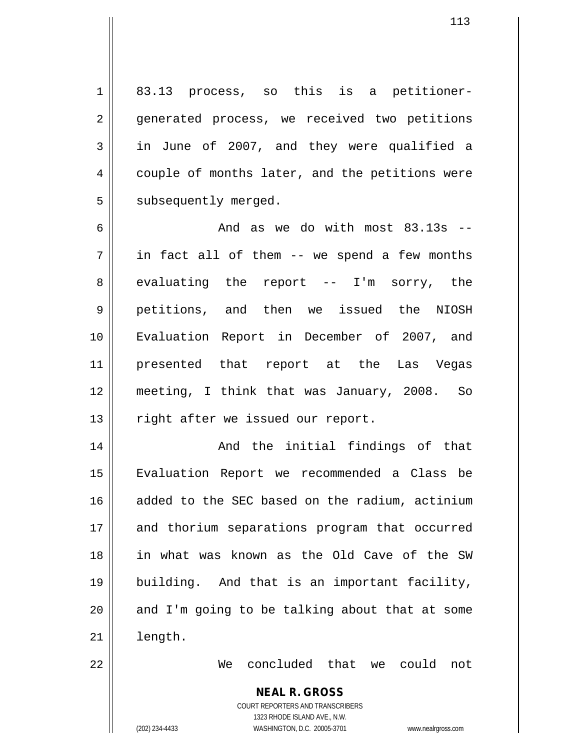$1 \parallel 83.13$  process, so this is a petitioner-2 || generated process, we received two petitions  $3 \parallel$  in June of 2007, and they were qualified a 4 couple of months later, and the petitions were  $5$  | subsequently merged.

 $\parallel$  and as we do with most 83.13s -- $7 \parallel$  in fact all of them -- we spend a few months  $8 \parallel$  evaluating the report -- I'm sorry, the petitions, and then we issued the NIOSH Evaluation Report in December of 2007, and presented that report at the Las Vegas meeting, I think that was January, 2008. So 13 || right after we issued our report.

 And the initial findings of that Evaluation Report we recommended a Class be added to the SEC based on the radium, actinium 17 || and thorium separations program that occurred in what was known as the Old Cave of the SW building. And that is an important facility, || and I'm going to be talking about that at some 21 | length.

22 We concluded that we could not

#### **NEAL R. GROSS** COURT REPORTERS AND TRANSCRIBERS

1323 RHODE ISLAND AVE., N.W. (202) 234-4433 WASHINGTON, D.C. 20005-3701 www.nealrgross.com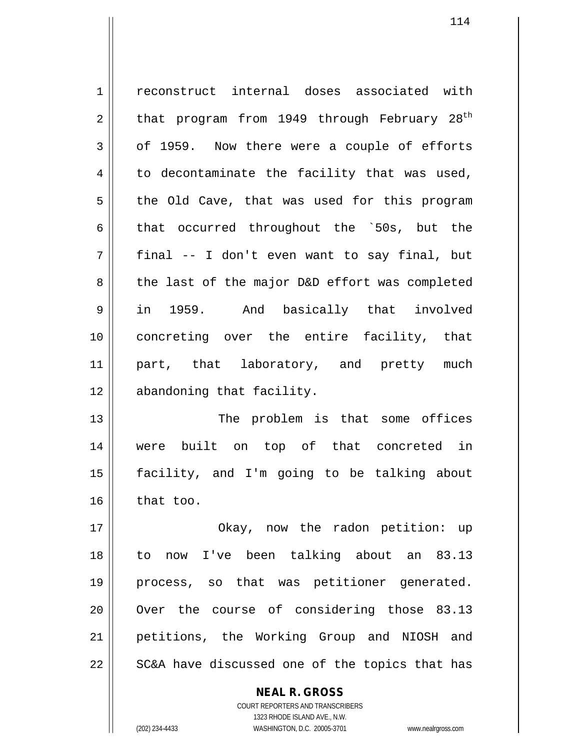1 | reconstruct internal doses associated with  $2 \parallel$  that program from 1949 through February  $28^{\text{th}}$  $3 \parallel$  of 1959. Now there were a couple of efforts  $4 \parallel$  to decontaminate the facility that was used,  $5 \parallel$  the Old Cave, that was used for this program  $6 \parallel$  that occurred throughout the `50s, but the  $7 \parallel$  final -- I don't even want to say final, but 8 the last of the major D&D effort was completed 9 in 1959. And basically that involved 10 concreting over the entire facility, that 11 || part, that laboratory, and pretty much 12 abandoning that facility. 13 || The problem is that some offices 14 were built on top of that concreted in 15 facility, and I'm going to be talking about  $16$  that too. 17 || Ckay, now the radon petition: up 18 to now I've been talking about an 83.13 19 process, so that was petitioner generated.

21 petitions, the Working Group and NIOSH and  $22 \parallel$  SC&A have discussed one of the topics that has

20 || Over the course of considering those 83.13

**NEAL R. GROSS** COURT REPORTERS AND TRANSCRIBERS

1323 RHODE ISLAND AVE., N.W.

(202) 234-4433 WASHINGTON, D.C. 20005-3701 www.nealrgross.com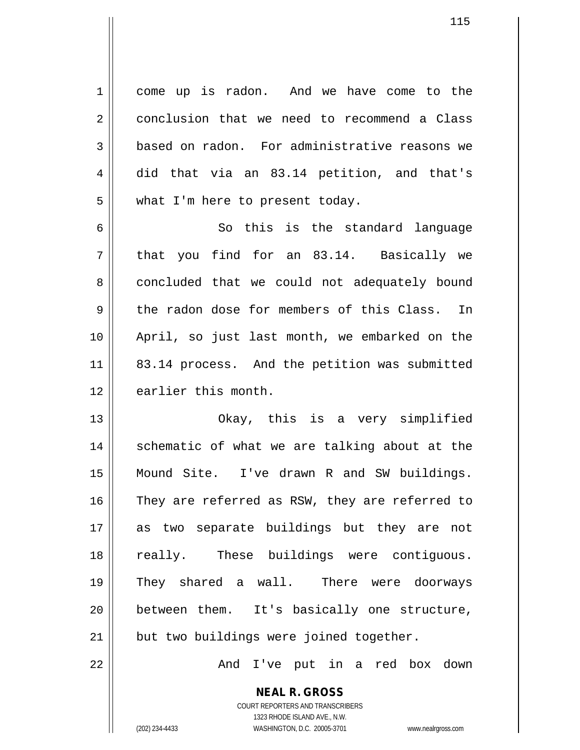1 come up is radon. And we have come to the 2 conclusion that we need to recommend a Class 3 based on radon. For administrative reasons we 4 did that via an 83.14 petition, and that's  $5 \parallel$  what I'm here to present today.

6 So this is the standard language  $7 \parallel$  that you find for an 83.14. Basically we 8 concluded that we could not adequately bound  $9 \parallel$  the radon dose for members of this Class. In 10 April, so just last month, we embarked on the 11 || 83.14 process. And the petition was submitted 12 || earlier this month.

 Okay, this is a very simplified 14 || schematic of what we are talking about at the Mound Site. I've drawn R and SW buildings. 16 They are referred as RSW, they are referred to as two separate buildings but they are not 18 || really. These buildings were contiguous. They shared a wall. There were doorways between them. It's basically one structure, | but two buildings were joined together.

22 And I've put in a red box down

COURT REPORTERS AND TRANSCRIBERS 1323 RHODE ISLAND AVE., N.W. (202) 234-4433 WASHINGTON, D.C. 20005-3701 www.nealrgross.com

**NEAL R. GROSS**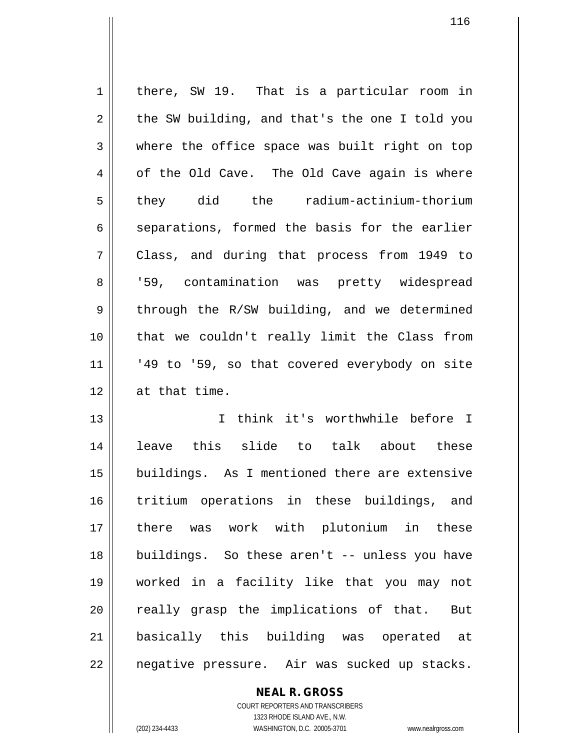1 | there, SW 19. That is a particular room in  $2 \parallel$  the SW building, and that's the one I told you  $3 \parallel$  where the office space was built right on top  $4 \parallel$  of the Old Cave. The Old Cave again is where 5 they did the radium-actinium-thorium  $6 \parallel$  separations, formed the basis for the earlier 7 Class, and during that process from 1949 to 8 || '59, contamination was pretty widespread  $9 \parallel$  through the R/SW building, and we determined 10 || that we couldn't really limit the Class from  $11$  | '49 to '59, so that covered everybody on site 12 at that time. 13 || T think it's worthwhile before I 14 leave this slide to talk about these 15 buildings. As I mentioned there are extensive 16 tritium operations in these buildings, and 17 there was work with plutonium in these 18 buildings. So these aren't -- unless you have 19 worked in a facility like that you may not  $20$  || really grasp the implications of that. But 21 basically this building was operated at

22 | negative pressure. Air was sucked up stacks.

COURT REPORTERS AND TRANSCRIBERS 1323 RHODE ISLAND AVE., N.W. (202) 234-4433 WASHINGTON, D.C. 20005-3701 www.nealrgross.com

**NEAL R. GROSS**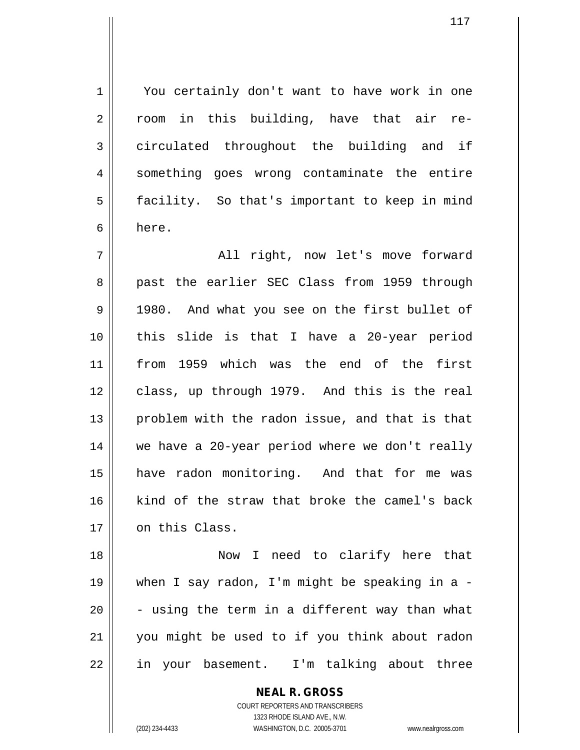1 | You certainly don't want to have work in one 2 || room in this building, have that air re-3 circulated throughout the building and if 4 || something goes wrong contaminate the entire 5 | facility. So that's important to keep in mind 6 here.

7 All right, now let's move forward 8 || past the earlier SEC Class from 1959 through 9 || 1980. And what you see on the first bullet of 10 this slide is that I have a 20-year period 11 from 1959 which was the end of the first 12 class, up through 1979. And this is the real  $13$  || problem with the radon issue, and that is that 14 we have a 20-year period where we don't really 15 have radon monitoring. And that for me was 16 kind of the straw that broke the camel's back 17 on this Class.

 Now I need to clarify here that when I say radon, I'm might be speaking in a -  $\vert$  - using the term in a different way than what you might be used to if you think about radon 22 || in your basement. I'm talking about three

> **NEAL R. GROSS** COURT REPORTERS AND TRANSCRIBERS 1323 RHODE ISLAND AVE., N.W.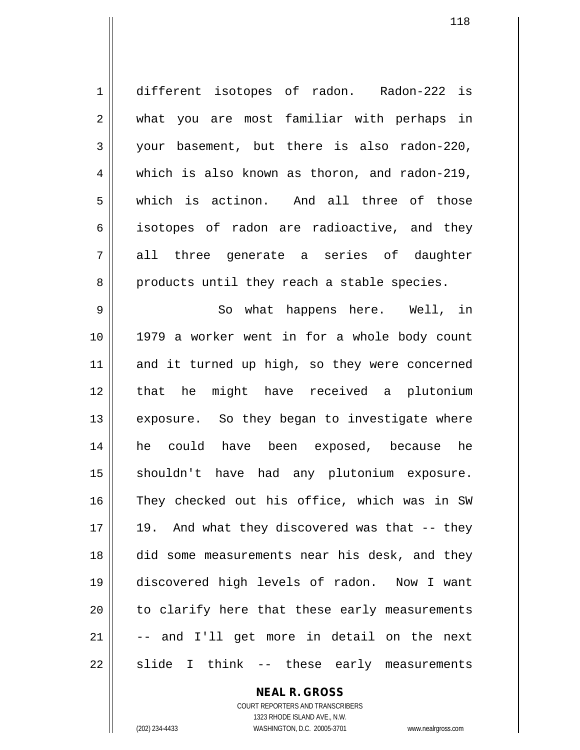| $\mathbf 1$ | different isotopes of radon. Radon-222 is     |
|-------------|-----------------------------------------------|
| 2           | what you are most familiar with perhaps in    |
| 3           | your basement, but there is also radon-220,   |
| 4           | which is also known as thoron, and radon-219, |
| 5           | which is actinon. And all three of those      |
| 6           | isotopes of radon are radioactive, and they   |
| 7           | all three generate a series of daughter       |
| 8           | products until they reach a stable species.   |
| 9           | So what happens here. Well, in                |
| 10          | 1979 a worker went in for a whole body count  |
| 11          | and it turned up high, so they were concerned |
| 12          | that he might have received a plutonium       |
| 13          | exposure. So they began to investigate where  |
| 14          | he could have been exposed, because he        |
| 15          | shouldn't have had any plutonium exposure.    |
| 16          | They checked out his office, which was in SW  |
| 17          | 19. And what they discovered was that -- they |
| 18          | did some measurements near his desk, and they |
| 19          | discovered high levels of radon. Now I want   |
| 20          | to clarify here that these early measurements |
| 21          | -- and I'll get more in detail on the next    |
| 22          | slide I think -- these early measurements     |

**NEAL R. GROSS**

COURT REPORTERS AND TRANSCRIBERS 1323 RHODE ISLAND AVE., N.W. (202) 234-4433 WASHINGTON, D.C. 20005-3701 www.nealrgross.com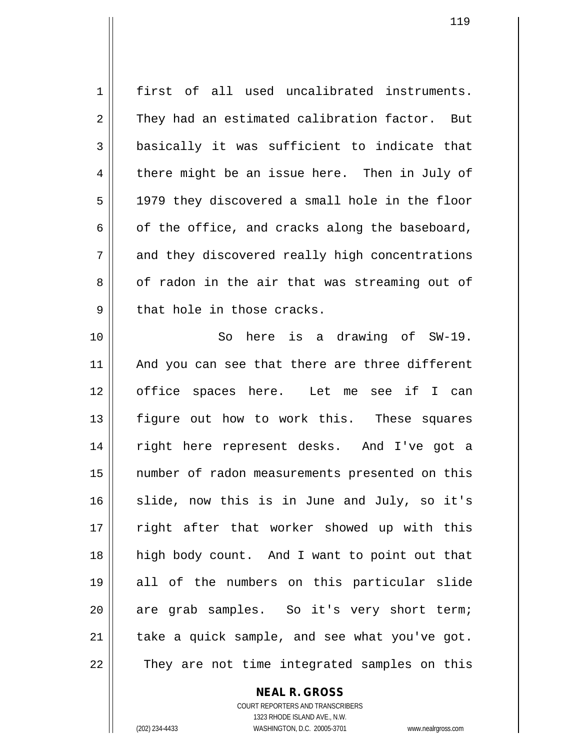1 first of all used uncalibrated instruments.  $2 \parallel$  They had an estimated calibration factor. But  $3 \parallel$  basically it was sufficient to indicate that  $4 \parallel$  there might be an issue here. Then in July of  $5 \parallel$  1979 they discovered a small hole in the floor  $6 \parallel$  of the office, and cracks along the baseboard, 7 and they discovered really high concentrations 8 of radon in the air that was streaming out of  $9$  || that hole in those cracks. 10 So here is a drawing of SW-19. 11 || And you can see that there are three different 12 office spaces here. Let me see if I can 13 || figure out how to work this. These squares 14 right here represent desks. And I've got a 15 number of radon measurements presented on this 16 || slide, now this is in June and July, so it's 17 || right after that worker showed up with this 18 high body count. And I want to point out that 19 all of the numbers on this particular slide 20 || are grab samples. So it's very short term;  $21$  | take a quick sample, and see what you've got. 22 || They are not time integrated samples on this

**NEAL R. GROSS**

COURT REPORTERS AND TRANSCRIBERS 1323 RHODE ISLAND AVE., N.W. (202) 234-4433 WASHINGTON, D.C. 20005-3701 www.nealrgross.com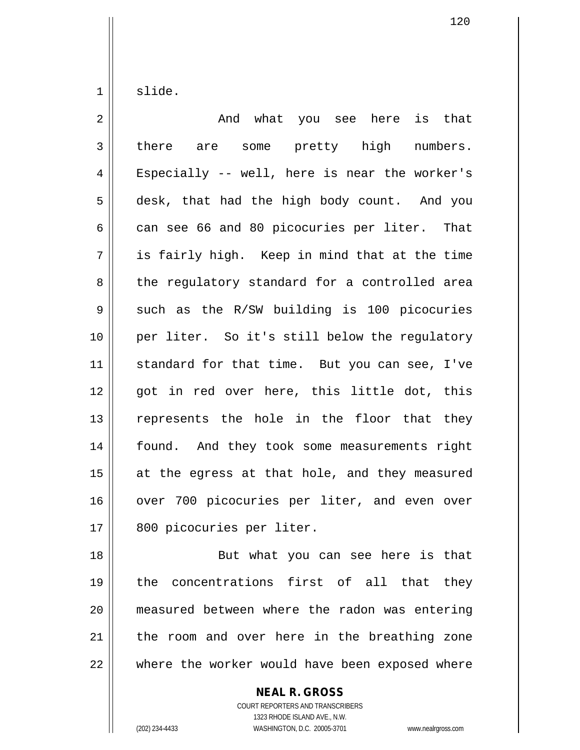$1 \parallel$  slide.

| $\overline{2}$ | And<br>what you see here<br>is that           |
|----------------|-----------------------------------------------|
| 3              | some pretty high<br>numbers.<br>there are     |
| 4              | Especially -- well, here is near the worker's |
| 5              | desk, that had the high body count. And you   |
| 6              | can see 66 and 80 picocuries per liter. That  |
| 7              | is fairly high. Keep in mind that at the time |
| 8              | the regulatory standard for a controlled area |
| 9              | such as the R/SW building is 100 picocuries   |
| 10             | per liter. So it's still below the regulatory |
| 11             | standard for that time. But you can see, I've |
| 12             | got in red over here, this little dot, this   |
| 13             | represents the hole in the floor that they    |
| 14             | found. And they took some measurements right  |
| 15             | at the egress at that hole, and they measured |
| 16             | over 700 picocuries per liter, and even over  |
| 17             | 800 picocuries per liter.                     |
| 18             | But what you can see here is that             |
| 19             | the concentrations first of all that they     |

20 | measured between where the radon was entering the room and over here in the breathing zone where the worker would have been exposed where

### **NEAL R. GROSS** COURT REPORTERS AND TRANSCRIBERS 1323 RHODE ISLAND AVE., N.W.

(202) 234-4433 WASHINGTON, D.C. 20005-3701 www.nealrgross.com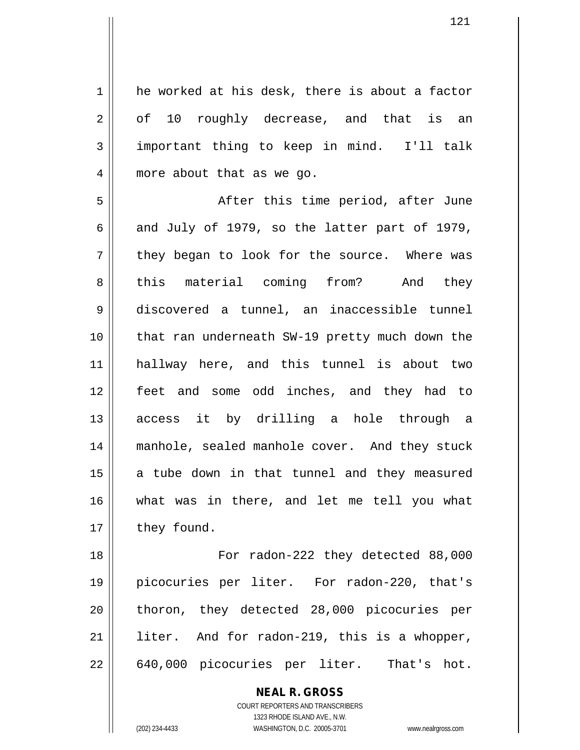1 he worked at his desk, there is about a factor  $2 \parallel$  of 10 roughly decrease, and that is an 3 important thing to keep in mind. I'll talk 4 || more about that as we go.

 After this time period, after June 6 and July of 1979, so the latter part of 1979,  $7 \parallel$  they began to look for the source. Where was 8 || this material coming from? And they discovered a tunnel, an inaccessible tunnel that ran underneath SW-19 pretty much down the hallway here, and this tunnel is about two feet and some odd inches, and they had to 13 || access it by drilling a hole through a 14 || manhole, sealed manhole cover. And they stuck a tube down in that tunnel and they measured what was in there, and let me tell you what | they found.

18 || For radon-222 they detected 88,000 19 picocuries per liter. For radon-220, that's 20 || thoron, they detected 28,000 picocuries per 21 || liter. And for radon-219, this is a whopper, 22 || 640,000 picocuries per liter. That's hot.

> COURT REPORTERS AND TRANSCRIBERS 1323 RHODE ISLAND AVE., N.W. (202) 234-4433 WASHINGTON, D.C. 20005-3701 www.nealrgross.com

**NEAL R. GROSS**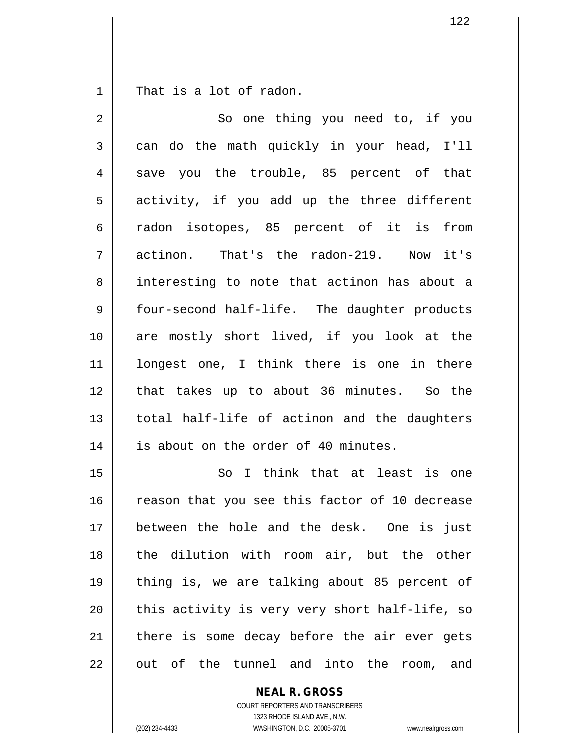$1 \parallel$  That is a lot of radon.

 $\mathsf{I}$ 

| 2  | So one thing you need to, if you               |
|----|------------------------------------------------|
| 3  | can do the math quickly in your head, I'll     |
| 4  | save you the trouble, 85 percent of that       |
| 5  | activity, if you add up the three different    |
| б  | radon isotopes, 85 percent of it is from       |
| 7  | actinon. That's the radon-219. Now it's        |
| 8  | interesting to note that actinon has about a   |
| 9  | four-second half-life. The daughter products   |
| 10 | are mostly short lived, if you look at the     |
| 11 | longest one, I think there is one in there     |
| 12 | that takes up to about 36 minutes. So the      |
| 13 | total half-life of actinon and the daughters   |
| 14 | is about on the order of 40 minutes.           |
| 15 | So I think that at least is one                |
| 16 | reason that you see this factor of 10 decrease |
| 17 | between the hole and the desk. One is just     |
| 18 | the dilution with room air, but the other      |
| 19 | thing is, we are talking about 85 percent of   |
| 20 | this activity is very very short half-life, so |
| 21 | there is some decay before the air ever gets   |
| 22 | out of the tunnel and into the<br>room,<br>and |

**NEAL R. GROSS**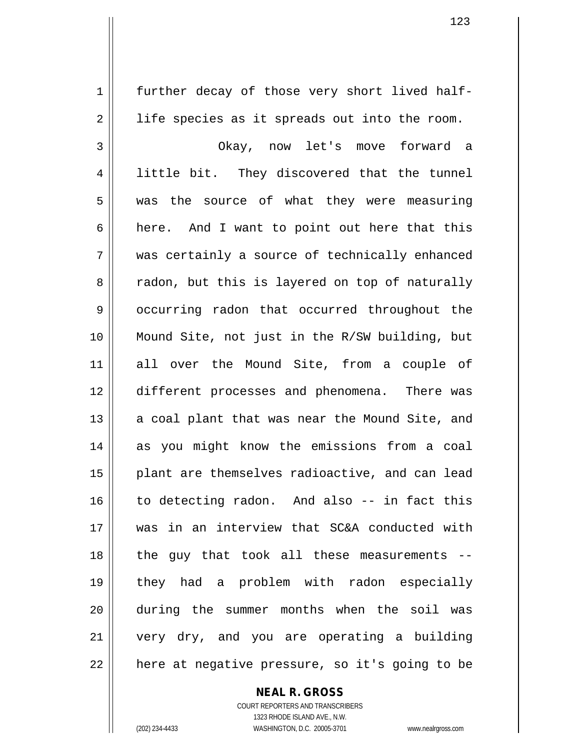1 | further decay of those very short lived half- $2 \parallel$  life species as it spreads out into the room. Okay, now let's move forward a 4 || little bit. They discovered that the tunnel 5 || was the source of what they were measuring  $6 \parallel$  here. And I want to point out here that this was certainly a source of technically enhanced 8 T radon, but this is layered on top of naturally 9 | occurring radon that occurred throughout the Mound Site, not just in the R/SW building, but all over the Mound Site, from a couple of different processes and phenomena. There was || a coal plant that was near the Mound Site, and as you might know the emissions from a coal 15 || plant are themselves radioactive, and can lead to detecting radon. And also -- in fact this was in an interview that SC&A conducted with the guy that took all these measurements -- they had a problem with radon especially during the summer months when the soil was very dry, and you are operating a building || here at negative pressure, so it's going to be

#### **NEAL R. GROSS**

COURT REPORTERS AND TRANSCRIBERS 1323 RHODE ISLAND AVE., N.W. (202) 234-4433 WASHINGTON, D.C. 20005-3701 www.nealrgross.com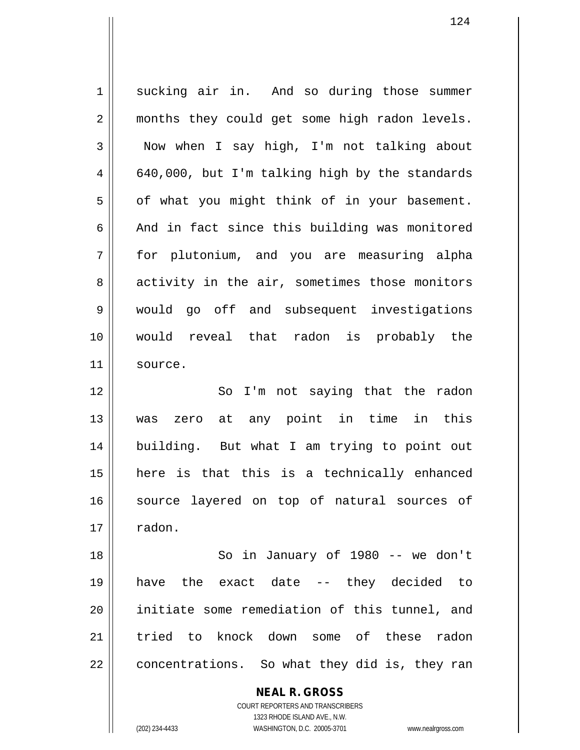1 | sucking air in. And so during those summer 2 || months they could get some high radon levels.  $3 \parallel$  Now when I say high, I'm not talking about  $4 \parallel 640,000$ , but I'm talking high by the standards  $5 \parallel$  of what you might think of in your basement.  $6 \parallel$  And in fact since this building was monitored 7 for plutonium, and you are measuring alpha 8 | activity in the air, sometimes those monitors 9 Would go off and subsequent investigations 10 would reveal that radon is probably the 11 source. 12 || So I'm not saying that the radon 13 was zero at any point in time in this 14 building. But what I am trying to point out 15 here is that this is a technically enhanced 16 || source layered on top of natural sources of  $17 \parallel$  radon. 18 So in January of 1980 -- we don't 19 have the exact date -- they decided to 20 || initiate some remediation of this tunnel, and 21 tried to knock down some of these radon  $22 \parallel$  concentrations. So what they did is, they ran

COURT REPORTERS AND TRANSCRIBERS 1323 RHODE ISLAND AVE., N.W. (202) 234-4433 WASHINGTON, D.C. 20005-3701 www.nealrgross.com

**NEAL R. GROSS**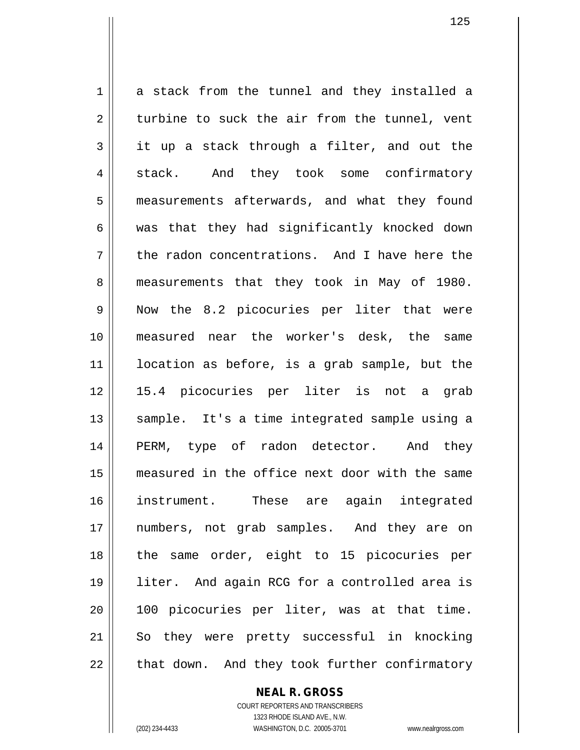1 a stack from the tunnel and they installed a  $2 \parallel$  turbine to suck the air from the tunnel, vent  $3 \parallel$  it up a stack through a filter, and out the 4 stack. And they took some confirmatory 5 | measurements afterwards, and what they found  $6 \parallel$  was that they had significantly knocked down  $7 \parallel$  the radon concentrations. And I have here the 8 || measurements that they took in May of 1980. 9 || Now the 8.2 picocuries per liter that were 10 measured near the worker's desk, the same 11 location as before, is a grab sample, but the 12 15.4 picocuries per liter is not a grab 13 || sample. It's a time integrated sample using a 14 || PERM, type of radon detector. And they 15 measured in the office next door with the same 16 instrument. These are again integrated 17 numbers, not grab samples. And they are on 18 || the same order, eight to 15 picocuries per 19 liter. And again RCG for a controlled area is 20 100 picocuries per liter, was at that time. 21 So they were pretty successful in knocking  $22$  || that down. And they took further confirmatory

#### **NEAL R. GROSS**

COURT REPORTERS AND TRANSCRIBERS 1323 RHODE ISLAND AVE., N.W. (202) 234-4433 WASHINGTON, D.C. 20005-3701 www.nealrgross.com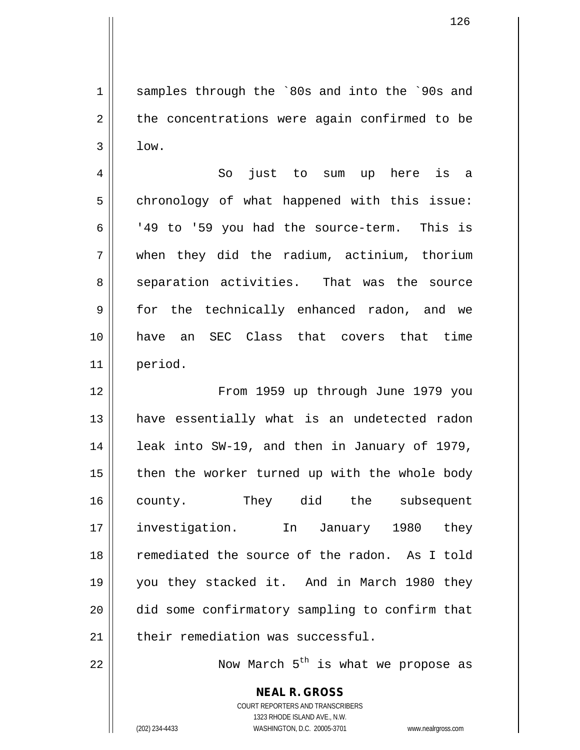1 || samples through the `80s and into the `90s and  $2 \parallel$  the concentrations were again confirmed to be  $3 \parallel$  low.

4 So just to sum up here is a 5 | chronology of what happened with this issue: 6  $\vert$  '49 to '59 you had the source-term. This is 7 when they did the radium, actinium, thorium 8 separation activities. That was the source 9 || for the technically enhanced radon, and we 10 have an SEC Class that covers that time 11 period.

 From 1959 up through June 1979 you 13 || have essentially what is an undetected radon | leak into SW-19, and then in January of 1979, | then the worker turned up with the whole body county. They did the subsequent investigation. In January 1980 they 18 || remediated the source of the radon. As I told you they stacked it. And in March 1980 they 20 || did some confirmatory sampling to confirm that their remediation was successful.

22  $\parallel$  Now March 5<sup>th</sup> is what we propose as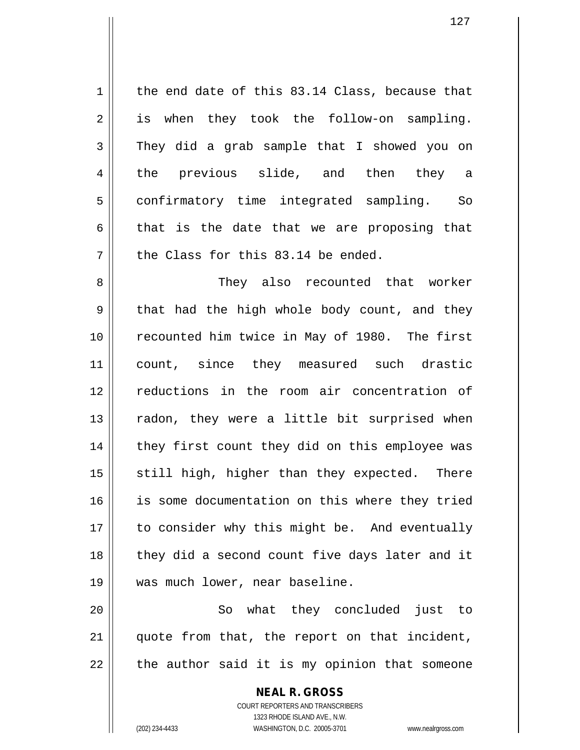$1 \parallel$  the end date of this 83.14 Class, because that 2 || is when they took the follow-on sampling.  $3 \parallel$  They did a grab sample that I showed you on 4 the previous slide, and then they a 5 | confirmatory time integrated sampling. So  $6 \parallel$  that is the date that we are proposing that  $7$  | the Class for this 83.14 be ended.

 They also recounted that worker  $9 \parallel$  that had the high whole body count, and they 10 || recounted him twice in May of 1980. The first count, since they measured such drastic reductions in the room air concentration of || radon, they were a little bit surprised when 14 || they first count they did on this employee was still high, higher than they expected. There is some documentation on this where they tried 17 || to consider why this might be. And eventually || they did a second count five days later and it was much lower, near baseline.

20 So what they concluded just to  $21$  || quote from that, the report on that incident,  $22$  | the author said it is my opinion that someone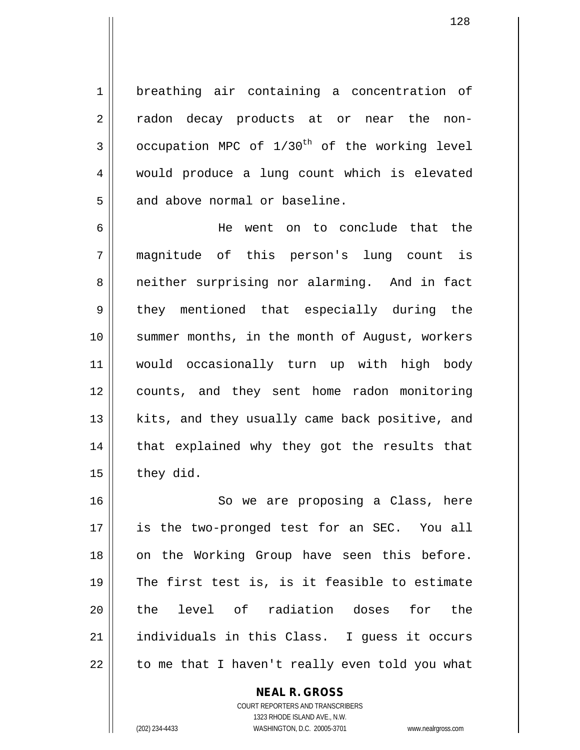1 breathing air containing a concentration of 2 || radon decay products at or near the non- $3 \parallel$  occupation MPC of  $1/30^{th}$  of the working level 4 || would produce a lung count which is elevated 5 || and above normal or baseline.

6 He went on to conclude that the 7 magnitude of this person's lung count is 8 || neither surprising nor alarming. And in fact 9 they mentioned that especially during the 10 || summer months, in the month of August, workers 11 would occasionally turn up with high body 12 counts, and they sent home radon monitoring 13 || kits, and they usually came back positive, and  $14$  || that explained why they got the results that  $15$  | they did.

16 || So we are proposing a Class, here 17 || is the two-pronged test for an SEC. You all 18 || on the Working Group have seen this before. 19  $\parallel$  The first test is, is it feasible to estimate 20 ll the level of radiation doses for the 21 individuals in this Class. I guess it occurs  $22$  || to me that I haven't really even told you what

> COURT REPORTERS AND TRANSCRIBERS 1323 RHODE ISLAND AVE., N.W. (202) 234-4433 WASHINGTON, D.C. 20005-3701 www.nealrgross.com

**NEAL R. GROSS**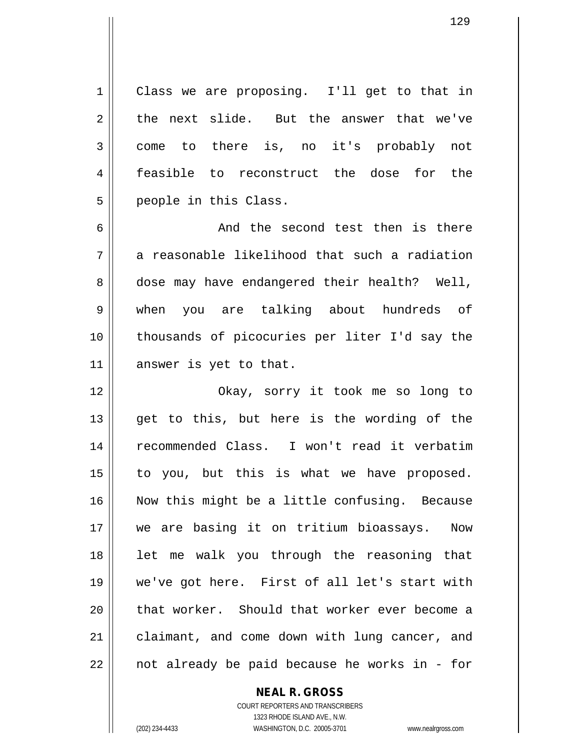1 Class we are proposing. I'll get to that in  $2 \parallel$  the next slide. But the answer that we've 3 come to there is, no it's probably not 4 feasible to reconstruct the dose for the 5 | people in this Class.

6 and the second test then is there  $7 \parallel$  a reasonable likelihood that such a radiation 8 dose may have endangered their health? Well, 9 when you are talking about hundreds of 10 || thousands of picocuries per liter I'd say the 11 answer is yet to that.

 Okay, sorry it took me so long to 13 || get to this, but here is the wording of the recommended Class. I won't read it verbatim to you, but this is what we have proposed. Now this might be a little confusing. Because we are basing it on tritium bioassays. Now 18 || let me walk you through the reasoning that we've got here. First of all let's start with || that worker. Should that worker ever become a 21 | claimant, and come down with lung cancer, and  $22 \parallel$  not already be paid because he works in - for

## **NEAL R. GROSS**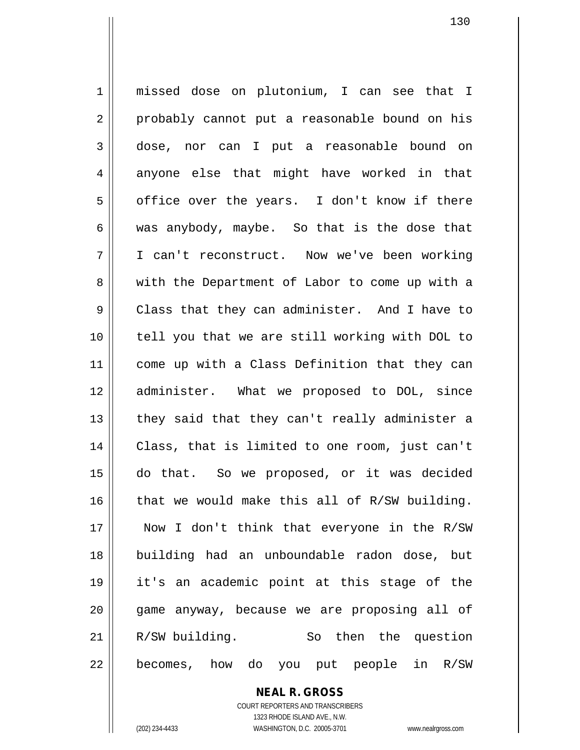missed dose on plutonium, I can see that I 2 || probably cannot put a reasonable bound on his dose, nor can I put a reasonable bound on  $4 \parallel$  anyone else that might have worked in that 5 | office over the years. I don't know if there was anybody, maybe. So that is the dose that I can't reconstruct. Now we've been working 8 || with the Department of Labor to come up with a 9 Class that they can administer. And I have to tell you that we are still working with DOL to 11 || come up with a Class Definition that they can administer. What we proposed to DOL, since || they said that they can't really administer a Class, that is limited to one room, just can't do that. So we proposed, or it was decided that we would make this all of R/SW building. Now I don't think that everyone in the R/SW building had an unboundable radon dose, but it's an academic point at this stage of the game anyway, because we are proposing all of R/SW building. So then the question || becomes, how do you put people in  $R/SW$ 

> **NEAL R. GROSS** COURT REPORTERS AND TRANSCRIBERS

> > 1323 RHODE ISLAND AVE., N.W.

(202) 234-4433 WASHINGTON, D.C. 20005-3701 www.nealrgross.com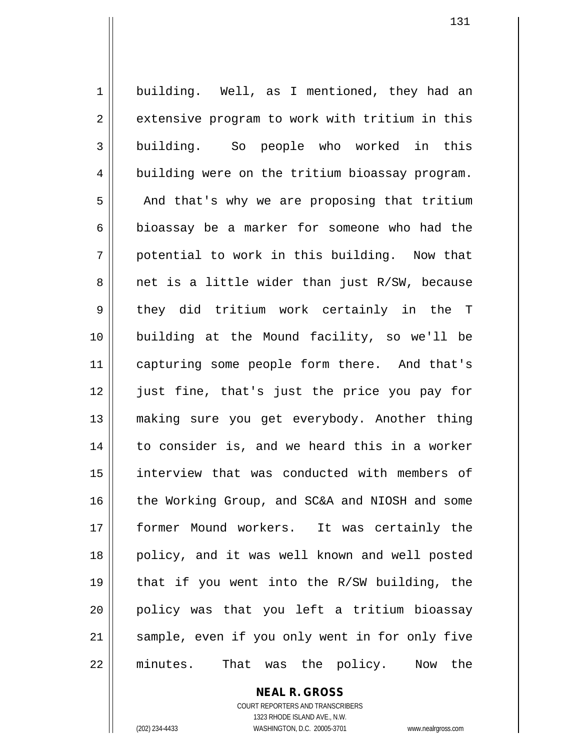1 | building. Well, as I mentioned, they had an 2 | extensive program to work with tritium in this 3 building. So people who worked in this 4 building were on the tritium bioassay program.  $5 \parallel$  And that's why we are proposing that tritium 6 || bioassay be a marker for someone who had the  $7 \parallel$  potential to work in this building. Now that 8 || net is a little wider than just R/SW, because 9 they did tritium work certainly in the T 10 building at the Mound facility, so we'll be 11 || capturing some people form there. And that's 12 || just fine, that's just the price you pay for 13 making sure you get everybody. Another thing 14 || to consider is, and we heard this in a worker 15 || interview that was conducted with members of 16 the Working Group, and SC&A and NIOSH and some 17 former Mound workers. It was certainly the 18 || policy, and it was well known and well posted 19  $\parallel$  that if you went into the R/SW building, the 20 policy was that you left a tritium bioassay 21 || sample, even if you only went in for only five 22 || minutes. That was the policy. Now the

# **NEAL R. GROSS**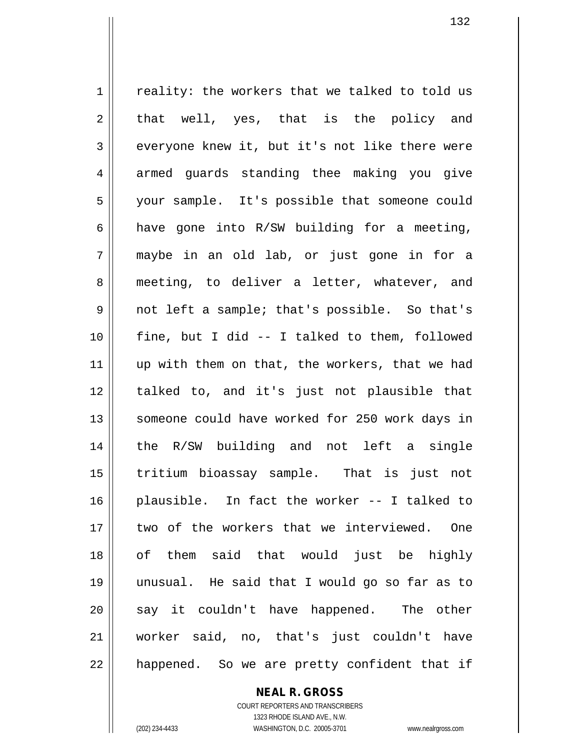$1 \parallel$  reality: the workers that we talked to told us  $2 \parallel$  that well, yes, that is the policy and 3 everyone knew it, but it's not like there were 4 || armed guards standing thee making you give 5 your sample. It's possible that someone could 6 | have gone into  $R/SW$  building for a meeting, 7 maybe in an old lab, or just gone in for a 8 || meeting, to deliver a letter, whatever, and 9 not left a sample; that's possible. So that's  $10$  || fine, but I did -- I talked to them, followed 11 || up with them on that, the workers, that we had 12 || talked to, and it's just not plausible that 13 || someone could have worked for 250 work days in 14 the R/SW building and not left a single 15 tritium bioassay sample. That is just not 16 plausible. In fact the worker -- I talked to 17 II two of the workers that we interviewed. One 18 of them said that would just be highly 19 unusual. He said that I would go so far as to  $20$  say it couldn't have happened. The other 21 worker said, no, that's just couldn't have 22 || happened. So we are pretty confident that if

**NEAL R. GROSS**

COURT REPORTERS AND TRANSCRIBERS 1323 RHODE ISLAND AVE., N.W. (202) 234-4433 WASHINGTON, D.C. 20005-3701 www.nealrgross.com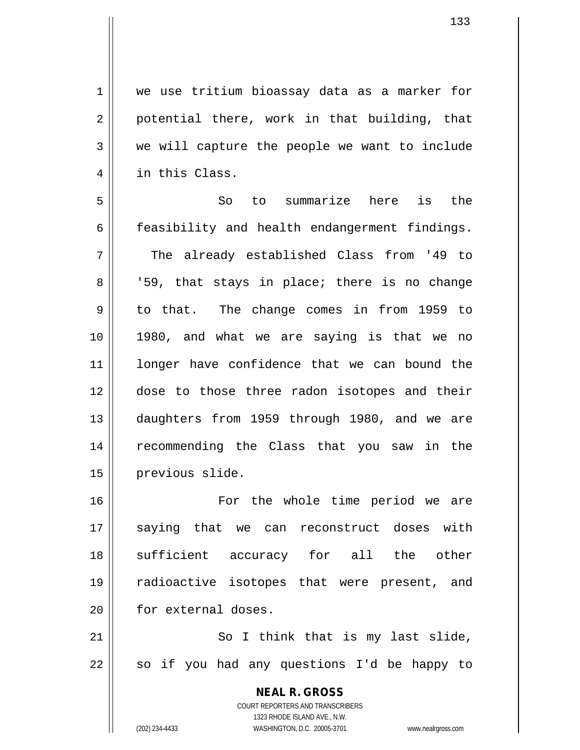1 | we use tritium bioassay data as a marker for  $2 \parallel$  potential there, work in that building, that 3 we will capture the people we want to include 4 || in this Class.

5 So to summarize here is the  $6 \parallel$  feasibility and health endangerment findings.  $7 \parallel$  The already established Class from '49 to  $8$  ||  $159$ , that stays in place; there is no change 9 || to that. The change comes in from 1959 to 10 1980, and what we are saying is that we no 11 || longer have confidence that we can bound the 12 dose to those three radon isotopes and their 13 daughters from 1959 through 1980, and we are 14 recommending the Class that you saw in the 15 | previous slide.

16 For the whole time period we are 17 saying that we can reconstruct doses with 18 || sufficient accuracy for all the other 19 radioactive isotopes that were present, and 20 | for external doses.

21 || So I think that is my last slide,  $22$  | so if you had any questions I'd be happy to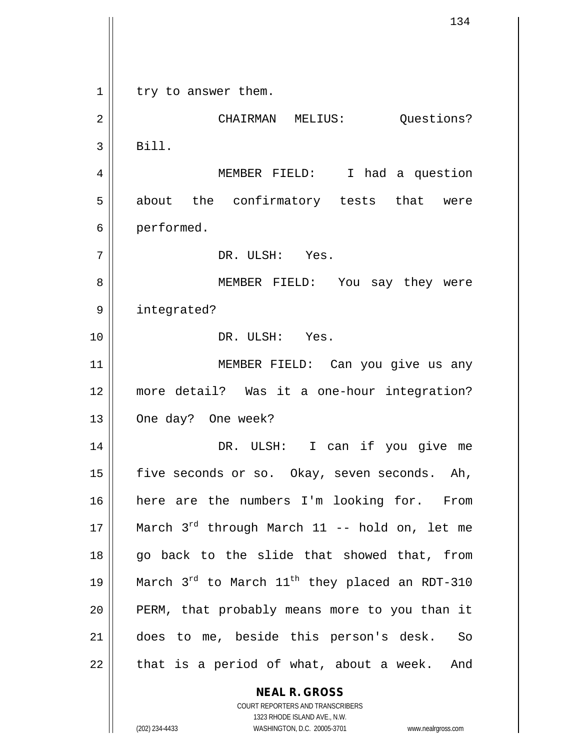**NEAL R. GROSS**  $1 \parallel$  try to answer them. 2 | CHAIRMAN MELIUS: Ouestions?  $3 \parallel$  Bill. 4 MEMBER FIELD: I had a question 5 || about the confirmatory tests that were 6 | performed. 7 DR. ULSH: Yes. 8 MEMBER FIELD: You say they were 9 || integrated? 10 DR. ULSH: Yes. 11 MEMBER FIELD: Can you give us any 12 more detail? Was it a one-hour integration? 13 | One day? One week? 14 DR. ULSH: I can if you give me 15 | five seconds or so. Okay, seven seconds. Ah, 16 here are the numbers I'm looking for. From 17  $\parallel$  March 3<sup>rd</sup> through March 11 -- hold on, let me 18 || go back to the slide that showed that, from 19  $\parallel$  March 3<sup>rd</sup> to March 11<sup>th</sup> they placed an RDT-310 20 || PERM, that probably means more to you than it 21 does to me, beside this person's desk. So  $22$  || that is a period of what, about a week. And

1323 RHODE ISLAND AVE., N.W. (202) 234-4433 WASHINGTON, D.C. 20005-3701 www.nealrgross.com

COURT REPORTERS AND TRANSCRIBERS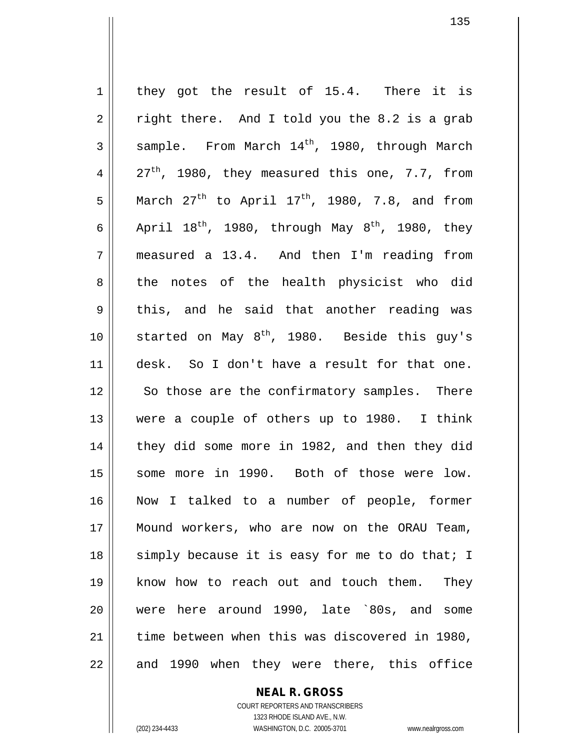1 they got the result of 15.4. There it is  $2 \parallel$  right there. And I told you the 8.2 is a grab  $3 \parallel$  sample. From March  $14^{th}$ , 1980, through March 4  $\vert$  27<sup>th</sup>, 1980, they measured this one, 7.7, from 5 March  $27<sup>th</sup>$  to April  $17<sup>th</sup>$ , 1980, 7.8, and from 6 April  $18^{th}$ , 1980, through May  $8^{th}$ , 1980, they  $7 \parallel$  measured a 13.4. And then I'm reading from 8 the notes of the health physicist who did 9 this, and he said that another reading was 10 | started on May  $8^{th}$ , 1980. Beside this guy's 11 desk. So I don't have a result for that one. 12 || So those are the confirmatory samples. There 13 were a couple of others up to 1980. I think 14 || they did some more in 1982, and then they did 15 || some more in 1990. Both of those were low. 16 Now I talked to a number of people, former 17 Mound workers, who are now on the ORAU Team, 18 || simply because it is easy for me to do that; I 19 know how to reach out and touch them. They 20 were here around 1990, late `80s, and some 21 time between when this was discovered in 1980,  $22$  || and 1990 when they were there, this office

#### **NEAL R. GROSS**

COURT REPORTERS AND TRANSCRIBERS 1323 RHODE ISLAND AVE., N.W. (202) 234-4433 WASHINGTON, D.C. 20005-3701 www.nealrgross.com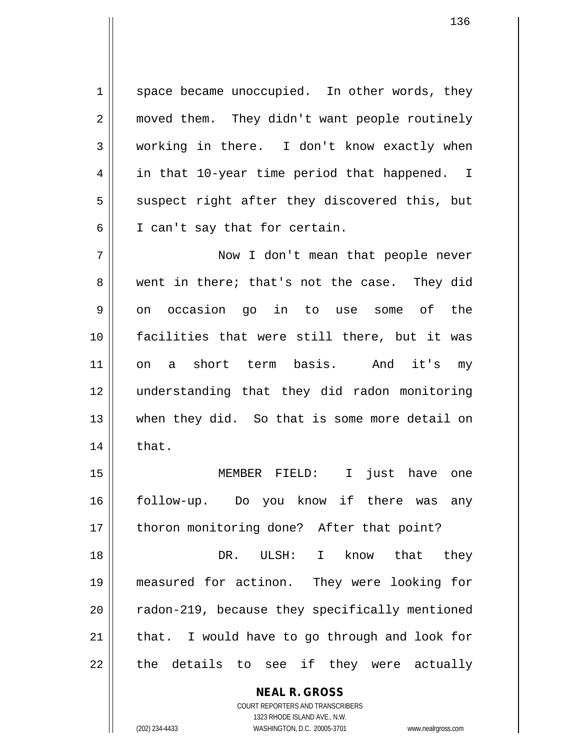1 space became unoccupied. In other words, they 2 || moved them. They didn't want people routinely 3 working in there. I don't know exactly when 4 || in that 10-year time period that happened. I  $5 \parallel$  suspect right after they discovered this, but 6 || I can't say that for certain.

 Now I don't mean that people never 8 went in there; that's not the case. They did  $9 \parallel$  on occasion go in to use some of the facilities that were still there, but it was on a short term basis. And it's my understanding that they did radon monitoring when they did. So that is some more detail on  $14 \parallel$  that.

15 MEMBER FIELD: I just have one 16 || follow-up. Do you know if there was any 17 || thoron monitoring done? After that point?

 DR. ULSH: I know that they measured for actinon. They were looking for | radon-219, because they specifically mentioned | that. I would have to go through and look for || the details to see if they were actually

> **NEAL R. GROSS** COURT REPORTERS AND TRANSCRIBERS

1323 RHODE ISLAND AVE., N.W. (202) 234-4433 WASHINGTON, D.C. 20005-3701 www.nealrgross.com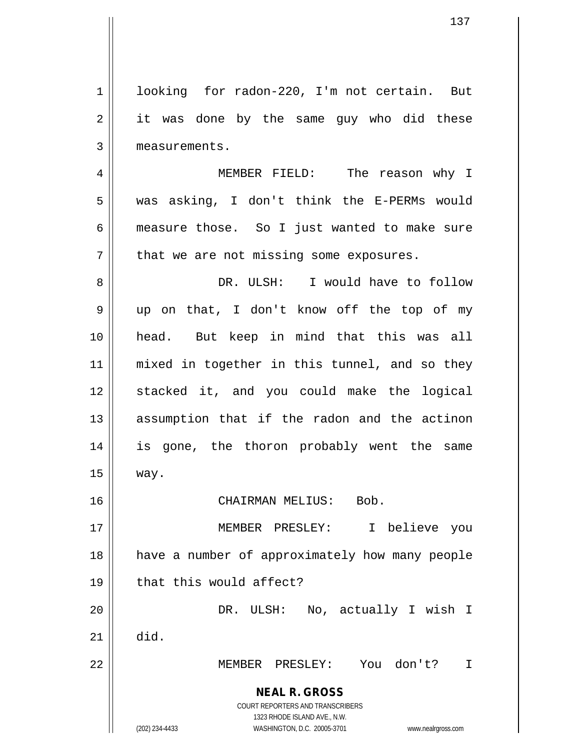**NEAL R. GROSS** COURT REPORTERS AND TRANSCRIBERS 1323 RHODE ISLAND AVE., N.W. (202) 234-4433 WASHINGTON, D.C. 20005-3701 www.nealrgross.com 1 | looking for radon-220, I'm not certain. But  $2 \parallel$  it was done by the same guy who did these 3 | measurements. 4 MEMBER FIELD: The reason why I 5 was asking, I don't think the E-PERMs would 6 measure those. So I just wanted to make sure  $7$  | that we are not missing some exposures. 8 DR. ULSH: I would have to follow 9 || up on that, I don't know off the top of my 10 head. But keep in mind that this was all 11 || mixed in together in this tunnel, and so they 12 stacked it, and you could make the logical 13 || assumption that if the radon and the actinon 14 is gone, the thoron probably went the same 15 way. 16 CHAIRMAN MELIUS: Bob. 17 MEMBER PRESLEY: I believe you 18 || have a number of approximately how many people  $19$   $\parallel$  that this would affect? 20 DR. ULSH: No, actually I wish I  $21$  did. 22 MEMBER PRESLEY: You don't? I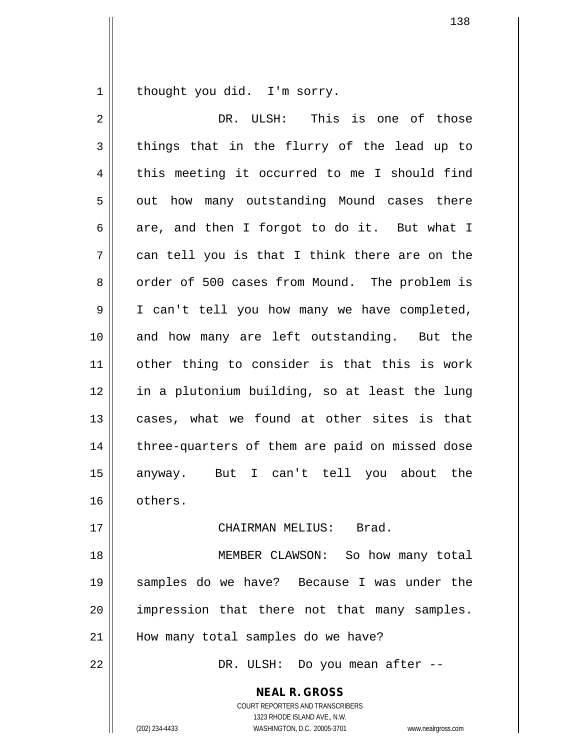1 | thought you did. I'm sorry.

| $\sqrt{2}$     | DR. ULSH: This is one of those                 |
|----------------|------------------------------------------------|
| $\mathfrak{Z}$ | things that in the flurry of the lead up to    |
| 4              | this meeting it occurred to me I should find   |
| 5              | out how many outstanding Mound cases there     |
| 6              | are, and then I forgot to do it. But what I    |
| 7              | can tell you is that I think there are on the  |
| 8              | order of 500 cases from Mound. The problem is  |
| 9              | I can't tell you how many we have completed,   |
| 10             | and how many are left outstanding. But the     |
| 11             | other thing to consider is that this is work   |
| 12             | in a plutonium building, so at least the lung  |
| 13             | cases, what we found at other sites is that    |
| 14             | three-quarters of them are paid on missed dose |
| 15             | But I can't tell you about the<br>anyway.      |
| 16             | others.                                        |
| 17             | CHAIRMAN MELIUS: Brad.                         |
| 18             | MEMBER CLAWSON: So how many total              |
| 19             | samples do we have? Because I was under the    |
| 20             | impression that there not that many samples.   |
| 21             | How many total samples do we have?             |
| 22             | DR. ULSH: Do you mean after --                 |
|                | <b>NEAL R. GROSS</b>                           |

COURT REPORTERS AND TRANSCRIBERS 1323 RHODE ISLAND AVE., N.W.

(202) 234-4433 WASHINGTON, D.C. 20005-3701 www.nealrgross.com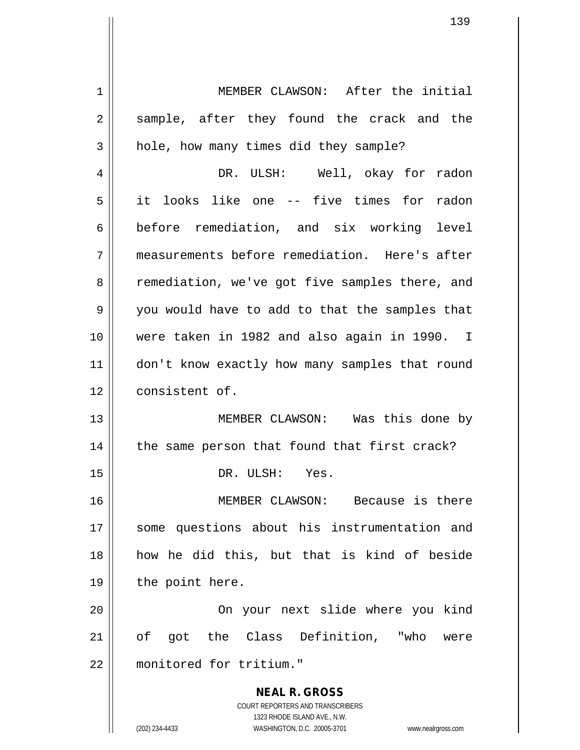**NEAL R. GROSS** COURT REPORTERS AND TRANSCRIBERS 1323 RHODE ISLAND AVE., N.W. 1 MEMBER CLAWSON: After the initial 2 || sample, after they found the crack and the  $3 \parallel$  hole, how many times did they sample? 4 DR. ULSH: Well, okay for radon 5 it looks like one -- five times for radon 6 before remediation, and six working level 7 measurements before remediation. Here's after 8 | remediation, we've got five samples there, and 9 you would have to add to that the samples that 10 were taken in 1982 and also again in 1990. I 11 || don't know exactly how many samples that round 12 | consistent of. 13 MEMBER CLAWSON: Was this done by 14 || the same person that found that first crack? 15 || DR. ULSH: Yes. 16 MEMBER CLAWSON: Because is there 17 || some questions about his instrumentation and 18 how he did this, but that is kind of beside 19 || the point here. 20 On your next slide where you kind 21 of got the Class Definition, "who were 22 monitored for tritium."

(202) 234-4433 WASHINGTON, D.C. 20005-3701 www.nealrgross.com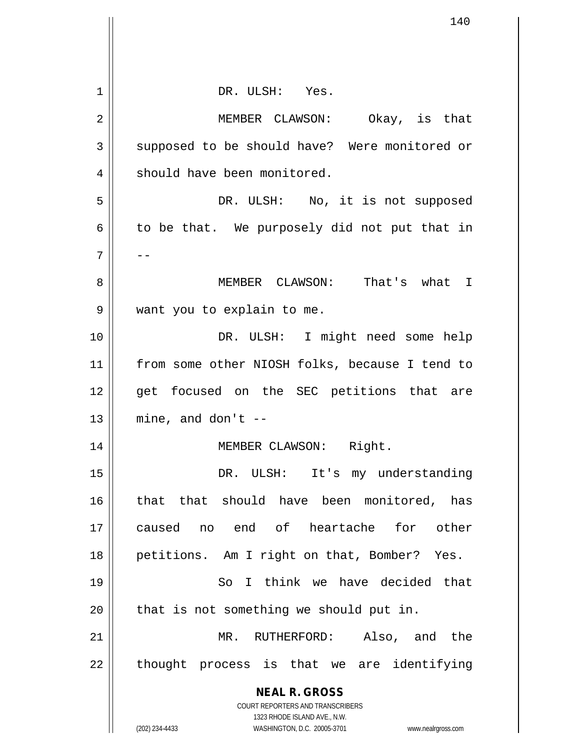| 1  | DR. ULSH: Yes.                                                      |
|----|---------------------------------------------------------------------|
|    |                                                                     |
| 2  | MEMBER CLAWSON: Okay, is that                                       |
| 3  | supposed to be should have? Were monitored or                       |
| 4  | should have been monitored.                                         |
| 5  | DR. ULSH: No, it is not supposed                                    |
| 6  | to be that. We purposely did not put that in                        |
| 7  |                                                                     |
| 8  | MEMBER CLAWSON: That's what I                                       |
| 9  | want you to explain to me.                                          |
| 10 | DR. ULSH: I might need some help                                    |
| 11 | from some other NIOSH folks, because I tend to                      |
| 12 | get focused on the SEC petitions that are                           |
| 13 | mine, and don't $-$                                                 |
| 14 | MEMBER CLAWSON: Right.                                              |
| 15 | DR. ULSH: It's my understanding                                     |
| 16 | that that should have been monitored,<br>has                        |
| 17 | caused no end of heartache for other                                |
| 18 | petitions. Am I right on that, Bomber? Yes.                         |
| 19 | So I think we have decided that                                     |
| 20 | that is not something we should put in.                             |
| 21 | Also, and the<br>RUTHERFORD:<br>MR.                                 |
| 22 | thought process is that we are<br>identifying                       |
|    | <b>NEAL R. GROSS</b>                                                |
|    | COURT REPORTERS AND TRANSCRIBERS<br>1323 RHODE ISLAND AVE., N.W.    |
|    | (202) 234-4433<br>WASHINGTON, D.C. 20005-3701<br>www.nealrgross.com |

Ħ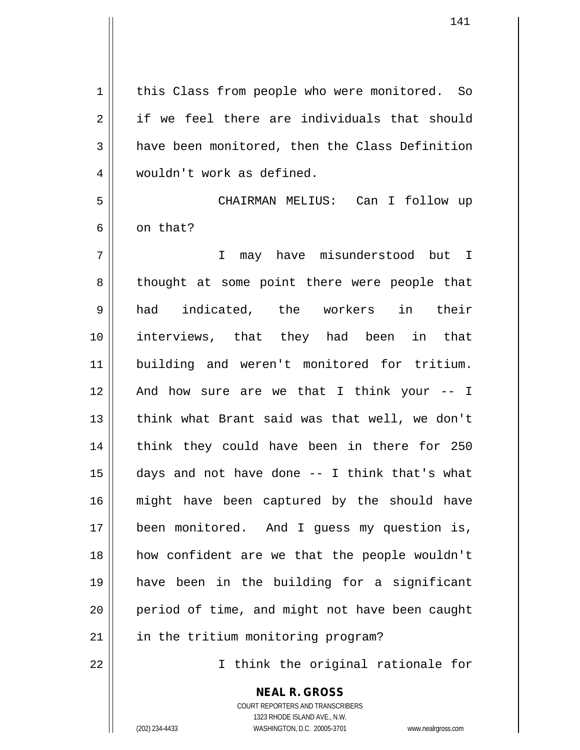1 | this Class from people who were monitored. So 2 if we feel there are individuals that should  $3 \parallel$  have been monitored, then the Class Definition 4 wouldn't work as defined. 5 CHAIRMAN MELIUS: Can I follow up  $6 \parallel$  on that? 7 I may have misunderstood but I 8 || thought at some point there were people that 9 had indicated, the workers in their 10 interviews, that they had been in that 11 building and weren't monitored for tritium. 12 || And how sure are we that I think your -- I 13 || think what Brant said was that well, we don't 14 || think they could have been in there for 250 15  $\parallel$  days and not have done -- I think that's what 16 might have been captured by the should have 17 || been monitored. And I guess my question is, 18 how confident are we that the people wouldn't 19 have been in the building for a significant 20 || period of time, and might not have been caught 21 | in the tritium monitoring program? 22 || I think the original rationale for

> **NEAL R. GROSS** COURT REPORTERS AND TRANSCRIBERS

> > 1323 RHODE ISLAND AVE., N.W.

(202) 234-4433 WASHINGTON, D.C. 20005-3701 www.nealrgross.com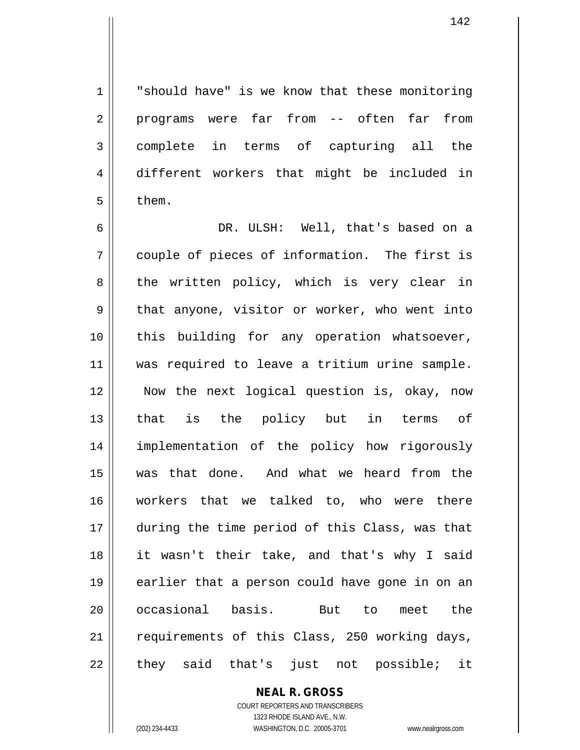142

1 || "should have" is we know that these monitoring 2 || programs were far from -- often far from 3 complete in terms of capturing all the 4 different workers that might be included in  $5 \parallel$  them.

 DR. ULSH: Well, that's based on a | couple of pieces of information. The first is  $8 \parallel$  the written policy, which is very clear in  $9 \parallel$  that anyone, visitor or worker, who went into this building for any operation whatsoever, 11 || was required to leave a tritium urine sample. Now the next logical question is, okay, now that is the policy but in terms of implementation of the policy how rigorously was that done. And what we heard from the workers that we talked to, who were there during the time period of this Class, was that it wasn't their take, and that's why I said 19 || earlier that a person could have gone in on an 20 || occasional basis. But to meet the 21 || requirements of this Class, 250 working days, || they said that's just not possible; it

> **NEAL R. GROSS** COURT REPORTERS AND TRANSCRIBERS 1323 RHODE ISLAND AVE., N.W.

(202) 234-4433 WASHINGTON, D.C. 20005-3701 www.nealrgross.com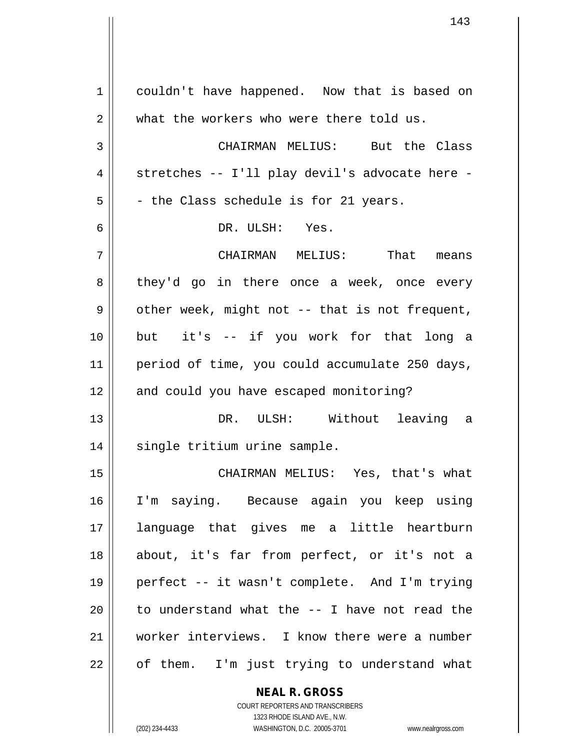1 couldn't have happened. Now that is based on 2 what the workers who were there told us. 3 CHAIRMAN MELIUS: But the Class  $4 \parallel$  stretches -- I'll play devil's advocate here - $5 \parallel$  - the Class schedule is for 21 years. 6 DR. ULSH: Yes. 7 CHAIRMAN MELIUS: That means 8 they'd go in there once a week, once every  $9 \parallel$  other week, might not -- that is not frequent, 10 but it's -- if you work for that long a 11 | period of time, you could accumulate 250 days, 12 || and could you have escaped monitoring? 13 DR. ULSH: Without leaving a 14 || single tritium urine sample. 15 CHAIRMAN MELIUS: Yes, that's what 16 I'm saying. Because again you keep using 17 language that gives me a little heartburn 18 about, it's far from perfect, or it's not a 19 perfect -- it wasn't complete. And I'm trying 20  $\parallel$  to understand what the  $-$ - I have not read the 21 worker interviews. I know there were a number  $22 \parallel$  of them. I'm just trying to understand what

> COURT REPORTERS AND TRANSCRIBERS 1323 RHODE ISLAND AVE., N.W. (202) 234-4433 WASHINGTON, D.C. 20005-3701 www.nealrgross.com

**NEAL R. GROSS**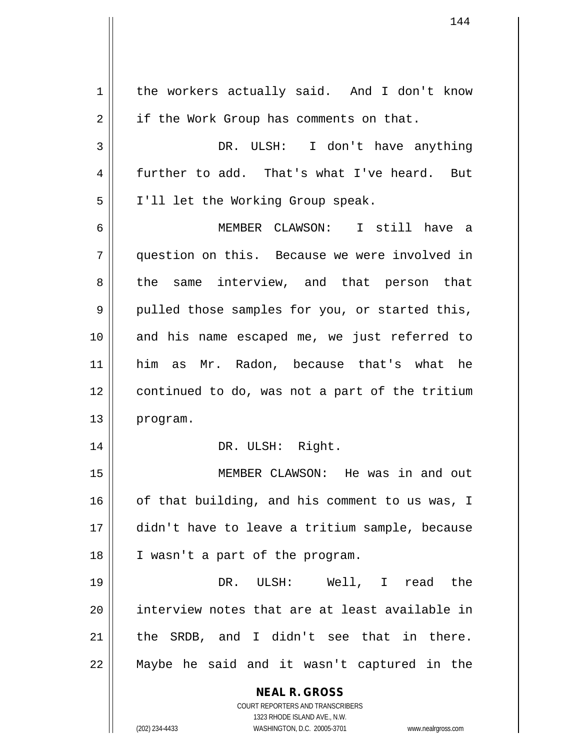**NEAL R. GROSS** COURT REPORTERS AND TRANSCRIBERS 1323 RHODE ISLAND AVE., N.W. (202) 234-4433 WASHINGTON, D.C. 20005-3701 www.nealrgross.com 1 | the workers actually said. And I don't know  $2 \parallel$  if the Work Group has comments on that. 3 DR. ULSH: I don't have anything 4 further to add. That's what I've heard. But 5 | I'll let the Working Group speak. 6 MEMBER CLAWSON: I still have a 7 question on this. Because we were involved in 8 the same interview, and that person that 9 pulled those samples for you, or started this, 10 and his name escaped me, we just referred to 11 him as Mr. Radon, because that's what he 12 continued to do, was not a part of the tritium 13 | program. 14 || DR. ULSH: Right. 15 MEMBER CLAWSON: He was in and out  $16$  of that building, and his comment to us was, I 17 didn't have to leave a tritium sample, because 18 || I wasn't a part of the program. 19 DR. ULSH: Well, I read the 20 interview notes that are at least available in  $21$  || the SRDB, and I didn't see that in there. 22 Maybe he said and it wasn't captured in the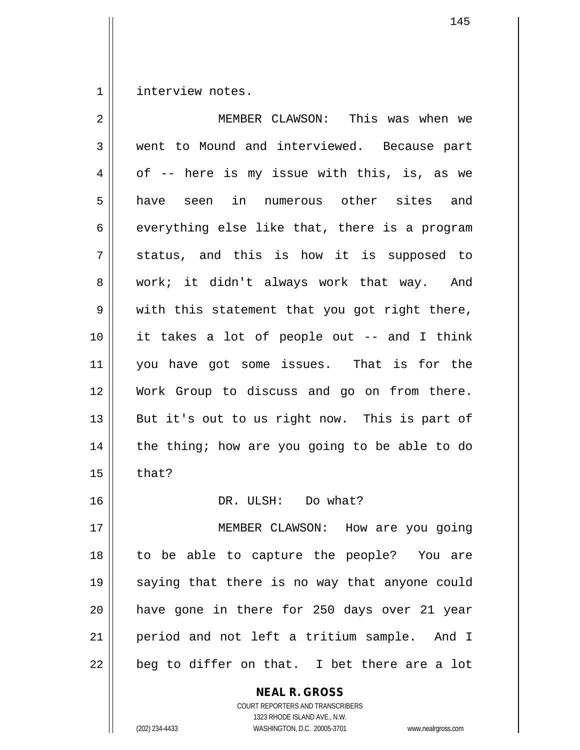1 | interview notes.

| $\overline{2}$ | MEMBER CLAWSON: This was when we              |
|----------------|-----------------------------------------------|
| 3              | went to Mound and interviewed. Because part   |
| 4              | of -- here is my issue with this, is, as we   |
| 5              | have seen in numerous other sites and         |
| 6              | everything else like that, there is a program |
| 7              | status, and this is how it is supposed to     |
| 8              | work; it didn't always work that way. And     |
| 9              | with this statement that you got right there, |
| 10             | it takes a lot of people out -- and I think   |
| 11             | you have got some issues. That is for the     |
| 12             | Work Group to discuss and go on from there.   |
| 13             | But it's out to us right now. This is part of |
| 14             | the thing; how are you going to be able to do |
| 15             | that?                                         |
| 16             | DR. ULSH: Do what?                            |
| 17             | MEMBER CLAWSON: How are you going             |
| 18             | to be able to capture the people? You are     |
| 19             | saying that there is no way that anyone could |
| 20             | have gone in there for 250 days over 21 year  |
| 21             | period and not left a tritium sample. And I   |
| 22             | beg to differ on that. I bet there are a lot  |
|                |                                               |

**NEAL R. GROSS** COURT REPORTERS AND TRANSCRIBERS

1323 RHODE ISLAND AVE., N.W.

(202) 234-4433 WASHINGTON, D.C. 20005-3701 www.nealrgross.com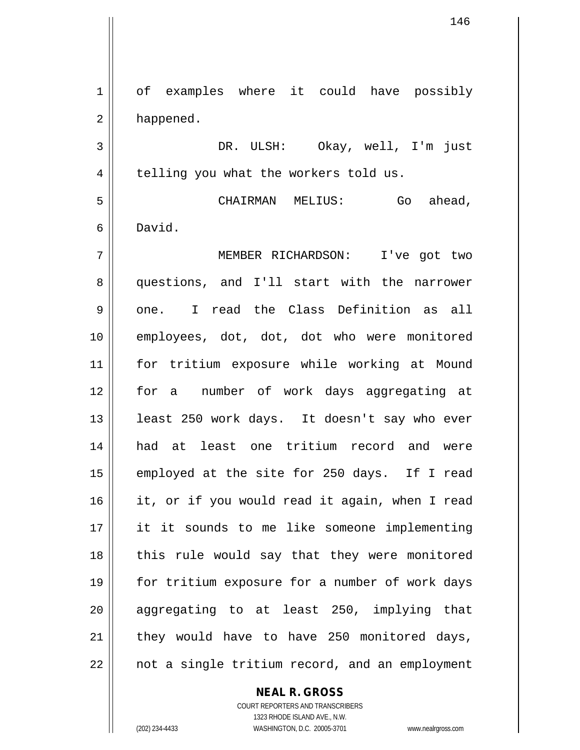1 of examples where it could have possibly 2 | happened. 3 DR. ULSH: Okay, well, I'm just  $4 \parallel$  telling you what the workers told us. 5 CHAIRMAN MELIUS: Go ahead, 6 David. 7 MEMBER RICHARDSON: I've got two 8 questions, and I'll start with the narrower  $9 \parallel$  one. I read the Class Definition as all 10 employees, dot, dot, dot who were monitored 11 for tritium exposure while working at Mound 12 for a number of work days aggregating at 13 || least 250 work days. It doesn't say who ever 14 had at least one tritium record and were 15 || employed at the site for 250 days. If I read 16 it, or if you would read it again, when I read 17 it it sounds to me like someone implementing 18 || this rule would say that they were monitored 19 || for tritium exposure for a number of work days 20 || aggregating to at least 250, implying that  $21$  | they would have to have 250 monitored days,  $22$  | not a single tritium record, and an employment

### **NEAL R. GROSS**

COURT REPORTERS AND TRANSCRIBERS 1323 RHODE ISLAND AVE., N.W. (202) 234-4433 WASHINGTON, D.C. 20005-3701 www.nealrgross.com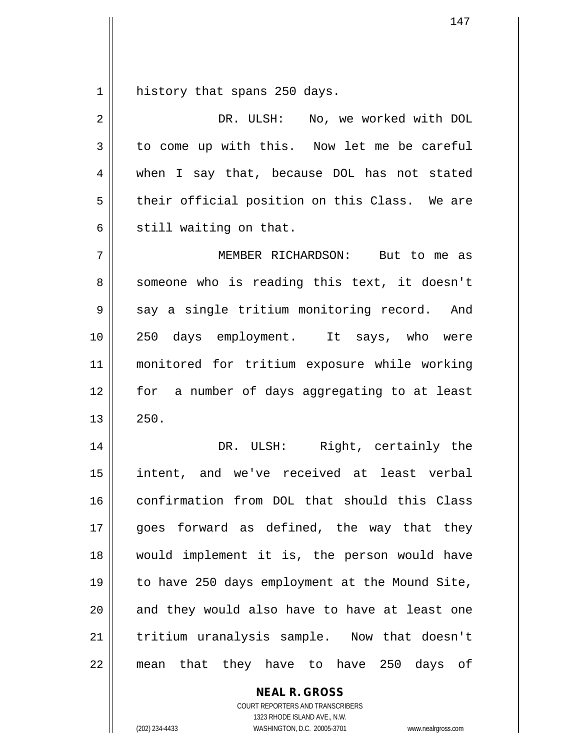$1 \parallel$  history that spans 250 days.

| 2  | DR. ULSH: No, we worked with DOL               |
|----|------------------------------------------------|
| 3  | to come up with this. Now let me be careful    |
| 4  | when I say that, because DOL has not stated    |
| 5  | their official position on this Class. We are  |
| 6  | still waiting on that.                         |
| 7  | MEMBER RICHARDSON: But to me as                |
| 8  | someone who is reading this text, it doesn't   |
| 9  | say a single tritium monitoring record. And    |
| 10 | 250 days employment. It says, who were         |
| 11 | monitored for tritium exposure while working   |
| 12 | for a number of days aggregating to at least   |
| 13 | 250.                                           |
| 14 | DR. ULSH: Right, certainly the                 |
| 15 | intent, and we've received at least verbal     |
| 16 | confirmation from DOL that should this Class   |
| 17 | goes forward as defined, the way that they     |
| 18 | would implement it is, the person would have   |
| 19 | to have 250 days employment at the Mound Site, |
| 20 | and they would also have to have at least one  |
| 21 | tritium uranalysis sample. Now that doesn't    |
| 22 | mean that they have to have 250 days of        |

**NEAL R. GROSS** COURT REPORTERS AND TRANSCRIBERS

1323 RHODE ISLAND AVE., N.W.

(202) 234-4433 WASHINGTON, D.C. 20005-3701 www.nealrgross.com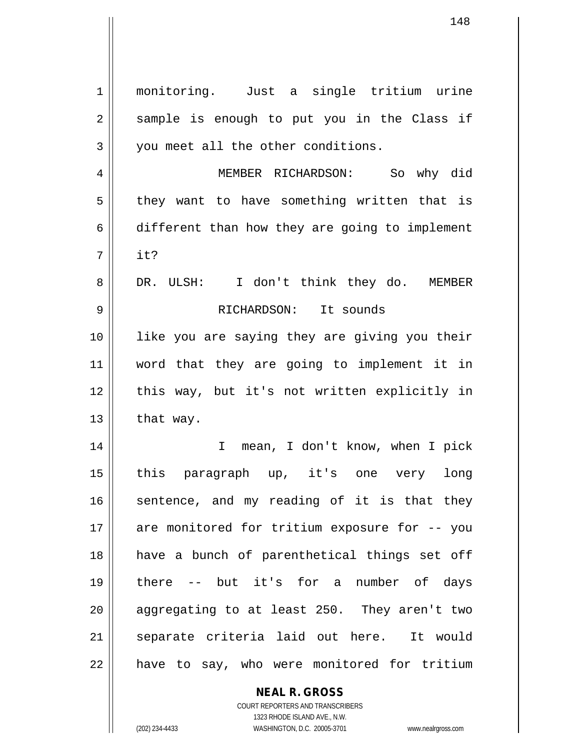1 monitoring. Just a single tritium urine  $2 \parallel$  sample is enough to put you in the Class if 3 || you meet all the other conditions. 4 MEMBER RICHARDSON: So why did  $5$  they want to have something written that is  $6 \parallel$  different than how they are going to implement 7 it? 8 DR. ULSH: I don't think they do. MEMBER 9 RICHARDSON: It sounds 10 like you are saying they are giving you their 11 word that they are going to implement it in 12 || this way, but it's not written explicitly in  $13$  | that way. 14 || T mean, I don't know, when I pick 15 this paragraph up, it's one very long  $16$  sentence, and my reading of it is that they 17 || are monitored for tritium exposure for -- you 18 || have a bunch of parenthetical things set off 19 there -- but it's for a number of days 20  $\parallel$  aggregating to at least 250. They aren't two 21 || separate criteria laid out here. It would 22 || have to say, who were monitored for tritium

> **NEAL R. GROSS** COURT REPORTERS AND TRANSCRIBERS

1323 RHODE ISLAND AVE., N.W. (202) 234-4433 WASHINGTON, D.C. 20005-3701 www.nealrgross.com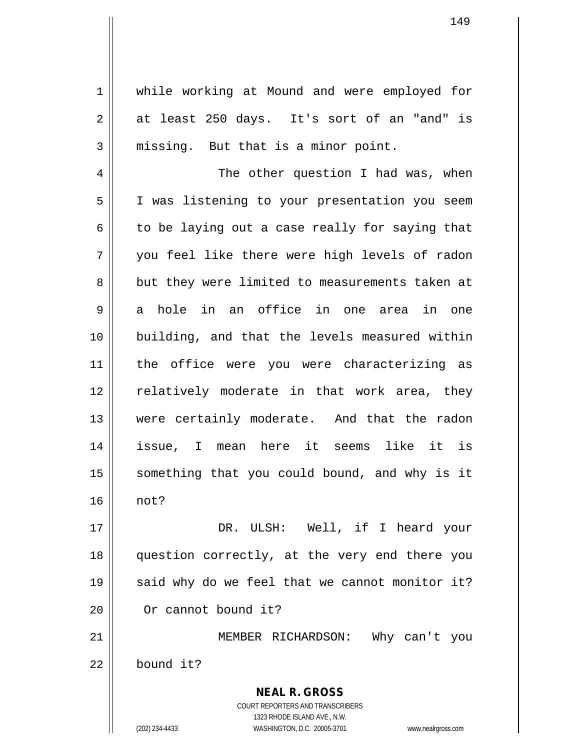1 | while working at Mound and were employed for  $2 \parallel$  at least 250 days. It's sort of an "and" is  $3 \parallel$  missing. But that is a minor point.

4 The other question I had was, when 5 | I was listening to your presentation you seem  $6 \parallel$  to be laying out a case really for saying that 7 you feel like there were high levels of radon 8 but they were limited to measurements taken at  $9 \parallel$  a hole in an office in one area in one 10 building, and that the levels measured within 11 || the office were you were characterizing as 12 || relatively moderate in that work area, they 13 were certainly moderate. And that the radon 14 issue, I mean here it seems like it is 15 || something that you could bound, and why is it 16 not?

17 DR. ULSH: Well, if I heard your 18 question correctly, at the very end there you  $19 \parallel$  said why do we feel that we cannot monitor it? 20 | Or cannot bound it?

21 MEMBER RICHARDSON: Why can't you 22 bound it?

> COURT REPORTERS AND TRANSCRIBERS 1323 RHODE ISLAND AVE., N.W. (202) 234-4433 WASHINGTON, D.C. 20005-3701 www.nealrgross.com

**NEAL R. GROSS**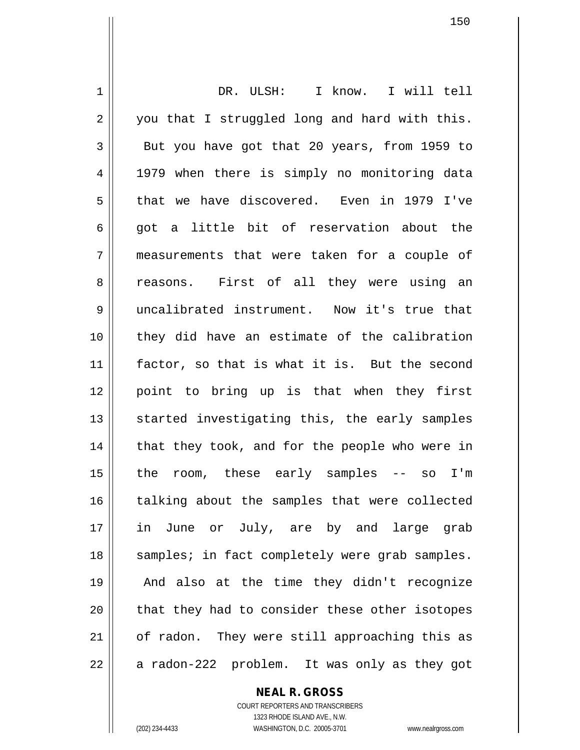1 || DR. ULSH: I know. I will tell 2 || you that I struggled long and hard with this.  $3 \parallel$  But you have got that 20 years, from 1959 to 4 || 1979 when there is simply no monitoring data 5 that we have discovered. Even in 1979 I've  $6$   $\parallel$  got a little bit of reservation about the 7 measurements that were taken for a couple of 8 reasons. First of all they were using an 9 uncalibrated instrument. Now it's true that 10 they did have an estimate of the calibration 11 factor, so that is what it is. But the second 12 point to bring up is that when they first  $13$  started investigating this, the early samples  $14$  || that they took, and for the people who were in 15 the room, these early samples -- so I'm 16 || talking about the samples that were collected 17 in June or July, are by and large grab 18 || samples; in fact completely were grab samples. 19 And also at the time they didn't recognize 20 || that they had to consider these other isotopes 21 || of radon. They were still approaching this as  $22 \parallel$  a radon-222 problem. It was only as they got

> **NEAL R. GROSS** COURT REPORTERS AND TRANSCRIBERS

> > 1323 RHODE ISLAND AVE., N.W.

(202) 234-4433 WASHINGTON, D.C. 20005-3701 www.nealrgross.com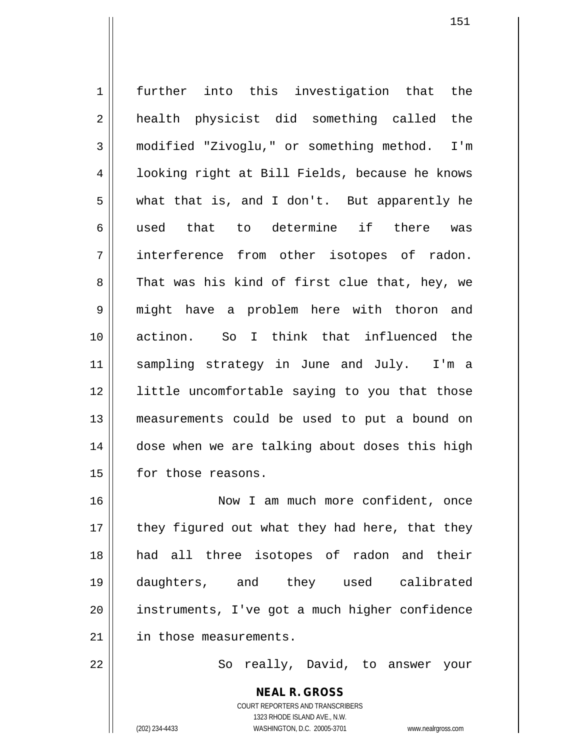1 || further into this investigation that the 2 || health physicist did something called the 3 modified "Zivoglu," or something method. I'm 4 | looking right at Bill Fields, because he knows  $5 \parallel$  what that is, and I don't. But apparently he 6 || used that to determine if there was 7 interference from other isotopes of radon.  $8 \parallel$  That was his kind of first clue that, hey, we 9 might have a problem here with thoron and 10 actinon. So I think that influenced the 11 sampling strategy in June and July. I'm a 12 || little uncomfortable saying to you that those 13 measurements could be used to put a bound on 14 | dose when we are talking about doses this high 15 | for those reasons. 16 Now I am much more confident, once

 $17$  || they figured out what they had here, that they 18 had all three isotopes of radon and their 19 daughters, and they used calibrated 20 || instruments, I've got a much higher confidence 21 | in those measurements.

22 || So really, David, to answer your

151

COURT REPORTERS AND TRANSCRIBERS 1323 RHODE ISLAND AVE., N.W. (202) 234-4433 WASHINGTON, D.C. 20005-3701 www.nealrgross.com

**NEAL R. GROSS**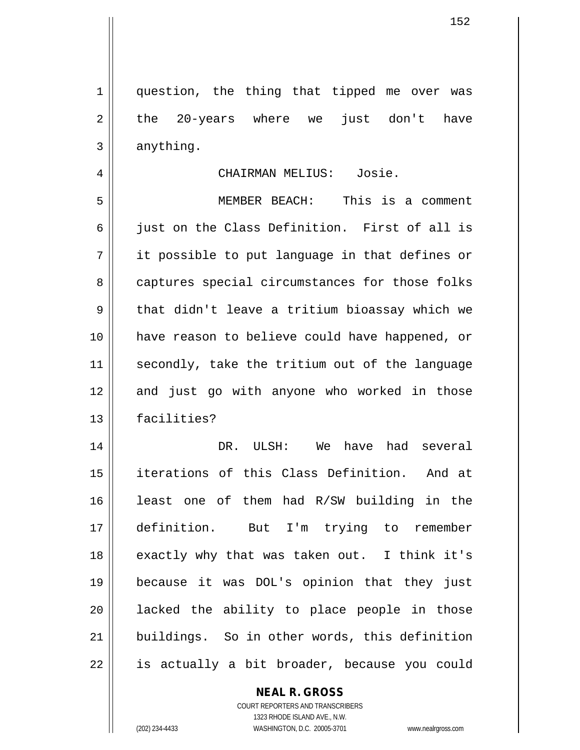1 || question, the thing that tipped me over was  $2 \parallel$  the 20-years where we just don't have  $3 \parallel$  anything.

### 4 CHAIRMAN MELIUS: Josie.

5 MEMBER BEACH: This is a comment  $6 \parallel$  just on the Class Definition. First of all is  $7 \parallel$  it possible to put language in that defines or 8 captures special circumstances for those folks 9 || that didn't leave a tritium bioassay which we 10 have reason to believe could have happened, or 11 || secondly, take the tritium out of the language 12 and just go with anyone who worked in those 13 facilities?

 DR. ULSH: We have had several iterations of this Class Definition. And at least one of them had R/SW building in the definition. But I'm trying to remember 18 || exactly why that was taken out. I think it's because it was DOL's opinion that they just 20 || lacked the ability to place people in those buildings. So in other words, this definition || is actually a bit broader, because you could

### **NEAL R. GROSS**

COURT REPORTERS AND TRANSCRIBERS 1323 RHODE ISLAND AVE., N.W. (202) 234-4433 WASHINGTON, D.C. 20005-3701 www.nealrgross.com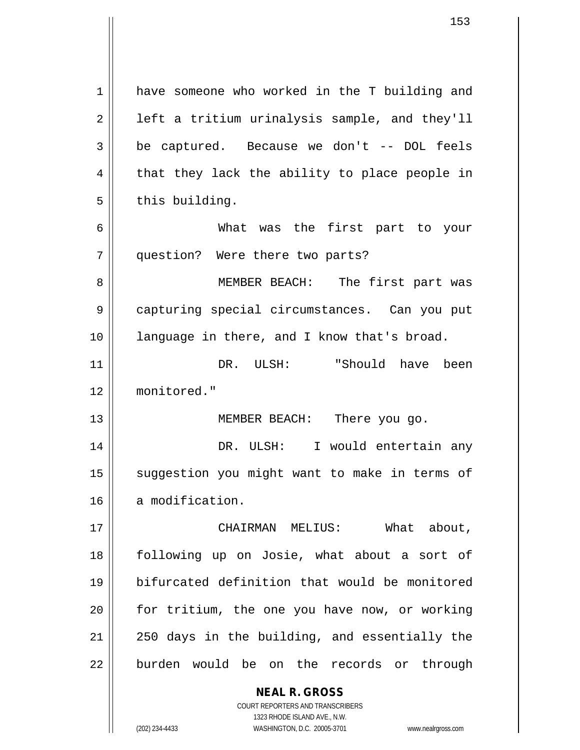**NEAL R. GROSS** COURT REPORTERS AND TRANSCRIBERS 1 have someone who worked in the T building and  $2 \parallel$  left a tritium urinalysis sample, and they'll  $3 \parallel$  be captured. Because we don't -- DOL feels  $4 \parallel$  that they lack the ability to place people in  $5$  | this building. 6 What was the first part to your 7 question? Were there two parts? 8 || MEMBER BEACH: The first part was 9 capturing special circumstances. Can you put 10 || language in there, and I know that's broad. 11 DR. ULSH: "Should have been 12 monitored." 13 || **MEMBER BEACH:** There you go. 14 DR. ULSH: I would entertain any 15 || suggestion you might want to make in terms of 16 a modification. 17 CHAIRMAN MELIUS: What about, 18 following up on Josie, what about a sort of 19 bifurcated definition that would be monitored 20 for tritium, the one you have now, or working  $21$   $\parallel$  250 days in the building, and essentially the 22 burden would be on the records or through

1323 RHODE ISLAND AVE., N.W.

(202) 234-4433 WASHINGTON, D.C. 20005-3701 www.nealrgross.com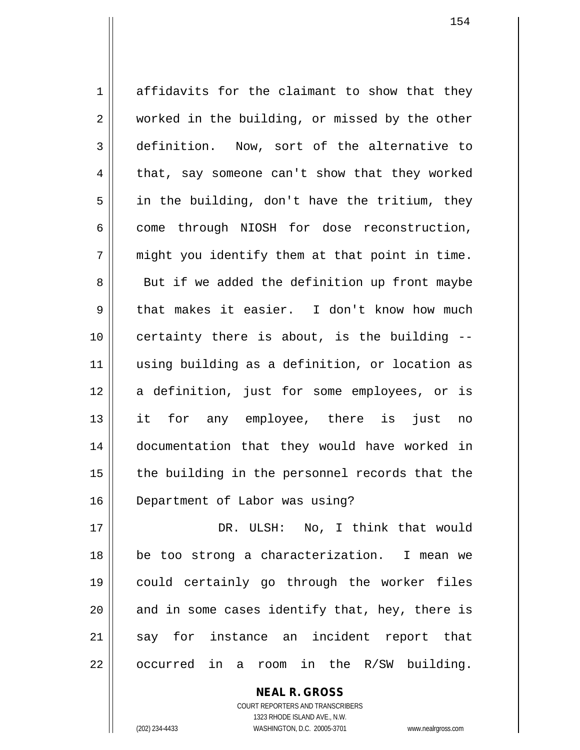1 affidavits for the claimant to show that they 2 || worked in the building, or missed by the other 3 definition. Now, sort of the alternative to  $4 \parallel$  that, say someone can't show that they worked  $5 \parallel$  in the building, don't have the tritium, they  $6 \parallel$  come through NIOSH for dose reconstruction,  $7 \parallel$  might you identify them at that point in time. 8 || But if we added the definition up front maybe 9 that makes it easier. I don't know how much 10 certainty there is about, is the building -- 11 using building as a definition, or location as 12 a definition, just for some employees, or is 13 it for any employee, there is just no 14 documentation that they would have worked in  $15$  || the building in the personnel records that the 16 Department of Labor was using?

 DR. ULSH: No, I think that would be too strong a characterization. I mean we could certainly go through the worker files and in some cases identify that, hey, there is 21 say for instance an incident report that  $22 \parallel$  occurred in a room in the R/SW building.

> COURT REPORTERS AND TRANSCRIBERS 1323 RHODE ISLAND AVE., N.W. (202) 234-4433 WASHINGTON, D.C. 20005-3701 www.nealrgross.com

**NEAL R. GROSS**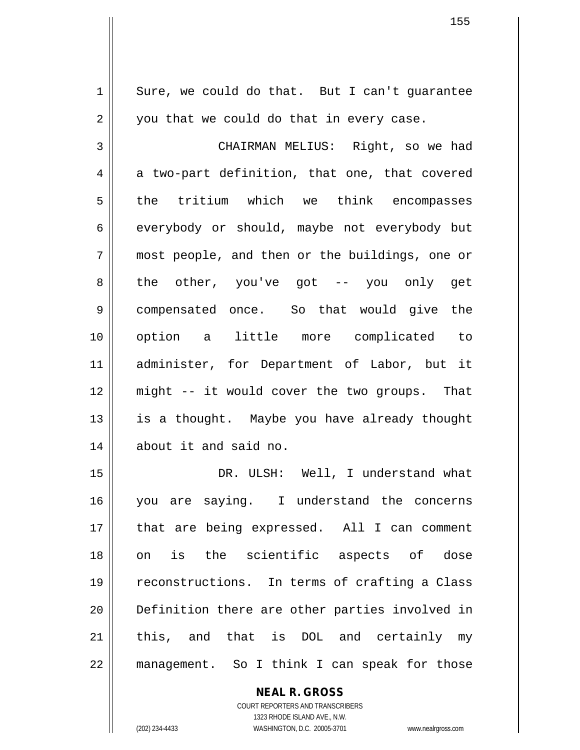$1 \parallel$  Sure, we could do that. But I can't quarantee  $2 \parallel$  you that we could do that in every case. 3 CHAIRMAN MELIUS: Right, so we had  $4 \parallel$  a two-part definition, that one, that covered 5 the tritium which we think encompasses  $6 \parallel$  everybody or should, maybe not everybody but 7 most people, and then or the buildings, one or 8 the other, you've got -- you only get 9 compensated once. So that would give the 10 option a little more complicated to 11 administer, for Department of Labor, but it 12 might -- it would cover the two groups. That 13 || is a thought. Maybe you have already thought 14 about it and said no. 15 DR. ULSH: Well, I understand what 16 || you are saying. I understand the concerns 17 || that are being expressed. All I can comment 18 on is the scientific aspects of dose 19 || reconstructions. In terms of crafting a Class 20 || Definition there are other parties involved in  $21$  this, and that is DOL and certainly my

> **NEAL R. GROSS** COURT REPORTERS AND TRANSCRIBERS 1323 RHODE ISLAND AVE., N.W.

22 management. So I think I can speak for those

(202) 234-4433 WASHINGTON, D.C. 20005-3701 www.nealrgross.com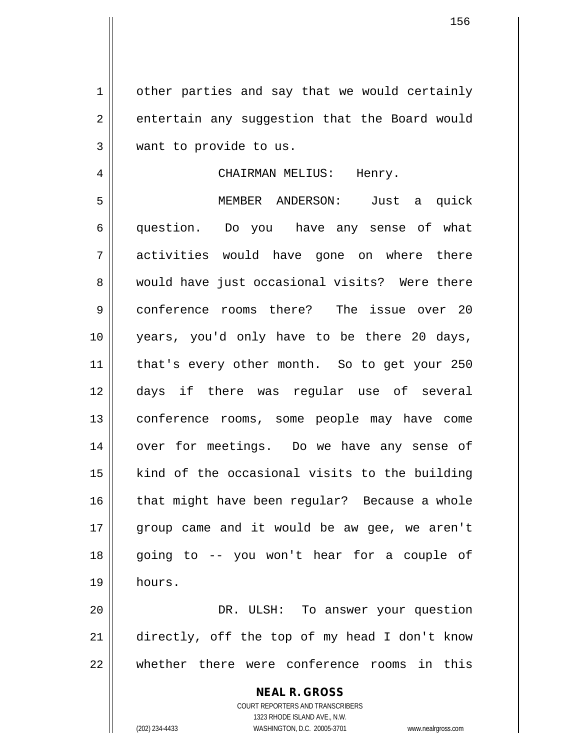1 | other parties and say that we would certainly 2 | entertain any suggestion that the Board would 3 want to provide to us.

## 4 CHAIRMAN MELIUS: Henry.

5 MEMBER ANDERSON: Just a quick 6 question. Do you have any sense of what 7 activities would have gone on where there 8 would have just occasional visits? Were there 9 || conference rooms there? The issue over 20 10 years, you'd only have to be there 20 days, 11 || that's every other month. So to get your 250 12 days if there was regular use of several 13 conference rooms, some people may have come 14 || over for meetings. Do we have any sense of 15 || kind of the occasional visits to the building 16 || that might have been regular? Because a whole 17 || group came and it would be aw gee, we aren't 18 going to -- you won't hear for a couple of 19 hours.

20 DR. ULSH: To answer your question 21 directly, off the top of my head I don't know 22 whether there were conference rooms in this

> **NEAL R. GROSS** COURT REPORTERS AND TRANSCRIBERS 1323 RHODE ISLAND AVE., N.W. (202) 234-4433 WASHINGTON, D.C. 20005-3701 www.nealrgross.com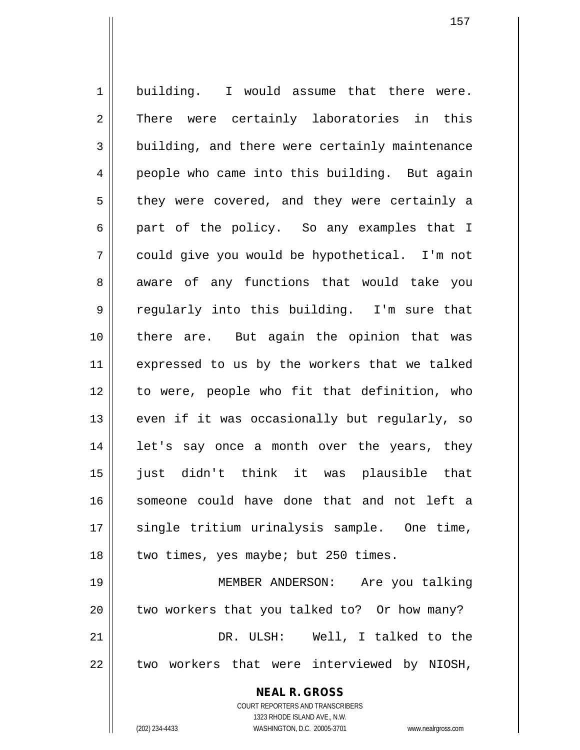1 building. I would assume that there were. 2 || There were certainly laboratories in this 3 building, and there were certainly maintenance 4 | people who came into this building. But again  $5 \parallel$  they were covered, and they were certainly a 6 || part of the policy. So any examples that I 7 could give you would be hypothetical. I'm not 8 aware of any functions that would take you  $9 \parallel$  regularly into this building. I'm sure that 10 there are. But again the opinion that was 11 || expressed to us by the workers that we talked 12 to were, people who fit that definition, who  $13$  even if it was occasionally but regularly, so  $14$  | let's say once a month over the years, they 15 just didn't think it was plausible that 16 || someone could have done that and not left a 17 || single tritium urinalysis sample. One time,  $18$  || two times, yes maybe; but 250 times. 19 MEMBER ANDERSON: Are you talking  $20$  || two workers that you talked to? Or how many?

21 DR. ULSH: Well, I talked to the  $22$   $\parallel$  two workers that were interviewed by NIOSH,

**NEAL R. GROSS**

COURT REPORTERS AND TRANSCRIBERS 1323 RHODE ISLAND AVE., N.W. (202) 234-4433 WASHINGTON, D.C. 20005-3701 www.nealrgross.com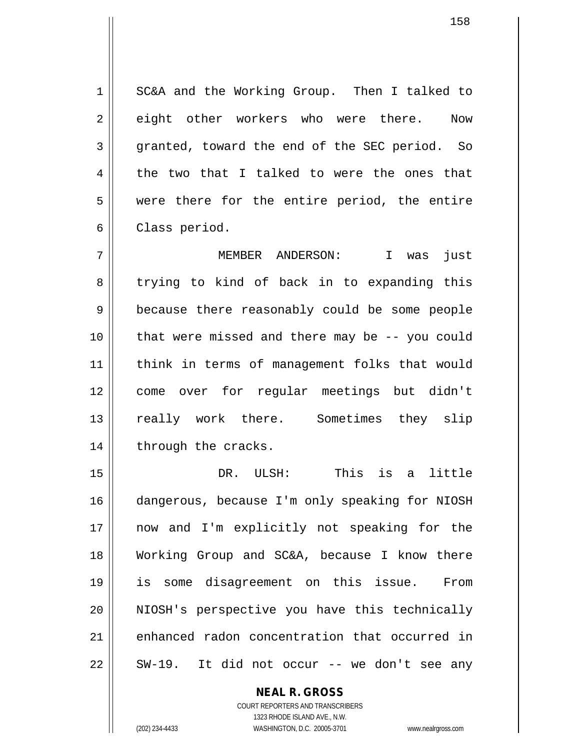1 SC&A and the Working Group. Then I talked to 2 eight other workers who were there. Now 3 granted, toward the end of the SEC period. So  $4 \parallel$  the two that I talked to were the ones that 5 were there for the entire period, the entire 6 | Class period.

7 MEMBER ANDERSON: I was just 8 trying to kind of back in to expanding this 9 || because there reasonably could be some people 10 || that were missed and there may be -- you could 11 || think in terms of management folks that would 12 come over for regular meetings but didn't 13 || really work there. Sometimes they slip  $14$  | through the cracks.

 DR. ULSH: This is a little dangerous, because I'm only speaking for NIOSH now and I'm explicitly not speaking for the Working Group and SC&A, because I know there is some disagreement on this issue. From NIOSH's perspective you have this technically 21 || enhanced radon concentration that occurred in  $22 \parallel$  SW-19. It did not occur -- we don't see any

> COURT REPORTERS AND TRANSCRIBERS 1323 RHODE ISLAND AVE., N.W. (202) 234-4433 WASHINGTON, D.C. 20005-3701 www.nealrgross.com

**NEAL R. GROSS**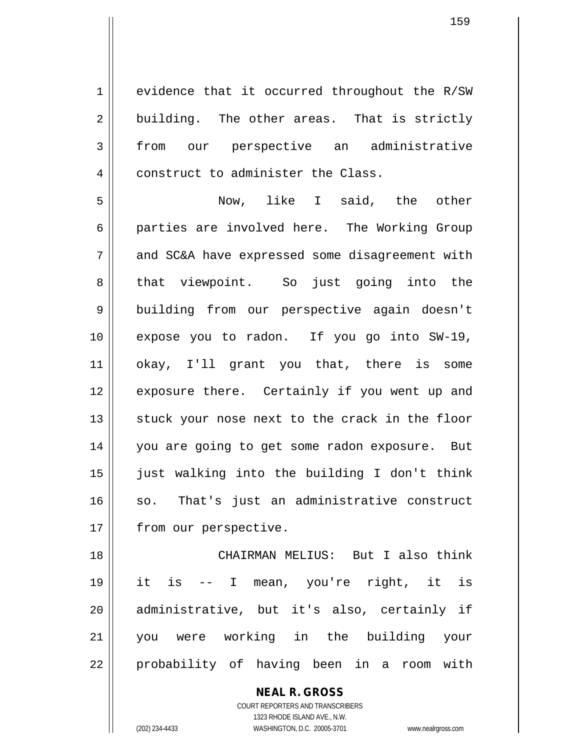1 evidence that it occurred throughout the R/SW  $2 \parallel$  building. The other areas. That is strictly 3 from our perspective an administrative 4 | construct to administer the Class.

5 Now, like I said, the other 6 parties are involved here. The Working Group 7 || and SC&A have expressed some disagreement with 8 || that viewpoint. So just going into the 9 | building from our perspective again doesn't 10 expose you to radon. If you go into SW-19, 11 okay, I'll grant you that, there is some 12 || exposure there. Certainly if you went up and  $13$  stuck your nose next to the crack in the floor 14 || you are going to get some radon exposure. But 15 just walking into the building I don't think 16 || so. That's just an administrative construct 17 | from our perspective.

 CHAIRMAN MELIUS: But I also think it is -- I mean, you're right, it is administrative, but it's also, certainly if you were working in the building your probability of having been in a room with

> **NEAL R. GROSS** COURT REPORTERS AND TRANSCRIBERS 1323 RHODE ISLAND AVE., N.W. (202) 234-4433 WASHINGTON, D.C. 20005-3701 www.nealrgross.com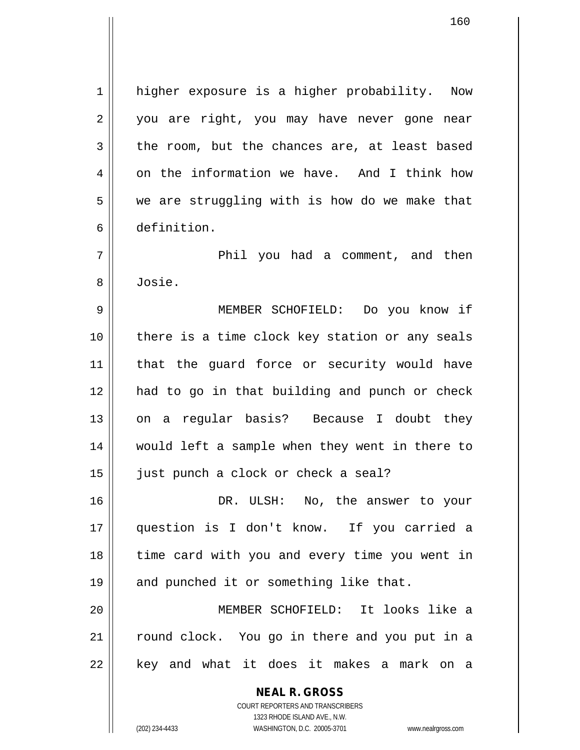1 | higher exposure is a higher probability. Now 2 || you are right, you may have never gone near  $3 \parallel$  the room, but the chances are, at least based  $4 \parallel$  on the information we have. And I think how  $5 \parallel$  we are struggling with is how do we make that 6 definition.

7 Phil you had a comment, and then 8 Josie.

 MEMBER SCHOFIELD: Do you know if there is a time clock key station or any seals that the guard force or security would have had to go in that building and punch or check 13 || on a regular basis? Because I doubt they would left a sample when they went in there to 15 || just punch a clock or check a seal?

16 DR. ULSH: No, the answer to your 17 question is I don't know. If you carried a 18 || time card with you and every time you went in 19 || and punched it or something like that.

20 MEMBER SCHOFIELD: It looks like a 21 round clock. You go in there and you put in a  $22$  || key and what it does it makes a mark on a

> **NEAL R. GROSS** COURT REPORTERS AND TRANSCRIBERS 1323 RHODE ISLAND AVE., N.W.

(202) 234-4433 WASHINGTON, D.C. 20005-3701 www.nealrgross.com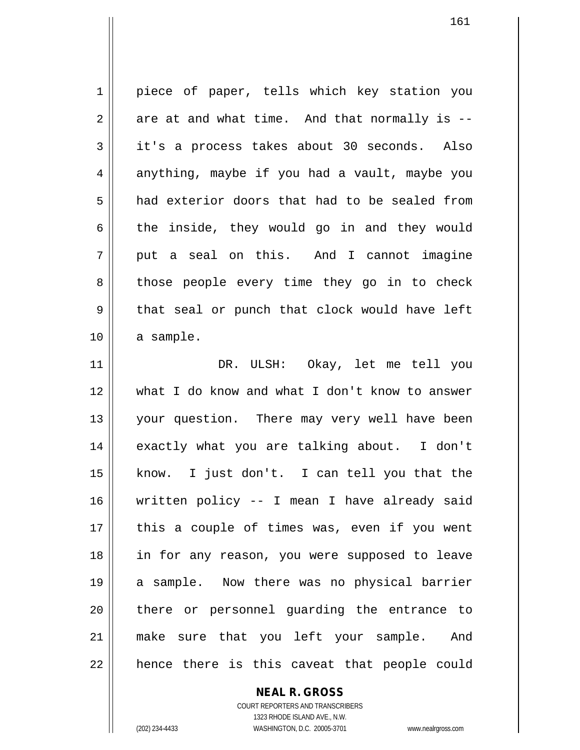1 || piece of paper, tells which key station you  $2 \parallel$  are at and what time. And that normally is --3 it's a process takes about 30 seconds. Also  $4 \parallel$  anything, maybe if you had a vault, maybe you 5 and exterior doors that had to be sealed from  $6$  the inside, they would go in and they would  $7 \parallel$  put a seal on this. And I cannot imagine 8 || those people every time they go in to check  $9 \parallel$  that seal or punch that clock would have left  $10$  a sample. 11 DR. ULSH: Okay, let me tell you 12 what I do know and what I don't know to answer 13 || your question. There may very well have been 14 || exactly what you are talking about. I don't 15 know. I just don't. I can tell you that the 16 written policy -- I mean I have already said 17 || this a couple of times was, even if you went 18 in for any reason, you were supposed to leave 19 a sample. Now there was no physical barrier 20 || there or personnel quarding the entrance to 21 make sure that you left your sample. And  $22$  || hence there is this caveat that people could

> **NEAL R. GROSS** COURT REPORTERS AND TRANSCRIBERS

1323 RHODE ISLAND AVE., N.W. (202) 234-4433 WASHINGTON, D.C. 20005-3701 www.nealrgross.com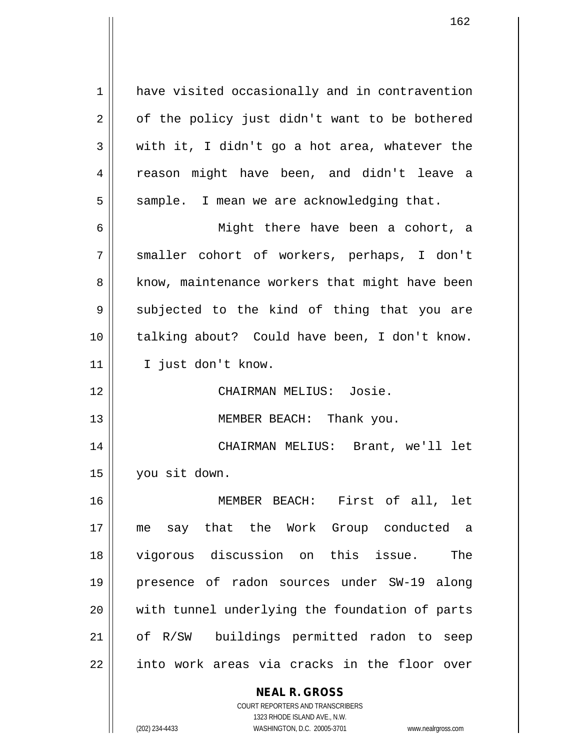1 || have visited occasionally and in contravention  $2 \parallel$  of the policy just didn't want to be bothered  $3 \parallel$  with it, I didn't go a hot area, whatever the 4 || reason might have been, and didn't leave a  $5 \parallel$  sample. I mean we are acknowledging that.

6 Might there have been a cohort, a 7 smaller cohort of workers, perhaps, I don't 8 || know, maintenance workers that might have been  $9 \parallel$  subjected to the kind of thing that you are 10 talking about? Could have been, I don't know. 11 || I just don't know.

12 CHAIRMAN MELIUS: Josie.

13 || MEMBER BEACH: Thank you.

14 CHAIRMAN MELIUS: Brant, we'll let 15 you sit down.

 MEMBER BEACH: First of all, let me say that the Work Group conducted a vigorous discussion on this issue. The presence of radon sources under SW-19 along with tunnel underlying the foundation of parts of R/SW buildings permitted radon to seep || into work areas via cracks in the floor over

# **NEAL R. GROSS**

COURT REPORTERS AND TRANSCRIBERS 1323 RHODE ISLAND AVE., N.W. (202) 234-4433 WASHINGTON, D.C. 20005-3701 www.nealrgross.com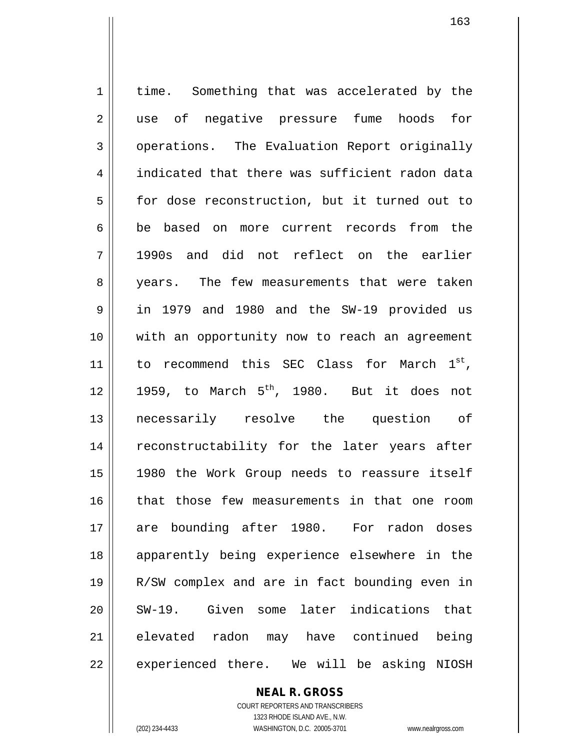1 | time. Something that was accelerated by the 2 || use of negative pressure fume hoods for 3 | operations. The Evaluation Report originally 4 indicated that there was sufficient radon data 5 for dose reconstruction, but it turned out to 6 be based on more current records from the 7 1990s and did not reflect on the earlier 8 || years. The few measurements that were taken 9 in 1979 and 1980 and the SW-19 provided us 10 with an opportunity now to reach an agreement 11 || to recommend this SEC Class for March  $1^{st}$ , 12  $\parallel$  1959, to March 5<sup>th</sup>, 1980. But it does not 13 necessarily resolve the question of 14 || reconstructability for the later years after 15 1980 the Work Group needs to reassure itself 16 || that those few measurements in that one room 17 are bounding after 1980. For radon doses 18 apparently being experience elsewhere in the 19 R/SW complex and are in fact bounding even in 20 || SW-19. Given some later indications that 21 elevated radon may have continued being 22 || experienced there. We will be asking NIOSH

> **NEAL R. GROSS** COURT REPORTERS AND TRANSCRIBERS 1323 RHODE ISLAND AVE., N.W. (202) 234-4433 WASHINGTON, D.C. 20005-3701 www.nealrgross.com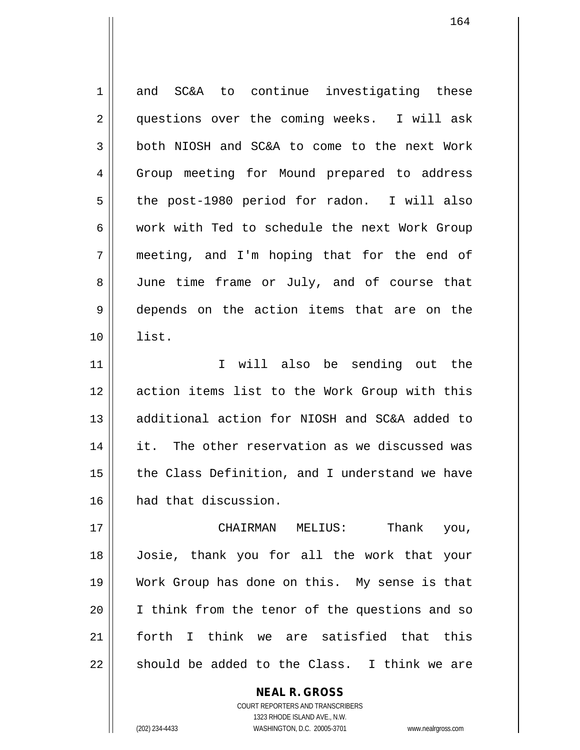| $\mathbf 1$ | and SC&A to continue investigating these       |
|-------------|------------------------------------------------|
| 2           | questions over the coming weeks. I will ask    |
| 3           | both NIOSH and SC&A to come to the next Work   |
| 4           | Group meeting for Mound prepared to address    |
| 5           | the post-1980 period for radon. I will also    |
| 6           | work with Ted to schedule the next Work Group  |
| 7           | meeting, and I'm hoping that for the end of    |
| 8           | June time frame or July, and of course that    |
| 9           | depends on the action items that are on the    |
| 10          | list.                                          |
| 11          | I will also be sending out the                 |
| 12          | action items list to the Work Group with this  |
| 13          | additional action for NIOSH and SC&A added to  |
| 14          | it. The other reservation as we discussed was  |
| 15          | the Class Definition, and I understand we have |
| 16          | had that discussion.                           |
| 17          | Thank<br>CHAIRMAN MELIUS:<br>you,              |
| 18          | Josie, thank you for all the work that your    |
| 19          | Work Group has done on this. My sense is that  |

COURT REPORTERS AND TRANSCRIBERS 1323 RHODE ISLAND AVE., N.W. (202) 234-4433 WASHINGTON, D.C. 20005-3701 www.nealrgross.com

| I think from the tenor of the questions and so

21 || forth I think we are satisfied that this

should be added to the Class. I think we are

**NEAL R. GROSS**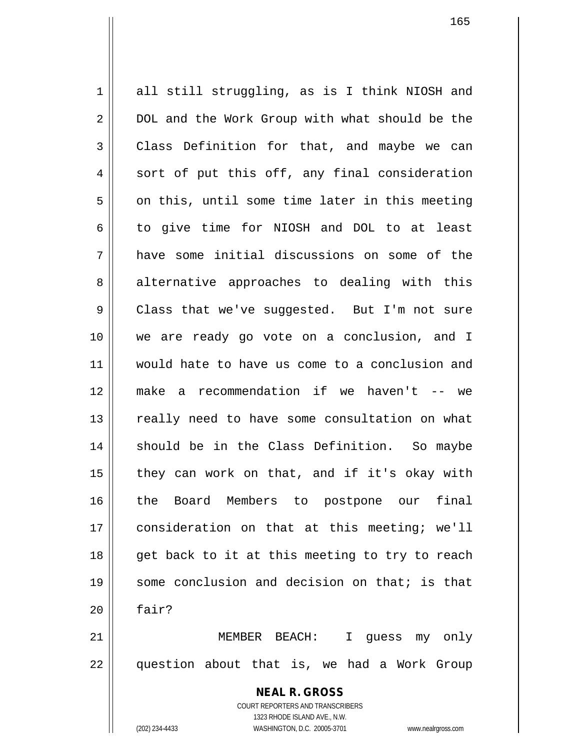1 all still struggling, as is I think NIOSH and 2 | DOL and the Work Group with what should be the  $3 \parallel$  Class Definition for that, and maybe we can  $4 \parallel$  sort of put this off, any final consideration  $5 \parallel$  on this, until some time later in this meeting 6 to give time for NIOSH and DOL to at least 7 have some initial discussions on some of the 8 alternative approaches to dealing with this 9 Class that we've suggested. But I'm not sure 10 we are ready go vote on a conclusion, and I 11 would hate to have us come to a conclusion and 12 make a recommendation if we haven't -- we 13 || really need to have some consultation on what 14 || should be in the Class Definition. So maybe  $15$  | they can work on that, and if it's okay with 16 || the Board Members to postpone our final 17 consideration on that at this meeting; we'll 18 || get back to it at this meeting to try to reach 19 some conclusion and decision on that; is that  $20$  | fair? 21 MEMBER BEACH: I guess my only  $22$  || question about that is, we had a Work Group

> **NEAL R. GROSS** COURT REPORTERS AND TRANSCRIBERS 1323 RHODE ISLAND AVE., N.W. (202) 234-4433 WASHINGTON, D.C. 20005-3701 www.nealrgross.com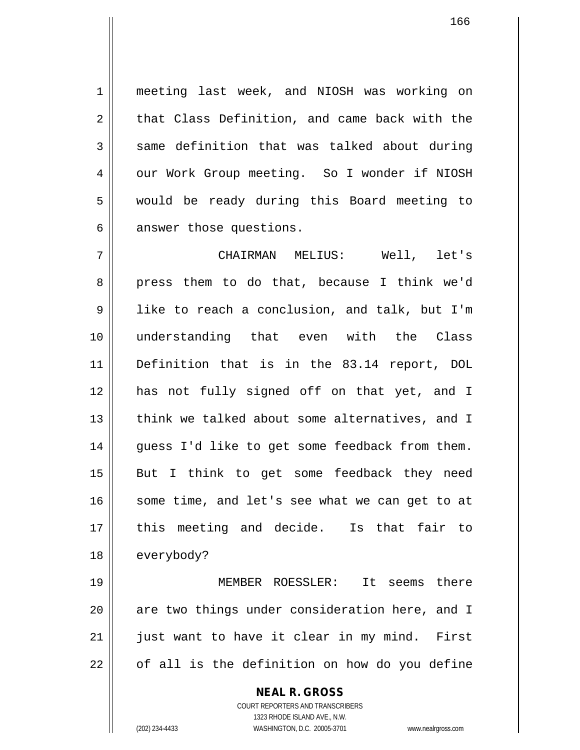1 meeting last week, and NIOSH was working on  $2 \parallel$  that Class Definition, and came back with the  $3 \parallel$  same definition that was talked about during 4 | our Work Group meeting. So I wonder if NIOSH 5 would be ready during this Board meeting to  $6 \parallel$  answer those questions.

7 CHAIRMAN MELIUS: Well, let's 8 press them to do that, because I think we'd 9 I like to reach a conclusion, and talk, but I'm 10 understanding that even with the Class 11 Definition that is in the 83.14 report, DOL 12 has not fully signed off on that yet, and I 13 || think we talked about some alternatives, and I  $14$  || guess I'd like to get some feedback from them. 15 || But I think to get some feedback they need  $16$  some time, and let's see what we can get to at 17 this meeting and decide. Is that fair to 18 | everybody?

 MEMBER ROESSLER: It seems there || are two things under consideration here, and I | just want to have it clear in my mind. First  $22 \parallel$  of all is the definition on how do you define

> **NEAL R. GROSS** COURT REPORTERS AND TRANSCRIBERS 1323 RHODE ISLAND AVE., N.W. (202) 234-4433 WASHINGTON, D.C. 20005-3701 www.nealrgross.com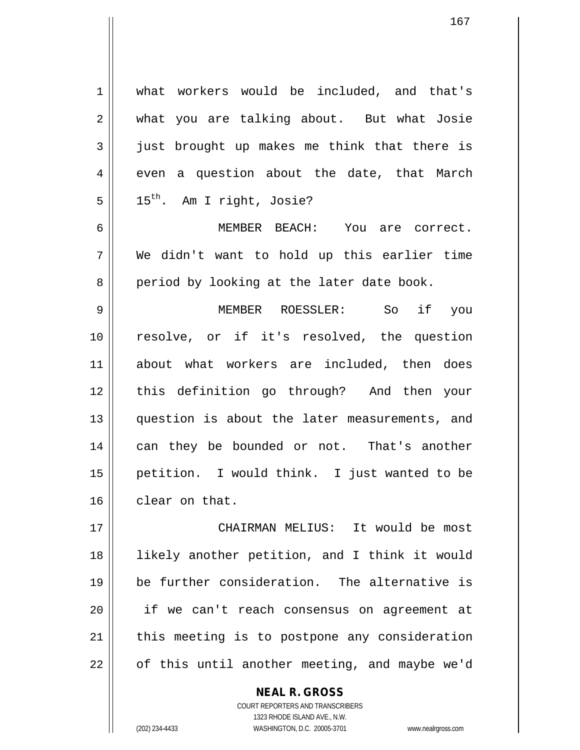1 what workers would be included, and that's 2 what you are talking about. But what Josie  $3 \parallel$  just brought up makes me think that there is  $4 \parallel$  even a question about the date, that March  $5 \parallel 15^{th}$ . Am I right, Josie? 6 MEMBER BEACH: You are correct.  $7 \parallel$  We didn't want to hold up this earlier time 8 period by looking at the later date book. 9 MEMBER ROESSLER: So if you 10 resolve, or if it's resolved, the question 11 about what workers are included, then does 12 this definition go through? And then your 13 question is about the later measurements, and 14 || can they be bounded or not. That's another 15 petition. I would think. I just wanted to be 16 clear on that. 17 CHAIRMAN MELIUS: It would be most 18 likely another petition, and I think it would 19 be further consideration. The alternative is 20 if we can't reach consensus on agreement at  $21$  | this meeting is to postpone any consideration

> **NEAL R. GROSS** COURT REPORTERS AND TRANSCRIBERS 1323 RHODE ISLAND AVE., N.W.

 $22$  || of this until another meeting, and maybe we'd

167

(202) 234-4433 WASHINGTON, D.C. 20005-3701 www.nealrgross.com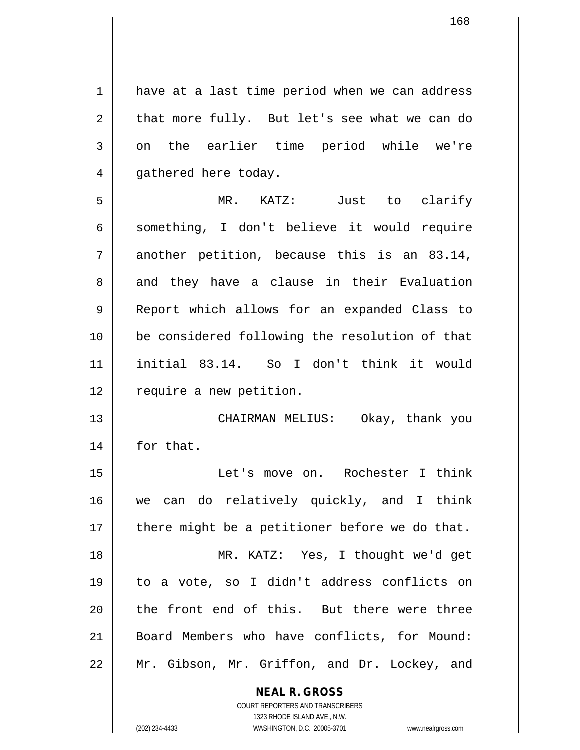1 have at a last time period when we can address  $2 \parallel$  that more fully. But let's see what we can do 3 on the earlier time period while we're 4 || gathered here today. 5 MR. KATZ: Just to clarify

6 || something, I don't believe it would require  $7 \parallel$  another petition, because this is an 83.14, 8 || and they have a clause in their Evaluation 9 Report which allows for an expanded Class to 10 be considered following the resolution of that 11 initial 83.14. So I don't think it would 12 | require a new petition.

13 || CHAIRMAN MELIUS: Okay, thank you 14 for that.

 Let's move on. Rochester I think we can do relatively quickly, and I think | there might be a petitioner before we do that. MR. KATZ: Yes, I thought we'd get to a vote, so I didn't address conflicts on 20 || the front end of this. But there were three Board Members who have conflicts, for Mound: Mr. Gibson, Mr. Griffon, and Dr. Lockey, and

> **NEAL R. GROSS** COURT REPORTERS AND TRANSCRIBERS

> > 1323 RHODE ISLAND AVE., N.W.

(202) 234-4433 WASHINGTON, D.C. 20005-3701 www.nealrgross.com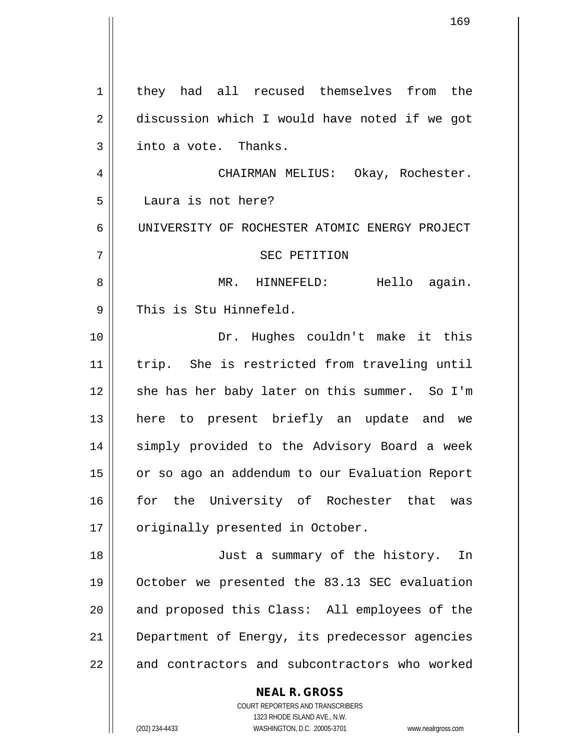| $\mathbf{1}$ | they had all recused themselves from the                 |
|--------------|----------------------------------------------------------|
| 2            | discussion which I would have noted if we got            |
| 3            | into a vote. Thanks.                                     |
| 4            | CHAIRMAN MELIUS: Okay, Rochester.                        |
| 5            | Laura is not here?                                       |
| 6            | UNIVERSITY OF ROCHESTER ATOMIC ENERGY PROJECT            |
| 7            | SEC PETITION                                             |
| 8            | MR. HINNEFELD: Hello again.                              |
| 9            | This is Stu Hinnefeld.                                   |
| 10           | Dr. Hughes couldn't make it this                         |
| 11           | trip. She is restricted from traveling until             |
| 12           | she has her baby later on this summer. So I'm            |
| 13           | here to present briefly an update and we                 |
| 14           | simply provided to the Advisory Board a week             |
| 15           | or so ago an addendum to our Evaluation Report           |
| 16           | for the University of Rochester that<br>was              |
| 17           | originally presented in October.                         |
| 18           | Just a summary of the history.<br>In                     |
| 19           | October we presented the 83.13 SEC evaluation            |
| 20           | and proposed this Class: All employees of the            |
| 21           | Department of Energy, its predecessor agencies           |
| 22           | and contractors and subcontractors who worked            |
|              | <b>NEAL R. GROSS</b><br>COURT REPORTERS AND TRANSCRIBERS |

1323 RHODE ISLAND AVE., N.W.

 $\prod$ 

 $\mathsf{I}$ 

(202) 234-4433 WASHINGTON, D.C. 20005-3701 www.nealrgross.com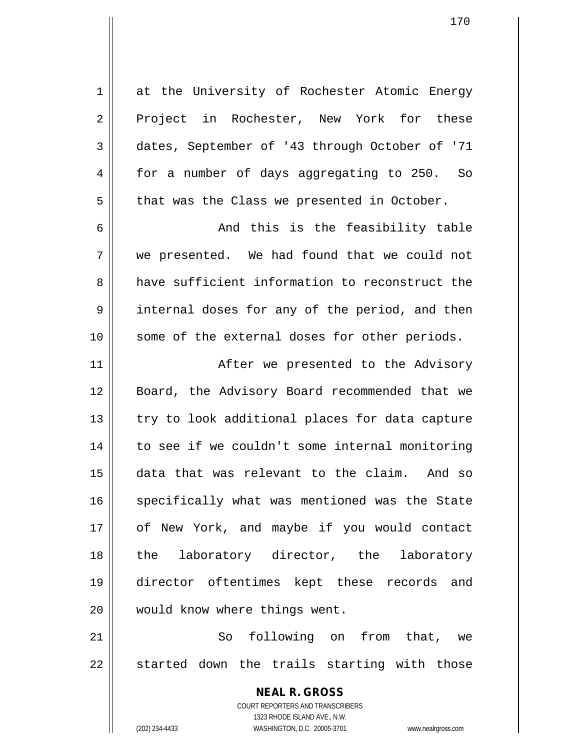| 1  | at the University of Rochester Atomic Energy                        |
|----|---------------------------------------------------------------------|
| 2  | Project in Rochester, New York for these                            |
| 3  | dates, September of '43 through October of '71                      |
| 4  | for a number of days aggregating to 250. So                         |
| 5  | that was the Class we presented in October.                         |
| 6  | And this is the feasibility table                                   |
| 7  | we presented. We had found that we could not                        |
| 8  | have sufficient information to reconstruct the                      |
| 9  | internal doses for any of the period, and then                      |
| 10 | some of the external doses for other periods.                       |
| 11 | After we presented to the Advisory                                  |
| 12 | Board, the Advisory Board recommended that we                       |
| 13 | try to look additional places for data capture                      |
| 14 | to see if we couldn't some internal monitoring                      |
| 15 | data that was relevant to the claim. And so                         |
| 16 | specifically what was mentioned was the State                       |
| 17 | of New York, and maybe if you would contact                         |
| 18 | the laboratory director, the laboratory                             |
| 19 | director oftentimes kept these records and                          |
| 20 | would know where things went.                                       |
| 21 | following on from that, we<br>So                                    |
| 22 | started down the trails starting with those                         |
|    |                                                                     |
|    | <b>NEAL R. GROSS</b>                                                |
|    | COURT REPORTERS AND TRANSCRIBERS<br>1323 RHODE ISLAND AVE., N.W.    |
|    | (202) 234-4433<br>WASHINGTON, D.C. 20005-3701<br>www.nealrgross.com |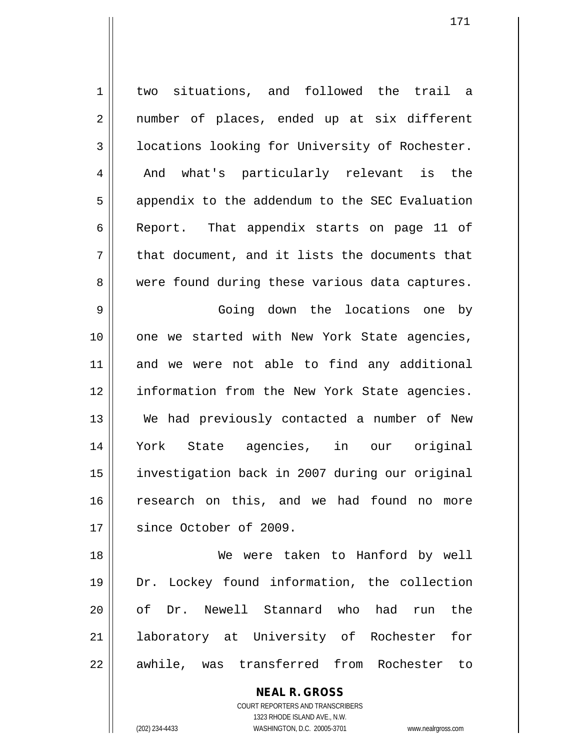1 | two situations, and followed the trail a 2 || number of places, ended up at six different  $3$  | locations looking for University of Rochester. 4 || And what's particularly relevant is the  $5 \parallel$  appendix to the addendum to the SEC Evaluation 6 Report. That appendix starts on page 11 of  $7 \parallel$  that document, and it lists the documents that 8 || were found during these various data captures. 9 Going down the locations one by

10 || one we started with New York State agencies, 11 and we were not able to find any additional 12 || information from the New York State agencies. 13 We had previously contacted a number of New 14 York State agencies, in our original 15 investigation back in 2007 during our original 16 research on this, and we had found no more 17 || since October of 2009.

18 We were taken to Hanford by well 19 Dr. Lockey found information, the collection 20 || of Dr. Newell Stannard who had run the 21 laboratory at University of Rochester for 22 || awhile, was transferred from Rochester to

> **NEAL R. GROSS** COURT REPORTERS AND TRANSCRIBERS 1323 RHODE ISLAND AVE., N.W. (202) 234-4433 WASHINGTON, D.C. 20005-3701 www.nealrgross.com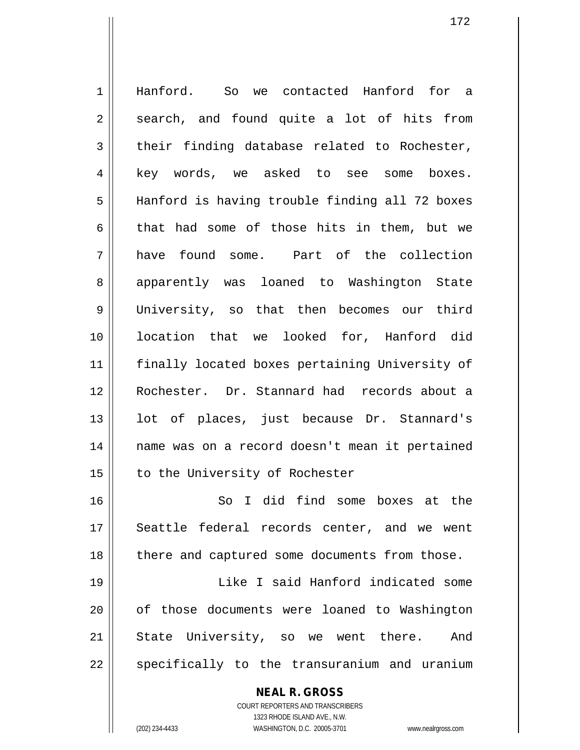1 Hanford. So we contacted Hanford for a  $2 \parallel$  search, and found quite a lot of hits from  $3 \parallel$  their finding database related to Rochester, 4 || key words, we asked to see some boxes. 5 || Hanford is having trouble finding all 72 boxes 6 that had some of those hits in them, but we 7 have found some. Part of the collection 8 apparently was loaned to Washington State 9 University, so that then becomes our third 10 location that we looked for, Hanford did 11 finally located boxes pertaining University of 12 Rochester. Dr. Stannard had records about a 13 || lot of places, just because Dr. Stannard's 14 || name was on a record doesn't mean it pertained 15 | to the University of Rochester 16 So I did find some boxes at the 17 || Seattle federal records center, and we went 18 || there and captured some documents from those. 19 Like I said Hanford indicated some 20 || of those documents were loaned to Washington 21 State University, so we went there. And 22 || specifically to the transuranium and uranium

> **NEAL R. GROSS** COURT REPORTERS AND TRANSCRIBERS

> > 1323 RHODE ISLAND AVE., N.W.

(202) 234-4433 WASHINGTON, D.C. 20005-3701 www.nealrgross.com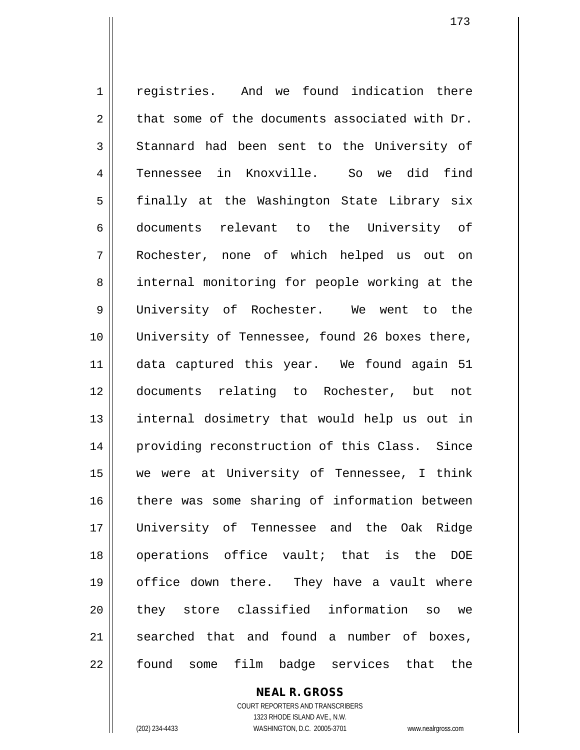1 | registries. And we found indication there  $2 \parallel$  that some of the documents associated with Dr. 3 Stannard had been sent to the University of 4 Tennessee in Knoxville. So we did find 5 || finally at the Washington State Library six 6 documents relevant to the University of 7 Rochester, none of which helped us out on 8 || internal monitoring for people working at the 9 University of Rochester. We went to the 10 || University of Tennessee, found 26 boxes there, 11 data captured this year. We found again 51 12 documents relating to Rochester, but not 13 || internal dosimetry that would help us out in 14 || providing reconstruction of this Class. Since 15 we were at University of Tennessee, I think 16 there was some sharing of information between 17 University of Tennessee and the Oak Ridge 18 || operations office vault; that is the DOE 19 office down there. They have a vault where 20 || they store classified information so we  $21$  searched that and found a number of boxes, 22 || found some film badge services that the

> **NEAL R. GROSS** COURT REPORTERS AND TRANSCRIBERS 1323 RHODE ISLAND AVE., N.W. (202) 234-4433 WASHINGTON, D.C. 20005-3701 www.nealrgross.com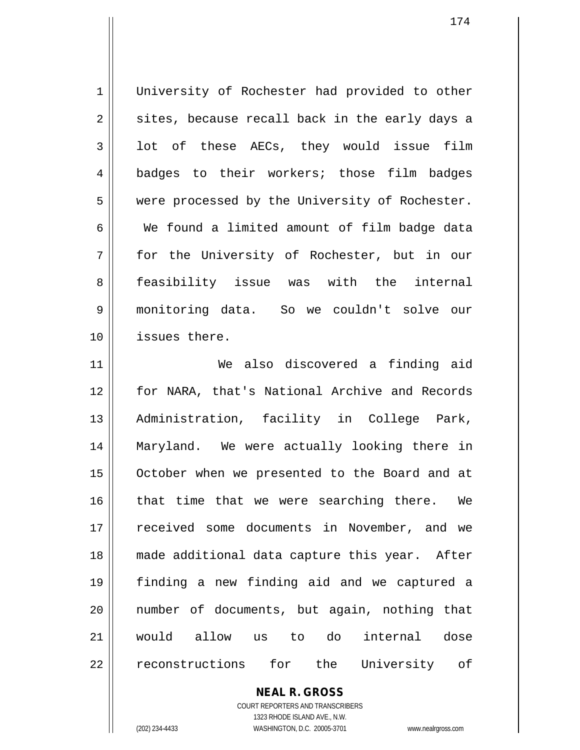1 | University of Rochester had provided to other  $2 \parallel$  sites, because recall back in the early days a  $3 \parallel$  lot of these AECs, they would issue film 4 || badges to their workers; those film badges 5 | were processed by the University of Rochester. 6 We found a limited amount of film badge data 7 for the University of Rochester, but in our 8 || feasibility issue was with the internal 9 monitoring data. So we couldn't solve our 10 issues there. 11 We also discovered a finding aid 12 for NARA, that's National Archive and Records 13 Administration, facility in College Park, 14 Maryland. We were actually looking there in 15 | October when we presented to the Board and at  $16$  that time that we were searching there. We 17 || received some documents in November, and we 18 made additional data capture this year. After 19 finding a new finding aid and we captured a 20 number of documents, but again, nothing that 21 would allow us to do internal dose 22 || reconstructions for the University of

**NEAL R. GROSS**

COURT REPORTERS AND TRANSCRIBERS 1323 RHODE ISLAND AVE., N.W. (202) 234-4433 WASHINGTON, D.C. 20005-3701 www.nealrgross.com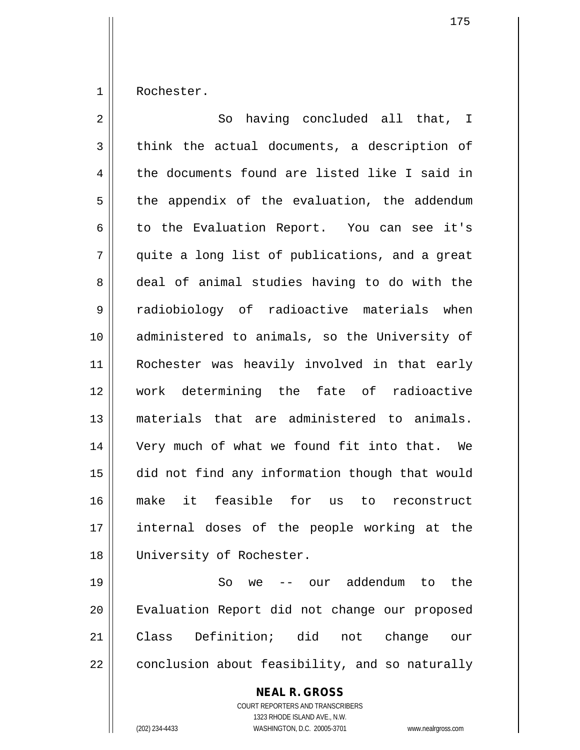1 Rochester.

| $\overline{2}$ | having concluded all that, I<br>So             |
|----------------|------------------------------------------------|
| 3              | think the actual documents, a description of   |
| 4              | the documents found are listed like I said in  |
| 5              | the appendix of the evaluation, the addendum   |
| 6              | to the Evaluation Report. You can see it's     |
| 7              | quite a long list of publications, and a great |
| 8              | deal of animal studies having to do with the   |
| 9              | radiobiology of radioactive materials when     |
| 10             | administered to animals, so the University of  |
| 11             | Rochester was heavily involved in that early   |
| 12             | work determining the fate of radioactive       |
| 13             | materials that are administered to animals.    |
| 14             | Very much of what we found fit into that. We   |
| 15             | did not find any information though that would |
| 16             | make it feasible for us<br>to<br>reconstruct   |
| 17             | internal doses of the people working at the    |
| 18             | University of Rochester.                       |
| 19             | So<br>-- our addendum<br>the<br>to<br>we       |

20 | Evaluation Report did not change our proposed Class Definition; did not change our conclusion about feasibility, and so naturally

> **NEAL R. GROSS** COURT REPORTERS AND TRANSCRIBERS 1323 RHODE ISLAND AVE., N.W.

(202) 234-4433 WASHINGTON, D.C. 20005-3701 www.nealrgross.com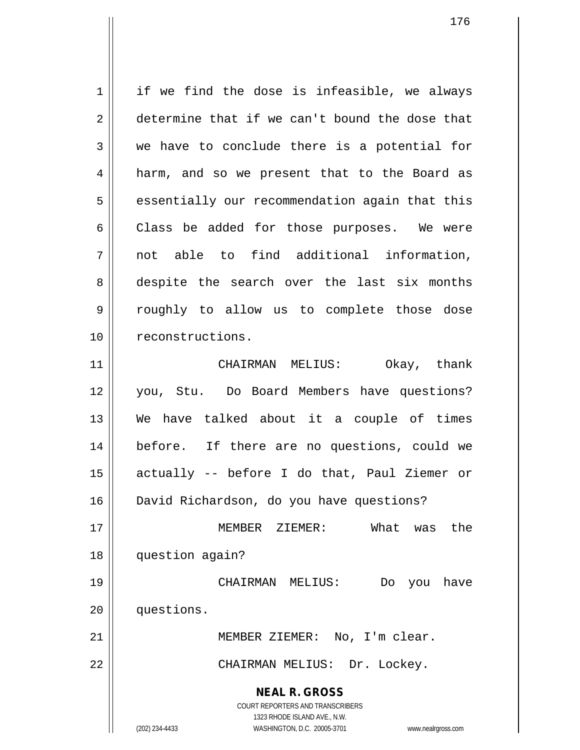**NEAL R. GROSS** COURT REPORTERS AND TRANSCRIBERS 1323 RHODE ISLAND AVE., N.W. (202) 234-4433 WASHINGTON, D.C. 20005-3701 www.nealrgross.com 1 | if we find the dose is infeasible, we always 2 determine that if we can't bound the dose that  $3 \parallel$  we have to conclude there is a potential for 4 || harm, and so we present that to the Board as  $5 \parallel$  essentially our recommendation again that this  $6 \parallel$  Class be added for those purposes. We were 7 not able to find additional information, 8 despite the search over the last six months 9 roughly to allow us to complete those dose 10 | reconstructions. 11 CHAIRMAN MELIUS: Okay, thank 12 you, Stu. Do Board Members have questions? 13 We have talked about it a couple of times 14 before. If there are no questions, could we 15 actually -- before I do that, Paul Ziemer or 16 David Richardson, do you have questions? 17 MEMBER ZIEMER: What was the 18 question again? 19 CHAIRMAN MELIUS: Do you have 20 questions. 21 || MEMBER ZIEMER: No, I'm clear. 22 || CHAIRMAN MELIUS: Dr. Lockey.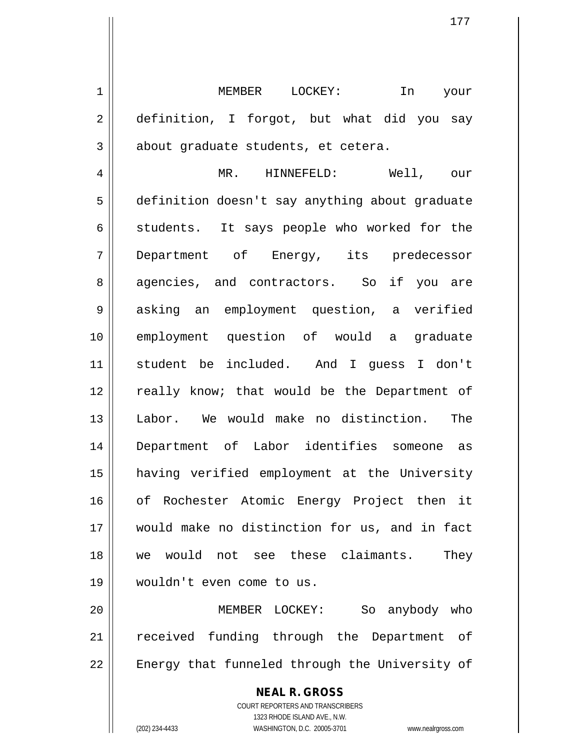1 MEMBER LOCKEY: In your 2 definition, I forgot, but what did you say  $3 \parallel$  about graduate students, et cetera.

 MR. HINNEFELD: Well, our definition doesn't say anything about graduate  $6 \parallel$  students. It says people who worked for the Department of Energy, its predecessor 8 agencies, and contractors. So if you are 9 || asking an employment question, a verified employment question of would a graduate student be included. And I guess I don't 12 || really know; that would be the Department of Labor. We would make no distinction. The Department of Labor identifies someone as having verified employment at the University 16 || of Rochester Atomic Energy Project then it would make no distinction for us, and in fact we would not see these claimants. They wouldn't even come to us.

20 MEMBER LOCKEY: So anybody who 21 || received funding through the Department of  $22$   $\parallel$  Energy that funneled through the University of

> **NEAL R. GROSS** COURT REPORTERS AND TRANSCRIBERS 1323 RHODE ISLAND AVE., N.W. (202) 234-4433 WASHINGTON, D.C. 20005-3701 www.nealrgross.com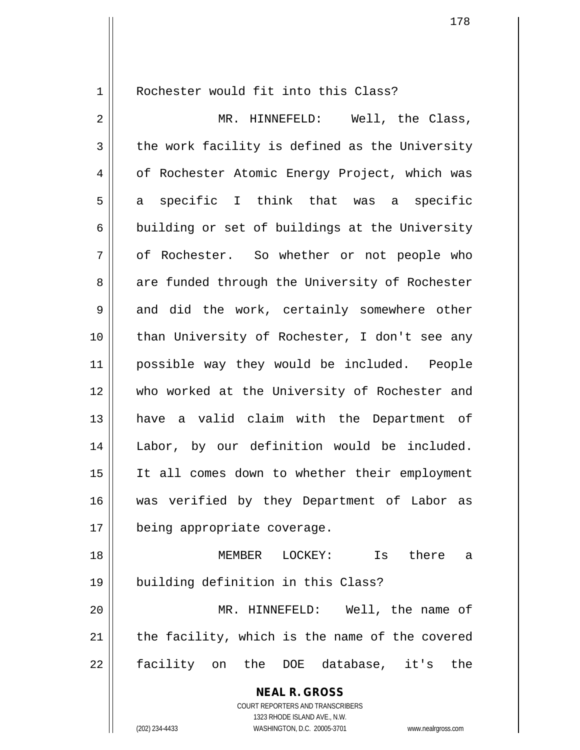1 || Rochester would fit into this Class?

2 MR. HINNEFELD: Well, the Class,  $3 \parallel$  the work facility is defined as the University 4 | of Rochester Atomic Energy Project, which was  $5 \parallel$  a specific I think that was a specific  $6 \parallel$  building or set of buildings at the University 7 || of Rochester. So whether or not people who 8 || are funded through the University of Rochester  $9 \parallel$  and did the work, certainly somewhere other 10 || than University of Rochester, I don't see any 11 possible way they would be included. People 12 who worked at the University of Rochester and 13 have a valid claim with the Department of 14 || Labor, by our definition would be included. 15 It all comes down to whether their employment 16 was verified by they Department of Labor as 17 || being appropriate coverage. 18 MEMBER LOCKEY: Is there a 19 building definition in this Class?

20 MR. HINNEFELD: Well, the name of  $21$  | the facility, which is the name of the covered 22 facility on the DOE database, it's the

> **NEAL R. GROSS** COURT REPORTERS AND TRANSCRIBERS 1323 RHODE ISLAND AVE., N.W.

(202) 234-4433 WASHINGTON, D.C. 20005-3701 www.nealrgross.com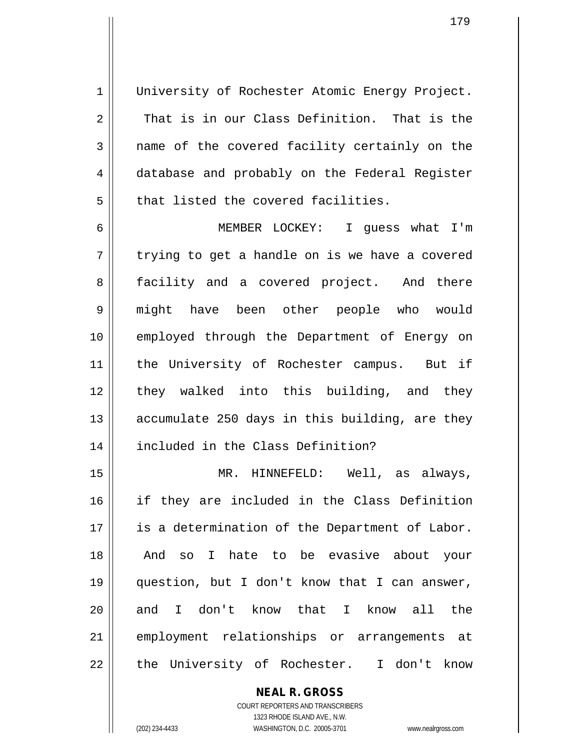1 || University of Rochester Atomic Energy Project.  $2 \parallel$  That is in our Class Definition. That is the  $3 \parallel$  name of the covered facility certainly on the 4 database and probably on the Federal Register 5 | that listed the covered facilities.

6 MEMBER LOCKEY: I guess what I'm  $7 \parallel$  trying to get a handle on is we have a covered 8 facility and a covered project. And there 9 might have been other people who would 10 employed through the Department of Energy on 11 || the University of Rochester campus. But if 12 || they walked into this building, and they 13  $\parallel$  accumulate 250 days in this building, are they 14 | included in the Class Definition?

15 MR. HINNEFELD: Well, as always, 16 if they are included in the Class Definition 17 is a determination of the Department of Labor. 18 || And so I hate to be evasive about your 19 question, but I don't know that I can answer, 20 and I don't know that I know all the 21 || employment relationships or arrangements at 22 || the University of Rochester. I don't know

> **NEAL R. GROSS** COURT REPORTERS AND TRANSCRIBERS 1323 RHODE ISLAND AVE., N.W. (202) 234-4433 WASHINGTON, D.C. 20005-3701 www.nealrgross.com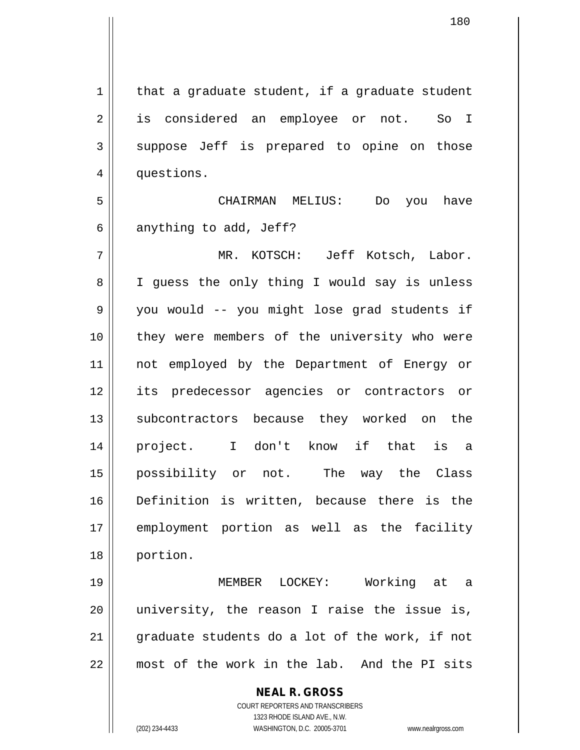$1$  that a graduate student, if a graduate student 2 || is considered an employee or not. So I 3 Suppose Jeff is prepared to opine on those 4 | questions. 5 CHAIRMAN MELIUS: Do you have  $6 \parallel$  anything to add, Jeff? 7 MR. KOTSCH: Jeff Kotsch, Labor. 8 || I guess the only thing I would say is unless 9 || you would -- you might lose grad students if 10 || they were members of the university who were 11 not employed by the Department of Energy or 12 its predecessor agencies or contractors or 13 || subcontractors because they worked on the 14 project. I don't know if that is a 15 possibility or not. The way the Class 16 Definition is written, because there is the 17 employment portion as well as the facility 18 portion. 19 MEMBER LOCKEY: Working at a

 $20$  || university, the reason I raise the issue is,  $21$  || graduate students do a lot of the work, if not 22 most of the work in the lab. And the PI sits

> COURT REPORTERS AND TRANSCRIBERS 1323 RHODE ISLAND AVE., N.W. (202) 234-4433 WASHINGTON, D.C. 20005-3701 www.nealrgross.com

**NEAL R. GROSS**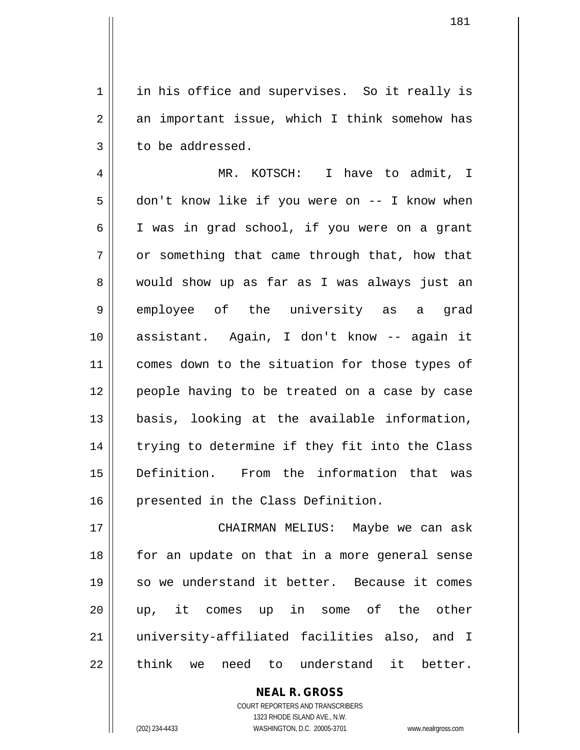1 || in his office and supervises. So it really is  $2 \parallel$  an important issue, which I think somehow has  $3 \parallel$  to be addressed.

4 MR. KOTSCH: I have to admit, I 5 | don't know like if you were on -- I know when 6 || I was in grad school, if you were on a grant  $7 \parallel$  or something that came through that, how that 8 Would show up as far as I was always just an 9 employee of the university as a grad 10 assistant. Again, I don't know -- again it 11 || comes down to the situation for those types of 12 people having to be treated on a case by case 13 basis, looking at the available information, 14 || trying to determine if they fit into the Class 15 Definition. From the information that was 16 presented in the Class Definition.

 CHAIRMAN MELIUS: Maybe we can ask 18 || for an update on that in a more general sense so we understand it better. Because it comes up, it comes up in some of the other university-affiliated facilities also, and I  $\parallel$  think we need to understand it better.

> COURT REPORTERS AND TRANSCRIBERS 1323 RHODE ISLAND AVE., N.W. (202) 234-4433 WASHINGTON, D.C. 20005-3701 www.nealrgross.com

**NEAL R. GROSS**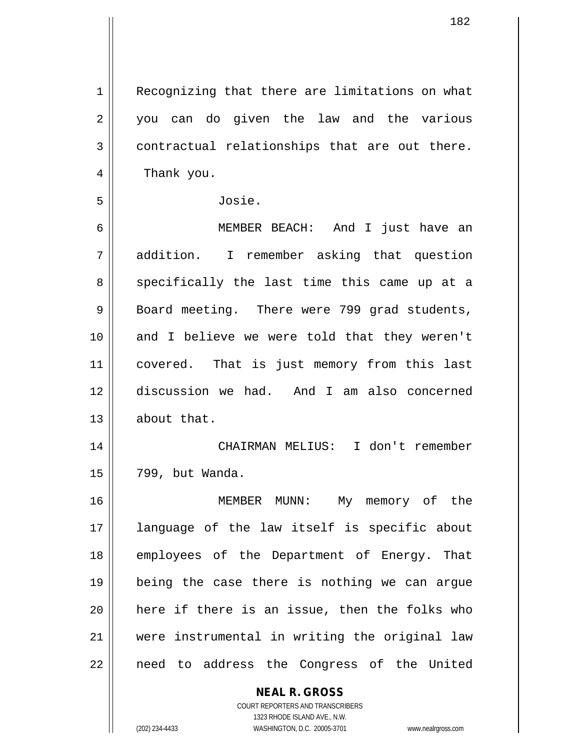1 | Recognizing that there are limitations on what 2 || you can do given the law and the various  $3 \parallel$  contractual relationships that are out there. 4 | Thank you. 5 Josie. 6 MEMBER BEACH: And I just have an 7 addition. I remember asking that question 8 specifically the last time this came up at a  $9 \parallel$  Board meeting. There were 799 grad students,

 and I believe we were told that they weren't 11 || covered. That is just memory from this last discussion we had. And I am also concerned about that.

14 CHAIRMAN MELIUS: I don't remember 15 799, but Wanda.

 MEMBER MUNN: My memory of the language of the law itself is specific about 18 || employees of the Department of Energy. That being the case there is nothing we can argue || here if there is an issue, then the folks who were instrumental in writing the original law 22 || need to address the Congress of the United

## **NEAL R. GROSS**

COURT REPORTERS AND TRANSCRIBERS 1323 RHODE ISLAND AVE., N.W. (202) 234-4433 WASHINGTON, D.C. 20005-3701 www.nealrgross.com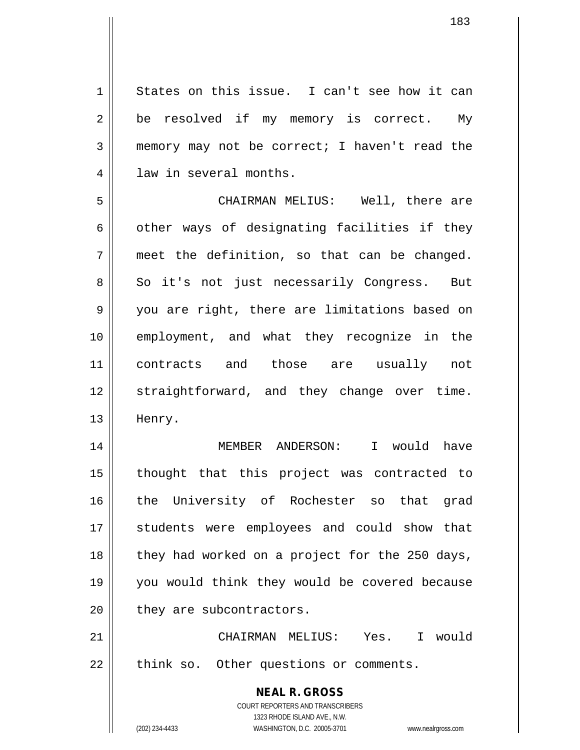1 States on this issue. I can't see how it can  $2 \parallel$  be resolved if my memory is correct. My 3 memory may not be correct; I haven't read the 4 || law in several months.

5 CHAIRMAN MELIUS: Well, there are  $6 \parallel$  other ways of designating facilities if they  $7$  || meet the definition, so that can be changed. 8 || So it's not just necessarily Congress. But 9 || you are right, there are limitations based on 10 employment, and what they recognize in the 11 contracts and those are usually not 12 || straightforward, and they change over time. 13 || Henry.

14 MEMBER ANDERSON: I would have 15 thought that this project was contracted to 16 || the University of Rochester so that grad 17 || students were employees and could show that 18 || they had worked on a project for the 250 days, 19 you would think they would be covered because  $20$  | they are subcontractors.

21 CHAIRMAN MELIUS: Yes. I would  $22$  || think so. Other questions or comments.

> **NEAL R. GROSS** COURT REPORTERS AND TRANSCRIBERS 1323 RHODE ISLAND AVE., N.W. (202) 234-4433 WASHINGTON, D.C. 20005-3701 www.nealrgross.com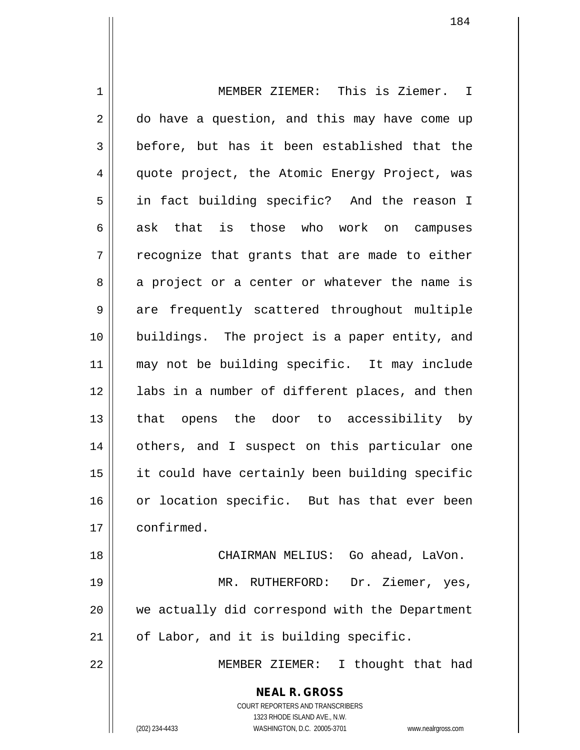1 MEMBER ZIEMER: This is Ziemer. I 2 do have a question, and this may have come up  $3 \parallel$  before, but has it been established that the 4 quote project, the Atomic Energy Project, was 5 || in fact building specific? And the reason I  $6 \parallel$  ask that is those who work on campuses  $7 \parallel$  recognize that grants that are made to either 8 a project or a center or whatever the name is 9 are frequently scattered throughout multiple 10 buildings. The project is a paper entity, and 11 may not be building specific. It may include 12 || labs in a number of different places, and then 13 || that opens the door to accessibility by 14 others, and I suspect on this particular one 15 it could have certainly been building specific 16 or location specific. But has that ever been 17 | confirmed. 18 CHAIRMAN MELIUS: Go ahead, LaVon. 19 || MR. RUTHERFORD: Dr. Ziemer, yes, 20 we actually did correspond with the Department

 $21$  | of Labor, and it is building specific.

22 MEMBER ZIEMER: I thought that had

**NEAL R. GROSS** COURT REPORTERS AND TRANSCRIBERS

1323 RHODE ISLAND AVE., N.W.

(202) 234-4433 WASHINGTON, D.C. 20005-3701 www.nealrgross.com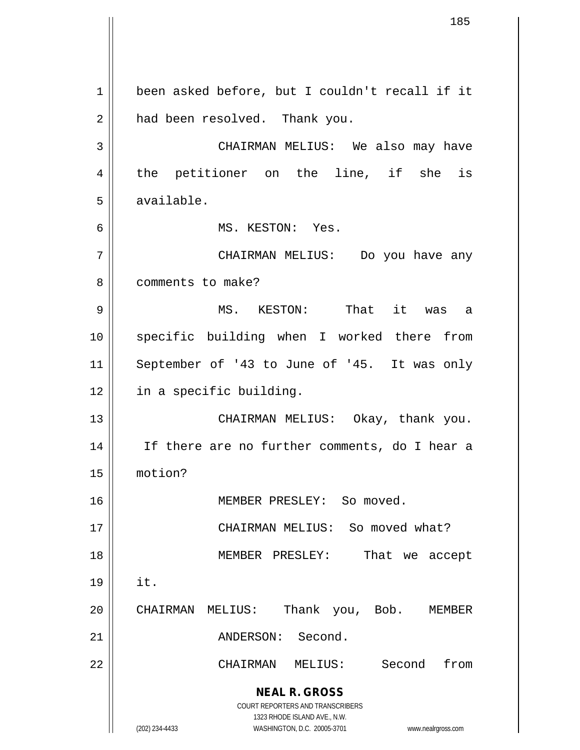**NEAL R. GROSS** COURT REPORTERS AND TRANSCRIBERS 1323 RHODE ISLAND AVE., N.W. (202) 234-4433 WASHINGTON, D.C. 20005-3701 www.nealrgross.com 1 | been asked before, but I couldn't recall if it 2 | had been resolved. Thank you. 3 CHAIRMAN MELIUS: We also may have 4 || the petitioner on the line, if she is 5 available. 6 MS. KESTON: Yes. 7 CHAIRMAN MELIUS: Do you have any 8 l comments to make? 9 MS. KESTON: That it was a 10 || specific building when I worked there from 11 September of '43 to June of '45. It was only 12 in a specific building. 13 || CHAIRMAN MELIUS: Okay, thank you. 14 If there are no further comments, do I hear a 15 motion? 16 || MEMBER PRESLEY: So moved. 17 || CHAIRMAN MELIUS: So moved what? 18 MEMBER PRESLEY: That we accept  $19 \parallel$  it. 20 | CHAIRMAN MELIUS: Thank you, Bob. MEMBER 21 || ANDERSON: Second. 22 CHAIRMAN MELIUS: Second from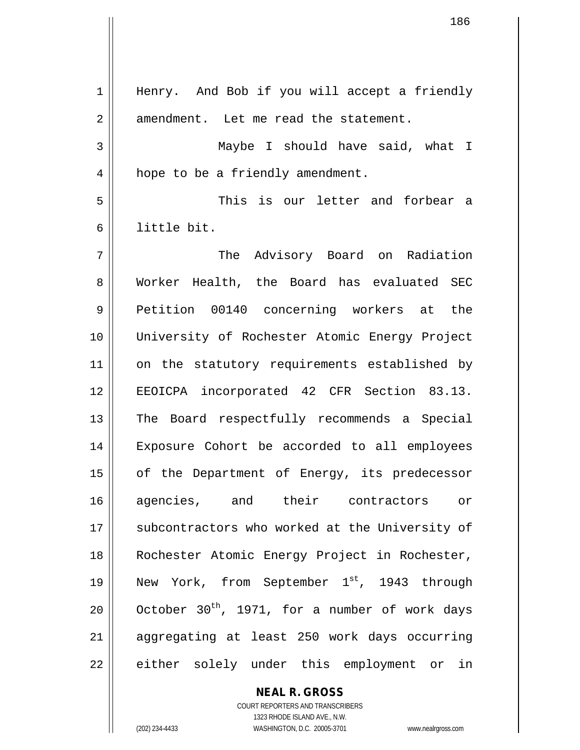1 || Henry. And Bob if you will accept a friendly 2 || amendment. Let me read the statement. 3 Maybe I should have said, what I 4 | hope to be a friendly amendment. 5 This is our letter and forbear a 6 little bit. 7 The Advisory Board on Radiation 8 Worker Health, the Board has evaluated SEC 9 Petition 00140 concerning workers at the 10 University of Rochester Atomic Energy Project 11 || on the statutory requirements established by 12 EEOICPA incorporated 42 CFR Section 83.13. 13 || The Board respectfully recommends a Special 14 Exposure Cohort be accorded to all employees 15 || of the Department of Energy, its predecessor 16 agencies, and their contractors or 17 || subcontractors who worked at the University of 18 || Rochester Atomic Energy Project in Rochester, 19 || New York, from September  $1^{st}$ , 1943 through 20  $\parallel$  October 30<sup>th</sup>, 1971, for a number of work days 21 aggregating at least 250 work days occurring 22 || either solely under this employment or in

> COURT REPORTERS AND TRANSCRIBERS 1323 RHODE ISLAND AVE., N.W. (202) 234-4433 WASHINGTON, D.C. 20005-3701 www.nealrgross.com

**NEAL R. GROSS**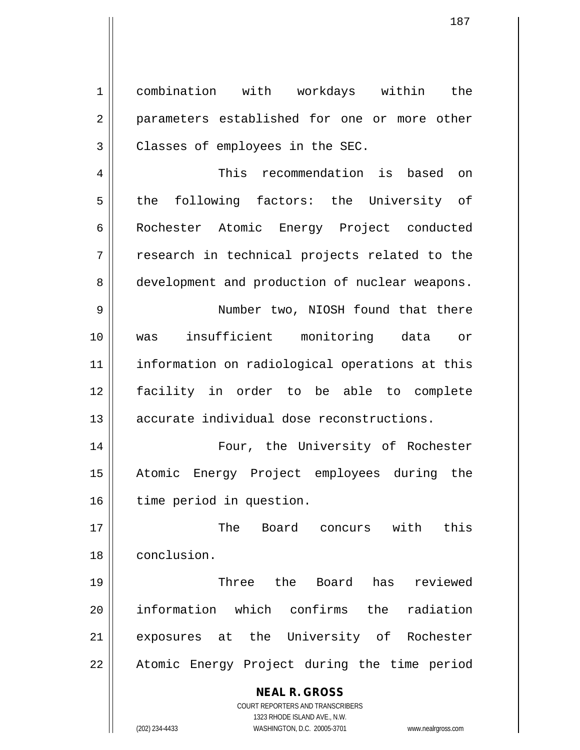1 combination with workdays within the 2 || parameters established for one or more other  $3$  | Classes of employees in the SEC.

4 This recommendation is based on 5 the following factors: the University of 6 | Rochester Atomic Energy Project conducted  $7 \parallel$  research in technical projects related to the 8 development and production of nuclear weapons.

9 || Number two, NIOSH found that there 10 was insufficient monitoring data or 11 information on radiological operations at this 12 facility in order to be able to complete 13 || accurate individual dose reconstructions.

14 Four, the University of Rochester 15 Atomic Energy Project employees during the 16 | time period in question.

17 The Board concurs with this 18 conclusion.

19 Three the Board has reviewed 20 information which confirms the radiation 21 exposures at the University of Rochester 22 || Atomic Energy Project during the time period

**NEAL R. GROSS**

COURT REPORTERS AND TRANSCRIBERS 1323 RHODE ISLAND AVE., N.W. (202) 234-4433 WASHINGTON, D.C. 20005-3701 www.nealrgross.com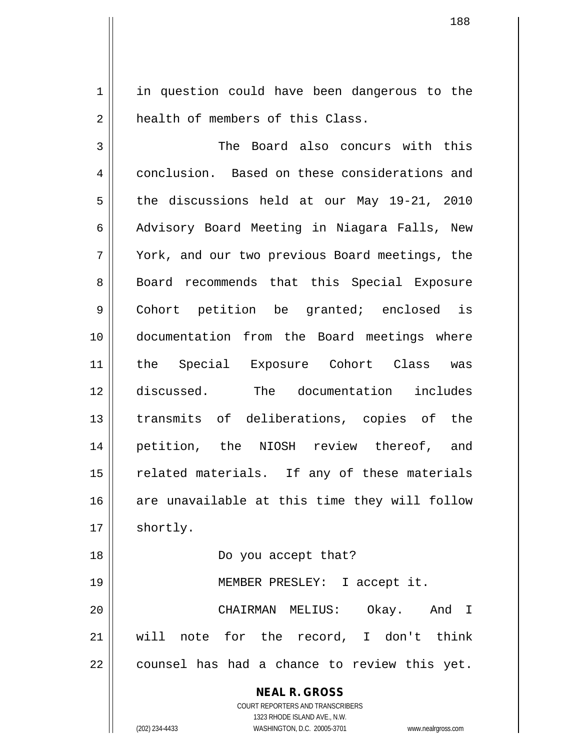1 || in question could have been dangerous to the 2 **h** health of members of this Class.

3 || The Board also concurs with this 4 conclusion. Based on these considerations and  $5 \parallel$  the discussions held at our May 19-21, 2010 6 Advisory Board Meeting in Niagara Falls, New 7 York, and our two previous Board meetings, the 8 || Board recommends that this Special Exposure 9 Cohort petition be granted; enclosed is 10 documentation from the Board meetings where 11 the Special Exposure Cohort Class was 12 discussed. The documentation includes 13 transmits of deliberations, copies of the 14 petition, the NIOSH review thereof, and 15 || related materials. If any of these materials 16 are unavailable at this time they will follow 17 | shortly. 18 Do you accept that? 19 MEMBER PRESLEY: I accept it.

20 CHAIRMAN MELIUS: Okay. And I 21 will note for the record, I don't think  $22 \parallel$  counsel has had a chance to review this yet.

> **NEAL R. GROSS** COURT REPORTERS AND TRANSCRIBERS

1323 RHODE ISLAND AVE., N.W. (202) 234-4433 WASHINGTON, D.C. 20005-3701 www.nealrgross.com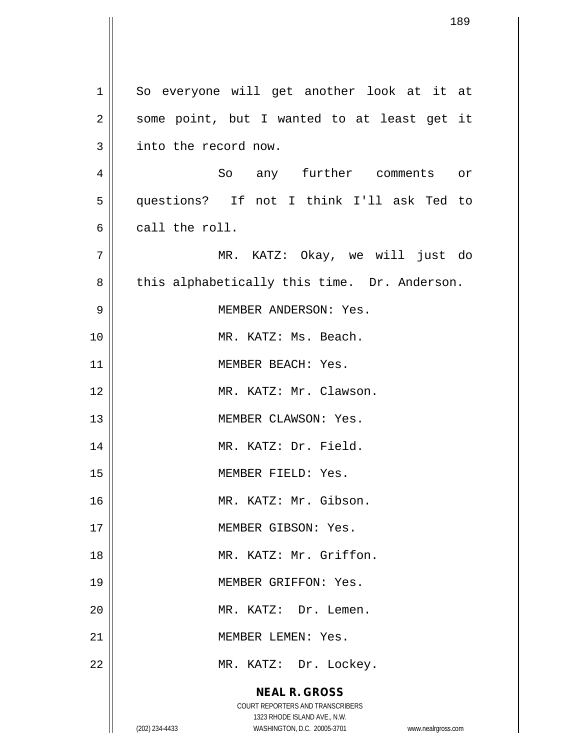**NEAL R. GROSS** COURT REPORTERS AND TRANSCRIBERS 1323 RHODE ISLAND AVE., N.W. (202) 234-4433 WASHINGTON, D.C. 20005-3701 www.nealrgross.com 1 || So everyone will get another look at it at  $2 \parallel$  some point, but I wanted to at least get it 3 | into the record now. 4 || So any further comments or 5 questions? If not I think I'll ask Ted to 6 call the roll. 7 MR. KATZ: Okay, we will just do  $8 \parallel$  this alphabetically this time. Dr. Anderson. 9 MEMBER ANDERSON: Yes. 10 || MR. KATZ: Ms. Beach. 11 | MEMBER BEACH: Yes. 12 MR. KATZ: Mr. Clawson. 13 || MEMBER CLAWSON: Yes. 14 || MR. KATZ: Dr. Field. 15 || **MEMBER FIELD: Yes.** 16 MR. KATZ: Mr. Gibson. 17 MEMBER GIBSON: Yes. 18 MR. KATZ: Mr. Griffon. 19 || MEMBER GRIFFON: Yes. 20 || MR. KATZ: Dr. Lemen. 21 | MEMBER LEMEN: Yes. 22 || MR. KATZ: Dr. Lockey.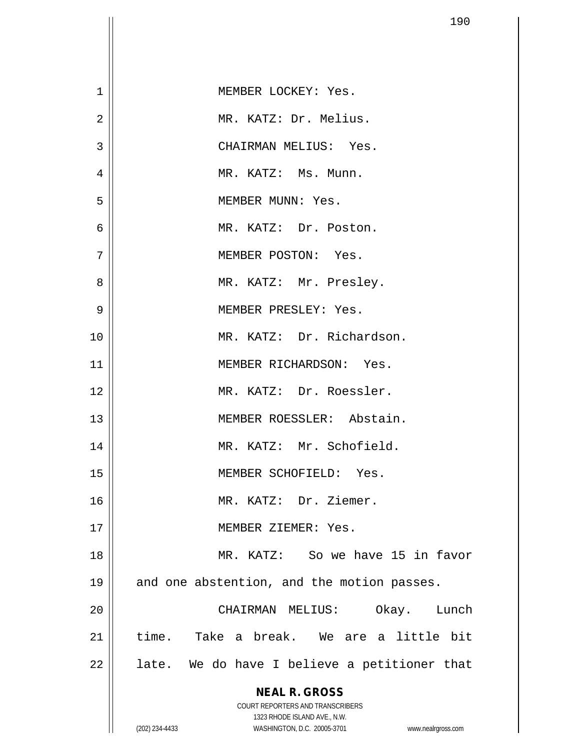| $\mathbf 1$    | MEMBER LOCKEY: Yes.                                                     |
|----------------|-------------------------------------------------------------------------|
| $\overline{2}$ | MR. KATZ: Dr. Melius.                                                   |
| 3              | CHAIRMAN MELIUS: Yes.                                                   |
| 4              | MR. KATZ: Ms. Munn.                                                     |
| 5              | MEMBER MUNN: Yes.                                                       |
| 6              | MR. KATZ: Dr. Poston.                                                   |
| 7              | MEMBER POSTON: Yes.                                                     |
| 8              | MR. KATZ: Mr. Presley.                                                  |
| 9              | MEMBER PRESLEY: Yes.                                                    |
| 10             | MR. KATZ: Dr. Richardson.                                               |
| 11             | MEMBER RICHARDSON: Yes.                                                 |
| 12             | MR. KATZ: Dr. Roessler.                                                 |
| 13             | MEMBER ROESSLER: Abstain.                                               |
| 14             | MR. KATZ: Mr. Schofield.                                                |
| 15             | MEMBER SCHOFIELD: Yes.                                                  |
| 16             | MR. KATZ: Dr. Ziemer.                                                   |
| 17             | MEMBER ZIEMER: Yes.                                                     |
| 18             | MR. KATZ: So we have 15 in favor                                        |
| 19             | and one abstention, and the motion passes.                              |
| 20             | Okay. Lunch<br>CHAIRMAN MELIUS:                                         |
| 21             | time. Take a break. We are a little bit                                 |
| 22             | late. We do have I believe a petitioner that                            |
|                | <b>NEAL R. GROSS</b>                                                    |
|                | <b>COURT REPORTERS AND TRANSCRIBERS</b><br>1323 RHODE ISLAND AVE., N.W. |
|                | (202) 234-4433<br>WASHINGTON, D.C. 20005-3701<br>www.nealrgross.com     |

 $\overline{\phantom{a}}$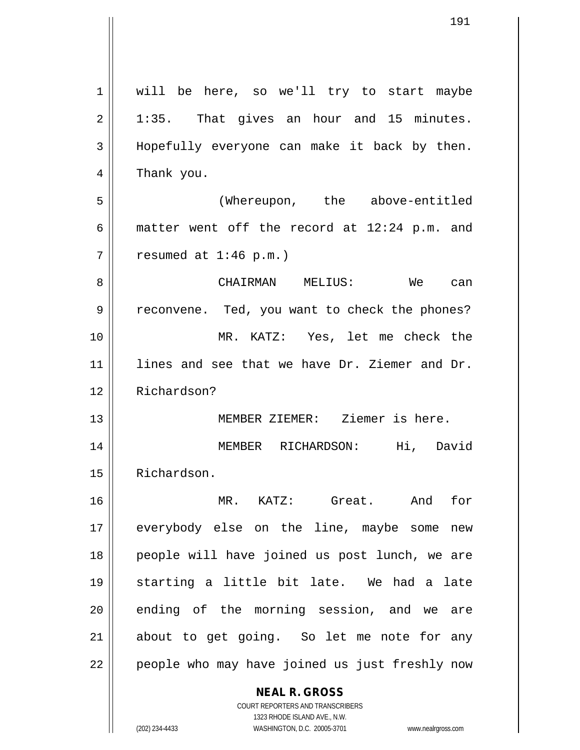**NEAL R. GROSS** COURT REPORTERS AND TRANSCRIBERS 1 || will be here, so we'll try to start maybe  $2 \parallel$  1:35. That gives an hour and 15 minutes. 3 || Hopefully everyone can make it back by then. 4 || Thank you. 5 (Whereupon, the above-entitled 6 | matter went off the record at  $12:24$  p.m. and  $7 \parallel$  resumed at 1:46 p.m.) 8 CHAIRMAN MELIUS: We can 9 || reconvene. Ted, you want to check the phones? 10 MR. KATZ: Yes, let me check the 11 || lines and see that we have Dr. Ziemer and Dr. 12 Richardson? 13 MEMBER ZIEMER: Ziemer is here. 14 MEMBER RICHARDSON: Hi, David 15 | Richardson. 16 MR. KATZ: Great. And for 17 everybody else on the line, maybe some new 18 || people will have joined us post lunch, we are 19 starting a little bit late. We had a late  $20$  ending of the morning session, and we are 21 || about to get going. So let me note for any  $22$  | people who may have joined us just freshly now

1323 RHODE ISLAND AVE., N.W. (202) 234-4433 WASHINGTON, D.C. 20005-3701 www.nealrgross.com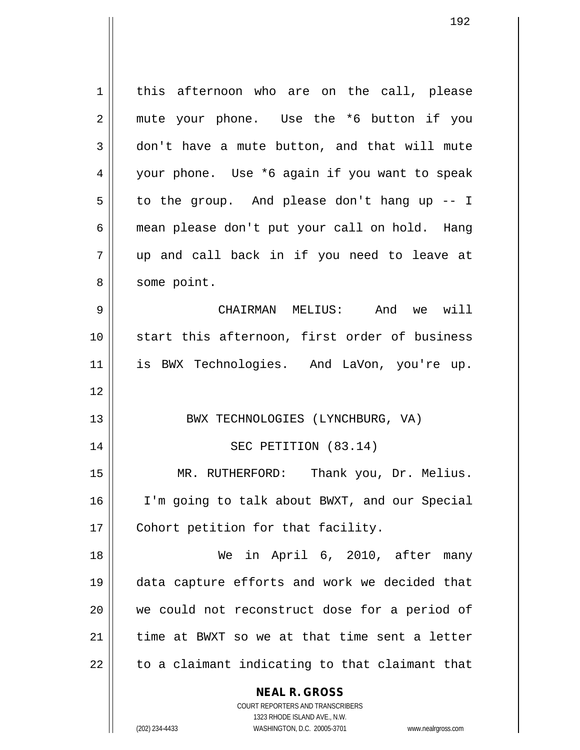**NEAL R. GROSS** 1 | this afternoon who are on the call, please 2 || mute your phone. Use the \*6 button if you 3 don't have a mute button, and that will mute 4 your phone. Use \*6 again if you want to speak  $5 \parallel$  to the group. And please don't hang up -- I 6 mean please don't put your call on hold. Hang 7 up and call back in if you need to leave at 8 || some point. 9 CHAIRMAN MELIUS: And we will 10 || start this afternoon, first order of business 11 is BWX Technologies. And LaVon, you're up. 12 13 || BWX TECHNOLOGIES (LYNCHBURG, VA) 14 || SEC PETITION (83.14) 15 MR. RUTHERFORD: Thank you, Dr. Melius. 16 I'm going to talk about BWXT, and our Special 17 || Cohort petition for that facility. 18 We in April 6, 2010, after many 19 data capture efforts and work we decided that 20 we could not reconstruct dose for a period of  $21$  time at BWXT so we at that time sent a letter  $22$   $\parallel$  to a claimant indicating to that claimant that

> COURT REPORTERS AND TRANSCRIBERS 1323 RHODE ISLAND AVE., N.W.

(202) 234-4433 WASHINGTON, D.C. 20005-3701 www.nealrgross.com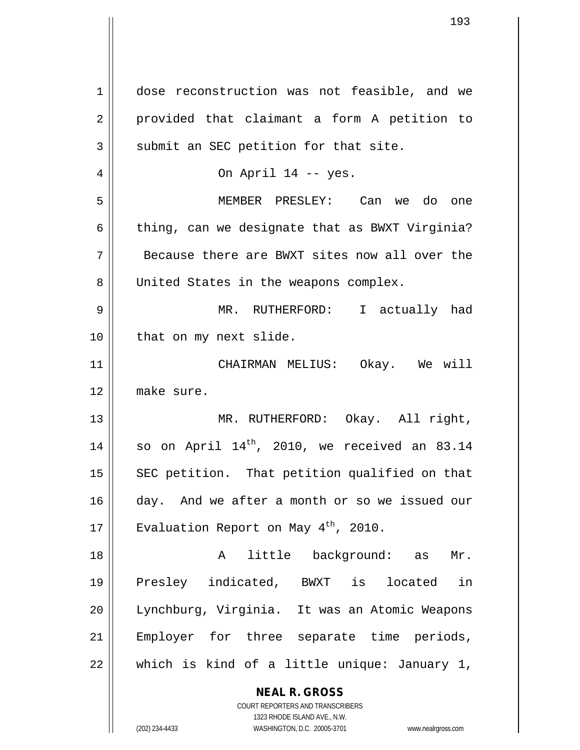**NEAL R. GROSS** COURT REPORTERS AND TRANSCRIBERS 1 dose reconstruction was not feasible, and we 2 || provided that claimant a form A petition to  $3 \parallel$  submit an SEC petition for that site. 4 On April 14 -- yes. 5 MEMBER PRESLEY: Can we do one  $6 \parallel$  thing, can we designate that as BWXT Virginia? 7 Because there are BWXT sites now all over the 8 United States in the weapons complex. 9 MR. RUTHERFORD: I actually had 10 || that on my next slide. 11 CHAIRMAN MELIUS: Okay. We will 12 make sure. 13 || MR. RUTHERFORD: Okay. All right, 14 | so on April  $14^{th}$ , 2010, we received an 83.14 15  $\parallel$  SEC petition. That petition qualified on that 16 day. And we after a month or so we issued our 17  $\parallel$  Evaluation Report on May 4<sup>th</sup>, 2010. 18 || A little background: as Mr. 19 Presley indicated, BWXT is located in 20 Lynchburg, Virginia. It was an Atomic Weapons 21 || Employer for three separate time periods,  $22 \parallel$  which is kind of a little unique: January 1,

1323 RHODE ISLAND AVE., N.W.

(202) 234-4433 WASHINGTON, D.C. 20005-3701 www.nealrgross.com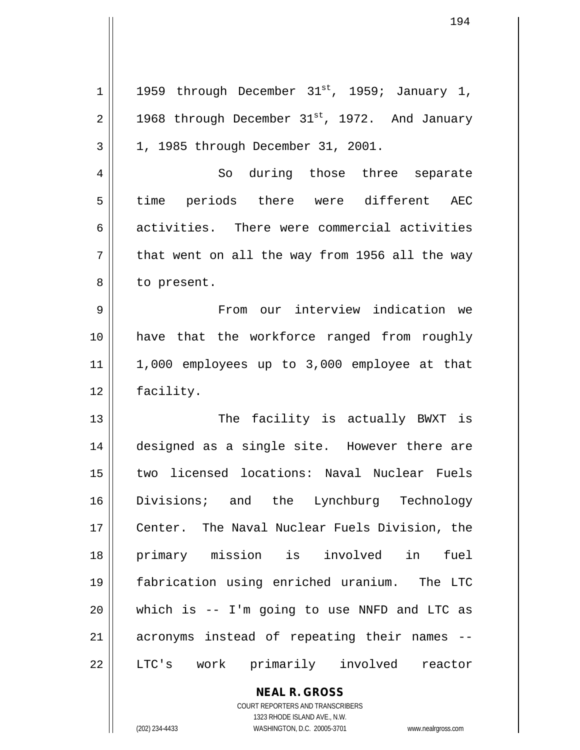| $\mathbf 1$ | 1959 through December 31st, 1959; January 1,   |
|-------------|------------------------------------------------|
| 2           | 1968 through December 31st, 1972. And January  |
| 3           | 1, 1985 through December 31, 2001.             |
| 4           | So during those three separate                 |
| 5           | time periods there were different AEC          |
| 6           | activities. There were commercial activities   |
| 7           | that went on all the way from 1956 all the way |
| 8           | to present.                                    |
| 9           | From our interview indication we               |
| 10          | have that the workforce ranged from roughly    |
| 11          | 1,000 employees up to 3,000 employee at that   |
| 12          | facility.                                      |
| 13          | The facility is actually BWXT is               |
| 14          | designed as a single site. However there are   |
| 15          | two licensed locations: Naval Nuclear Fuels    |
| 16          | Divisions; and the Lynchburg Technology        |
| 17          | Center. The Naval Nuclear Fuels Division, the  |
| 18          | primary mission is involved in<br>fuel         |
| 19          | fabrication using enriched uranium. The LTC    |
| 20          | which is -- I'm going to use NNFD and LTC as   |
| 21          | acronyms instead of repeating their names --   |
| 22          | LTC's work primarily involved reactor          |

**NEAL R. GROSS** COURT REPORTERS AND TRANSCRIBERS 1323 RHODE ISLAND AVE., N.W.

(202) 234-4433 WASHINGTON, D.C. 20005-3701 www.nealrgross.com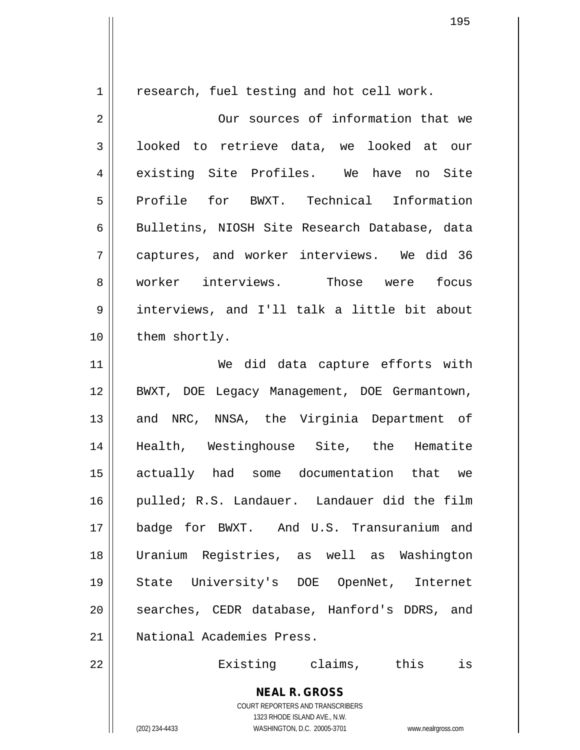1 | research, fuel testing and hot cell work.

2 || Our sources of information that we 3 | looked to retrieve data, we looked at our 4 existing Site Profiles. We have no Site 5 Profile for BWXT. Technical Information 6 | Bulletins, NIOSH Site Research Database, data 7 || captures, and worker interviews. We did 36 8 worker interviews. Those were focus 9 interviews, and I'll talk a little bit about 10 | them shortly. 11 We did data capture efforts with 12 BWXT, DOE Legacy Management, DOE Germantown, 13 || and NRC, NNSA, the Virginia Department of 14 Health, Westinghouse Site, the Hematite 15 actually had some documentation that we 16 || pulled; R.S. Landauer. Landauer did the film 17 badge for BWXT. And U.S. Transuranium and 18 Uranium Registries, as well as Washington 19 State University's DOE OpenNet, Internet

21 National Academies Press.

22 Existing claims, this is

**NEAL R. GROSS** COURT REPORTERS AND TRANSCRIBERS 1323 RHODE ISLAND AVE., N.W.

20 || searches, CEDR database, Hanford's DDRS, and

(202) 234-4433 WASHINGTON, D.C. 20005-3701 www.nealrgross.com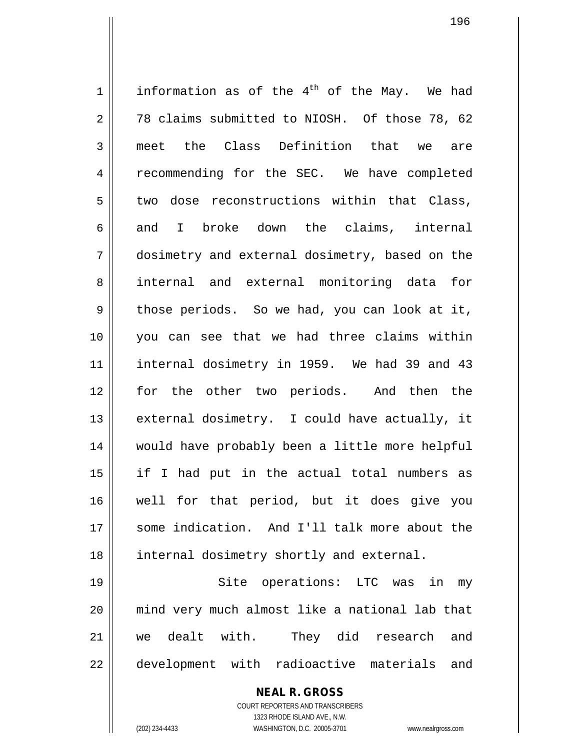1 information as of the 4<sup>th</sup> of the May. We had  $2 \parallel$  78 claims submitted to NIOSH. Of those 78, 62 3 meet the Class Definition that we are 4 | recommending for the SEC. We have completed  $5 \parallel$  two dose reconstructions within that Class, 6 and I broke down the claims, internal 7 dosimetry and external dosimetry, based on the 8 || internal and external monitoring data for  $9 \parallel$  those periods. So we had, you can look at it, 10 you can see that we had three claims within 11 || internal dosimetry in 1959. We had 39 and 43 12 for the other two periods. And then the 13  $\parallel$  external dosimetry. I could have actually, it 14 would have probably been a little more helpful 15 if I had put in the actual total numbers as 16 well for that period, but it does give you 17 || some indication. And I'll talk more about the 18 || internal dosimetry shortly and external.

 Site operations: LTC was in my mind very much almost like a national lab that we dealt with. They did research and 22 || development with radioactive materials and

> COURT REPORTERS AND TRANSCRIBERS 1323 RHODE ISLAND AVE., N.W. (202) 234-4433 WASHINGTON, D.C. 20005-3701 www.nealrgross.com

**NEAL R. GROSS**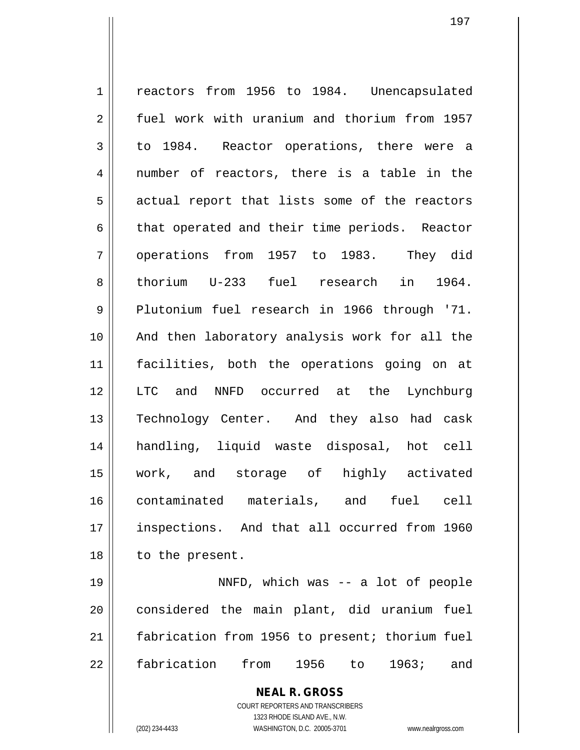1 | reactors from 1956 to 1984. Unencapsulated 2 | fuel work with uranium and thorium from 1957 3 to 1984. Reactor operations, there were a 4 || number of reactors, there is a table in the 5 || actual report that lists some of the reactors  $6 \parallel$  that operated and their time periods. Reactor 7 || operations from 1957 to 1983. They did 8|| thorium U-233 fuel research in 1964. 9 Plutonium fuel research in 1966 through '71. 10 And then laboratory analysis work for all the 11 facilities, both the operations going on at 12 LTC and NNFD occurred at the Lynchburg 13 || Technology Center. And they also had cask 14 handling, liquid waste disposal, hot cell 15 work, and storage of highly activated 16 contaminated materials, and fuel cell 17 || inspections. And that all occurred from 1960 18 || to the present. 19 NNFD, which was -- a lot of people

20 considered the main plant, did uranium fuel 21 | fabrication from 1956 to present; thorium fuel 22 fabrication from 1956 to 1963; and

> **NEAL R. GROSS** COURT REPORTERS AND TRANSCRIBERS 1323 RHODE ISLAND AVE., N.W. (202) 234-4433 WASHINGTON, D.C. 20005-3701 www.nealrgross.com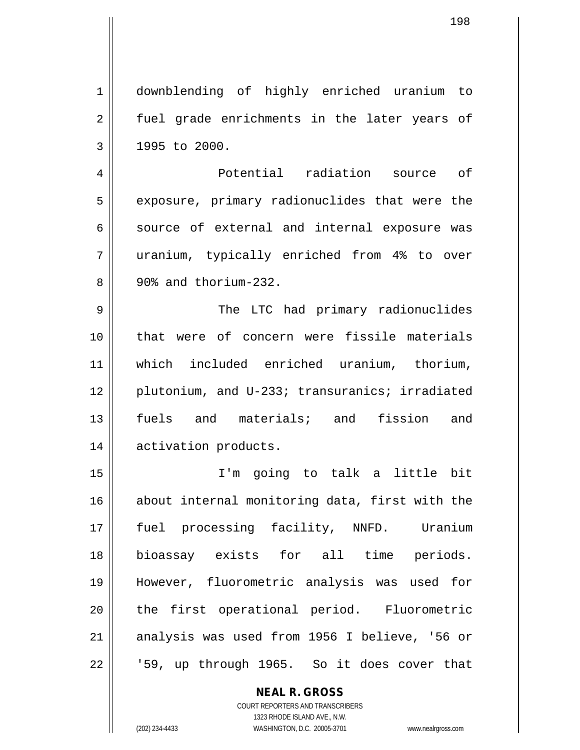**NEAL R. GROSS** 1 downblending of highly enriched uranium to 2 || fuel grade enrichments in the later years of  $3 \parallel$  1995 to 2000. 4 Potential radiation source of 5 || exposure, primary radionuclides that were the  $6 \parallel$  source of external and internal exposure was 7 uranium, typically enriched from 4% to over  $8 \parallel 90\$  and thorium-232. 9 The LTC had primary radionuclides 10 that were of concern were fissile materials 11 which included enriched uranium, thorium, 12 || plutonium, and U-233; transuranics; irradiated 13 fuels and materials; and fission and 14 activation products. 15 I'm going to talk a little bit 16 about internal monitoring data, first with the 17 fuel processing facility, NNFD. Uranium 18 bioassay exists for all time periods. 19 However, fluorometric analysis was used for 20 || the first operational period. Fluorometric 21 || analysis was used from 1956 I believe, '56 or  $22 \parallel$  '59, up through 1965. So it does cover that

> COURT REPORTERS AND TRANSCRIBERS 1323 RHODE ISLAND AVE., N.W.

(202) 234-4433 WASHINGTON, D.C. 20005-3701 www.nealrgross.com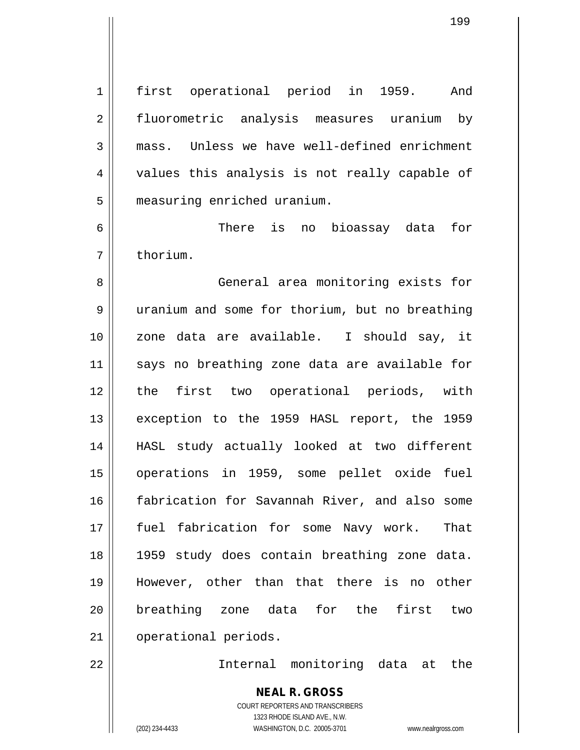1 first operational period in 1959. And 2 || fluorometric analysis measures uranium by 3 mass. Unless we have well-defined enrichment 4 || values this analysis is not really capable of 5 | measuring enriched uranium.

6 There is no bioassay data for 7 l thorium.

 General area monitoring exists for 9 | uranium and some for thorium, but no breathing zone data are available. I should say, it 11 || says no breathing zone data are available for the first two operational periods, with 13 || exception to the 1959 HASL report, the 1959 HASL study actually looked at two different operations in 1959, some pellet oxide fuel fabrication for Savannah River, and also some fuel fabrication for some Navy work. That 1959 study does contain breathing zone data. However, other than that there is no other breathing zone data for the first two 21 | operational periods.

22 Internal monitoring data at the

**NEAL R. GROSS** COURT REPORTERS AND TRANSCRIBERS 1323 RHODE ISLAND AVE., N.W. (202) 234-4433 WASHINGTON, D.C. 20005-3701 www.nealrgross.com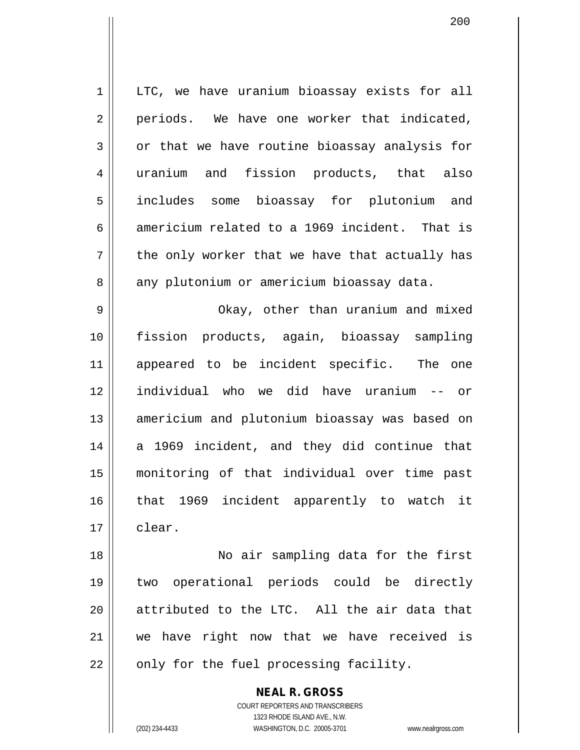1 | LTC, we have uranium bioassay exists for all  $2 \parallel$  periods. We have one worker that indicated,  $3 \parallel$  or that we have routine bioassay analysis for 4 uranium and fission products, that also 5 includes some bioassay for plutonium and 6 americium related to a 1969 incident. That is  $7 \parallel$  the only worker that we have that actually has 8 any plutonium or americium bioassay data.

 Okay, other than uranium and mixed fission products, again, bioassay sampling appeared to be incident specific. The one individual who we did have uranium -- or 13 || americium and plutonium bioassay was based on 14 a 1969 incident, and they did continue that monitoring of that individual over time past that 1969 incident apparently to watch it 17 clear.

 No air sampling data for the first two operational periods could be directly || attributed to the LTC. All the air data that we have right now that we have received is || only for the fuel processing facility.

> COURT REPORTERS AND TRANSCRIBERS 1323 RHODE ISLAND AVE., N.W. (202) 234-4433 WASHINGTON, D.C. 20005-3701 www.nealrgross.com

**NEAL R. GROSS**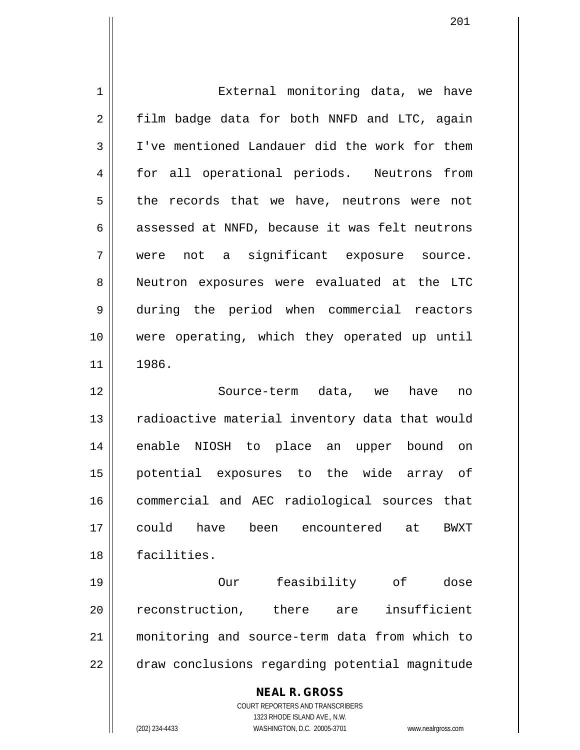| $\mathbf 1$ | External monitoring data, we have                                                        |
|-------------|------------------------------------------------------------------------------------------|
| 2           | film badge data for both NNFD and LTC, again                                             |
| 3           | I've mentioned Landauer did the work for them                                            |
| 4           | for all operational periods. Neutrons from                                               |
| 5           | the records that we have, neutrons were not                                              |
| 6           | assessed at NNFD, because it was felt neutrons                                           |
| 7           | were not a significant exposure source.                                                  |
| 8           | Neutron exposures were evaluated at the LTC                                              |
| 9           | during the period when commercial reactors                                               |
| 10          | were operating, which they operated up until                                             |
| 11          | 1986.                                                                                    |
| 12          | Source-term data, we have<br>no                                                          |
| 13          | radioactive material inventory data that would                                           |
| 14          | enable NIOSH to place an upper bound on                                                  |
| 15          | potential exposures to the wide array of                                                 |
| 16          | commercial and AEC radiological sources that                                             |
| 17          | could have<br>been encountered<br>at<br>BWXT                                             |
| 18          | facilities.                                                                              |
| 19          | feasibility of<br>dose<br>Our                                                            |
| 20          | insufficient<br>reconstruction, there are                                                |
| 21          | monitoring and source-term data from which to                                            |
| 22          | draw conclusions regarding potential magnitude                                           |
|             | <b>NEAL R. GROSS</b><br>COURT REPORTERS AND TRANSCRIBERS<br>1323 RHODE ISLAND AVE., N.W. |
|             | (202) 234-4433<br>WASHINGTON, D.C. 20005-3701<br>www.nealrgross.com                      |

 $\overline{\phantom{a}}$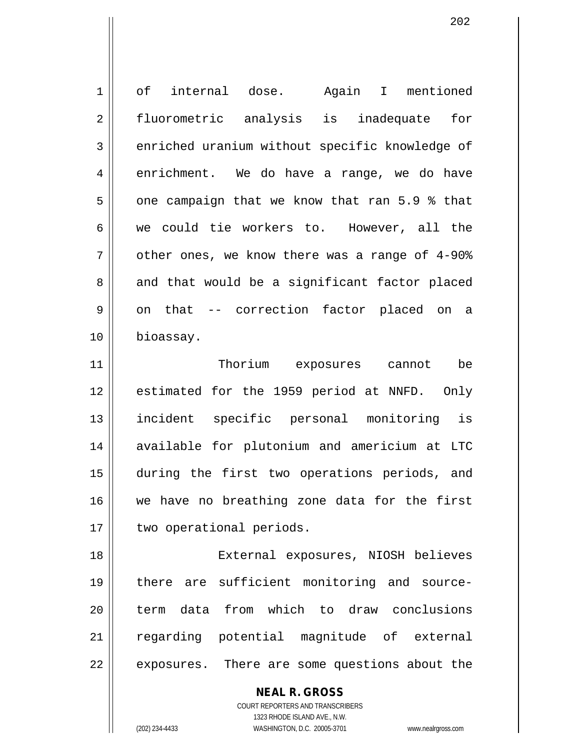| $\mathbf 1$ | internal dose. Again I mentioned<br>of         |
|-------------|------------------------------------------------|
| 2           | fluorometric analysis is inadequate for        |
| 3           | enriched uranium without specific knowledge of |
| 4           | enrichment. We do have a range, we do have     |
| 5           | one campaign that we know that ran 5.9 % that  |
| 6           | we could tie workers to. However, all the      |
| 7           | other ones, we know there was a range of 4-90% |
| 8           | and that would be a significant factor placed  |
| 9           | on that -- correction factor placed on a       |
| 10          | bioassay.                                      |
| 11          | Thorium exposures cannot<br>be                 |
| 12          | estimated for the 1959 period at NNFD. Only    |
| 13          | incident specific personal monitoring is       |
| 14          | available for plutonium and americium at LTC   |
| 15          | during the first two operations periods, and   |
| 16          | we have no breathing zone data for the first   |
| 17          | two operational periods.                       |
| 18          | External exposures, NIOSH believes             |
| 19          | there are sufficient monitoring and source-    |
| 20          | data from which to draw conclusions<br>term    |
| 21          | regarding potential magnitude of external      |
| 22          | exposures. There are some questions about the  |
|             |                                                |

**NEAL R. GROSS** COURT REPORTERS AND TRANSCRIBERS

1323 RHODE ISLAND AVE., N.W.

(202) 234-4433 WASHINGTON, D.C. 20005-3701 www.nealrgross.com

 $\mathsf{II}$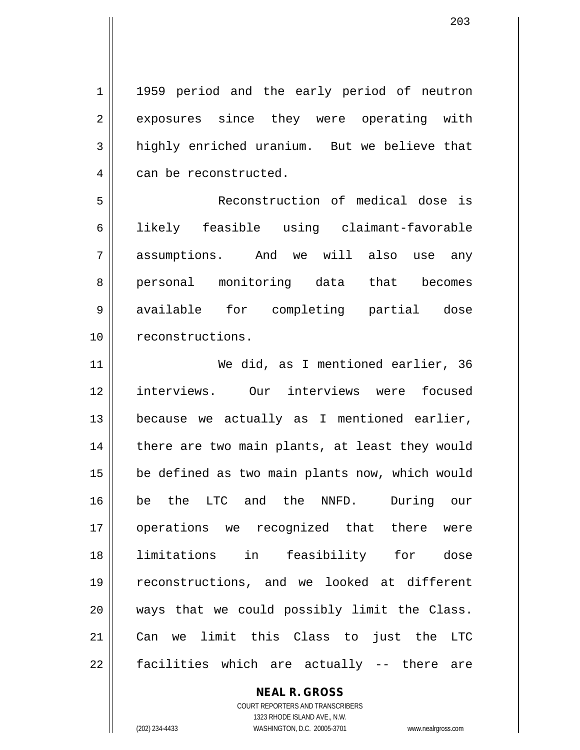1 || 1959 period and the early period of neutron 2 exposures since they were operating with 3 highly enriched uranium. But we believe that 4 can be reconstructed.

 Reconstruction of medical dose is likely feasible using claimant-favorable assumptions. And we will also use any 8 || personal monitoring data that becomes available for completing partial dose 10 | reconstructions.

11 We did, as I mentioned earlier, 36 12 || interviews. Our interviews were focused  $13$  because we actually as I mentioned earlier, 14 || there are two main plants, at least they would 15 be defined as two main plants now, which would 16 be the LTC and the NNFD. During our 17 || operations we recognized that there were 18 limitations in feasibility for dose 19 reconstructions, and we looked at different 20 || ways that we could possibly limit the Class. 21 Can we limit this Class to just the LTC 22 || facilities which are actually -- there are

## **NEAL R. GROSS**

COURT REPORTERS AND TRANSCRIBERS 1323 RHODE ISLAND AVE., N.W. (202) 234-4433 WASHINGTON, D.C. 20005-3701 www.nealrgross.com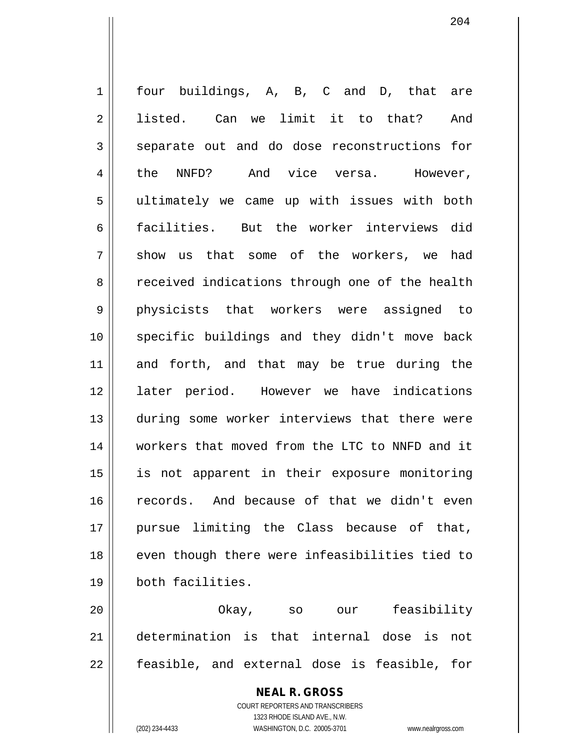1 four buildings, A, B, C and D, that are 2 || listed. Can we limit it to that? And 3 separate out and do dose reconstructions for 4 || the NNFD? And vice versa. However, 5 ultimately we came up with issues with both 6 || facilities. But the worker interviews did  $7 \parallel$  show us that some of the workers, we had 8 | received indications through one of the health 9 physicists that workers were assigned to 10 specific buildings and they didn't move back 11 and forth, and that may be true during the 12 || later period. However we have indications 13 during some worker interviews that there were 14 workers that moved from the LTC to NNFD and it 15 is not apparent in their exposure monitoring 16 records. And because of that we didn't even 17 pursue limiting the Class because of that, 18 || even though there were infeasibilities tied to 19 both facilities.

20 Okay, so our feasibility 21 determination is that internal dose is not  $22 \parallel$  feasible, and external dose is feasible, for

> **NEAL R. GROSS** COURT REPORTERS AND TRANSCRIBERS 1323 RHODE ISLAND AVE., N.W. (202) 234-4433 WASHINGTON, D.C. 20005-3701 www.nealrgross.com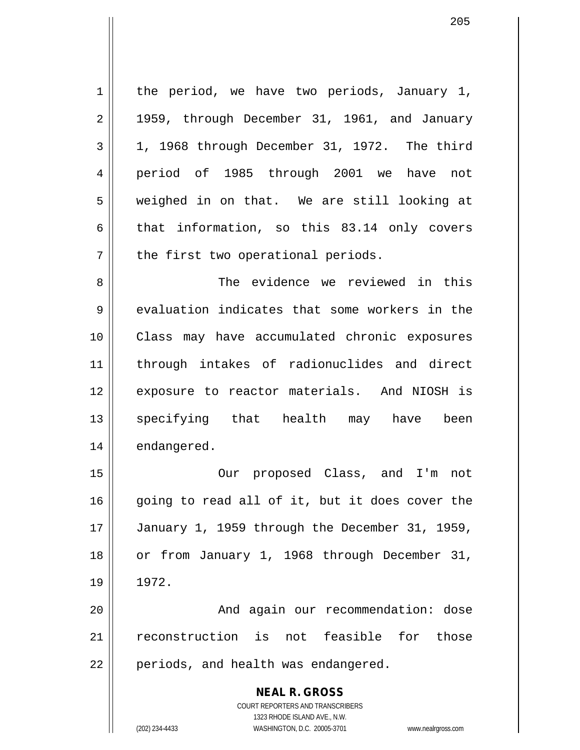$1 \parallel$  the period, we have two periods, January 1,  $2 \parallel$  1959, through December 31, 1961, and January  $3 \parallel 1$ , 1968 through December 31, 1972. The third 4 period of 1985 through 2001 we have not 5 weighed in on that. We are still looking at 6 that information, so this 83.14 only covers  $7$  | the first two operational periods.

8 The evidence we reviewed in this  $9 \parallel$  evaluation indicates that some workers in the 10 || Class may have accumulated chronic exposures 11 through intakes of radionuclides and direct 12 || exposure to reactor materials. And NIOSH is 13 || specifying that health may have been 14 | endangered.

15 Our proposed Class, and I'm not  $16$  going to read all of it, but it does cover the 17 January 1, 1959 through the December 31, 1959, 18 | or from January 1, 1968 through December 31, 19 1972.

20 || And again our recommendation: dose 21 reconstruction is not feasible for those 22 || periods, and health was endangered.

> **NEAL R. GROSS** COURT REPORTERS AND TRANSCRIBERS 1323 RHODE ISLAND AVE., N.W. (202) 234-4433 WASHINGTON, D.C. 20005-3701 www.nealrgross.com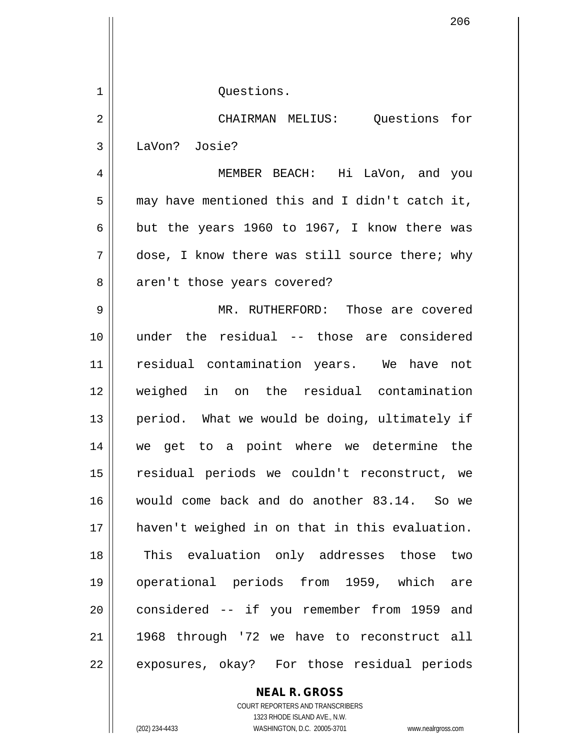| 206                                            |
|------------------------------------------------|
|                                                |
|                                                |
| Questions.                                     |
| CHAIRMAN MELIUS: Questions for                 |
| LaVon? Josie?                                  |
| MEMBER BEACH: Hi LaVon, and you                |
| may have mentioned this and I didn't catch it, |
| but the years 1960 to 1967, I know there was   |
| dose, I know there was still source there; why |
| aren't those years covered?                    |
| MR. RUTHERFORD: Those are covered              |
| under the residual -- those are considered     |
| residual contamination years. We have not      |
| weighed in on the residual contamination       |
| period. What we would be doing, ultimately if  |
| we get to a point where we determine the       |
| residual periods we couldn't reconstruct, we   |
| would come back and do another 83.14. So we    |
| haven't weighed in on that in this evaluation. |
| This evaluation only addresses those two       |
| operational periods from 1959, which are       |
|                                                |
| considered -- if you remember from 1959 and    |
| 1968 through '72 we have to reconstruct all    |
|                                                |

COURT REPORTERS AND TRANSCRIBERS 1323 RHODE ISLAND AVE., N.W. (202) 234-4433 WASHINGTON, D.C. 20005-3701 www.nealrgross.com

**NEAL R. GROSS**

 $\mathsf{I}$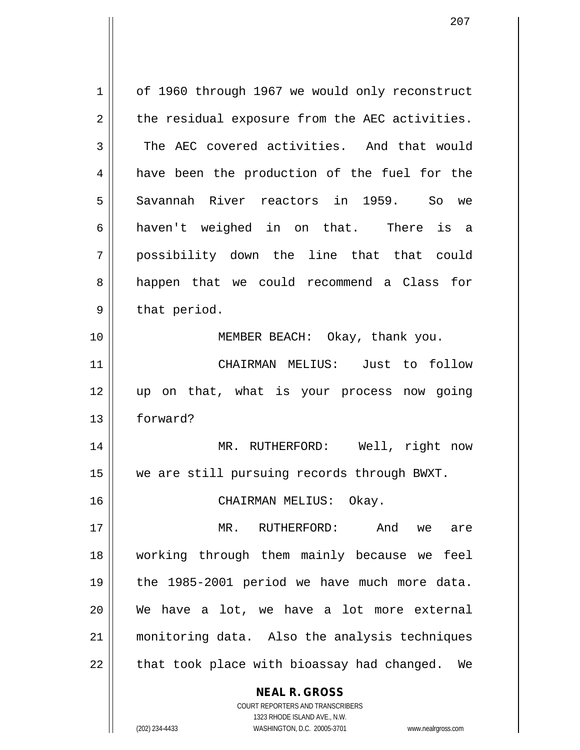| 1  | of 1960 through 1967 we would only reconstruct           |
|----|----------------------------------------------------------|
| 2  | the residual exposure from the AEC activities.           |
| 3  | The AEC covered activities. And that would               |
| 4  | have been the production of the fuel for the             |
| 5  | Savannah River reactors in 1959. So we                   |
| 6  | haven't weighed in on that. There is a                   |
| 7  | possibility down the line that that could                |
| 8  | happen that we could recommend a Class for               |
| 9  | that period.                                             |
| 10 | MEMBER BEACH: Okay, thank you.                           |
| 11 | CHAIRMAN MELIUS: Just to follow                          |
| 12 | up on that, what is your process now going               |
| 13 | forward?                                                 |
| 14 | MR. RUTHERFORD: Well, right now                          |
| 15 | we are still pursuing records through BWXT.              |
| 16 | CHAIRMAN MELIUS: Okay.                                   |
| 17 | $MR$ .                                                   |
|    | RUTHERFORD:<br>And we are                                |
| 18 | working through them mainly because we feel              |
| 19 | the 1985-2001 period we have much more data.             |
| 20 | We have a lot, we have a lot more external               |
| 21 | monitoring data. Also the analysis techniques            |
| 22 | that took place with bioassay had changed. We            |
|    | <b>NEAL R. GROSS</b><br>COURT REPORTERS AND TRANSCRIBERS |

1323 RHODE ISLAND AVE., N.W.

 $\begin{array}{c} \hline \end{array}$ 

(202) 234-4433 WASHINGTON, D.C. 20005-3701 www.nealrgross.com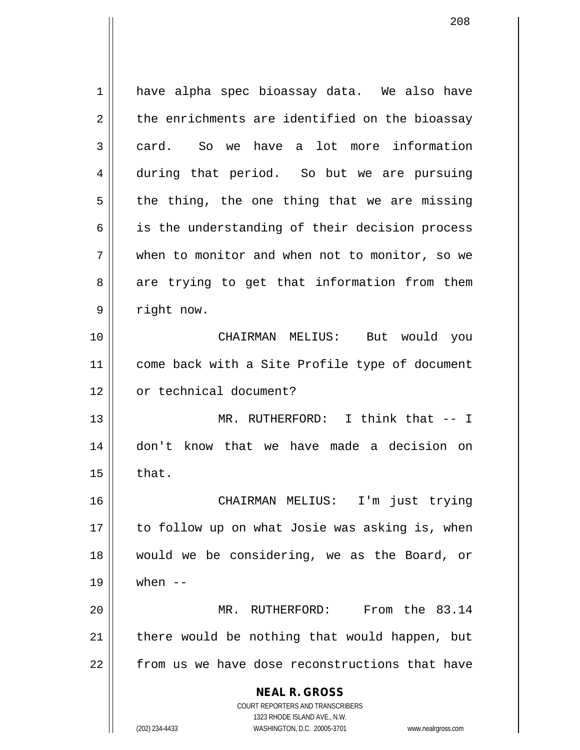**NEAL R. GROSS** COURT REPORTERS AND TRANSCRIBERS 1323 RHODE ISLAND AVE., N.W. (202) 234-4433 WASHINGTON, D.C. 20005-3701 www.nealrgross.com 1 | have alpha spec bioassay data. We also have  $2 \parallel$  the enrichments are identified on the bioassay 3 card. So we have a lot more information 4 during that period. So but we are pursuing  $5 \parallel$  the thing, the one thing that we are missing 6 || is the understanding of their decision process 7 when to monitor and when not to monitor, so we  $8 \parallel$  are trying to get that information from them 9 | right now. 10 CHAIRMAN MELIUS: But would you 11 || come back with a Site Profile type of document 12 | or technical document? 13 || MR. RUTHERFORD: I think that -- I 14 don't know that we have made a decision on  $15 \parallel$  that. 16 CHAIRMAN MELIUS: I'm just trying 17 || to follow up on what Josie was asking is, when 18 would we be considering, we as the Board, or  $19 \parallel$  when  $--$ 20 MR. RUTHERFORD: From the 83.14  $21$  | there would be nothing that would happen, but  $22$   $\parallel$  from us we have dose reconstructions that have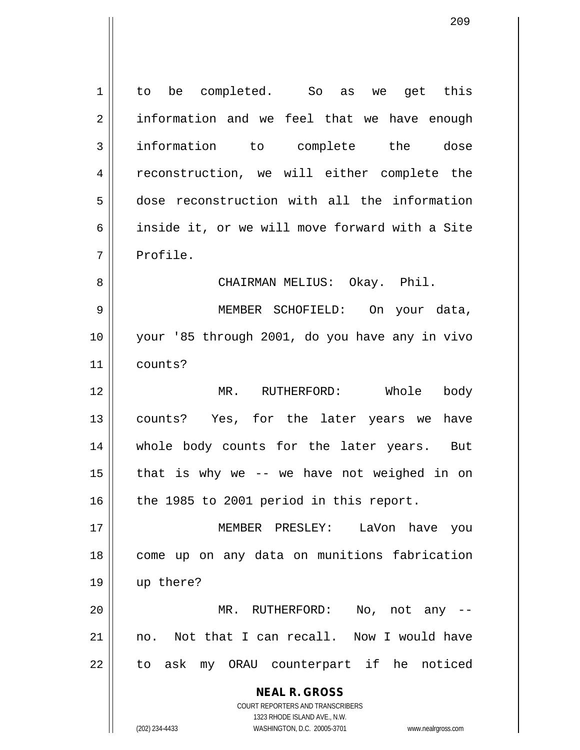| $\mathbf 1$    | to be completed. So as we get this                                                                  |
|----------------|-----------------------------------------------------------------------------------------------------|
| $\overline{2}$ | information and we feel that we have enough                                                         |
| 3              | information to complete the dose                                                                    |
| 4              | reconstruction, we will either complete the                                                         |
| 5              | dose reconstruction with all the information                                                        |
| 6              | inside it, or we will move forward with a Site                                                      |
| 7              | Profile.                                                                                            |
| 8              | CHAIRMAN MELIUS: Okay. Phil.                                                                        |
| 9              | MEMBER SCHOFIELD: On your data,                                                                     |
| 10             | your '85 through 2001, do you have any in vivo                                                      |
| 11             | counts?                                                                                             |
| 12             | Whole<br>MR. RUTHERFORD:<br>body                                                                    |
| 13             | counts? Yes, for the later years we<br>have                                                         |
| 14             | whole body counts for the later years. But                                                          |
| 15             | that is why we -- we have not weighed in on                                                         |
| 16             | the 1985 to 2001 period in this report.                                                             |
| 17             | MEMBER PRESLEY: LaVon have you                                                                      |
| 18             | come up on any data on munitions fabrication                                                        |
| 19             | up there?                                                                                           |
| 20             | MR. RUTHERFORD:<br>No, not any                                                                      |
| 21             | Not that I can recall. Now I would have<br>no.                                                      |
| 22             | to ask my ORAU counterpart if he noticed                                                            |
|                | <b>NEAL R. GROSS</b>                                                                                |
|                | <b>COURT REPORTERS AND TRANSCRIBERS</b>                                                             |
|                | 1323 RHODE ISLAND AVE., N.W.<br>(202) 234-4433<br>WASHINGTON, D.C. 20005-3701<br>www.nealrgross.com |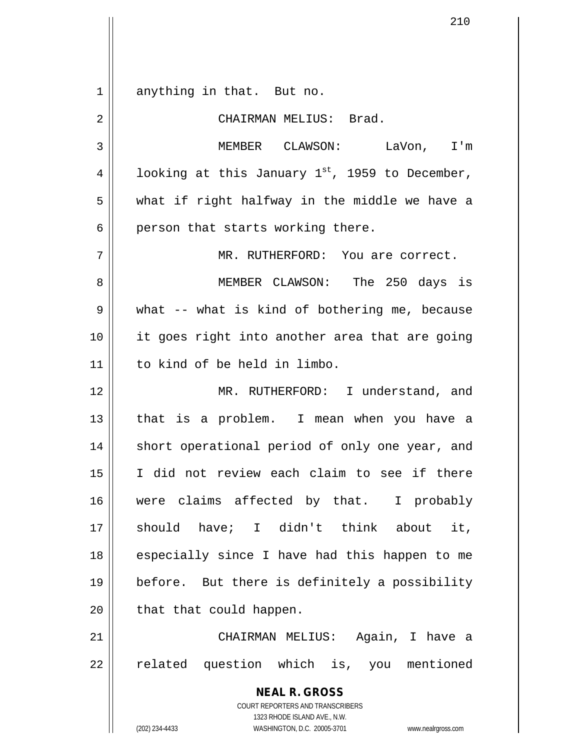**NEAL R. GROSS** COURT REPORTERS AND TRANSCRIBERS 1323 RHODE ISLAND AVE., N.W. (202) 234-4433 WASHINGTON, D.C. 20005-3701 www.nealrgross.com 1 || anything in that. But no. 2 CHAIRMAN MELIUS: Brad. 3 MEMBER CLAWSON: LaVon, I'm 4 | looking at this January 1<sup>st</sup>, 1959 to December, 5 || what if right halfway in the middle we have a  $6 \parallel$  person that starts working there. 7 MR. RUTHERFORD: You are correct. 8 MEMBER CLAWSON: The 250 days is  $9 \parallel$  what -- what is kind of bothering me, because 10 it goes right into another area that are going 11 to kind of be held in limbo. 12 MR. RUTHERFORD: I understand, and 13 || that is a problem. I mean when you have a 14 || short operational period of only one year, and 15 I did not review each claim to see if there 16 || were claims affected by that. I probably 17 should have; I didn't think about it, 18 || especially since I have had this happen to me 19 before. But there is definitely a possibility  $20$  || that that could happen. 21 CHAIRMAN MELIUS: Again, I have a 22 || related question which is, you mentioned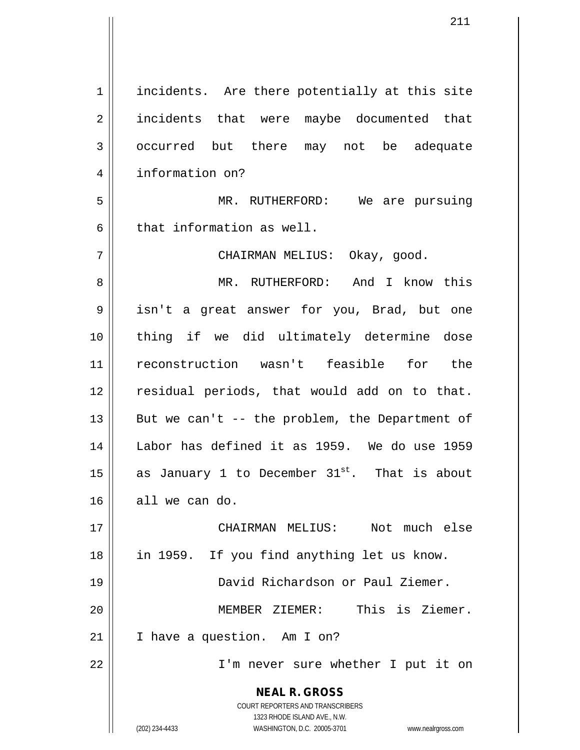**NEAL R. GROSS** COURT REPORTERS AND TRANSCRIBERS 1323 RHODE ISLAND AVE., N.W. (202) 234-4433 WASHINGTON, D.C. 20005-3701 www.nealrgross.com 1 || incidents. Are there potentially at this site 2 || incidents that were maybe documented that 3 | occurred but there may not be adequate 4 | information on? 5 || MR. RUTHERFORD: We are pursuing  $6 \parallel$  that information as well. 7 CHAIRMAN MELIUS: Okay, good. 8 MR. RUTHERFORD: And I know this 9 isn't a great answer for you, Brad, but one 10 thing if we did ultimately determine dose 11 reconstruction wasn't feasible for the 12 || residual periods, that would add on to that. 13  $\parallel$  But we can't -- the problem, the Department of 14 Labor has defined it as 1959. We do use 1959 15  $\parallel$  as January 1 to December 31<sup>st</sup>. That is about  $16$  all we can do. 17 || CHAIRMAN MELIUS: Not much else 18 in 1959. If you find anything let us know. 19 David Richardson or Paul Ziemer. 20 MEMBER ZIEMER: This is Ziemer.  $21$  | I have a question. Am I on? 22 I'm never sure whether I put it on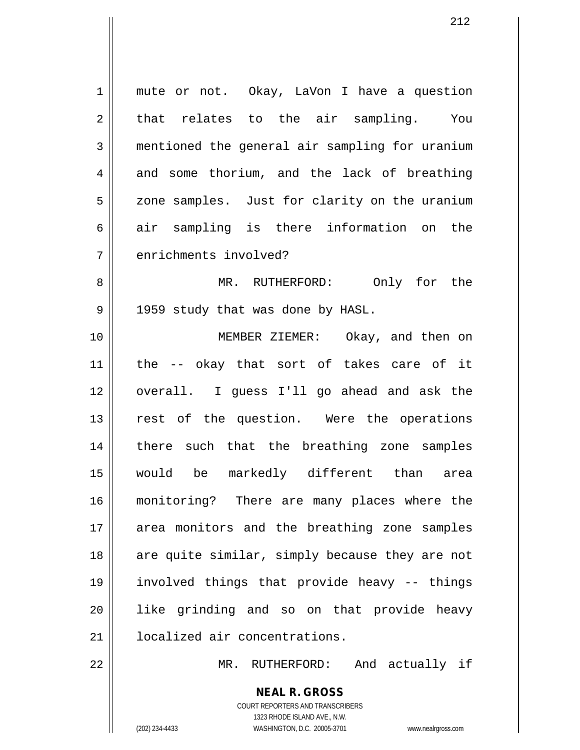1 || mute or not. Okay, LaVon I have a question  $2 \parallel$  that relates to the air sampling. You 3 mentioned the general air sampling for uranium  $4$  and some thorium, and the lack of breathing 5 | zone samples. Just for clarity on the uranium  $6 \parallel$  air sampling is there information on the 7 | enrichments involved? 8 MR. RUTHERFORD: Only for the 9 || 1959 study that was done by HASL. 10 || **MEMBER ZIEMER:** Okay, and then on 11 the -- okay that sort of takes care of it 12 overall. I guess I'll go ahead and ask the 13 || rest of the question. Were the operations 14 || there such that the breathing zone samples 15 would be markedly different than area 16 monitoring? There are many places where the 17 || area monitors and the breathing zone samples  $18$  are quite similar, simply because they are not 19 involved things that provide heavy -- things 20 || like grinding and so on that provide heavy 21 | localized air concentrations. 22 MR. RUTHERFORD: And actually if

> **NEAL R. GROSS** COURT REPORTERS AND TRANSCRIBERS

> > 1323 RHODE ISLAND AVE., N.W.

(202) 234-4433 WASHINGTON, D.C. 20005-3701 www.nealrgross.com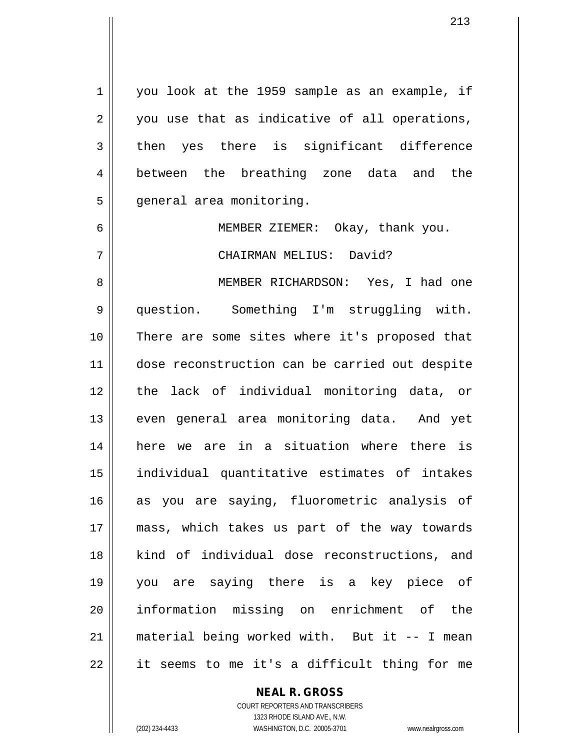1 | you look at the 1959 sample as an example, if  $2 \parallel$  you use that as indicative of all operations,  $3 \parallel$  then yes there is significant difference 4 between the breathing zone data and the 5 | general area monitoring.

6 MEMBER ZIEMER: Okay, thank you.

7 CHAIRMAN MELIUS: David?

 MEMBER RICHARDSON: Yes, I had one question. Something I'm struggling with. There are some sites where it's proposed that dose reconstruction can be carried out despite the lack of individual monitoring data, or 13 || even general area monitoring data. And yet here we are in a situation where there is individual quantitative estimates of intakes as you are saying, fluorometric analysis of mass, which takes us part of the way towards 18 || kind of individual dose reconstructions, and you are saying there is a key piece of 20 || information missing on enrichment of the material being worked with. But it -- I mean | it seems to me it's a difficult thing for me

## **NEAL R. GROSS**

COURT REPORTERS AND TRANSCRIBERS 1323 RHODE ISLAND AVE., N.W. (202) 234-4433 WASHINGTON, D.C. 20005-3701 www.nealrgross.com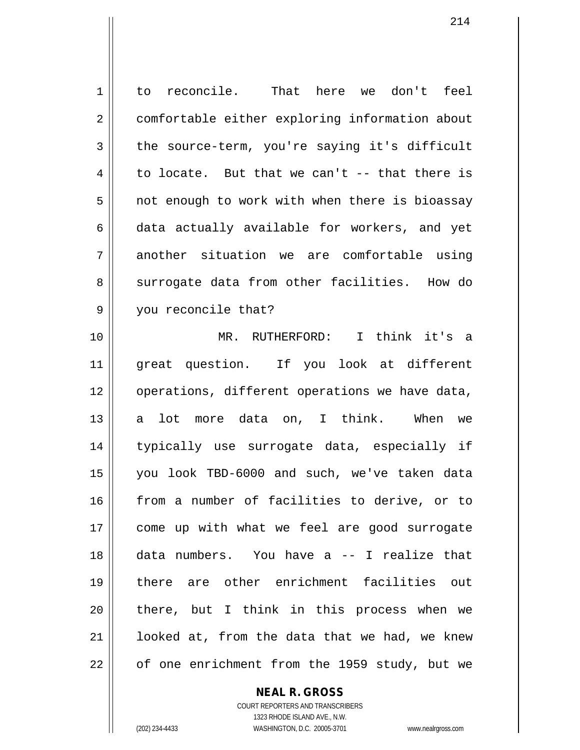1 to reconcile. That here we don't feel 2 | comfortable either exploring information about  $3 \parallel$  the source-term, you're saying it's difficult 4 to locate. But that we can't  $-$ - that there is  $5 \parallel$  not enough to work with when there is bioassay  $6 \parallel$  data actually available for workers, and yet 7 another situation we are comfortable using 8 surrogate data from other facilities. How do 9 || you reconcile that? 10 MR. RUTHERFORD: I think it's a 11 great question. If you look at different 12 || operations, different operations we have data, 13 a lot more data on, I think. When we 14 typically use surrogate data, especially if 15 you look TBD-6000 and such, we've taken data 16 from a number of facilities to derive, or to 17 || come up with what we feel are good surrogate

22 || of one enrichment from the 1959 study, but we

**NEAL R. GROSS**

18 data numbers. You have a -- I realize that

19 there are other enrichment facilities out

20 || there, but I think in this process when we

21 || looked at, from the data that we had, we knew

COURT REPORTERS AND TRANSCRIBERS 1323 RHODE ISLAND AVE., N.W. (202) 234-4433 WASHINGTON, D.C. 20005-3701 www.nealrgross.com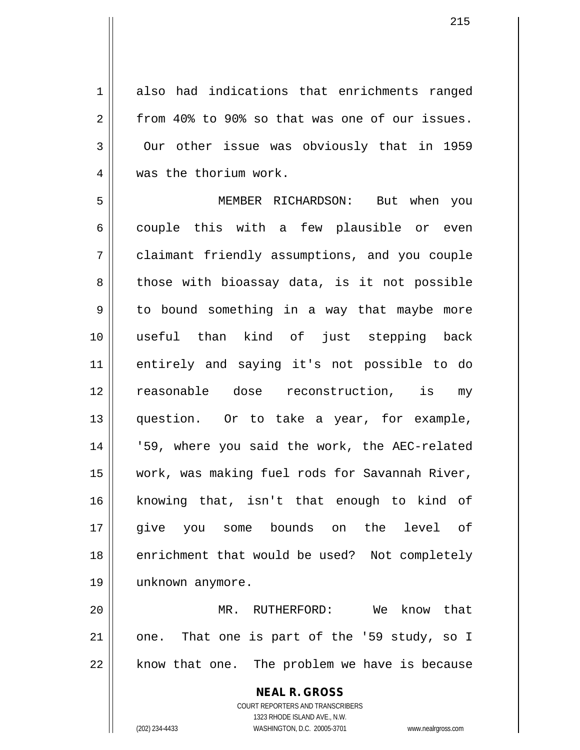1 also had indications that enrichments ranged  $2 \parallel$  from 40% to 90% so that was one of our issues.  $3 \parallel$  Our other issue was obviously that in 1959 4 was the thorium work.

5 MEMBER RICHARDSON: But when you 6 || couple this with a few plausible or even 7 claimant friendly assumptions, and you couple 8 || those with bioassay data, is it not possible  $9 \parallel$  to bound something in a way that maybe more 10 useful than kind of just stepping back 11 entirely and saying it's not possible to do 12 reasonable dose reconstruction, is my 13 question. Or to take a year, for example, 14 || '59, where you said the work, the AEC-related 15 work, was making fuel rods for Savannah River, 16 knowing that, isn't that enough to kind of 17 || give you some bounds on the level of 18 || enrichment that would be used? Not completely 19 unknown anymore.

20 MR. RUTHERFORD: We know that  $21$  | one. That one is part of the '59 study, so I  $22$  || know that one. The problem we have is because

> **NEAL R. GROSS** COURT REPORTERS AND TRANSCRIBERS 1323 RHODE ISLAND AVE., N.W. (202) 234-4433 WASHINGTON, D.C. 20005-3701 www.nealrgross.com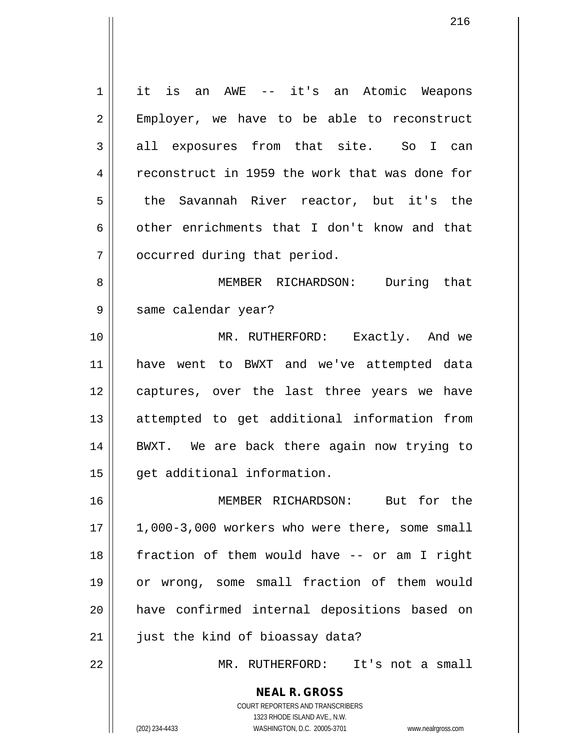**NEAL R. GROSS** 1 it is an AWE -- it's an Atomic Weapons 2 || Employer, we have to be able to reconstruct  $3 \parallel$  all exposures from that site. So I can 4 Feconstruct in 1959 the work that was done for 5 the Savannah River reactor, but it's the 6 other enrichments that I don't know and that 7 | occurred during that period. 8 MEMBER RICHARDSON: During that 9 || same calendar year? 10 MR. RUTHERFORD: Exactly. And we 11 have went to BWXT and we've attempted data 12 || captures, over the last three years we have 13 attempted to get additional information from 14 BWXT. We are back there again now trying to 15 | qet additional information. 16 MEMBER RICHARDSON: But for the  $17 \parallel 1,000-3,000$  workers who were there, some small 18 || fraction of them would have -- or am I right 19 or wrong, some small fraction of them would 20 have confirmed internal depositions based on  $21$  | just the kind of bioassay data? 22 MR. RUTHERFORD: It's not a small

1323 RHODE ISLAND AVE., N.W. (202) 234-4433 WASHINGTON, D.C. 20005-3701 www.nealrgross.com

COURT REPORTERS AND TRANSCRIBERS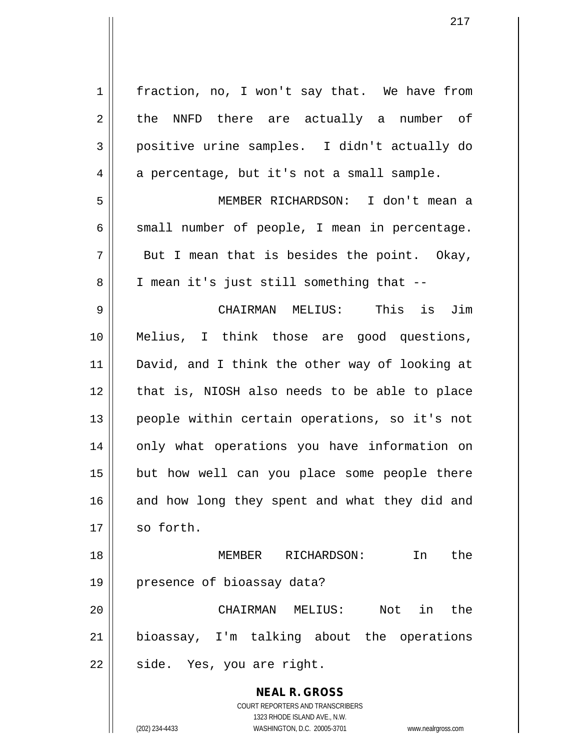| $\mathbf 1$ | fraction, no, I won't say that. We have from                        |
|-------------|---------------------------------------------------------------------|
| 2           | the NNFD there are actually a number of                             |
| 3           | positive urine samples. I didn't actually do                        |
| 4           | a percentage, but it's not a small sample.                          |
| 5           | MEMBER RICHARDSON: I don't mean a                                   |
| 6           | small number of people, I mean in percentage.                       |
| 7           | But I mean that is besides the point. Okay,                         |
| 8           | I mean it's just still something that --                            |
| 9           | CHAIRMAN MELIUS: This is Jim                                        |
| 10          | Melius, I think those are good questions,                           |
| 11          | David, and I think the other way of looking at                      |
| 12          | that is, NIOSH also needs to be able to place                       |
| 13          | people within certain operations, so it's not                       |
| 14          | only what operations you have information on                        |
| 15          | but how well can you place some people there                        |
| 16          | and how long they spent and what they did and                       |
| 17          | so forth.                                                           |
| 18          | the<br>MEMBER<br>RICHARDSON:<br>In                                  |
| 19          | presence of bioassay data?                                          |
| 20          | Not<br>in the<br>CHAIRMAN MELIUS:                                   |
| 21          | bioassay, I'm talking about the operations                          |
| 22          | side. Yes, you are right.                                           |
|             | <b>NEAL R. GROSS</b>                                                |
|             | COURT REPORTERS AND TRANSCRIBERS                                    |
|             | 1323 RHODE ISLAND AVE., N.W.                                        |
|             | (202) 234-4433<br>WASHINGTON, D.C. 20005-3701<br>www.nealrgross.com |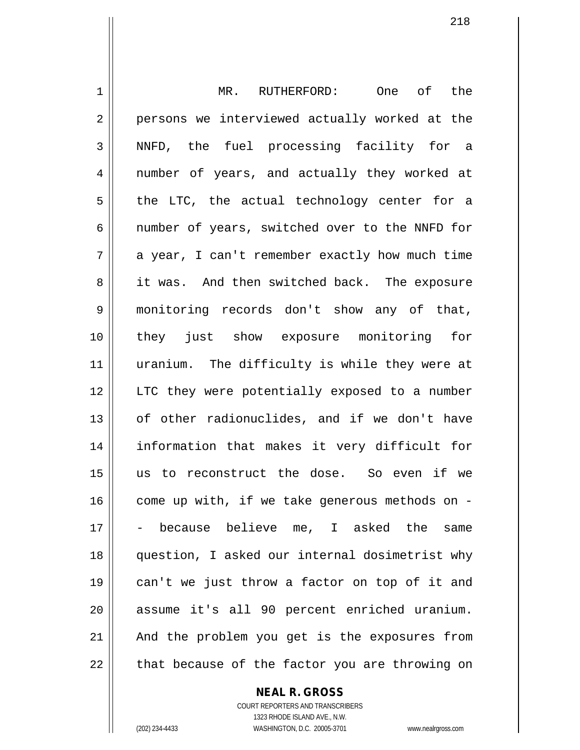1 || MR. RUTHERFORD: One of the 2 || persons we interviewed actually worked at the 3 NNFD, the fuel processing facility for a 4 || number of years, and actually they worked at  $5 \parallel$  the LTC, the actual technology center for a  $6 \parallel$  number of years, switched over to the NNFD for  $7 \parallel$  a year, I can't remember exactly how much time 8 || it was. And then switched back. The exposure 9 monitoring records don't show any of that, 10 they just show exposure monitoring for 11 || uranium. The difficulty is while they were at 12 || LTC they were potentially exposed to a number  $13$  | of other radionuclides, and if we don't have 14 information that makes it very difficult for 15 us to reconstruct the dose. So even if we  $16$  come up with, if we take generous methods on -17 - because believe me, I asked the same 18 question, I asked our internal dosimetrist why 19 can't we just throw a factor on top of it and 20 assume it's all 90 percent enriched uranium. 21 || And the problem you get is the exposures from  $22$  || that because of the factor you are throwing on

**NEAL R. GROSS**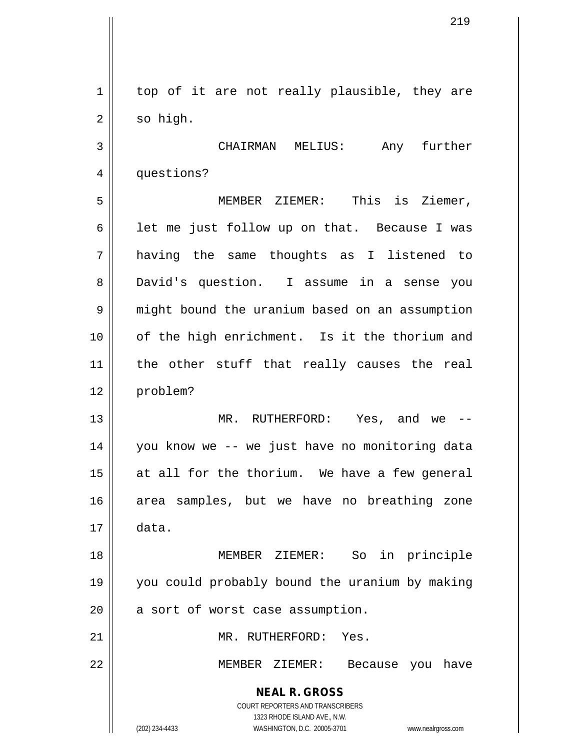**NEAL R. GROSS** COURT REPORTERS AND TRANSCRIBERS 1323 RHODE ISLAND AVE., N.W. (202) 234-4433 WASHINGTON, D.C. 20005-3701 www.nealrgross.com 1 || top of it are not really plausible, they are  $2 \parallel$  so high. 3 CHAIRMAN MELIUS: Any further 4 | questions? 5 MEMBER ZIEMER: This is Ziemer,  $6 \parallel$  let me just follow up on that. Because I was 7 having the same thoughts as I listened to 8 | David's question. I assume in a sense you 9 || might bound the uranium based on an assumption 10 of the high enrichment. Is it the thorium and 11 the other stuff that really causes the real 12 problem? 13 MR. RUTHERFORD: Yes, and we -- 14 you know we -- we just have no monitoring data  $15$  at all for the thorium. We have a few general 16 area samples, but we have no breathing zone  $17 \parallel$  data. 18 MEMBER ZIEMER: So in principle 19 you could probably bound the uranium by making  $20$  | a sort of worst case assumption. 21 | MR. RUTHERFORD: Yes. 22 MEMBER ZIEMER: Because you have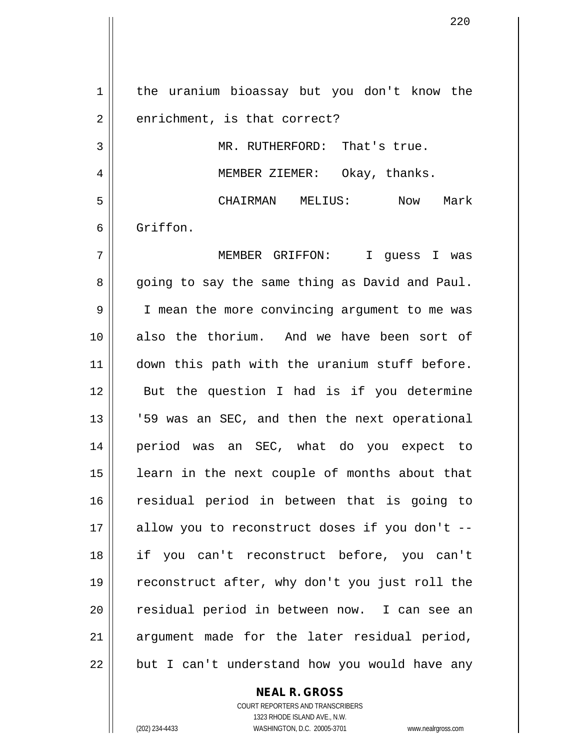1 | the uranium bioassay but you don't know the  $2 \parallel$  enrichment, is that correct? 3 || MR. RUTHERFORD: That's true. 4 | MEMBER ZIEMER: Okay, thanks. 5 CHAIRMAN MELIUS: Now Mark 6 Griffon. 7 MEMBER GRIFFON: I guess I was 8 || going to say the same thing as David and Paul. 9 | I mean the more convincing argument to me was 10 also the thorium. And we have been sort of 11 || down this path with the uranium stuff before. 12 || But the question I had is if you determine 13 || '59 was an SEC, and then the next operational 14 period was an SEC, what do you expect to 15 || learn in the next couple of months about that 16 residual period in between that is going to  $17$  || allow you to reconstruct doses if you don't --18 if you can't reconstruct before, you can't 19 reconstruct after, why don't you just roll the 20 || residual period in between now. I can see an  $21$  argument made for the later residual period,  $22$  || but I can't understand how you would have any

> **NEAL R. GROSS** COURT REPORTERS AND TRANSCRIBERS

> > 1323 RHODE ISLAND AVE., N.W.

(202) 234-4433 WASHINGTON, D.C. 20005-3701 www.nealrgross.com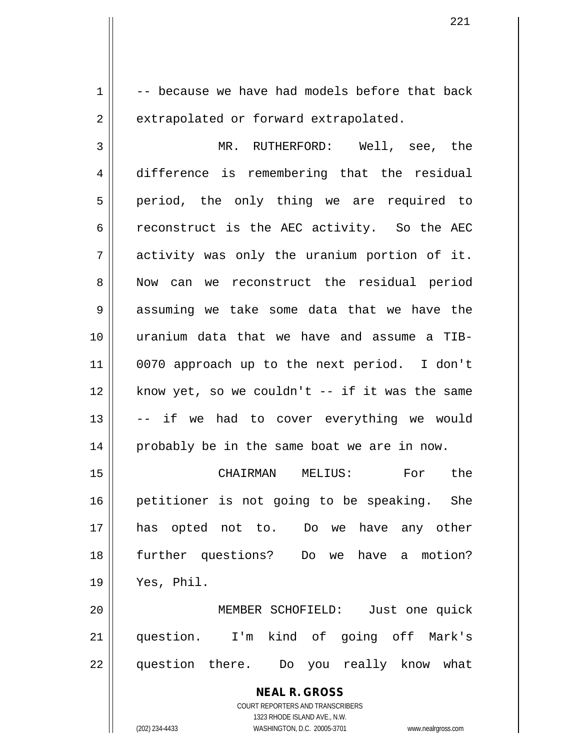$1 \parallel$  -- because we have had models before that back 2 | extrapolated or forward extrapolated.

3 MR. RUTHERFORD: Well, see, the 4 difference is remembering that the residual 5 || period, the only thing we are required to 6 ceconstruct is the AEC activity. So the AEC  $7 \parallel$  activity was only the uranium portion of it. 8 Now can we reconstruct the residual period 9 assuming we take some data that we have the 10 uranium data that we have and assume a TIB-11 0070 approach up to the next period. I don't  $12$  | know yet, so we couldn't -- if it was the same 13 -- if we had to cover everything we would 14 || probably be in the same boat we are in now.

 CHAIRMAN MELIUS: For the 16 || petitioner is not going to be speaking. She has opted not to. Do we have any other further questions? Do we have a motion? Yes, Phil.

20 MEMBER SCHOFIELD: Just one quick 21 question. I'm kind of going off Mark's 22 || question there. Do you really know what

> **NEAL R. GROSS** COURT REPORTERS AND TRANSCRIBERS 1323 RHODE ISLAND AVE., N.W. (202) 234-4433 WASHINGTON, D.C. 20005-3701 www.nealrgross.com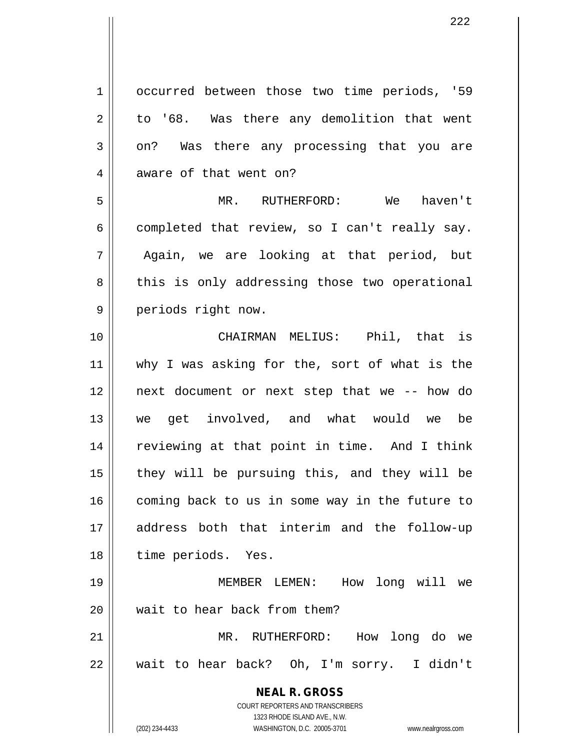**NEAL R. GROSS** COURT REPORTERS AND TRANSCRIBERS 1323 RHODE ISLAND AVE., N.W. (202) 234-4433 WASHINGTON, D.C. 20005-3701 www.nealrgross.com 1 | occurred between those two time periods, '59  $2 \parallel$  to '68. Was there any demolition that went  $3 \parallel$  on? Was there any processing that you are 4 aware of that went on? 5 MR. RUTHERFORD: We haven't  $6 \parallel$  completed that review, so I can't really say. 7 Again, we are looking at that period, but 8 || this is only addressing those two operational 9 || periods right now. 10 CHAIRMAN MELIUS: Phil, that is 11 || why I was asking for the, sort of what is the 12 next document or next step that we -- how do 13 we get involved, and what would we be 14 || reviewing at that point in time. And I think 15 || they will be pursuing this, and they will be 16 | coming back to us in some way in the future to 17 address both that interim and the follow-up 18 || time periods. Yes. 19 MEMBER LEMEN: How long will we 20 wait to hear back from them? 21 MR. RUTHERFORD: How long do we 22 wait to hear back? Oh, I'm sorry. I didn't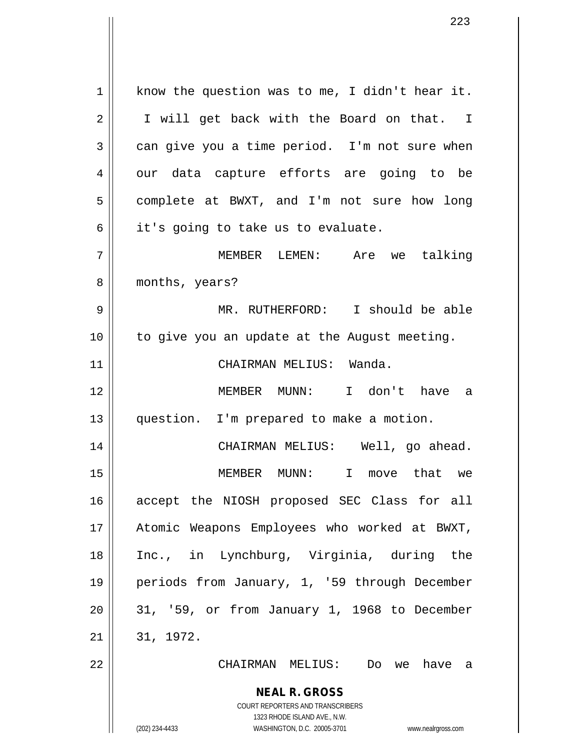1 || know the question was to me, I didn't hear it. 2 || I will get back with the Board on that. I  $3 \parallel$  can give you a time period. I'm not sure when 4 || our data capture efforts are going to be 5 | complete at BWXT, and I'm not sure how long  $6 \parallel$  it's going to take us to evaluate. 7 MEMBER LEMEN: Are we talking 8 | months, years? 9 MR. RUTHERFORD: I should be able 10 || to give you an update at the August meeting. 11 || CHAIRMAN MELIUS: Wanda. 12 MEMBER MUNN: I don't have a 13 question. I'm prepared to make a motion. 14 CHAIRMAN MELIUS: Well, go ahead. 15 MEMBER MUNN: I move that we 16 accept the NIOSH proposed SEC Class for all 17 Atomic Weapons Employees who worked at BWXT, 18 Inc., in Lynchburg, Virginia, during the 19 periods from January, 1, '59 through December  $20 \parallel 31$ , '59, or from January 1, 1968 to December  $21 \parallel 31, 1972.$ 22 CHAIRMAN MELIUS: Do we have a

> **NEAL R. GROSS** COURT REPORTERS AND TRANSCRIBERS 1323 RHODE ISLAND AVE., N.W.

(202) 234-4433 WASHINGTON, D.C. 20005-3701 www.nealrgross.com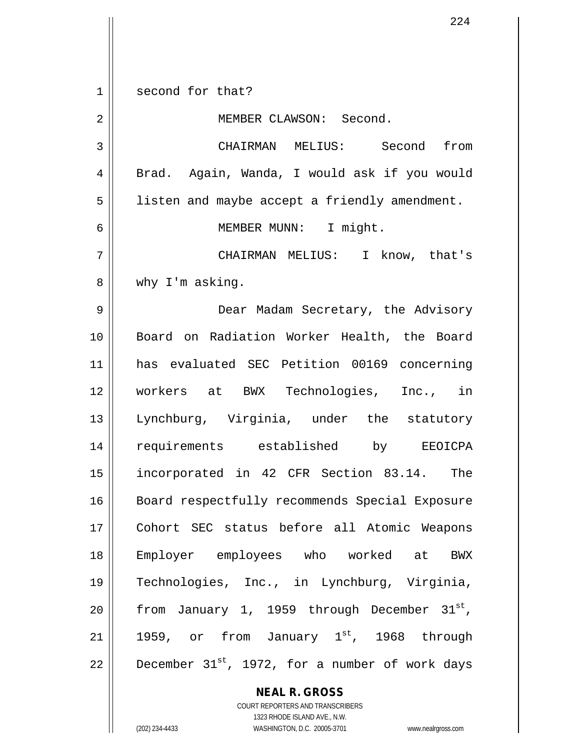1 second for that? 2 | MEMBER CLAWSON: Second. 3 CHAIRMAN MELIUS: Second from 4 | Brad. Again, Wanda, I would ask if you would 5 | listen and maybe accept a friendly amendment. 6 MEMBER MUNN: I might. 7 CHAIRMAN MELIUS: I know, that's 8 || why I'm asking. 9 Dear Madam Secretary, the Advisory 10 || Board on Radiation Worker Health, the Board 11 has evaluated SEC Petition 00169 concerning 12 workers at BWX Technologies, Inc., in 13 Lynchburg, Virginia, under the statutory 14 requirements established by EEOICPA 15 incorporated in 42 CFR Section 83.14. The 16 || Board respectfully recommends Special Exposure 17 Cohort SEC status before all Atomic Weapons 18 Employer employees who worked at BWX 19 Technologies, Inc., in Lynchburg, Virginia, 20 | from January 1, 1959 through December  $31^{st}$ , 21 | 1959, or from January  $1^{st}$ , 1968 through 22  $\parallel$  December 31st, 1972, for a number of work days

> **NEAL R. GROSS** COURT REPORTERS AND TRANSCRIBERS 1323 RHODE ISLAND AVE., N.W.

(202) 234-4433 WASHINGTON, D.C. 20005-3701 www.nealrgross.com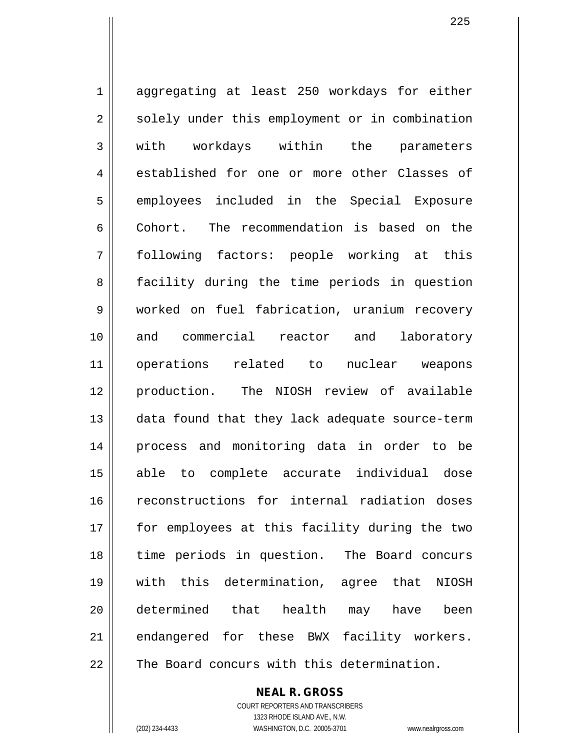1 aggregating at least 250 workdays for either 2 || solely under this employment or in combination 3 || with workdays within the parameters 4 established for one or more other Classes of 5 || employees included in the Special Exposure 6 Cohort. The recommendation is based on the 7 following factors: people working at this 8 || facility during the time periods in question 9 worked on fuel fabrication, uranium recovery 10 and commercial reactor and laboratory 11 operations related to nuclear weapons 12 production. The NIOSH review of available 13 || data found that they lack adequate source-term 14 process and monitoring data in order to be 15 able to complete accurate individual dose 16 || reconstructions for internal radiation doses 17 || for employees at this facility during the two 18 time periods in question. The Board concurs 19 with this determination, agree that NIOSH 20 determined that health may have been 21 || endangered for these BWX facility workers. 22 The Board concurs with this determination.

> **NEAL R. GROSS** COURT REPORTERS AND TRANSCRIBERS 1323 RHODE ISLAND AVE., N.W.

(202) 234-4433 WASHINGTON, D.C. 20005-3701 www.nealrgross.com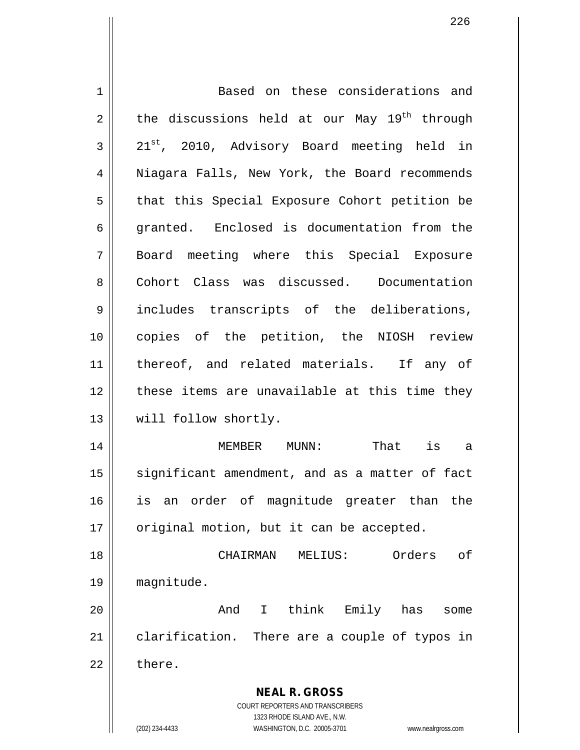| 1  | Based on these considerations and                                                                   |
|----|-----------------------------------------------------------------------------------------------------|
| 2  | the discussions held at our May 19 <sup>th</sup> through                                            |
| 3  | 21 <sup>st</sup> , 2010, Advisory Board meeting held in                                             |
| 4  | Niagara Falls, New York, the Board recommends                                                       |
| 5  | that this Special Exposure Cohort petition be                                                       |
| 6  | granted. Enclosed is documentation from the                                                         |
| 7  | Board meeting where this Special Exposure                                                           |
| 8  | Cohort Class was discussed. Documentation                                                           |
| 9  | includes transcripts of the deliberations,                                                          |
| 10 | copies of the petition, the NIOSH review                                                            |
| 11 | thereof, and related materials. If any of                                                           |
| 12 | these items are unavailable at this time they                                                       |
| 13 | will follow shortly.                                                                                |
| 14 | That is a<br>MEMBER MUNN:                                                                           |
| 15 | significant amendment, and as a matter of fact                                                      |
| 16 | an order of magnitude greater than<br>the<br>is                                                     |
| 17 | original motion, but it can be accepted.                                                            |
| 18 | Orders<br>оf<br>CHAIRMAN<br>MELIUS:                                                                 |
| 19 | magnitude.                                                                                          |
| 20 | think<br>And<br>$\mathbf{I}$<br>Emily has<br>some                                                   |
| 21 | clarification. There are a couple of typos in                                                       |
| 22 | there.                                                                                              |
|    |                                                                                                     |
|    | <b>NEAL R. GROSS</b>                                                                                |
|    | COURT REPORTERS AND TRANSCRIBERS                                                                    |
|    | 1323 RHODE ISLAND AVE., N.W.<br>(202) 234-4433<br>WASHINGTON, D.C. 20005-3701<br>www.nealrgross.com |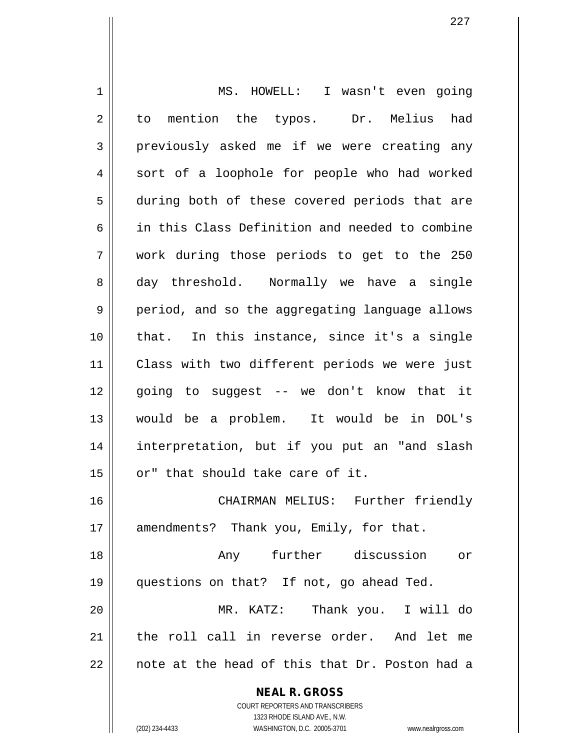| 1  | MS. HOWELL: I wasn't even going                          |
|----|----------------------------------------------------------|
| 2  | to mention the typos. Dr. Melius had                     |
| 3  | previously asked me if we were creating any              |
| 4  | sort of a loophole for people who had worked             |
| 5  | during both of these covered periods that are            |
| 6  | in this Class Definition and needed to combine           |
| 7  | work during those periods to get to the 250              |
| 8  | day threshold. Normally we have a single                 |
| 9  | period, and so the aggregating language allows           |
| 10 | that. In this instance, since it's a single              |
| 11 | Class with two different periods we were just            |
| 12 | going to suggest -- we don't know that it                |
| 13 | would be a problem. It would be in DOL's                 |
| 14 | interpretation, but if you put an "and slash             |
| 15 | or" that should take care of it.                         |
| 16 | CHAIRMAN MELIUS: Further friendly                        |
| 17 | amendments? Thank you, Emily, for that.                  |
| 18 | Any further discussion or                                |
| 19 | questions on that? If not, go ahead Ted.                 |
| 20 | MR. KATZ: Thank you. I will do                           |
| 21 | the roll call in reverse order. And let me               |
| 22 | note at the head of this that Dr. Poston had a           |
|    | <b>NEAL R. GROSS</b><br>COURT REPORTERS AND TRANSCRIBERS |

1323 RHODE ISLAND AVE., N.W.

 $\prod$ 

(202) 234-4433 WASHINGTON, D.C. 20005-3701 www.nealrgross.com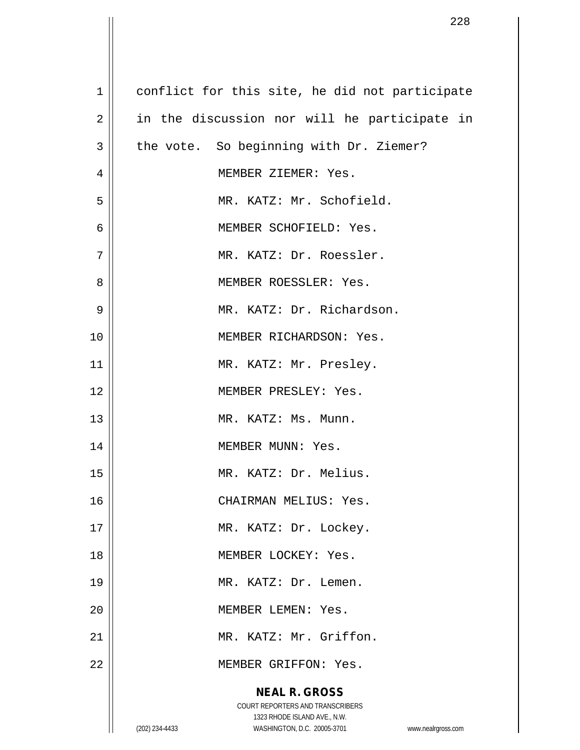| $\mathbf 1$    | conflict for this site, he did not participate                                                      |
|----------------|-----------------------------------------------------------------------------------------------------|
| $\overline{2}$ | in the discussion nor will he participate in                                                        |
| $\mathbf{3}$   | the vote. So beginning with Dr. Ziemer?                                                             |
| $\overline{4}$ | MEMBER ZIEMER: Yes.                                                                                 |
| 5              | MR. KATZ: Mr. Schofield.                                                                            |
| 6              | MEMBER SCHOFIELD: Yes.                                                                              |
| 7              | MR. KATZ: Dr. Roessler.                                                                             |
| 8              | MEMBER ROESSLER: Yes.                                                                               |
| 9              | MR. KATZ: Dr. Richardson.                                                                           |
| 10             | MEMBER RICHARDSON: Yes.                                                                             |
| 11             | MR. KATZ: Mr. Presley.                                                                              |
| 12             | MEMBER PRESLEY: Yes.                                                                                |
| 13             | MR. KATZ: Ms. Munn.                                                                                 |
| 14             | MEMBER MUNN: Yes.                                                                                   |
| 15             | MR. KATZ: Dr. Melius.                                                                               |
| 16             | CHAIRMAN MELIUS: Yes.                                                                               |
| 17             | MR. KATZ: Dr. Lockey.                                                                               |
| 18             | MEMBER LOCKEY: Yes.                                                                                 |
| 19             | MR. KATZ: Dr. Lemen.                                                                                |
| 20             | MEMBER LEMEN: Yes.                                                                                  |
| 21             | MR. KATZ: Mr. Griffon.                                                                              |
| 22             | MEMBER GRIFFON: Yes.                                                                                |
|                | <b>NEAL R. GROSS</b>                                                                                |
|                | COURT REPORTERS AND TRANSCRIBERS                                                                    |
|                | 1323 RHODE ISLAND AVE., N.W.<br>(202) 234-4433<br>WASHINGTON, D.C. 20005-3701<br>www.nealrgross.com |

 $\overline{\phantom{a}}$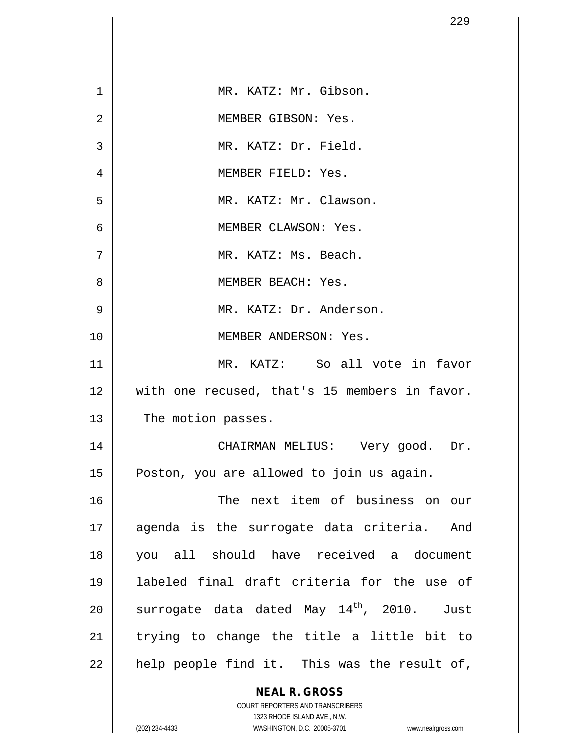|                | 229                                                                     |
|----------------|-------------------------------------------------------------------------|
|                |                                                                         |
| 1              | MR. KATZ: Mr. Gibson.                                                   |
| $\overline{2}$ | MEMBER GIBSON: Yes.                                                     |
| 3              | MR. KATZ: Dr. Field.                                                    |
| 4              | MEMBER FIELD: Yes.                                                      |
| 5              | MR. KATZ: Mr. Clawson.                                                  |
| 6              | MEMBER CLAWSON: Yes.                                                    |
| 7              | MR. KATZ: Ms. Beach.                                                    |
| 8              | MEMBER BEACH: Yes.                                                      |
| 9              | MR. KATZ: Dr. Anderson.                                                 |
| 10             | MEMBER ANDERSON: Yes.                                                   |
| 11             | MR. KATZ: So all vote in favor                                          |
| 12             | with one recused, that's 15 members in favor.                           |
| 13             | The motion passes.                                                      |
| 14             | CHAIRMAN MELIUS: Very good. Dr.                                         |
| 15             | Poston, you are allowed to join us again.                               |
| 16             | The next item of business on our                                        |
| 17             | agenda is the surrogate data criteria. And                              |
| 18             | you all should have received a document                                 |
| 19             | labeled final draft criteria for the use of                             |
| 20             | surrogate data dated May 14th, 2010.<br>Just                            |
| 21             | trying to change the title a little bit to                              |
| 22             | help people find it. This was the result of,                            |
|                | <b>NEAL R. GROSS</b>                                                    |
|                | <b>COURT REPORTERS AND TRANSCRIBERS</b><br>1323 RHODE ISLAND AVE., N.W. |
|                | (202) 234-4433<br>WASHINGTON, D.C. 20005-3701<br>www.nealrgross.com     |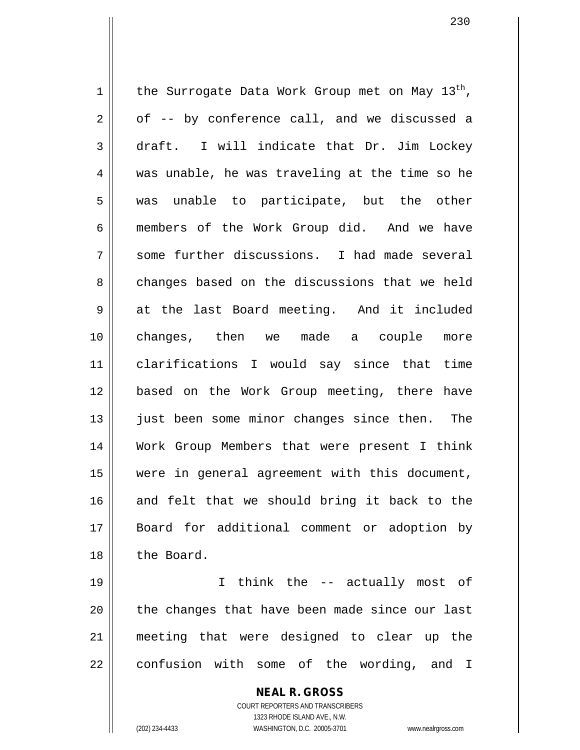1 | the Surrogate Data Work Group met on May  $13^{th}$ ,  $2 \parallel$  of -- by conference call, and we discussed a 3 draft. I will indicate that Dr. Jim Lockey 4 was unable, he was traveling at the time so he  $5$  || was unable to participate, but the other 6 members of the Work Group did. And we have  $7 \parallel$  some further discussions. I had made several 8 changes based on the discussions that we held 9 || at the last Board meeting. And it included 10 changes, then we made a couple more 11 clarifications I would say since that time 12 based on the Work Group meeting, there have 13 || just been some minor changes since then. The 14 Work Group Members that were present I think 15 were in general agreement with this document, 16 and felt that we should bring it back to the 17 Board for additional comment or adoption by 18 the Board.

 I think the -- actually most of || the changes that have been made since our last meeting that were designed to clear up the confusion with some of the wording, and I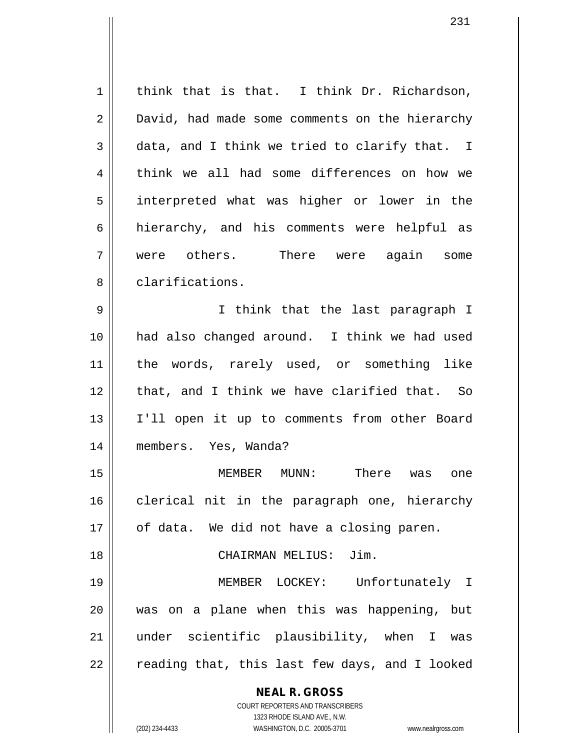| 1              | think that is that. I think Dr. Richardson,                                                         |
|----------------|-----------------------------------------------------------------------------------------------------|
| 2              | David, had made some comments on the hierarchy                                                      |
| 3              | data, and I think we tried to clarify that. I                                                       |
| $\overline{4}$ | think we all had some differences on how we                                                         |
| 5              | interpreted what was higher or lower in the                                                         |
| 6              | hierarchy, and his comments were helpful as                                                         |
| 7              | were others. There were again some                                                                  |
| 8              | clarifications.                                                                                     |
| 9              | I think that the last paragraph I                                                                   |
| 10             | had also changed around. I think we had used                                                        |
| 11             | the words, rarely used, or something like                                                           |
| 12             | that, and I think we have clarified that. So                                                        |
| 13             | I'll open it up to comments from other Board                                                        |
| 14             | members. Yes, Wanda?                                                                                |
| 15             | MEMBER MUNN: There was<br>one                                                                       |
| 16             | clerical nit in the paragraph one, hierarchy                                                        |
| 17             | of data. We did not have a closing paren.                                                           |
| 18             | CHAIRMAN MELIUS: Jim.                                                                               |
| 19             | MEMBER LOCKEY: Unfortunately I                                                                      |
| 20             | was on a plane when this was happening, but                                                         |
| 21             | under scientific plausibility, when I was                                                           |
| 22             | reading that, this last few days, and I looked                                                      |
|                | <b>NEAL R. GROSS</b>                                                                                |
|                | COURT REPORTERS AND TRANSCRIBERS                                                                    |
|                | 1323 RHODE ISLAND AVE., N.W.<br>(202) 234-4433<br>WASHINGTON, D.C. 20005-3701<br>www.nealrgross.com |
|                |                                                                                                     |

 $\mathsf{I}$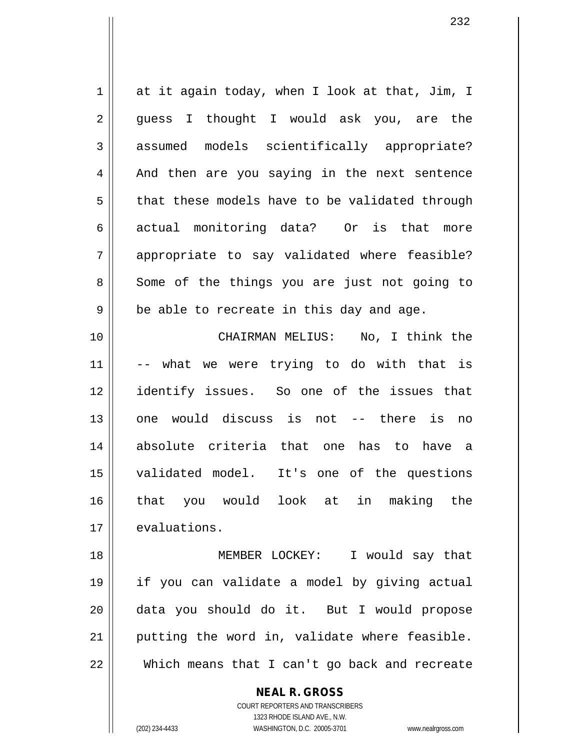$1 \parallel$  at it again today, when I look at that, Jim, I 2 || guess I thought I would ask you, are the 3 assumed models scientifically appropriate?  $4 \parallel$  And then are you saying in the next sentence  $5 \parallel$  that these models have to be validated through 6 actual monitoring data? Or is that more 7 || appropriate to say validated where feasible? 8 Some of the things you are just not going to  $9 \parallel$  be able to recreate in this day and age. 10 CHAIRMAN MELIUS: No, I think the  $11$   $\vert$  -- what we were trying to do with that is 12 identify issues. So one of the issues that 13 one would discuss is not -- there is no 14 absolute criteria that one has to have a 15 validated model. It's one of the questions 16 that you would look at in making the 17 evaluations. 18 MEMBER LOCKEY: I would say that

 if you can validate a model by giving actual data you should do it. But I would propose putting the word in, validate where feasible. Which means that I can't go back and recreate

> COURT REPORTERS AND TRANSCRIBERS 1323 RHODE ISLAND AVE., N.W. (202) 234-4433 WASHINGTON, D.C. 20005-3701 www.nealrgross.com

**NEAL R. GROSS**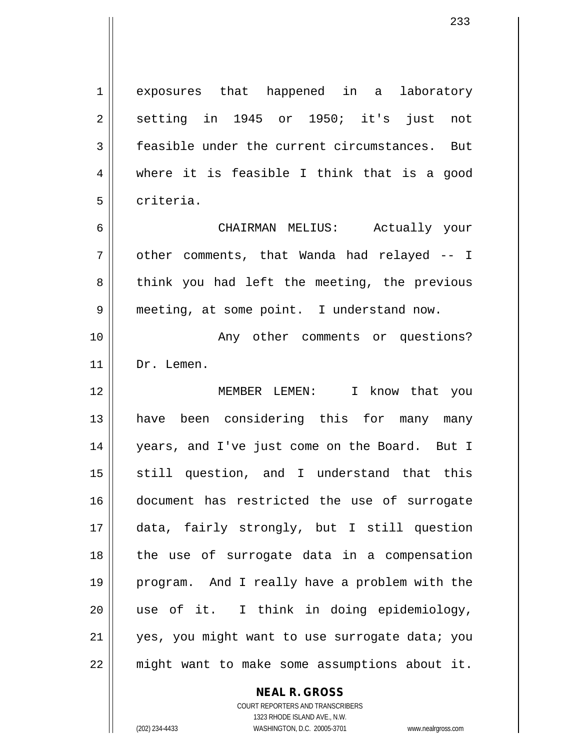1 exposures that happened in a laboratory  $2 \parallel$  setting in 1945 or 1950; it's just not  $3 \parallel$  feasible under the current circumstances. But 4 where it is feasible I think that is a good 5 l criteria.

6 CHAIRMAN MELIUS: Actually your  $7 \parallel$  other comments, that Wanda had relayed  $-1$ 8 || think you had left the meeting, the previous 9 | meeting, at some point. I understand now.

10 || The Commet Comments or questions? 11 | Dr. Lemen.

 MEMBER LEMEN: I know that you 13 || have been considering this for many many years, and I've just come on the Board. But I 15 || still question, and I understand that this document has restricted the use of surrogate data, fairly strongly, but I still question the use of surrogate data in a compensation program. And I really have a problem with the use of it. I think in doing epidemiology, 21 || yes, you might want to use surrogate data; you might want to make some assumptions about it.

## **NEAL R. GROSS**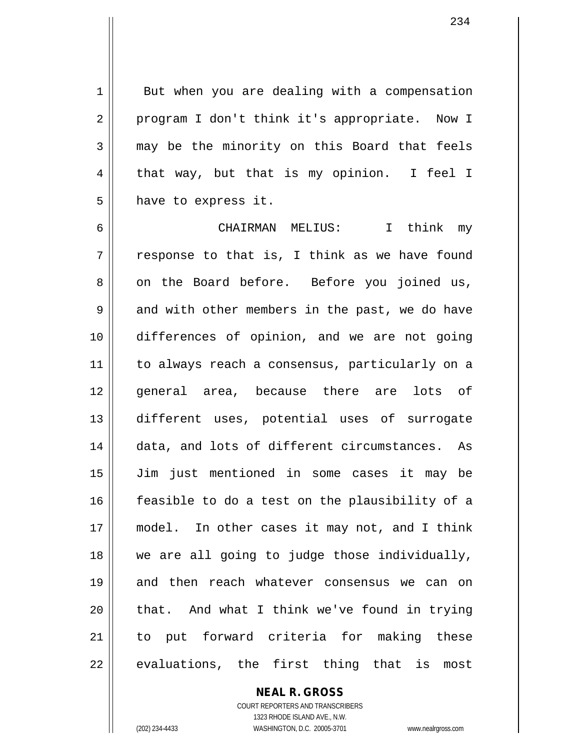$1 \parallel$  But when you are dealing with a compensation 2 || program I don't think it's appropriate. Now I 3 may be the minority on this Board that feels 4 that way, but that is my opinion. I feel I  $5 \parallel$  have to express it.

6 CHAIRMAN MELIUS: I think my  $7 \parallel$  response to that is, I think as we have found 8 on the Board before. Before you joined us,  $9 \parallel$  and with other members in the past, we do have 10 differences of opinion, and we are not going 11 || to always reach a consensus, particularly on a 12 || general area, because there are lots of 13 different uses, potential uses of surrogate 14 || data, and lots of different circumstances. As 15 Jim just mentioned in some cases it may be 16 || feasible to do a test on the plausibility of a 17 || model. In other cases it may not, and I think 18 we are all going to judge those individually, 19 || and then reach whatever consensus we can on  $20$  || that. And what I think we've found in trying 21 to put forward criteria for making these  $22$  || evaluations, the first thing that is most

> COURT REPORTERS AND TRANSCRIBERS 1323 RHODE ISLAND AVE., N.W. (202) 234-4433 WASHINGTON, D.C. 20005-3701 www.nealrgross.com

**NEAL R. GROSS**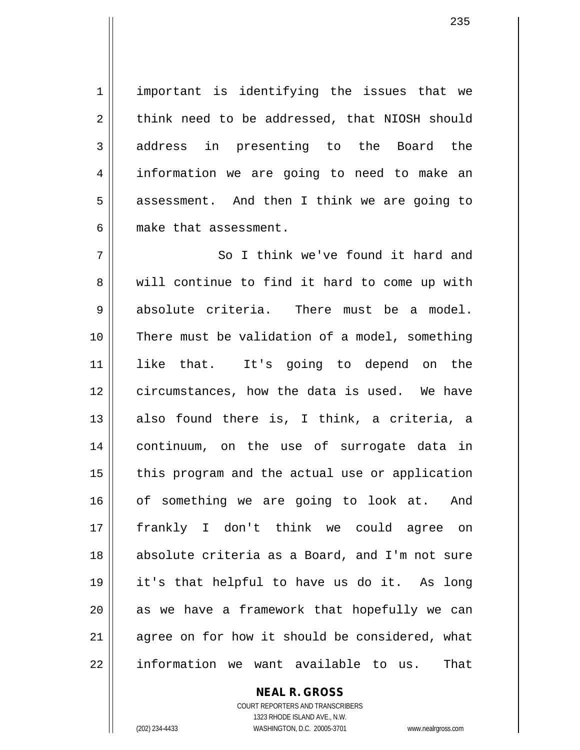1 || important is identifying the issues that we  $2 \parallel$  think need to be addressed, that NIOSH should 3 address in presenting to the Board the 4 || information we are going to need to make an  $5 \parallel$  assessment. And then I think we are going to 6 make that assessment.

7 || So I think we've found it hard and  $8 \parallel$  will continue to find it hard to come up with  $9 \parallel$  absolute criteria. There must be a model. 10 There must be validation of a model, something 11 like that. It's going to depend on the 12 circumstances, how the data is used. We have  $13$  also found there is, I think, a criteria, a 14 continuum, on the use of surrogate data in  $15$  || this program and the actual use or application 16 || of something we are going to look at. And 17 frankly I don't think we could agree on 18 || absolute criteria as a Board, and I'm not sure 19 it's that helpful to have us do it. As long  $20$  || as we have a framework that hopefully we can 21 || agree on for how it should be considered, what  $22$  || information we want available to us. That

## **NEAL R. GROSS**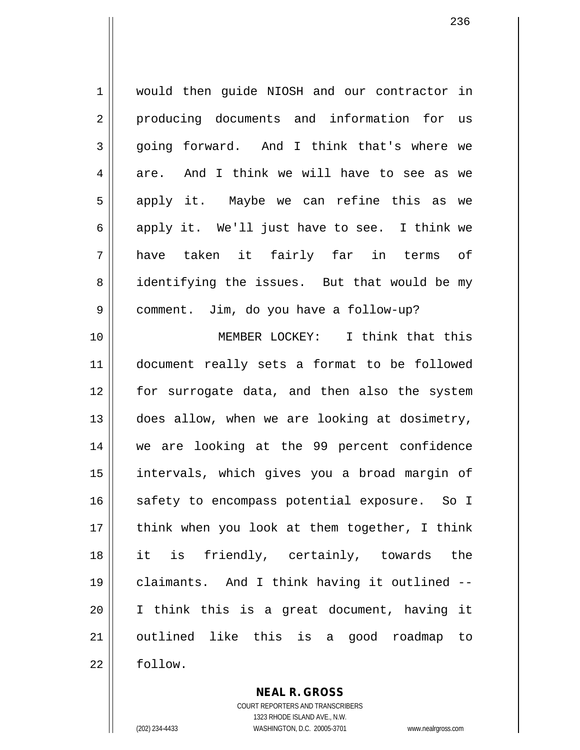1 | would then quide NIOSH and our contractor in 2 producing documents and information for us 3 going forward. And I think that's where we  $4 \parallel$  are. And I think we will have to see as we 5 || apply it. Maybe we can refine this as we 6 || apply it. We'll just have to see. I think we 7 have taken it fairly far in terms of 8 || identifying the issues. But that would be my 9 | comment. Jim, do you have a follow-up?

 MEMBER LOCKEY: I think that this document really sets a format to be followed for surrogate data, and then also the system 13 || does allow, when we are looking at dosimetry, we are looking at the 99 percent confidence intervals, which gives you a broad margin of 16 || safety to encompass potential exposure. So I || think when you look at them together, I think it is friendly, certainly, towards the claimants. And I think having it outlined -- I think this is a great document, having it outlined like this is a good roadmap to 22 | follow.

> **NEAL R. GROSS** COURT REPORTERS AND TRANSCRIBERS

> > 1323 RHODE ISLAND AVE., N.W.

(202) 234-4433 WASHINGTON, D.C. 20005-3701 www.nealrgross.com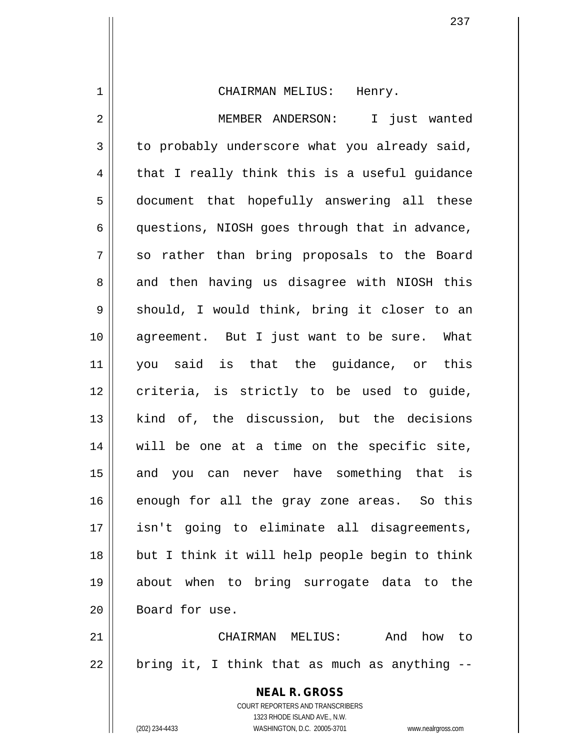**NEAL R. GROSS** COURT REPORTERS AND TRANSCRIBERS 1323 RHODE ISLAND AVE., N.W. 1 CHAIRMAN MELIUS: Henry. 2 MEMBER ANDERSON: I just wanted  $3 \parallel$  to probably underscore what you already said,  $4 \parallel$  that I really think this is a useful quidance 5 document that hopefully answering all these 6 questions, NIOSH goes through that in advance, 7 || so rather than bring proposals to the Board 8 and then having us disagree with NIOSH this  $9 \parallel$  should, I would think, bring it closer to an 10 || agreement. But I just want to be sure. What 11 you said is that the guidance, or this  $12$  criteria, is strictly to be used to quide, 13 || kind of, the discussion, but the decisions 14 will be one at a time on the specific site, 15 || and you can never have something that is 16 || enough for all the gray zone areas. So this 17 isn't going to eliminate all disagreements, 18 but I think it will help people begin to think 19 about when to bring surrogate data to the 20 Board for use. 21 CHAIRMAN MELIUS: And how to  $22$  || bring it, I think that as much as anything  $-$ -

(202) 234-4433 WASHINGTON, D.C. 20005-3701 www.nealrgross.com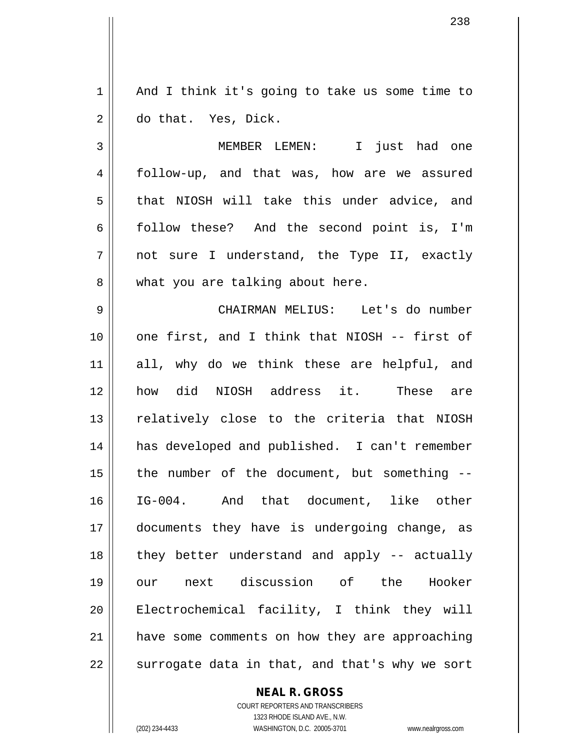$1 \parallel$  And I think it's going to take us some time to 2 do that. Yes, Dick.

3 MEMBER LEMEN: I just had one 4 follow-up, and that was, how are we assured 5 || that NIOSH will take this under advice, and 6 || follow these? And the second point is, I'm 7 not sure I understand, the Type II, exactly 8 || what you are talking about here.

 CHAIRMAN MELIUS: Let's do number one first, and I think that NIOSH -- first of all, why do we think these are helpful, and how did NIOSH address it. These are 13 || relatively close to the criteria that NIOSH has developed and published. I can't remember | the number of the document, but something  $-$  IG-004. And that document, like other documents they have is undergoing change, as 18 || they better understand and apply -- actually our next discussion of the Hooker Electrochemical facility, I think they will have some comments on how they are approaching || surrogate data in that, and that's why we sort

**NEAL R. GROSS**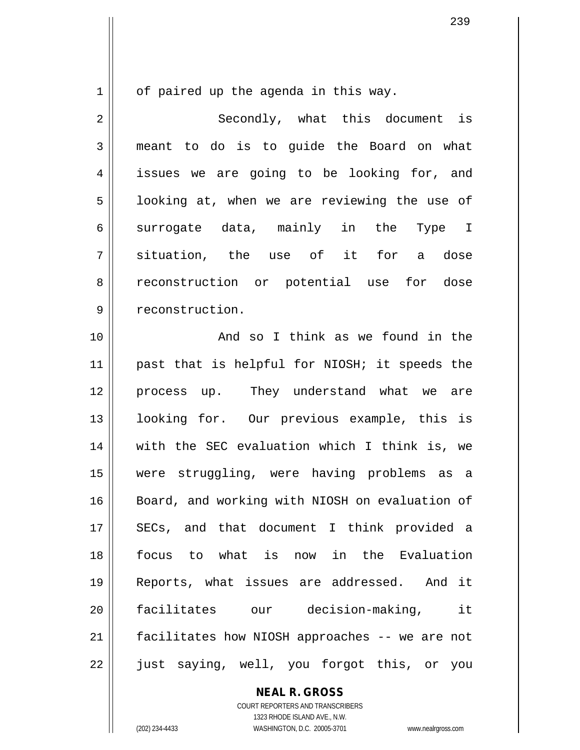$1 \parallel$  of paired up the agenda in this way.

2 Secondly, what this document is 3 meant to do is to quide the Board on what 4 || issues we are going to be looking for, and  $5 \parallel$  looking at, when we are reviewing the use of 6 surrogate data, mainly in the Type I 7 situation, the use of it for a dose 8 reconstruction or potential use for dose 9 | reconstruction.

10 || The Contract Council and so I think as we found in the 11 || past that is helpful for NIOSH; it speeds the 12 process up. They understand what we are 13 looking for. Our previous example, this is 14 with the SEC evaluation which I think is, we 15 were struggling, were having problems as a 16 || Board, and working with NIOSH on evaluation of 17 || SECs, and that document I think provided a 18 focus to what is now in the Evaluation 19 Reports, what issues are addressed. And it 20 facilitates our decision-making, it 21 | facilitates how NIOSH approaches -- we are not 22 || just saying, well, you forgot this, or you

**NEAL R. GROSS**

COURT REPORTERS AND TRANSCRIBERS 1323 RHODE ISLAND AVE., N.W. (202) 234-4433 WASHINGTON, D.C. 20005-3701 www.nealrgross.com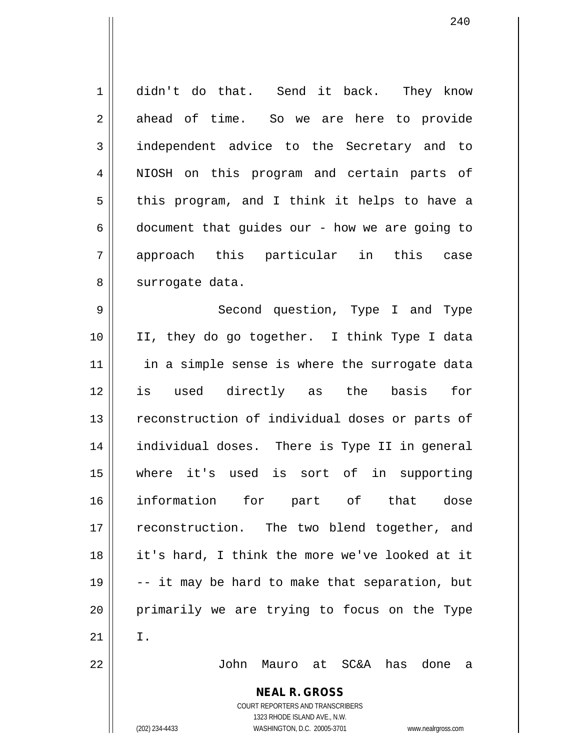**NEAL R. GROSS** COURT REPORTERS AND TRANSCRIBERS 1 didn't do that. Send it back. They know  $2 \parallel$  ahead of time. So we are here to provide 3 || independent advice to the Secretary and to 4 || NIOSH on this program and certain parts of  $5 \parallel$  this program, and I think it helps to have a  $6 \parallel$  document that guides our - how we are going to 7 approach this particular in this case 8 || surrogate data. 9 Second question, Type I and Type 10 II, they do go together. I think Type I data  $11$  in a simple sense is where the surrogate data 12 is used directly as the basis for 13 || reconstruction of individual doses or parts of 14 individual doses. There is Type II in general 15 where it's used is sort of in supporting 16 information for part of that dose 17 || reconstruction. The two blend together, and 18 it's hard, I think the more we've looked at it 19  $\vert$  -- it may be hard to make that separation, but 20 primarily we are trying to focus on the Type  $21$  I. 22 John Mauro at SC&A has done a

1323 RHODE ISLAND AVE., N.W.

240

(202) 234-4433 WASHINGTON, D.C. 20005-3701 www.nealrgross.com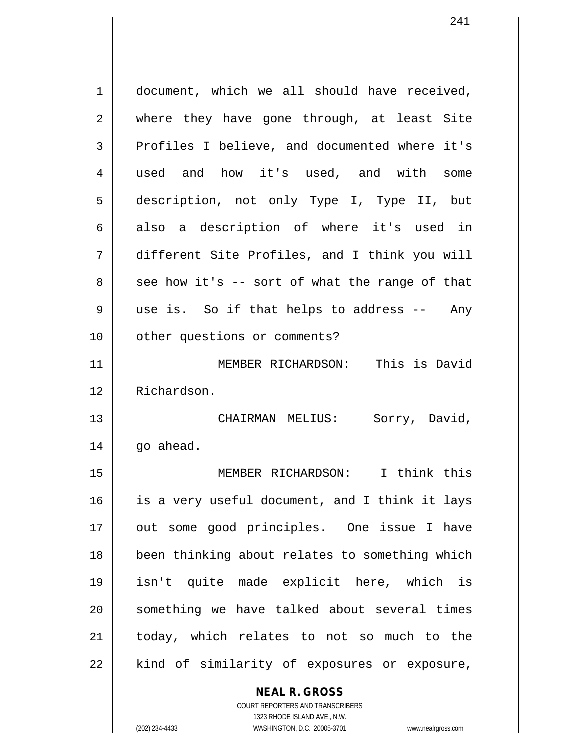1 document, which we all should have received, 2 where they have gone through, at least Site 3 Profiles I believe, and documented where it's 4 used and how it's used, and with some 5 description, not only Type I, Type II, but  $6 \parallel$  also a description of where it's used in 7 different Site Profiles, and I think you will  $8 \parallel$  see how it's -- sort of what the range of that 9 use is. So if that helps to address -- Any 10 | other questions or comments? 11 || MEMBER RICHARDSON: This is David 12 Richardson. 13 CHAIRMAN MELIUS: Sorry, David,  $14$  |  $qo$  ahead. 15 MEMBER RICHARDSON: I think this  $16$  is a very useful document, and I think it lays 17 || out some good principles. One issue I have 18 been thinking about relates to something which 19 isn't quite made explicit here, which is 20 || something we have talked about several times 21 || today, which relates to not so much to the 22 || kind of similarity of exposures or exposure,

> **NEAL R. GROSS** COURT REPORTERS AND TRANSCRIBERS

1323 RHODE ISLAND AVE., N.W. (202) 234-4433 WASHINGTON, D.C. 20005-3701 www.nealrgross.com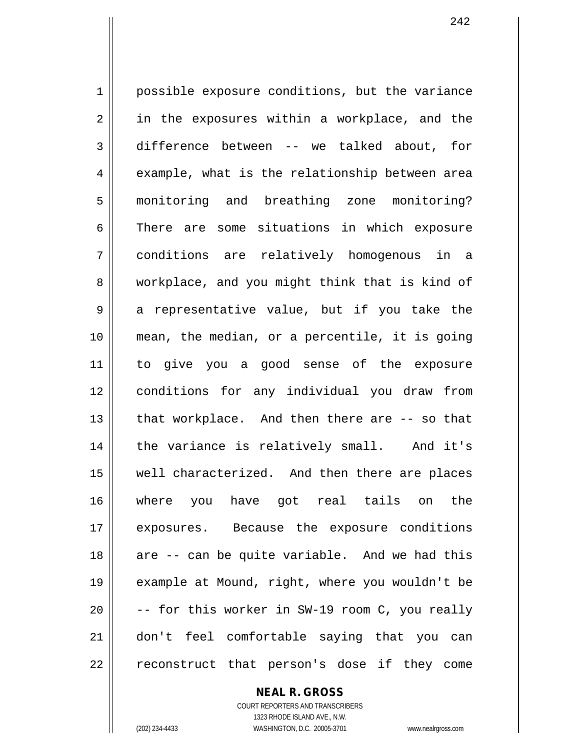1 | possible exposure conditions, but the variance  $2 \parallel$  in the exposures within a workplace, and the 3 difference between -- we talked about, for  $4 \parallel$  example, what is the relationship between area 5 monitoring and breathing zone monitoring? 6 There are some situations in which exposure 7 conditions are relatively homogenous in a 8 workplace, and you might think that is kind of  $9 \parallel$  a representative value, but if you take the 10 mean, the median, or a percentile, it is going 11 to give you a good sense of the exposure 12 conditions for any individual you draw from 13 || that workplace. And then there are -- so that 14 || the variance is relatively small. And it's 15 || well characterized. And then there are places 16 where you have got real tails on the 17 || exposures. Because the exposure conditions 18 || are -- can be quite variable. And we had this 19 example at Mound, right, where you wouldn't be  $20$   $\vert$  -- for this worker in SW-19 room C, you really 21 don't feel comfortable saying that you can 22 || reconstruct that person's dose if they come

**NEAL R. GROSS**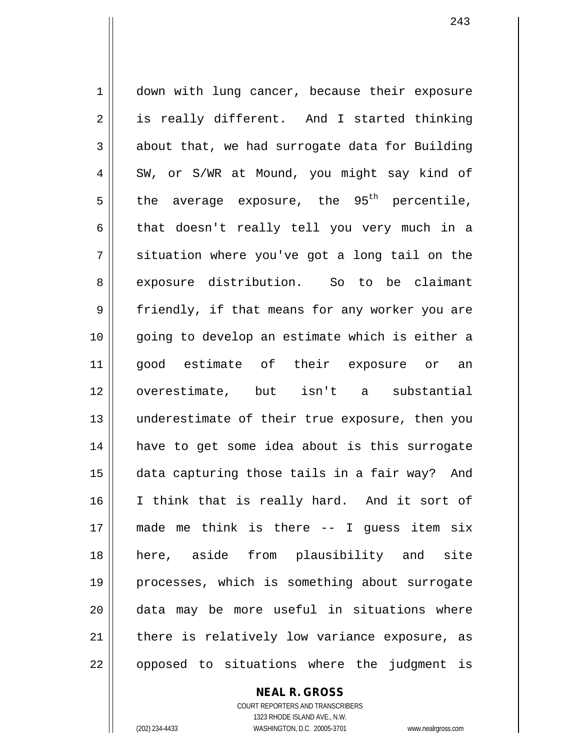1 | down with lung cancer, because their exposure  $2 \parallel$  is really different. And I started thinking  $3 \parallel$  about that, we had surrogate data for Building  $4 \parallel$  SW, or S/WR at Mound, you might say kind of the average exposure, the 95<sup>th</sup> percentile,  $6 \parallel$  that doesn't really tell you very much in a  $7 \parallel$  situation where you've got a long tail on the 8 || exposure distribution. So to be claimant 9 friendly, if that means for any worker you are going to develop an estimate which is either a good estimate of their exposure or an overestimate, but isn't a substantial underestimate of their true exposure, then you have to get some idea about is this surrogate data capturing those tails in a fair way? And I think that is really hard. And it sort of made me think is there -- I guess item six here, aside from plausibility and site processes, which is something about surrogate data may be more useful in situations where | there is relatively low variance exposure, as || opposed to situations where the judgment is

**NEAL R. GROSS**

COURT REPORTERS AND TRANSCRIBERS 1323 RHODE ISLAND AVE., N.W. (202) 234-4433 WASHINGTON, D.C. 20005-3701 www.nealrgross.com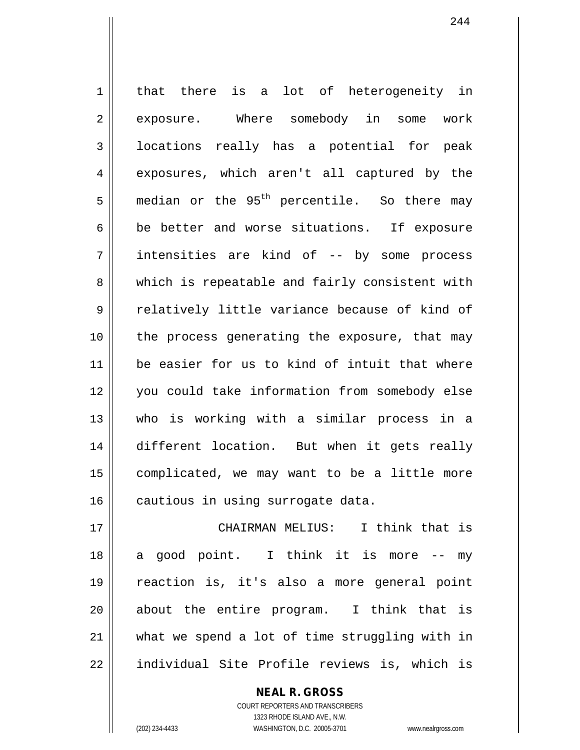1 | that there is a lot of heterogeneity in 2 || exposure. Where somebody in some work 3 | locations really has a potential for peak 4 exposures, which aren't all captured by the  $5$  median or the 95<sup>th</sup> percentile. So there may  $6 \parallel$  be better and worse situations. If exposure 7 || intensities are kind of -- by some process 8 which is repeatable and fairly consistent with 9 || relatively little variance because of kind of 10 the process generating the exposure, that may 11 be easier for us to kind of intuit that where 12 you could take information from somebody else 13 who is working with a similar process in a 14 different location. But when it gets really 15 | complicated, we may want to be a little more 16 | cautious in using surrogate data.

 CHAIRMAN MELIUS: I think that is || a good point. I think it is more -- my reaction is, it's also a more general point 20 || about the entire program. I think that is | what we spend a lot of time struggling with in 22 || individual Site Profile reviews is, which is

> COURT REPORTERS AND TRANSCRIBERS 1323 RHODE ISLAND AVE., N.W. (202) 234-4433 WASHINGTON, D.C. 20005-3701 www.nealrgross.com

**NEAL R. GROSS**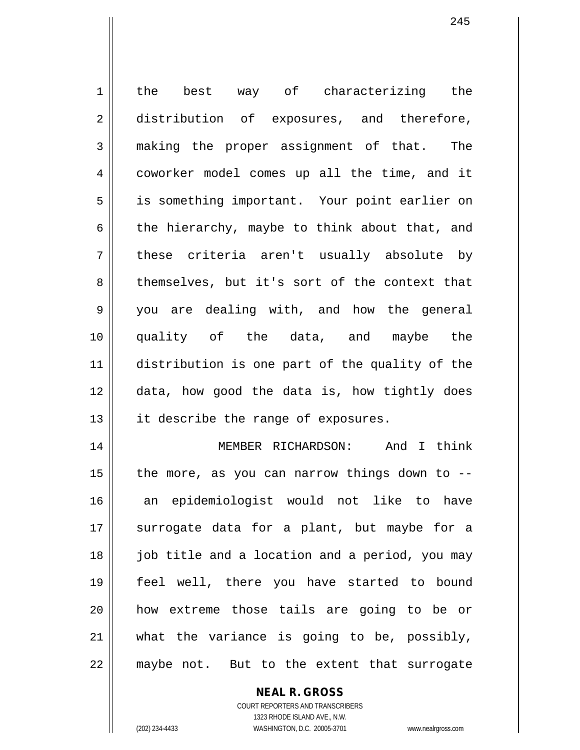1 || the best way of characterizing the 2 distribution of exposures, and therefore, 3 making the proper assignment of that. The 4 coworker model comes up all the time, and it 5 || is something important. Your point earlier on 6 the hierarchy, maybe to think about that, and 7 || these criteria aren't usually absolute by 8 themselves, but it's sort of the context that 9 you are dealing with, and how the general 10 quality of the data, and maybe the 11 distribution is one part of the quality of the 12 data, how good the data is, how tightly does 13 || it describe the range of exposures. 14 MEMBER RICHARDSON: And I think 15  $\parallel$  the more, as you can narrow things down to --16 an epidemiologist would not like to have 17 || surrogate data for a plant, but maybe for a 18 job title and a location and a period, you may 19 feel well, there you have started to bound 20 how extreme those tails are going to be or 21 what the variance is going to be, possibly, 22 || maybe not. But to the extent that surrogate

> **NEAL R. GROSS** COURT REPORTERS AND TRANSCRIBERS

> > 1323 RHODE ISLAND AVE., N.W.

(202) 234-4433 WASHINGTON, D.C. 20005-3701 www.nealrgross.com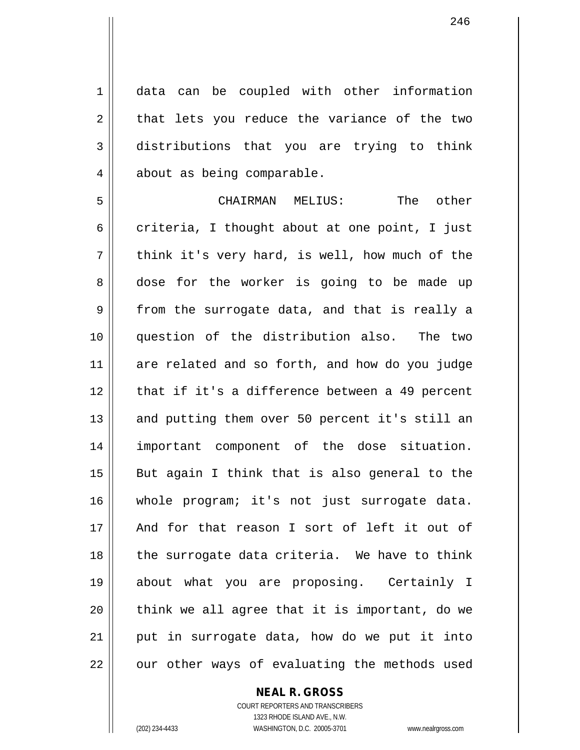1 data can be coupled with other information  $2 \parallel$  that lets you reduce the variance of the two 3 distributions that you are trying to think 4 | about as being comparable.

5 CHAIRMAN MELIUS: The other 6 criteria, I thought about at one point, I just  $7 \parallel$  think it's very hard, is well, how much of the 8 dose for the worker is going to be made up  $9 \parallel$  from the surrogate data, and that is really a 10 question of the distribution also. The two 11 are related and so forth, and how do you judge 12 || that if it's a difference between a 49 percent 13 || and putting them over 50 percent it's still an 14 important component of the dose situation.  $15$  || But again I think that is also general to the 16 whole program; it's not just surrogate data. 17 And for that reason I sort of left it out of 18 || the surrogate data criteria. We have to think 19 about what you are proposing. Certainly I  $20$  || think we all agree that it is important, do we  $21$  || put in surrogate data, how do we put it into  $22$  || our other ways of evaluating the methods used

## **NEAL R. GROSS**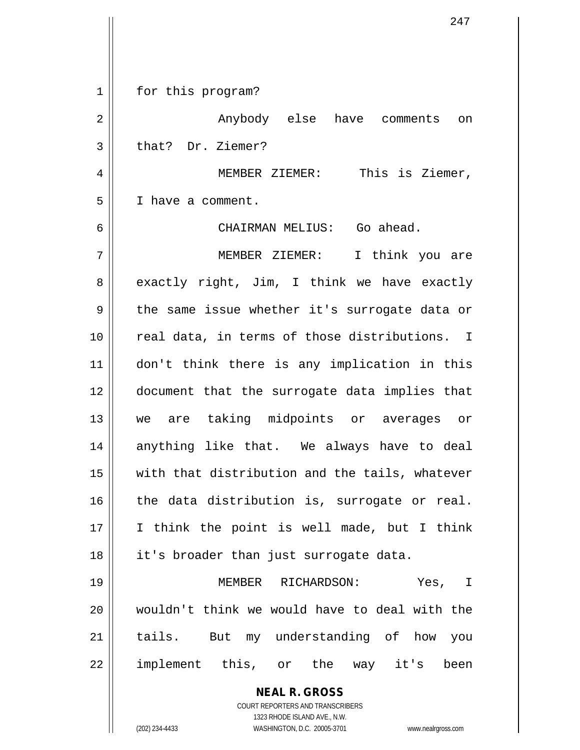**NEAL R. GROSS** COURT REPORTERS AND TRANSCRIBERS 1323 RHODE ISLAND AVE., N.W. (202) 234-4433 WASHINGTON, D.C. 20005-3701 www.nealrgross.com 1 || for this program? 2 Anybody else have comments on 3 | that? Dr. Ziemer? 4 MEMBER ZIEMER: This is Ziemer, 5 I have a comment. 6 CHAIRMAN MELIUS: Go ahead. 7 MEMBER ZIEMER: I think you are  $8 \parallel$  exactly right, Jim, I think we have exactly  $9 \parallel$  the same issue whether it's surrogate data or 10 || real data, in terms of those distributions. I 11 don't think there is any implication in this 12 document that the surrogate data implies that 13 we are taking midpoints or averages or 14 anything like that. We always have to deal 15 with that distribution and the tails, whatever  $16$  the data distribution is, surrogate or real. 17 I think the point is well made, but I think 18 || it's broader than just surrogate data. 19 MEMBER RICHARDSON: Yes, I 20 wouldn't think we would have to deal with the 21 || tails. But my understanding of how you 22 || implement this, or the way it's been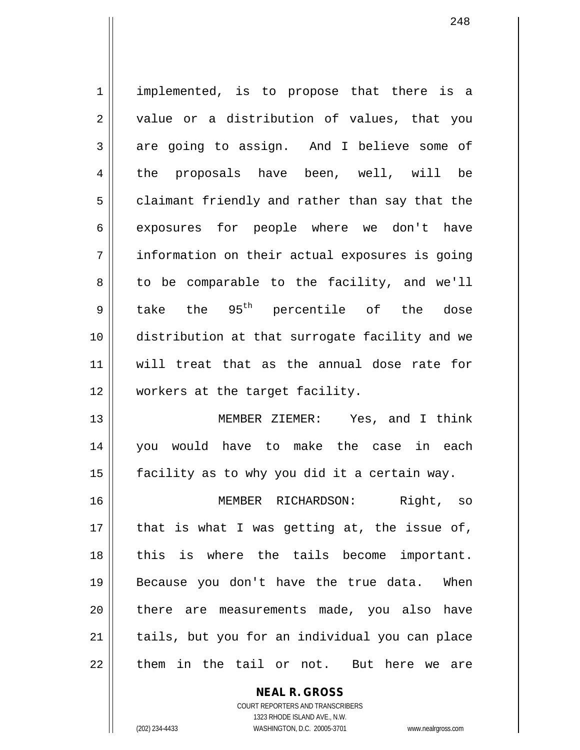1 implemented, is to propose that there is a  $2 \parallel$  value or a distribution of values, that you  $3 \parallel$  are going to assign. And I believe some of 4 the proposals have been, well, will be  $5 \parallel$  claimant friendly and rather than say that the 6 exposures for people where we don't have 7 information on their actual exposures is going  $8 \parallel$  to be comparable to the facility, and we'll  $9 \parallel$  take the  $95^{th}$  percentile of the dose 10 distribution at that surrogate facility and we 11 will treat that as the annual dose rate for 12 workers at the target facility. 13 || MEMBER ZIEMER: Yes, and I think 14 you would have to make the case in each 15  $\parallel$  facility as to why you did it a certain way.

16 MEMBER RICHARDSON: Right, so  $17$  | that is what I was getting at, the issue of, 18 || this is where the tails become important. 19 Because you don't have the true data. When 20 || there are measurements made, you also have 21 || tails, but you for an individual you can place 22 l them in the tail or not. But here we are

**NEAL R. GROSS**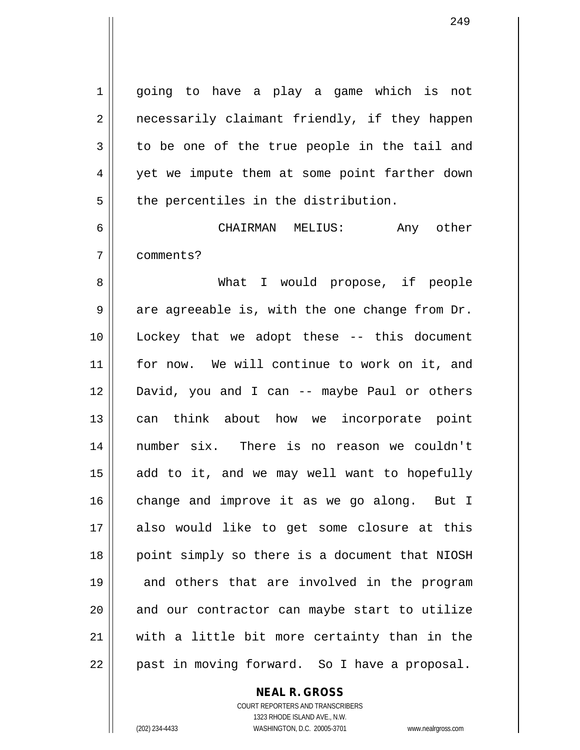1 || going to have a play a game which is not 2 || necessarily claimant friendly, if they happen  $3 \parallel$  to be one of the true people in the tail and 4 yet we impute them at some point farther down  $5$  || the percentiles in the distribution.

6 CHAIRMAN MELIUS: Any other 7 comments?

8 What I would propose, if people  $9 \parallel$  are agreeable is, with the one change from Dr. 10 Lockey that we adopt these -- this document 11 || for now. We will continue to work on it, and 12 David, you and I can -- maybe Paul or others 13 || can think about how we incorporate point 14 number six. There is no reason we couldn't  $15$  add to it, and we may well want to hopefully 16 change and improve it as we go along. But I 17 also would like to get some closure at this 18 || point simply so there is a document that NIOSH 19 || and others that are involved in the program 20 || and our contractor can maybe start to utilize 21 with a little bit more certainty than in the 22 || past in moving forward. So I have a proposal.

**NEAL R. GROSS**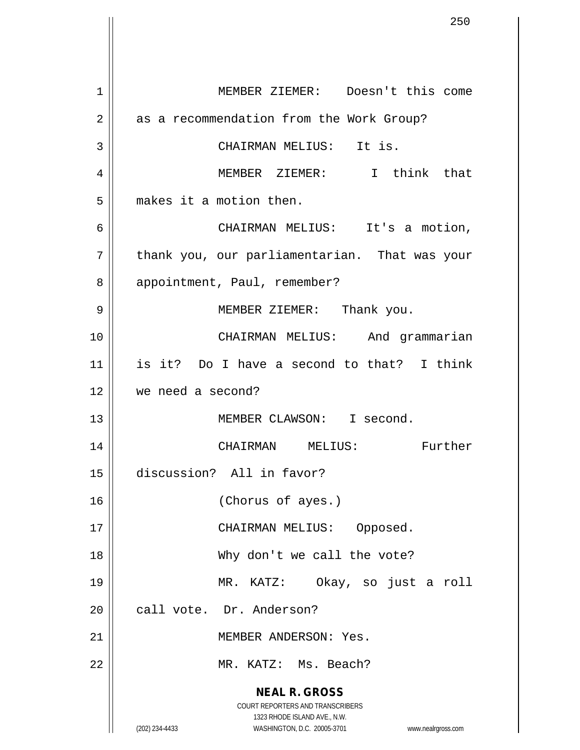**NEAL R. GROSS** COURT REPORTERS AND TRANSCRIBERS 1323 RHODE ISLAND AVE., N.W. (202) 234-4433 WASHINGTON, D.C. 20005-3701 www.nealrgross.com 1 MEMBER ZIEMER: Doesn't this come 2 | as a recommendation from the Work Group? 3 || CHAIRMAN MELIUS: It is. 4 MEMBER ZIEMER: I think that 5 | makes it a motion then. 6 CHAIRMAN MELIUS: It's a motion,  $7$  | thank you, our parliamentarian. That was your 8 | appointment, Paul, remember? 9 MEMBER ZIEMER: Thank you. 10 CHAIRMAN MELIUS: And grammarian 11 is it? Do I have a second to that? I think 12 we need a second? 13 || MEMBER CLAWSON: I second. 14 CHAIRMAN MELIUS: Further 15 discussion? All in favor? 16 (Chorus of ayes.) 17 || CHAIRMAN MELIUS: Opposed. 18 Why don't we call the vote? 19 MR. KATZ: Okay, so just a roll 20 call vote. Dr. Anderson? 21 MEMBER ANDERSON: Yes. 22 MR. KATZ: Ms. Beach?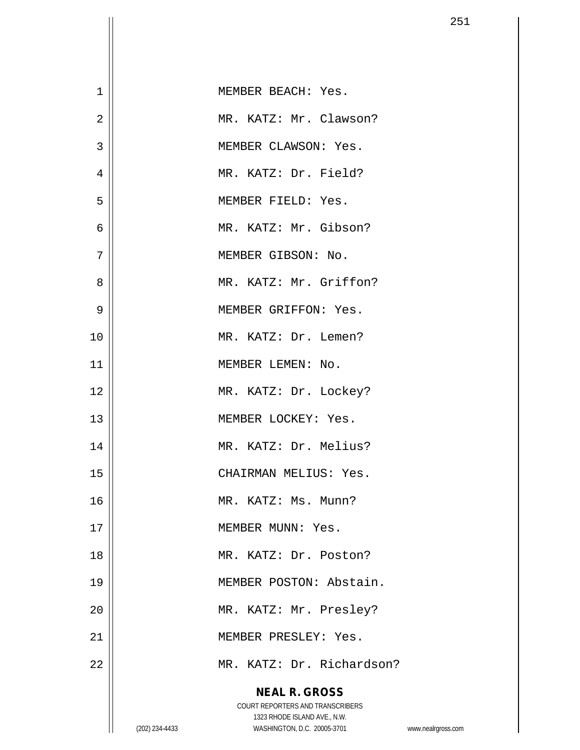| 1              |                | MEMBER BEACH: Yes.                                                      |                    |
|----------------|----------------|-------------------------------------------------------------------------|--------------------|
| $\overline{2}$ |                | MR. KATZ: Mr. Clawson?                                                  |                    |
| 3              |                | MEMBER CLAWSON: Yes.                                                    |                    |
| 4              |                | MR. KATZ: Dr. Field?                                                    |                    |
| 5              |                | MEMBER FIELD: Yes.                                                      |                    |
| 6              |                | MR. KATZ: Mr. Gibson?                                                   |                    |
| 7              |                | MEMBER GIBSON: No.                                                      |                    |
| 8              |                | MR. KATZ: Mr. Griffon?                                                  |                    |
| 9              |                | MEMBER GRIFFON: Yes.                                                    |                    |
| 10             |                | MR. KATZ: Dr. Lemen?                                                    |                    |
| 11             |                | MEMBER LEMEN: No.                                                       |                    |
| 12             |                | MR. KATZ: Dr. Lockey?                                                   |                    |
| 13             |                | MEMBER LOCKEY: Yes.                                                     |                    |
| 14             |                | MR. KATZ: Dr. Melius?                                                   |                    |
| 15             |                | CHAIRMAN MELIUS: Yes.                                                   |                    |
| 16             |                | MR. KATZ: Ms. Munn?                                                     |                    |
| 17             |                | MEMBER MUNN: Yes.                                                       |                    |
| 18             |                | MR. KATZ: Dr. Poston?                                                   |                    |
| 19             |                | MEMBER POSTON: Abstain.                                                 |                    |
| 20             |                | MR. KATZ: Mr. Presley?                                                  |                    |
| 21             |                | MEMBER PRESLEY: Yes.                                                    |                    |
| 22             |                | MR. KATZ: Dr. Richardson?                                               |                    |
|                |                | <b>NEAL R. GROSS</b>                                                    |                    |
|                |                | <b>COURT REPORTERS AND TRANSCRIBERS</b><br>1323 RHODE ISLAND AVE., N.W. |                    |
|                | (202) 234-4433 | WASHINGTON, D.C. 20005-3701                                             | www.nealrgross.com |

 $\mathsf{I}$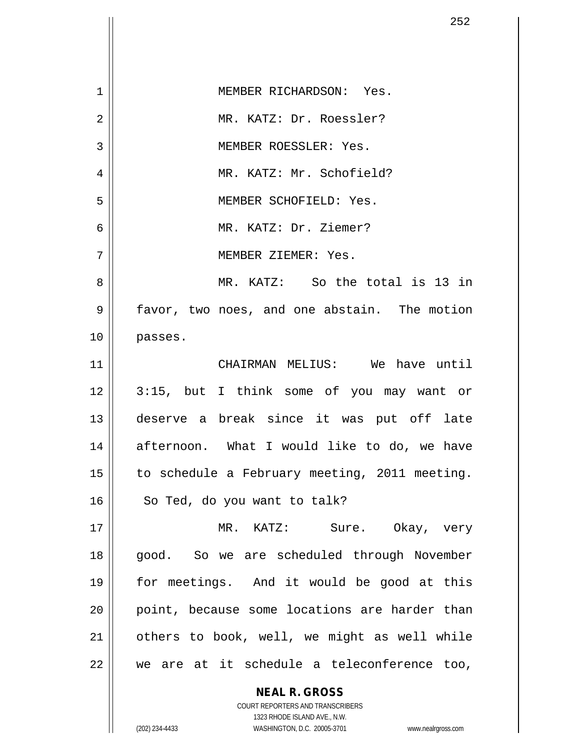| 1  | MEMBER RICHARDSON: Yes.                       |
|----|-----------------------------------------------|
| 2  | MR. KATZ: Dr. Roessler?                       |
| 3  | MEMBER ROESSLER: Yes.                         |
| 4  | MR. KATZ: Mr. Schofield?                      |
| 5  | MEMBER SCHOFIELD: Yes.                        |
| 6  | MR. KATZ: Dr. Ziemer?                         |
| 7  | MEMBER ZIEMER: Yes.                           |
| 8  | MR. KATZ: So the total is 13 in               |
| 9  | favor, two noes, and one abstain. The motion  |
| 10 | passes.                                       |
| 11 | CHAIRMAN MELIUS: We have until                |
| 12 | 3:15, but I think some of you may want or     |
| 13 | deserve a break since it was put off late     |
| 14 | afternoon. What I would like to do, we have   |
| 15 | to schedule a February meeting, 2011 meeting. |
| 16 | So Ted, do you want to talk?                  |
| 17 | MR. KATZ: Sure. Okay, very                    |
| 18 | good. So we are scheduled through November    |
| 19 | for meetings. And it would be good at this    |
| 20 | point, because some locations are harder than |
| 21 | others to book, well, we might as well while  |
| 22 | we are at it schedule a teleconference too,   |
|    | <b>NEAL R. GROSS</b>                          |

 $\mathsf{II}$ 

 $\overline{\phantom{a}}$ 

1323 RHODE ISLAND AVE., N.W. (202) 234-4433 WASHINGTON, D.C. 20005-3701 www.nealrgross.com

COURT REPORTERS AND TRANSCRIBERS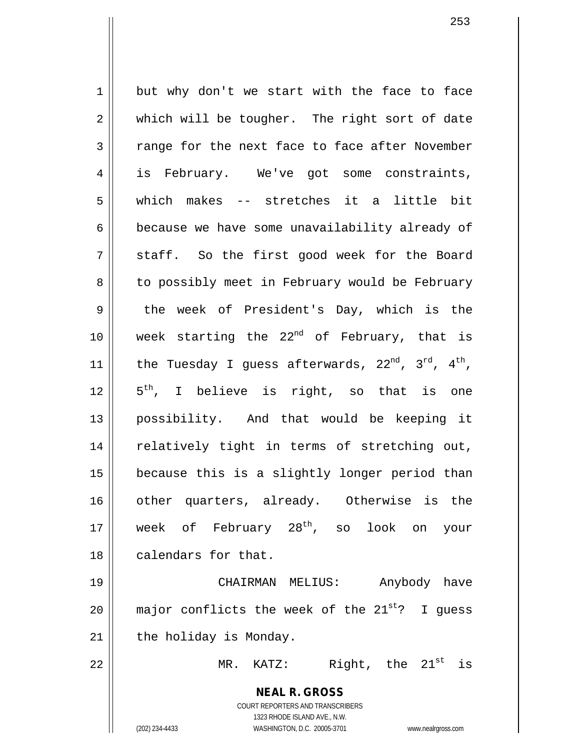$1 \parallel$  but why don't we start with the face to face  $2 \parallel$  which will be tougher. The right sort of date  $3 \parallel$  range for the next face to face after November 4 is February. We've got some constraints, 5 which makes -- stretches it a little bit 6 because we have some unavailability already of  $7 \parallel$  staff. So the first good week for the Board 8 | to possibly meet in February would be February  $9 \parallel$  the week of President's Day, which is the 10  $\parallel$  week starting the 22<sup>nd</sup> of February, that is 11 | the Tuesday I guess afterwards,  $22^{nd}$ ,  $3^{rd}$ ,  $4^{th}$ ,  $12 \parallel 5^{th}$ , I believe is right, so that is one 13 possibility. And that would be keeping it 14 || relatively tight in terms of stretching out, 15 because this is a slightly longer period than 16 || other quarters, already. Otherwise is the 17 week of February 28<sup>th</sup>, so look on your 18 calendars for that. 19 CHAIRMAN MELIUS: Anybody have 20  $\parallel$  major conflicts the week of the 21<sup>st</sup>? I guess  $21$  | the holiday is Monday. 22  $\parallel$  MR. KATZ: Right, the  $21^{\text{st}}$  is

> **NEAL R. GROSS** COURT REPORTERS AND TRANSCRIBERS 1323 RHODE ISLAND AVE., N.W. (202) 234-4433 WASHINGTON, D.C. 20005-3701 www.nealrgross.com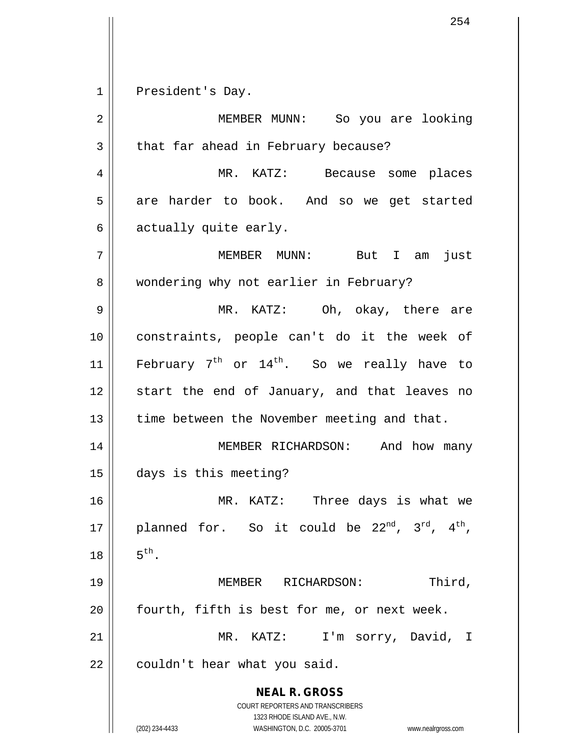**NEAL R. GROSS** COURT REPORTERS AND TRANSCRIBERS 1323 RHODE ISLAND AVE., N.W. (202) 234-4433 WASHINGTON, D.C. 20005-3701 www.nealrgross.com 1 || President's Day. 2 MEMBER MUNN: So you are looking 3 | that far ahead in February because? 4 MR. KATZ: Because some places 5 | are harder to book. And so we get started  $6 \parallel$  actually quite early. 7 MEMBER MUNN: But I am just 8 | wondering why not earlier in February? 9 MR. KATZ: Oh, okay, there are 10 constraints, people can't do it the week of 11  $\parallel$  February 7<sup>th</sup> or 14<sup>th</sup>. So we really have to 12 || start the end of January, and that leaves no 13 | time between the November meeting and that. 14 || MEMBER RICHARDSON: And how many 15 days is this meeting? 16 MR. KATZ: Three days is what we 17 || planned for. So it could be  $22^{nd}$ ,  $3^{rd}$ ,  $4^{th}$ ,  $18 \parallel 5^{th}$ . 19 MEMBER RICHARDSON: Third,  $20$  | fourth, fifth is best for me, or next week. 21 || MR. KATZ: I'm sorry, David, I  $22$  | couldn't hear what you said.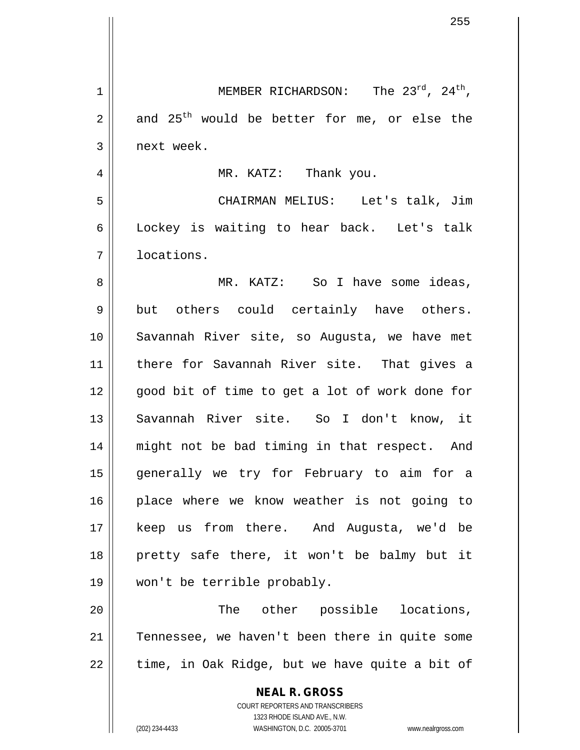**NEAL R. GROSS** COURT REPORTERS AND TRANSCRIBERS 1323 RHODE ISLAND AVE., N.W. 1 || MEMBER RICHARDSON: The  $23^{rd}$ ,  $24^{th}$ ,  $2 \parallel$  and  $25^{th}$  would be better for me, or else the 3 | next week. 4 MR. KATZ: Thank you. 5 CHAIRMAN MELIUS: Let's talk, Jim 6 Lockey is waiting to hear back. Let's talk 7 locations. 8 MR. KATZ: So I have some ideas, 9 || but others could certainly have others. 10 Savannah River site, so Augusta, we have met 11 there for Savannah River site. That gives a 12 || qood bit of time to get a lot of work done for 13 || Savannah River site. So I don't know, it 14 || might not be bad timing in that respect. And 15 generally we try for February to aim for a 16 || place where we know weather is not going to 17 keep us from there. And Augusta, we'd be 18 pretty safe there, it won't be balmy but it 19 won't be terrible probably. 20 The other possible locations, 21 || Tennessee, we haven't been there in quite some  $22$  || time, in Oak Ridge, but we have quite a bit of

(202) 234-4433 WASHINGTON, D.C. 20005-3701 www.nealrgross.com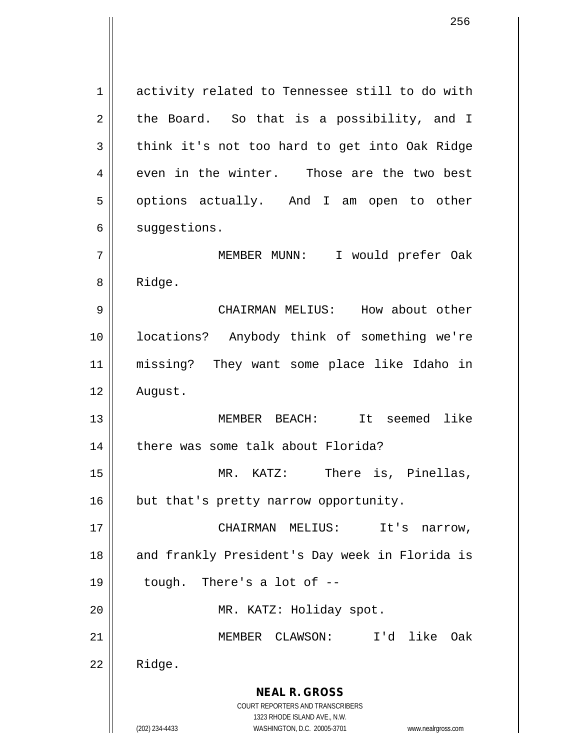**NEAL R. GROSS** 1 | activity related to Tennessee still to do with  $2 \parallel$  the Board. So that is a possibility, and I 3 think it's not too hard to get into Oak Ridge  $4 \parallel$  even in the winter. Those are the two best 5 | options actually. And I am open to other 6 | suggestions. 7 MEMBER MUNN: I would prefer Oak 8 | Ridge. 9 CHAIRMAN MELIUS: How about other 10 locations? Anybody think of something we're 11 missing? They want some place like Idaho in 12 | August. 13 MEMBER BEACH: It seemed like 14 | there was some talk about Florida? 15 MR. KATZ: There is, Pinellas, 16 | but that's pretty narrow opportunity. 17 || CHAIRMAN MELIUS: It's narrow, 18 || and frankly President's Day week in Florida is  $19 \parallel$  tough. There's a lot of  $-$ 20 || MR. KATZ: Holiday spot. 21 MEMBER CLAWSON: I'd like Oak  $22$  | Ridge.

> COURT REPORTERS AND TRANSCRIBERS 1323 RHODE ISLAND AVE., N.W.

(202) 234-4433 WASHINGTON, D.C. 20005-3701 www.nealrgross.com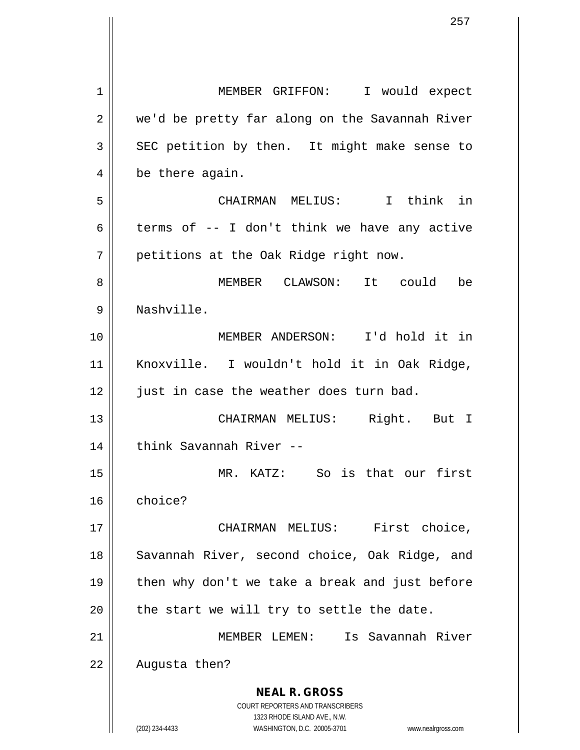**NEAL R. GROSS** COURT REPORTERS AND TRANSCRIBERS 1323 RHODE ISLAND AVE., N.W. (202) 234-4433 WASHINGTON, D.C. 20005-3701 www.nealrgross.com 1 | MEMBER GRIFFON: I would expect 2 | we'd be pretty far along on the Savannah River  $3 \parallel$  SEC petition by then. It might make sense to  $4 \parallel$  be there again. 5 CHAIRMAN MELIUS: I think in 6 terms of  $-$  I don't think we have any active  $7 \parallel$  petitions at the Oak Ridge right now. 8 MEMBER CLAWSON: It could be 9 Nashville. 10 MEMBER ANDERSON: I'd hold it in 11 Knoxville. I wouldn't hold it in Oak Ridge, 12 || just in case the weather does turn bad. 13 CHAIRMAN MELIUS: Right. But I 14 || think Savannah River --15 MR. KATZ: So is that our first 16 choice? 17 || CHAIRMAN MELIUS: First choice, 18 || Savannah River, second choice, Oak Ridge, and 19 || then why don't we take a break and just before  $20$  || the start we will try to settle the date. 21 MEMBER LEMEN: Is Savannah River 22 | Augusta then?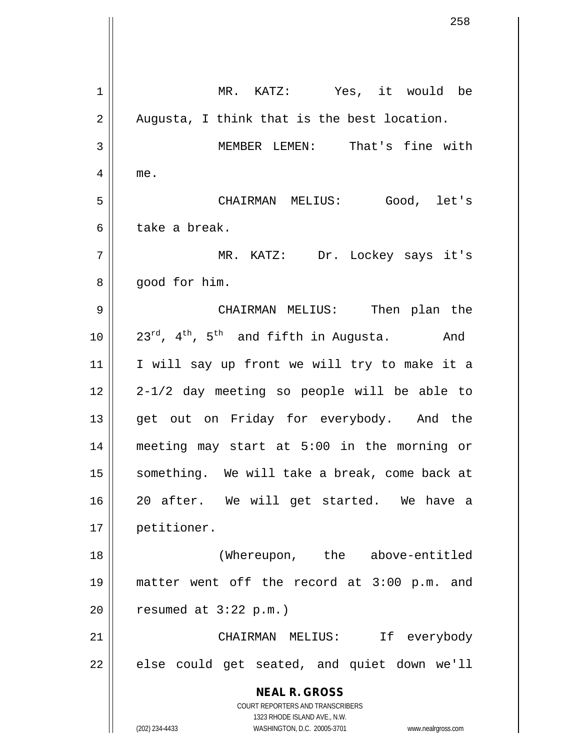**NEAL R. GROSS** COURT REPORTERS AND TRANSCRIBERS 1323 RHODE ISLAND AVE., N.W. (202) 234-4433 WASHINGTON, D.C. 20005-3701 www.nealrgross.com 1 MR. KATZ: Yes, it would be  $2 \parallel$  Augusta, I think that is the best location. 3 || MEMBER LEMEN: That's fine with 4 me. 5 CHAIRMAN MELIUS: Good, let's 6 l take a break. 7 MR. KATZ: Dr. Lockey says it's  $8 \parallel$  good for him. 9 CHAIRMAN MELIUS: Then plan the  $10$  |  $23^{rd}$ , 4<sup>th</sup>, 5<sup>th</sup> and fifth in Augusta. And 11 || I will say up front we will try to make it a  $12 \parallel 2 - 1/2$  day meeting so people will be able to 13 || get out on Friday for everybody. And the 14 meeting may start at 5:00 in the morning or 15 || something. We will take a break, come back at 16 20 after. We will get started. We have a 17 petitioner. 18 (Whereupon, the above-entitled 19 matter went off the record at 3:00 p.m. and  $20$  | resumed at  $3:22$  p.m.) 21 CHAIRMAN MELIUS: If everybody  $22$  || else could get seated, and quiet down we'll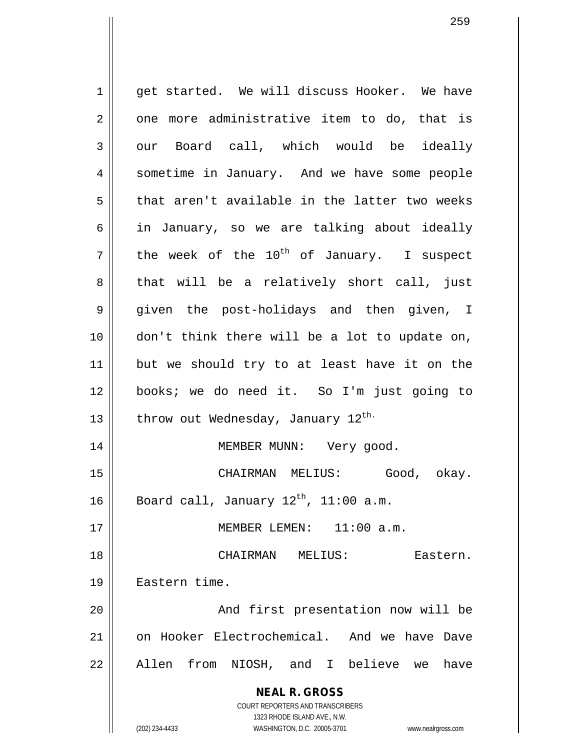**NEAL R. GROSS** COURT REPORTERS AND TRANSCRIBERS 1323 RHODE ISLAND AVE., N.W. 1 || qet started. We will discuss Hooker. We have  $2 \parallel$  one more administrative item to do, that is  $3 \parallel$  our Board call, which would be ideally 4 Sometime in January. And we have some people  $5 \parallel$  that aren't available in the latter two weeks 6  $\parallel$  in January, so we are talking about ideally  $7 \parallel$  the week of the 10<sup>th</sup> of January. I suspect  $8 \parallel$  that will be a relatively short call, just 9 given the post-holidays and then given, I 10 || don't think there will be a lot to update on, 11 but we should try to at least have it on the 12 books; we do need it. So I'm just going to 13  $\parallel$  throw out Wednesday, January 12<sup>th.</sup> 14 || MEMBER MUNN: Very good. 15 CHAIRMAN MELIUS: Good, okay. 16 | Board call, January 12<sup>th</sup>, 11:00 a.m. 17 MEMBER LEMEN: 11:00 a.m. 18 CHAIRMAN MELIUS: Eastern. 19 Eastern time. 20 || And first presentation now will be 21 on Hooker Electrochemical. And we have Dave 22 || Allen from NIOSH, and I believe we have

(202) 234-4433 WASHINGTON, D.C. 20005-3701 www.nealrgross.com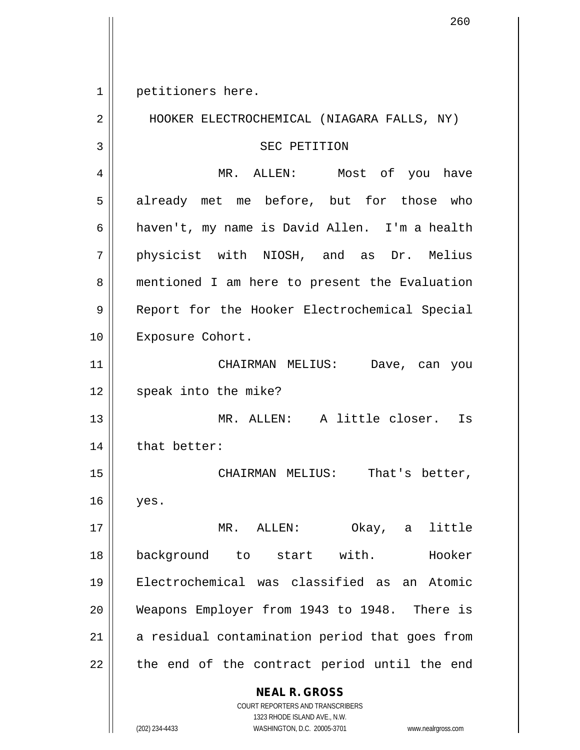1 || petitioners here.

**NEAL R. GROSS** COURT REPORTERS AND TRANSCRIBERS 2 | HOOKER ELECTROCHEMICAL (NIAGARA FALLS, NY) 3 || SEC PETITION 4 MR. ALLEN: Most of you have 5 already met me before, but for those who 6 | haven't, my name is David Allen. I'm a health 7 physicist with NIOSH, and as Dr. Melius 8 || mentioned I am here to present the Evaluation 9 || Report for the Hooker Electrochemical Special 10 || Exposure Cohort. 11 CHAIRMAN MELIUS: Dave, can you 12 || speak into the mike? 13 MR. ALLEN: A little closer. Is 14 | that better: 15 || CHAIRMAN MELIUS: That's better,  $16$  | yes. 17 MR. ALLEN: Okay, a little 18 || background to start with. Hooker 19 Electrochemical was classified as an Atomic 20 Weapons Employer from 1943 to 1948. There is  $21$  a residual contamination period that goes from  $22$  || the end of the contract period until the end

1323 RHODE ISLAND AVE., N.W. (202) 234-4433 WASHINGTON, D.C. 20005-3701 www.nealrgross.com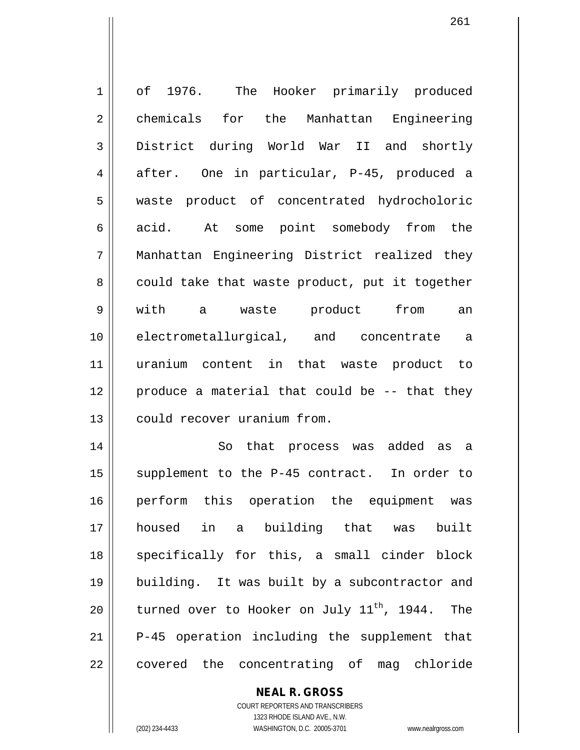1 || of 1976. The Hooker primarily produced 2 chemicals for the Manhattan Engineering 3 District during World War II and shortly 4 after. One in particular, P-45, produced a 5 waste product of concentrated hydrocholoric 6 acid. At some point somebody from the 7 Manhattan Engineering District realized they  $8 \parallel$  could take that waste product, put it together 9 with a waste product from an 10 electrometallurgical, and concentrate a 11 uranium content in that waste product to 12 || produce a material that could be -- that they 13 || could recover uranium from. 14 || So that process was added as a 15 || supplement to the P-45 contract. In order to 16 || perform this operation the equipment was 17 housed in a building that was built

18 || specifically for this, a small cinder block 19 building. It was built by a subcontractor and 20  $\parallel$  turned over to Hooker on July 11<sup>th</sup>, 1944. The 21 P-45 operation including the supplement that 22 || covered the concentrating of mag chloride

> COURT REPORTERS AND TRANSCRIBERS 1323 RHODE ISLAND AVE., N.W. (202) 234-4433 WASHINGTON, D.C. 20005-3701 www.nealrgross.com

**NEAL R. GROSS**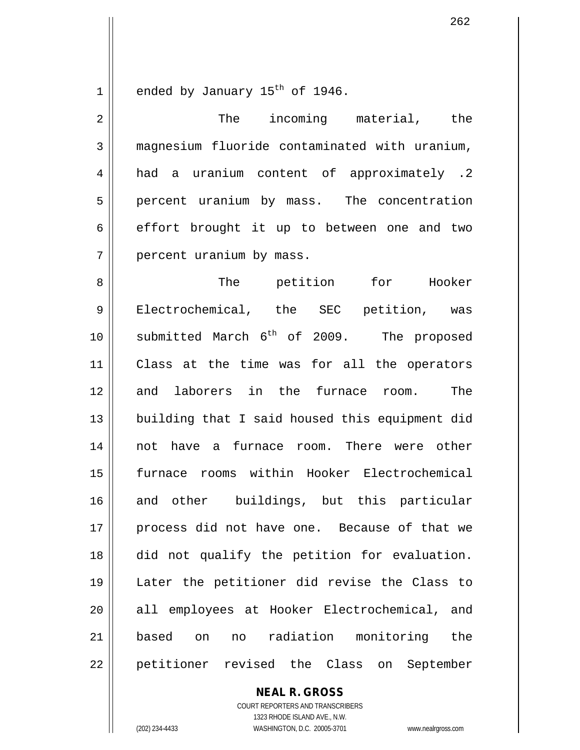$1$  ended by January  $15^{th}$  of 1946.

2 || The incoming material, the 3 magnesium fluoride contaminated with uranium, 4 | had a uranium content of approximately .2 5 | percent uranium by mass. The concentration  $6 \parallel$  effort brought it up to between one and two 7 | percent uranium by mass. 8 The petition for Hooker 9 || Electrochemical, the SEC petition, was 10  $\parallel$  submitted March 6<sup>th</sup> of 2009. The proposed 11 Class at the time was for all the operators 12 and laborers in the furnace room. The 13 || building that I said housed this equipment did 14 not have a furnace room. There were other 15 furnace rooms within Hooker Electrochemical 16 and other buildings, but this particular 17 process did not have one. Because of that we 18 did not qualify the petition for evaluation. 19 Later the petitioner did revise the Class to 20 || all employees at Hooker Electrochemical, and 21 based on no radiation monitoring the 22 || petitioner revised the Class on September

> **NEAL R. GROSS** COURT REPORTERS AND TRANSCRIBERS

1323 RHODE ISLAND AVE., N.W. (202) 234-4433 WASHINGTON, D.C. 20005-3701 www.nealrgross.com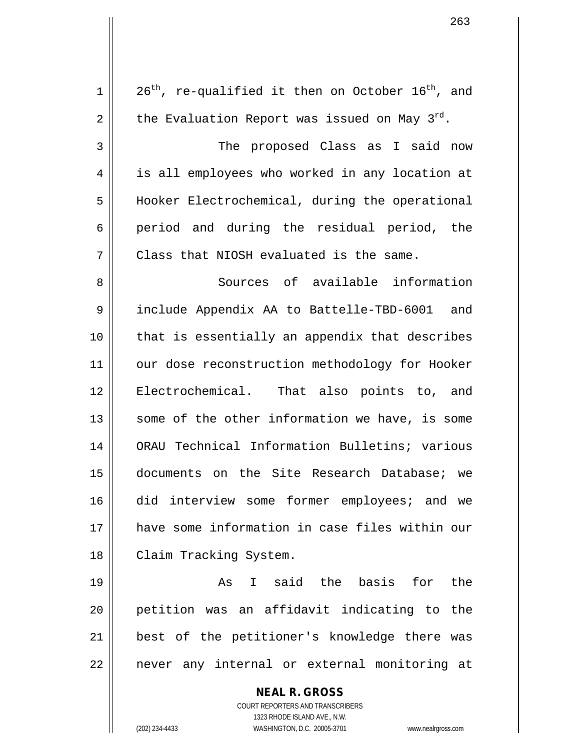| $\mathbf 1$ | $26th$ , re-qualified it then on October $16th$ , and    |
|-------------|----------------------------------------------------------|
| $\mathbf 2$ | the Evaluation Report was issued on May $3^{rd}$ .       |
| 3           | The proposed Class as I said now                         |
| 4           | is all employees who worked in any location at           |
| 5           | Hooker Electrochemical, during the operational           |
| 6           | period and during the residual period, the               |
| 7           | Class that NIOSH evaluated is the same.                  |
| 8           | Sources of available information                         |
| 9           | include Appendix AA to Battelle-TBD-6001 and             |
| 10          | that is essentially an appendix that describes           |
| 11          | our dose reconstruction methodology for Hooker           |
| 12          | Electrochemical. That also points to, and                |
| 13          | some of the other information we have, is some           |
| 14          | ORAU Technical Information Bulletins; various            |
| 15          | documents on the Site Research Database; we              |
| 16          | did interview some former employees; and we              |
| 17          | have some information in case files within our           |
| 18          | Claim Tracking System.                                   |
| 19          | I said the basis for the<br>As                           |
| 20          | petition was an affidavit indicating to the              |
| 21          | best of the petitioner's knowledge there was             |
| 22          | never any internal or external monitoring at             |
|             | <b>NEAL R. GROSS</b><br>COURT REPORTERS AND TRANSCRIBERS |

1323 RHODE ISLAND AVE., N.W.

 $\prod$ 

(202) 234-4433 WASHINGTON, D.C. 20005-3701 www.nealrgross.com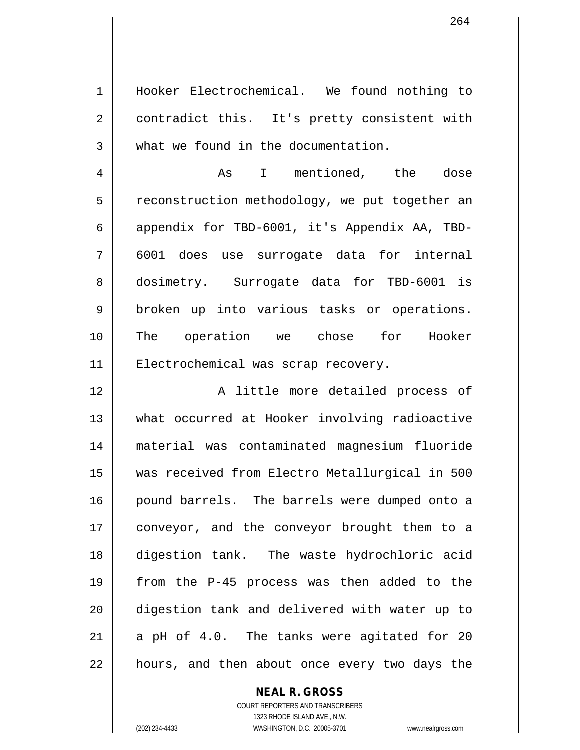1 Hooker Electrochemical. We found nothing to 2 | contradict this. It's pretty consistent with 3 || what we found in the documentation.

4 As I mentioned, the dose 5 || reconstruction methodology, we put together an 6 appendix for TBD-6001, it's Appendix AA, TBD-7 6001 does use surrogate data for internal 8 || dosimetry. Surrogate data for TBD-6001 is 9 || broken up into various tasks or operations. 10 The operation we chose for Hooker 11 || Electrochemical was scrap recovery.

12 || The Solution A little more detailed process of 13 || what occurred at Hooker involving radioactive material was contaminated magnesium fluoride was received from Electro Metallurgical in 500 16 || pound barrels. The barrels were dumped onto a conveyor, and the conveyor brought them to a digestion tank. The waste hydrochloric acid from the P-45 process was then added to the digestion tank and delivered with water up to || a pH of 4.0. The tanks were agitated for 20 22 || hours, and then about once every two days the

### **NEAL R. GROSS**

COURT REPORTERS AND TRANSCRIBERS 1323 RHODE ISLAND AVE., N.W. (202) 234-4433 WASHINGTON, D.C. 20005-3701 www.nealrgross.com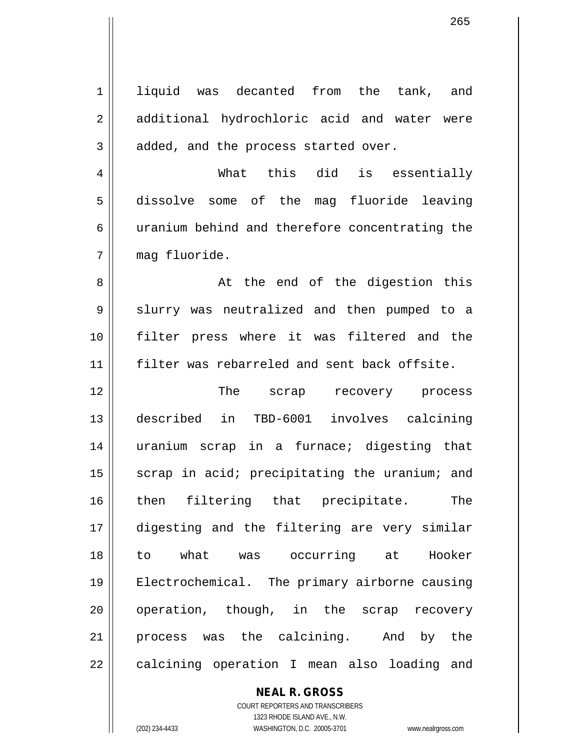| liquid was decanted from<br>the tank, and      |
|------------------------------------------------|
| additional hydrochloric acid and water were    |
| added, and the process started over.           |
| What this did is essentially                   |
| dissolve some of the mag fluoride leaving      |
| uranium behind and therefore concentrating the |
| mag fluoride.                                  |
| At the end of the digestion this               |
| slurry was neutralized and then pumped to a    |
| filter press where it was filtered and the     |
| filter was rebarreled and sent back offsite.   |
| The scrap recovery process                     |
|                                                |
| described in TBD-6001 involves calcining       |
| uranium scrap in a furnace; digesting that     |
| scrap in acid; precipitating the uranium; and  |
| then filtering that precipitate.<br>The        |
| digesting and the filtering are very similar   |
| to what was occurring at Hooker                |
| Electrochemical. The primary airborne causing  |
| operation, though, in the scrap recovery       |
| process was the calcining. And by the          |
|                                                |

**NEAL R. GROSS** COURT REPORTERS AND TRANSCRIBERS

1323 RHODE ISLAND AVE., N.W.

(202) 234-4433 WASHINGTON, D.C. 20005-3701 www.nealrgross.com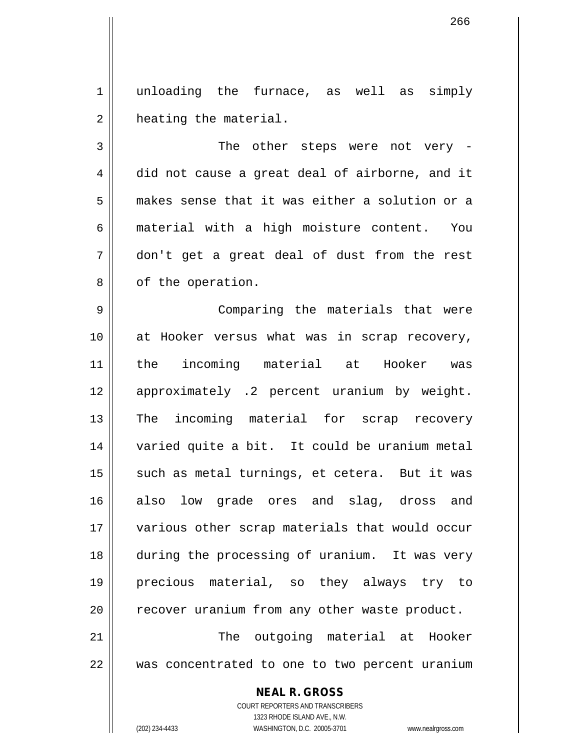1 || unloading the furnace, as well as simply 2 | heating the material.

3 || The other steps were not very -4 did not cause a great deal of airborne, and it 5 makes sense that it was either a solution or a 6 material with a high moisture content. You 7 don't get a great deal of dust from the rest 8 | of the operation.

 Comparing the materials that were at Hooker versus what was in scrap recovery, the incoming material at Hooker was 12 || approximately .2 percent uranium by weight. 13 The incoming material for scrap recovery varied quite a bit. It could be uranium metal 15 || such as metal turnings, et cetera. But it was also low grade ores and slag, dross and various other scrap materials that would occur during the processing of uranium. It was very precious material, so they always try to 20 || recover uranium from any other waste product. The outgoing material at Hooker

22 was concentrated to one to two percent uranium

## **NEAL R. GROSS**

COURT REPORTERS AND TRANSCRIBERS 1323 RHODE ISLAND AVE., N.W. (202) 234-4433 WASHINGTON, D.C. 20005-3701 www.nealrgross.com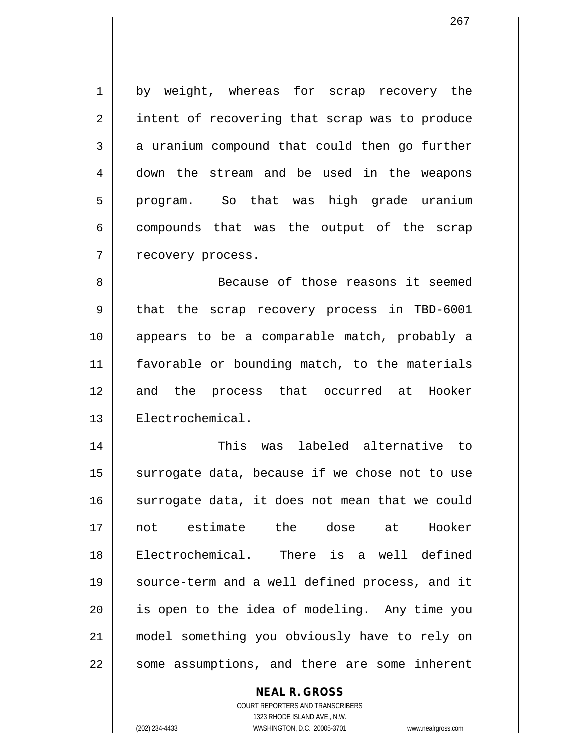1 || by weight, whereas for scrap recovery the 2 || intent of recovering that scrap was to produce  $3 \parallel$  a uranium compound that could then go further 4 down the stream and be used in the weapons 5 || program. So that was high grade uranium  $6 \parallel$  compounds that was the output of the scrap 7 | recovery process.

8 Because of those reasons it seemed 9 || that the scrap recovery process in TBD-6001 10 appears to be a comparable match, probably a 11 favorable or bounding match, to the materials 12 and the process that occurred at Hooker 13 | Electrochemical.

 This was labeled alternative to surrogate data, because if we chose not to use 16 surrogate data, it does not mean that we could not estimate the dose at Hooker Electrochemical. There is a well defined source-term and a well defined process, and it || is open to the idea of modeling. Any time you model something you obviously have to rely on  $\parallel$  some assumptions, and there are some inherent

### **NEAL R. GROSS**

COURT REPORTERS AND TRANSCRIBERS 1323 RHODE ISLAND AVE., N.W. (202) 234-4433 WASHINGTON, D.C. 20005-3701 www.nealrgross.com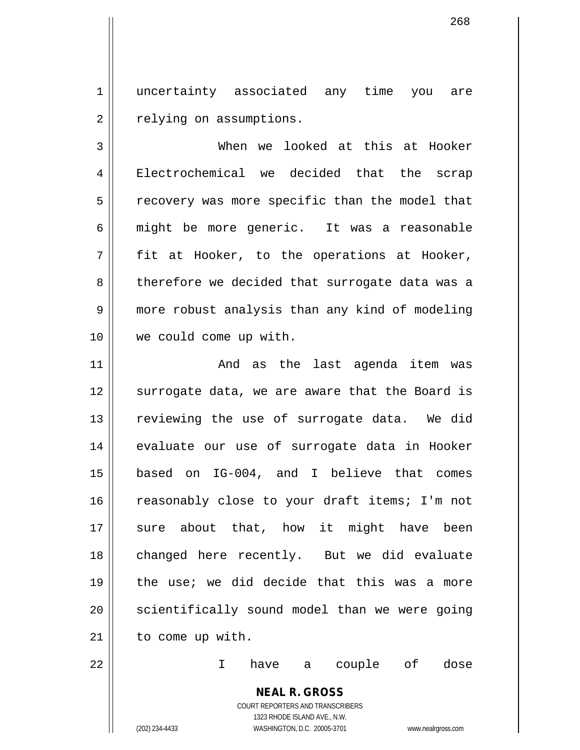1 || uncertainty associated any time you are 2 | relying on assumptions.

3 When we looked at this at Hooker 4 Electrochemical we decided that the scrap  $5 \parallel$  recovery was more specific than the model that 6 might be more generic. It was a reasonable  $7 \parallel$  fit at Hooker, to the operations at Hooker, 8 | therefore we decided that surrogate data was a 9 | more robust analysis than any kind of modeling 10 we could come up with.

11 And as the last agenda item was 12 || surrogate data, we are aware that the Board is 13 || reviewing the use of surrogate data. We did 14 || evaluate our use of surrogate data in Hooker 15 based on IG-004, and I believe that comes 16 || reasonably close to your draft items; I'm not 17 || sure about that, how it might have been 18 || changed here recently. But we did evaluate 19 the use; we did decide that this was a more  $20$  | scientifically sound model than we were going 21 || to come up with.

22 I have a couple of dose

# **NEAL R. GROSS**

COURT REPORTERS AND TRANSCRIBERS 1323 RHODE ISLAND AVE., N.W. (202) 234-4433 WASHINGTON, D.C. 20005-3701 www.nealrgross.com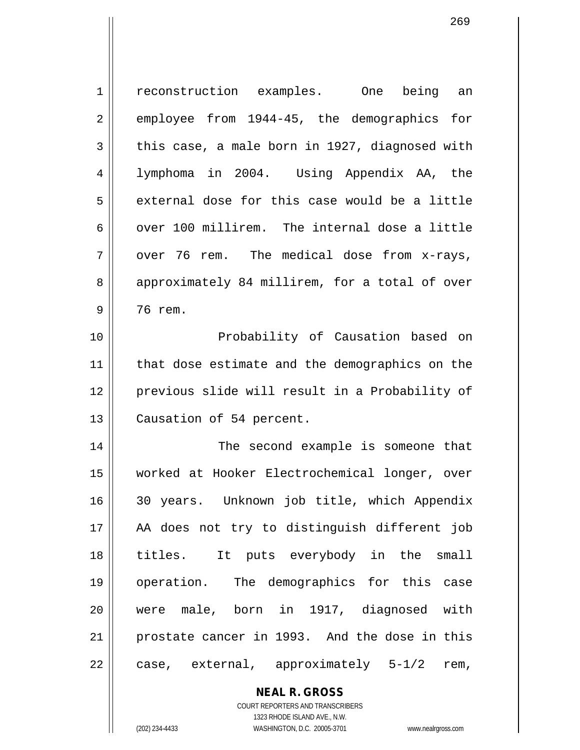| 1  | reconstruction examples. One<br>being an       |
|----|------------------------------------------------|
| 2  | employee from 1944-45, the demographics for    |
| 3  | this case, a male born in 1927, diagnosed with |
| 4  | lymphoma in 2004. Using Appendix AA, the       |
| 5  | external dose for this case would be a little  |
| 6  | over 100 millirem. The internal dose a little  |
| 7  | over 76 rem. The medical dose from x-rays,     |
| 8  | approximately 84 millirem, for a total of over |
| 9  | 76 rem.                                        |
| 10 | Probability of Causation based on              |
| 11 | that dose estimate and the demographics on the |
| 12 | previous slide will result in a Probability of |
| 13 | Causation of 54 percent.                       |
| 14 | The second example is someone that             |
| 15 | worked at Hooker Electrochemical longer, over  |
| 16 | 30 years. Unknown job title, which Appendix    |
| 17 | AA does not try to distinguish different job   |
| 18 | titles. It puts everybody in the small         |
| 19 | operation. The demographics for this case      |
| 20 | were male, born in 1917, diagnosed with        |
| 21 | prostate cancer in 1993. And the dose in this  |
| 22 | case, external, approximately 5-1/2<br>rem,    |
|    | <b>NEAL R. GROSS</b>                           |

COURT REPORTERS AND TRANSCRIBERS 1323 RHODE ISLAND AVE., N.W.

 $\mathsf{II}$ 

(202) 234-4433 WASHINGTON, D.C. 20005-3701 www.nealrgross.com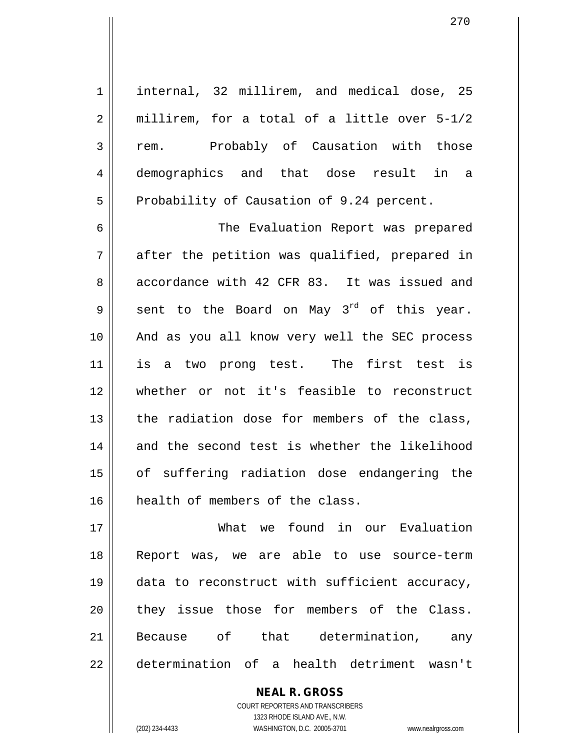1 || internal, 32 millirem, and medical dose, 25  $2 \parallel$  millirem, for a total of a little over 5-1/2 3 rem. Probably of Causation with those 4 demographics and that dose result in a 5 | Probability of Causation of 9.24 percent.

6 The Evaluation Report was prepared  $7 \parallel$  after the petition was qualified, prepared in 8 accordance with 42 CFR 83. It was issued and 9 sent to the Board on May 3<sup>rd</sup> of this year. 10 And as you all know very well the SEC process 11 is a two prong test. The first test is 12 whether or not it's feasible to reconstruct  $13$  the radiation dose for members of the class, 14 and the second test is whether the likelihood 15 || of suffering radiation dose endangering the 16 || health of members of the class.

 What we found in our Evaluation Report was, we are able to use source-term data to reconstruct with sufficient accuracy, 20 they issue those for members of the Class. Because of that determination, any determination of a health detriment wasn't

> **NEAL R. GROSS** COURT REPORTERS AND TRANSCRIBERS 1323 RHODE ISLAND AVE., N.W. (202) 234-4433 WASHINGTON, D.C. 20005-3701 www.nealrgross.com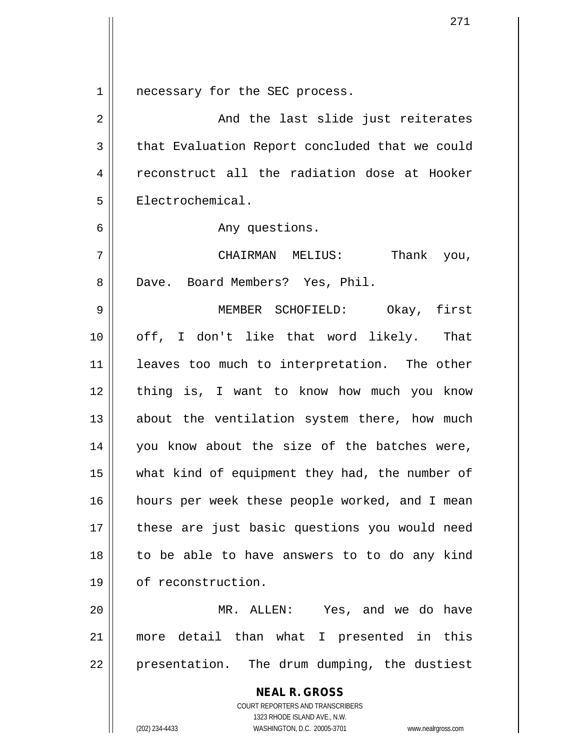1 | necessary for the SEC process.

| $\sqrt{2}$     | And the last slide just reiterates                       |
|----------------|----------------------------------------------------------|
| $\mathfrak{Z}$ | that Evaluation Report concluded that we could           |
| $\overline{4}$ | reconstruct all the radiation dose at Hooker             |
| 5              | Electrochemical.                                         |
| 6              | Any questions.                                           |
| 7              | CHAIRMAN MELIUS:<br>Thank you,                           |
| 8              | Dave. Board Members? Yes, Phil.                          |
| 9              | MEMBER SCHOFIELD: Okay, first                            |
| 10             | off, I don't like that word likely. That                 |
| 11             | leaves too much to interpretation. The other             |
| 12             | thing is, I want to know how much you know               |
| 13             | about the ventilation system there, how much             |
| 14             | you know about the size of the batches were,             |
| 15             | what kind of equipment they had, the number of           |
| 16             | hours per week these people worked, and I mean           |
| 17             | these are just basic questions you would need            |
| 18             | to be able to have answers to to do any kind             |
| 19             | of reconstruction.                                       |
| 20             | MR. ALLEN: Yes, and we do have                           |
| 21             | more detail than what I presented in this                |
| 22             | presentation. The drum dumping, the dustiest             |
|                | <b>NEAL R. GROSS</b><br>COURT REPORTERS AND TRANSCRIBERS |

1323 RHODE ISLAND AVE., N.W.

 $\mathop{\text{||}}$ 

(202) 234-4433 WASHINGTON, D.C. 20005-3701 www.nealrgross.com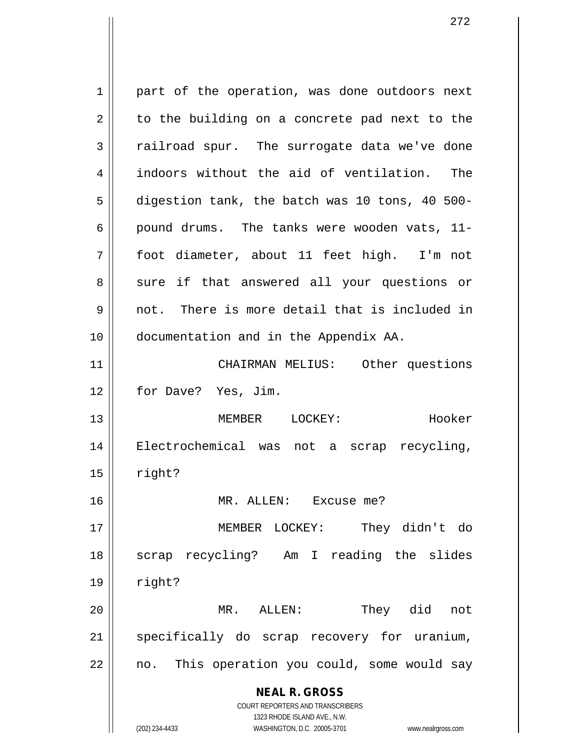**NEAL R. GROSS** COURT REPORTERS AND TRANSCRIBERS 1323 RHODE ISLAND AVE., N.W. 1 || part of the operation, was done outdoors next  $2 \parallel$  to the building on a concrete pad next to the 3 The surrogate data we've done 4 indoors without the aid of ventilation. The  $5 \parallel$  digestion tank, the batch was 10 tons, 40 500-6 | pound drums. The tanks were wooden vats,  $11-$ 7 foot diameter, about 11 feet high. I'm not 8 || sure if that answered all your questions or 9 not. There is more detail that is included in 10 documentation and in the Appendix AA. 11 CHAIRMAN MELIUS: Other questions 12 || for Dave? Yes, Jim. 13 MEMBER LOCKEY: Hooker 14 Electrochemical was not a scrap recycling,  $15$  | right? 16 MR. ALLEN: Excuse me? 17 MEMBER LOCKEY: They didn't do 18 || scrap recycling? Am I reading the slides  $19 \parallel$  right? 20 MR. ALLEN: They did not 21 || specifically do scrap recovery for uranium, 22 || no. This operation you could, some would say

(202) 234-4433 WASHINGTON, D.C. 20005-3701 www.nealrgross.com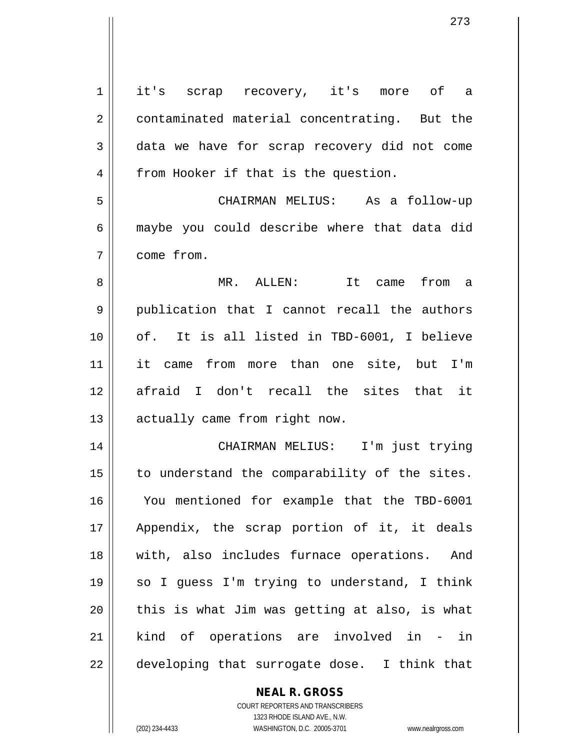| $\mathbf 1$ | it's scrap recovery, it's more of a           |
|-------------|-----------------------------------------------|
| 2           | contaminated material concentrating. But the  |
| 3           | data we have for scrap recovery did not come  |
| 4           | from Hooker if that is the question.          |
| 5           | CHAIRMAN MELIUS: As a follow-up               |
| 6           | maybe you could describe where that data did  |
| 7           | come from.                                    |
| 8           | MR. ALLEN: It came from a                     |
| 9           | publication that I cannot recall the authors  |
| 10          | of. It is all listed in TBD-6001, I believe   |
| 11          | it came from more than one site, but I'm      |
| 12          | afraid I don't recall the sites that it       |
| 13          | actually came from right now.                 |
| 14          | CHAIRMAN MELIUS: I'm just trying              |
| 15          | to understand the comparability of the sites. |
| 16          | You mentioned for example that the TBD-6001   |
| 17          | Appendix, the scrap portion of it, it deals   |
| 18          | with, also includes furnace operations. And   |
| 19          | so I guess I'm trying to understand, I think  |
| 20          | this is what Jim was getting at also, is what |
| 21          | kind of operations are involved in - in       |
| 22          | developing that surrogate dose. I think that  |
|             |                                               |

**NEAL R. GROSS** COURT REPORTERS AND TRANSCRIBERS

1323 RHODE ISLAND AVE., N.W.

(202) 234-4433 WASHINGTON, D.C. 20005-3701 www.nealrgross.com

 $\mathbf{I}$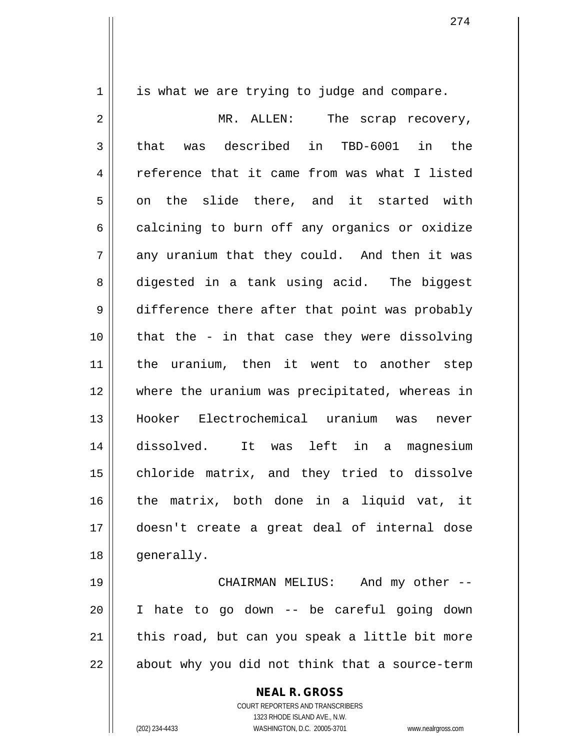$1 \parallel$  is what we are trying to judge and compare.

2 || MR. ALLEN: The scrap recovery,  $3 \parallel$  that was described in TBD-6001 in the 4 Feference that it came from was what I listed  $5 \parallel$  on the slide there, and it started with  $6 \parallel$  calcining to burn off any organics or oxidize  $7 \parallel$  any uranium that they could. And then it was 8 digested in a tank using acid. The biggest 9 difference there after that point was probably 10 that the - in that case they were dissolving 11 || the uranium, then it went to another step 12 where the uranium was precipitated, whereas in 13 Hooker Electrochemical uranium was never 14 dissolved. It was left in a magnesium 15 || chloride matrix, and they tried to dissolve 16 the matrix, both done in a liquid vat, it 17 doesn't create a great deal of internal dose 18 | generally.

 CHAIRMAN MELIUS: And my other -- I hate to go down -- be careful going down | this road, but can you speak a little bit more  $\vert$  about why you did not think that a source-term

**NEAL R. GROSS**

COURT REPORTERS AND TRANSCRIBERS 1323 RHODE ISLAND AVE., N.W. (202) 234-4433 WASHINGTON, D.C. 20005-3701 www.nealrgross.com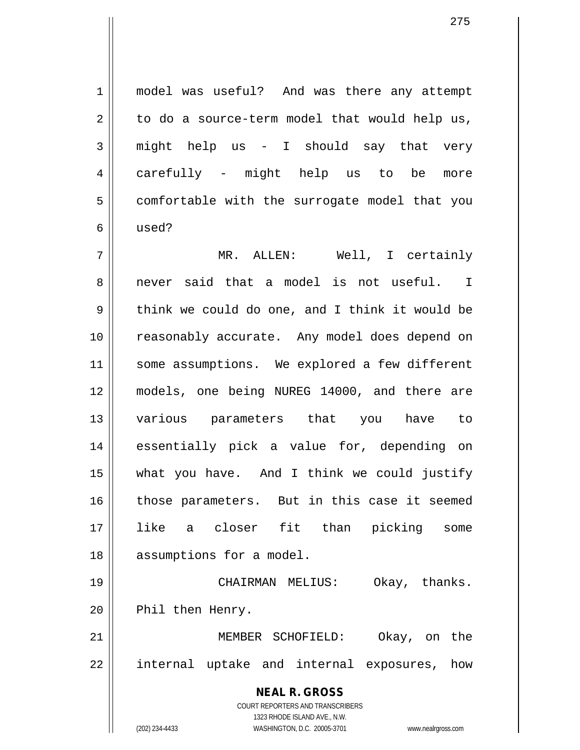1 || model was useful? And was there any attempt  $2 \parallel$  to do a source-term model that would help us,  $3 \parallel$  might help us - I should say that very 4 carefully - might help us to be more  $5$  | comfortable with the surrogate model that you 6 used?

7 MR. ALLEN: Well, I certainly 8 never said that a model is not useful. I  $9 \parallel$  think we could do one, and I think it would be 10 || reasonably accurate. Any model does depend on 11 || some assumptions. We explored a few different 12 models, one being NUREG 14000, and there are 13 various parameters that you have to 14 essentially pick a value for, depending on 15 what you have. And I think we could justify 16 || those parameters. But in this case it seemed 17 like a closer fit than picking some 18 || assumptions for a model. 19 CHAIRMAN MELIUS: Okay, thanks. 20 || Phil then Henry.

21 MEMBER SCHOFIELD: Okay, on the 22 || internal uptake and internal exposures, how

> **NEAL R. GROSS** COURT REPORTERS AND TRANSCRIBERS 1323 RHODE ISLAND AVE., N.W. (202) 234-4433 WASHINGTON, D.C. 20005-3701 www.nealrgross.com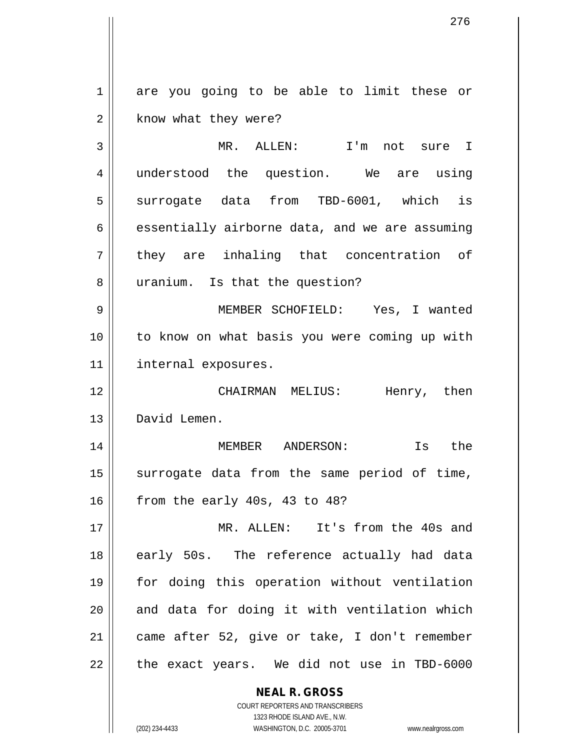1 are you going to be able to limit these or 2 | know what they were?

3 MR. ALLEN: I'm not sure I 4 || understood the question. We are using  $5 \parallel$  surrogate data from TBD-6001, which is  $6 \parallel$  essentially airborne data, and we are assuming 7 || they are inhaling that concentration of 8 || uranium. Is that the question?

9 MEMBER SCHOFIELD: Yes, I wanted 10 to know on what basis you were coming up with 11 | internal exposures.

12 CHAIRMAN MELIUS: Henry, then 13 David Lemen.

14 MEMBER ANDERSON: Is the  $15$  surrogate data from the same period of time,  $16$  | from the early 40s, 43 to 48?

 MR. ALLEN: It's from the 40s and 18 || early 50s. The reference actually had data for doing this operation without ventilation and data for doing it with ventilation which | came after 52, give or take, I don't remember 22 || the exact years. We did not use in TBD-6000

> **NEAL R. GROSS** COURT REPORTERS AND TRANSCRIBERS

> > 1323 RHODE ISLAND AVE., N.W.

(202) 234-4433 WASHINGTON, D.C. 20005-3701 www.nealrgross.com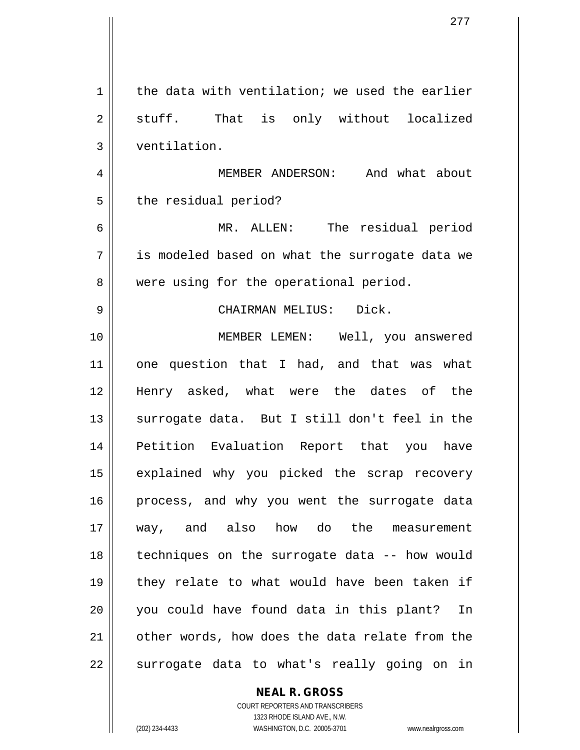| 1  | the data with ventilation; we used the earlier |
|----|------------------------------------------------|
| 2  | stuff. That is only without localized          |
| 3  | ventilation.                                   |
| 4  | MEMBER ANDERSON: And what about                |
| 5  | the residual period?                           |
| 6  | MR. ALLEN: The residual period                 |
| 7  | is modeled based on what the surrogate data we |
| 8  | were using for the operational period.         |
| 9  | CHAIRMAN MELIUS: Dick.                         |
| 10 | MEMBER LEMEN: Well, you answered               |
| 11 | one question that I had, and that was what     |
| 12 | Henry asked, what were the dates of the        |
| 13 | surrogate data. But I still don't feel in the  |
| 14 | Petition Evaluation Report that you<br>have    |
| 15 | explained why you picked the scrap recovery    |
| 16 | process, and why you went the surrogate data   |
| 17 | way, and also how do the measurement           |
| 18 | techniques on the surrogate data -- how would  |
| 19 | they relate to what would have been taken if   |
| 20 | you could have found data in this plant?<br>In |
| 21 | other words, how does the data relate from the |
| 22 | surrogate data to what's really going on in    |

**NEAL R. GROSS**

COURT REPORTERS AND TRANSCRIBERS 1323 RHODE ISLAND AVE., N.W. (202) 234-4433 WASHINGTON, D.C. 20005-3701 www.nealrgross.com

 $\mathbf{I}$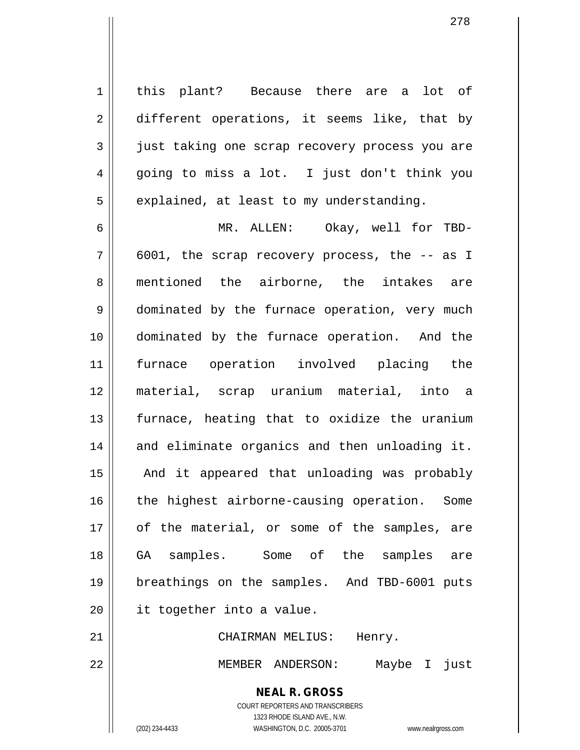1 || this plant? Because there are a lot of 2 different operations, it seems like, that by 3 || just taking one scrap recovery process you are  $4 \parallel$  going to miss a lot. I just don't think you  $5 \parallel$  explained, at least to my understanding.

6 MR. ALLEN: Okay, well for TBD- $7 \parallel 6001$ , the scrap recovery process, the  $-$  as I 8 mentioned the airborne, the intakes are 9 | dominated by the furnace operation, very much 10 dominated by the furnace operation. And the 11 furnace operation involved placing the 12 material, scrap uranium material, into a 13 || furnace, heating that to oxidize the uranium 14 || and eliminate organics and then unloading it. 15 || And it appeared that unloading was probably 16 || the highest airborne-causing operation. Some 17 || of the material, or some of the samples, are 18 GA samples. Some of the samples are 19 breathings on the samples. And TBD-6001 puts 20 | it together into a value.

21 || CHAIRMAN MELIUS: Henry.

22 MEMBER ANDERSON: Maybe I just

**NEAL R. GROSS**

COURT REPORTERS AND TRANSCRIBERS 1323 RHODE ISLAND AVE., N.W. (202) 234-4433 WASHINGTON, D.C. 20005-3701 www.nealrgross.com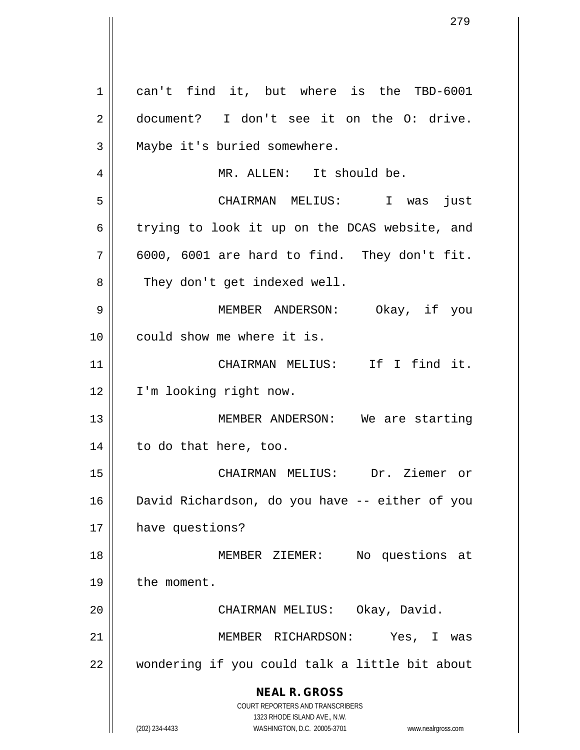**NEAL R. GROSS** COURT REPORTERS AND TRANSCRIBERS 1323 RHODE ISLAND AVE., N.W. (202) 234-4433 WASHINGTON, D.C. 20005-3701 www.nealrgross.com 1 can't find it, but where is the TBD-6001 2 document? I don't see it on the O: drive.  $3 \parallel$  Maybe it's buried somewhere. 4 || MR. ALLEN: It should be. 5 CHAIRMAN MELIUS: I was just  $6 \parallel$  trying to look it up on the DCAS website, and  $7 \parallel 6000$ , 6001 are hard to find. They don't fit. 8 || They don't get indexed well. 9 MEMBER ANDERSON: Okay, if you 10 || could show me where it is. 11 || CHAIRMAN MELIUS: If I find it. 12 | I'm looking right now. 13 || MEMBER ANDERSON: We are starting 14 || to do that here, too. 15 CHAIRMAN MELIUS: Dr. Ziemer or 16 David Richardson, do you have -- either of you 17 | have questions? 18 MEMBER ZIEMER: No questions at 19 | the moment. 20 || CHAIRMAN MELIUS: Okay, David. 21 || MEMBER RICHARDSON: Yes, I was 22 || wondering if you could talk a little bit about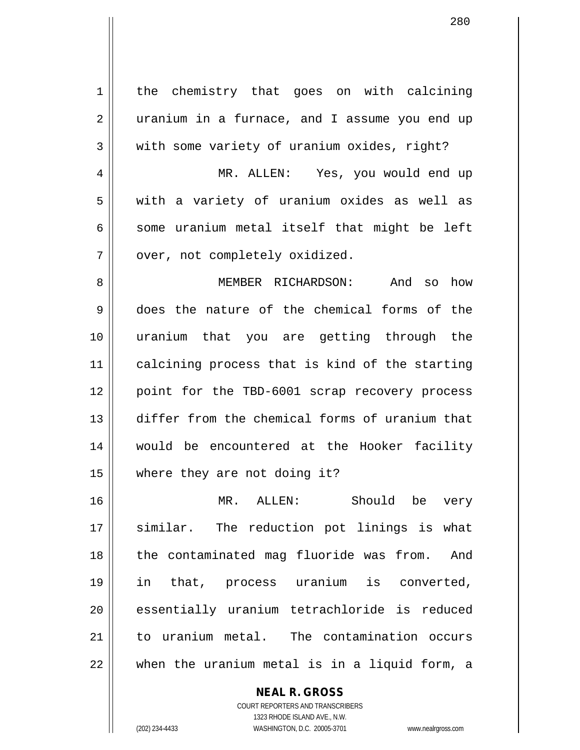| 1              | the chemistry that goes on with calcining      |
|----------------|------------------------------------------------|
| $\overline{2}$ | uranium in a furnace, and I assume you end up  |
| 3              | with some variety of uranium oxides, right?    |
| 4              | MR. ALLEN: Yes, you would end up               |
| 5              | with a variety of uranium oxides as well as    |
| 6              | some uranium metal itself that might be left   |
| 7              | over, not completely oxidized.                 |
| 8              | MEMBER RICHARDSON: And so how                  |
| 9              | does the nature of the chemical forms of the   |
| 10             | uranium that you are getting through the       |
| 11             | calcining process that is kind of the starting |
| 12             | point for the TBD-6001 scrap recovery process  |
| 13             | differ from the chemical forms of uranium that |
| 14             | would be encountered at the Hooker facility    |
| 15             | where they are not doing it?                   |
| 16             | Should be very<br>MR. ALLEN:                   |
| 17             | similar. The reduction pot linings is what     |
| 18             | the contaminated mag fluoride was from. And    |
| 19             | in that, process uranium is converted,         |
| 20             | essentially uranium tetrachloride is reduced   |
| 21             | to uranium metal. The contamination occurs     |
| 22             | when the uranium metal is in a liquid form, a  |
|                | <b>NEAL R. GROSS</b>                           |

COURT REPORTERS AND TRANSCRIBERS 1323 RHODE ISLAND AVE., N.W.

 $\mathsf{II}$ 

(202) 234-4433 WASHINGTON, D.C. 20005-3701 www.nealrgross.com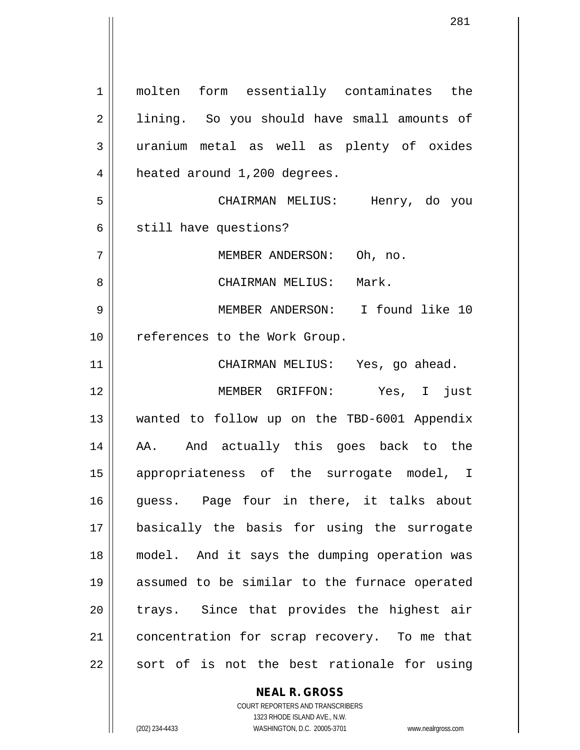1 || molten form essentially contaminates the 2 || lining. So you should have small amounts of uranium metal as well as plenty of oxides 4 | heated around 1,200 degrees. CHAIRMAN MELIUS: Henry, do you  $6 \parallel$  still have questions? 7 || MEMBER ANDERSON: Oh, no. CHAIRMAN MELIUS: Mark. MEMBER ANDERSON: I found like 10 10 || references to the Work Group. CHAIRMAN MELIUS: Yes, go ahead. MEMBER GRIFFON: Yes, I just wanted to follow up on the TBD-6001 Appendix 14 || AA. And actually this goes back to the appropriateness of the surrogate model, I guess. Page four in there, it talks about basically the basis for using the surrogate model. And it says the dumping operation was assumed to be similar to the furnace operated || trays. Since that provides the highest air 21 || concentration for scrap recovery. To me that sort of is not the best rationale for using

#### **NEAL R. GROSS**

COURT REPORTERS AND TRANSCRIBERS 1323 RHODE ISLAND AVE., N.W. (202) 234-4433 WASHINGTON, D.C. 20005-3701 www.nealrgross.com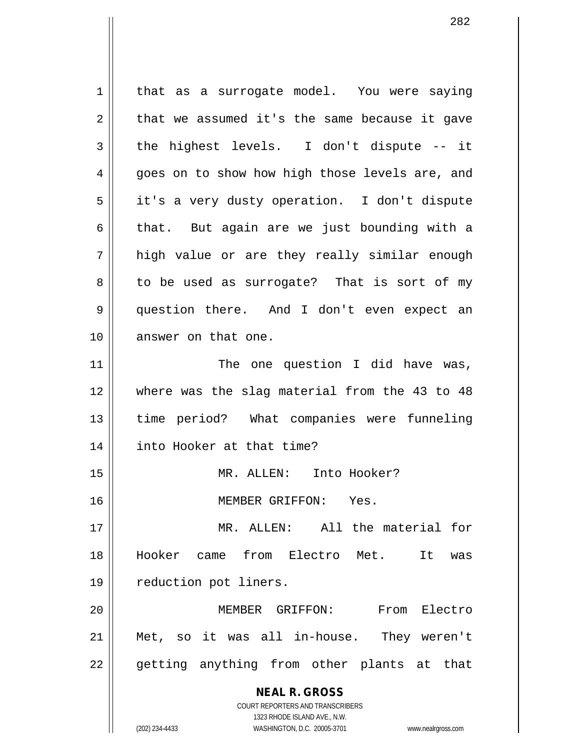**NEAL R. GROSS** COURT REPORTERS AND TRANSCRIBERS 1323 RHODE ISLAND AVE., N.W. 1 | that as a surrogate model. You were saying  $2 \parallel$  that we assumed it's the same because it gave  $3 \parallel$  the highest levels. I don't dispute -- it 4 goes on to show how high those levels are, and 5 | it's a very dusty operation. I don't dispute 6 | that. But again are we just bounding with a 7 high value or are they really similar enough 8 || to be used as surrogate? That is sort of my 9 question there. And I don't even expect an 10 || answer on that one. 11 || The one question I did have was, 12 where was the slag material from the 43 to 48 13 time period? What companies were funneling 14 into Hooker at that time? 15 MR. ALLEN: Into Hooker? 16 MEMBER GRIFFON: Yes. 17 MR. ALLEN: All the material for 18 Hooker came from Electro Met. It was 19 || reduction pot liners. 20 MEMBER GRIFFON: From Electro 21 Met, so it was all in-house. They weren't 22 || getting anything from other plants at that

(202) 234-4433 WASHINGTON, D.C. 20005-3701 www.nealrgross.com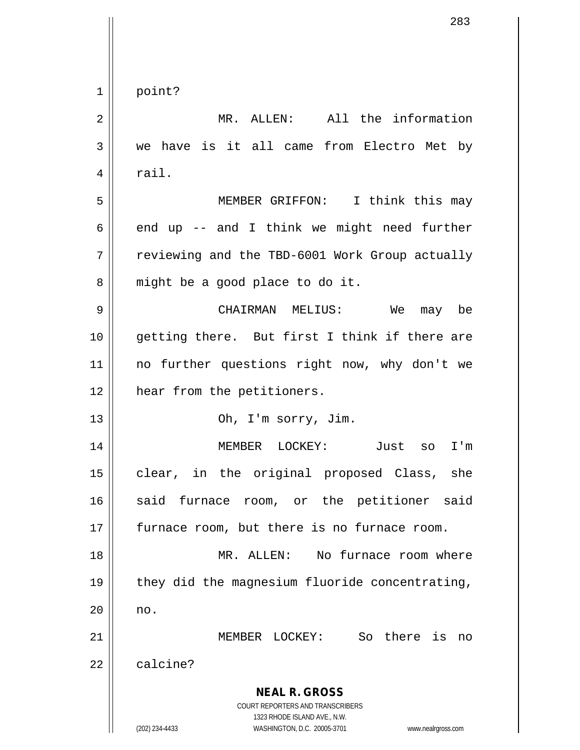| $\mathbf 1$    | point?                                                                                              |
|----------------|-----------------------------------------------------------------------------------------------------|
| $\overline{2}$ | MR. ALLEN: All the information                                                                      |
| 3              | we have is it all came from Electro Met by                                                          |
| 4              | rail.                                                                                               |
| 5              | MEMBER GRIFFON: I think this may                                                                    |
| 6              | end up -- and I think we might need further                                                         |
| 7              | reviewing and the TBD-6001 Work Group actually                                                      |
| 8              | might be a good place to do it.                                                                     |
| 9              | CHAIRMAN MELIUS: We<br>may be                                                                       |
| 10             | getting there. But first I think if there are                                                       |
| 11             | no further questions right now, why don't we                                                        |
| 12             | hear from the petitioners.                                                                          |
| 13             | Oh, I'm sorry, Jim.                                                                                 |
| 14             | LOCKEY:<br>MEMBER<br>Just<br>I'm<br>SO                                                              |
| 15             | clear, in the original proposed Class, she                                                          |
| 16             | said furnace room, or the petitioner<br>said                                                        |
| 17             | furnace room, but there is no furnace room.                                                         |
| 18             | No furnace room where<br>MR. ALLEN:                                                                 |
| 19             | they did the magnesium fluoride concentrating,                                                      |
| 20             | no.                                                                                                 |
| 21             | MEMBER LOCKEY: So there is<br>no                                                                    |
| 22             | calcine?                                                                                            |
|                |                                                                                                     |
|                | <b>NEAL R. GROSS</b><br>COURT REPORTERS AND TRANSCRIBERS                                            |
|                | 1323 RHODE ISLAND AVE., N.W.<br>(202) 234-4433<br>WASHINGTON, D.C. 20005-3701<br>www.nealrgross.com |

 $\overline{\phantom{a}}$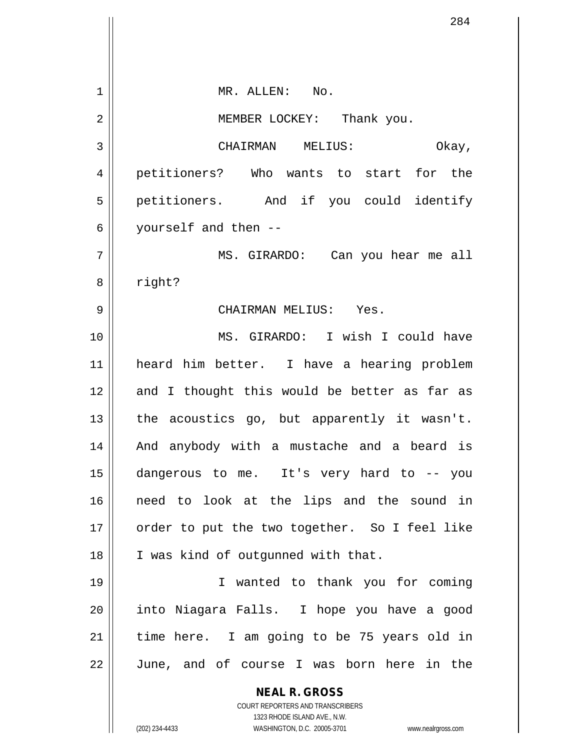**NEAL R. GROSS** COURT REPORTERS AND TRANSCRIBERS 1323 RHODE ISLAND AVE., N.W. (202) 234-4433 WASHINGTON, D.C. 20005-3701 www.nealrgross.com 1 MR. ALLEN: No. 2 || MEMBER LOCKEY: Thank you. 3 CHAIRMAN MELIUS: Okay, 4 petitioners? Who wants to start for the 5 petitioners. And if you could identify 6 yourself and then -- 7 MS. GIRARDO: Can you hear me all 8 | right? 9 CHAIRMAN MELIUS: Yes. 10 MS. GIRARDO: I wish I could have 11 heard him better. I have a hearing problem 12 and I thought this would be better as far as 13  $\parallel$  the acoustics go, but apparently it wasn't. 14 || And anybody with a mustache and a beard is 15 dangerous to me. It's very hard to -- you 16 need to look at the lips and the sound in 17 || order to put the two together. So I feel like 18 || I was kind of outqunned with that. 19 I wanted to thank you for coming 20 || into Niagara Falls. I hope you have a good  $21$  | time here. I am going to be 75 years old in 22 || June, and of course I was born here in the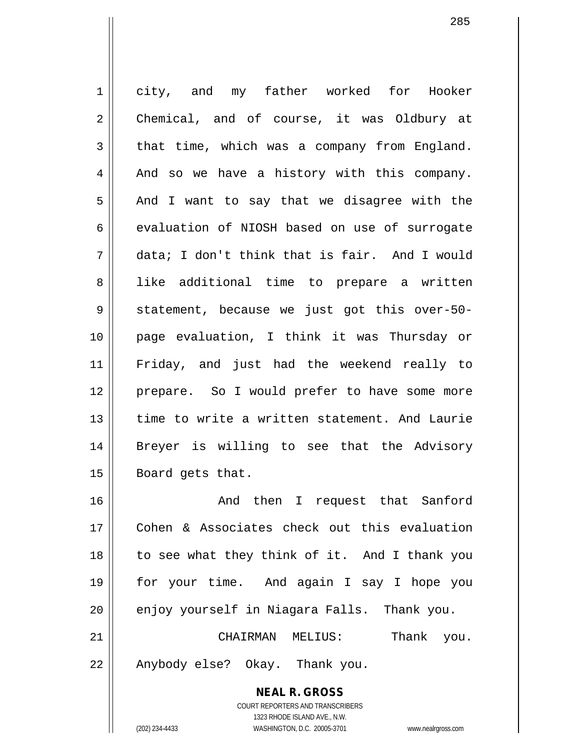1 city, and my father worked for Hooker 2 || Chemical, and of course, it was Oldbury at  $3 \parallel$  that time, which was a company from England.  $4 \parallel$  And so we have a history with this company.  $5 \parallel$  And I want to say that we disagree with the  $6 \parallel$  evaluation of NIOSH based on use of surrogate 7 data; I don't think that is fair. And I would 8 || like additional time to prepare a written 9 Statement, because we just got this over-50-10 page evaluation, I think it was Thursday or 11 Friday, and just had the weekend really to 12 prepare. So I would prefer to have some more 13 time to write a written statement. And Laurie 14 Breyer is willing to see that the Advisory 15 | Board gets that. 16 And then I request that Sanford 17 Cohen & Associates check out this evaluation 18 to see what they think of it. And I thank you

19 for your time. And again I say I hope you 20 enjoy yourself in Niagara Falls. Thank you. 21 CHAIRMAN MELIUS: Thank you.

22 || Anybody else? Okay. Thank you.

**NEAL R. GROSS** COURT REPORTERS AND TRANSCRIBERS 1323 RHODE ISLAND AVE., N.W. (202) 234-4433 WASHINGTON, D.C. 20005-3701 www.nealrgross.com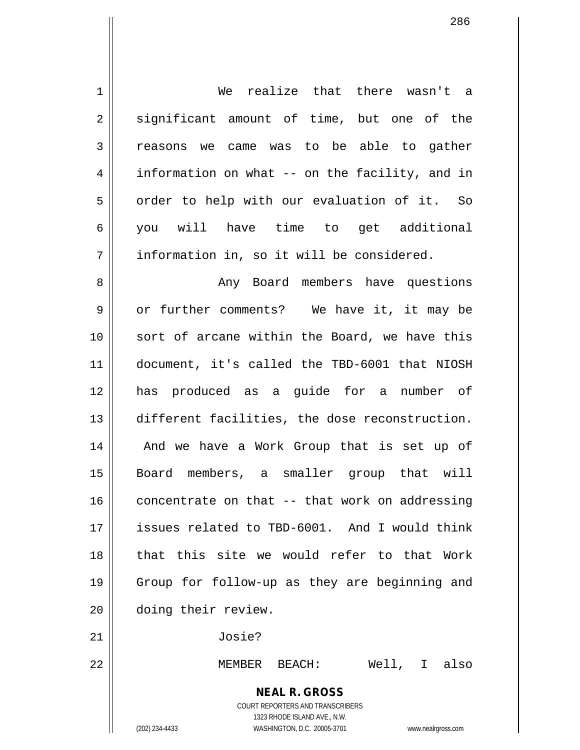**NEAL R. GROSS** COURT REPORTERS AND TRANSCRIBERS 1 We realize that there wasn't a 2 || significant amount of time, but one of the 3 | reasons we came was to be able to gather 4 | information on what -- on the facility, and in  $5$  | order to help with our evaluation of it. So 6 you will have time to get additional 7 | information in, so it will be considered. 8 Any Board members have questions 9 or further comments? We have it, it may be 10 || sort of arcane within the Board, we have this 11 document, it's called the TBD-6001 that NIOSH 12 has produced as a guide for a number of 13 different facilities, the dose reconstruction. 14 || And we have a Work Group that is set up of 15 Board members, a smaller group that will  $16$  concentrate on that  $-$  that work on addressing 17 || issues related to TBD-6001. And I would think 18 that this site we would refer to that Work 19 Group for follow-up as they are beginning and 20 | doing their review. 21 Josie? 22 MEMBER BEACH: Well, I also

1323 RHODE ISLAND AVE., N.W.

286

(202) 234-4433 WASHINGTON, D.C. 20005-3701 www.nealrgross.com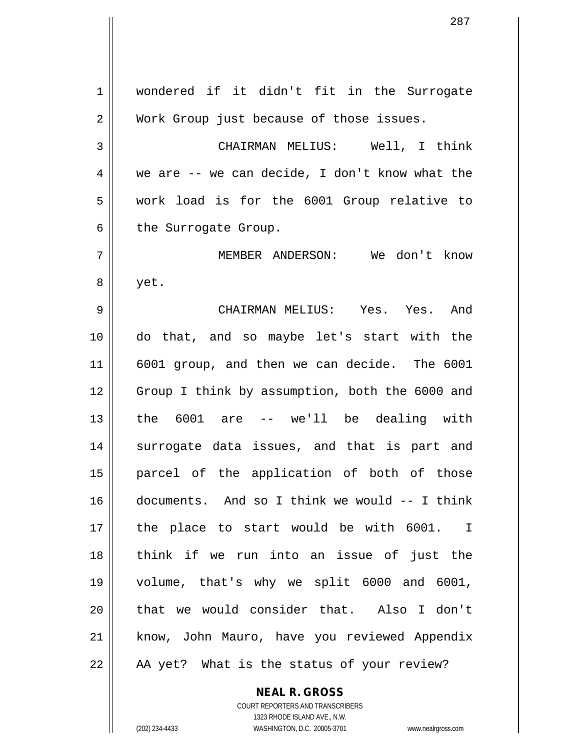wondered if it didn't fit in the Surrogate 2 | Work Group just because of those issues. CHAIRMAN MELIUS: Well, I think  $4 \parallel$  we are -- we can decide, I don't know what the work load is for the 6001 Group relative to  $6 \parallel$  the Surrogate Group. MEMBER ANDERSON: We don't know 8 | yet. CHAIRMAN MELIUS: Yes. Yes. And do that, and so maybe let's start with the 6001 group, and then we can decide. The 6001 12 Group I think by assumption, both the 6000 and the 6001 are -- we'll be dealing with 14 || surrogate data issues, and that is part and parcel of the application of both of those documents. And so I think we would -- I think the place to start would be with 6001. I think if we run into an issue of just the volume, that's why we split 6000 and 6001, 20 || that we would consider that. Also I don't 21 || know, John Mauro, have you reviewed Appendix | AA yet? What is the status of your review?

> **NEAL R. GROSS** COURT REPORTERS AND TRANSCRIBERS

> > 1323 RHODE ISLAND AVE., N.W.

(202) 234-4433 WASHINGTON, D.C. 20005-3701 www.nealrgross.com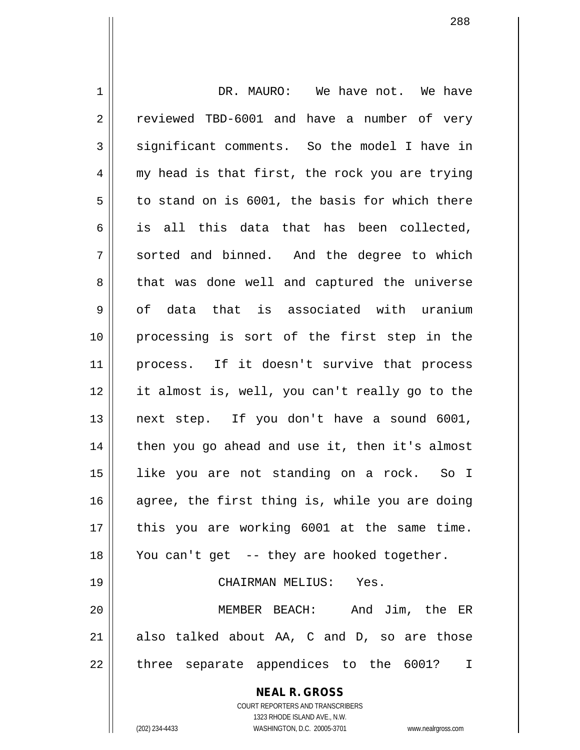**NEAL R. GROSS** COURT REPORTERS AND TRANSCRIBERS 1323 RHODE ISLAND AVE., N.W. 1 DR. MAURO: We have not. We have 2 || reviewed TBD-6001 and have a number of very 3 || significant comments. So the model I have in  $4 \parallel$  my head is that first, the rock you are trying  $5 \parallel$  to stand on is 6001, the basis for which there  $6 \parallel$  is all this data that has been collected,  $7 \parallel$  sorted and binned. And the degree to which 8 that was done well and captured the universe 9 || of data that is associated with uranium 10 processing is sort of the first step in the 11 || process. If it doesn't survive that process 12 it almost is, well, you can't really go to the 13 next step. If you don't have a sound 6001,  $14$  | then you go ahead and use it, then it's almost 15 like you are not standing on a rock. So I 16  $\parallel$  agree, the first thing is, while you are doing 17 || this you are working 6001 at the same time. 18 You can't get -- they are hooked together. 19 CHAIRMAN MELIUS: Yes. 20 MEMBER BEACH: And Jim, the ER  $21$  also talked about AA, C and D, so are those 22 || three separate appendices to the 6001? I

(202) 234-4433 WASHINGTON, D.C. 20005-3701 www.nealrgross.com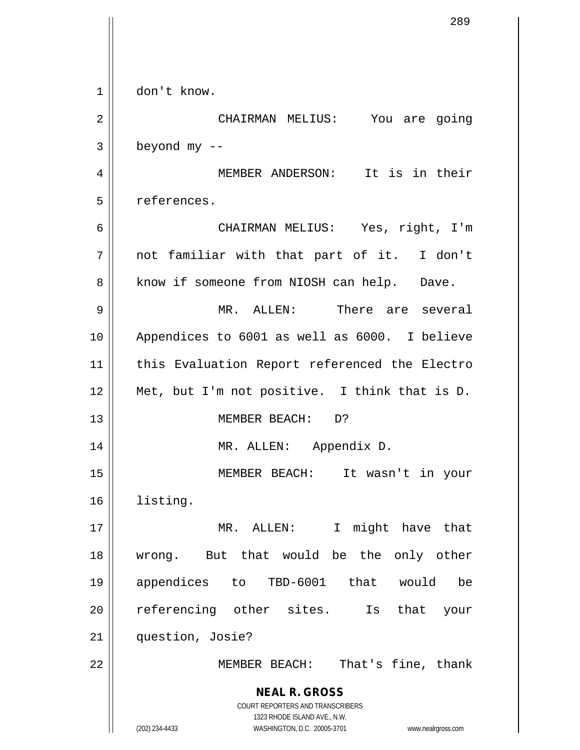|    | 289                                                                                                 |
|----|-----------------------------------------------------------------------------------------------------|
|    |                                                                                                     |
|    |                                                                                                     |
| 1  | don't know.                                                                                         |
| 2  | CHAIRMAN MELIUS: You are going                                                                      |
| 3  | beyond $my$ --                                                                                      |
| 4  | MEMBER ANDERSON: It is in their                                                                     |
| 5  | references.                                                                                         |
| 6  | CHAIRMAN MELIUS: Yes, right, I'm                                                                    |
| 7  | not familiar with that part of it. I don't                                                          |
| 8  | know if someone from NIOSH can help. Dave.                                                          |
| 9  | MR. ALLEN: There are several                                                                        |
| 10 | Appendices to 6001 as well as 6000. I believe                                                       |
| 11 | this Evaluation Report referenced the Electro                                                       |
| 12 | Met, but I'm not positive. I think that is D.                                                       |
| 13 | MEMBER BEACH: D?                                                                                    |
| 14 | MR. ALLEN: Appendix D.                                                                              |
| 15 | MEMBER BEACH: It wasn't in your                                                                     |
| 16 | listing.                                                                                            |
| 17 | MR. ALLEN: I might have that                                                                        |
| 18 | wrong. But that would be the only other                                                             |
| 19 | appendices to TBD-6001 that would<br>be                                                             |
| 20 | referencing other sites. Is<br>that<br>your                                                         |
| 21 | question, Josie?                                                                                    |
| 22 | That's fine, thank<br>MEMBER BEACH:                                                                 |
|    | <b>NEAL R. GROSS</b>                                                                                |
|    | COURT REPORTERS AND TRANSCRIBERS                                                                    |
|    | 1323 RHODE ISLAND AVE., N.W.<br>(202) 234-4433<br>WASHINGTON, D.C. 20005-3701<br>www.nealrgross.com |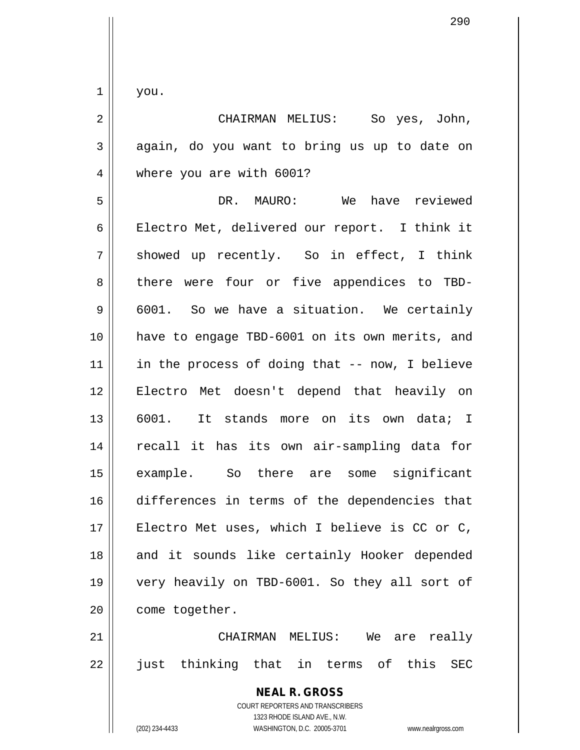$1 \parallel$  you.

| 2 | CHAIRMAN MELIUS: So yes, John,                             |
|---|------------------------------------------------------------|
|   | $3 \parallel$ again, do you want to bring us up to date on |
|   | $4 \parallel$ where you are with 6001?                     |
|   | $M_0$ hours mountained<br>ת ה<br>$\lambda$                 |

 DR. MAURO: We have reviewed Electro Met, delivered our report. I think it  $7 \parallel$  showed up recently. So in effect, I think 8 there were four or five appendices to TBD- $9 \parallel 6001$ . So we have a situation. We certainly have to engage TBD-6001 on its own merits, and in the process of doing that -- now, I believe Electro Met doesn't depend that heavily on 6001. It stands more on its own data; I recall it has its own air-sampling data for example. So there are some significant differences in terms of the dependencies that 17 || Electro Met uses, which I believe is CC or C, 18 || and it sounds like certainly Hooker depended very heavily on TBD-6001. So they all sort of 20 | come together.

21 CHAIRMAN MELIUS: We are really 22 || just thinking that in terms of this SEC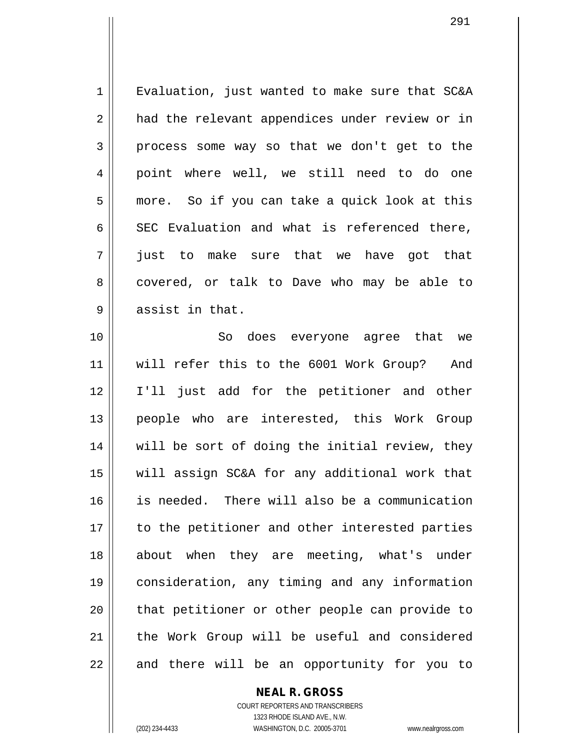1 | Evaluation, just wanted to make sure that SC&A 2 || had the relevant appendices under review or in  $3 \parallel$  process some way so that we don't get to the 4 || point where well, we still need to do one 5 || more. So if you can take a quick look at this 6 SEC Evaluation and what is referenced there, 7 just to make sure that we have got that 8 covered, or talk to Dave who may be able to  $9 \parallel$  assist in that. 10 || So does everyone agree that we

11 will refer this to the 6001 Work Group? And 12 I'll just add for the petitioner and other 13 || people who are interested, this Work Group 14 || will be sort of doing the initial review, they 15 will assign SC&A for any additional work that 16 is needed. There will also be a communication 17 || to the petitioner and other interested parties 18 about when they are meeting, what's under 19 consideration, any timing and any information 20 || that petitioner or other people can provide to 21 || the Work Group will be useful and considered  $22$  || and there will be an opportunity for you to

## **NEAL R. GROSS**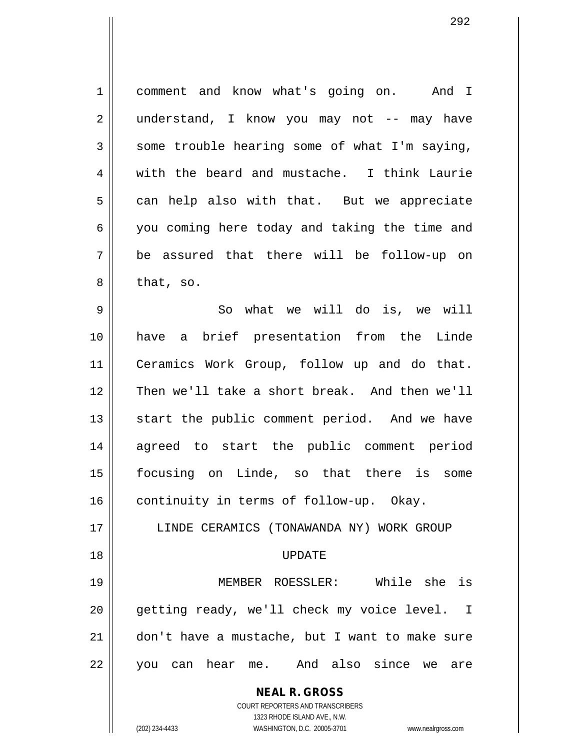1 comment and know what's going on. And I 2 || understand, I know you may not -- may have  $3 \parallel$  some trouble hearing some of what I'm saying, 4 with the beard and mustache. I think Laurie  $5 \parallel$  can help also with that. But we appreciate 6 you coming here today and taking the time and 7 be assured that there will be follow-up on  $8 \parallel$  that, so.

9 || So what we will do is, we will have a brief presentation from the Linde Ceramics Work Group, follow up and do that. Then we'll take a short break. And then we'll 13 || start the public comment period. And we have agreed to start the public comment period focusing on Linde, so that there is some 16 | continuity in terms of follow-up. Okay.

17 || LINDE CERAMICS (TONAWANDA NY) WORK GROUP

## 18 UPDATE

19 MEMBER ROESSLER: While she is 20 || getting ready, we'll check my voice level. I 21 don't have a mustache, but I want to make sure 22 || you can hear me. And also since we are

> **NEAL R. GROSS** COURT REPORTERS AND TRANSCRIBERS

> > 1323 RHODE ISLAND AVE., N.W.

(202) 234-4433 WASHINGTON, D.C. 20005-3701 www.nealrgross.com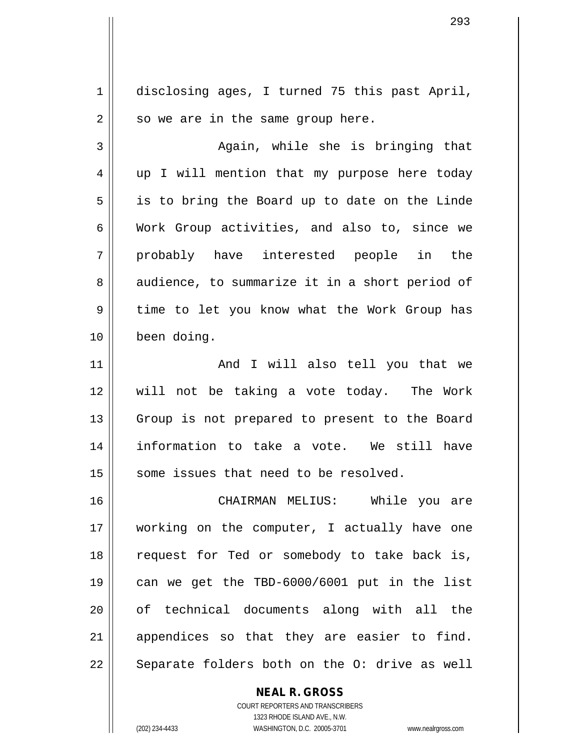1 disclosing ages, I turned 75 this past April,  $2 \parallel$  so we are in the same group here. 3 Again, while she is bringing that 4 || up I will mention that my purpose here today  $5 \parallel$  is to bring the Board up to date on the Linde 6 Work Group activities, and also to, since we 7 probably have interested people in the 8 audience, to summarize it in a short period of 9 || time to let you know what the Work Group has 10 been doing. 11 And I will also tell you that we 12 will not be taking a vote today. The Work 13 || Group is not prepared to present to the Board 14 information to take a vote. We still have 15 || some issues that need to be resolved. 16 CHAIRMAN MELIUS: While you are 17 working on the computer, I actually have one 18 || request for Ted or somebody to take back is, 19 can we get the TBD-6000/6001 put in the list 20 of technical documents along with all the 21 || appendices so that they are easier to find.  $22 \parallel$  Separate folders both on the O: drive as well

> COURT REPORTERS AND TRANSCRIBERS 1323 RHODE ISLAND AVE., N.W. (202) 234-4433 WASHINGTON, D.C. 20005-3701 www.nealrgross.com

**NEAL R. GROSS**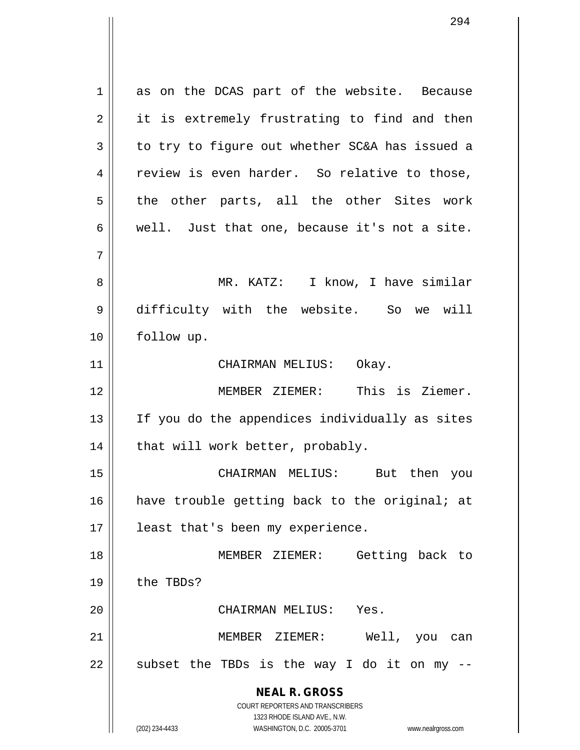**NEAL R. GROSS** COURT REPORTERS AND TRANSCRIBERS 1323 RHODE ISLAND AVE., N.W. 1 as on the DCAS part of the website. Because 2 || it is extremely frustrating to find and then  $3 \parallel$  to try to figure out whether SC&A has issued a 4 | review is even harder. So relative to those,  $5 \parallel$  the other parts, all the other Sites work  $6 \parallel$  well. Just that one, because it's not a site. 7 8 MR. KATZ: I know, I have similar 9 difficulty with the website. So we will 10 follow up. 11 || CHAIRMAN MELIUS: Okay. 12 || MEMBER ZIEMER: This is Ziemer. 13 || If you do the appendices individually as sites  $14$  | that will work better, probably. 15 CHAIRMAN MELIUS: But then you 16 || have trouble getting back to the original; at 17 || least that's been my experience. 18 MEMBER ZIEMER: Getting back to 19 | the TBDs? 20 CHAIRMAN MELIUS: Yes. 21 MEMBER ZIEMER: Well, you can  $22$  || subset the TBDs is the way I do it on my  $-$ 

(202) 234-4433 WASHINGTON, D.C. 20005-3701 www.nealrgross.com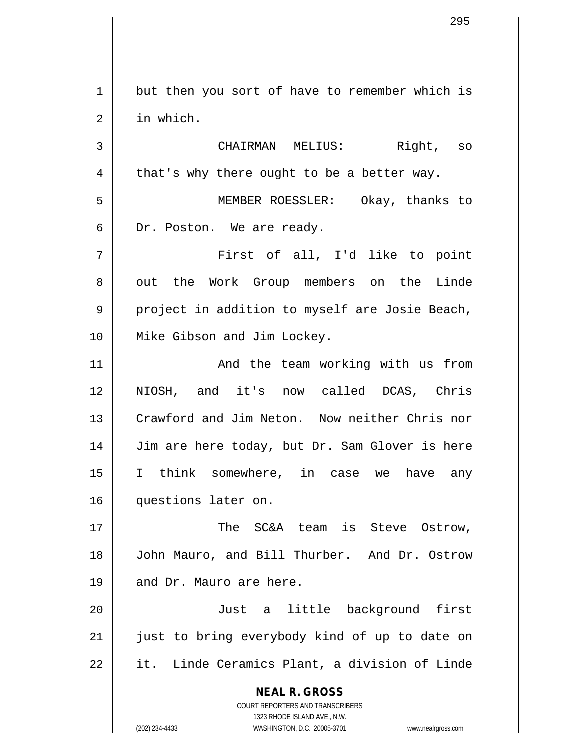$1 \parallel$  but then you sort of have to remember which is 2 in which.

3 CHAIRMAN MELIUS: Right, so  $4 \parallel$  that's why there ought to be a better way. 5 MEMBER ROESSLER: Okay, thanks to 6 | Dr. Poston. We are ready.

7 First of all, I'd like to point 8 || out the Work Group members on the Linde  $9 \parallel$  project in addition to myself are Josie Beach, 10 Mike Gibson and Jim Lockey.

11 || The team working with us from NIOSH, and it's now called DCAS, Chris Crawford and Jim Neton. Now neither Chris nor 14 | Jim are here today, but Dr. Sam Glover is here I think somewhere, in case we have any questions later on.

17 The SC&A team is Steve Ostrow, 18 John Mauro, and Bill Thurber. And Dr. Ostrow 19 || and Dr. Mauro are here.

20 Just a little background first 21 || just to bring everybody kind of up to date on  $22$  || it. Linde Ceramics Plant, a division of Linde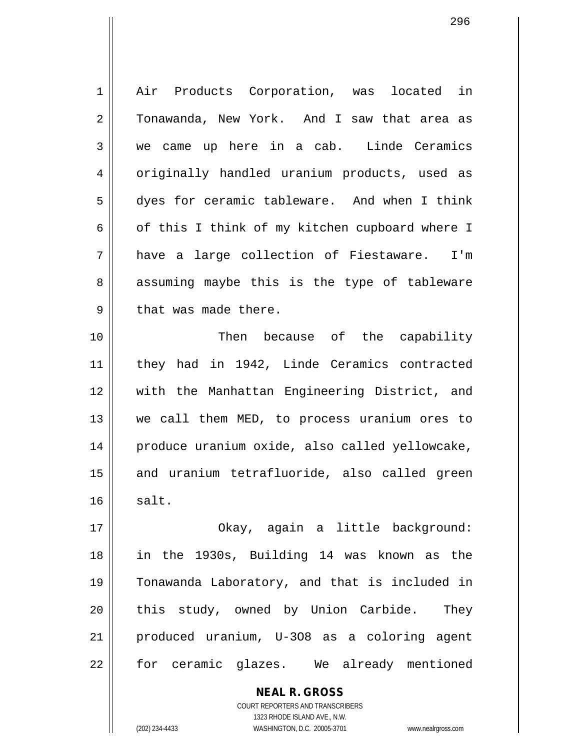| $\mathbf 1$ | Air Products Corporation, was located in       |
|-------------|------------------------------------------------|
| 2           | Tonawanda, New York. And I saw that area as    |
| 3           | we came up here in a cab. Linde Ceramics       |
| 4           | originally handled uranium products, used as   |
| 5           | dyes for ceramic tableware. And when I think   |
| 6           | of this I think of my kitchen cupboard where I |
| 7           | have a large collection of Fiestaware. I'm     |
| 8           | assuming maybe this is the type of tableware   |
| 9           | that was made there.                           |
| 10          | Then because of the capability                 |
| 11          | they had in 1942, Linde Ceramics contracted    |
| 12          | with the Manhattan Engineering District, and   |
| 13          | we call them MED, to process uranium ores to   |
| 14          | produce uranium oxide, also called yellowcake, |
| 15          | and uranium tetrafluoride, also called green   |
| 16          | salt.                                          |
| 17          | Okay, again a little background:               |
| 18          | in the 1930s, Building 14 was known as the     |
| 19          | Tonawanda Laboratory, and that is included in  |
| 20          | this study, owned by Union Carbide. They       |
| 21          | produced uranium, U-308 as a coloring agent    |
| 22          | for ceramic glazes. We already mentioned       |
|             | <b>NEAL R. GROSS</b>                           |

COURT REPORTERS AND TRANSCRIBERS 1323 RHODE ISLAND AVE., N.W.

 $\mathsf{II}$ 

(202) 234-4433 WASHINGTON, D.C. 20005-3701 www.nealrgross.com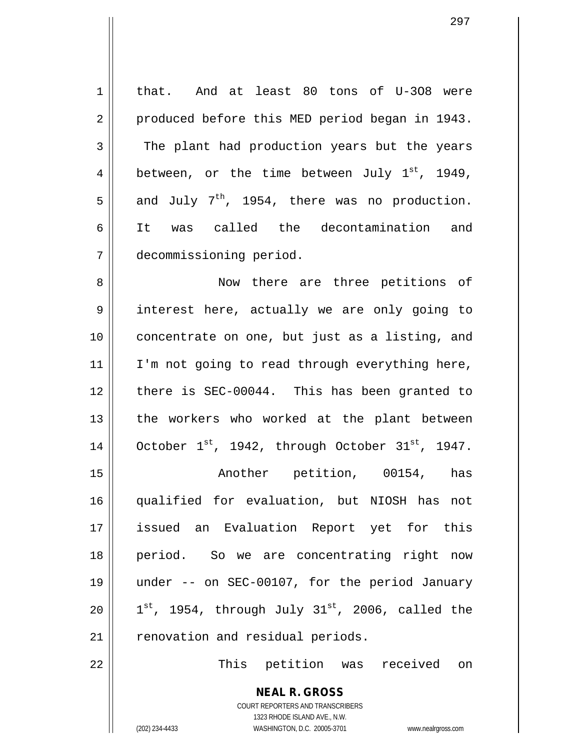1 | that. And at least 80 tons of U-308 were 2 | produced before this MED period began in 1943. 3 The plant had production years but the years 4 || between, or the time between July  $1^{st}$ , 1949,  $5 \parallel$  and July 7<sup>th</sup>, 1954, there was no production. 6 It was called the decontamination and 7 decommissioning period.

8 || Now there are three petitions of 9 interest here, actually we are only going to 10 || concentrate on one, but just as a listing, and  $11$  | I'm not going to read through everything here, 12 there is SEC-00044. This has been granted to 13 || the workers who worked at the plant between 14  $\vert$  October 1<sup>st</sup>, 1942, through October 31<sup>st</sup>, 1947.

15 || The Christopher petition, 00154, has qualified for evaluation, but NIOSH has not issued an Evaluation Report yet for this period. So we are concentrating right now under -- on SEC-00107, for the period January  $\parallel$  1<sup>st</sup>, 1954, through July 31<sup>st</sup>, 2006, called the  $\parallel$  renovation and residual periods.

22 This petition was received on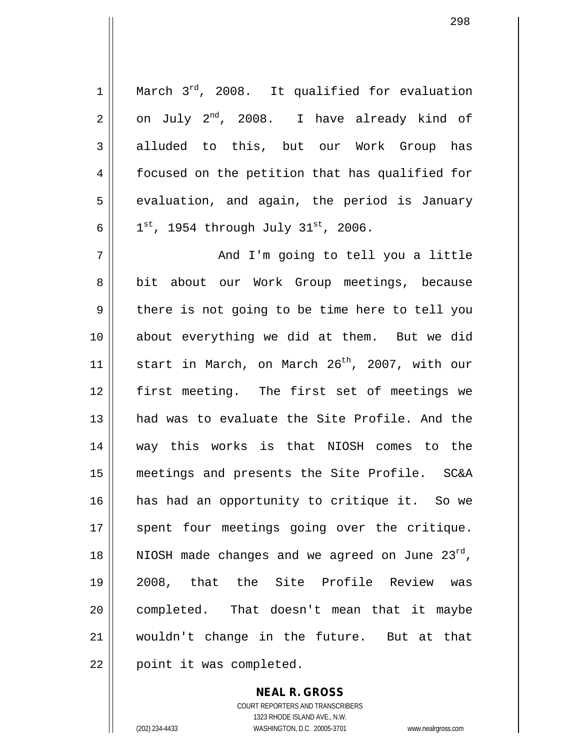$1$  | March  $3^{rd}$ , 2008. It qualified for evaluation  $2 \parallel$  on July  $2^{nd}$ , 2008. I have already kind of 3 alluded to this, but our Work Group has 4 | focused on the petition that has qualified for  $5 \parallel$  evaluation, and again, the period is January 6  $1$  <sup>st</sup>, 1954 through July 31<sup>st</sup>, 2006. 7 And I'm going to tell you a little 8 || bit about our Work Group meetings, because  $9 \parallel$  there is not going to be time here to tell you 10 about everything we did at them. But we did 11 || start in March, on March  $26^{th}$ , 2007, with our 12 first meeting. The first set of meetings we 13 had was to evaluate the Site Profile. And the 14 way this works is that NIOSH comes to the 15 meetings and presents the Site Profile. SC&A 16 has had an opportunity to critique it. So we 17 || spent four meetings going over the critique. 18 || NIOSH made changes and we agreed on June  $23^{rd}$ , 19 2008, that the Site Profile Review was 20 || completed. That doesn't mean that it maybe 21 wouldn't change in the future. But at that  $22$  | point it was completed.

> COURT REPORTERS AND TRANSCRIBERS 1323 RHODE ISLAND AVE., N.W. (202) 234-4433 WASHINGTON, D.C. 20005-3701 www.nealrgross.com

**NEAL R. GROSS**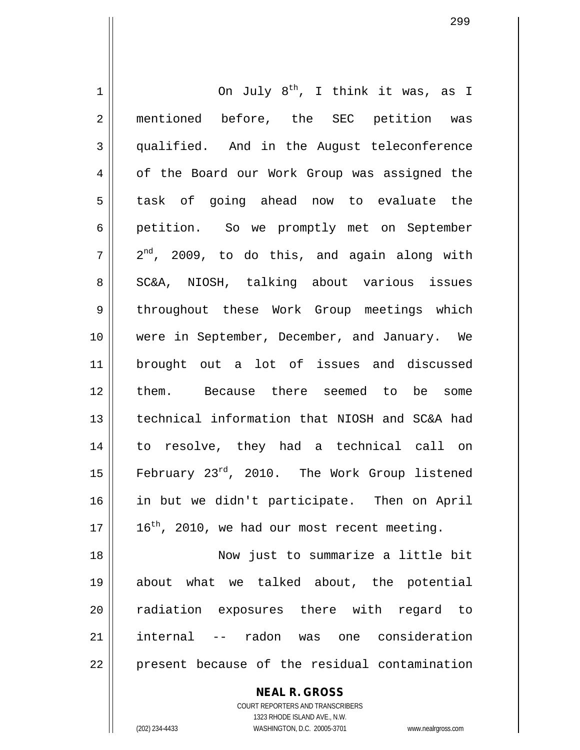$1$  0n July  $8^{th}$ , I think it was, as I 2 || mentioned before, the SEC petition was 3 qualified. And in the August teleconference 4 | of the Board our Work Group was assigned the 5 || task of going ahead now to evaluate the 6 petition. So we promptly met on September  $7 \parallel 2^{nd}$ , 2009, to do this, and again along with 8 || SC&A, NIOSH, talking about various issues 9 throughout these Work Group meetings which 10 || were in September, December, and January. We 11 brought out a lot of issues and discussed 12 them. Because there seemed to be some 13 technical information that NIOSH and SC&A had 14 to resolve, they had a technical call on 15  $\parallel$  February 23<sup>rd</sup>, 2010. The Work Group listened 16 in but we didn't participate. Then on April  $17 \parallel 16^{th}$ , 2010, we had our most recent meeting. 18 Now just to summarize a little bit 19 about what we talked about, the potential 20 || radiation exposures there with regard to 21 internal -- radon was one consideration  $22$  | present because of the residual contamination

> **NEAL R. GROSS** COURT REPORTERS AND TRANSCRIBERS 1323 RHODE ISLAND AVE., N.W. (202) 234-4433 WASHINGTON, D.C. 20005-3701 www.nealrgross.com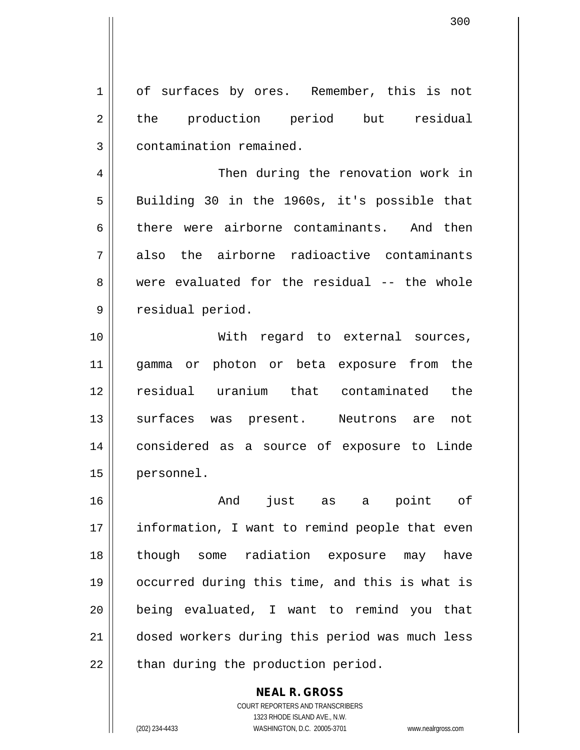300

1 of surfaces by ores. Remember, this is not 2 || the production period but residual 3 | contamination remained.

4 || Then during the renovation work in 5 || Building 30 in the 1960s, it's possible that 6 there were airborne contaminants. And then  $7 \parallel$  also the airborne radioactive contaminants 8 were evaluated for the residual -- the whole 9 | residual period.

 With regard to external sources, gamma or photon or beta exposure from the residual uranium that contaminated the 13 || surfaces was present. Neutrons are not considered as a source of exposure to Linde personnel.

 And just as a point of 17 || information, I want to remind people that even though some radiation exposure may have occurred during this time, and this is what is being evaluated, I want to remind you that dosed workers during this period was much less || than during the production period.

**NEAL R. GROSS**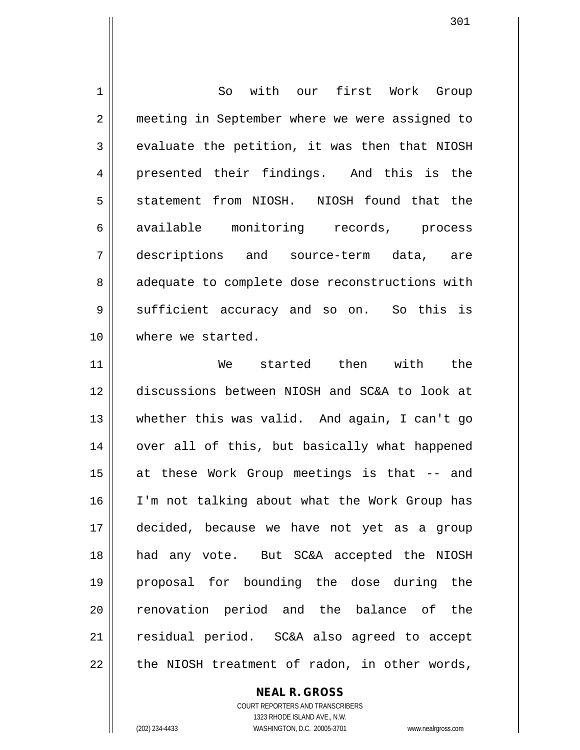1 So with our first Work Group 2 || meeting in September where we were assigned to  $3 \parallel$  evaluate the petition, it was then that NIOSH 4 || presented their findings. And this is the 5 Superstatement from NIOSH. NIOSH found that the 6 available monitoring records, process 7 descriptions and source-term data, are 8 || adequate to complete dose reconstructions with 9 Sufficient accuracy and so on. So this is 10 where we started.

 We started then with the discussions between NIOSH and SC&A to look at whether this was valid. And again, I can't go 14 || over all of this, but basically what happened at these Work Group meetings is that -- and I'm not talking about what the Work Group has decided, because we have not yet as a group had any vote. But SC&A accepted the NIOSH proposal for bounding the dose during the 20 || renovation period and the balance of the residual period. SC&A also agreed to accept || the NIOSH treatment of radon, in other words,

> COURT REPORTERS AND TRANSCRIBERS 1323 RHODE ISLAND AVE., N.W. (202) 234-4433 WASHINGTON, D.C. 20005-3701 www.nealrgross.com

**NEAL R. GROSS**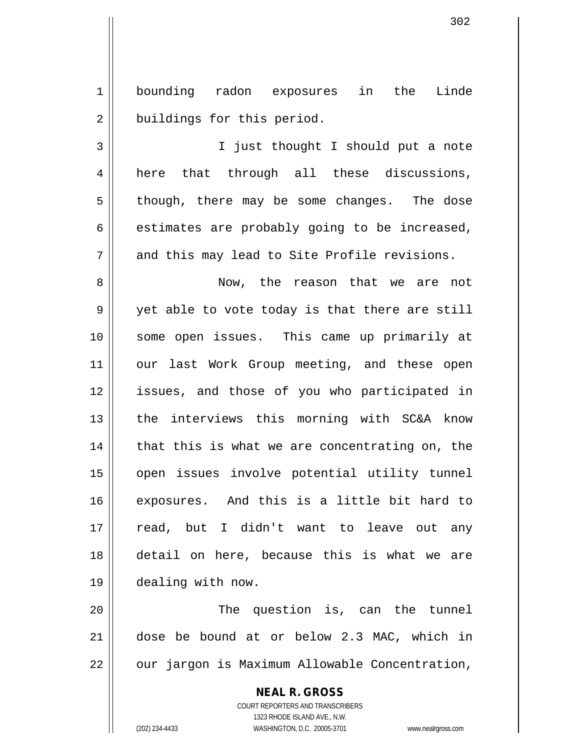1 bounding radon exposures in the Linde 2 | buildings for this period.

3 I just thought I should put a note 4 || here that through all these discussions,  $5 \parallel$  though, there may be some changes. The dose  $6 \parallel$  estimates are probably going to be increased,  $7 \parallel$  and this may lead to Site Profile revisions.

 Now, the reason that we are not 9 || yet able to vote today is that there are still some open issues. This came up primarily at 11 || our last Work Group meeting, and these open issues, and those of you who participated in the interviews this morning with SC&A know | that this is what we are concentrating on, the open issues involve potential utility tunnel exposures. And this is a little bit hard to read, but I didn't want to leave out any detail on here, because this is what we are dealing with now.

20 The question is, can the tunnel 21 dose be bound at or below 2.3 MAC, which in 22 | our jargon is Maximum Allowable Concentration,

> **NEAL R. GROSS** COURT REPORTERS AND TRANSCRIBERS 1323 RHODE ISLAND AVE., N.W. (202) 234-4433 WASHINGTON, D.C. 20005-3701 www.nealrgross.com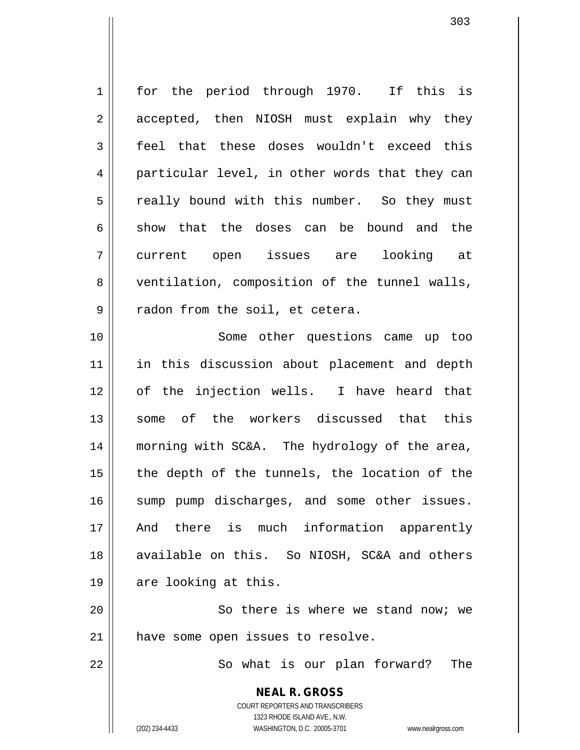1 || for the period through 1970. If this is 2 || accepted, then NIOSH must explain why they 3 || feel that these doses wouldn't exceed this 4 particular level, in other words that they can 5 || really bound with this number. So they must  $6 \parallel$  show that the doses can be bound and the 7 current open issues are looking at 8 ventilation, composition of the tunnel walls,  $9 \parallel$  radon from the soil, et cetera. 10 Some other questions came up too

11 || in this discussion about placement and depth 12 of the injection wells. I have heard that 13 Some of the workers discussed that this 14 morning with SC&A. The hydrology of the area,  $15$  || the depth of the tunnels, the location of the 16 || sump pump discharges, and some other issues. 17 And there is much information apparently 18 || available on this. So NIOSH, SC&A and others 19 || are looking at this.

20 || So there is where we stand now; we 21 || have some open issues to resolve.

22 || So what is our plan forward? The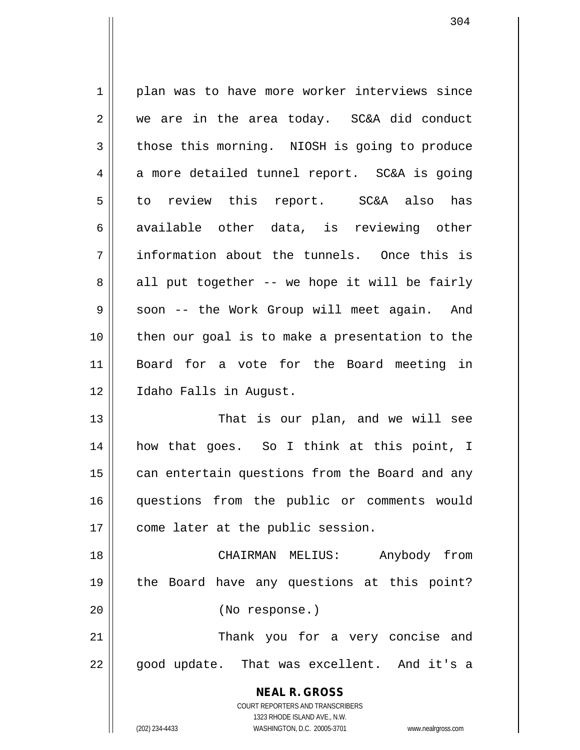**NEAL R. GROSS** COURT REPORTERS AND TRANSCRIBERS 1323 RHODE ISLAND AVE., N.W. 1 || plan was to have more worker interviews since  $2 \parallel$  we are in the area today. SC&A did conduct  $3 \parallel$  those this morning. NIOSH is going to produce  $4 \parallel$  a more detailed tunnel report. SC&A is going  $5 \parallel$  to review this report. SC&A also has 6 available other data, is reviewing other 7 information about the tunnels. Once this is  $8 \parallel$  all put together -- we hope it will be fairly 9 || soon -- the Work Group will meet again. And 10 then our goal is to make a presentation to the 11 Board for a vote for the Board meeting in 12 | Idaho Falls in August. 13 || That is our plan, and we will see 14 how that goes. So I think at this point, I 15 | can entertain questions from the Board and any 16 questions from the public or comments would 17 || come later at the public session. 18 CHAIRMAN MELIUS: Anybody from 19 the Board have any questions at this point? 20 (No response.) 21 Thank you for a very concise and 22 || good update. That was excellent. And it's a

(202) 234-4433 WASHINGTON, D.C. 20005-3701 www.nealrgross.com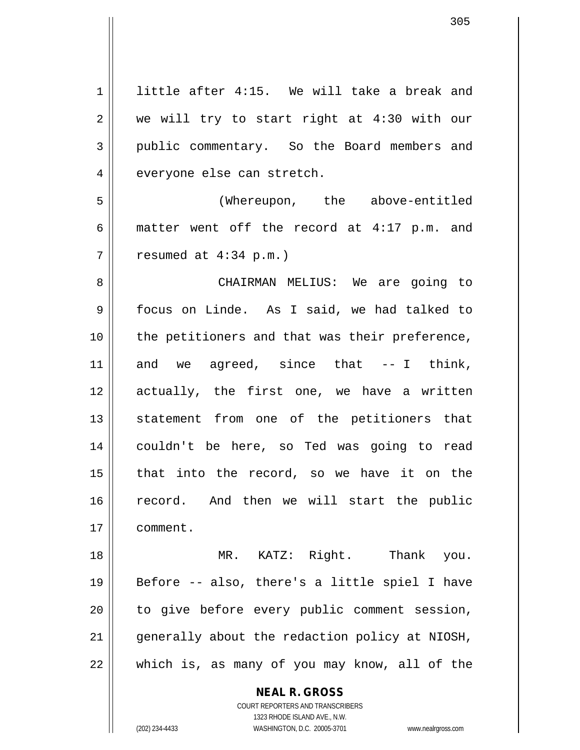1 | little after 4:15. We will take a break and  $2 \parallel$  we will try to start right at 4:30 with our 3 public commentary. So the Board members and 4 | everyone else can stretch. 5 (Whereupon, the above-entitled 6 | matter went off the record at  $4:17$  p.m. and  $7 \parallel$  resumed at 4:34 p.m.) 8 CHAIRMAN MELIUS: We are going to 9 focus on Linde. As I said, we had talked to 10 || the petitioners and that was their preference,  $11$  and we agreed, since that  $-1$  think, 12 actually, the first one, we have a written 13 || statement from one of the petitioners that 14 couldn't be here, so Ted was going to read  $15$  | that into the record, so we have it on the 16 record. And then we will start the public 17 comment. 18 MR. KATZ: Right. Thank you. 19  $\parallel$  Before -- also, there's a little spiel I have  $20$  | to give before every public comment session, 21 || generally about the redaction policy at NIOSH,  $22$  || which is, as many of you may know, all of the

> **NEAL R. GROSS** COURT REPORTERS AND TRANSCRIBERS

> > 1323 RHODE ISLAND AVE., N.W.

(202) 234-4433 WASHINGTON, D.C. 20005-3701 www.nealrgross.com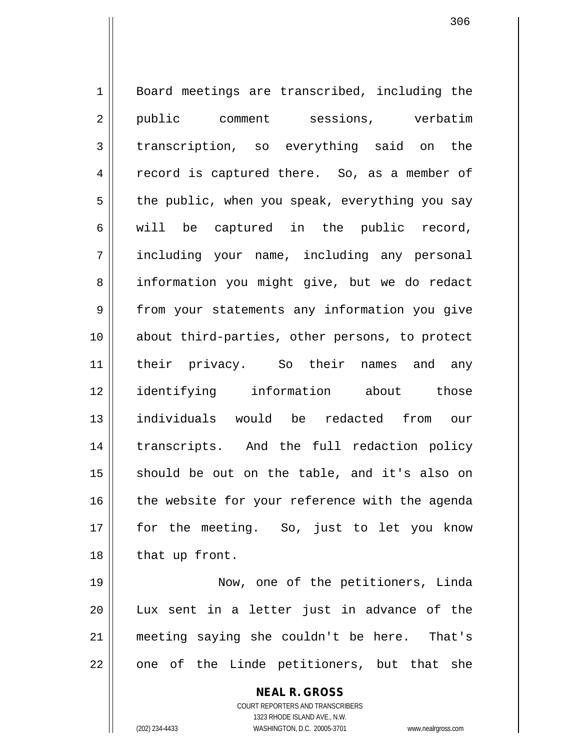1 || Board meetings are transcribed, including the 2 || public comment sessions, verbatim 3 transcription, so everything said on the 4 || record is captured there. So, as a member of  $5 \parallel$  the public, when you speak, everything you say  $6 \parallel$  will be captured in the public record, 7 including your name, including any personal 8 || information you might give, but we do redact 9 || from your statements any information you give 10 || about third-parties, other persons, to protect 11 their privacy. So their names and any 12 identifying information about those 13 individuals would be redacted from our 14 || transcripts. And the full redaction policy  $15$  should be out on the table, and it's also on  $16$  the website for your reference with the agenda 17 for the meeting. So, just to let you know 18 | that up front.

 Now, one of the petitioners, Linda Lux sent in a letter just in advance of the meeting saying she couldn't be here. That's || one of the Linde petitioners, but that she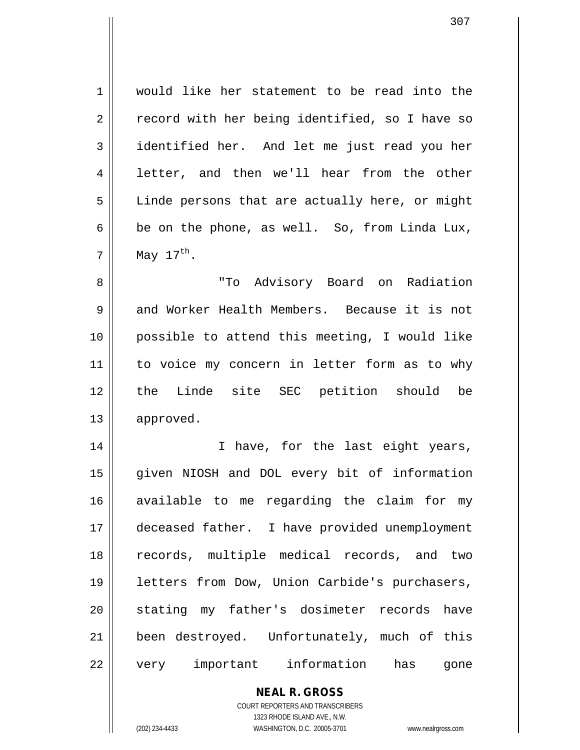1 would like her statement to be read into the  $2 \parallel$  record with her being identified, so I have so 3 dentified her. And let me just read you her 4 || letter, and then we'll hear from the other  $5 \parallel$  Linde persons that are actually here, or might  $6 \parallel$  be on the phone, as well. So, from Linda Lux,  $7 \parallel$  May 17<sup>th</sup>.

 "To Advisory Board on Radiation 9 and Worker Health Members. Because it is not possible to attend this meeting, I would like 11 || to voice my concern in letter form as to why the Linde site SEC petition should be approved.

14 || I have, for the last eight years, 15 given NIOSH and DOL every bit of information 16 available to me regarding the claim for my 17 || deceased father. I have provided unemployment 18 records, multiple medical records, and two 19 || letters from Dow, Union Carbide's purchasers, 20 || stating my father's dosimeter records have 21 || been destroyed. Unfortunately, much of this 22 || very important information has gone

## **NEAL R. GROSS**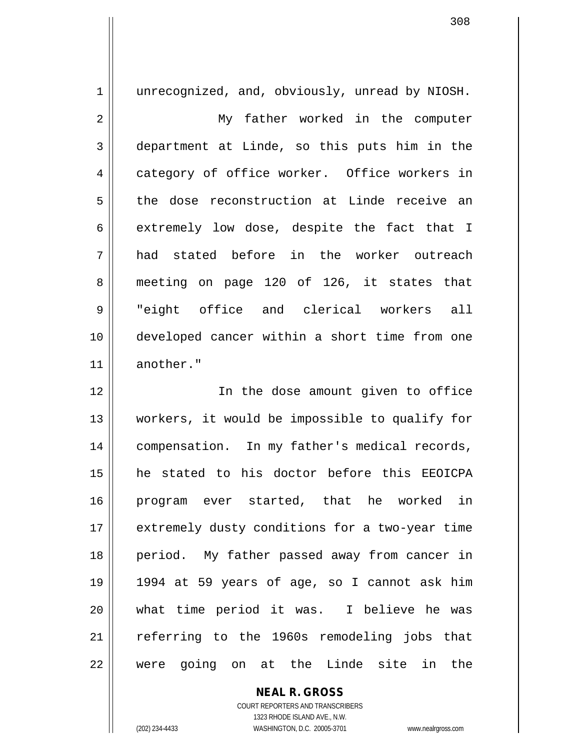1 || unrecognized, and, obviously, unread by NIOSH. 2 || My father worked in the computer 3 department at Linde, so this puts him in the 4 category of office worker. Office workers in 5 the dose reconstruction at Linde receive an  $6 \parallel$  extremely low dose, despite the fact that I 7 had stated before in the worker outreach 8 meeting on page 120 of 126, it states that 9 "eight office and clerical workers all 10 developed cancer within a short time from one 11 another." 12 In the dose amount given to office 13 workers, it would be impossible to qualify for 14 || compensation. In my father's medical records, 15 he stated to his doctor before this EEOICPA 16 program ever started, that he worked in 17 || extremely dusty conditions for a two-year time 18 || period. My father passed away from cancer in 19 1994 at 59 years of age, so I cannot ask him

20 what time period it was. I believe he was 21 || referring to the 1960s remodeling jobs that 22 were going on at the Linde site in the

> COURT REPORTERS AND TRANSCRIBERS 1323 RHODE ISLAND AVE., N.W. (202) 234-4433 WASHINGTON, D.C. 20005-3701 www.nealrgross.com

**NEAL R. GROSS**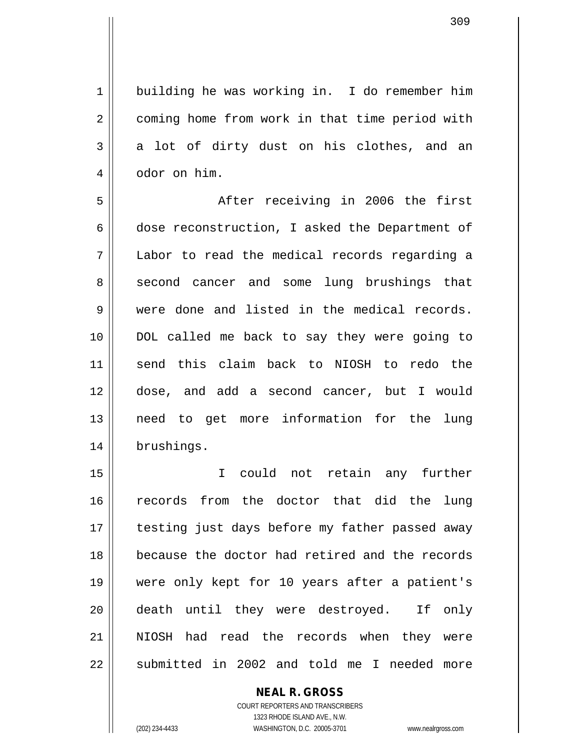1 building he was working in. I do remember him 2 | coming home from work in that time period with  $3 \parallel$  a lot of dirty dust on his clothes, and an 4 | odor on him.

 After receiving in 2006 the first 6 dose reconstruction, I asked the Department of Labor to read the medical records regarding a 8 second cancer and some lung brushings that were done and listed in the medical records. DOL called me back to say they were going to send this claim back to NIOSH to redo the dose, and add a second cancer, but I would need to get more information for the lung brushings.

 I could not retain any further records from the doctor that did the lung 17 || testing just days before my father passed away because the doctor had retired and the records were only kept for 10 years after a patient's death until they were destroyed. If only NIOSH had read the records when they were 22 || submitted in 2002 and told me I needed more

> COURT REPORTERS AND TRANSCRIBERS 1323 RHODE ISLAND AVE., N.W. (202) 234-4433 WASHINGTON, D.C. 20005-3701 www.nealrgross.com

**NEAL R. GROSS**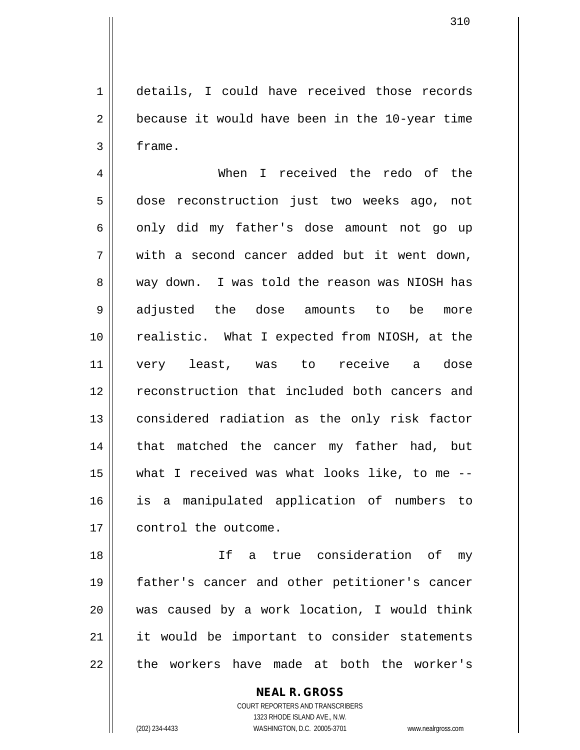1 details, I could have received those records  $2 \parallel$  because it would have been in the 10-year time  $3 \parallel$  frame.

4 When I received the redo of the 5 dose reconstruction just two weeks ago, not  $6 \parallel$  only did my father's dose amount not go up  $7 \parallel$  with a second cancer added but it went down, 8 way down. I was told the reason was NIOSH has 9 adjusted the dose amounts to be more 10 || realistic. What I expected from NIOSH, at the 11 very least, was to receive a dose 12 || reconstruction that included both cancers and 13 || considered radiation as the only risk factor 14 || that matched the cancer my father had, but 15  $\parallel$  what I received was what looks like, to me --16 is a manipulated application of numbers to 17 ll control the outcome.

 If a true consideration of my father's cancer and other petitioner's cancer was caused by a work location, I would think 21 || it would be important to consider statements || the workers have made at both the worker's

> COURT REPORTERS AND TRANSCRIBERS 1323 RHODE ISLAND AVE., N.W. (202) 234-4433 WASHINGTON, D.C. 20005-3701 www.nealrgross.com

**NEAL R. GROSS**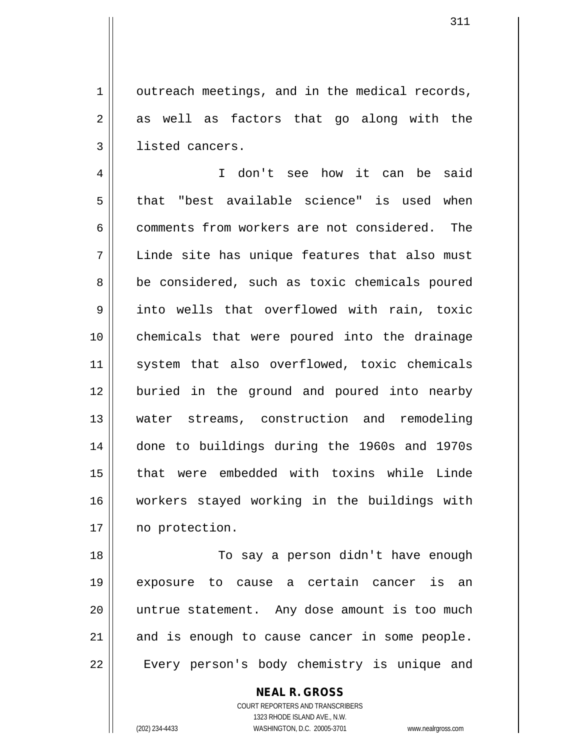$1 \parallel$  outreach meetings, and in the medical records,  $2 \parallel$  as well as factors that go along with the 3 | listed cancers.

 I don't see how it can be said 5 that "best available science" is used when 6 comments from workers are not considered. The Linde site has unique features that also must 8 | be considered, such as toxic chemicals poured into wells that overflowed with rain, toxic chemicals that were poured into the drainage 11 || system that also overflowed, toxic chemicals buried in the ground and poured into nearby water streams, construction and remodeling done to buildings during the 1960s and 1970s that were embedded with toxins while Linde workers stayed working in the buildings with 17 | no protection.

18 || To say a person didn't have enough 19 exposure to cause a certain cancer is an 20 untrue statement. Any dose amount is too much  $21$  and is enough to cause cancer in some people. 22 || Every person's body chemistry is unique and

> **NEAL R. GROSS** COURT REPORTERS AND TRANSCRIBERS 1323 RHODE ISLAND AVE., N.W.

(202) 234-4433 WASHINGTON, D.C. 20005-3701 www.nealrgross.com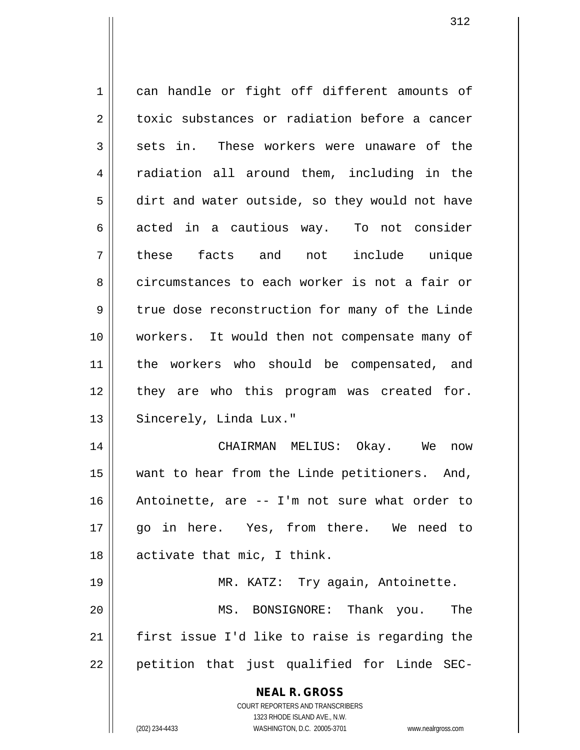**NEAL R. GROSS** COURT REPORTERS AND TRANSCRIBERS 1 can handle or fight off different amounts of 2 toxic substances or radiation before a cancer  $3 \parallel$  sets in. These workers were unaware of the 4 || radiation all around them, including in the 5 dirt and water outside, so they would not have 6 acted in a cautious way. To not consider 7 these facts and not include unique 8 circumstances to each worker is not a fair or 9 true dose reconstruction for many of the Linde 10 workers. It would then not compensate many of 11 || the workers who should be compensated, and 12 || they are who this program was created for. 13 || Sincerely, Linda Lux." 14 CHAIRMAN MELIUS: Okay. We now 15 want to hear from the Linde petitioners. And, 16 Antoinette, are -- I'm not sure what order to 17 go in here. Yes, from there. We need to 18 || activate that mic, I think. 19 || MR. KATZ: Try again, Antoinette. 20 MS. BONSIGNORE: Thank you. The 21 first issue I'd like to raise is regarding the  $22$  || petition that just qualified for Linde SEC-

1323 RHODE ISLAND AVE., N.W.

(202) 234-4433 WASHINGTON, D.C. 20005-3701 www.nealrgross.com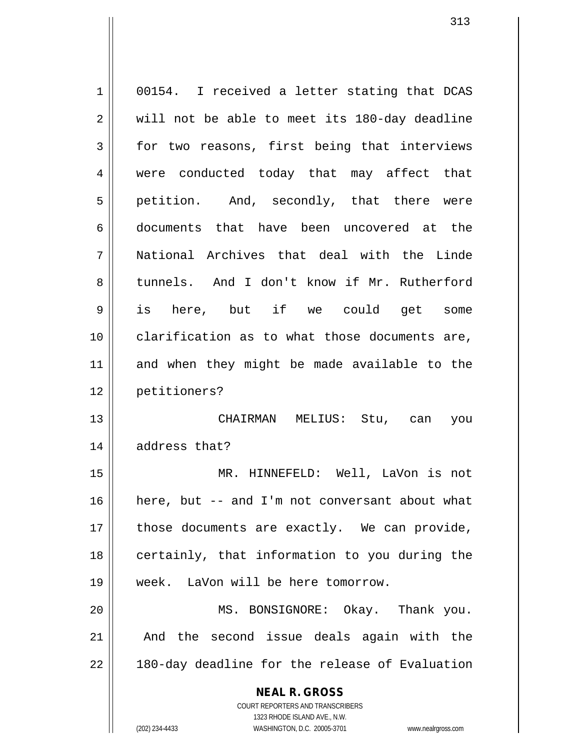| 1  | 00154. I received a letter stating that DCAS                        |
|----|---------------------------------------------------------------------|
| 2  | will not be able to meet its 180-day deadline                       |
| 3  | for two reasons, first being that interviews                        |
| 4  | were conducted today that may affect that                           |
| 5  | petition. And, secondly, that there were                            |
| 6  | documents that have been uncovered at the                           |
| 7  | National Archives that deal with the Linde                          |
| 8  | tunnels. And I don't know if Mr. Rutherford                         |
| 9  | is here, but if we could get some                                   |
| 10 | clarification as to what those documents are,                       |
| 11 | and when they might be made available to the                        |
| 12 | petitioners?                                                        |
| 13 | CHAIRMAN MELIUS: Stu, can you                                       |
| 14 | address that?                                                       |
| 15 | MR. HINNEFELD: Well, LaVon is not                                   |
| 16 | here, but -- and I'm not conversant about what                      |
| 17 | those documents are exactly. We can provide,                        |
| 18 | certainly, that information to you during the                       |
| 19 | week. LaVon will be here tomorrow.                                  |
| 20 | MS. BONSIGNORE: Okay. Thank you.                                    |
| 21 | And the second issue deals again with the                           |
| 22 | 180-day deadline for the release of Evaluation                      |
|    | <b>NEAL R. GROSS</b>                                                |
|    | COURT REPORTERS AND TRANSCRIBERS                                    |
|    | 1323 RHODE ISLAND AVE., N.W.                                        |
|    | (202) 234-4433<br>WASHINGTON, D.C. 20005-3701<br>www.nealrgross.com |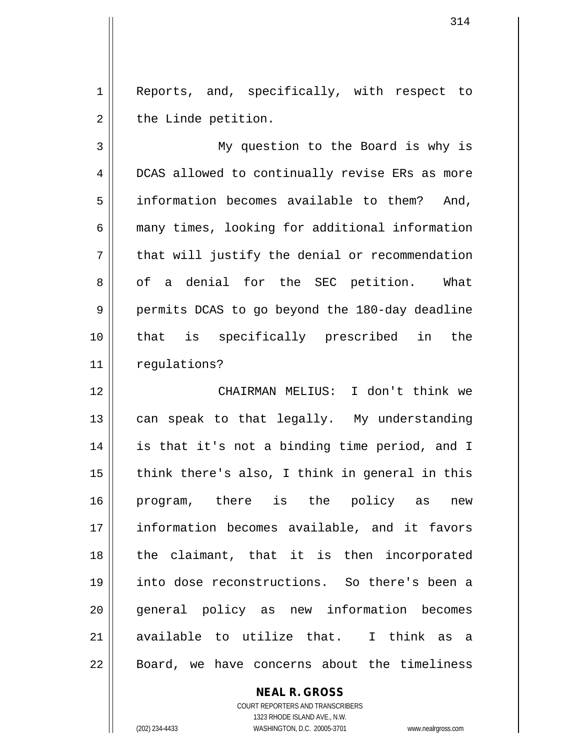1 || Reports, and, specifically, with respect to  $2 \parallel$  the Linde petition.

3 My question to the Board is why is 4 DCAS allowed to continually revise ERs as more 5 information becomes available to them? And, 6 || many times, looking for additional information  $7 \parallel$  that will justify the denial or recommendation 8 || of a denial for the SEC petition. What 9 || permits DCAS to go beyond the 180-day deadline 10 that is specifically prescribed in the 11 | requlations?

 CHAIRMAN MELIUS: I don't think we  $\parallel$  can speak to that legally. My understanding is that it's not a binding time period, and I || think there's also, I think in general in this program, there is the policy as new information becomes available, and it favors the claimant, that it is then incorporated into dose reconstructions. So there's been a 20 || general policy as new information becomes 21 available to utilize that. I think as a 22 || Board, we have concerns about the timeliness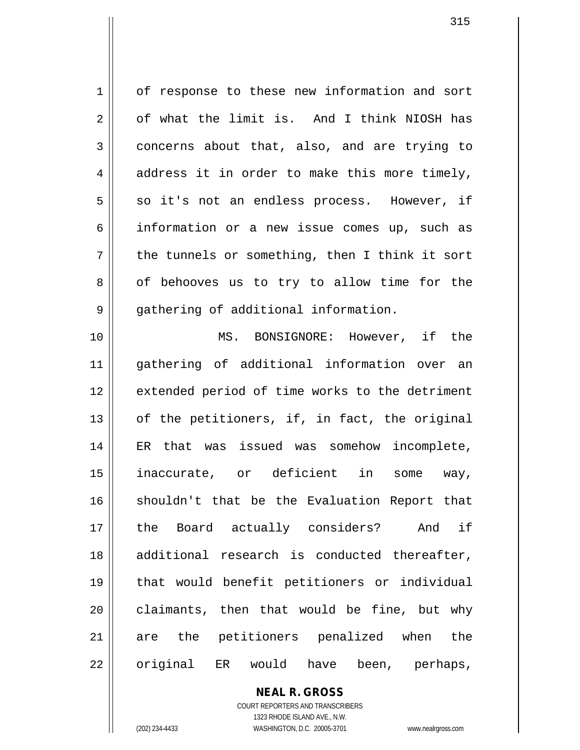1 | of response to these new information and sort  $2 \parallel$  of what the limit is. And I think NIOSH has  $3 \parallel$  concerns about that, also, and are trying to  $4 \parallel$  address it in order to make this more timely,  $5 \parallel$  so it's not an endless process. However, if 6 information or a new issue comes up, such as  $7 \parallel$  the tunnels or something, then I think it sort  $8 \parallel$  of behooves us to try to allow time for the 9 | gathering of additional information. 10 MS. BONSIGNORE: However, if the 11 gathering of additional information over an 12 extended period of time works to the detriment  $13$  || of the petitioners, if, in fact, the original 14 ER that was issued was somehow incomplete, 15 inaccurate, or deficient in some way, 16 || shouldn't that be the Evaluation Report that 17 the Board actually considers? And if 18 || additional research is conducted thereafter, 19 that would benefit petitioners or individual  $20$  claimants, then that would be fine, but why

21 are the petitioners penalized when the 22 || original ER would have been, perhaps,

> COURT REPORTERS AND TRANSCRIBERS 1323 RHODE ISLAND AVE., N.W. (202) 234-4433 WASHINGTON, D.C. 20005-3701 www.nealrgross.com

**NEAL R. GROSS**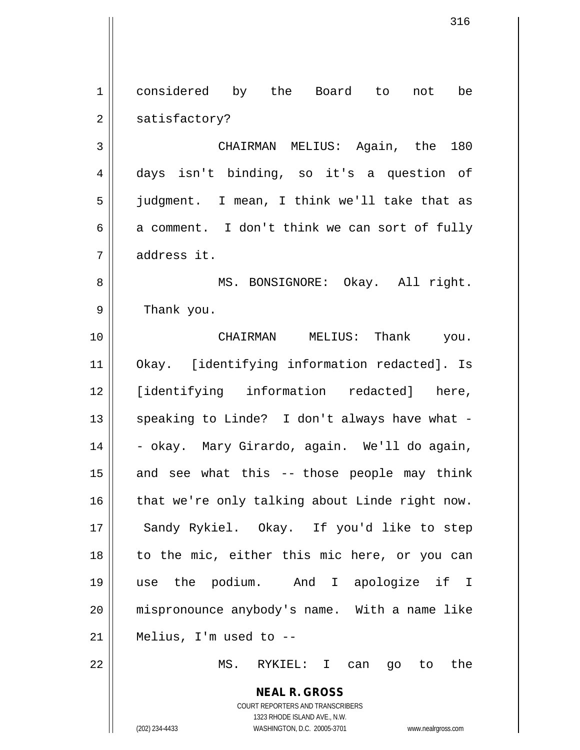1 considered by the Board to not be  $2 \parallel$  satisfactory? 3 CHAIRMAN MELIUS: Again, the 180

 days isn't binding, so it's a question of judgment. I mean, I think we'll take that as  $6 \parallel$  a comment. I don't think we can sort of fully address it.

8 || MS. BONSIGNORE: Okay. All right. 9 | Thank you.

 CHAIRMAN MELIUS: Thank you. Okay. [identifying information redacted]. Is [identifying information redacted] here,  $\parallel$  speaking to Linde? I don't always have what -14 | - okay. Mary Girardo, again. We'll do again, and see what this -- those people may think | that we're only talking about Linde right now. 17 || Sandy Rykiel. Okay. If you'd like to step to the mic, either this mic here, or you can use the podium. And I apologize if I mispronounce anybody's name. With a name like | Melius, I'm used to  $-$ 

22 MS. RYKIEL: I can go to the

**NEAL R. GROSS** COURT REPORTERS AND TRANSCRIBERS 1323 RHODE ISLAND AVE., N.W.

(202) 234-4433 WASHINGTON, D.C. 20005-3701 www.nealrgross.com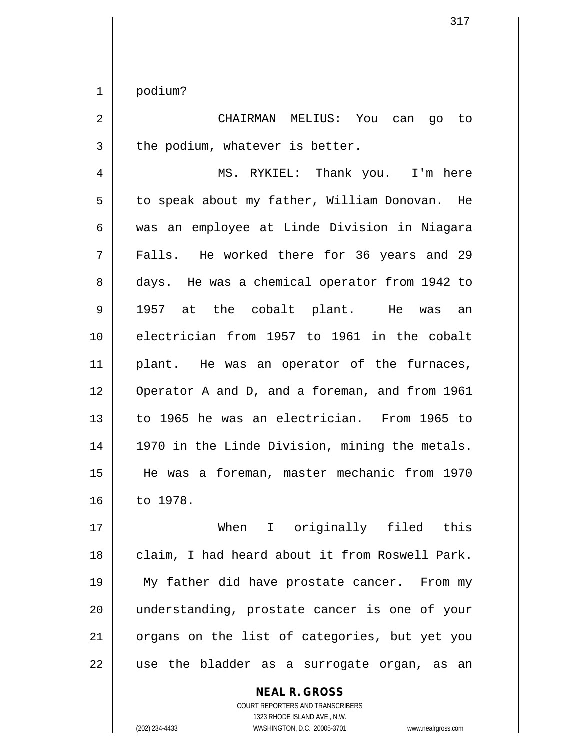1 podium?

2 CHAIRMAN MELIUS: You can go to  $3 \parallel$  the podium, whatever is better.

4 MS. RYKIEL: Thank you. I'm here 5 | to speak about my father, William Donovan. He 6 was an employee at Linde Division in Niagara 7 Falls. He worked there for 36 years and 29 8 days. He was a chemical operator from 1942 to 9 1957 at the cobalt plant. He was an 10 electrician from 1957 to 1961 in the cobalt 11 || plant. He was an operator of the furnaces, 12 Operator A and D, and a foreman, and from 1961 13 to 1965 he was an electrician. From 1965 to 14 || 1970 in the Linde Division, mining the metals. 15 He was a foreman, master mechanic from 1970 16 | to 1978.

17 When I originally filed this 18 || claim, I had heard about it from Roswell Park. 19 My father did have prostate cancer. From my 20 || understanding, prostate cancer is one of your 21 || organs on the list of categories, but yet you 22 || use the bladder as a surrogate organ, as an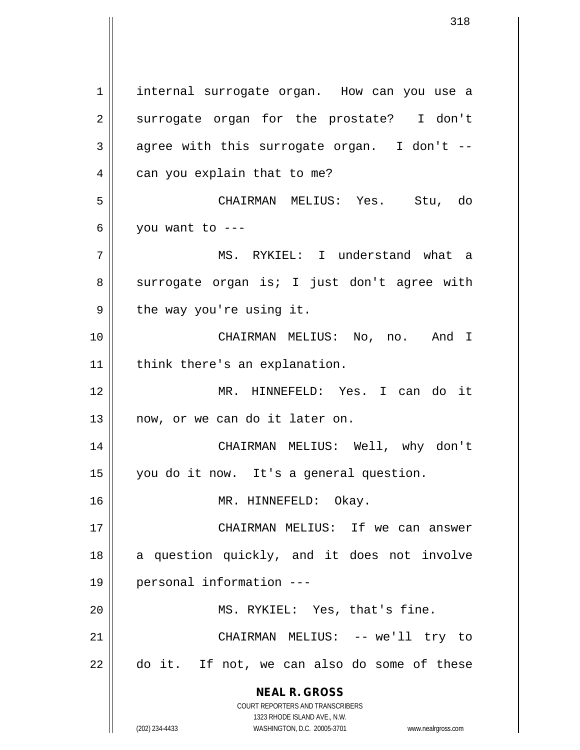**NEAL R. GROSS** COURT REPORTERS AND TRANSCRIBERS 1323 RHODE ISLAND AVE., N.W. 1 | internal surrogate organ. How can you use a 2 surrogate organ for the prostate? I don't  $3 \parallel$  agree with this surrogate organ. I don't --4 | can you explain that to me? 5 CHAIRMAN MELIUS: Yes. Stu, do  $6 \parallel$  you want to ---7 MS. RYKIEL: I understand what a  $8 \parallel$  surrogate organ is; I just don't agree with  $9 \parallel$  the way you're using it. 10 CHAIRMAN MELIUS: No, no. And I  $11$  | think there's an explanation. 12 MR. HINNEFELD: Yes. I can do it 13 || now, or we can do it later on. 14 CHAIRMAN MELIUS: Well, why don't 15 you do it now. It's a general question. 16 MR. HINNEFELD: Okay. 17 CHAIRMAN MELIUS: If we can answer 18 || a question quickly, and it does not involve 19 personal information --- 20 || MS. RYKIEL: Yes, that's fine. 21 || CHAIRMAN MELIUS: -- we'll try to 22 do it. If not, we can also do some of these

(202) 234-4433 WASHINGTON, D.C. 20005-3701 www.nealrgross.com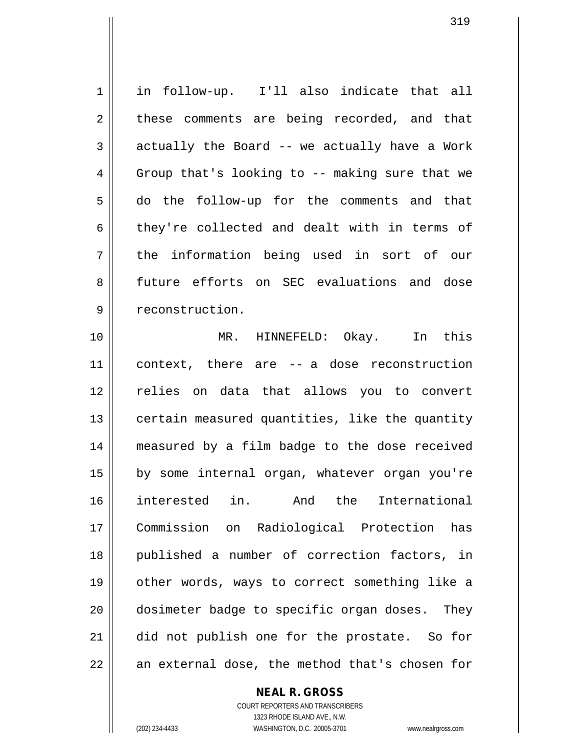1 in follow-up. I'll also indicate that all  $2 \parallel$  these comments are being recorded, and that  $3 \parallel$  actually the Board -- we actually have a Work  $4 \parallel$  Group that's looking to -- making sure that we 5 do the follow-up for the comments and that 6 they're collected and dealt with in terms of 7 || the information being used in sort of our 8 future efforts on SEC evaluations and dose 9 | reconstruction. 10 MR. HINNEFELD: Okay. In this 11 context, there are -- a dose reconstruction 12 || relies on data that allows you to convert  $13$  | certain measured quantities, like the quantity 14 measured by a film badge to the dose received 15 || by some internal organ, whatever organ you're 16 interested in. And the International 17 Commission on Radiological Protection has 18 published a number of correction factors, in 19 other words, ways to correct something like a 20 dosimeter badge to specific organ doses. They 21 did not publish one for the prostate. So for

 $22$   $\parallel$  an external dose, the method that's chosen for

**NEAL R. GROSS**

COURT REPORTERS AND TRANSCRIBERS 1323 RHODE ISLAND AVE., N.W. (202) 234-4433 WASHINGTON, D.C. 20005-3701 www.nealrgross.com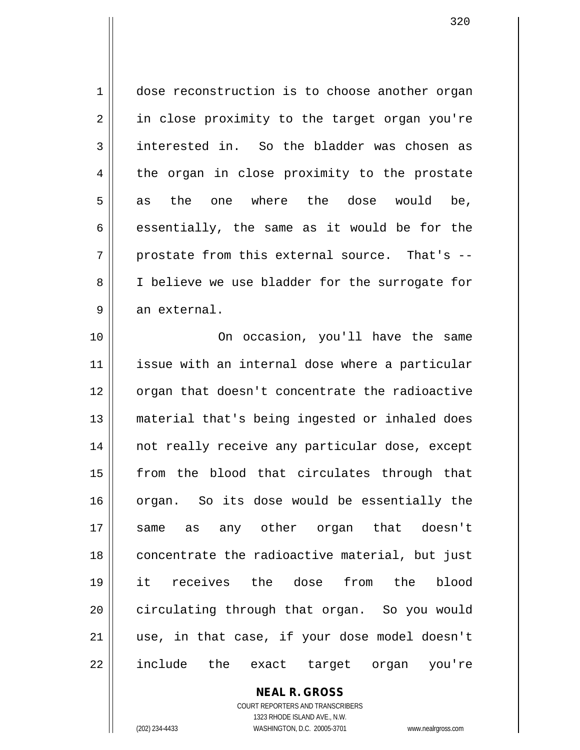1 dose reconstruction is to choose another organ 2 || in close proximity to the target organ you're  $3 \parallel$  interested in. So the bladder was chosen as 4 the organ in close proximity to the prostate 5  $\parallel$  as the one where the dose would be,  $6 \parallel$  essentially, the same as it would be for the  $7 \parallel$  prostate from this external source. That's --8 || I believe we use bladder for the surrogate for  $9 \parallel$  an external.

10 On occasion, you'll have the same 11 || issue with an internal dose where a particular 12 || organ that doesn't concentrate the radioactive 13 material that's being ingested or inhaled does 14 || not really receive any particular dose, except 15 || from the blood that circulates through that 16 organ. So its dose would be essentially the 17 same as any other organ that doesn't 18 || concentrate the radioactive material, but just 19 it receives the dose from the blood 20 circulating through that organ. So you would 21 || use, in that case, if your dose model doesn't 22 || include the exact target organ you're

> **NEAL R. GROSS** COURT REPORTERS AND TRANSCRIBERS 1323 RHODE ISLAND AVE., N.W.

(202) 234-4433 WASHINGTON, D.C. 20005-3701 www.nealrgross.com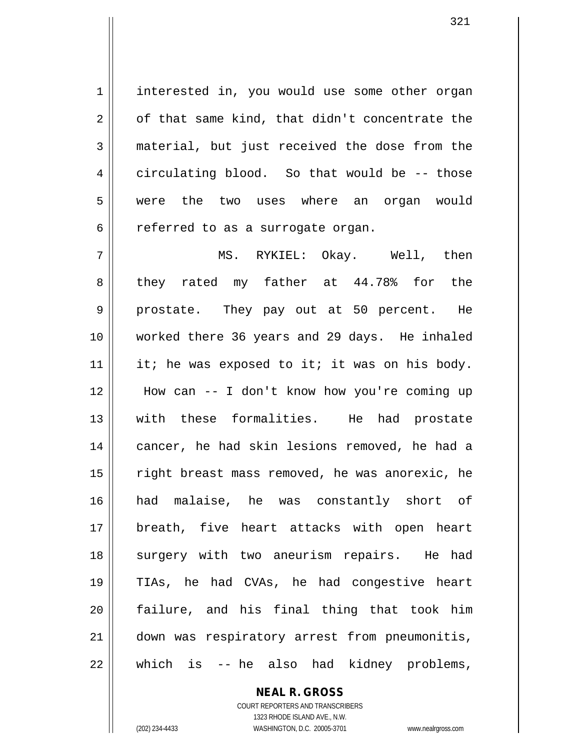1 | interested in, you would use some other organ  $2 \parallel$  of that same kind, that didn't concentrate the 3 material, but just received the dose from the  $4 \parallel$  circulating blood. So that would be  $-$ - those 5 || were the two uses where an organ would  $6 \parallel$  referred to as a surrogate organ.

 MS. RYKIEL: Okay. Well, then  $8 \parallel$  they rated my father at 44.78% for the 9 prostate. They pay out at 50 percent. He worked there 36 years and 29 days. He inhaled 11 || it; he was exposed to it; it was on his body. How can -- I don't know how you're coming up with these formalities. He had prostate 14 || cancer, he had skin lesions removed, he had a 15 || right breast mass removed, he was anorexic, he had malaise, he was constantly short of breath, five heart attacks with open heart 18 || surgery with two aneurism repairs. He had TIAs, he had CVAs, he had congestive heart failure, and his final thing that took him down was respiratory arrest from pneumonitis, || which is -- he also had kidney problems,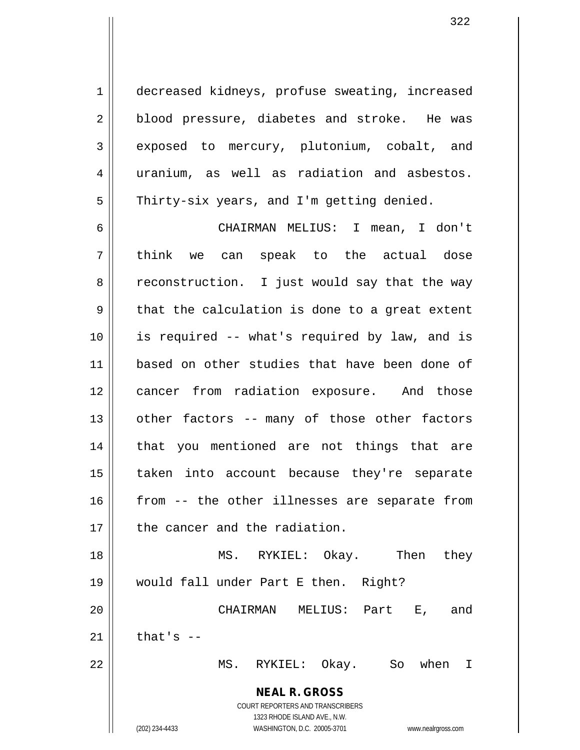1 | decreased kidneys, profuse sweating, increased 2 || blood pressure, diabetes and stroke. He was 3 exposed to mercury, plutonium, cobalt, and 4 || uranium, as well as radiation and asbestos. 5 | Thirty-six years, and I'm getting denied.

 CHAIRMAN MELIUS: I mean, I don't 7 || think we can speak to the actual dose 8 || reconstruction. I just would say that the way  $9 \parallel$  that the calculation is done to a great extent is required -- what's required by law, and is based on other studies that have been done of cancer from radiation exposure. And those | other factors -- many of those other factors 14 || that you mentioned are not things that are taken into account because they're separate | from -- the other illnesses are separate from 17 | the cancer and the radiation. MS. RYKIEL: Okay. Then they would fall under Part E then. Right? CHAIRMAN MELIUS: Part E, and

 $21$  | that's  $-$ 

22 MS. RYKIEL: Okay. So when I

**NEAL R. GROSS** COURT REPORTERS AND TRANSCRIBERS

1323 RHODE ISLAND AVE., N.W.

(202) 234-4433 WASHINGTON, D.C. 20005-3701 www.nealrgross.com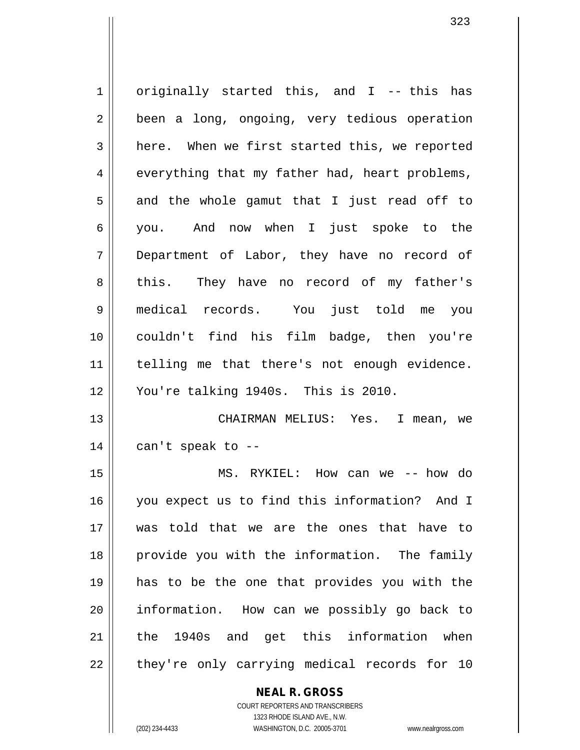1 | originally started this, and I -- this has 2 | been a long, ongoing, very tedious operation 3 | here. When we first started this, we reported  $4 \parallel$  everything that my father had, heart problems,  $5 \parallel$  and the whole gamut that I just read off to you. And now when I just spoke to the Department of Labor, they have no record of 8 this. They have no record of my father's medical records. You just told me you couldn't find his film badge, then you're 11 || telling me that there's not enough evidence. You're talking 1940s. This is 2010. CHAIRMAN MELIUS: Yes. I mean, we || can't speak to -- MS. RYKIEL: How can we -- how do you expect us to find this information? And I was told that we are the ones that have to provide you with the information. The family has to be the one that provides you with the information. How can we possibly go back to 21 ll the 1940s and get this information when

 $22$  || they're only carrying medical records for 10

## **NEAL R. GROSS**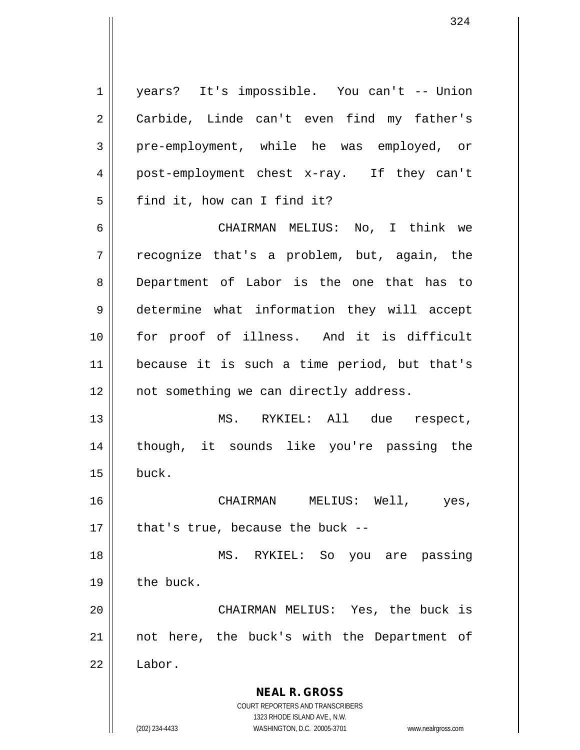**NEAL R. GROSS** COURT REPORTERS AND TRANSCRIBERS 1323 RHODE ISLAND AVE., N.W. (202) 234-4433 WASHINGTON, D.C. 20005-3701 www.nealrgross.com 1 years? It's impossible. You can't -- Union 2 || Carbide, Linde can't even find my father's 3 pre-employment, while he was employed, or 4 post-employment chest x-ray. If they can't  $5 \parallel$  find it, how can I find it? 6 CHAIRMAN MELIUS: No, I think we  $7 \parallel$  recognize that's a problem, but, again, the 8 Department of Labor is the one that has to 9 determine what information they will accept 10 for proof of illness. And it is difficult 11 because it is such a time period, but that's 12 || not something we can directly address. 13 MS. RYKIEL: All due respect, 14 though, it sounds like you're passing the  $15 \parallel$  buck. 16 CHAIRMAN MELIUS: Well, yes,  $17$  | that's true, because the buck --18 MS. RYKIEL: So you are passing  $19$  | the buck. 20 CHAIRMAN MELIUS: Yes, the buck is 21 || not here, the buck's with the Department of 22 | Labor.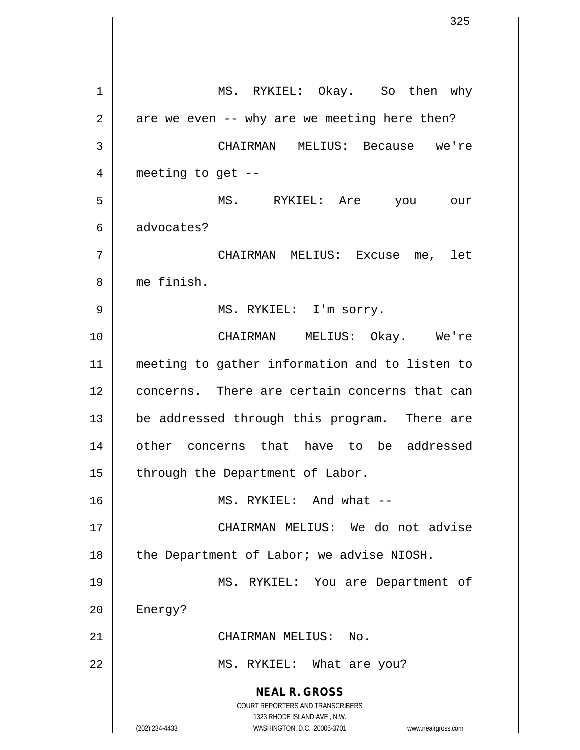**NEAL R. GROSS** COURT REPORTERS AND TRANSCRIBERS 1323 RHODE ISLAND AVE., N.W. (202) 234-4433 WASHINGTON, D.C. 20005-3701 www.nealrgross.com 1 || MS. RYKIEL: Okay. So then why  $2 \parallel$  are we even -- why are we meeting here then? 3 CHAIRMAN MELIUS: Because we're  $4 \parallel$  meeting to get --5 MS. RYKIEL: Are you our 6 || advocates? 7 CHAIRMAN MELIUS: Excuse me, let 8 me finish. 9 MS. RYKIEL: I'm sorry. 10 CHAIRMAN MELIUS: Okay. We're 11 meeting to gather information and to listen to 12 concerns. There are certain concerns that can 13 || be addressed through this program. There are 14 || other concerns that have to be addressed 15 | through the Department of Labor. 16 || MS. RYKIEL: And what --17 CHAIRMAN MELIUS: We do not advise 18 | the Department of Labor; we advise NIOSH. 19 MS. RYKIEL: You are Department of 20 | Energy? 21 | CHAIRMAN MELIUS: No. 22 || MS. RYKIEL: What are you?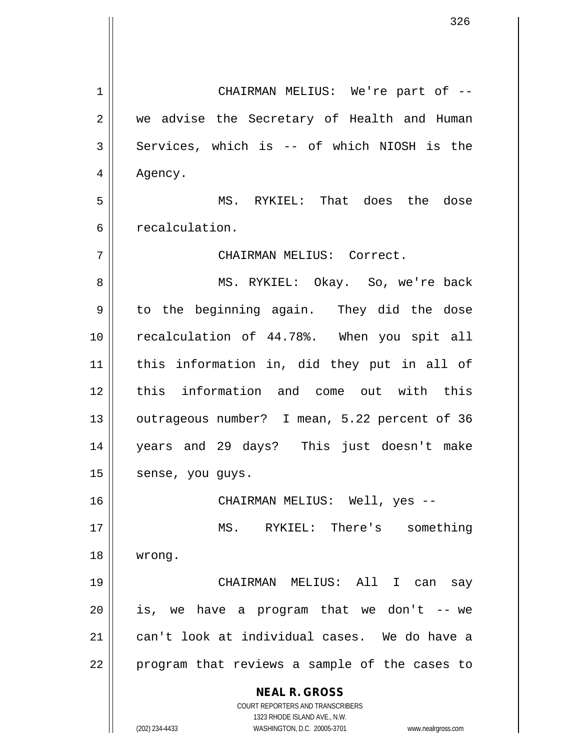**NEAL R. GROSS** COURT REPORTERS AND TRANSCRIBERS 1323 RHODE ISLAND AVE., N.W. 1 CHAIRMAN MELIUS: We're part of -- 2 we advise the Secretary of Health and Human  $3 \parallel$  Services, which is -- of which NIOSH is the 4 | Agency. 5 MS. RYKIEL: That does the dose 6 | recalculation. 7 CHAIRMAN MELIUS: Correct. 8 || MS. RYKIEL: Okay. So, we're back 9 || to the beginning again. They did the dose 10 || recalculation of 44.78%. When you spit all 11 this information in, did they put in all of 12 this information and come out with this 13 || outrageous number? I mean, 5.22 percent of 36 14 years and 29 days? This just doesn't make 15 | sense, you guys. 16 CHAIRMAN MELIUS: Well, yes -- 17 MS. RYKIEL: There's something 18 wrong. 19 CHAIRMAN MELIUS: All I can say  $20$  || is, we have a program that we don't  $-$ - we 21 can't look at individual cases. We do have a 22 || program that reviews a sample of the cases to

(202) 234-4433 WASHINGTON, D.C. 20005-3701 www.nealrgross.com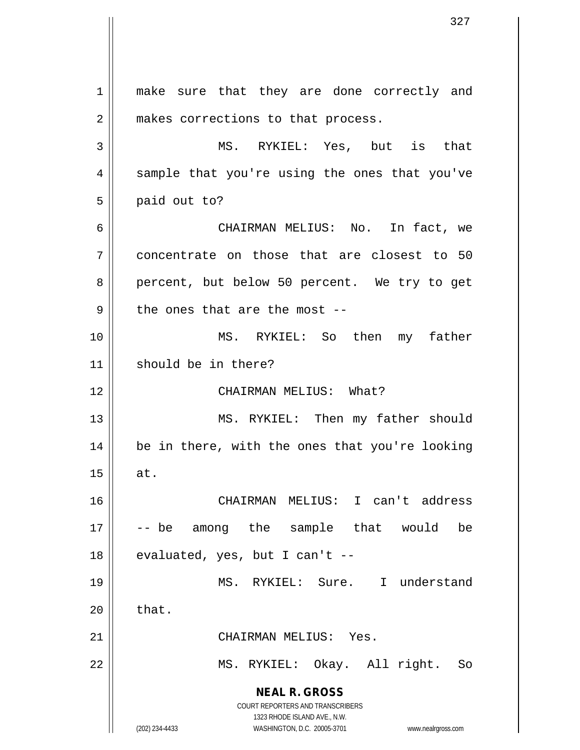**NEAL R. GROSS** COURT REPORTERS AND TRANSCRIBERS 1323 RHODE ISLAND AVE., N.W. (202) 234-4433 WASHINGTON, D.C. 20005-3701 www.nealrgross.com 1 || make sure that they are done correctly and 2 || makes corrections to that process. 3 MS. RYKIEL: Yes, but is that 4 || sample that you're using the ones that you've  $5 \parallel$  paid out to? 6 CHAIRMAN MELIUS: No. In fact, we 7 concentrate on those that are closest to 50 8 percent, but below 50 percent. We try to get  $9$  | the ones that are the most --10 MS. RYKIEL: So then my father 11 || should be in there? 12 CHAIRMAN MELIUS: What? 13 || MS. RYKIEL: Then my father should 14 be in there, with the ones that you're looking  $15$  at. 16 CHAIRMAN MELIUS: I can't address 17 -- be among the sample that would be  $18$  || evaluated, yes, but I can't --19 MS. RYKIEL: Sure. I understand  $20$  | that. 21 CHAIRMAN MELIUS: Yes. 22 MS. RYKIEL: Okay. All right. So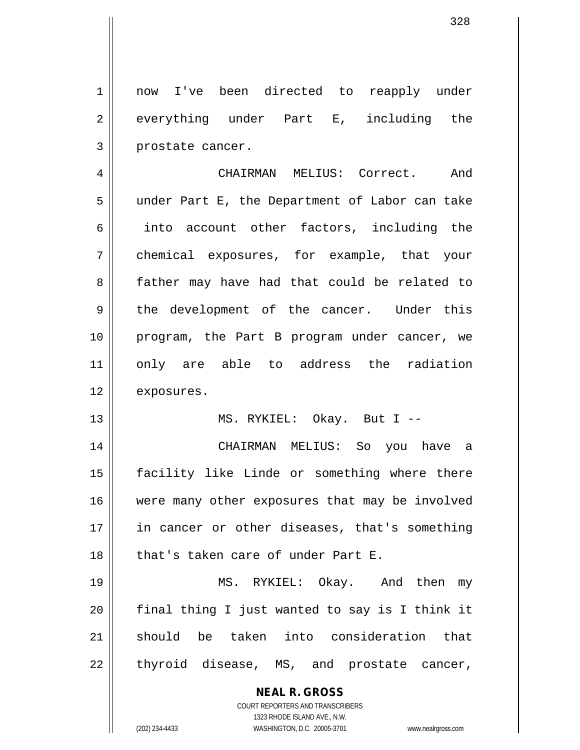1 || now I've been directed to reapply under 2 everything under Part E, including the 3 || prostate cancer.

4 CHAIRMAN MELIUS: Correct. And 5 under Part E, the Department of Labor can take 6 || into account other factors, including the 7 chemical exposures, for example, that your 8 || father may have had that could be related to 9 || the development of the cancer. Under this 10 program, the Part B program under cancer, we 11 || only are able to address the radiation 12 | exposures.

13 || MS. RYKIEL: Okay. But I --

14 CHAIRMAN MELIUS: So you have a 15 facility like Linde or something where there 16 || were many other exposures that may be involved 17 || in cancer or other diseases, that's something 18 that's taken care of under Part E.

19 MS. RYKIEL: Okay. And then my  $20$  || final thing I just wanted to say is I think it 21 should be taken into consideration that  $22 \parallel$  thyroid disease, MS, and prostate cancer,

> **NEAL R. GROSS** COURT REPORTERS AND TRANSCRIBERS 1323 RHODE ISLAND AVE., N.W. (202) 234-4433 WASHINGTON, D.C. 20005-3701 www.nealrgross.com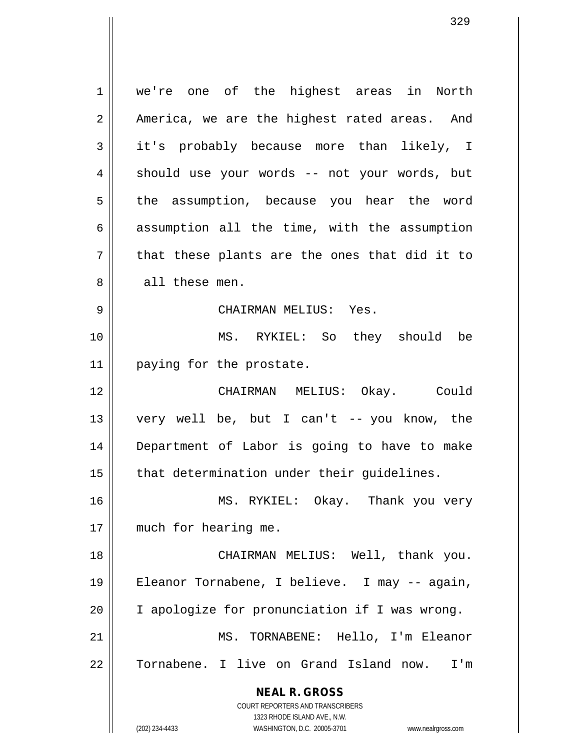**NEAL R. GROSS** COURT REPORTERS AND TRANSCRIBERS 1323 RHODE ISLAND AVE., N.W. (202) 234-4433 WASHINGTON, D.C. 20005-3701 www.nealrgross.com 1 we're one of the highest areas in North  $2 \parallel$  America, we are the highest rated areas. And 3 it's probably because more than likely, I  $4 \parallel$  should use your words -- not your words, but 5 || the assumption, because you hear the word  $6 \parallel$  assumption all the time, with the assumption  $7 \parallel$  that these plants are the ones that did it to 8 || all these men. 9 CHAIRMAN MELIUS: Yes. 10 MS. RYKIEL: So they should be 11 | paying for the prostate. 12 CHAIRMAN MELIUS: Okay. Could 13 very well be, but I can't -- you know, the 14 Department of Labor is going to have to make  $15$  | that determination under their quidelines. 16 || MS. RYKIEL: Okay. Thank you very 17 || much for hearing me. 18 || CHAIRMAN MELIUS: Well, thank you. 19 Eleanor Tornabene, I believe. I may -- again, 20 I apologize for pronunciation if I was wrong. 21 MS. TORNABENE: Hello, I'm Eleanor 22 Tornabene. I live on Grand Island now. I'm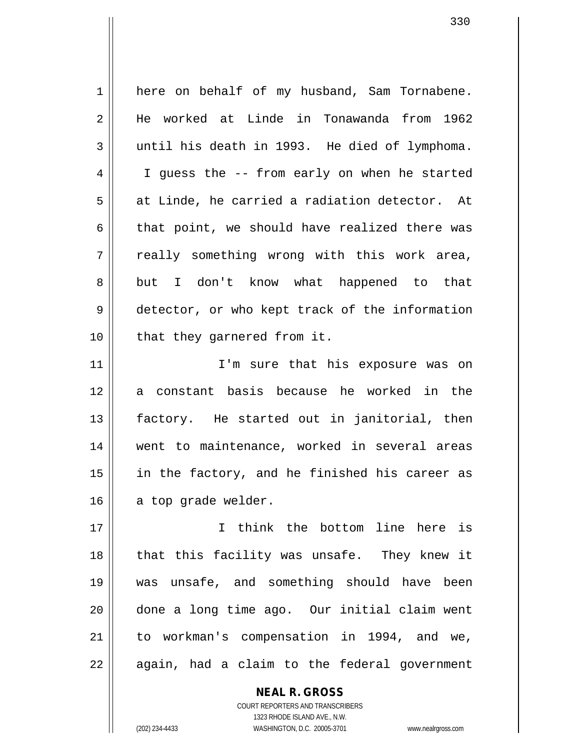1 here on behalf of my husband, Sam Tornabene. 2 He worked at Linde in Tonawanda from 1962  $3 \parallel$  until his death in 1993. He died of lymphoma. 4 | I guess the -- from early on when he started  $5 \parallel$  at Linde, he carried a radiation detector. At 6  $\parallel$  that point, we should have realized there was  $7 \parallel$  really something wrong with this work area, 8 but I don't know what happened to that 9 detector, or who kept track of the information 10 || that they garnered from it. 11 || T'm sure that his exposure was on 12 a constant basis because he worked in the 13 || factory. He started out in janitorial, then 14 went to maintenance, worked in several areas 15 || in the factory, and he finished his career as  $16$  a top grade welder. 17 I think the bottom line here is 18 || that this facility was unsafe. They knew it 19 was unsafe, and something should have been 20 done a long time ago. Our initial claim went 21 || to workman's compensation in 1994, and we,  $22$  || again, had a claim to the federal government

> **NEAL R. GROSS** COURT REPORTERS AND TRANSCRIBERS 1323 RHODE ISLAND AVE., N.W. (202) 234-4433 WASHINGTON, D.C. 20005-3701 www.nealrgross.com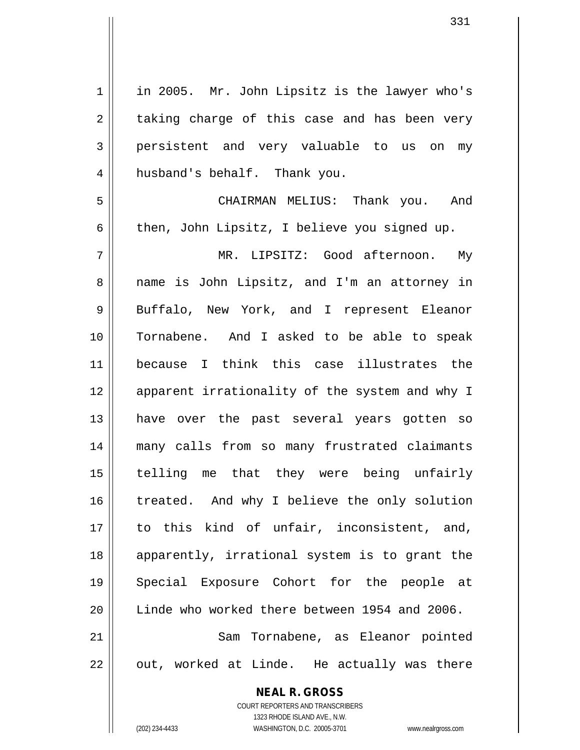**NEAL R. GROSS** COURT REPORTERS AND TRANSCRIBERS 1 || in 2005. Mr. John Lipsitz is the lawyer who's  $2 \parallel$  taking charge of this case and has been very 3 persistent and very valuable to us on my 4 || husband's behalf. Thank you. 5 CHAIRMAN MELIUS: Thank you. And 6  $\parallel$  then, John Lipsitz, I believe you signed up. 7 MR. LIPSITZ: Good afternoon. My 8 || name is John Lipsitz, and I'm an attorney in 9 || Buffalo, New York, and I represent Eleanor 10 Tornabene. And I asked to be able to speak 11 because I think this case illustrates the 12 || apparent irrationality of the system and why I 13 have over the past several years gotten so 14 many calls from so many frustrated claimants 15 telling me that they were being unfairly 16 treated. And why I believe the only solution 17 || to this kind of unfair, inconsistent, and, 18 apparently, irrational system is to grant the 19 Special Exposure Cohort for the people at 20 Linde who worked there between 1954 and 2006. 21 || Sam Tornabene, as Eleanor pointed  $22 \parallel$  out, worked at Linde. He actually was there

1323 RHODE ISLAND AVE., N.W.

(202) 234-4433 WASHINGTON, D.C. 20005-3701 www.nealrgross.com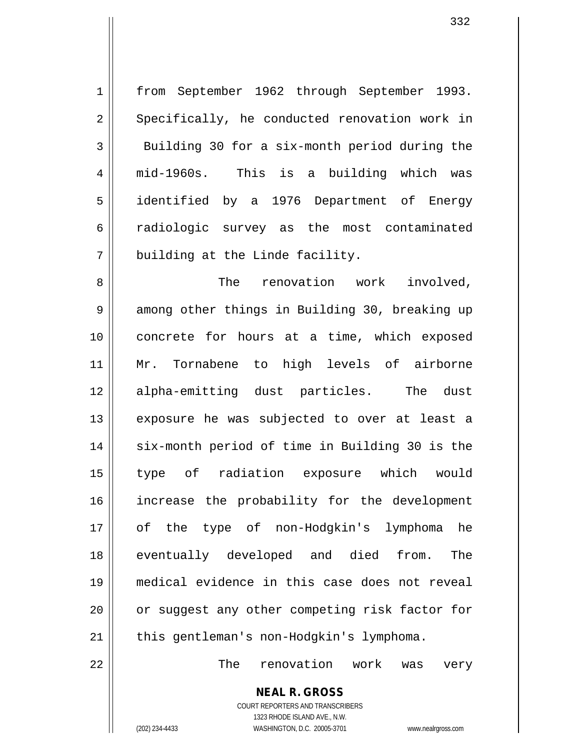1 || from September 1962 through September 1993. 2 || Specifically, he conducted renovation work in  $3 \parallel$  Building 30 for a six-month period during the 4 mid-1960s. This is a building which was 5 identified by a 1976 Department of Energy 6 radiologic survey as the most contaminated  $7$  || building at the Linde facility.

8 The renovation work involved, 9 || among other things in Building 30, breaking up 10 || concrete for hours at a time, which exposed 11 Mr. Tornabene to high levels of airborne 12 alpha-emitting dust particles. The dust 13 || exposure he was subjected to over at least a 14 || six-month period of time in Building 30 is the 15 type of radiation exposure which would 16 || increase the probability for the development 17 of the type of non-Hodgkin's lymphoma he 18 || eventually developed and died from. The 19 medical evidence in this case does not reveal 20 || or suggest any other competing risk factor for 21 | this gentleman's non-Hodgkin's lymphoma.

22 The renovation work was very

**NEAL R. GROSS** COURT REPORTERS AND TRANSCRIBERS 1323 RHODE ISLAND AVE., N.W.

(202) 234-4433 WASHINGTON, D.C. 20005-3701 www.nealrgross.com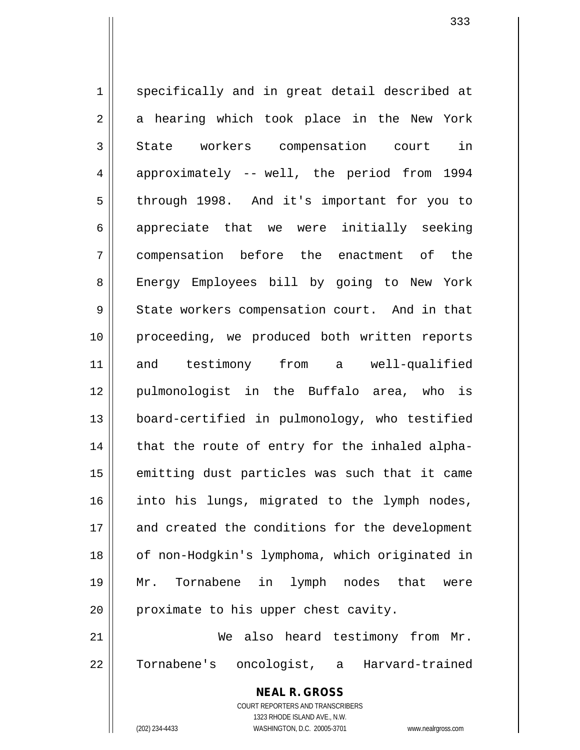1 specifically and in great detail described at 2 || a hearing which took place in the New York 3 State workers compensation court in  $4 \parallel$  approximately -- well, the period from 1994 5 || through 1998. And it's important for you to  $6$  || appreciate that we were initially seeking 7 compensation before the enactment of the 8 | Energy Employees bill by going to New York 9 State workers compensation court. And in that 10 proceeding, we produced both written reports 11 and testimony from a well-qualified 12 pulmonologist in the Buffalo area, who is 13 board-certified in pulmonology, who testified  $14$  | that the route of entry for the inhaled alpha- $15$  emitting dust particles was such that it came 16 || into his lungs, migrated to the lymph nodes, 17 and created the conditions for the development 18 || of non-Hodgkin's lymphoma, which originated in 19 Mr. Tornabene in lymph nodes that were  $20$  | proximate to his upper chest cavity. 21 We also heard testimony from Mr. 22 Tornabene's oncologist, a Harvard-trained

333

COURT REPORTERS AND TRANSCRIBERS 1323 RHODE ISLAND AVE., N.W. (202) 234-4433 WASHINGTON, D.C. 20005-3701 www.nealrgross.com

**NEAL R. GROSS**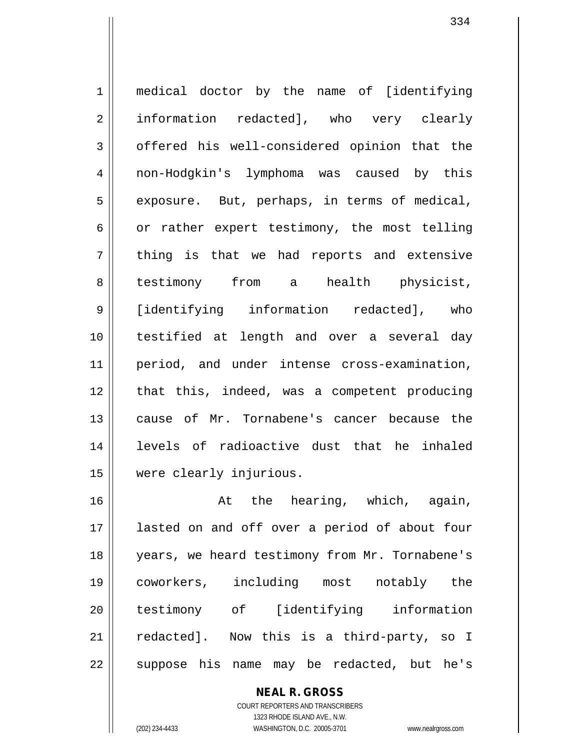1 || medical doctor by the name of [identifying 2 information redacted], who very clearly 3 | offered his well-considered opinion that the 4 non-Hodgkin's lymphoma was caused by this  $5 \parallel$  exposure. But, perhaps, in terms of medical, 6  $\vert$  or rather expert testimony, the most telling  $7 \parallel$  thing is that we had reports and extensive 8 || testimony from a health physicist, 9 [identifying information redacted], who 10 testified at length and over a several day 11 period, and under intense cross-examination, 12 || that this, indeed, was a competent producing 13 cause of Mr. Tornabene's cancer because the 14 levels of radioactive dust that he inhaled 15 were clearly injurious.

16 || At the hearing, which, again, lasted on and off over a period of about four years, we heard testimony from Mr. Tornabene's coworkers, including most notably the testimony of [identifying information redacted]. Now this is a third-party, so I 22 || suppose his name may be redacted, but he's

> **NEAL R. GROSS** COURT REPORTERS AND TRANSCRIBERS 1323 RHODE ISLAND AVE., N.W. (202) 234-4433 WASHINGTON, D.C. 20005-3701 www.nealrgross.com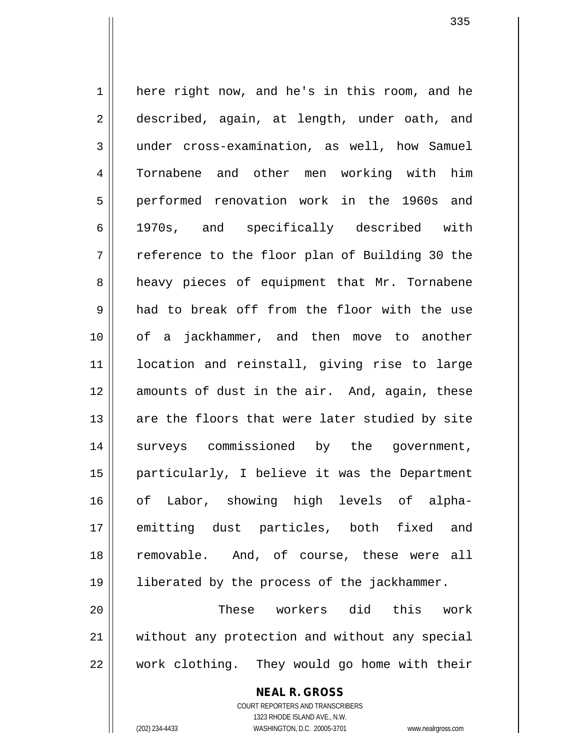1 here right now, and he's in this room, and he 2 described, again, at length, under oath, and under cross-examination, as well, how Samuel Tornabene and other men working with him performed renovation work in the 1960s and 1970s, and specifically described with  $7 \parallel$  reference to the floor plan of Building 30 the 8 a heavy pieces of equipment that Mr. Tornabene had to break off from the floor with the use of a jackhammer, and then move to another location and reinstall, giving rise to large 12 amounts of dust in the air. And, again, these 13 || are the floors that were later studied by site surveys commissioned by the government, particularly, I believe it was the Department of Labor, showing high levels of alpha- emitting dust particles, both fixed and 18 || removable. And, of course, these were all liberated by the process of the jackhammer. These workers did this work

21 without any protection and without any special  $22$   $\parallel$  work clothing. They would go home with their

**NEAL R. GROSS**

COURT REPORTERS AND TRANSCRIBERS 1323 RHODE ISLAND AVE., N.W. (202) 234-4433 WASHINGTON, D.C. 20005-3701 www.nealrgross.com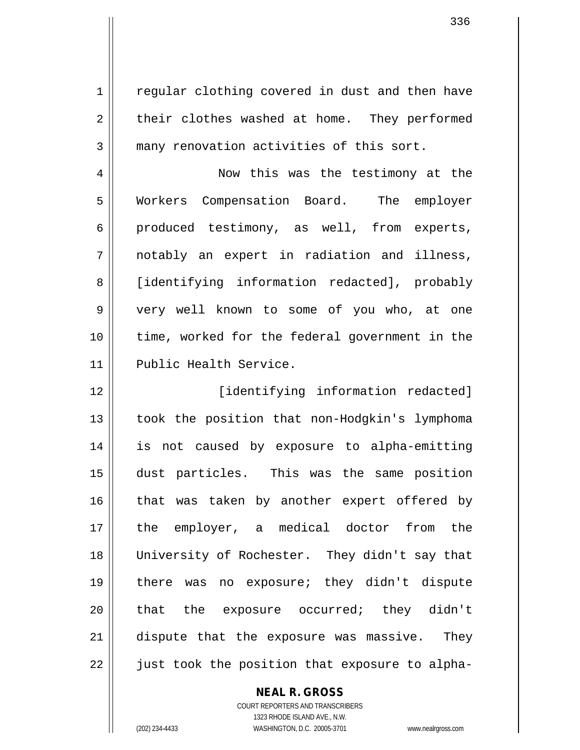1 | regular clothing covered in dust and then have  $2 \parallel$  their clothes washed at home. They performed 3 many renovation activities of this sort.

4 | Now this was the testimony at the 5 | Workers Compensation Board. The employer  $6 \parallel$  produced testimony, as well, from experts, 7 notably an expert in radiation and illness, 8 | [identifying information redacted], probably 9 | very well known to some of you who, at one 10 || time, worked for the federal government in the 11 Public Health Service.

 [identifying information redacted] took the position that non-Hodgkin's lymphoma is not caused by exposure to alpha-emitting dust particles. This was the same position that was taken by another expert offered by the employer, a medical doctor from the 18 || University of Rochester. They didn't say that there was no exposure; they didn't dispute 20 || that the exposure occurred; they didn't dispute that the exposure was massive. They 22 || just took the position that exposure to alpha-

**NEAL R. GROSS**

COURT REPORTERS AND TRANSCRIBERS 1323 RHODE ISLAND AVE., N.W. (202) 234-4433 WASHINGTON, D.C. 20005-3701 www.nealrgross.com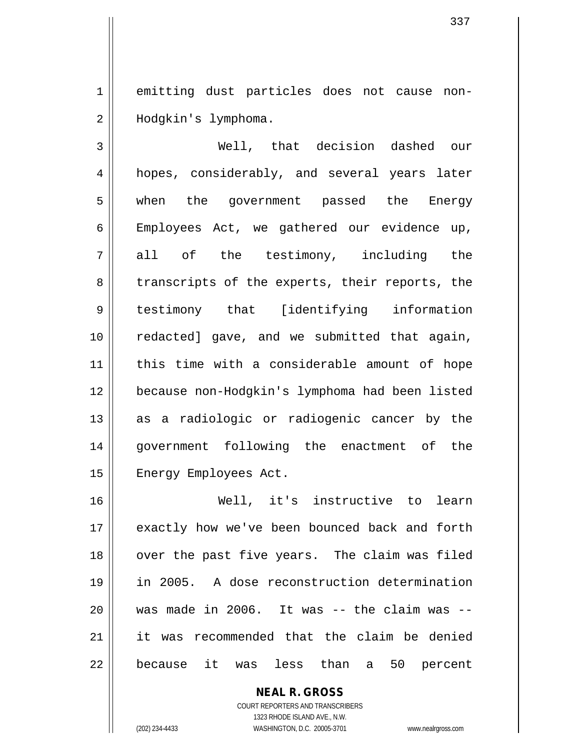1 emitting dust particles does not cause non-2 | Hodgkin's lymphoma.

 Well, that decision dashed our 4 || hopes, considerably, and several years later when the government passed the Energy Employees Act, we gathered our evidence up,  $7 \parallel$  all of the testimony, including the 8 || transcripts of the experts, their reports, the testimony that [identifying information 10 || redacted] gave, and we submitted that again, this time with a considerable amount of hope because non-Hodgkin's lymphoma had been listed as a radiologic or radiogenic cancer by the government following the enactment of the 15 | Energy Employees Act.

 Well, it's instructive to learn exactly how we've been bounced back and forth 18 || over the past five years. The claim was filed in 2005. A dose reconstruction determination || was made in 2006. It was  $-$ - the claim was  $-$ - it was recommended that the claim be denied 22 || because it was less than a 50 percent

> **NEAL R. GROSS** COURT REPORTERS AND TRANSCRIBERS 1323 RHODE ISLAND AVE., N.W. (202) 234-4433 WASHINGTON, D.C. 20005-3701 www.nealrgross.com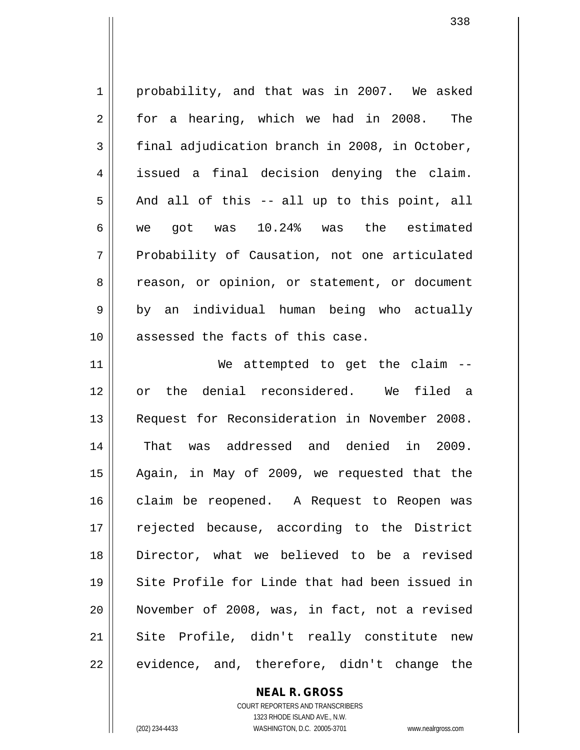1 probability, and that was in 2007. We asked 2 for a hearing, which we had in 2008. The  $3 \parallel$  final adjudication branch in 2008, in October, 4 issued a final decision denying the claim.  $5 \parallel$  And all of this -- all up to this point, all 6 we got was 10.24% was the estimated 7 Probability of Causation, not one articulated 8 || reason, or opinion, or statement, or document  $9 \parallel$  by an individual human being who actually 10 || assessed the facts of this case. 11 || We attempted to get the claim --12 or the denial reconsidered. We filed a 13 Request for Reconsideration in November 2008. 14 That was addressed and denied in 2009. 15 Again, in May of 2009, we requested that the 16 || claim be reopened. A Request to Reopen was 17 || rejected because, according to the District 18 Director, what we believed to be a revised 19 || Site Profile for Linde that had been issued in 20 November of 2008, was, in fact, not a revised 21 || Site Profile, didn't really constitute new  $22 \parallel$  evidence, and, therefore, didn't change the

> **NEAL R. GROSS** COURT REPORTERS AND TRANSCRIBERS

> > 1323 RHODE ISLAND AVE., N.W.

(202) 234-4433 WASHINGTON, D.C. 20005-3701 www.nealrgross.com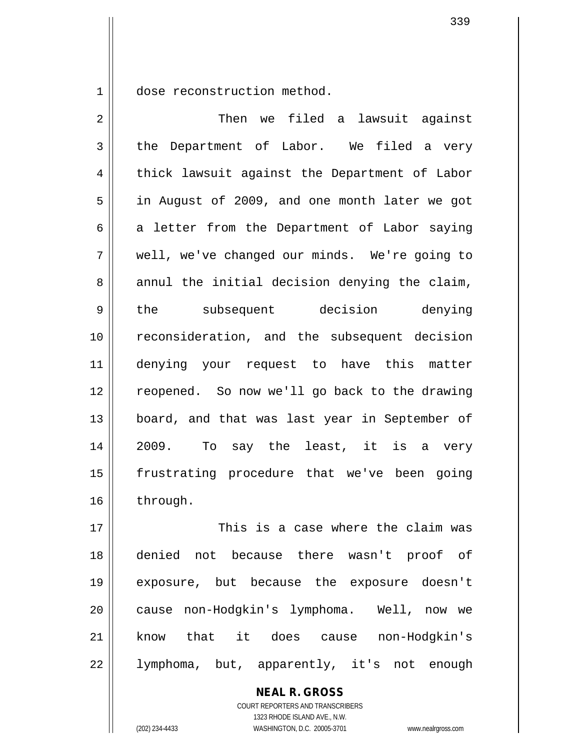1 || dose reconstruction method.

2 Then we filed a lawsuit against  $3 \parallel$  the Department of Labor. We filed a very 4 || thick lawsuit against the Department of Labor 5 || in August of 2009, and one month later we got  $6 \parallel$  a letter from the Department of Labor saying 7 well, we've changed our minds. We're going to  $8 \parallel$  annul the initial decision denying the claim, 9 the subsequent decision denying 10 reconsideration, and the subsequent decision 11 denying your request to have this matter 12 reopened. So now we'll go back to the drawing 13 || board, and that was last year in September of 14 2009. To say the least, it is a very 15 frustrating procedure that we've been going 16 through. 17 This is a case where the claim was 18 denied not because there wasn't proof of

339

COURT REPORTERS AND TRANSCRIBERS 1323 RHODE ISLAND AVE., N.W. (202) 234-4433 WASHINGTON, D.C. 20005-3701 www.nealrgross.com

19 exposure, but because the exposure doesn't

20 || cause non-Hodgkin's lymphoma. Well, now we

21 know that it does cause non-Hodgkin's

22 lymphoma, but, apparently, it's not enough

**NEAL R. GROSS**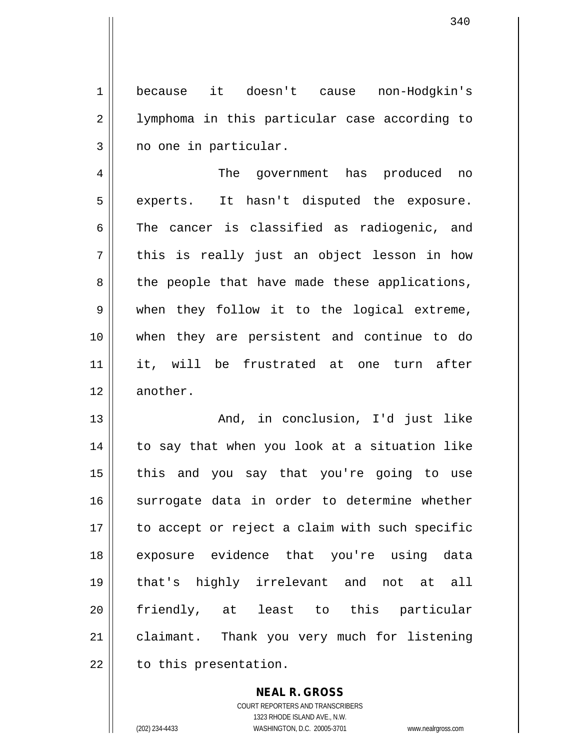1 because it doesn't cause non-Hodgkin's 2 || Iymphoma in this particular case according to  $3 \parallel$  no one in particular.

4 The government has produced no  $5 \parallel$  experts. It hasn't disputed the exposure.  $6 \parallel$  The cancer is classified as radiogenic, and  $7 \parallel$  this is really just an object lesson in how  $8 \parallel$  the people that have made these applications, 9 when they follow it to the logical extreme, 10 when they are persistent and continue to do 11 it, will be frustrated at one turn after 12 || another.

13 || The Mondial And, in conclusion, I'd just like 14 || to say that when you look at a situation like 15 || this and you say that you're going to use 16 surrogate data in order to determine whether 17 || to accept or reject a claim with such specific 18 exposure evidence that you're using data 19 that's highly irrelevant and not at all 20 || friendly, at least to this particular 21 | claimant. Thank you very much for listening  $22$  | to this presentation.

> COURT REPORTERS AND TRANSCRIBERS 1323 RHODE ISLAND AVE., N.W. (202) 234-4433 WASHINGTON, D.C. 20005-3701 www.nealrgross.com

**NEAL R. GROSS**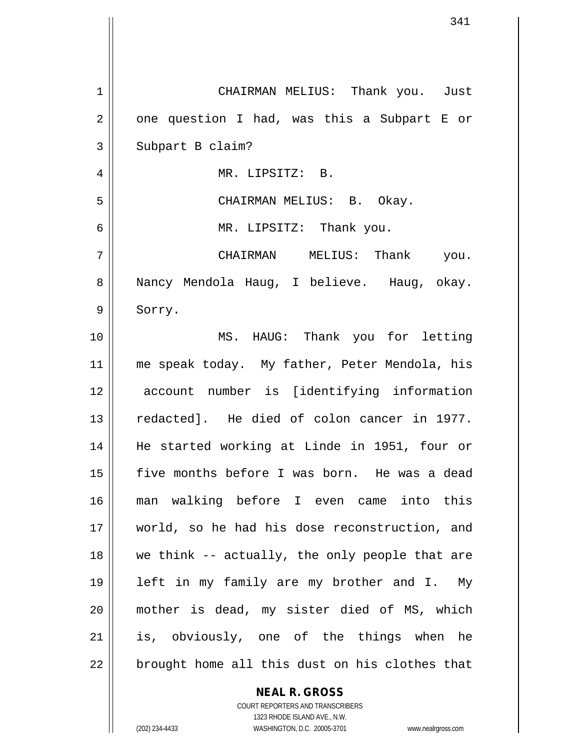| $\mathbf 1$    | CHAIRMAN MELIUS: Thank you. Just               |
|----------------|------------------------------------------------|
| $\overline{2}$ | one question I had, was this a Subpart E or    |
| 3              | Subpart B claim?                               |
| 4              | MR. LIPSITZ: B.                                |
| 5              | CHAIRMAN MELIUS: B. Okay.                      |
| 6              | MR. LIPSITZ: Thank you.                        |
| 7              | CHAIRMAN MELIUS: Thank you.                    |
| 8              | Nancy Mendola Haug, I believe. Haug, okay.     |
| 9              | Sorry.                                         |
| 10             | MS. HAUG: Thank you for letting                |
| 11             | me speak today. My father, Peter Mendola, his  |
| 12             | account number is [identifying information     |
| 13             | redacted]. He died of colon cancer in 1977.    |
| 14             | He started working at Linde in 1951, four or   |
| 15             | five months before I was born. He was a dead   |
| 16             | man walking before I even came into this       |
| 17             | world, so he had his dose reconstruction, and  |
| 18             | we think -- actually, the only people that are |
| 19             | left in my family are my brother and I. My     |
| 20             | mother is dead, my sister died of MS, which    |
| 21             | is, obviously, one of the things when he       |
| 22             | brought home all this dust on his clothes that |

## **NEAL R. GROSS**

COURT REPORTERS AND TRANSCRIBERS 1323 RHODE ISLAND AVE., N.W. (202) 234-4433 WASHINGTON, D.C. 20005-3701 www.nealrgross.com

 $\mathbf{I}$ 

 $\mathsf{I}$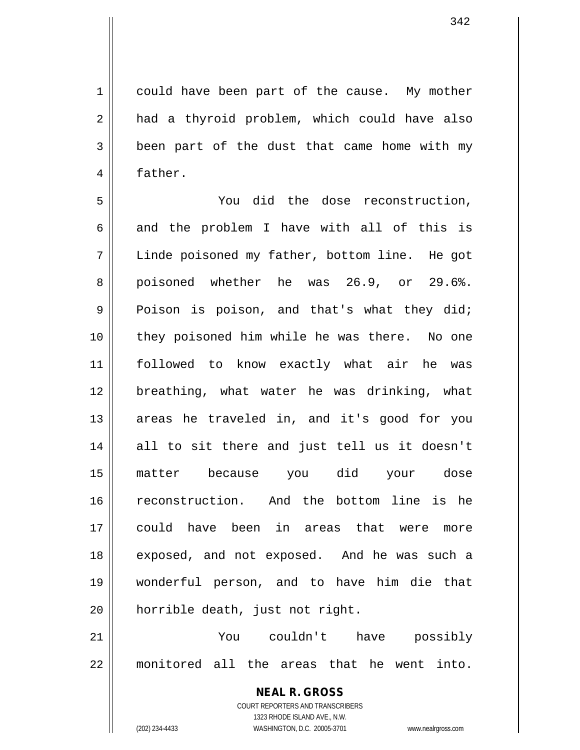1 || could have been part of the cause. My mother 2 || had a thyroid problem, which could have also  $3 \parallel$  been part of the dust that came home with my 4 | father.

5 You did the dose reconstruction, 6 and the problem I have with all of this is 7 Linde poisoned my father, bottom line. He got 8 poisoned whether he was 26.9, or 29.6%.  $9 \parallel$  Poison is poison, and that's what they did; 10 || they poisoned him while he was there. No one 11 followed to know exactly what air he was 12 breathing, what water he was drinking, what 13 || areas he traveled in, and it's good for you 14 || all to sit there and just tell us it doesn't 15 matter because you did your dose 16 reconstruction. And the bottom line is he 17 could have been in areas that were more 18 || exposed, and not exposed. And he was such a 19 wonderful person, and to have him die that 20 || horrible death, just not right.

21 You couldn't have possibly 22 monitored all the areas that he went into.

> **NEAL R. GROSS** COURT REPORTERS AND TRANSCRIBERS 1323 RHODE ISLAND AVE., N.W. (202) 234-4433 WASHINGTON, D.C. 20005-3701 www.nealrgross.com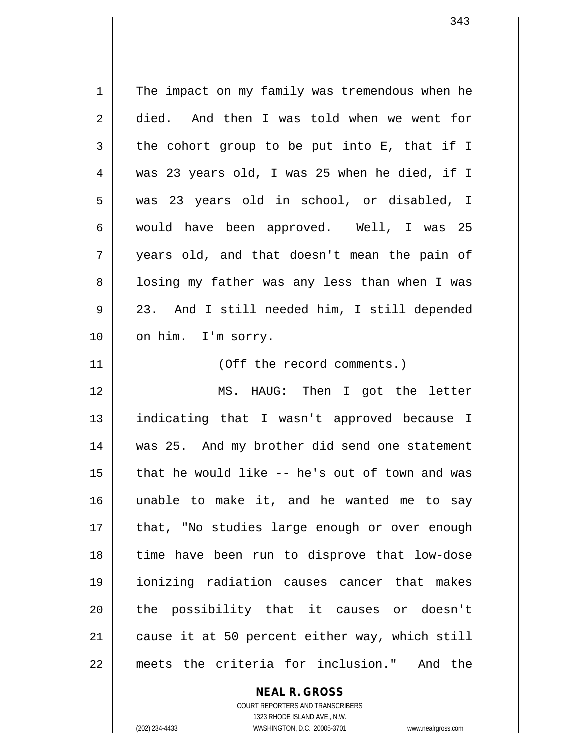1 The impact on my family was tremendous when he 2 died. And then I was told when we went for  $3 \parallel$  the cohort group to be put into E, that if I was 23 years old, I was 25 when he died, if I was 23 years old in school, or disabled, I would have been approved. Well, I was 25 years old, and that doesn't mean the pain of 8 || losing my father was any less than when I was 23. And I still needed him, I still depended 10 || on him. I'm sorry. 11 || (Off the record comments.) MS. HAUG: Then I got the letter indicating that I wasn't approved because I was 25. And my brother did send one statement that he would like -- he's out of town and was unable to make it, and he wanted me to say 17 || that, "No studies large enough or over enough time have been run to disprove that low-dose ionizing radiation causes cancer that makes 20 || the possibility that it causes or doesn't cause it at 50 percent either way, which still meets the criteria for inclusion." And the

> **NEAL R. GROSS** COURT REPORTERS AND TRANSCRIBERS

1323 RHODE ISLAND AVE., N.W. (202) 234-4433 WASHINGTON, D.C. 20005-3701 www.nealrgross.com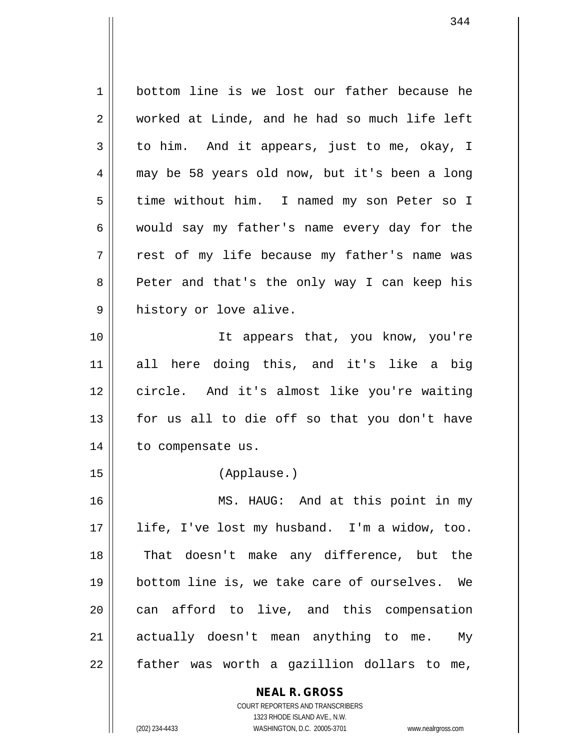1 bottom line is we lost our father because he 2 worked at Linde, and he had so much life left  $3 \parallel$  to him. And it appears, just to me, okay, I 4 may be 58 years old now, but it's been a long 5 | time without him. I named my son Peter so I 6 would say my father's name every day for the  $7 \parallel$  rest of my life because my father's name was 8 || Peter and that's the only way I can keep his 9 | history or love alive. 10 It appears that, you know, you're 11 all here doing this, and it's like a big 12 circle. And it's almost like you're waiting  $13$  for us all to die off so that you don't have 14 | to compensate us. 15 (Applause.) 16 MS. HAUG: And at this point in my 17 || life, I've lost my husband. I'm a widow, too. 18 || That doesn't make any difference, but the 19 || bottom line is, we take care of ourselves. We 20 || can afford to live, and this compensation 21 || actually doesn't mean anything to me. My  $22$  | father was worth a gazillion dollars to me,

> **NEAL R. GROSS** COURT REPORTERS AND TRANSCRIBERS

> > 1323 RHODE ISLAND AVE., N.W.

(202) 234-4433 WASHINGTON, D.C. 20005-3701 www.nealrgross.com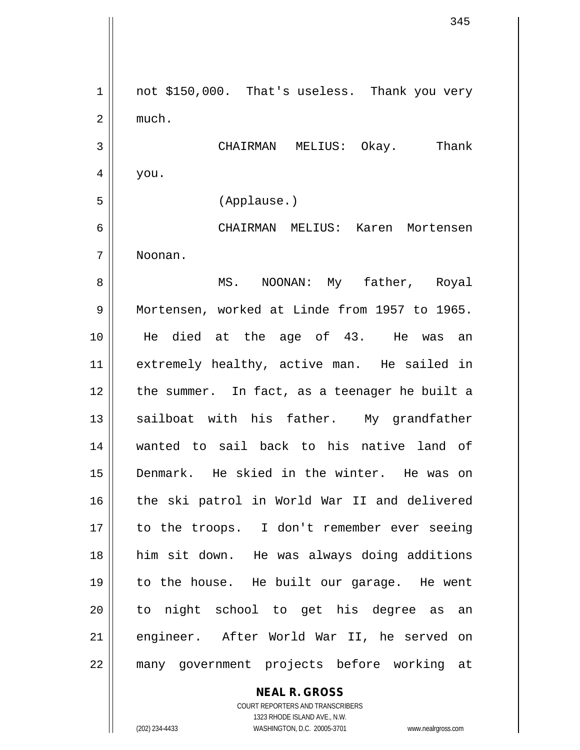$1 \parallel$  not \$150,000. That's useless. Thank you very  $2 \parallel$  much. 3 CHAIRMAN MELIUS: Okay. Thank  $4 \mid$  you. 5 (Applause.) 6 CHAIRMAN MELIUS: Karen Mortensen 7 Noonan. 8 || MS. NOONAN: My father, Royal 9 Mortensen, worked at Linde from 1957 to 1965. 10 He died at the age of 43. He was an 11 || extremely healthy, active man. He sailed in 12 the summer. In fact, as a teenager he built a 13 || sailboat with his father. My grandfather 14 wanted to sail back to his native land of 15 Denmark. He skied in the winter. He was on 16 || the ski patrol in World War II and delivered 17 || to the troops. I don't remember ever seeing 18 him sit down. He was always doing additions 19 to the house. He built our garage. He went 20 || to night school to get his degree as an 21 || engineer. After World War II, he served on 22 many government projects before working at

> **NEAL R. GROSS** COURT REPORTERS AND TRANSCRIBERS

> > 1323 RHODE ISLAND AVE., N.W.

(202) 234-4433 WASHINGTON, D.C. 20005-3701 www.nealrgross.com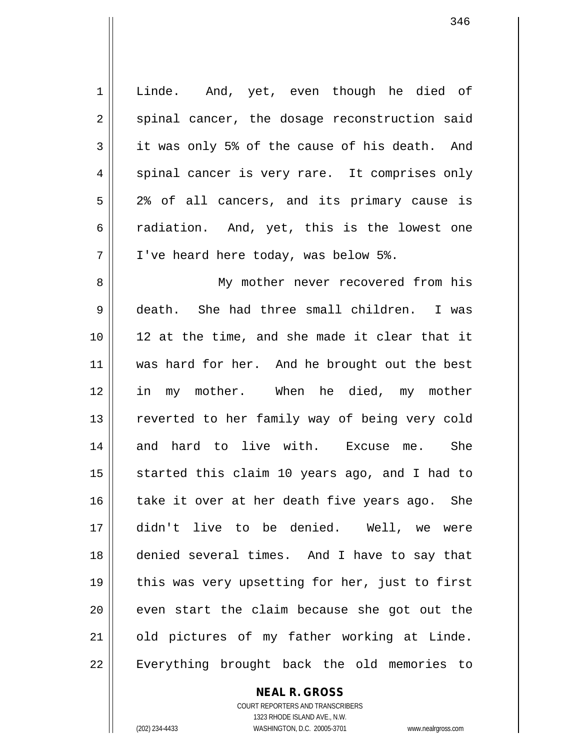| $\mathbf 1$ | Linde. And, yet, even though he died of        |
|-------------|------------------------------------------------|
| 2           | spinal cancer, the dosage reconstruction said  |
| 3           | it was only 5% of the cause of his death. And  |
| 4           | spinal cancer is very rare. It comprises only  |
| 5           | 2% of all cancers, and its primary cause is    |
| 6           | radiation. And, yet, this is the lowest one    |
| 7           | I've heard here today, was below 5%.           |
| 8           | My mother never recovered from his             |
| 9           | death. She had three small children. I was     |
| 10          | 12 at the time, and she made it clear that it  |
| 11          | was hard for her. And he brought out the best  |
| 12          | in my mother. When he died, my mother          |
| 13          | reverted to her family way of being very cold  |
| 14          | and hard to live with. Excuse me. She          |
| 15          | started this claim 10 years ago, and I had to  |
| 16          | take it over at her death five years ago. She  |
| 17          | didn't live to be denied. Well, we were        |
| 18          | denied several times. And I have to say that   |
| 19          | this was very upsetting for her, just to first |
| 20          | even start the claim because she got out the   |
| 21          | old pictures of my father working at Linde.    |
| 22          | Everything brought back the old memories to    |

**NEAL R. GROSS** COURT REPORTERS AND TRANSCRIBERS

1323 RHODE ISLAND AVE., N.W.

(202) 234-4433 WASHINGTON, D.C. 20005-3701 www.nealrgross.com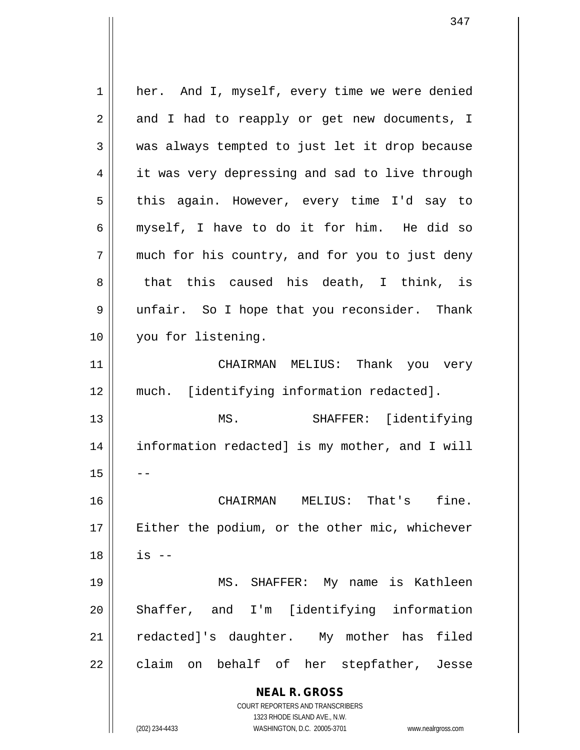**NEAL R. GROSS** COURT REPORTERS AND TRANSCRIBERS 1323 RHODE ISLAND AVE., N.W. (202) 234-4433 WASHINGTON, D.C. 20005-3701 www.nealrgross.com 1 || her. And I, myself, every time we were denied  $2 \parallel$  and I had to reapply or get new documents, I 3 was always tempted to just let it drop because 4 | it was very depressing and sad to live through 5 || this again. However, every time I'd say to 6 myself, I have to do it for him. He did so  $7$  || much for his country, and for you to just deny  $8 \parallel$  that this caused his death, I think, is 9 unfair. So I hope that you reconsider. Thank 10 || you for listening. 11 CHAIRMAN MELIUS: Thank you very 12 much. [identifying information redacted]. 13 MS. SHAFFER: [identifying 14 information redacted] is my mother, and I will  $15$ 16 CHAIRMAN MELIUS: That's fine. 17 || Either the podium, or the other mic, whichever  $18 \parallel$  is  $-$ 19 MS. SHAFFER: My name is Kathleen 20 || Shaffer, and I'm [identifying information 21 || redacted]'s daughter. My mother has filed 22 || claim on behalf of her stepfather, Jesse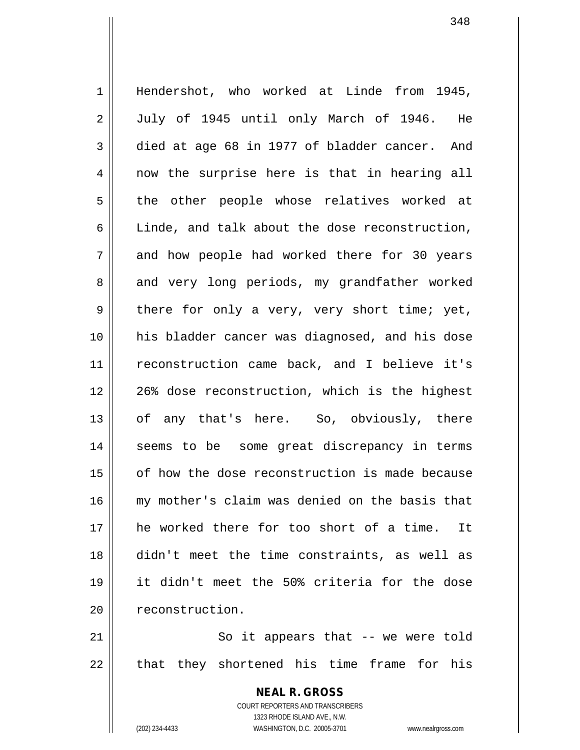1 || Hendershot, who worked at Linde from 1945, 2 July of 1945 until only March of 1946. He  $3 \parallel$  died at age 68 in 1977 of bladder cancer. And 4 || now the surprise here is that in hearing all 5 || the other people whose relatives worked at  $6 \parallel$  Linde, and talk about the dose reconstruction, 7 and how people had worked there for 30 years 8 and very long periods, my grandfather worked  $9 \parallel$  there for only a very, very short time; yet, 10 his bladder cancer was diagnosed, and his dose 11 || reconstruction came back, and I believe it's 12 || 26% dose reconstruction, which is the highest 13 || of any that's here. So, obviously, there 14 || seems to be some great discrepancy in terms 15 || of how the dose reconstruction is made because 16 my mother's claim was denied on the basis that 17 he worked there for too short of a time. It 18 didn't meet the time constraints, as well as 19 it didn't meet the 50% criteria for the dose 20 | reconstruction.

21 || So it appears that -- we were told  $22$  || that they shortened his time frame for his

> **NEAL R. GROSS** COURT REPORTERS AND TRANSCRIBERS 1323 RHODE ISLAND AVE., N.W. (202) 234-4433 WASHINGTON, D.C. 20005-3701 www.nealrgross.com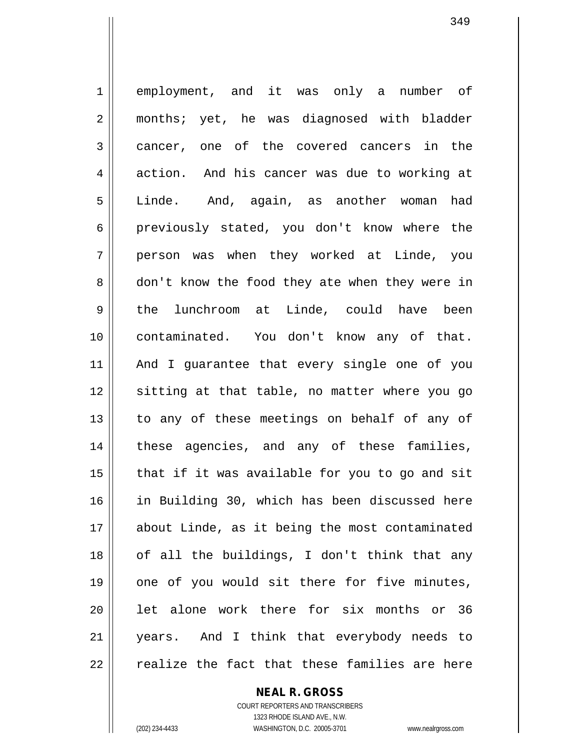1 employment, and it was only a number of 2 || months; yet, he was diagnosed with bladder 3 cancer, one of the covered cancers in the 4 action. And his cancer was due to working at 5 Linde. And, again, as another woman had 6 previously stated, you don't know where the 7 person was when they worked at Linde, you 8 don't know the food they ate when they were in 9 the lunchroom at Linde, could have been 10 contaminated. You don't know any of that. 11 And I guarantee that every single one of you 12 || sitting at that table, no matter where you go 13 || to any of these meetings on behalf of any of 14 || these agencies, and any of these families,  $15$  | that if it was available for you to go and sit 16 in Building 30, which has been discussed here 17 about Linde, as it being the most contaminated  $18$  || of all the buildings, I don't think that any 19 || one of you would sit there for five minutes, 20 || let alone work there for six months or 36 21 years. And I think that everybody needs to  $22$   $\parallel$  realize the fact that these families are here

(202) 234-4433 WASHINGTON, D.C. 20005-3701 www.nealrgross.com

COURT REPORTERS AND TRANSCRIBERS 1323 RHODE ISLAND AVE., N.W.

**NEAL R. GROSS**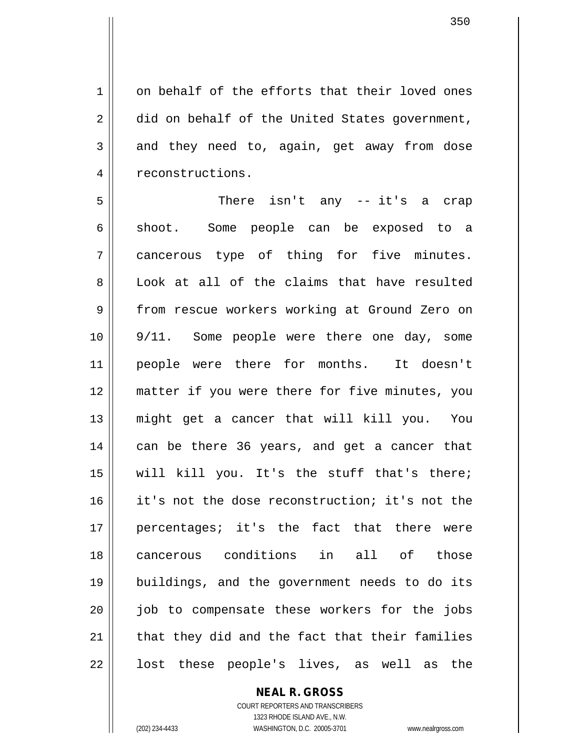1 on behalf of the efforts that their loved ones  $2 \parallel$  did on behalf of the United States government,  $3 \parallel$  and they need to, again, get away from dose 4 | reconstructions.

5 There isn't any -- it's a crap 6 shoot. Some people can be exposed to a 7 cancerous type of thing for five minutes. 8 | Look at all of the claims that have resulted 9 | from rescue workers working at Ground Zero on 10 9/11. Some people were there one day, some 11 || people were there for months. It doesn't 12 matter if you were there for five minutes, you 13 might get a cancer that will kill you. You 14 || can be there 36 years, and get a cancer that 15 || will kill you. It's the stuff that's there; 16 it's not the dose reconstruction; it's not the 17 percentages; it's the fact that there were 18 cancerous conditions in all of those 19 buildings, and the government needs to do its 20 || job to compensate these workers for the jobs  $21$  | that they did and the fact that their families  $22 \parallel$  lost these people's lives, as well as the

## **NEAL R. GROSS**

COURT REPORTERS AND TRANSCRIBERS 1323 RHODE ISLAND AVE., N.W. (202) 234-4433 WASHINGTON, D.C. 20005-3701 www.nealrgross.com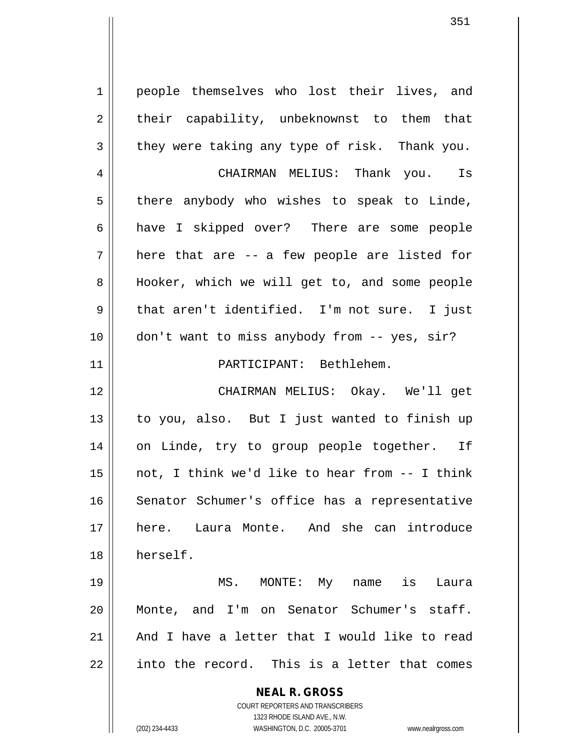1 | people themselves who lost their lives, and  $2 \parallel$  their capability, unbeknownst to them that  $3 \parallel$  they were taking any type of risk. Thank you. 4 CHAIRMAN MELIUS: Thank you. Is  $5 \parallel$  there anybody who wishes to speak to Linde, 6 have I skipped over? There are some people  $7 \parallel$  here that are -- a few people are listed for 8 || Hooker, which we will get to, and some people  $9 \parallel$  that aren't identified. I'm not sure. I just 10 don't want to miss anybody from -- yes, sir? 11 PARTICIPANT: Bethlehem. 12 CHAIRMAN MELIUS: Okay. We'll get 13 || to you, also. But I just wanted to finish up 14 on Linde, try to group people together. If 15  $\parallel$  not, I think we'd like to hear from  $-$  I think 16 || Senator Schumer's office has a representative 17 here. Laura Monte. And she can introduce 18 herself.

 MS. MONTE: My name is Laura Monte, and I'm on Senator Schumer's staff.  $\parallel$  And I have a letter that I would like to read || into the record. This is a letter that comes

> **NEAL R. GROSS** COURT REPORTERS AND TRANSCRIBERS 1323 RHODE ISLAND AVE., N.W.

(202) 234-4433 WASHINGTON, D.C. 20005-3701 www.nealrgross.com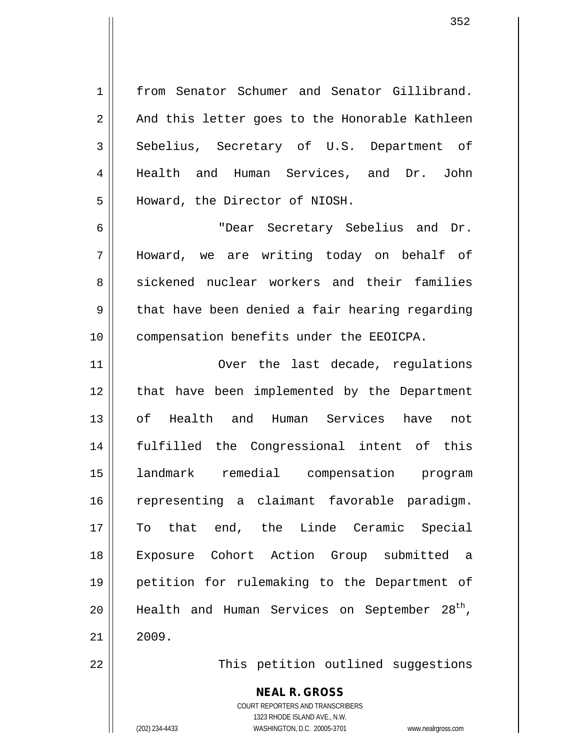1 from Senator Schumer and Senator Gillibrand.  $2 \parallel$  And this letter goes to the Honorable Kathleen 3 Sebelius, Secretary of U.S. Department of 4 || Health and Human Services, and Dr. John 5 Howard, the Director of NIOSH.

6 "Dear Secretary Sebelius and Dr. 7 Howard, we are writing today on behalf of 8 sickened nuclear workers and their families  $9 \parallel$  that have been denied a fair hearing regarding 10 | compensation benefits under the EEOICPA.

11 || Over the last decade, requiations 12 || that have been implemented by the Department of Health and Human Services have not fulfilled the Congressional intent of this landmark remedial compensation program representing a claimant favorable paradigm. To that end, the Linde Ceramic Special Exposure Cohort Action Group submitted a petition for rulemaking to the Department of 20 || Health and Human Services on September 28<sup>th</sup>,  $21 \parallel 2009$ .

22 This petition outlined suggestions

**NEAL R. GROSS**

COURT REPORTERS AND TRANSCRIBERS 1323 RHODE ISLAND AVE., N.W. (202) 234-4433 WASHINGTON, D.C. 20005-3701 www.nealrgross.com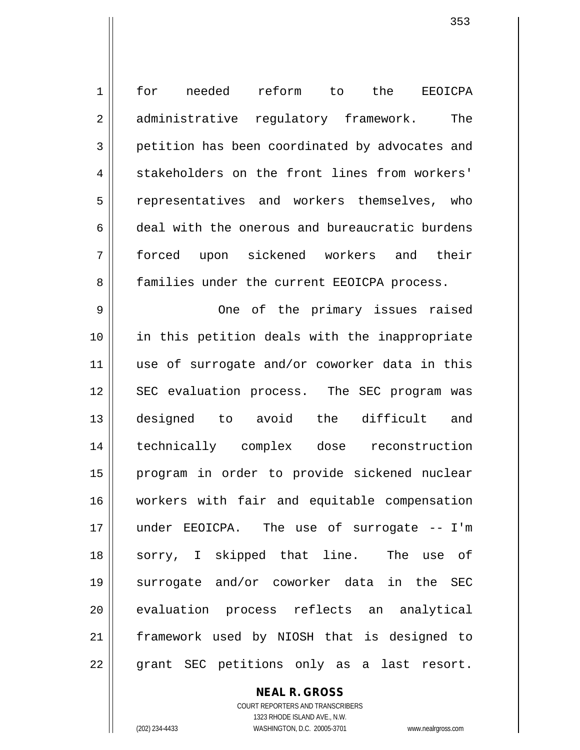1 for needed reform to the EEOICPA 2 administrative regulatory framework. The 3 petition has been coordinated by advocates and 4 stakeholders on the front lines from workers' 5 || representatives and workers themselves, who 6 deal with the onerous and bureaucratic burdens 7 forced upon sickened workers and their 8 || families under the current EEOICPA process. 9 One of the primary issues raised 10 in this petition deals with the inappropriate 11 || use of surrogate and/or coworker data in this 12 || SEC evaluation process. The SEC program was 13 designed to avoid the difficult and 14 technically complex dose reconstruction 15 program in order to provide sickened nuclear 16 workers with fair and equitable compensation 17 under EEOICPA. The use of surrogate -- I'm 18 Sorry, I skipped that line. The use of 19 surrogate and/or coworker data in the SEC 20 || evaluation process reflects an analytical 21 framework used by NIOSH that is designed to 22 || grant SEC petitions only as a last resort.

> **NEAL R. GROSS** COURT REPORTERS AND TRANSCRIBERS 1323 RHODE ISLAND AVE., N.W.

(202) 234-4433 WASHINGTON, D.C. 20005-3701 www.nealrgross.com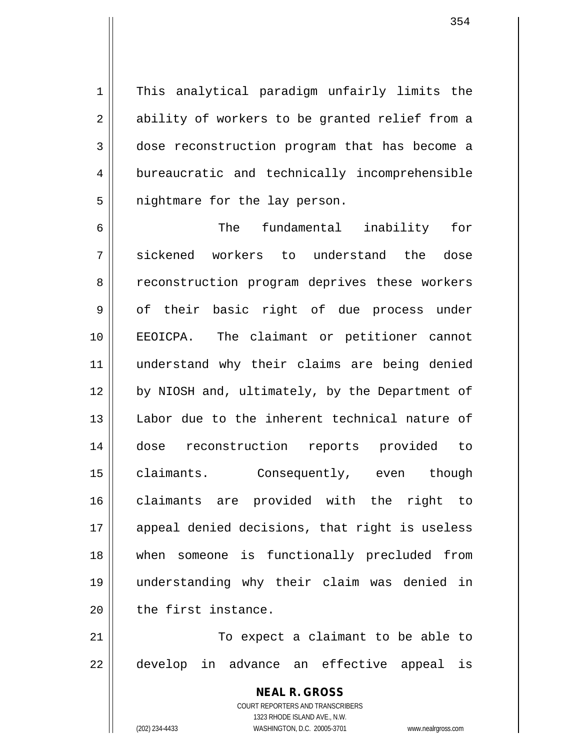1 || This analytical paradigm unfairly limits the 2 || ability of workers to be granted relief from a 3 dose reconstruction program that has become a 4 bureaucratic and technically incomprehensible  $5$  || nightmare for the lay person.

 The fundamental inability for sickened workers to understand the dose 8 || reconstruction program deprives these workers 9 | of their basic right of due process under EEOICPA. The claimant or petitioner cannot understand why their claims are being denied 12 || by NIOSH and, ultimately, by the Department of 13 || Labor due to the inherent technical nature of dose reconstruction reports provided to claimants. Consequently, even though claimants are provided with the right to 17 || appeal denied decisions, that right is useless when someone is functionally precluded from understanding why their claim was denied in  $\parallel$  the first instance.

21 || To expect a claimant to be able to 22 || develop in advance an effective appeal is

> **NEAL R. GROSS** COURT REPORTERS AND TRANSCRIBERS 1323 RHODE ISLAND AVE., N.W. (202) 234-4433 WASHINGTON, D.C. 20005-3701 www.nealrgross.com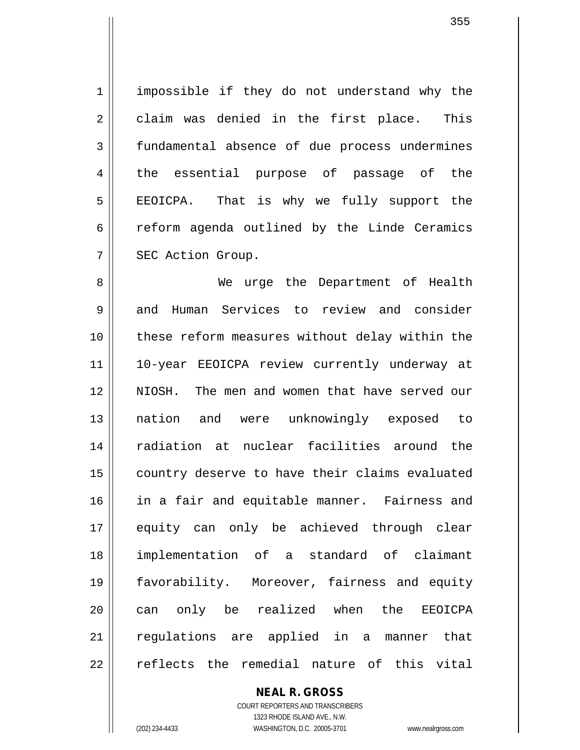1 | impossible if they do not understand why the 2 claim was denied in the first place. This 3 fundamental absence of due process undermines 4 || the essential purpose of passage of the  $5 \parallel$  EEOICPA. That is why we fully support the  $6 \parallel$  reform agenda outlined by the Linde Ceramics 7 | SEC Action Group.

 We urge the Department of Health 9 and Human Services to review and consider these reform measures without delay within the 10-year EEOICPA review currently underway at NIOSH. The men and women that have served our nation and were unknowingly exposed to radiation at nuclear facilities around the 15 | country deserve to have their claims evaluated 16 || in a fair and equitable manner. Fairness and equity can only be achieved through clear implementation of a standard of claimant favorability. Moreover, fairness and equity 20 || can only be realized when the EEOICPA 21 || regulations are applied in a manner that  $\parallel$  reflects the remedial nature of this vital

> **NEAL R. GROSS** COURT REPORTERS AND TRANSCRIBERS 1323 RHODE ISLAND AVE., N.W. (202) 234-4433 WASHINGTON, D.C. 20005-3701 www.nealrgross.com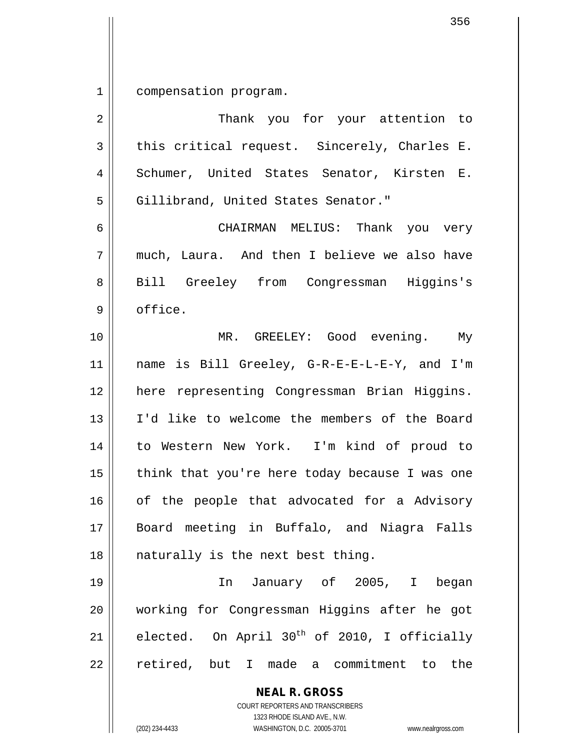1 compensation program.

| $\overline{2}$ | Thank you for your attention to                          |
|----------------|----------------------------------------------------------|
| 3              | this critical request. Sincerely, Charles E.             |
| 4              | Schumer, United States Senator, Kirsten E.               |
| 5              | Gillibrand, United States Senator."                      |
| 6              | CHAIRMAN MELIUS: Thank you very                          |
| 7              | much, Laura. And then I believe we also have             |
| 8              | Bill Greeley from Congressman Higgins's                  |
| $\mathsf 9$    | office.                                                  |
| 10             | MR. GREELEY: Good evening. My                            |
| 11             | name is Bill Greeley, G-R-E-E-L-E-Y, and I'm             |
| 12             | here representing Congressman Brian Higgins.             |
| 13             | I'd like to welcome the members of the Board             |
| 14             | to Western New York. I'm kind of proud to                |
| 15             | think that you're here today because I was one           |
| 16             | of the people that advocated for a Advisory              |
| 17             | Board meeting in Buffalo, and Niagra Falls               |
| 18             | naturally is the next best thing.                        |
| 19             | In January of 2005, I began                              |
| 20             | working for Congressman Higgins after he got             |
| 21             | elected. On April 30 <sup>th</sup> of 2010, I officially |
| 22             | retired, but I made a commitment to the                  |
|                | <b>NEAL R. GROSS</b><br>COURT REPORTERS AND TRANSCRIBERS |

1323 RHODE ISLAND AVE., N.W.

 $\overline{\phantom{a}}$  $\prod_{i=1}^{n}$ 

(202) 234-4433 WASHINGTON, D.C. 20005-3701 www.nealrgross.com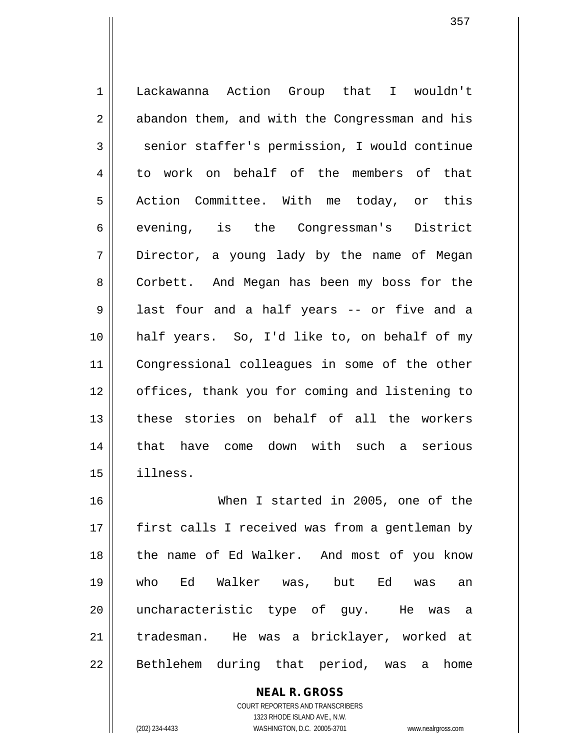1 Lackawanna Action Group that I wouldn't  $2 \parallel$  abandon them, and with the Congressman and his  $3 \parallel$  senior staffer's permission, I would continue 4 to work on behalf of the members of that 5 Action Committee. With me today, or this 6 || evening, is the Congressman's District 7 || Director, a young lady by the name of Megan 8 || Corbett. And Megan has been my boss for the 9 || last four and a half years -- or five and a 10 half years. So, I'd like to, on behalf of my 11 Congressional colleagues in some of the other 12 || offices, thank you for coming and listening to 13 these stories on behalf of all the workers 14 that have come down with such a serious 15 illness. 16 When I started in 2005, one of the

357

17 || first calls I received was from a gentleman by 18 || the name of Ed Walker. And most of you know 19 who Ed Walker was, but Ed was an 20 || uncharacteristic type of guy. He was a 21 tradesman. He was a bricklayer, worked at 22 || Bethlehem during that period, was a home

> **NEAL R. GROSS** COURT REPORTERS AND TRANSCRIBERS

> > 1323 RHODE ISLAND AVE., N.W.

(202) 234-4433 WASHINGTON, D.C. 20005-3701 www.nealrgross.com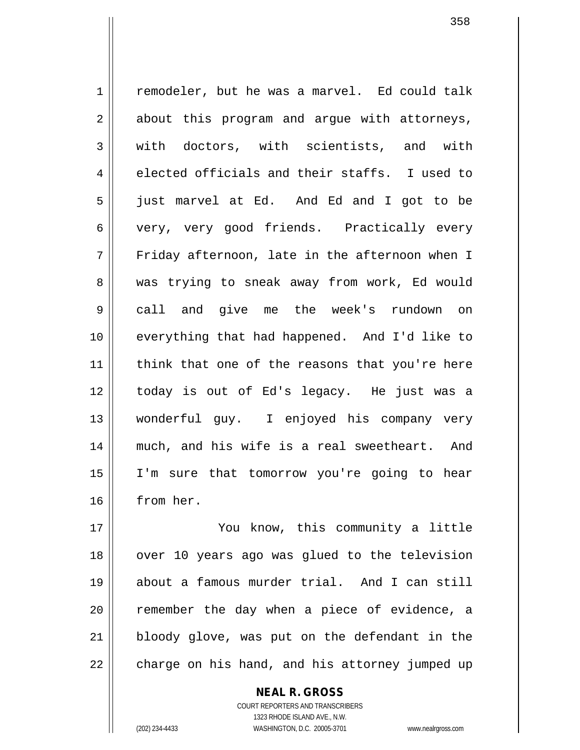1 | remodeler, but he was a marvel. Ed could talk  $2 \parallel$  about this program and argue with attorneys, 3 || with doctors, with scientists, and with  $4 \parallel$  elected officials and their staffs. I used to 5 just marvel at Ed. And Ed and I got to be 6 || very, very good friends. Practically every 7 Friday afternoon, late in the afternoon when I 8 || was trying to sneak away from work, Ed would 9 call and give me the week's rundown on 10 everything that had happened. And I'd like to  $11$  think that one of the reasons that you're here 12 today is out of Ed's legacy. He just was a 13 wonderful guy. I enjoyed his company very 14 much, and his wife is a real sweetheart. And 15 I'm sure that tomorrow you're going to hear 16 from her.

 You know, this community a little 18 || over 10 years ago was glued to the television about a famous murder trial. And I can still 20 || remember the day when a piece of evidence, a bloody glove, was put on the defendant in the | charge on his hand, and his attorney jumped up

> COURT REPORTERS AND TRANSCRIBERS 1323 RHODE ISLAND AVE., N.W. (202) 234-4433 WASHINGTON, D.C. 20005-3701 www.nealrgross.com

**NEAL R. GROSS**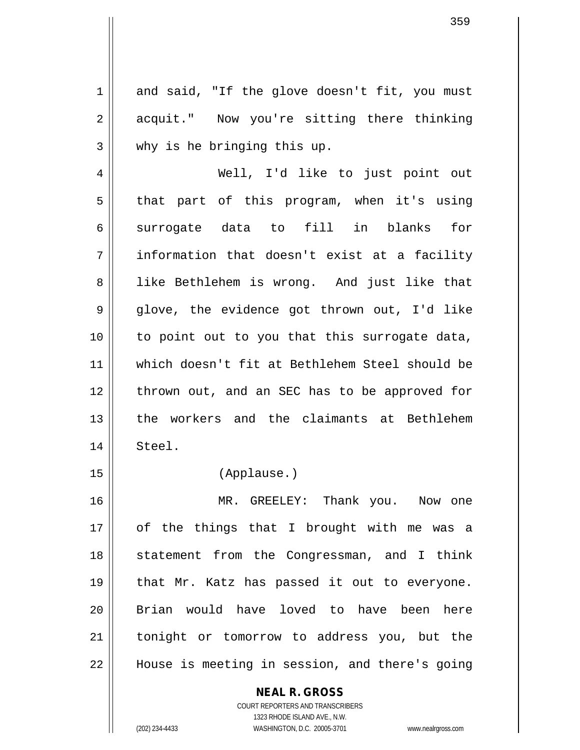$1 \parallel$  and said, "If the glove doesn't fit, you must 2 acquit." Now you're sitting there thinking 3 || why is he bringing this up.

4 Well, I'd like to just point out  $5 \parallel$  that part of this program, when it's using  $6 \parallel$  surrogate data to fill in blanks for 7 information that doesn't exist at a facility 8 || like Bethlehem is wrong. And just like that 9 glove, the evidence got thrown out, I'd like 10 to point out to you that this surrogate data, 11 which doesn't fit at Bethlehem Steel should be 12 || thrown out, and an SEC has to be approved for 13 || the workers and the claimants at Bethlehem 14 Steel.

## 15 (Applause.)

16 MR. GREELEY: Thank you. Now one 17 of the things that I brought with me was a 18 || statement from the Congressman, and I think 19 || that Mr. Katz has passed it out to everyone. 20 || Brian would have loved to have been here 21 || tonight or tomorrow to address you, but the 22 | House is meeting in session, and there's going

## **NEAL R. GROSS**

COURT REPORTERS AND TRANSCRIBERS 1323 RHODE ISLAND AVE., N.W. (202) 234-4433 WASHINGTON, D.C. 20005-3701 www.nealrgross.com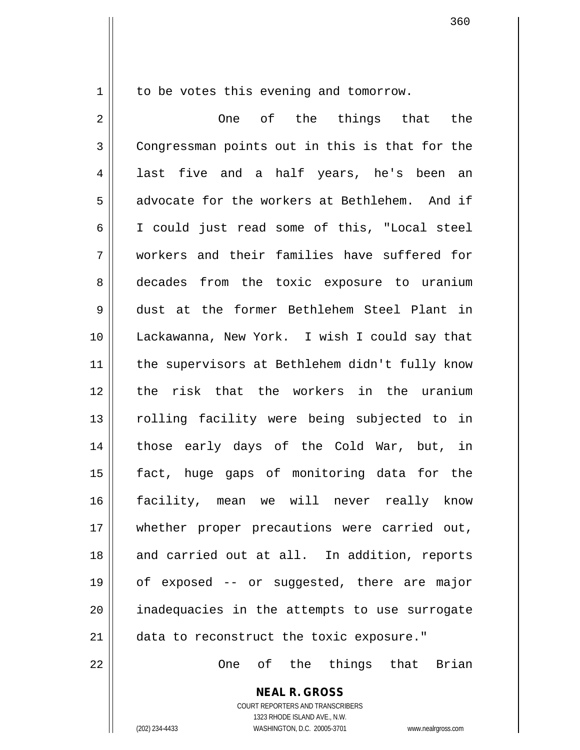1 | to be votes this evening and tomorrow.

2 One of the things that the 3 Congressman points out in this is that for the 4 ast five and a half years, he's been an 5 advocate for the workers at Bethlehem. And if 6 I could just read some of this, "Local steel 7 workers and their families have suffered for 8 decades from the toxic exposure to uranium 9 dust at the former Bethlehem Steel Plant in 10 Lackawanna, New York. I wish I could say that 11 || the supervisors at Bethlehem didn't fully know 12 the risk that the workers in the uranium 13 || rolling facility were being subjected to in 14 || those early days of the Cold War, but, in 15 fact, huge gaps of monitoring data for the 16 facility, mean we will never really know 17 || whether proper precautions were carried out, 18 and carried out at all. In addition, reports 19 of exposed -- or suggested, there are major 20 || inadequacies in the attempts to use surrogate 21 || data to reconstruct the toxic exposure."

22 One of the things that Brian

**NEAL R. GROSS** COURT REPORTERS AND TRANSCRIBERS 1323 RHODE ISLAND AVE., N.W.

(202) 234-4433 WASHINGTON, D.C. 20005-3701 www.nealrgross.com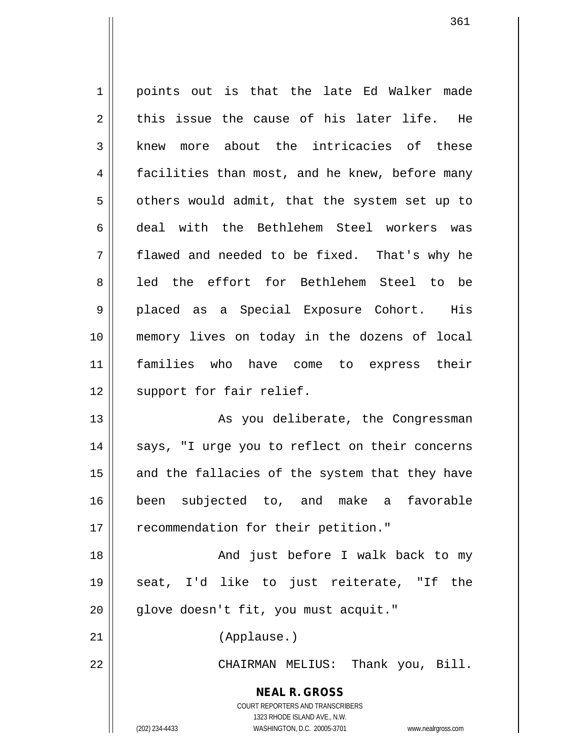1 | points out is that the late Ed Walker made  $2 \parallel$  this issue the cause of his later life. He  $3$  knew more about the intricacies of these 4 facilities than most, and he knew, before many  $5 \parallel$  others would admit, that the system set up to 6 deal with the Bethlehem Steel workers was  $7 \parallel$  flawed and needed to be fixed. That's why he 8 all led the effort for Bethlehem Steel to be 9 || placed as a Special Exposure Cohort. His 10 memory lives on today in the dozens of local 11 families who have come to express their 12 || support for fair relief. 13 || As you deliberate, the Congressman 14 || says, "I urge you to reflect on their concerns  $15$  and the fallacies of the system that they have 16 been subjected to, and make a favorable 17 || recommendation for their petition."

18 || And just before I walk back to my 19 seat, I'd like to just reiterate, "If the 20 || glove doesn't fit, you must acquit."

21 (Applause.)

22 CHAIRMAN MELIUS: Thank you, Bill.

**NEAL R. GROSS** COURT REPORTERS AND TRANSCRIBERS 1323 RHODE ISLAND AVE., N.W.

(202) 234-4433 WASHINGTON, D.C. 20005-3701 www.nealrgross.com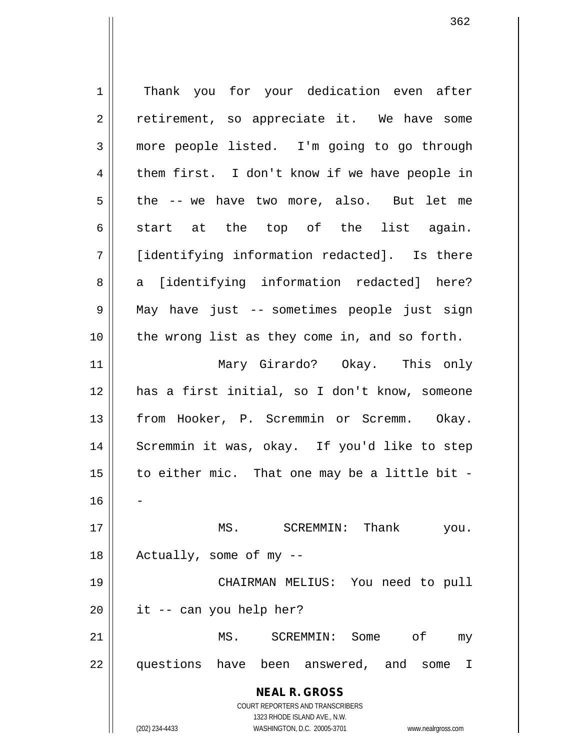**NEAL R. GROSS** COURT REPORTERS AND TRANSCRIBERS 1323 RHODE ISLAND AVE., N.W. (202) 234-4433 WASHINGTON, D.C. 20005-3701 www.nealrgross.com 1 || Thank you for your dedication even after  $2 \parallel$  retirement, so appreciate it. We have some 3 | more people listed. I'm going to go through  $4 \parallel$  them first. I don't know if we have people in  $5 \parallel$  the -- we have two more, also. But let me 6  $\parallel$  start at the top of the list again. 7 [identifying information redacted]. Is there 8 a [identifying information redacted] here? 9 May have just -- sometimes people just sign 10 the wrong list as they come in, and so forth. 11 Mary Girardo? Okay. This only 12 has a first initial, so I don't know, someone 13 || from Hooker, P. Scremmin or Scremm. Okay. 14 || Scremmin it was, okay. If you'd like to step 15  $\parallel$  to either mic. That one may be a little bit -16 17 MS. SCREMMIN: Thank you.  $18$  || Actually, some of my  $-$ 19 CHAIRMAN MELIUS: You need to pull  $20$  || it -- can you help her? 21 MS. SCREMMIN: Some of my 22 || questions have been answered, and some I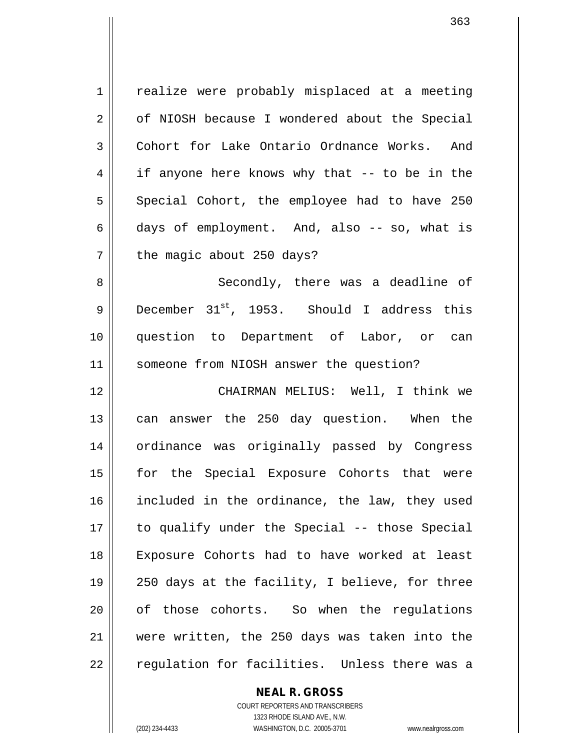1 | realize were probably misplaced at a meeting 2 | of NIOSH because I wondered about the Special 3 Cohort for Lake Ontario Ordnance Works. And  $4 \parallel$  if anyone here knows why that  $-$  to be in the 5 Special Cohort, the employee had to have 250  $6 \parallel$  days of employment. And, also -- so, what is  $7$  | the magic about 250 days? 8 || Secondly, there was a deadline of 9 December  $31^{st}$ , 1953. Should I address this 10 question to Department of Labor, or can 11 | someone from NIOSH answer the question?

12 CHAIRMAN MELIUS: Well, I think we 13 || can answer the 250 day question. When the 14 || ordinance was originally passed by Congress 15 || for the Special Exposure Cohorts that were 16 included in the ordinance, the law, they used 17 to qualify under the Special -- those Special 18 Exposure Cohorts had to have worked at least 19 250 days at the facility, I believe, for three 20 || of those cohorts. So when the regulations 21 were written, the 250 days was taken into the 22 || requlation for facilities. Unless there was a

**NEAL R. GROSS**

COURT REPORTERS AND TRANSCRIBERS 1323 RHODE ISLAND AVE., N.W. (202) 234-4433 WASHINGTON, D.C. 20005-3701 www.nealrgross.com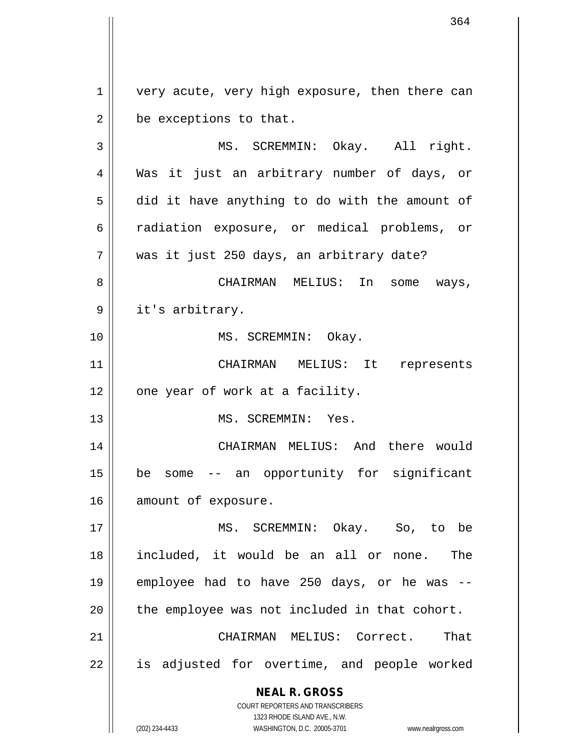1 | very acute, very high exposure, then there can  $2 \parallel$  be exceptions to that. 3 MS. SCREMMIN: Okay. All right. 4 Was it just an arbitrary number of days, or  $5 \parallel$  did it have anything to do with the amount of 6 || radiation exposure, or medical problems, or 7 was it just 250 days, an arbitrary date?

8 CHAIRMAN MELIUS: In some ways, 9 || it's arbitrary.

10 || MS. SCREMMIN: Okay.

11 CHAIRMAN MELIUS: It represents  $12$  | one year of work at a facility.

13 MS. SCREMMIN: Yes.

14 CHAIRMAN MELIUS: And there would 15 be some -- an opportunity for significant 16 amount of exposure.

 MS. SCREMMIN: Okay. So, to be included, it would be an all or none. The employee had to have 250 days, or he was -- || the employee was not included in that cohort. CHAIRMAN MELIUS: Correct. That 22 || is adjusted for overtime, and people worked

**NEAL R. GROSS**

COURT REPORTERS AND TRANSCRIBERS 1323 RHODE ISLAND AVE., N.W. (202) 234-4433 WASHINGTON, D.C. 20005-3701 www.nealrgross.com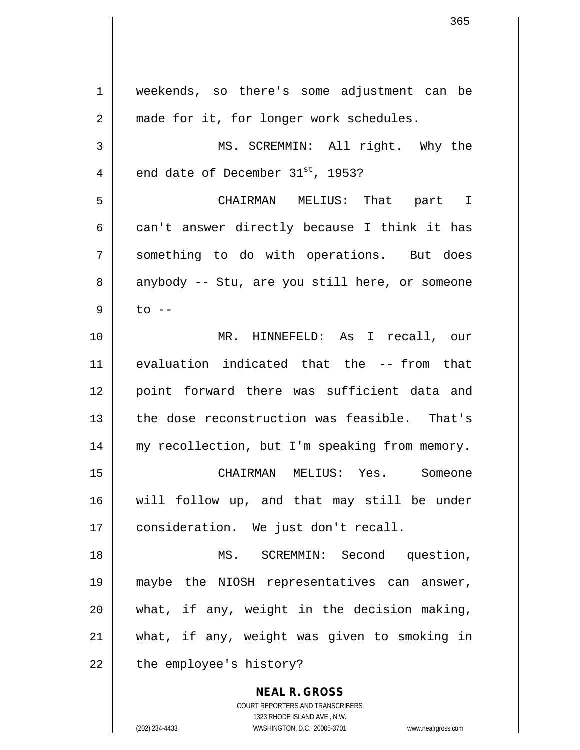**NEAL R. GROSS** COURT REPORTERS AND TRANSCRIBERS 1 weekends, so there's some adjustment can be 2 | made for it, for longer work schedules. 3 || MS. SCREMMIN: All right. Why the 4  $\parallel$  end date of December 31st, 1953? 5 CHAIRMAN MELIUS: That part I  $6 \parallel$  can't answer directly because I think it has 7 Something to do with operations. But does 8 anybody -- Stu, are you still here, or someone  $9 \parallel$  to  $-$ 10 MR. HINNEFELD: As I recall, our 11 evaluation indicated that the -- from that 12 point forward there was sufficient data and 13 the dose reconstruction was feasible. That's 14 || my recollection, but I'm speaking from memory. 15 CHAIRMAN MELIUS: Yes. Someone 16 will follow up, and that may still be under 17 || consideration. We just don't recall. 18 MS. SCREMMIN: Second question, 19 maybe the NIOSH representatives can answer,  $20$  || what, if any, weight in the decision making, 21 what, if any, weight was given to smoking in  $22$  || the employee's history?

1323 RHODE ISLAND AVE., N.W.

365

(202) 234-4433 WASHINGTON, D.C. 20005-3701 www.nealrgross.com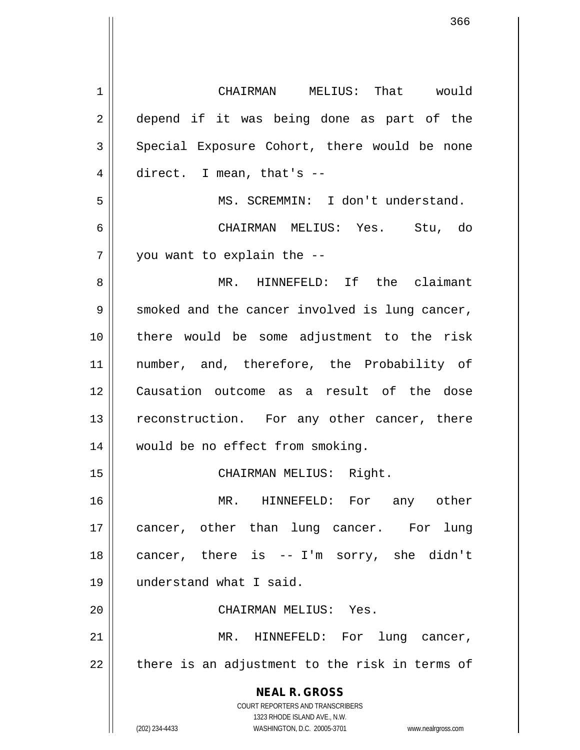| $\mathbf 1$ | CHAIRMAN MELIUS: That would                                                                         |
|-------------|-----------------------------------------------------------------------------------------------------|
| 2           | depend if it was being done as part of the                                                          |
| 3           | Special Exposure Cohort, there would be none                                                        |
| 4           | direct. I mean, that's $-$                                                                          |
| 5           | MS. SCREMMIN: I don't understand.                                                                   |
| 6           | CHAIRMAN MELIUS: Yes. Stu, do                                                                       |
| 7           | you want to explain the --                                                                          |
| 8           | MR. HINNEFELD: If the claimant                                                                      |
| 9           | smoked and the cancer involved is lung cancer,                                                      |
| 10          | there would be some adjustment to the risk                                                          |
| 11          | number, and, therefore, the Probability of                                                          |
| 12          | Causation outcome as a result of the dose                                                           |
| 13          | reconstruction. For any other cancer, there                                                         |
| 14          | would be no effect from smoking.                                                                    |
| 15          | CHAIRMAN MELIUS: Right.                                                                             |
| 16          | MR. HINNEFELD: For any other                                                                        |
| 17          | cancer, other than lung cancer. For<br>lung                                                         |
| 18          | cancer, there is -- I'm sorry, she didn't                                                           |
| 19          | understand what I said.                                                                             |
| 20          | CHAIRMAN MELIUS: Yes.                                                                               |
| 21          | MR. HINNEFELD: For lung cancer,                                                                     |
| 22          | there is an adjustment to the risk in terms of                                                      |
|             | <b>NEAL R. GROSS</b>                                                                                |
|             | COURT REPORTERS AND TRANSCRIBERS                                                                    |
|             | 1323 RHODE ISLAND AVE., N.W.<br>(202) 234-4433<br>WASHINGTON, D.C. 20005-3701<br>www.nealrgross.com |
|             |                                                                                                     |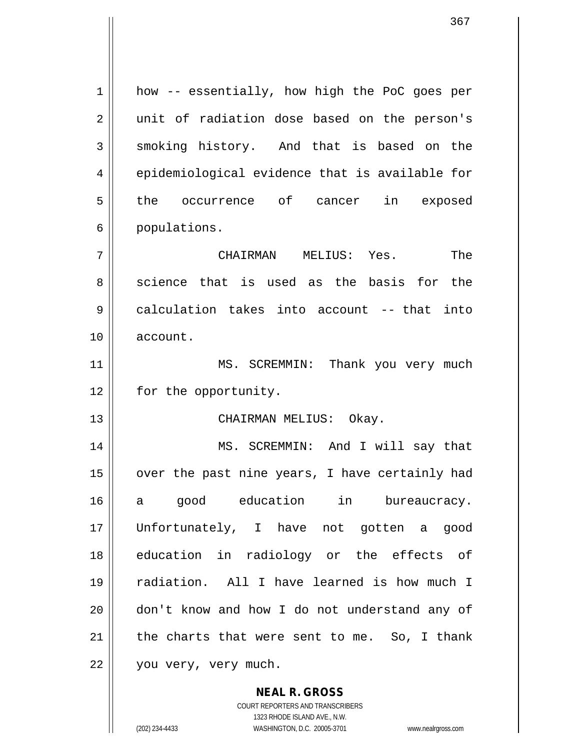| $\mathbf 1$ | how -- essentially, how high the PoC goes per  |
|-------------|------------------------------------------------|
| 2           | unit of radiation dose based on the person's   |
| 3           | smoking history. And that is based on the      |
| 4           | epidemiological evidence that is available for |
| 5           | the occurrence of cancer in exposed            |
| 6           | populations.                                   |
| 7           | The<br>CHAIRMAN MELIUS: Yes.                   |
| 8           | science that is used as the basis for the      |
| 9           | calculation takes into account -- that into    |
| 10          | account.                                       |
| 11          | MS. SCREMMIN: Thank you very much              |
| 12          | for the opportunity.                           |
| 13          | CHAIRMAN MELIUS: Okay.                         |
| 14          | MS. SCREMMIN: And I will say that              |
| 15          | over the past nine years, I have certainly had |
| 16          | a good education in bureaucracy.               |
| 17          | Unfortunately, I have not gotten a good        |
| 18          | education in radiology or the effects of       |
| 19          | radiation. All I have learned is how much I    |
| 20          | don't know and how I do not understand any of  |
| 21          | the charts that were sent to me. So, I thank   |
| 22          | you very, very much.                           |
|             |                                                |

**NEAL R. GROSS** COURT REPORTERS AND TRANSCRIBERS 1323 RHODE ISLAND AVE., N.W.

 $\mathbf{I}$ 

(202) 234-4433 WASHINGTON, D.C. 20005-3701 www.nealrgross.com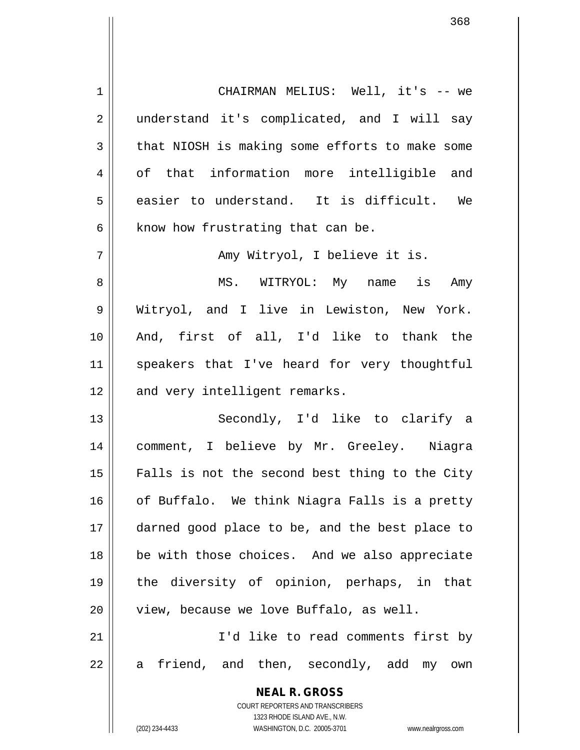1 CHAIRMAN MELIUS: Well, it's -- we 2 || understand it's complicated, and I will say  $3 \parallel$  that NIOSH is making some efforts to make some 4 || of that information more intelligible and  $5 \parallel$  easier to understand. It is difficult. We  $6$  | know how frustrating that can be. 7 || Amy Witryol, I believe it is. 8 MS. WITRYOL: My name is Amy 9 || Witryol, and I live in Lewiston, New York. 10 And, first of all, I'd like to thank the 11 || speakers that I've heard for very thoughtful  $12$  | and very intelligent remarks. 13 || Secondly, I'd like to clarify a 14 comment, I believe by Mr. Greeley. Niagra  $15$   $\parallel$  Falls is not the second best thing to the City 16 | of Buffalo. We think Niagra Falls is a pretty

 darned good place to be, and the best place to 18 || be with those choices. And we also appreciate the diversity of opinion, perhaps, in that || view, because we love Buffalo, as well. I'd like to read comments first by  $22 \parallel$  a friend, and then, secondly, add my own

> **NEAL R. GROSS** COURT REPORTERS AND TRANSCRIBERS 1323 RHODE ISLAND AVE., N.W.

(202) 234-4433 WASHINGTON, D.C. 20005-3701 www.nealrgross.com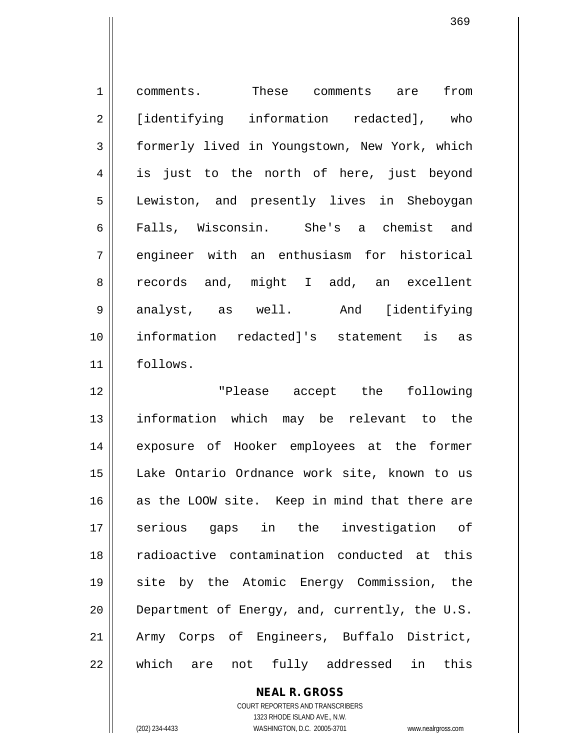1 comments. These comments are from 2 | [identifying information redacted], who 3 formerly lived in Youngstown, New York, which 4 || is just to the north of here, just beyond 5 Lewiston, and presently lives in Sheboygan 6 Falls, Wisconsin. She's a chemist and 7 || engineer with an enthusiasm for historical 8 || records and, might I add, an excellent 9 analyst, as well. And [identifying 10 information redacted]'s statement is as 11 follows. 12 || The Please accept the following

 information which may be relevant to the exposure of Hooker employees at the former Lake Ontario Ordnance work site, known to us 16 as the LOOW site. Keep in mind that there are serious gaps in the investigation of radioactive contamination conducted at this site by the Atomic Energy Commission, the  $\parallel$  Department of Energy, and, currently, the U.S. Army Corps of Engineers, Buffalo District, which are not fully addressed in this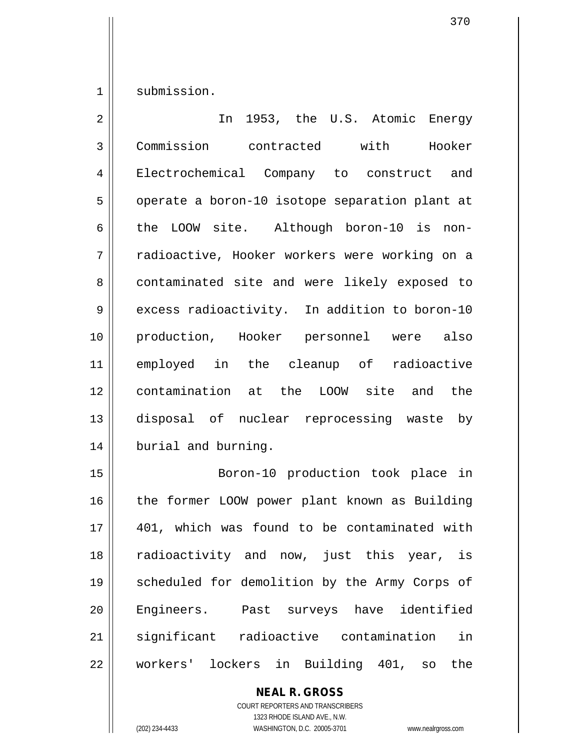1 || submission.

| $\overline{a}$ | 1953, the U.S. Atomic Energy<br>In             |
|----------------|------------------------------------------------|
| 3              | Commission contracted with Hooker              |
| $\overline{4}$ | Electrochemical Company to construct and       |
| 5              | operate a boron-10 isotope separation plant at |
| 6              | the LOOW site. Although boron-10 is non-       |
| 7              | radioactive, Hooker workers were working on a  |
| 8              | contaminated site and were likely exposed to   |
| 9              | excess radioactivity. In addition to boron-10  |
| 10             | production, Hooker personnel were also         |
| 11             | employed in the cleanup of radioactive         |
| 12             | contamination at the LOOW site and the         |
| 13             | disposal of nuclear reprocessing waste by      |
| 14             | burial and burning.                            |
| 15             | Boron-10 production took place in              |

15 || Boron-10 production took place in 16 | the former LOOW power plant known as Building 17 || 401, which was found to be contaminated with 18 || radioactivity and now, just this year, is 19 || scheduled for demolition by the Army Corps of 20 || Engineers. Past surveys have identified 21 significant radioactive contamination in 22 | workers' lockers in Building 401, so the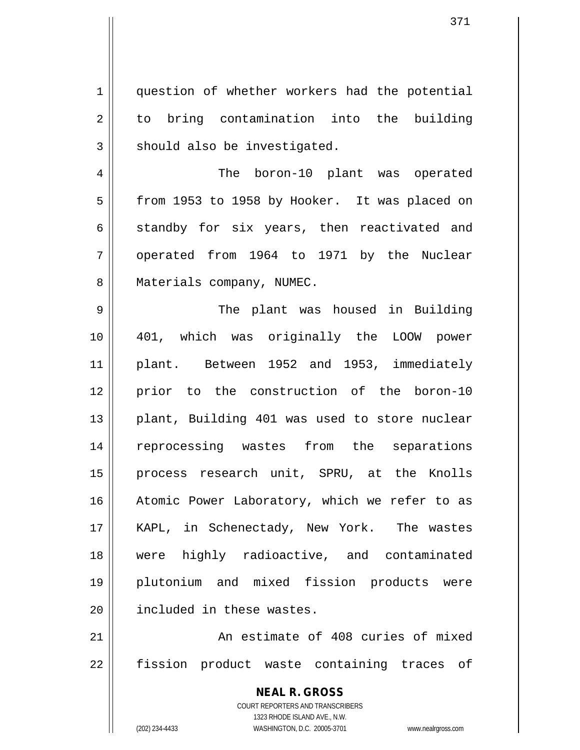1 question of whether workers had the potential 2 to bring contamination into the building  $3$   $\parallel$  should also be investigated.

4 || The boron-10 plant was operated 5 | from 1953 to 1958 by Hooker. It was placed on  $6 \parallel$  standby for six years, then reactivated and 7 || operated from 1964 to 1971 by the Nuclear 8 | Materials company, NUMEC.

9 The plant was housed in Building 10 401, which was originally the LOOW power 11 plant. Between 1952 and 1953, immediately 12 || prior to the construction of the boron-10 13 || plant, Building 401 was used to store nuclear 14 || reprocessing wastes from the separations 15 || process research unit, SPRU, at the Knolls 16 || Atomic Power Laboratory, which we refer to as 17 || KAPL, in Schenectady, New York. The wastes 18 were highly radioactive, and contaminated 19 plutonium and mixed fission products were 20 | included in these wastes.

21 | The Solution An estimate of 408 curies of mixed 22 || fission product waste containing traces of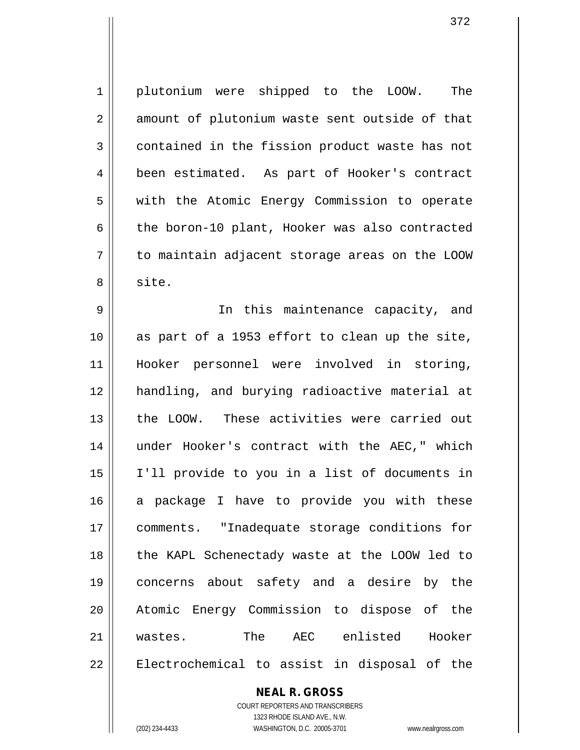1 plutonium were shipped to the LOOW. The  $2 \parallel$  amount of plutonium waste sent outside of that 3 contained in the fission product waste has not 4 | been estimated. As part of Hooker's contract 5 || with the Atomic Energy Commission to operate  $6 \parallel$  the boron-10 plant, Hooker was also contracted 7 to maintain adjacent storage areas on the LOOW 8 || site.

9 || In this maintenance capacity, and as part of a 1953 effort to clean up the site, Hooker personnel were involved in storing, handling, and burying radioactive material at the LOOW. These activities were carried out under Hooker's contract with the AEC," which I'll provide to you in a list of documents in 16 a package I have to provide you with these comments. "Inadequate storage conditions for the KAPL Schenectady waste at the LOOW led to concerns about safety and a desire by the Atomic Energy Commission to dispose of the wastes. The AEC enlisted Hooker 22 || Electrochemical to assist in disposal of the

## **NEAL R. GROSS**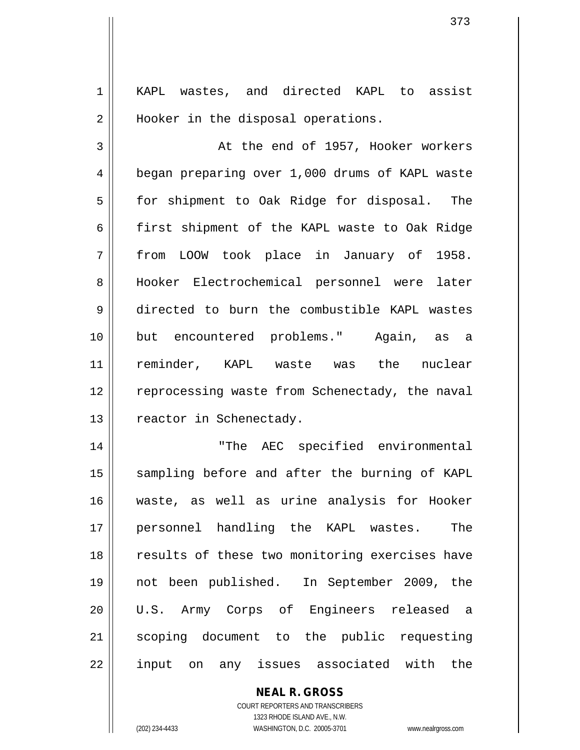1 || KAPL wastes, and directed KAPL to assist 2 || Hooker in the disposal operations.

3 || At the end of 1957, Hooker workers 4 | began preparing over 1,000 drums of KAPL waste 5 | for shipment to Oak Ridge for disposal. The 6  $\parallel$  first shipment of the KAPL waste to Oak Ridge 7 from LOOW took place in January of 1958. 8 Hooker Electrochemical personnel were later 9 directed to burn the combustible KAPL wastes 10 but encountered problems." Again, as a 11 reminder, KAPL waste was the nuclear 12 | reprocessing waste from Schenectady, the naval 13 | reactor in Schenectady.

14 "The AEC specified environmental 15 || sampling before and after the burning of KAPL 16 waste, as well as urine analysis for Hooker 17 personnel handling the KAPL wastes. The 18 || results of these two monitoring exercises have 19 not been published. In September 2009, the 20 U.S. Army Corps of Engineers released a 21 || scoping document to the public requesting 22 || input on any issues associated with the

> **NEAL R. GROSS** COURT REPORTERS AND TRANSCRIBERS

> > 1323 RHODE ISLAND AVE., N.W.

(202) 234-4433 WASHINGTON, D.C. 20005-3701 www.nealrgross.com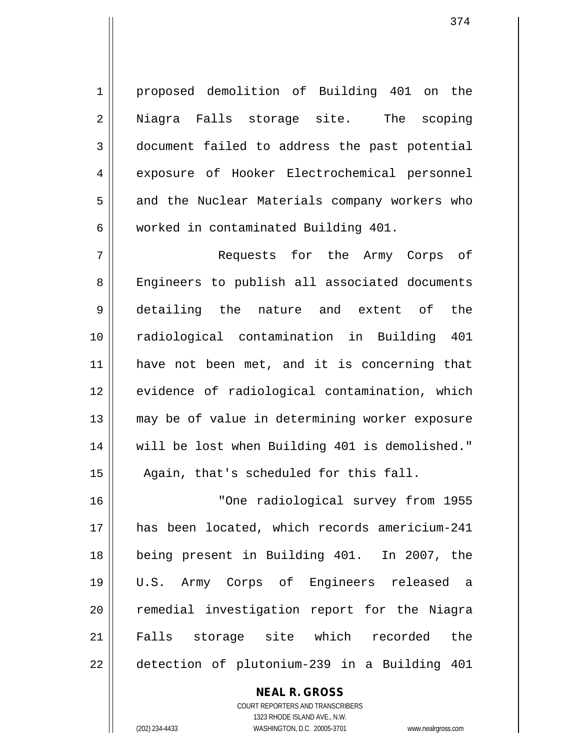1 proposed demolition of Building 401 on the 2 Niagra Falls storage site. The scoping 3 document failed to address the past potential 4 exposure of Hooker Electrochemical personnel 5 and the Nuclear Materials company workers who 6 worked in contaminated Building 401.

 Requests for the Army Corps of 8 Engineers to publish all associated documents detailing the nature and extent of the radiological contamination in Building 401 have not been met, and it is concerning that 12 || evidence of radiological contamination, which may be of value in determining worker exposure will be lost when Building 401 is demolished." 15 || Again, that's scheduled for this fall.

 "One radiological survey from 1955 has been located, which records americium-241 being present in Building 401. In 2007, the U.S. Army Corps of Engineers released a 20 || remedial investigation report for the Niagra Falls storage site which recorded the detection of plutonium-239 in a Building 401

> COURT REPORTERS AND TRANSCRIBERS 1323 RHODE ISLAND AVE., N.W. (202) 234-4433 WASHINGTON, D.C. 20005-3701 www.nealrgross.com

**NEAL R. GROSS**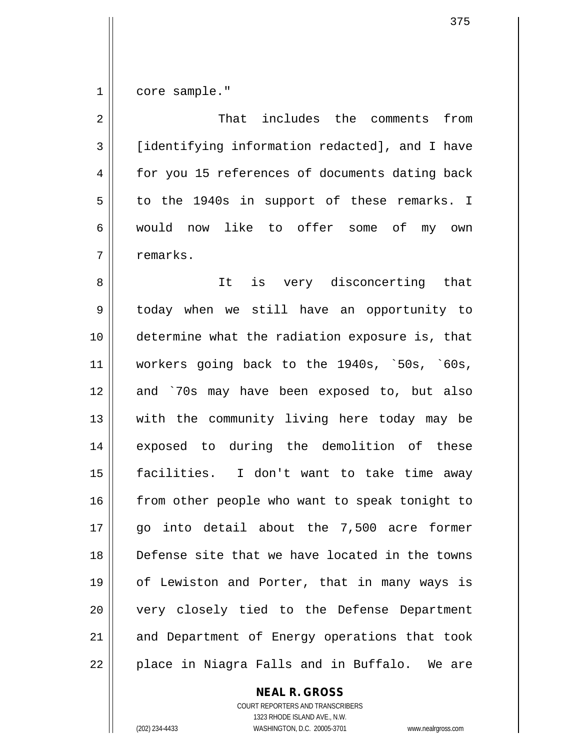1 core sample."

2 That includes the comments from 3 [identifying information redacted], and I have 4 for you 15 references of documents dating back  $5 \parallel$  to the 1940s in support of these remarks. I 6 would now like to offer some of my own 7 | remarks. 8 || It is very disconcerting that 9 today when we still have an opportunity to 10 determine what the radiation exposure is, that 11 workers going back to the 1940s, `50s, `60s, 12 and `70s may have been exposed to, but also 13 || with the community living here today may be 14 exposed to during the demolition of these 15 facilities. I don't want to take time away 16 || from other people who want to speak tonight to 17 go into detail about the 7,500 acre former 18 Defense site that we have located in the towns 19 || of Lewiston and Porter, that in many ways is 20 || very closely tied to the Defense Department 21 || and Department of Energy operations that took 22 || place in Niagra Falls and in Buffalo. We are

**NEAL R. GROSS**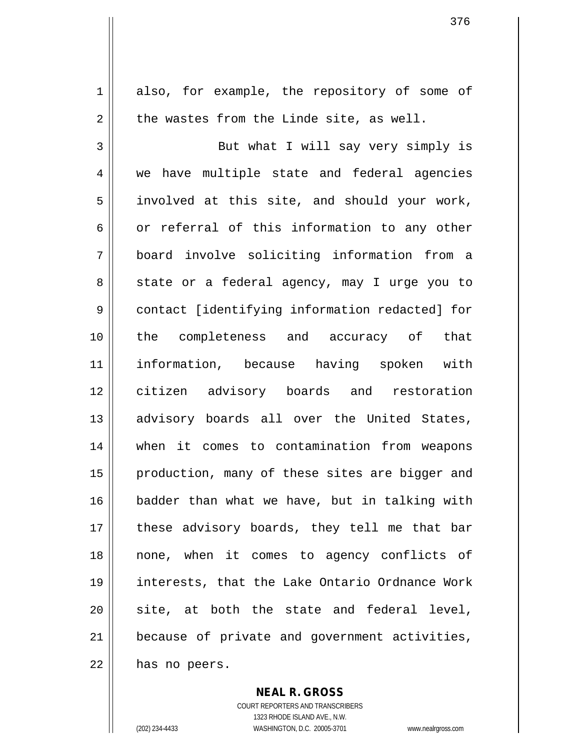1 also, for example, the repository of some of  $2 \parallel$  the wastes from the Linde site, as well. 3 But what I will say very simply is 4 || we have multiple state and federal agencies  $5 \parallel$  involved at this site, and should your work,  $6 \parallel$  or referral of this information to any other 7 board involve soliciting information from a 8 || state or a federal agency, may I urge you to 9 contact [identifying information redacted] for 10 the completeness and accuracy of that 11 information, because having spoken with 12 citizen advisory boards and restoration 13 || advisory boards all over the United States, 14 when it comes to contamination from weapons 15 || production, many of these sites are bigger and 16 badder than what we have, but in talking with 17 || these advisory boards, they tell me that bar 18 none, when it comes to agency conflicts of 19 interests, that the Lake Ontario Ordnance Work  $20$  site, at both the state and federal level, 21 because of private and government activities,  $22$  | has no peers.

> **NEAL R. GROSS** COURT REPORTERS AND TRANSCRIBERS

1323 RHODE ISLAND AVE., N.W. (202) 234-4433 WASHINGTON, D.C. 20005-3701 www.nealrgross.com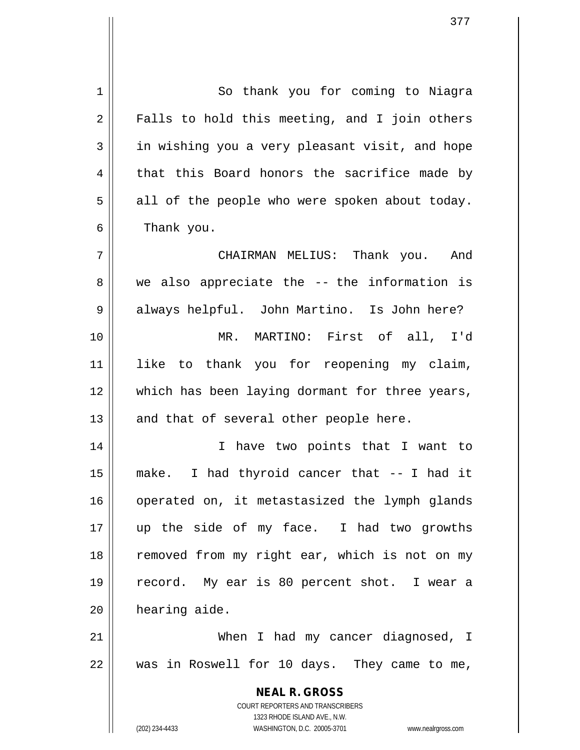**NEAL R. GROSS** COURT REPORTERS AND TRANSCRIBERS 1323 RHODE ISLAND AVE., N.W. (202) 234-4433 WASHINGTON, D.C. 20005-3701 www.nealrgross.com 1 | So thank you for coming to Niagra  $2 \parallel$  Falls to hold this meeting, and I join others  $3 \parallel$  in wishing you a very pleasant visit, and hope  $4 \parallel$  that this Board honors the sacrifice made by  $5 \parallel$  all of the people who were spoken about today. 6 | Thank you. 7 CHAIRMAN MELIUS: Thank you. And  $8 \parallel$  we also appreciate the -- the information is 9 always helpful. John Martino. Is John here? 10 MR. MARTINO: First of all, I'd 11 like to thank you for reopening my claim, 12 which has been laying dormant for three years,  $13$  || and that of several other people here. 14 || I have two points that I want to 15 make. I had thyroid cancer that -- I had it 16 || operated on, it metastasized the lymph glands 17 up the side of my face. I had two growths 18 || removed from my right ear, which is not on my 19 record. My ear is 80 percent shot. I wear a 20 | hearing aide. 21 || When I had my cancer diagnosed, I  $22$  || was in Roswell for 10 days. They came to me,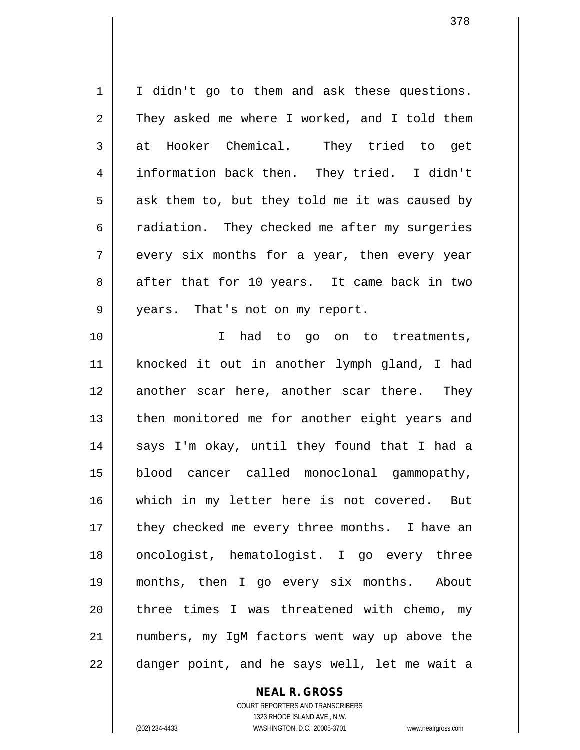$1 \parallel$  I didn't go to them and ask these questions.  $2 \parallel$  They asked me where I worked, and I told them 3 at Hooker Chemical. They tried to get 4 information back then. They tried. I didn't  $5 \parallel$  ask them to, but they told me it was caused by 6 cadiation. They checked me after my surgeries  $7 \parallel$  every six months for a year, then every year 8 after that for 10 years. It came back in two 9 || years. That's not on my report. 10 I had to go on to treatments, 11 knocked it out in another lymph gland, I had 12 another scar here, another scar there. They 13 || then monitored me for another eight years and 14 || says I'm okay, until they found that I had a 15 blood cancer called monoclonal gammopathy, 16 which in my letter here is not covered. But  $17$  || they checked me every three months. I have an 18 oncologist, hematologist. I go every three 19 months, then I go every six months. About 20 || three times I was threatened with chemo, my 21 numbers, my IgM factors went way up above the 22 || danger point, and he says well, let me wait a

## **NEAL R. GROSS**

COURT REPORTERS AND TRANSCRIBERS 1323 RHODE ISLAND AVE., N.W. (202) 234-4433 WASHINGTON, D.C. 20005-3701 www.nealrgross.com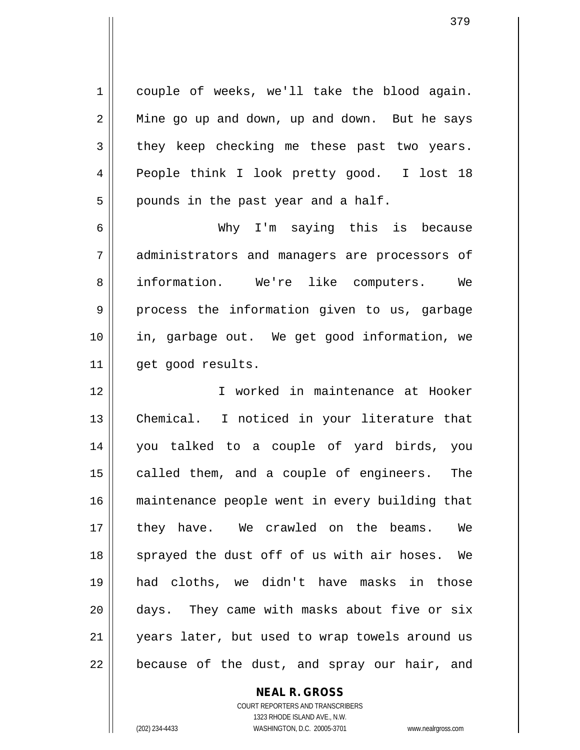1 couple of weeks, we'll take the blood again.  $2 \parallel$  Mine go up and down, up and down. But he says  $3 \parallel$  they keep checking me these past two years. 4 People think I look pretty good. I lost 18  $5 \parallel$  pounds in the past year and a half.

6 Why I'm saying this is because 7 || administrators and managers are processors of 8 || information. We're like computers. We 9 || process the information given to us, garbage 10 in, garbage out. We get good information, we 11 || get good results.

 I worked in maintenance at Hooker Chemical. I noticed in your literature that you talked to a couple of yard birds, you 15 || called them, and a couple of engineers. The maintenance people went in every building that 17 || they have. We crawled on the beams. We sprayed the dust off of us with air hoses. We had cloths, we didn't have masks in those days. They came with masks about five or six 21 || years later, but used to wrap towels around us | because of the dust, and spray our hair, and

**NEAL R. GROSS**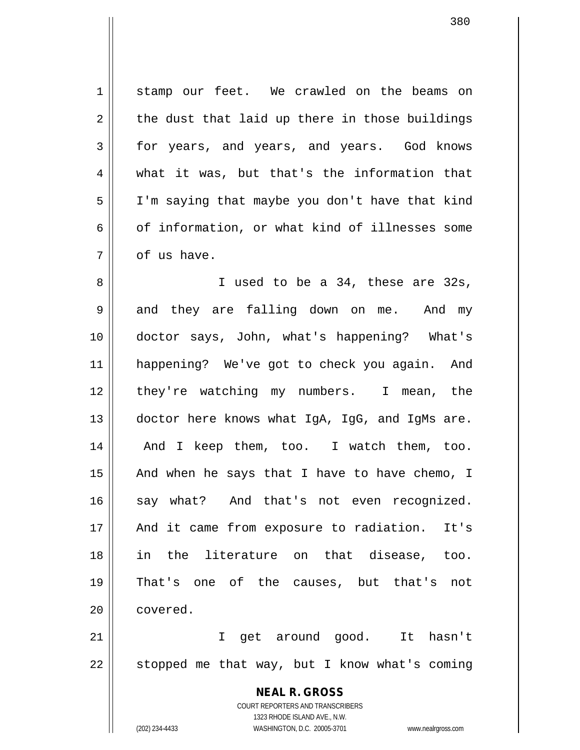1 stamp our feet. We crawled on the beams on  $2 \parallel$  the dust that laid up there in those buildings 3 for years, and years, and years. God knows 4 what it was, but that's the information that 5 I'm saying that maybe you don't have that kind 6  $\vert$  of information, or what kind of illnesses some  $7 \parallel$  of us have.

8 || I used to be a 34, these are 32s,  $9 \parallel$  and they are falling down on me. And my 10 doctor says, John, what's happening? What's 11 happening? We've got to check you again. And 12 || they're watching my numbers. I mean, the 13 doctor here knows what IgA, IgG, and IgMs are. 14 || And I keep them, too. I watch them, too. 15  $\parallel$  And when he says that I have to have chemo, I 16 say what? And that's not even recognized. 17 || And it came from exposure to radiation. It's 18 in the literature on that disease, too. 19 That's one of the causes, but that's not 20 | covered.

21 I get around good. It hasn't  $22$  | stopped me that way, but I know what's coming

> **NEAL R. GROSS** COURT REPORTERS AND TRANSCRIBERS 1323 RHODE ISLAND AVE., N.W. (202) 234-4433 WASHINGTON, D.C. 20005-3701 www.nealrgross.com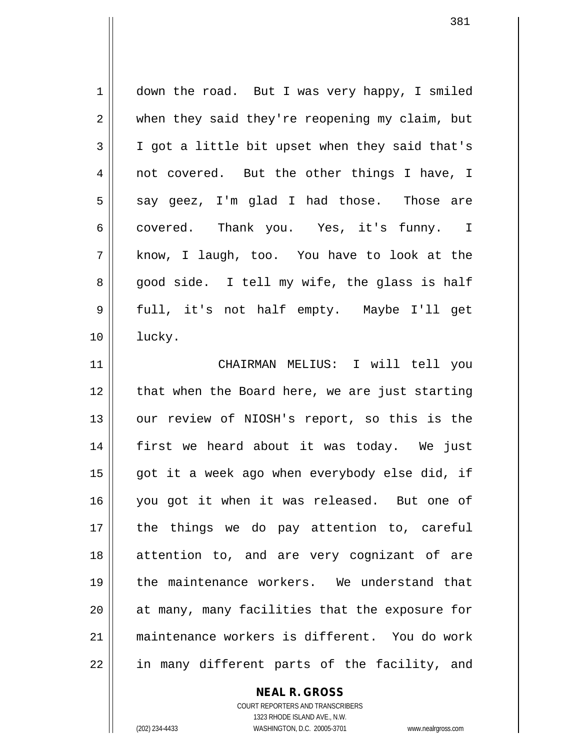1 down the road. But I was very happy, I smiled 2 when they said they're reopening my claim, but 3 | I got a little bit upset when they said that's 4 || not covered. But the other things I have, I  $5 \parallel$  say geez, I'm glad I had those. Those are 6 covered. Thank you. Yes, it's funny. I  $7 \parallel$  know, I laugh, too. You have to look at the 8 good side. I tell my wife, the glass is half 9 full, it's not half empty. Maybe I'll get 10 lucky. 11 CHAIRMAN MELIUS: I will tell you

12 || that when the Board here, we are just starting 13 || our review of NIOSH's report, so this is the 14 first we heard about it was today. We just 15 || got it a week ago when everybody else did, if 16 you got it when it was released. But one of 17 || the things we do pay attention to, careful 18 attention to, and are very cognizant of are 19 the maintenance workers. We understand that 20 || at many, many facilities that the exposure for 21 maintenance workers is different. You do work  $22$  || in many different parts of the facility, and

#### **NEAL R. GROSS**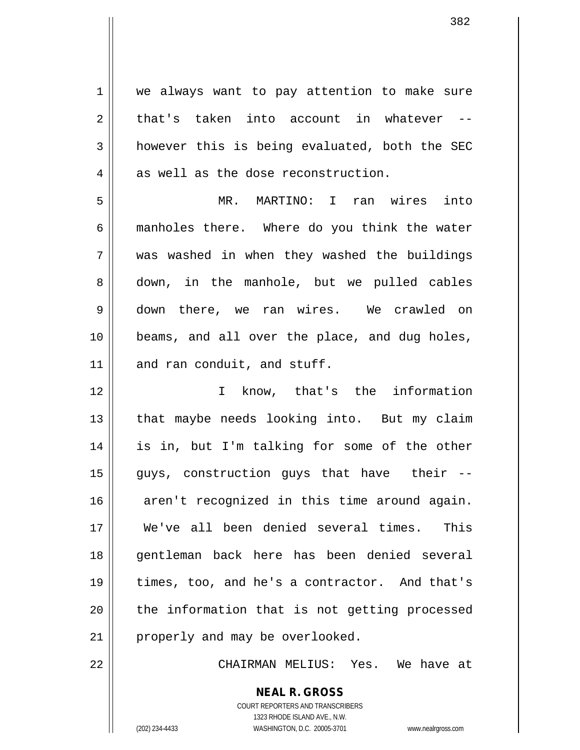1 | we always want to pay attention to make sure  $2 \parallel$  that's taken into account in whatever  $3 \parallel$  however this is being evaluated, both the SEC  $4 \parallel$  as well as the dose reconstruction.

 MR. MARTINO: I ran wires into manholes there. Where do you think the water was washed in when they washed the buildings 8 down, in the manhole, but we pulled cables down there, we ran wires. We crawled on beams, and all over the place, and dug holes, 11 and ran conduit, and stuff.

12 I know, that's the information 13 || that maybe needs looking into. But my claim 14 is in, but I'm talking for some of the other 15 guys, construction guys that have their -- 16 aren't recognized in this time around again. 17 We've all been denied several times. This 18 || gentleman back here has been denied several 19 times, too, and he's a contractor. And that's 20 || the information that is not getting processed 21 || properly and may be overlooked.

22 CHAIRMAN MELIUS: Yes. We have at

COURT REPORTERS AND TRANSCRIBERS 1323 RHODE ISLAND AVE., N.W. (202) 234-4433 WASHINGTON, D.C. 20005-3701 www.nealrgross.com

**NEAL R. GROSS**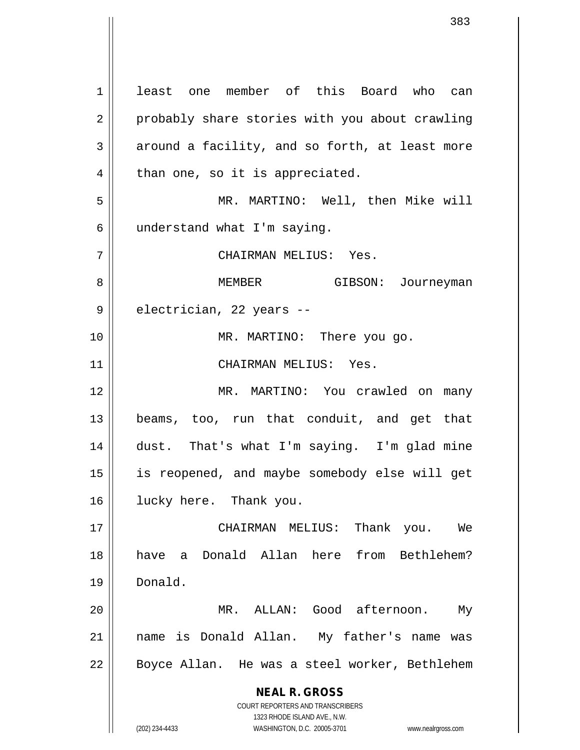**NEAL R. GROSS** COURT REPORTERS AND TRANSCRIBERS 1323 RHODE ISLAND AVE., N.W. 1 least one member of this Board who can 2 | probably share stories with you about crawling  $3 \parallel$  around a facility, and so forth, at least more  $4 \parallel$  than one, so it is appreciated. 5 MR. MARTINO: Well, then Mike will  $6 \parallel$  understand what I'm saying. 7 CHAIRMAN MELIUS: Yes. 8 MEMBER GIBSON: Journeyman  $9 \parallel$  electrician, 22 years --10 || MR. MARTINO: There you go. 11 CHAIRMAN MELIUS: Yes. 12 MR. MARTINO: You crawled on many 13 beams, too, run that conduit, and get that 14 dust. That's what I'm saying. I'm glad mine 15 is reopened, and maybe somebody else will get 16 lucky here. Thank you. 17 CHAIRMAN MELIUS: Thank you. We 18 have a Donald Allan here from Bethlehem? 19 Donald. 20 MR. ALLAN: Good afternoon. My 21 name is Donald Allan. My father's name was 22 || Boyce Allan. He was a steel worker, Bethlehem

(202) 234-4433 WASHINGTON, D.C. 20005-3701 www.nealrgross.com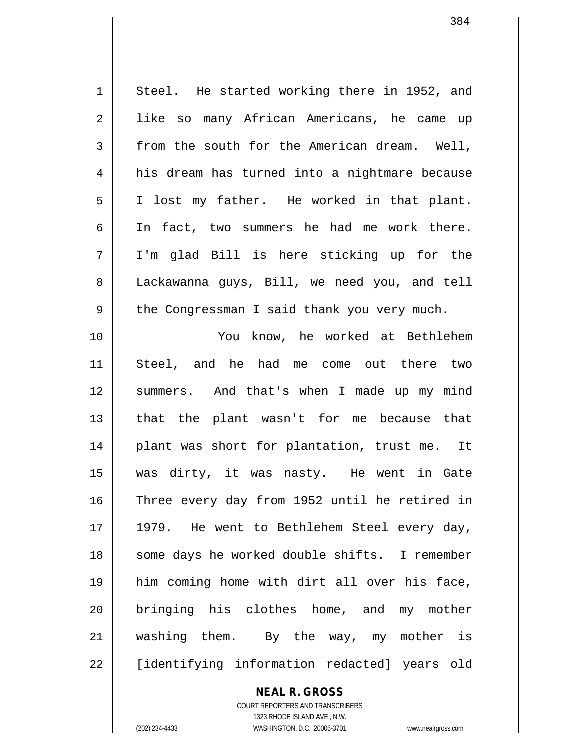1 Steel. He started working there in 1952, and 2 || like so many African Americans, he came up  $3 \parallel$  from the south for the American dream. Well, 4 || his dream has turned into a nightmare because 5 | I lost my father. He worked in that plant. 6 In fact, two summers he had me work there. 7 I'm glad Bill is here sticking up for the 8 Lackawanna guys, Bill, we need you, and tell 9 || the Congressman I said thank you very much. 10 You know, he worked at Bethlehem 11 Steel, and he had me come out there two 12 || summers. And that's when I made up my mind 13 || that the plant wasn't for me because that 14 || plant was short for plantation, trust me. It 15 was dirty, it was nasty. He went in Gate 16 || Three every day from 1952 until he retired in 17 || 1979. He went to Bethlehem Steel every day, 18 || some days he worked double shifts. I remember 19 him coming home with dirt all over his face, 20 || bringing his clothes home, and my mother 21 washing them. By the way, my mother is 22 [identifying information redacted] years old

> **NEAL R. GROSS** COURT REPORTERS AND TRANSCRIBERS

1323 RHODE ISLAND AVE., N.W. (202) 234-4433 WASHINGTON, D.C. 20005-3701 www.nealrgross.com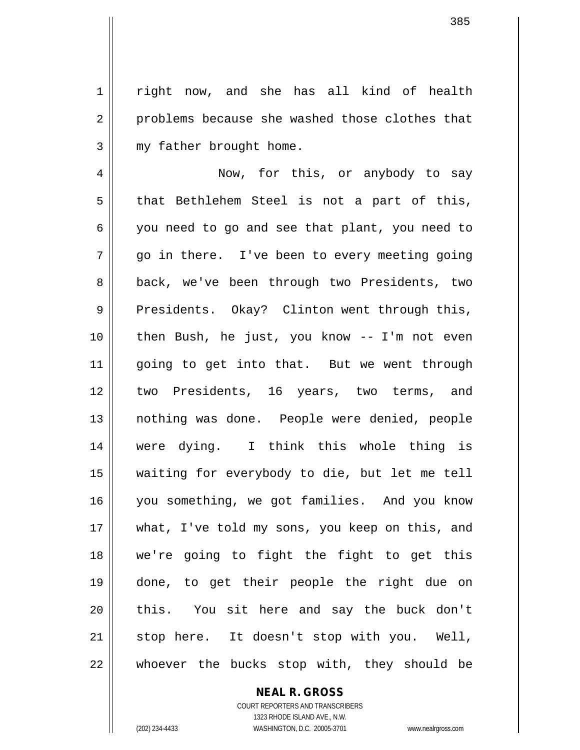1 | right now, and she has all kind of health 2 problems because she washed those clothes that  $3$  | my father brought home.

4 | Now, for this, or anybody to say  $5$  || that Bethlehem Steel is not a part of this, 6 you need to go and see that plant, you need to  $7 \parallel$  go in there. I've been to every meeting going 8 || back, we've been through two Presidents, two 9 Presidents. Okay? Clinton went through this, 10 then Bush, he just, you know -- I'm not even 11 || going to get into that. But we went through 12 two Presidents, 16 years, two terms, and 13 nothing was done. People were denied, people 14 were dying. I think this whole thing is 15 waiting for everybody to die, but let me tell 16 you something, we got families. And you know 17 || what, I've told my sons, you keep on this, and 18 we're going to fight the fight to get this 19 done, to get their people the right due on 20 || this. You sit here and say the buck don't 21 || stop here. It doesn't stop with you. Well,  $22$  || whoever the bucks stop with, they should be

# **NEAL R. GROSS**

COURT REPORTERS AND TRANSCRIBERS 1323 RHODE ISLAND AVE., N.W. (202) 234-4433 WASHINGTON, D.C. 20005-3701 www.nealrgross.com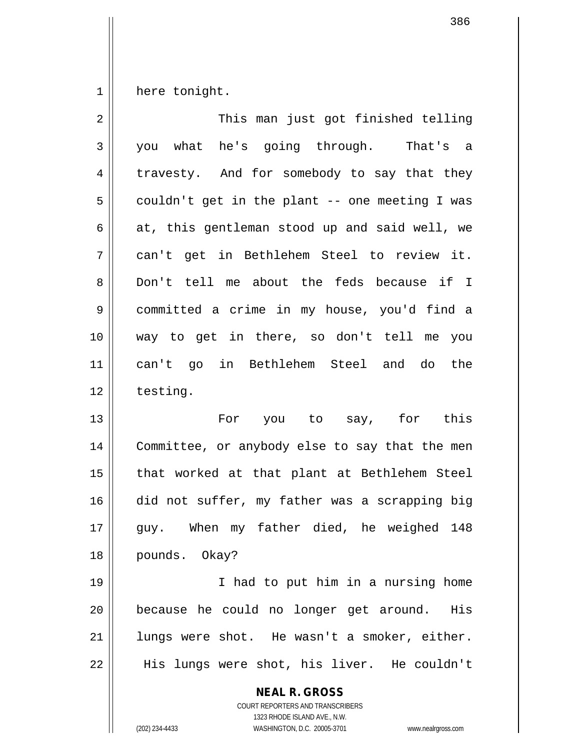$1 \parallel$  here tonight.

| $\overline{2}$ | This man just got finished telling                       |
|----------------|----------------------------------------------------------|
| $\mathsf{3}$   | you what he's going through. That's a                    |
| 4              | travesty. And for somebody to say that they              |
| 5              | couldn't get in the plant -- one meeting I was           |
| 6              | at, this gentleman stood up and said well, we            |
| 7              | can't get in Bethlehem Steel to review it.               |
| 8              | Don't tell me about the feds because if I                |
| 9              | committed a crime in my house, you'd find a              |
| 10             | way to get in there, so don't tell me you                |
| 11             | can't go in Bethlehem Steel and do the                   |
| 12             | testing.                                                 |
| 13             | For you to say, for this                                 |
| 14             | Committee, or anybody else to say that the men           |
| 15             | that worked at that plant at Bethlehem Steel             |
| 16             | did not suffer, my father was a scrapping big            |
| $17$           | When my father died, he weighed 148<br>guy.              |
| 18             | pounds. Okay?                                            |
| 19             | I had to put him in a nursing home                       |
| 20             | because he could no longer get around. His               |
| 21             | lungs were shot. He wasn't a smoker, either.             |
| 22             | His lungs were shot, his liver. He couldn't              |
|                | <b>NEAL R. GROSS</b><br>COURT REPORTERS AND TRANSCRIBERS |

1323 RHODE ISLAND AVE., N.W.

 $\mathsf{I}$  $\prod_{i=1}^{n}$ 

(202) 234-4433 WASHINGTON, D.C. 20005-3701 www.nealrgross.com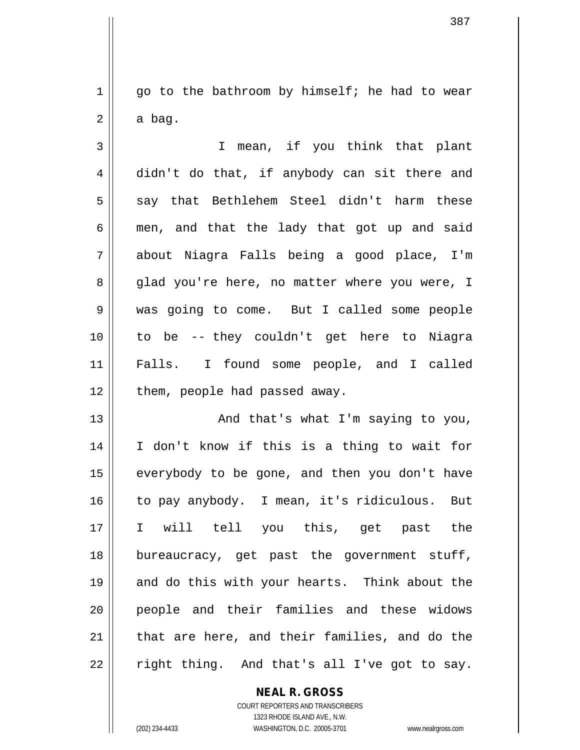$1 ||$  go to the bathroom by himself; he had to wear  $2 \parallel$  a bag.

3 I mean, if you think that plant 4 didn't do that, if anybody can sit there and  $5 \parallel$  say that Bethlehem Steel didn't harm these  $6 \parallel$  men, and that the lady that got up and said 7 about Niagra Falls being a good place, I'm 8 glad you're here, no matter where you were, I 9 was going to come. But I called some people 10 to be -- they couldn't get here to Niagra 11 Falls. I found some people, and I called  $12$  | them, people had passed away.

13 || And that's what I'm saying to you, 14 I don't know if this is a thing to wait for  $15$  everybody to be gone, and then you don't have 16 || to pay anybody. I mean, it's ridiculous. But 17 I will tell you this, get past the 18 bureaucracy, get past the government stuff, 19 || and do this with your hearts. Think about the 20 people and their families and these widows  $21$  || that are here, and their families, and do the  $22 \parallel$  right thing. And that's all I've got to say.

# **NEAL R. GROSS**

COURT REPORTERS AND TRANSCRIBERS 1323 RHODE ISLAND AVE., N.W. (202) 234-4433 WASHINGTON, D.C. 20005-3701 www.nealrgross.com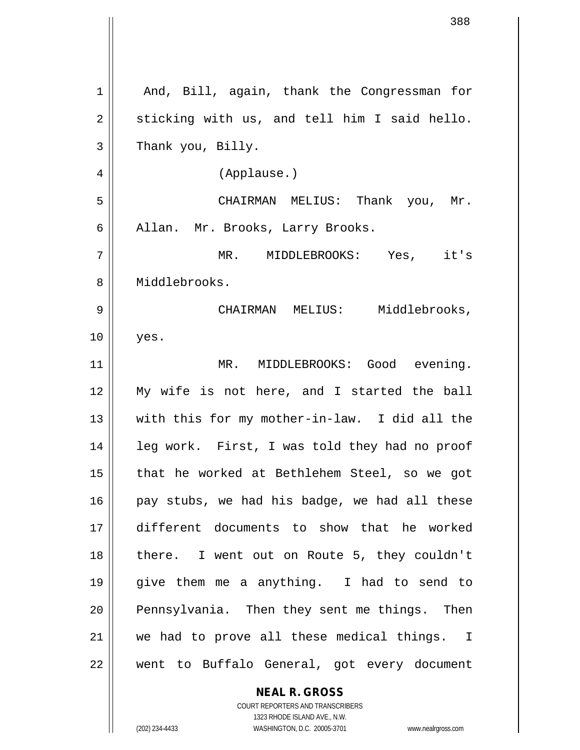| 1  | And, Bill, again, thank the Congressman for   |
|----|-----------------------------------------------|
| 2  | sticking with us, and tell him I said hello.  |
| 3  | Thank you, Billy.                             |
| 4  | (Applause.)                                   |
| 5  | CHAIRMAN MELIUS: Thank you, Mr.               |
| 6  | Allan. Mr. Brooks, Larry Brooks.              |
| 7  | MR. MIDDLEBROOKS: Yes, it's                   |
| 8  | Middlebrooks.                                 |
| 9  | CHAIRMAN MELIUS: Middlebrooks,                |
| 10 | yes.                                          |
| 11 | MR. MIDDLEBROOKS: Good evening.               |
| 12 | My wife is not here, and I started the ball   |
| 13 | with this for my mother-in-law. I did all the |
| 14 | leg work. First, I was told they had no proof |
| 15 | that he worked at Bethlehem Steel, so we got  |
| 16 | pay stubs, we had his badge, we had all these |
| 17 | different documents to show that he worked    |
| 18 | there. I went out on Route 5, they couldn't   |
| 19 | give them me a anything. I had to send to     |
| 20 | Pennsylvania. Then they sent me things. Then  |
| 21 | we had to prove all these medical things. I   |
| 22 | went to Buffalo General, got every document   |
|    | <b>NEAL R. GROSS</b>                          |

COURT REPORTERS AND TRANSCRIBERS 1323 RHODE ISLAND AVE., N.W.

 $\mathsf{II}$ 

 $\vert$ 

(202) 234-4433 WASHINGTON, D.C. 20005-3701 www.nealrgross.com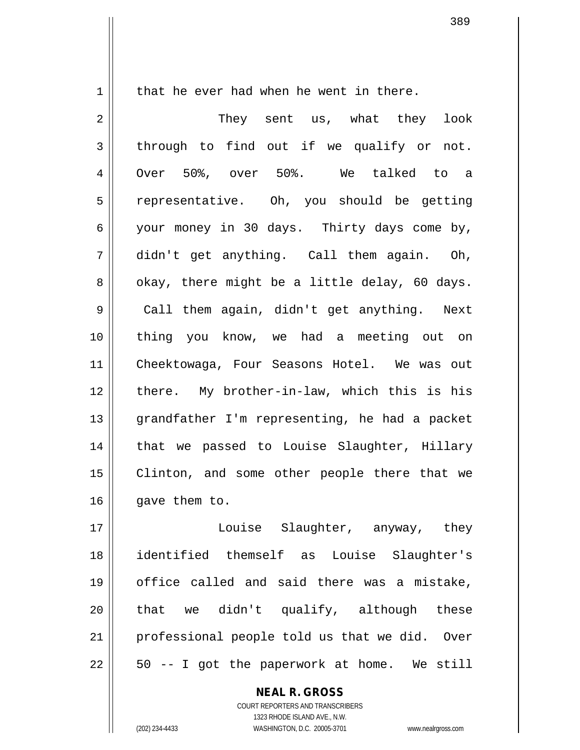$1 \parallel$  that he ever had when he went in there.

2 They sent us, what they look  $3 \parallel$  through to find out if we qualify or not. 4 Over 50%, over 50%. We talked to a 5 || representative. Oh, you should be getting 6 your money in 30 days. Thirty days come by, 7 didn't get anything. Call them again. Oh,  $8 \parallel$  okay, there might be a little delay, 60 days. 9 || Call them again, didn't get anything. Next 10 thing you know, we had a meeting out on 11 Cheektowaga, Four Seasons Hotel. We was out 12 || there. My brother-in-law, which this is his 13 grandfather I'm representing, he had a packet 14 || that we passed to Louise Slaughter, Hillary 15 || Clinton, and some other people there that we  $16$  | qave them to.

17 || Louise Slaughter, anyway, they 18 identified themself as Louise Slaughter's 19 || office called and said there was a mistake,  $20$  || that we didn't qualify, although these 21 || professional people told us that we did. Over  $22 \parallel 50$  -- I got the paperwork at home. We still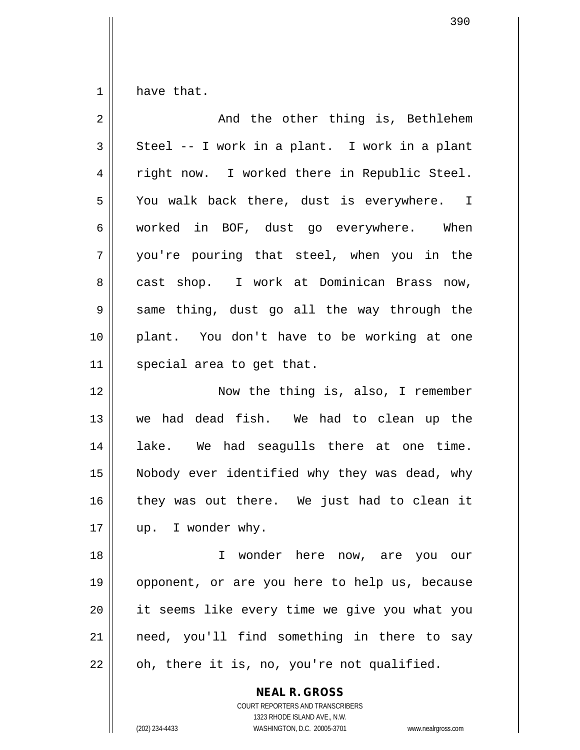$1 \parallel$  have that.

| $\overline{2}$ | And the other thing is, Bethlehem             |
|----------------|-----------------------------------------------|
| $\mathfrak{Z}$ | Steel -- I work in a plant. I work in a plant |
| 4              | right now. I worked there in Republic Steel.  |
| 5              | You walk back there, dust is everywhere. I    |
| 6              | worked in BOF, dust go everywhere. When       |
| 7              | you're pouring that steel, when you in the    |
| 8              | cast shop. I work at Dominican Brass now,     |
| 9              | same thing, dust go all the way through the   |
| 10             | plant. You don't have to be working at one    |
| 11             | special area to get that.                     |
| 12             | Now the thing is, also, I remember            |
| 13             | we had dead fish. We had to clean up the      |
| 14             | lake. We had seagulls there at one time.      |
| 15             | Nobody ever identified why they was dead, why |
| 16             | they was out there. We just had to clean it   |
| 17             | up. I wonder why.                             |
| 18             | I wonder here now, are you our                |
| 19             | opponent, or are you here to help us, because |
| 20             | it seems like every time we give you what you |
| 21             | need, you'll find something in there to say   |
| 22             | oh, there it is, no, you're not qualified.    |
|                |                                               |

**NEAL R. GROSS** COURT REPORTERS AND TRANSCRIBERS

1323 RHODE ISLAND AVE., N.W. (202) 234-4433 WASHINGTON, D.C. 20005-3701 www.nealrgross.com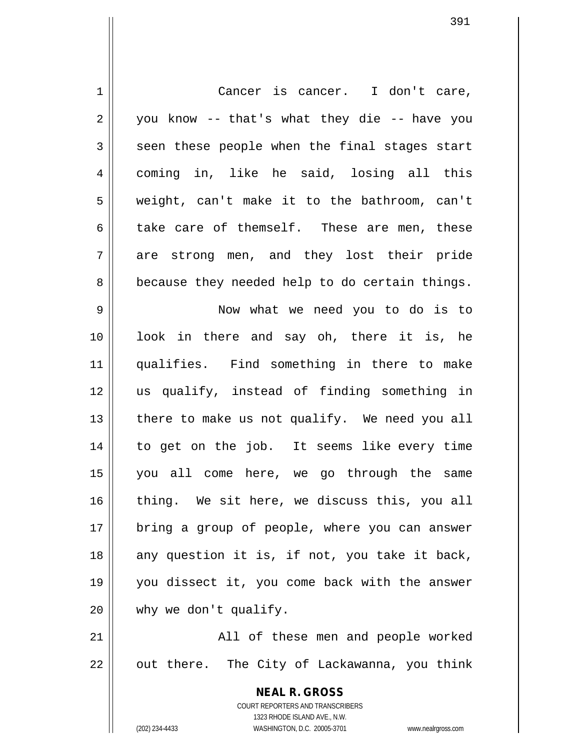| $\mathbf 1$    | Cancer is cancer. I don't care,                                     |
|----------------|---------------------------------------------------------------------|
| $\overline{2}$ | you know -- that's what they die -- have you                        |
| 3              | seen these people when the final stages start                       |
| 4              | coming in, like he said, losing all this                            |
| 5              | weight, can't make it to the bathroom, can't                        |
| 6              | take care of themself. These are men, these                         |
| 7              | are strong men, and they lost their pride                           |
| 8              | because they needed help to do certain things.                      |
| 9              | Now what we need you to do is to                                    |
| 10             | look in there and say oh, there it is, he                           |
| 11             | qualifies. Find something in there to make                          |
| 12             | us qualify, instead of finding something in                         |
| 13             | there to make us not qualify. We need you all                       |
| 14             | to get on the job. It seems like every time                         |
| 15             | you all come here, we go through the same                           |
| 16             | thing. We sit here, we discuss this, you all                        |
| 17             | bring a group of people, where you can answer                       |
| 18             | any question it is, if not, you take it back,                       |
| 19             | you dissect it, you come back with the answer                       |
| 20             | why we don't qualify.                                               |
| 21             | All of these men and people worked                                  |
| 22             | out there. The City of Lackawanna, you think                        |
|                |                                                                     |
|                | <b>NEAL R. GROSS</b><br>COURT REPORTERS AND TRANSCRIBERS            |
|                | 1323 RHODE ISLAND AVE., N.W.                                        |
|                | WASHINGTON, D.C. 20005-3701<br>(202) 234-4433<br>www.nealrgross.com |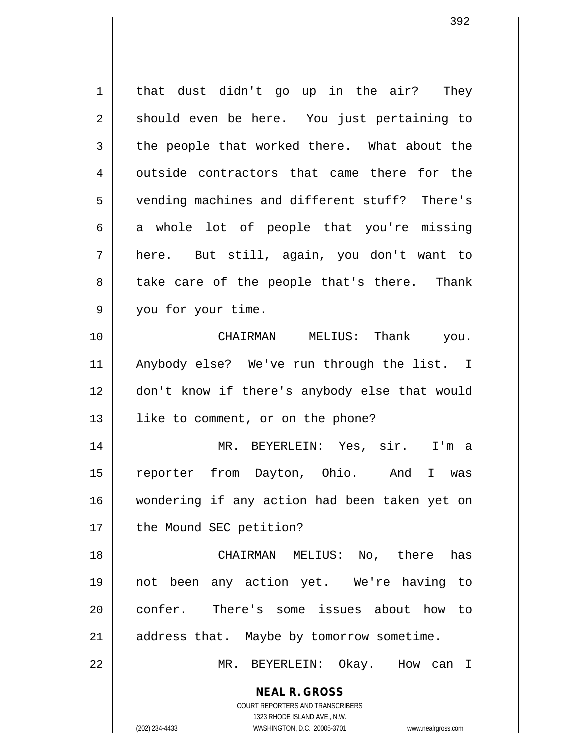**NEAL R. GROSS** COURT REPORTERS AND TRANSCRIBERS  $1 \parallel$  that dust didn't go up in the air? They 2 || should even be here. You just pertaining to  $3 \parallel$  the people that worked there. What about the  $4 \parallel$  outside contractors that came there for the 5 vending machines and different stuff? There's  $6 \parallel$  a whole lot of people that you're missing 7 here. But still, again, you don't want to 8 || take care of the people that's there. Thank 9 | you for your time. 10 CHAIRMAN MELIUS: Thank you. 11 Anybody else? We've run through the list. I 12 don't know if there's anybody else that would 13 || like to comment, or on the phone? 14 MR. BEYERLEIN: Yes, sir. I'm a 15 reporter from Dayton, Ohio. And I was 16 wondering if any action had been taken yet on 17 | the Mound SEC petition? 18 CHAIRMAN MELIUS: No, there has 19 not been any action yet. We're having to 20 || confer. There's some issues about how to  $21$  | address that. Maybe by tomorrow sometime. 22 MR. BEYERLEIN: Okay. How can I

1323 RHODE ISLAND AVE., N.W.

(202) 234-4433 WASHINGTON, D.C. 20005-3701 www.nealrgross.com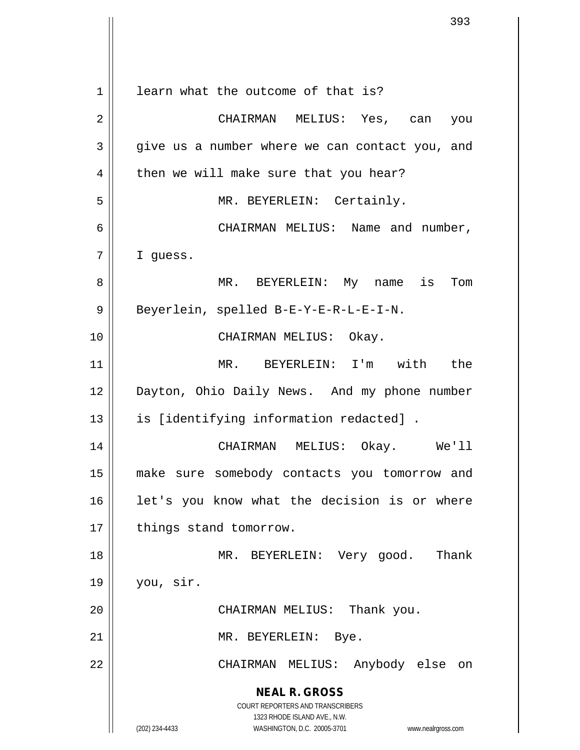|    | 393                                                                                                 |
|----|-----------------------------------------------------------------------------------------------------|
|    |                                                                                                     |
| 1  | learn what the outcome of that is?                                                                  |
| 2  | CHAIRMAN MELIUS: Yes, can<br>you                                                                    |
| 3  | give us a number where we can contact you, and                                                      |
| 4  | then we will make sure that you hear?                                                               |
| 5  | MR. BEYERLEIN: Certainly.                                                                           |
| 6  | CHAIRMAN MELIUS: Name and number,                                                                   |
| 7  | I quess.                                                                                            |
|    |                                                                                                     |
| 8  | MR. BEYERLEIN: My name is Tom                                                                       |
| 9  | Beyerlein, spelled B-E-Y-E-R-L-E-I-N.                                                               |
| 10 | CHAIRMAN MELIUS: Okay.                                                                              |
| 11 | MR. BEYERLEIN: I'm with the                                                                         |
| 12 | Dayton, Ohio Daily News. And my phone number                                                        |
| 13 | is [identifying information redacted] .                                                             |
| 14 | CHAIRMAN MELIUS: Okay.<br>We'll                                                                     |
| 15 | make sure somebody contacts you tomorrow and                                                        |
| 16 | let's you know what the decision is or where                                                        |
| 17 | things stand tomorrow.                                                                              |
| 18 | MR. BEYERLEIN: Very good.<br>Thank                                                                  |
| 19 | you, sir.                                                                                           |
| 20 | CHAIRMAN MELIUS: Thank you.                                                                         |
| 21 | MR. BEYERLEIN: Bye.                                                                                 |
| 22 | CHAIRMAN MELIUS: Anybody else on                                                                    |
|    | <b>NEAL R. GROSS</b>                                                                                |
|    | <b>COURT REPORTERS AND TRANSCRIBERS</b>                                                             |
|    | 1323 RHODE ISLAND AVE., N.W.<br>(202) 234-4433<br>WASHINGTON, D.C. 20005-3701<br>www.nealrgross.com |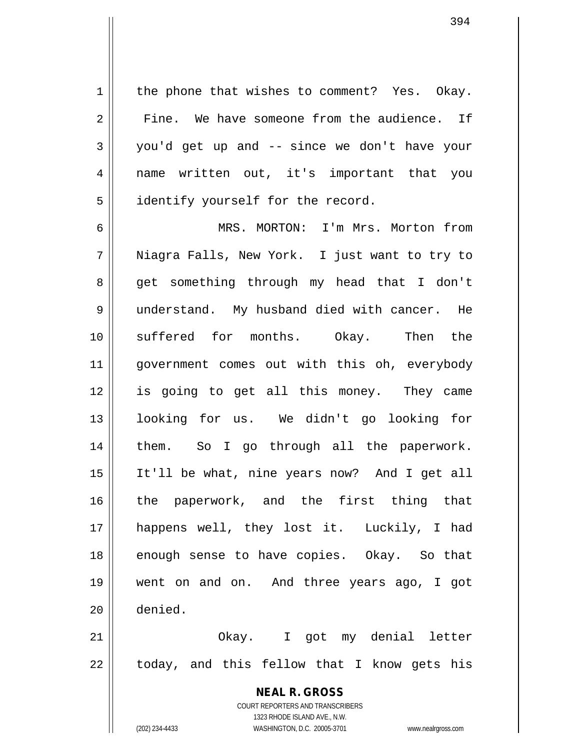$1 \parallel$  the phone that wishes to comment? Yes. Okay. 2 Fine. We have someone from the audience. If  $3 \parallel$  you'd get up and -- since we don't have your 4 name written out, it's important that you 5 | identify yourself for the record.

6 MRS. MORTON: I'm Mrs. Morton from 7 Niagra Falls, New York. I just want to try to 8 get something through my head that I don't 9 || understand. My husband died with cancer. He 10 suffered for months. Okay. Then the 11 || government comes out with this oh, everybody 12 is going to get all this money. They came 13 looking for us. We didn't go looking for 14 || them. So I go through all the paperwork. 15 It'll be what, nine years now? And I get all 16 the paperwork, and the first thing that 17 happens well, they lost it. Luckily, I had 18 || enough sense to have copies. Okay. So that 19 went on and on. And three years ago, I got 20 denied.

21 || Ckay. I got my denial letter  $22 \parallel$  today, and this fellow that I know gets his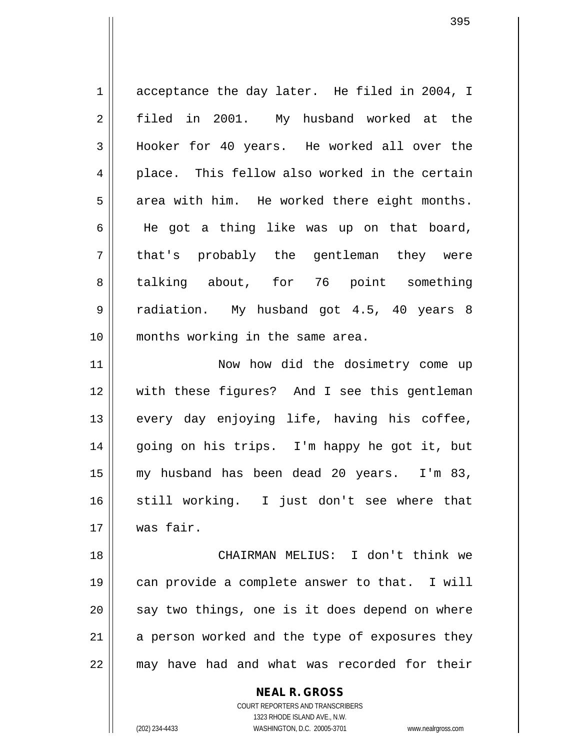1 acceptance the day later. He filed in 2004, I 2 filed in 2001. My husband worked at the 3 Hooker for 40 years. He worked all over the 4 || place. This fellow also worked in the certain  $5 \parallel$  area with him. He worked there eight months. 6 He got a thing like was up on that board, 7 || that's probably the gentleman they were 8 || talking about, for 76 point something 9 radiation. My husband got 4.5, 40 years 8 10 months working in the same area. 11 || Now how did the dosimetry come up 12 with these figures? And I see this gentleman 13 || every day enjoying life, having his coffee, 14 going on his trips. I'm happy he got it, but 15 my husband has been dead 20 years. I'm 83, 16 still working. I just don't see where that 17 was fair.

 CHAIRMAN MELIUS: I don't think we can provide a complete answer to that. I will || say two things, one is it does depend on where a person worked and the type of exposures they 22 || may have had and what was recorded for their

> COURT REPORTERS AND TRANSCRIBERS 1323 RHODE ISLAND AVE., N.W. (202) 234-4433 WASHINGTON, D.C. 20005-3701 www.nealrgross.com

**NEAL R. GROSS**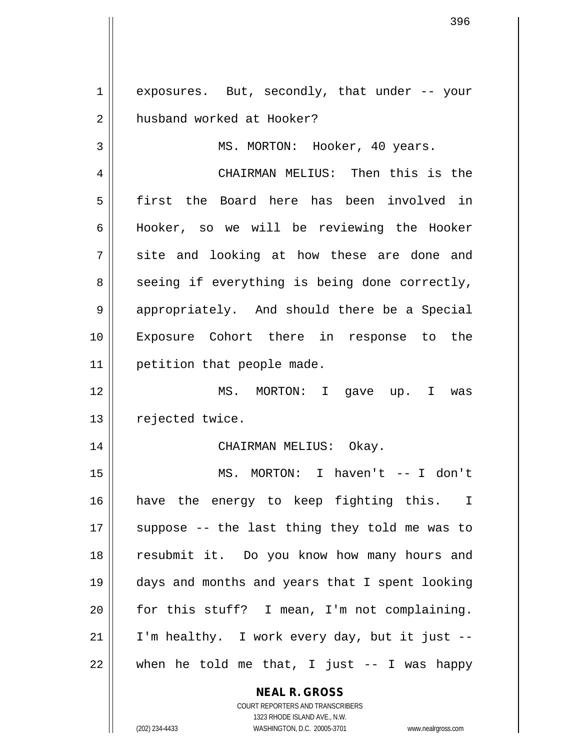$1 \parallel$  exposures. But, secondly, that under -- your 2 | husband worked at Hooker?

3 || MS. MORTON: Hooker, 40 years.

4 CHAIRMAN MELIUS: Then this is the 5 first the Board here has been involved in 6 || Hooker, so we will be reviewing the Hooker  $7 \parallel$  site and looking at how these are done and  $8 \parallel$  seeing if everything is being done correctly, 9 | appropriately. And should there be a Special 10 Exposure Cohort there in response to the 11 | petition that people made.

12 MS. MORTON: I gave up. I was 13 | rejected twice.

#### 14 CHAIRMAN MELIUS: Okay.

 MS. MORTON: I haven't -- I don't have the energy to keep fighting this. I  $\parallel$  suppose -- the last thing they told me was to resubmit it. Do you know how many hours and days and months and years that I spent looking for this stuff? I mean, I'm not complaining. | I'm healthy. I work every day, but it just -- $22 \parallel$  when he told me that, I just -- I was happy

## **NEAL R. GROSS**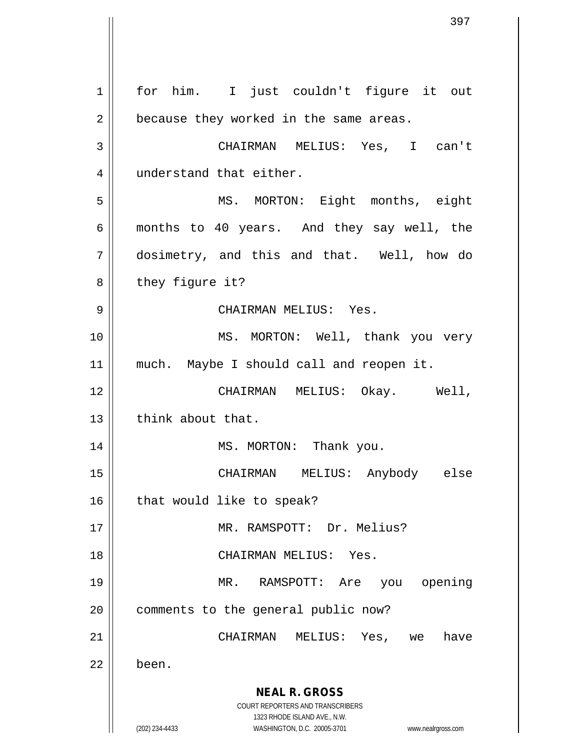**NEAL R. GROSS** COURT REPORTERS AND TRANSCRIBERS 1323 RHODE ISLAND AVE., N.W. (202) 234-4433 WASHINGTON, D.C. 20005-3701 www.nealrgross.com 1 || for him. I just couldn't figure it out  $2 \parallel$  because they worked in the same areas. 3 CHAIRMAN MELIUS: Yes, I can't 4 | understand that either. 5 MS. MORTON: Eight months, eight 6 months to 40 years. And they say well, the 7 dosimetry, and this and that. Well, how do 8 || they figure it? 9 CHAIRMAN MELIUS: Yes. 10 || MS. MORTON: Well, thank you very 11 || much. Maybe I should call and reopen it. 12 CHAIRMAN MELIUS: Okay. Well, 13 || think about that. 14 || MS. MORTON: Thank you. 15 CHAIRMAN MELIUS: Anybody else  $16$  | that would like to speak? 17 MR. RAMSPOTT: Dr. Melius? 18 CHAIRMAN MELIUS: Yes. 19 MR. RAMSPOTT: Are you opening 20 | comments to the general public now? 21 CHAIRMAN MELIUS: Yes, we have 22 l been.

397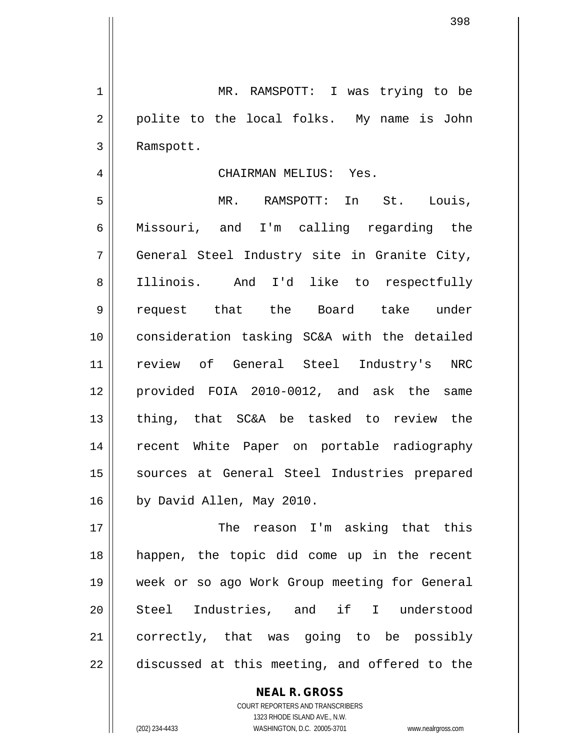1 || MR. RAMSPOTT: I was trying to be 2 || polite to the local folks. My name is John Ramspott.

## CHAIRMAN MELIUS: Yes.

 MR. RAMSPOTT: In St. Louis, Missouri, and I'm calling regarding the General Steel Industry site in Granite City, Illinois. And I'd like to respectfully request that the Board take under consideration tasking SC&A with the detailed review of General Steel Industry's NRC provided FOIA 2010-0012, and ask the same  $\parallel$  thing, that SC&A be tasked to review the recent White Paper on portable radiography 15 || sources at General Steel Industries prepared 16 | by David Allen, May 2010.

 The reason I'm asking that this happen, the topic did come up in the recent week or so ago Work Group meeting for General 20 || Steel Industries, and if I understood 21 || correctly, that was going to be possibly  $\parallel$  discussed at this meeting, and offered to the

> COURT REPORTERS AND TRANSCRIBERS 1323 RHODE ISLAND AVE., N.W. (202) 234-4433 WASHINGTON, D.C. 20005-3701 www.nealrgross.com

**NEAL R. GROSS**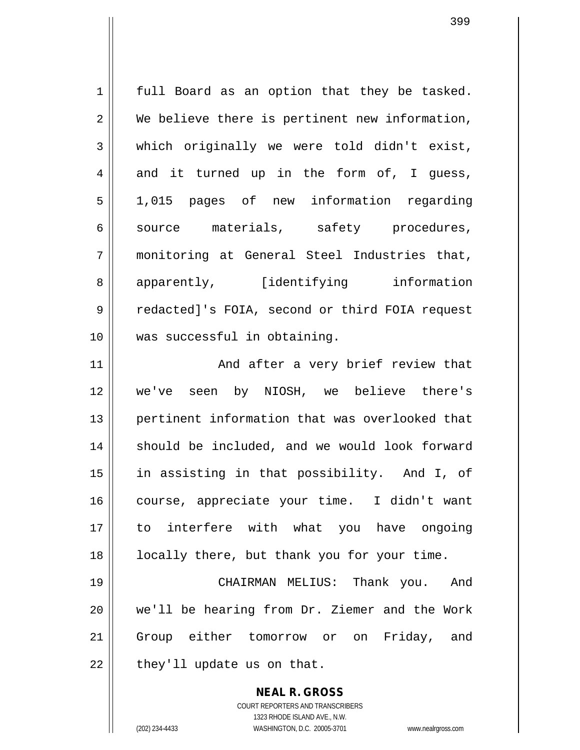1 || full Board as an option that they be tasked.  $2 \parallel$  We believe there is pertinent new information,  $3 \parallel$  which originally we were told didn't exist,  $4 \parallel$  and it turned up in the form of, I quess, 5 1,015 pages of new information regarding 6 || source materials, safety procedures, 7 monitoring at General Steel Industries that, 8 apparently, [identifying information 9 | redacted]'s FOIA, second or third FOIA request 10 was successful in obtaining.

11 And after a very brief review that 12 we've seen by NIOSH, we believe there's 13 || pertinent information that was overlooked that 14 || should be included, and we would look forward 15 in assisting in that possibility. And I, of 16 || course, appreciate your time. I didn't want 17 to interfere with what you have ongoing 18 || locally there, but thank you for your time.

 CHAIRMAN MELIUS: Thank you. And we'll be hearing from Dr. Ziemer and the Work Group either tomorrow or on Friday, and | they'll update us on that.

> **NEAL R. GROSS** COURT REPORTERS AND TRANSCRIBERS 1323 RHODE ISLAND AVE., N.W. (202) 234-4433 WASHINGTON, D.C. 20005-3701 www.nealrgross.com